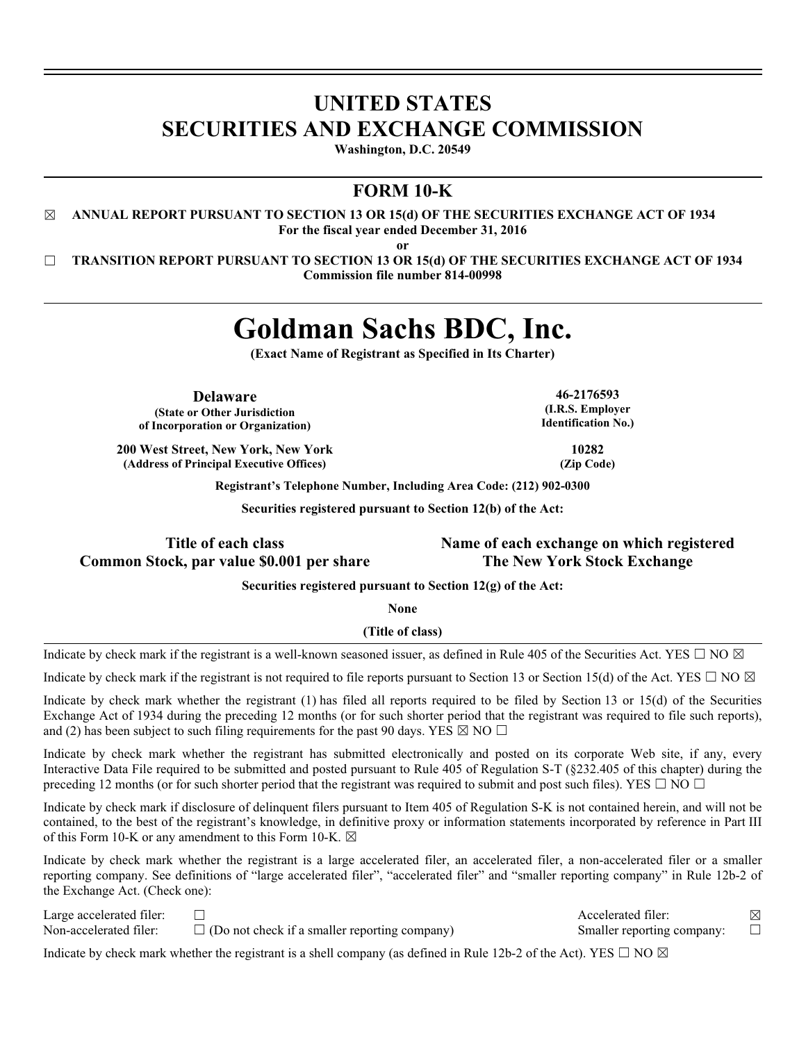# **UNITED STATES SECURITIES AND EXCHANGE COMMISSION**

**Washington, D.C. 20549** 

# **FORM 10-K**

☒ **ANNUAL REPORT PURSUANT TO SECTION 13 OR 15(d) OF THE SECURITIES EXCHANGE ACT OF 1934 For the fiscal year ended December 31, 2016** 

**or** 

☐ **TRANSITION REPORT PURSUANT TO SECTION 13 OR 15(d) OF THE SECURITIES EXCHANGE ACT OF 1934 Commission file number 814-00998** 

# **Goldman Sachs BDC, Inc.**

**(Exact Name of Registrant as Specified in Its Charter)** 

**Delaware**

**(State or Other Jurisdiction of Incorporation or Organization)**

**200 West Street, New York, New York 10282 (Address of Principal Executive Offices) (Zip Code)**

**46-2176593 (I.R.S. Employer Identification No.)**

**Registrant's Telephone Number, Including Area Code: (212) 902-0300** 

**Securities registered pursuant to Section 12(b) of the Act:** 

**Common Stock, par value \$0.001 per share The New York Stock Exchange**

**Title of each class Name of each exchange on which registered**

# **Securities registered pursuant to Section 12(g) of the Act:**

**None** 

**(Title of class)** 

Indicate by check mark if the registrant is a well-known seasoned issuer, as defined in Rule 405 of the Securities Act. YES  $\Box$  NO  $\boxtimes$ 

Indicate by check mark if the registrant is not required to file reports pursuant to Section 13 or Section 15(d) of the Act. YES  $\Box$  NO  $\boxtimes$ 

Indicate by check mark whether the registrant (1) has filed all reports required to be filed by Section 13 or 15(d) of the Securities Exchange Act of 1934 during the preceding 12 months (or for such shorter period that the registrant was required to file such reports), and (2) has been subject to such filing requirements for the past 90 days. YES  $\boxtimes$  NO  $\Box$ 

Indicate by check mark whether the registrant has submitted electronically and posted on its corporate Web site, if any, every Interactive Data File required to be submitted and posted pursuant to Rule 405 of Regulation S-T (§232.405 of this chapter) during the preceding 12 months (or for such shorter period that the registrant was required to submit and post such files). YES  $\Box$  NO  $\Box$ 

Indicate by check mark if disclosure of delinquent filers pursuant to Item 405 of Regulation S-K is not contained herein, and will not be contained, to the best of the registrant's knowledge, in definitive proxy or information statements incorporated by reference in Part III of this Form 10-K or any amendment to this Form 10-K.  $\boxtimes$ 

Indicate by check mark whether the registrant is a large accelerated filer, an accelerated filer, a non-accelerated filer or a smaller reporting company. See definitions of "large accelerated filer", "accelerated filer" and "smaller reporting company" in Rule 12b-2 of the Exchange Act. (Check one):

Non-accelerated filer: □ (Do not check if a smaller reporting company) Smaller reporting company: □

Large accelerated filer: ☐ Accelerated filer: ☒

Indicate by check mark whether the registrant is a shell company (as defined in Rule 12b-2 of the Act). YES  $\Box$  NO  $\boxtimes$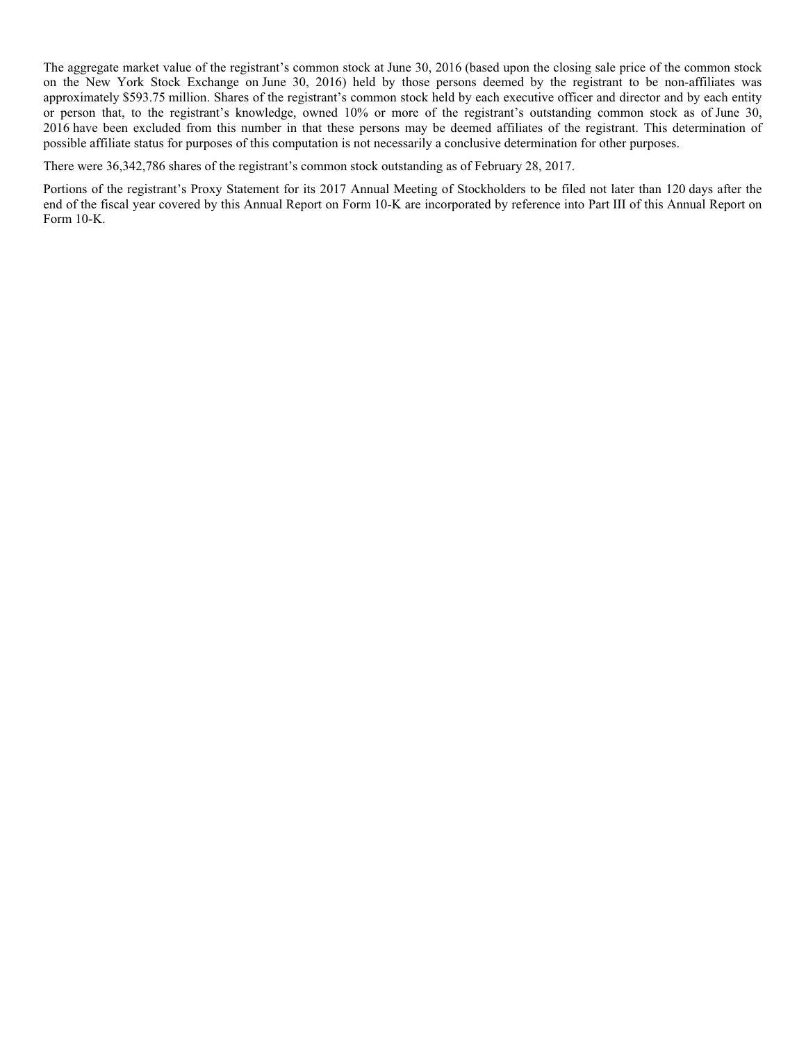The aggregate market value of the registrant's common stock at June 30, 2016 (based upon the closing sale price of the common stock on the New York Stock Exchange on June 30, 2016) held by those persons deemed by the registrant to be non-affiliates was approximately \$593.75 million. Shares of the registrant's common stock held by each executive officer and director and by each entity or person that, to the registrant's knowledge, owned 10% or more of the registrant's outstanding common stock as of June 30, 2016 have been excluded from this number in that these persons may be deemed affiliates of the registrant. This determination of possible affiliate status for purposes of this computation is not necessarily a conclusive determination for other purposes.

There were 36,342,786 shares of the registrant's common stock outstanding as of February 28, 2017.

Portions of the registrant's Proxy Statement for its 2017 Annual Meeting of Stockholders to be filed not later than 120 days after the end of the fiscal year covered by this Annual Report on Form 10-K are incorporated by reference into Part III of this Annual Report on Form 10-K.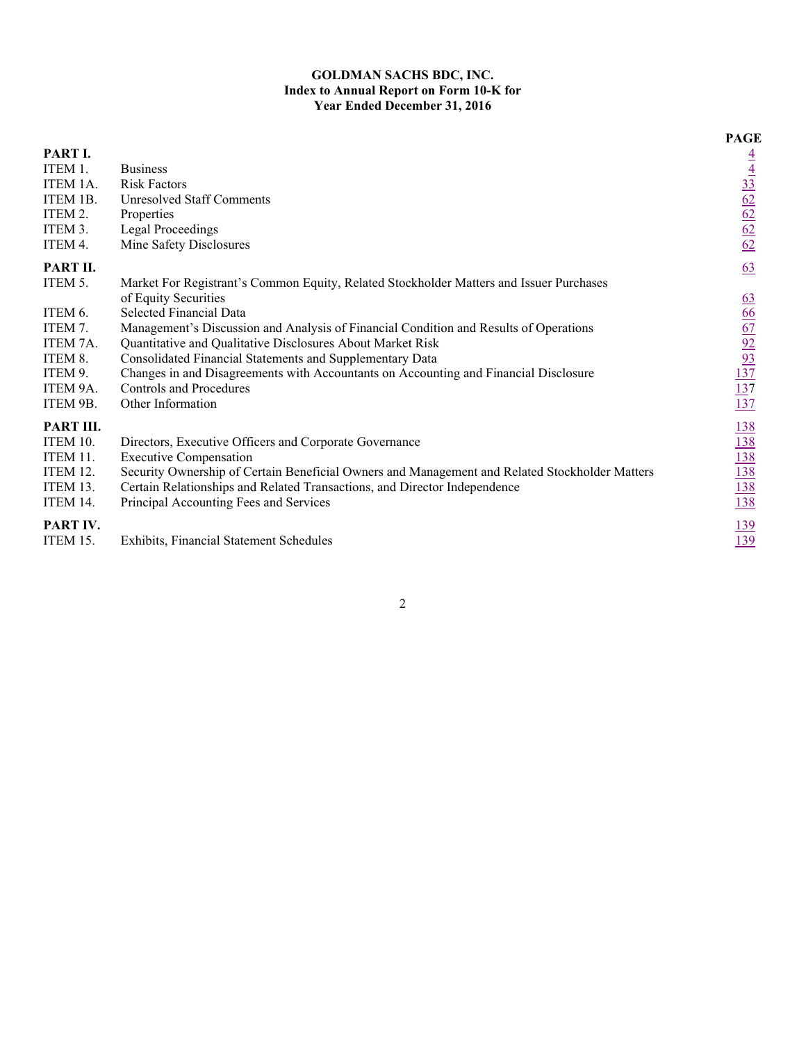# **GOLDMAN SACHS BDC, INC. Index to Annual Report on Form 10-K for Year Ended December 31, 2016**

|                                                                                         |                                                                                                                                                                                                                                                                                                                                                                                                                                                                                                                     | <b>PAGE</b>                                                             |
|-----------------------------------------------------------------------------------------|---------------------------------------------------------------------------------------------------------------------------------------------------------------------------------------------------------------------------------------------------------------------------------------------------------------------------------------------------------------------------------------------------------------------------------------------------------------------------------------------------------------------|-------------------------------------------------------------------------|
| PART I.<br>ITEM 1.<br>ITEM 1A.<br>ITEM 1B.<br>ITEM 2.<br>ITEM 3.<br>ITEM 4.             | <b>Business</b><br><b>Risk Factors</b><br><b>Unresolved Staff Comments</b><br>Properties<br><b>Legal Proceedings</b><br>Mine Safety Disclosures                                                                                                                                                                                                                                                                                                                                                                     | $rac{4}{\frac{33}{62}}$<br>$rac{62}{62}$<br>$rac{62}{62}$               |
| PART II.                                                                                |                                                                                                                                                                                                                                                                                                                                                                                                                                                                                                                     | 63                                                                      |
| ITEM 5.<br>ITEM 6.<br>ITEM 7.<br>ITEM 7A.<br>ITEM 8.<br>ITEM 9.<br>ITEM 9A.<br>ITEM 9B. | Market For Registrant's Common Equity, Related Stockholder Matters and Issuer Purchases<br>of Equity Securities<br><b>Selected Financial Data</b><br>Management's Discussion and Analysis of Financial Condition and Results of Operations<br>Quantitative and Qualitative Disclosures About Market Risk<br>Consolidated Financial Statements and Supplementary Data<br>Changes in and Disagreements with Accountants on Accounting and Financial Disclosure<br><b>Controls and Procedures</b><br>Other Information | $\frac{63}{66}$ $\frac{67}{92}$ $\frac{93}{137}$ $\frac{137}{137}$      |
| PART III.<br>ITEM 10.<br>ITEM 11.<br>ITEM 12.<br>ITEM 13.<br>ITEM 14.                   | Directors, Executive Officers and Corporate Governance<br><b>Executive Compensation</b><br>Security Ownership of Certain Beneficial Owners and Management and Related Stockholder Matters<br>Certain Relationships and Related Transactions, and Director Independence<br>Principal Accounting Fees and Services                                                                                                                                                                                                    | $\frac{138}{138}$ $\frac{138}{138}$ $\frac{138}{138}$ $\frac{138}{138}$ |
| PART IV.<br>ITEM 15.                                                                    | Exhibits, Financial Statement Schedules                                                                                                                                                                                                                                                                                                                                                                                                                                                                             | $\frac{139}{139}$                                                       |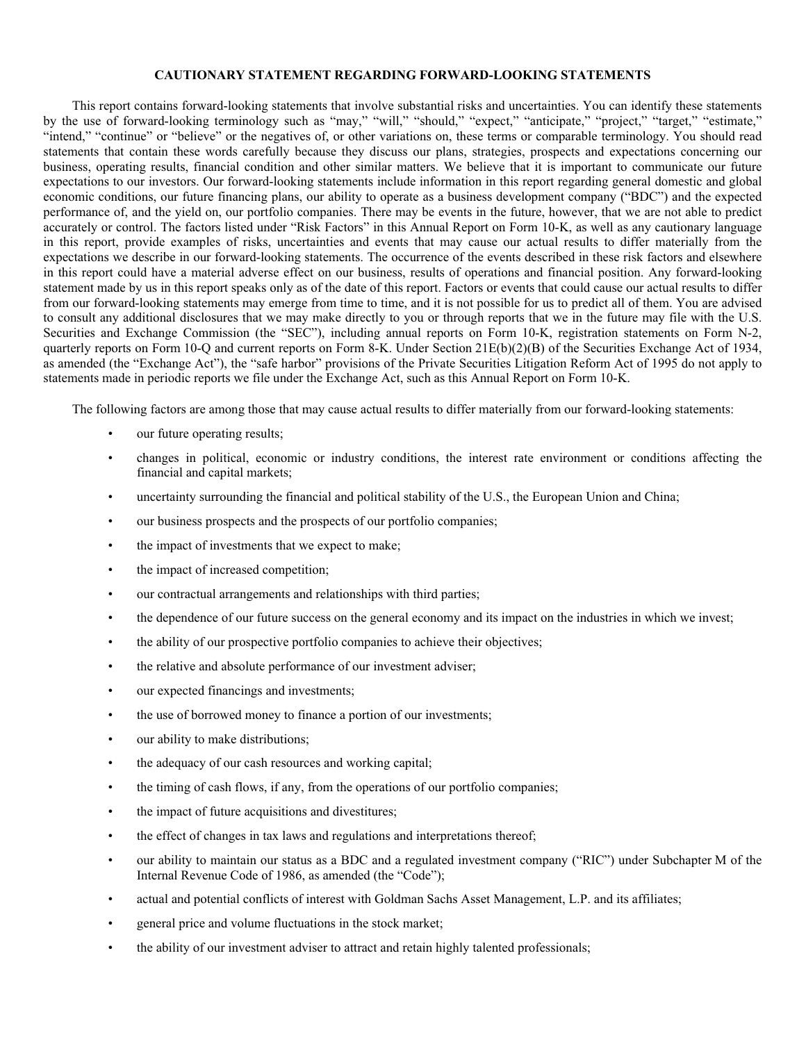# **CAUTIONARY STATEMENT REGARDING FORWARD-LOOKING STATEMENTS**

This report contains forward-looking statements that involve substantial risks and uncertainties. You can identify these statements by the use of forward-looking terminology such as "may," "will," "should," "expect," "anticipate," "project," "target," "estimate," "intend," "continue" or "believe" or the negatives of, or other variations on, these terms or comparable terminology. You should read statements that contain these words carefully because they discuss our plans, strategies, prospects and expectations concerning our business, operating results, financial condition and other similar matters. We believe that it is important to communicate our future expectations to our investors. Our forward-looking statements include information in this report regarding general domestic and global economic conditions, our future financing plans, our ability to operate as a business development company ("BDC") and the expected performance of, and the yield on, our portfolio companies. There may be events in the future, however, that we are not able to predict accurately or control. The factors listed under "Risk Factors" in this Annual Report on Form 10-K, as well as any cautionary language in this report, provide examples of risks, uncertainties and events that may cause our actual results to differ materially from the expectations we describe in our forward-looking statements. The occurrence of the events described in these risk factors and elsewhere in this report could have a material adverse effect on our business, results of operations and financial position. Any forward-looking statement made by us in this report speaks only as of the date of this report. Factors or events that could cause our actual results to differ from our forward-looking statements may emerge from time to time, and it is not possible for us to predict all of them. You are advised to consult any additional disclosures that we may make directly to you or through reports that we in the future may file with the U.S. Securities and Exchange Commission (the "SEC"), including annual reports on Form 10-K, registration statements on Form N-2, quarterly reports on Form 10-Q and current reports on Form 8-K. Under Section 21E(b)(2)(B) of the Securities Exchange Act of 1934, as amended (the "Exchange Act"), the "safe harbor" provisions of the Private Securities Litigation Reform Act of 1995 do not apply to statements made in periodic reports we file under the Exchange Act, such as this Annual Report on Form 10-K.

The following factors are among those that may cause actual results to differ materially from our forward-looking statements:

- our future operating results;
- changes in political, economic or industry conditions, the interest rate environment or conditions affecting the financial and capital markets;
- uncertainty surrounding the financial and political stability of the U.S., the European Union and China;
- our business prospects and the prospects of our portfolio companies;
- the impact of investments that we expect to make;
- the impact of increased competition;
- our contractual arrangements and relationships with third parties;
- the dependence of our future success on the general economy and its impact on the industries in which we invest;
- the ability of our prospective portfolio companies to achieve their objectives;
- the relative and absolute performance of our investment adviser;
- our expected financings and investments;
- the use of borrowed money to finance a portion of our investments;
- our ability to make distributions;
- the adequacy of our cash resources and working capital;
- the timing of cash flows, if any, from the operations of our portfolio companies;
- the impact of future acquisitions and divestitures;
- the effect of changes in tax laws and regulations and interpretations thereof;
- our ability to maintain our status as a BDC and a regulated investment company ("RIC") under Subchapter M of the Internal Revenue Code of 1986, as amended (the "Code");
- actual and potential conflicts of interest with Goldman Sachs Asset Management, L.P. and its affiliates;
- general price and volume fluctuations in the stock market;
- the ability of our investment adviser to attract and retain highly talented professionals;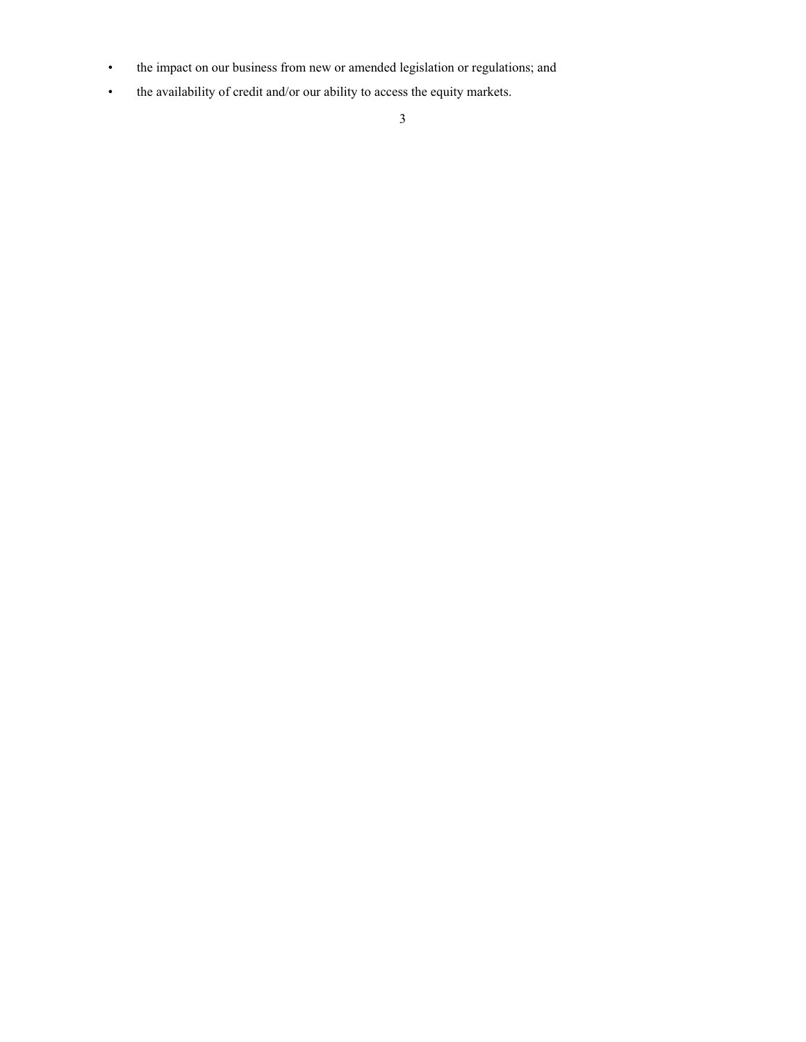- the impact on our business from new or amended legislation or regulations; and
- the availability of credit and/or our ability to access the equity markets.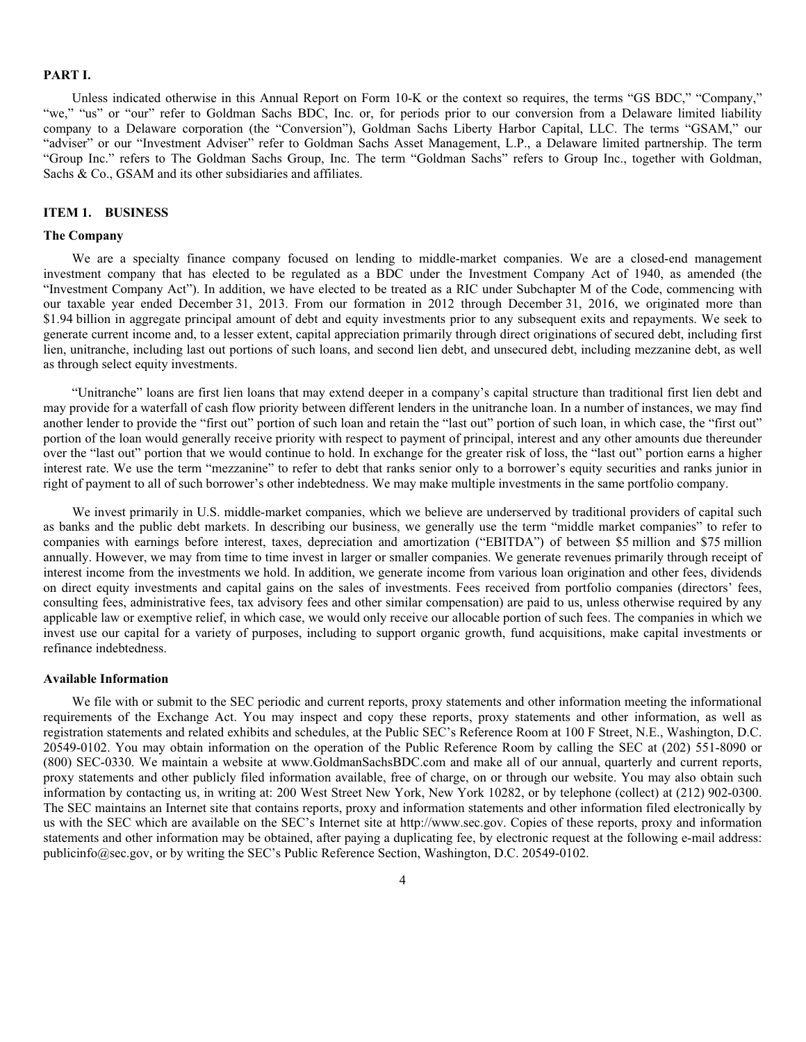#### **PART I.**

Unless indicated otherwise in this Annual Report on Form 10-K or the context so requires, the terms "GS BDC," "Company," "we," "us" or "our" refer to Goldman Sachs BDC, Inc. or, for periods prior to our conversion from a Delaware limited liability company to a Delaware corporation (the "Conversion"), Goldman Sachs Liberty Harbor Capital, LLC. The terms "GSAM," our "adviser" or our "Investment Adviser" refer to Goldman Sachs Asset Management, L.P., a Delaware limited partnership. The term "Group Inc." refers to The Goldman Sachs Group, Inc. The term "Goldman Sachs" refers to Group Inc., together with Goldman, Sachs & Co., GSAM and its other subsidiaries and affiliates.

# **ITEM 1. BUSINESS**

#### **The Company**

We are a specialty finance company focused on lending to middle-market companies. We are a closed-end management investment company that has elected to be regulated as a BDC under the Investment Company Act of 1940, as amended (the "Investment Company Act"). In addition, we have elected to be treated as a RIC under Subchapter M of the Code, commencing with our taxable year ended December 31, 2013. From our formation in 2012 through December 31, 2016, we originated more than \$1.94 billion in aggregate principal amount of debt and equity investments prior to any subsequent exits and repayments. We seek to generate current income and, to a lesser extent, capital appreciation primarily through direct originations of secured debt, including first lien, unitranche, including last out portions of such loans, and second lien debt, and unsecured debt, including mezzanine debt, as well as through select equity investments.

"Unitranche" loans are first lien loans that may extend deeper in a company's capital structure than traditional first lien debt and may provide for a waterfall of cash flow priority between different lenders in the unitranche loan. In a number of instances, we may find another lender to provide the "first out" portion of such loan and retain the "last out" portion of such loan, in which case, the "first out" portion of the loan would generally receive priority with respect to payment of principal, interest and any other amounts due thereunder over the "last out" portion that we would continue to hold. In exchange for the greater risk of loss, the "last out" portion earns a higher interest rate. We use the term "mezzanine" to refer to debt that ranks senior only to a borrower's equity securities and ranks junior in right of payment to all of such borrower's other indebtedness. We may make multiple investments in the same portfolio company.

We invest primarily in U.S. middle-market companies, which we believe are underserved by traditional providers of capital such as banks and the public debt markets. In describing our business, we generally use the term "middle market companies" to refer to companies with earnings before interest, taxes, depreciation and amortization ("EBITDA") of between \$5 million and \$75 million annually. However, we may from time to time invest in larger or smaller companies. We generate revenues primarily through receipt of interest income from the investments we hold. In addition, we generate income from various loan origination and other fees, dividends on direct equity investments and capital gains on the sales of investments. Fees received from portfolio companies (directors' fees, consulting fees, administrative fees, tax advisory fees and other similar compensation) are paid to us, unless otherwise required by any applicable law or exemptive relief, in which case, we would only receive our allocable portion of such fees. The companies in which we invest use our capital for a variety of purposes, including to support organic growth, fund acquisitions, make capital investments or refinance indebtedness.

#### **Available Information**

We file with or submit to the SEC periodic and current reports, proxy statements and other information meeting the informational requirements of the Exchange Act. You may inspect and copy these reports, proxy statements and other information, as well as registration statements and related exhibits and schedules, at the Public SEC's Reference Room at 100 F Street, N.E., Washington, D.C. 20549-0102. You may obtain information on the operation of the Public Reference Room by calling the SEC at (202) 551-8090 or (800) SEC-0330. We maintain a website at www.GoldmanSachsBDC.com and make all of our annual, quarterly and current reports, proxy statements and other publicly filed information available, free of charge, on or through our website. You may also obtain such information by contacting us, in writing at: 200 West Street New York, New York 10282, or by telephone (collect) at (212) 902-0300. The SEC maintains an Internet site that contains reports, proxy and information statements and other information filed electronically by us with the SEC which are available on the SEC's Internet site at http://www.sec.gov. Copies of these reports, proxy and information statements and other information may be obtained, after paying a duplicating fee, by electronic request at the following e-mail address: publicinfo@sec.gov, or by writing the SEC's Public Reference Section, Washington, D.C. 20549-0102.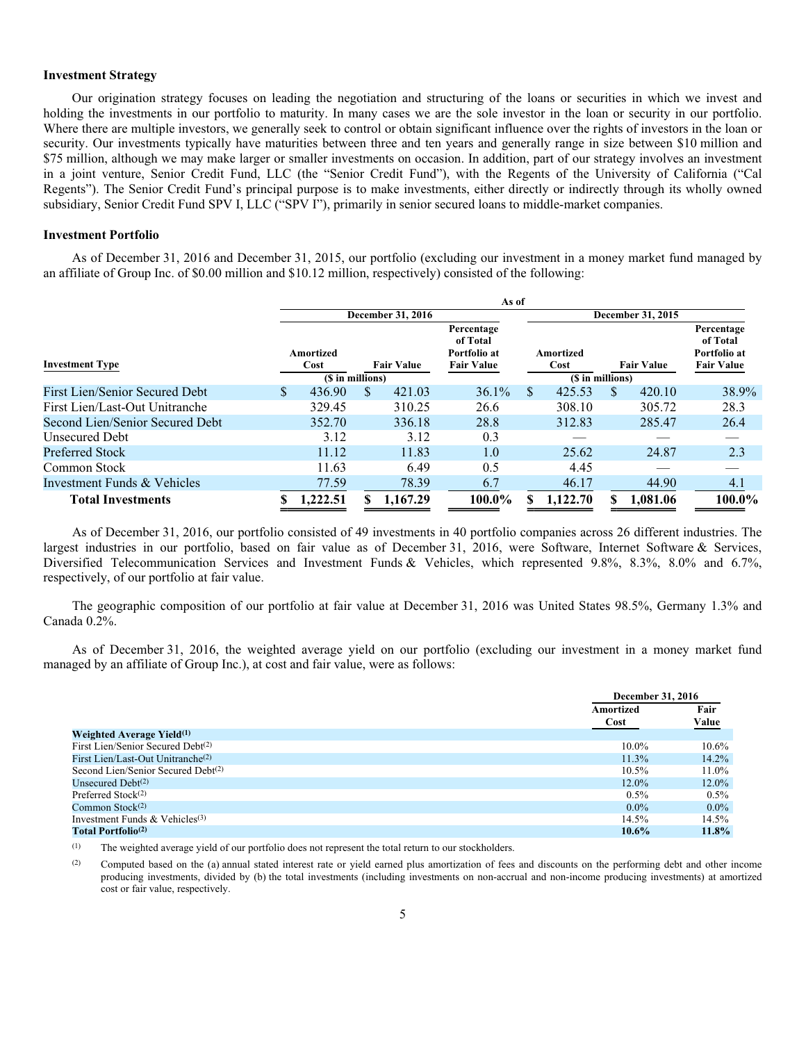#### **Investment Strategy**

Our origination strategy focuses on leading the negotiation and structuring of the loans or securities in which we invest and holding the investments in our portfolio to maturity. In many cases we are the sole investor in the loan or security in our portfolio. Where there are multiple investors, we generally seek to control or obtain significant influence over the rights of investors in the loan or security. Our investments typically have maturities between three and ten years and generally range in size between \$10 million and \$75 million, although we may make larger or smaller investments on occasion. In addition, part of our strategy involves an investment in a joint venture, Senior Credit Fund, LLC (the "Senior Credit Fund"), with the Regents of the University of California ("Cal Regents"). The Senior Credit Fund's principal purpose is to make investments, either directly or indirectly through its wholly owned subsidiary, Senior Credit Fund SPV I, LLC ("SPV I"), primarily in senior secured loans to middle-market companies.

#### **Investment Portfolio**

As of December 31, 2016 and December 31, 2015, our portfolio (excluding our investment in a money market fund managed by an affiliate of Group Inc. of \$0.00 million and \$10.12 million, respectively) consisted of the following:

|                                       | As of             |                   |     |                   |                                                             |                   |                   |   |                   |                                                             |
|---------------------------------------|-------------------|-------------------|-----|-------------------|-------------------------------------------------------------|-------------------|-------------------|---|-------------------|-------------------------------------------------------------|
|                                       | December 31, 2016 |                   |     |                   |                                                             | December 31, 2015 |                   |   |                   |                                                             |
| <b>Investment Type</b>                |                   | Amortized<br>Cost |     | <b>Fair Value</b> | Percentage<br>of Total<br>Portfolio at<br><b>Fair Value</b> |                   | Amortized<br>Cost |   | <b>Fair Value</b> | Percentage<br>of Total<br>Portfolio at<br><b>Fair Value</b> |
|                                       |                   | (\$ in millions)  |     |                   |                                                             |                   | (\$ in millions)  |   |                   |                                                             |
| <b>First Lien/Senior Secured Debt</b> | S                 | 436.90            | \$. | 421.03            | $36.1\%$                                                    | <b>S</b>          | 425.53            | S | 420.10            | 38.9%                                                       |
| First Lien/Last-Out Unitranche        |                   | 329.45            |     | 310.25            | 26.6                                                        |                   | 308.10            |   | 305.72            | 28.3                                                        |
| Second Lien/Senior Secured Debt       |                   | 352.70            |     | 336.18            | 28.8                                                        |                   | 312.83            |   | 285.47            | 26.4                                                        |
| Unsecured Debt                        |                   | 3.12              |     | 3.12              | 0.3                                                         |                   |                   |   |                   |                                                             |
| <b>Preferred Stock</b>                |                   | 11.12             |     | 11.83             | 1.0                                                         |                   | 25.62             |   | 24.87             | 2.3                                                         |
| Common Stock                          |                   | 11.63             |     | 6.49              | 0.5                                                         |                   | 4.45              |   |                   |                                                             |
| Investment Funds & Vehicles           |                   | 77.59             |     | 78.39             | 6.7                                                         |                   | 46.17             |   | 44.90             | 4.1                                                         |
| <b>Total Investments</b>              |                   | 1.222.51          |     | 1.167.29          | 100.0%                                                      |                   | 1,122.70          |   | .081.06           | $100.0\%$                                                   |

As of December 31, 2016, our portfolio consisted of 49 investments in 40 portfolio companies across 26 different industries. The largest industries in our portfolio, based on fair value as of December 31, 2016, were Software, Internet Software & Services, Diversified Telecommunication Services and Investment Funds & Vehicles, which represented 9.8%, 8.3%, 8.0% and 6.7%, respectively, of our portfolio at fair value.

The geographic composition of our portfolio at fair value at December 31, 2016 was United States 98.5%, Germany 1.3% and Canada 0.2%.

As of December 31, 2016, the weighted average yield on our portfolio (excluding our investment in a money market fund managed by an affiliate of Group Inc.), at cost and fair value, were as follows:

|                                                | December 31, 2016 |                      |  |
|------------------------------------------------|-------------------|----------------------|--|
|                                                | Amortized<br>Cost | Fair<br><u>Value</u> |  |
| Weighted Average Yield $(1)$                   |                   |                      |  |
| First Lien/Senior Secured Debt <sup>(2)</sup>  | $10.0\%$          | $10.6\%$             |  |
| First Lien/Last-Out Unitranche <sup>(2)</sup>  | $11.3\%$          | $14.2\%$             |  |
| Second Lien/Senior Secured Debt <sup>(2)</sup> | $10.5\%$          | $11.0\%$             |  |
| Unsecured $Debt^{(2)}$                         | $12.0\%$          | $12.0\%$             |  |
| Preferred Stock $(2)$                          | $0.5\%$           | $0.5\%$              |  |
| Common Stock $(2)$                             | $0.0\%$           | $0.0\%$              |  |
| Investment Funds & Vehicles <sup>(3)</sup>     | $14.5\%$          | $14.5\%$             |  |
| <b>Total Portfolio</b> <sup>(2)</sup>          | $10.6\%$          | 11.8%                |  |

(1) The weighted average yield of our portfolio does not represent the total return to our stockholders.

(2) Computed based on the (a) annual stated interest rate or yield earned plus amortization of fees and discounts on the performing debt and other income producing investments, divided by (b) the total investments (including investments on non-accrual and non-income producing investments) at amortized cost or fair value, respectively.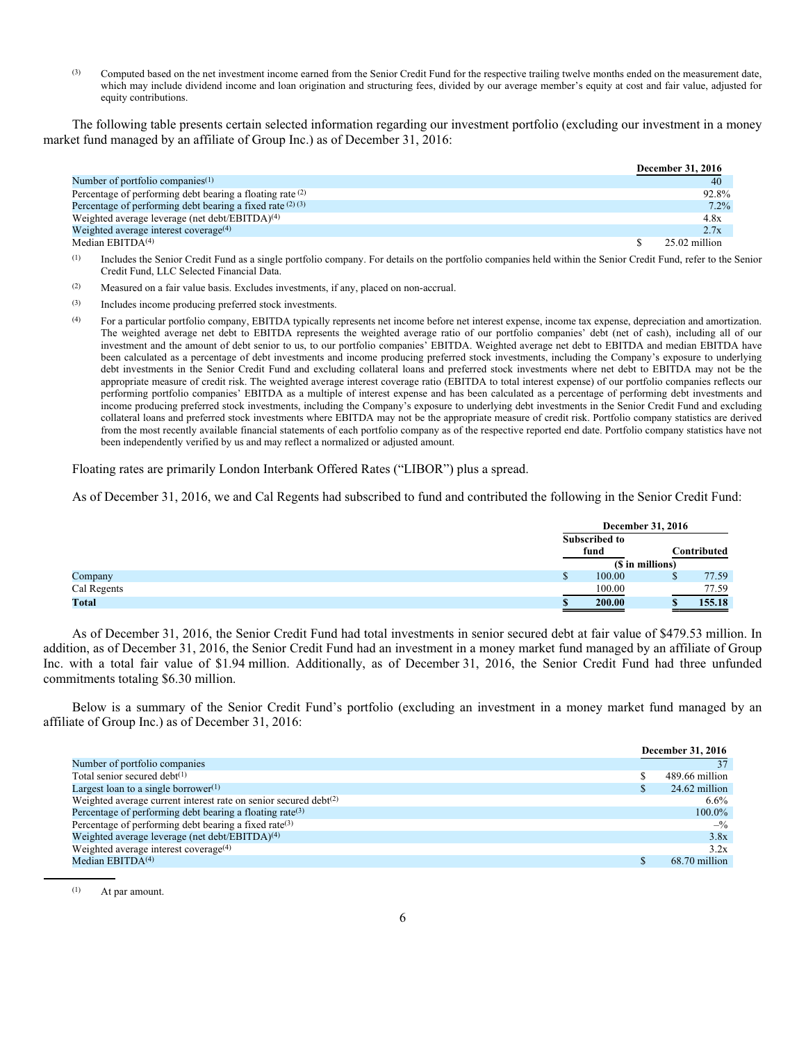(3) Computed based on the net investment income earned from the Senior Credit Fund for the respective trailing twelve months ended on the measurement date, which may include dividend income and loan origination and structuring fees, divided by our average member's equity at cost and fair value, adjusted for equity contributions.

The following table presents certain selected information regarding our investment portfolio (excluding our investment in a money market fund managed by an affiliate of Group Inc.) as of December 31, 2016:

|                                                              | <b>December 31, 2016</b> |
|--------------------------------------------------------------|--------------------------|
| Number of portfolio companies $(1)$                          | 40                       |
| Percentage of performing debt bearing a floating rate (2)    | 92.8%                    |
| Percentage of performing debt bearing a fixed rate $(2)$ (3) | $7.2\%$                  |
| Weighted average leverage (net debt/EBITDA) <sup>(4)</sup>   | 4.8x                     |
| Weighted average interest coverage $(4)$                     | 2.7x                     |
| Median EBITD $A^{(4)}$                                       | $25.02$ million          |

- (1) Includes the Senior Credit Fund as a single portfolio company. For details on the portfolio companies held within the Senior Credit Fund, refer to the Senior Credit Fund, LLC Selected Financial Data.
- (2) Measured on a fair value basis. Excludes investments, if any, placed on non-accrual.
- (3) Includes income producing preferred stock investments.
- (4) For a particular portfolio company, EBITDA typically represents net income before net interest expense, income tax expense, depreciation and amortization. The weighted average net debt to EBITDA represents the weighted average ratio of our portfolio companies' debt (net of cash), including all of our investment and the amount of debt senior to us, to our portfolio companies' EBITDA. Weighted average net debt to EBITDA and median EBITDA have been calculated as a percentage of debt investments and income producing preferred stock investments, including the Company's exposure to underlying debt investments in the Senior Credit Fund and excluding collateral loans and preferred stock investments where net debt to EBITDA may not be the appropriate measure of credit risk. The weighted average interest coverage ratio (EBITDA to total interest expense) of our portfolio companies reflects our performing portfolio companies' EBITDA as a multiple of interest expense and has been calculated as a percentage of performing debt investments and income producing preferred stock investments, including the Company's exposure to underlying debt investments in the Senior Credit Fund and excluding collateral loans and preferred stock investments where EBITDA may not be the appropriate measure of credit risk. Portfolio company statistics are derived from the most recently available financial statements of each portfolio company as of the respective reported end date. Portfolio company statistics have not been independently verified by us and may reflect a normalized or adjusted amount.

Floating rates are primarily London Interbank Offered Rates ("LIBOR") plus a spread.

As of December 31, 2016, we and Cal Regents had subscribed to fund and contributed the following in the Senior Credit Fund:

|              |      | December 31, 2016    |             |        |  |
|--------------|------|----------------------|-------------|--------|--|
|              |      | <b>Subscribed to</b> |             |        |  |
|              | fund |                      | Contributed |        |  |
|              |      | (\$ in millions)     |             |        |  |
| Company      | D    | 100.00               |             | 77.59  |  |
| Cal Regents  |      | 100.00               |             | 77.59  |  |
| <b>Total</b> |      | 200.00               |             | 155.18 |  |

As of December 31, 2016, the Senior Credit Fund had total investments in senior secured debt at fair value of \$479.53 million. In addition, as of December 31, 2016, the Senior Credit Fund had an investment in a money market fund managed by an affiliate of Group Inc. with a total fair value of \$1.94 million. Additionally, as of December 31, 2016, the Senior Credit Fund had three unfunded commitments totaling \$6.30 million.

Below is a summary of the Senior Credit Fund's portfolio (excluding an investment in a money market fund managed by an affiliate of Group Inc.) as of December 31, 2016:

|                                                                       | December 31, 2016 |                 |
|-----------------------------------------------------------------------|-------------------|-----------------|
| Number of portfolio companies                                         |                   | 37              |
| Total senior secured $debt^{(1)}$                                     |                   | 489.66 million  |
| Largest loan to a single borrower $(1)$                               |                   | $24.62$ million |
| Weighted average current interest rate on senior secured $debt^{(2)}$ |                   | $6.6\%$         |
| Percentage of performing debt bearing a floating rate <sup>(3)</sup>  |                   | $100.0\%$       |
| Percentage of performing debt bearing a fixed rate $(3)$              |                   | $- \frac{9}{6}$ |
| Weighted average leverage (net debt/EBITDA) <sup>(4)</sup>            |                   | 3.8x            |
| Weighted average interest coverage $(4)$                              |                   | 3.2x            |
| Median EBITD $A^{(4)}$                                                |                   | 68.70 million   |

(1) At par amount.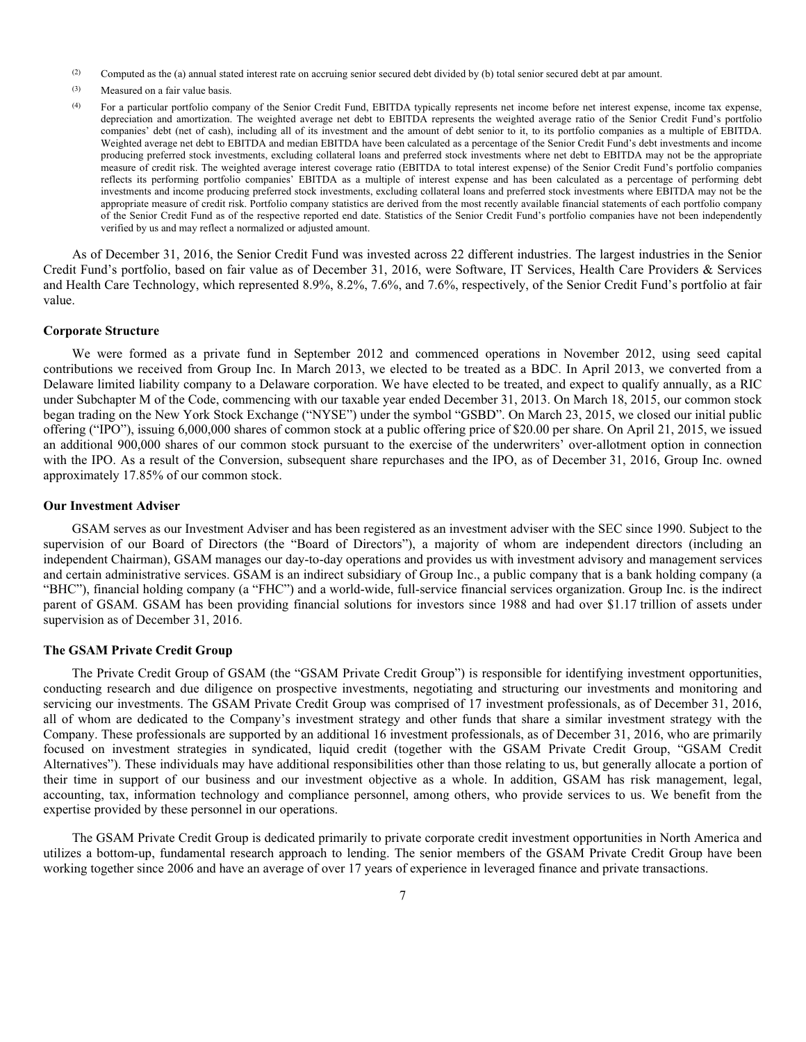- (2) Computed as the (a) annual stated interest rate on accruing senior secured debt divided by (b) total senior secured debt at par amount.
- (3) Measured on a fair value basis.
- (4) For a particular portfolio company of the Senior Credit Fund, EBITDA typically represents net income before net interest expense, income tax expense, depreciation and amortization. The weighted average net debt to EBITDA represents the weighted average ratio of the Senior Credit Fund's portfolio companies' debt (net of cash), including all of its investment and the amount of debt senior to it, to its portfolio companies as a multiple of EBITDA. Weighted average net debt to EBITDA and median EBITDA have been calculated as a percentage of the Senior Credit Fund's debt investments and income producing preferred stock investments, excluding collateral loans and preferred stock investments where net debt to EBITDA may not be the appropriate measure of credit risk. The weighted average interest coverage ratio (EBITDA to total interest expense) of the Senior Credit Fund's portfolio companies reflects its performing portfolio companies' EBITDA as a multiple of interest expense and has been calculated as a percentage of performing debt investments and income producing preferred stock investments, excluding collateral loans and preferred stock investments where EBITDA may not be the appropriate measure of credit risk. Portfolio company statistics are derived from the most recently available financial statements of each portfolio company of the Senior Credit Fund as of the respective reported end date. Statistics of the Senior Credit Fund's portfolio companies have not been independently verified by us and may reflect a normalized or adjusted amount.

As of December 31, 2016, the Senior Credit Fund was invested across 22 different industries. The largest industries in the Senior Credit Fund's portfolio, based on fair value as of December 31, 2016, were Software, IT Services, Health Care Providers & Services and Health Care Technology, which represented 8.9%, 8.2%, 7.6%, and 7.6%, respectively, of the Senior Credit Fund's portfolio at fair value.

#### **Corporate Structure**

We were formed as a private fund in September 2012 and commenced operations in November 2012, using seed capital contributions we received from Group Inc. In March 2013, we elected to be treated as a BDC. In April 2013, we converted from a Delaware limited liability company to a Delaware corporation. We have elected to be treated, and expect to qualify annually, as a RIC under Subchapter M of the Code, commencing with our taxable year ended December 31, 2013. On March 18, 2015, our common stock began trading on the New York Stock Exchange ("NYSE") under the symbol "GSBD". On March 23, 2015, we closed our initial public offering ("IPO"), issuing 6,000,000 shares of common stock at a public offering price of \$20.00 per share. On April 21, 2015, we issued an additional 900,000 shares of our common stock pursuant to the exercise of the underwriters' over-allotment option in connection with the IPO. As a result of the Conversion, subsequent share repurchases and the IPO, as of December 31, 2016, Group Inc. owned approximately 17.85% of our common stock.

#### **Our Investment Adviser**

GSAM serves as our Investment Adviser and has been registered as an investment adviser with the SEC since 1990. Subject to the supervision of our Board of Directors (the "Board of Directors"), a majority of whom are independent directors (including an independent Chairman), GSAM manages our day-to-day operations and provides us with investment advisory and management services and certain administrative services. GSAM is an indirect subsidiary of Group Inc., a public company that is a bank holding company (a "BHC"), financial holding company (a "FHC") and a world-wide, full-service financial services organization. Group Inc. is the indirect parent of GSAM. GSAM has been providing financial solutions for investors since 1988 and had over \$1.17 trillion of assets under supervision as of December 31, 2016.

#### **The GSAM Private Credit Group**

The Private Credit Group of GSAM (the "GSAM Private Credit Group") is responsible for identifying investment opportunities, conducting research and due diligence on prospective investments, negotiating and structuring our investments and monitoring and servicing our investments. The GSAM Private Credit Group was comprised of 17 investment professionals, as of December 31, 2016, all of whom are dedicated to the Company's investment strategy and other funds that share a similar investment strategy with the Company. These professionals are supported by an additional 16 investment professionals, as of December 31, 2016, who are primarily focused on investment strategies in syndicated, liquid credit (together with the GSAM Private Credit Group, "GSAM Credit Alternatives"). These individuals may have additional responsibilities other than those relating to us, but generally allocate a portion of their time in support of our business and our investment objective as a whole. In addition, GSAM has risk management, legal, accounting, tax, information technology and compliance personnel, among others, who provide services to us. We benefit from the expertise provided by these personnel in our operations.

The GSAM Private Credit Group is dedicated primarily to private corporate credit investment opportunities in North America and utilizes a bottom-up, fundamental research approach to lending. The senior members of the GSAM Private Credit Group have been working together since 2006 and have an average of over 17 years of experience in leveraged finance and private transactions.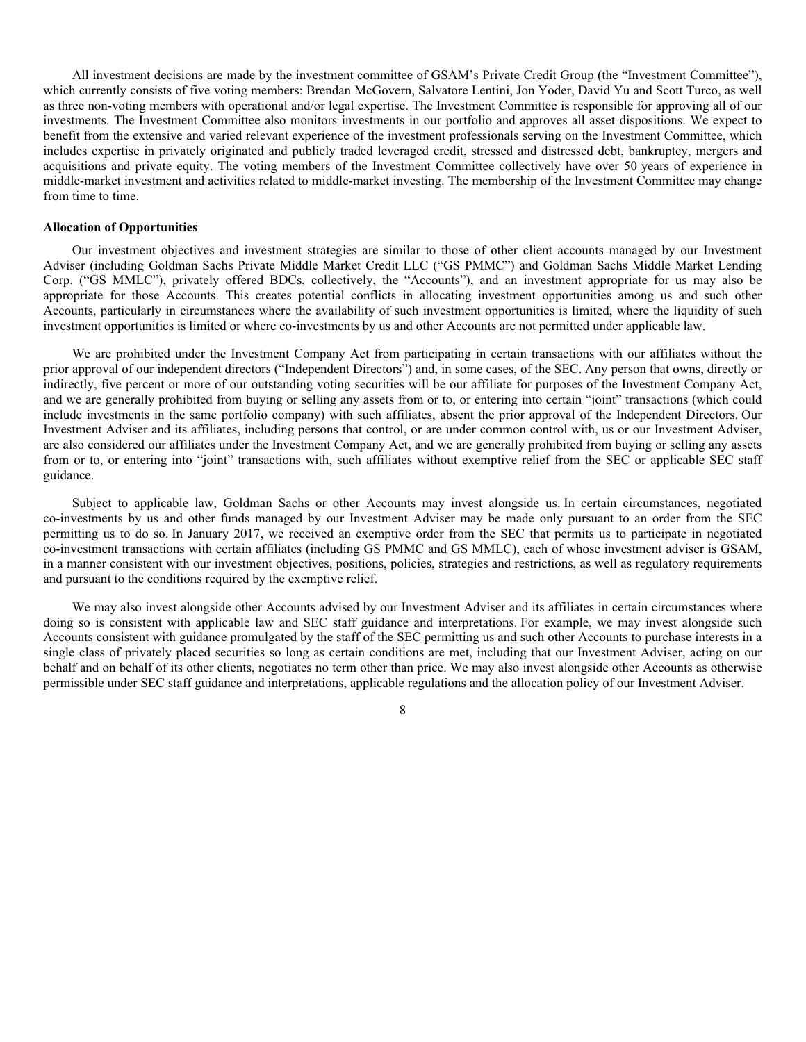All investment decisions are made by the investment committee of GSAM's Private Credit Group (the "Investment Committee"), which currently consists of five voting members: Brendan McGovern, Salvatore Lentini, Jon Yoder, David Yu and Scott Turco, as well as three non-voting members with operational and/or legal expertise. The Investment Committee is responsible for approving all of our investments. The Investment Committee also monitors investments in our portfolio and approves all asset dispositions. We expect to benefit from the extensive and varied relevant experience of the investment professionals serving on the Investment Committee, which includes expertise in privately originated and publicly traded leveraged credit, stressed and distressed debt, bankruptcy, mergers and acquisitions and private equity. The voting members of the Investment Committee collectively have over 50 years of experience in middle-market investment and activities related to middle-market investing. The membership of the Investment Committee may change from time to time.

#### **Allocation of Opportunities**

Our investment objectives and investment strategies are similar to those of other client accounts managed by our Investment Adviser (including Goldman Sachs Private Middle Market Credit LLC ("GS PMMC") and Goldman Sachs Middle Market Lending Corp. ("GS MMLC"), privately offered BDCs, collectively, the "Accounts"), and an investment appropriate for us may also be appropriate for those Accounts. This creates potential conflicts in allocating investment opportunities among us and such other Accounts, particularly in circumstances where the availability of such investment opportunities is limited, where the liquidity of such investment opportunities is limited or where co-investments by us and other Accounts are not permitted under applicable law.

We are prohibited under the Investment Company Act from participating in certain transactions with our affiliates without the prior approval of our independent directors ("Independent Directors") and, in some cases, of the SEC. Any person that owns, directly or indirectly, five percent or more of our outstanding voting securities will be our affiliate for purposes of the Investment Company Act, and we are generally prohibited from buying or selling any assets from or to, or entering into certain "joint" transactions (which could include investments in the same portfolio company) with such affiliates, absent the prior approval of the Independent Directors. Our Investment Adviser and its affiliates, including persons that control, or are under common control with, us or our Investment Adviser, are also considered our affiliates under the Investment Company Act, and we are generally prohibited from buying or selling any assets from or to, or entering into "joint" transactions with, such affiliates without exemptive relief from the SEC or applicable SEC staff guidance.

Subject to applicable law, Goldman Sachs or other Accounts may invest alongside us. In certain circumstances, negotiated co-investments by us and other funds managed by our Investment Adviser may be made only pursuant to an order from the SEC permitting us to do so. In January 2017, we received an exemptive order from the SEC that permits us to participate in negotiated co-investment transactions with certain affiliates (including GS PMMC and GS MMLC), each of whose investment adviser is GSAM, in a manner consistent with our investment objectives, positions, policies, strategies and restrictions, as well as regulatory requirements and pursuant to the conditions required by the exemptive relief.

We may also invest alongside other Accounts advised by our Investment Adviser and its affiliates in certain circumstances where doing so is consistent with applicable law and SEC staff guidance and interpretations. For example, we may invest alongside such Accounts consistent with guidance promulgated by the staff of the SEC permitting us and such other Accounts to purchase interests in a single class of privately placed securities so long as certain conditions are met, including that our Investment Adviser, acting on our behalf and on behalf of its other clients, negotiates no term other than price. We may also invest alongside other Accounts as otherwise permissible under SEC staff guidance and interpretations, applicable regulations and the allocation policy of our Investment Adviser.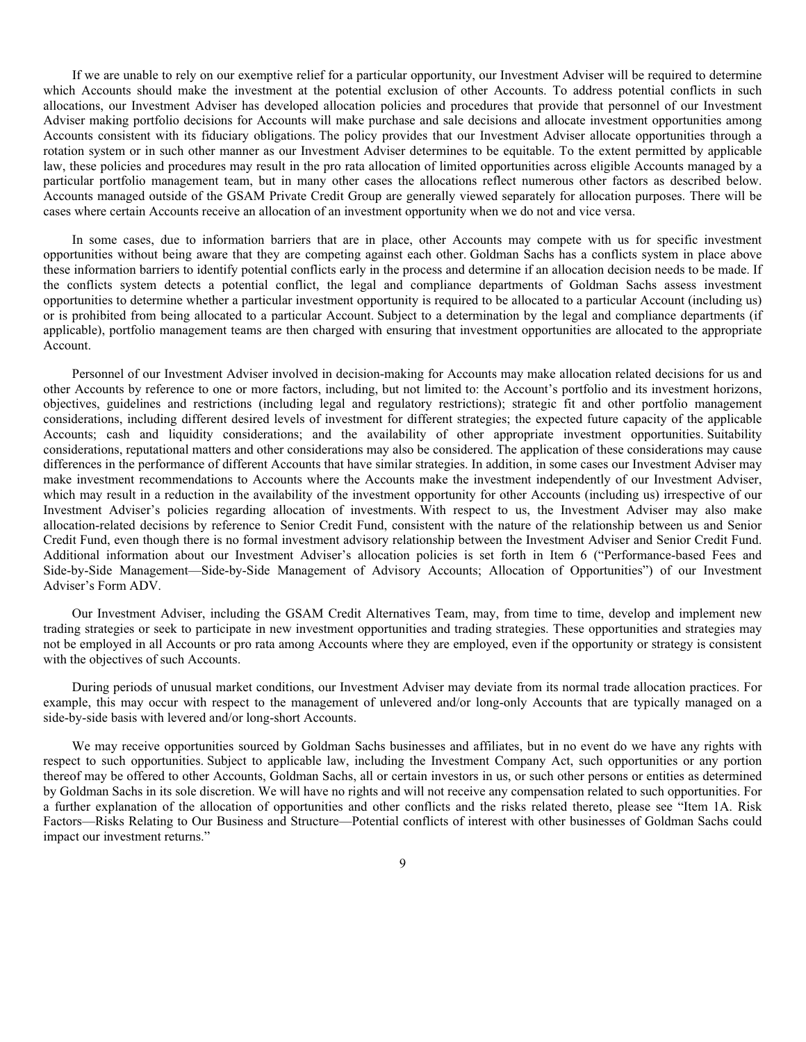If we are unable to rely on our exemptive relief for a particular opportunity, our Investment Adviser will be required to determine which Accounts should make the investment at the potential exclusion of other Accounts. To address potential conflicts in such allocations, our Investment Adviser has developed allocation policies and procedures that provide that personnel of our Investment Adviser making portfolio decisions for Accounts will make purchase and sale decisions and allocate investment opportunities among Accounts consistent with its fiduciary obligations. The policy provides that our Investment Adviser allocate opportunities through a rotation system or in such other manner as our Investment Adviser determines to be equitable. To the extent permitted by applicable law, these policies and procedures may result in the pro rata allocation of limited opportunities across eligible Accounts managed by a particular portfolio management team, but in many other cases the allocations reflect numerous other factors as described below. Accounts managed outside of the GSAM Private Credit Group are generally viewed separately for allocation purposes. There will be cases where certain Accounts receive an allocation of an investment opportunity when we do not and vice versa.

In some cases, due to information barriers that are in place, other Accounts may compete with us for specific investment opportunities without being aware that they are competing against each other. Goldman Sachs has a conflicts system in place above these information barriers to identify potential conflicts early in the process and determine if an allocation decision needs to be made. If the conflicts system detects a potential conflict, the legal and compliance departments of Goldman Sachs assess investment opportunities to determine whether a particular investment opportunity is required to be allocated to a particular Account (including us) or is prohibited from being allocated to a particular Account. Subject to a determination by the legal and compliance departments (if applicable), portfolio management teams are then charged with ensuring that investment opportunities are allocated to the appropriate Account.

Personnel of our Investment Adviser involved in decision-making for Accounts may make allocation related decisions for us and other Accounts by reference to one or more factors, including, but not limited to: the Account's portfolio and its investment horizons, objectives, guidelines and restrictions (including legal and regulatory restrictions); strategic fit and other portfolio management considerations, including different desired levels of investment for different strategies; the expected future capacity of the applicable Accounts; cash and liquidity considerations; and the availability of other appropriate investment opportunities. Suitability considerations, reputational matters and other considerations may also be considered. The application of these considerations may cause differences in the performance of different Accounts that have similar strategies. In addition, in some cases our Investment Adviser may make investment recommendations to Accounts where the Accounts make the investment independently of our Investment Adviser, which may result in a reduction in the availability of the investment opportunity for other Accounts (including us) irrespective of our Investment Adviser's policies regarding allocation of investments. With respect to us, the Investment Adviser may also make allocation-related decisions by reference to Senior Credit Fund, consistent with the nature of the relationship between us and Senior Credit Fund, even though there is no formal investment advisory relationship between the Investment Adviser and Senior Credit Fund. Additional information about our Investment Adviser's allocation policies is set forth in Item 6 ("Performance-based Fees and Side-by-Side Management—Side-by-Side Management of Advisory Accounts; Allocation of Opportunities") of our Investment Adviser's Form ADV.

Our Investment Adviser, including the GSAM Credit Alternatives Team, may, from time to time, develop and implement new trading strategies or seek to participate in new investment opportunities and trading strategies. These opportunities and strategies may not be employed in all Accounts or pro rata among Accounts where they are employed, even if the opportunity or strategy is consistent with the objectives of such Accounts.

During periods of unusual market conditions, our Investment Adviser may deviate from its normal trade allocation practices. For example, this may occur with respect to the management of unlevered and/or long-only Accounts that are typically managed on a side-by-side basis with levered and/or long-short Accounts.

We may receive opportunities sourced by Goldman Sachs businesses and affiliates, but in no event do we have any rights with respect to such opportunities. Subject to applicable law, including the Investment Company Act, such opportunities or any portion thereof may be offered to other Accounts, Goldman Sachs, all or certain investors in us, or such other persons or entities as determined by Goldman Sachs in its sole discretion. We will have no rights and will not receive any compensation related to such opportunities. For a further explanation of the allocation of opportunities and other conflicts and the risks related thereto, please see "Item 1A. Risk Factors—Risks Relating to Our Business and Structure—Potential conflicts of interest with other businesses of Goldman Sachs could impact our investment returns."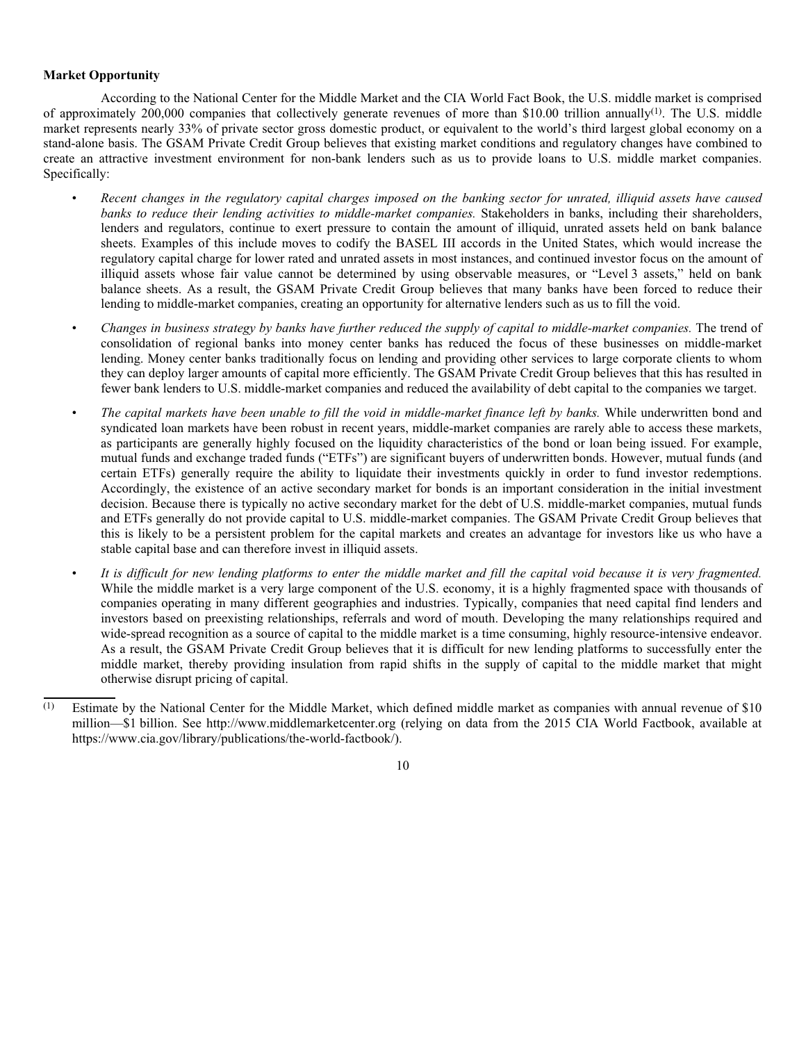# **Market Opportunity**

According to the National Center for the Middle Market and the CIA World Fact Book, the U.S. middle market is comprised of approximately 200,000 companies that collectively generate revenues of more than \$10.00 trillion annually(1). The U.S. middle market represents nearly 33% of private sector gross domestic product, or equivalent to the world's third largest global economy on a stand-alone basis. The GSAM Private Credit Group believes that existing market conditions and regulatory changes have combined to create an attractive investment environment for non-bank lenders such as us to provide loans to U.S. middle market companies. Specifically:

- *Recent changes in the regulatory capital charges imposed on the banking sector for unrated, illiquid assets have caused banks to reduce their lending activities to middle-market companies.* Stakeholders in banks, including their shareholders, lenders and regulators, continue to exert pressure to contain the amount of illiquid, unrated assets held on bank balance sheets. Examples of this include moves to codify the BASEL III accords in the United States, which would increase the regulatory capital charge for lower rated and unrated assets in most instances, and continued investor focus on the amount of illiquid assets whose fair value cannot be determined by using observable measures, or "Level 3 assets," held on bank balance sheets. As a result, the GSAM Private Credit Group believes that many banks have been forced to reduce their lending to middle-market companies, creating an opportunity for alternative lenders such as us to fill the void.
- *Changes in business strategy by banks have further reduced the supply of capital to middle-market companies.* The trend of consolidation of regional banks into money center banks has reduced the focus of these businesses on middle-market lending. Money center banks traditionally focus on lending and providing other services to large corporate clients to whom they can deploy larger amounts of capital more efficiently. The GSAM Private Credit Group believes that this has resulted in fewer bank lenders to U.S. middle-market companies and reduced the availability of debt capital to the companies we target.
- *The capital markets have been unable to fill the void in middle-market finance left by banks.* While underwritten bond and syndicated loan markets have been robust in recent years, middle-market companies are rarely able to access these markets, as participants are generally highly focused on the liquidity characteristics of the bond or loan being issued. For example, mutual funds and exchange traded funds ("ETFs") are significant buyers of underwritten bonds. However, mutual funds (and certain ETFs) generally require the ability to liquidate their investments quickly in order to fund investor redemptions. Accordingly, the existence of an active secondary market for bonds is an important consideration in the initial investment decision. Because there is typically no active secondary market for the debt of U.S. middle-market companies, mutual funds and ETFs generally do not provide capital to U.S. middle-market companies. The GSAM Private Credit Group believes that this is likely to be a persistent problem for the capital markets and creates an advantage for investors like us who have a stable capital base and can therefore invest in illiquid assets.
- *It is difficult for new lending platforms to enter the middle market and fill the capital void because it is very fragmented.* While the middle market is a very large component of the U.S. economy, it is a highly fragmented space with thousands of companies operating in many different geographies and industries. Typically, companies that need capital find lenders and investors based on preexisting relationships, referrals and word of mouth. Developing the many relationships required and wide-spread recognition as a source of capital to the middle market is a time consuming, highly resource-intensive endeavor. As a result, the GSAM Private Credit Group believes that it is difficult for new lending platforms to successfully enter the middle market, thereby providing insulation from rapid shifts in the supply of capital to the middle market that might otherwise disrupt pricing of capital.

<sup>(1)</sup> Estimate by the National Center for the Middle Market, which defined middle market as companies with annual revenue of \$10 million—\$1 billion. See http://www.middlemarketcenter.org (relying on data from the 2015 CIA World Factbook, available at https://www.cia.gov/library/publications/the-world-factbook/).

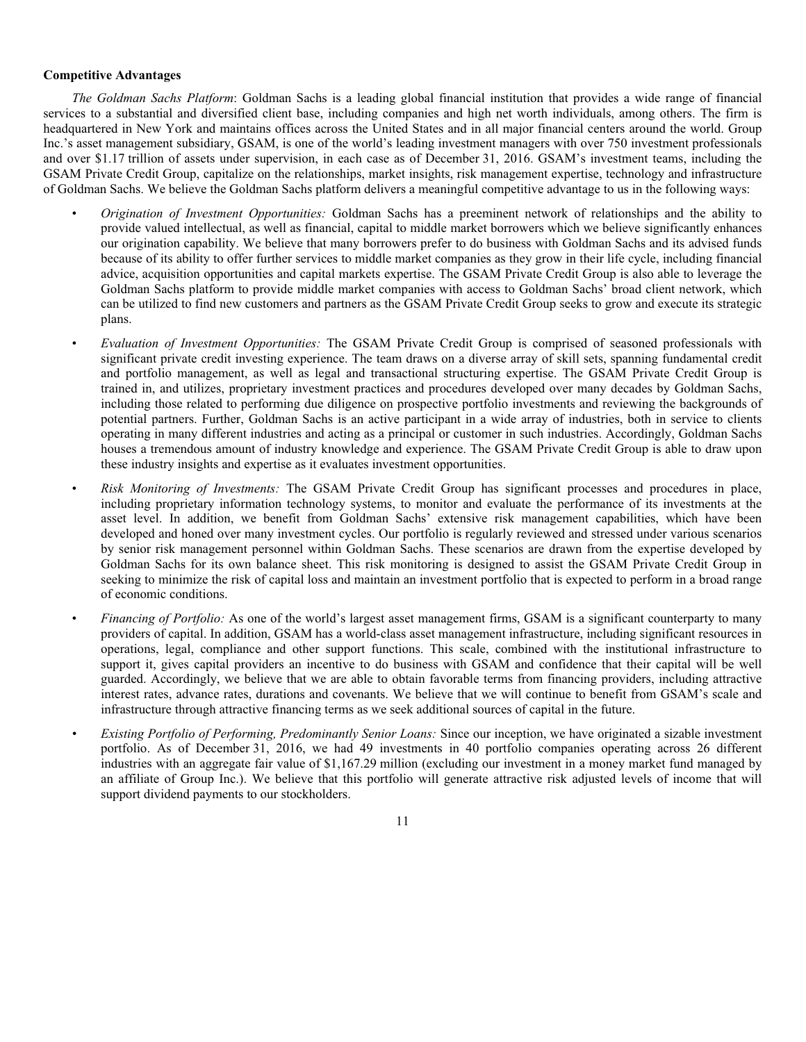# **Competitive Advantages**

*The Goldman Sachs Platform*: Goldman Sachs is a leading global financial institution that provides a wide range of financial services to a substantial and diversified client base, including companies and high net worth individuals, among others. The firm is headquartered in New York and maintains offices across the United States and in all major financial centers around the world. Group Inc.'s asset management subsidiary, GSAM, is one of the world's leading investment managers with over 750 investment professionals and over \$1.17 trillion of assets under supervision, in each case as of December 31, 2016. GSAM's investment teams, including the GSAM Private Credit Group, capitalize on the relationships, market insights, risk management expertise, technology and infrastructure of Goldman Sachs. We believe the Goldman Sachs platform delivers a meaningful competitive advantage to us in the following ways:

- *Origination of Investment Opportunities:* Goldman Sachs has a preeminent network of relationships and the ability to provide valued intellectual, as well as financial, capital to middle market borrowers which we believe significantly enhances our origination capability. We believe that many borrowers prefer to do business with Goldman Sachs and its advised funds because of its ability to offer further services to middle market companies as they grow in their life cycle, including financial advice, acquisition opportunities and capital markets expertise. The GSAM Private Credit Group is also able to leverage the Goldman Sachs platform to provide middle market companies with access to Goldman Sachs' broad client network, which can be utilized to find new customers and partners as the GSAM Private Credit Group seeks to grow and execute its strategic plans.
- *Evaluation of Investment Opportunities:* The GSAM Private Credit Group is comprised of seasoned professionals with significant private credit investing experience. The team draws on a diverse array of skill sets, spanning fundamental credit and portfolio management, as well as legal and transactional structuring expertise. The GSAM Private Credit Group is trained in, and utilizes, proprietary investment practices and procedures developed over many decades by Goldman Sachs, including those related to performing due diligence on prospective portfolio investments and reviewing the backgrounds of potential partners. Further, Goldman Sachs is an active participant in a wide array of industries, both in service to clients operating in many different industries and acting as a principal or customer in such industries. Accordingly, Goldman Sachs houses a tremendous amount of industry knowledge and experience. The GSAM Private Credit Group is able to draw upon these industry insights and expertise as it evaluates investment opportunities.
- *Risk Monitoring of Investments:* The GSAM Private Credit Group has significant processes and procedures in place, including proprietary information technology systems, to monitor and evaluate the performance of its investments at the asset level. In addition, we benefit from Goldman Sachs' extensive risk management capabilities, which have been developed and honed over many investment cycles. Our portfolio is regularly reviewed and stressed under various scenarios by senior risk management personnel within Goldman Sachs. These scenarios are drawn from the expertise developed by Goldman Sachs for its own balance sheet. This risk monitoring is designed to assist the GSAM Private Credit Group in seeking to minimize the risk of capital loss and maintain an investment portfolio that is expected to perform in a broad range of economic conditions.
- *Financing of Portfolio:* As one of the world's largest asset management firms, GSAM is a significant counterparty to many providers of capital. In addition, GSAM has a world-class asset management infrastructure, including significant resources in operations, legal, compliance and other support functions. This scale, combined with the institutional infrastructure to support it, gives capital providers an incentive to do business with GSAM and confidence that their capital will be well guarded. Accordingly, we believe that we are able to obtain favorable terms from financing providers, including attractive interest rates, advance rates, durations and covenants. We believe that we will continue to benefit from GSAM's scale and infrastructure through attractive financing terms as we seek additional sources of capital in the future.
- *Existing Portfolio of Performing, Predominantly Senior Loans:* Since our inception, we have originated a sizable investment portfolio. As of December 31, 2016, we had 49 investments in 40 portfolio companies operating across 26 different industries with an aggregate fair value of \$1,167.29 million (excluding our investment in a money market fund managed by an affiliate of Group Inc.). We believe that this portfolio will generate attractive risk adjusted levels of income that will support dividend payments to our stockholders.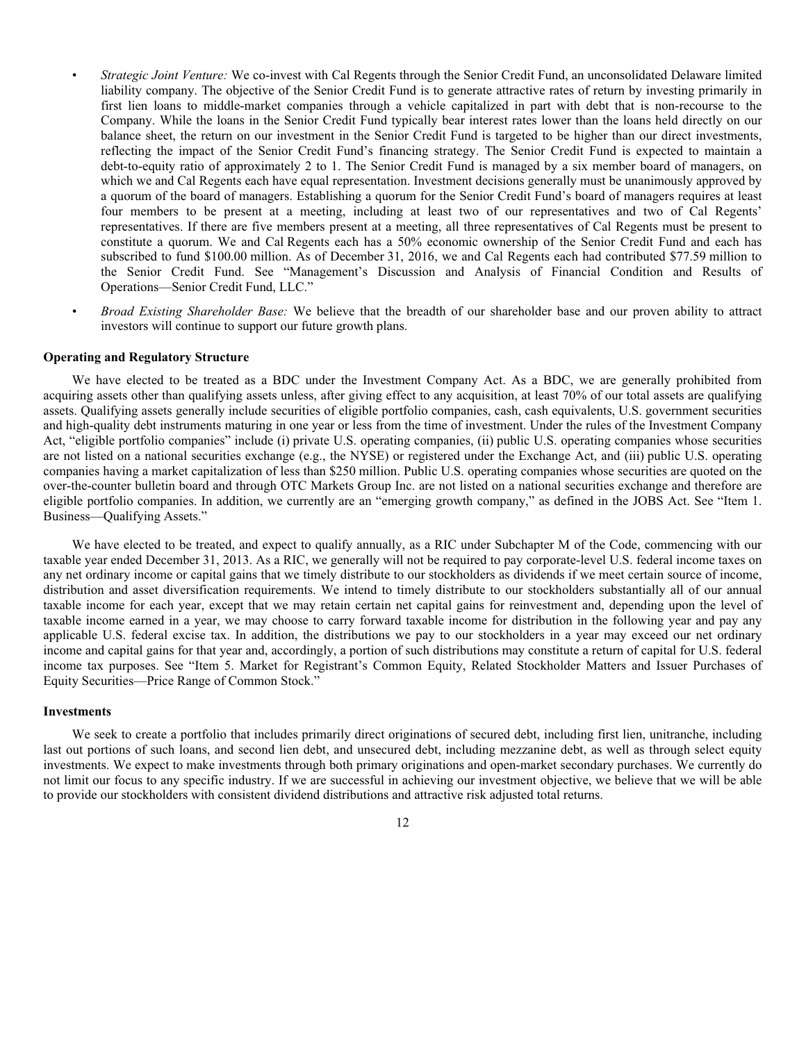- *Strategic Joint Venture:* We co-invest with Cal Regents through the Senior Credit Fund, an unconsolidated Delaware limited liability company. The objective of the Senior Credit Fund is to generate attractive rates of return by investing primarily in first lien loans to middle-market companies through a vehicle capitalized in part with debt that is non-recourse to the Company. While the loans in the Senior Credit Fund typically bear interest rates lower than the loans held directly on our balance sheet, the return on our investment in the Senior Credit Fund is targeted to be higher than our direct investments, reflecting the impact of the Senior Credit Fund's financing strategy. The Senior Credit Fund is expected to maintain a debt-to-equity ratio of approximately 2 to 1. The Senior Credit Fund is managed by a six member board of managers, on which we and Cal Regents each have equal representation. Investment decisions generally must be unanimously approved by a quorum of the board of managers. Establishing a quorum for the Senior Credit Fund's board of managers requires at least four members to be present at a meeting, including at least two of our representatives and two of Cal Regents' representatives. If there are five members present at a meeting, all three representatives of Cal Regents must be present to constitute a quorum. We and Cal Regents each has a 50% economic ownership of the Senior Credit Fund and each has subscribed to fund \$100.00 million. As of December 31, 2016, we and Cal Regents each had contributed \$77.59 million to the Senior Credit Fund. See "Management's Discussion and Analysis of Financial Condition and Results of Operations—Senior Credit Fund, LLC."
- *Broad Existing Shareholder Base:* We believe that the breadth of our shareholder base and our proven ability to attract investors will continue to support our future growth plans.

#### **Operating and Regulatory Structure**

We have elected to be treated as a BDC under the Investment Company Act. As a BDC, we are generally prohibited from acquiring assets other than qualifying assets unless, after giving effect to any acquisition, at least 70% of our total assets are qualifying assets. Qualifying assets generally include securities of eligible portfolio companies, cash, cash equivalents, U.S. government securities and high-quality debt instruments maturing in one year or less from the time of investment. Under the rules of the Investment Company Act, "eligible portfolio companies" include (i) private U.S. operating companies, (ii) public U.S. operating companies whose securities are not listed on a national securities exchange (e.g., the NYSE) or registered under the Exchange Act, and (iii) public U.S. operating companies having a market capitalization of less than \$250 million. Public U.S. operating companies whose securities are quoted on the over-the-counter bulletin board and through OTC Markets Group Inc. are not listed on a national securities exchange and therefore are eligible portfolio companies. In addition, we currently are an "emerging growth company," as defined in the JOBS Act. See "Item 1. Business—Qualifying Assets."

We have elected to be treated, and expect to qualify annually, as a RIC under Subchapter M of the Code, commencing with our taxable year ended December 31, 2013. As a RIC, we generally will not be required to pay corporate-level U.S. federal income taxes on any net ordinary income or capital gains that we timely distribute to our stockholders as dividends if we meet certain source of income, distribution and asset diversification requirements. We intend to timely distribute to our stockholders substantially all of our annual taxable income for each year, except that we may retain certain net capital gains for reinvestment and, depending upon the level of taxable income earned in a year, we may choose to carry forward taxable income for distribution in the following year and pay any applicable U.S. federal excise tax. In addition, the distributions we pay to our stockholders in a year may exceed our net ordinary income and capital gains for that year and, accordingly, a portion of such distributions may constitute a return of capital for U.S. federal income tax purposes. See "Item 5. Market for Registrant's Common Equity, Related Stockholder Matters and Issuer Purchases of Equity Securities—Price Range of Common Stock."

#### **Investments**

We seek to create a portfolio that includes primarily direct originations of secured debt, including first lien, unitranche, including last out portions of such loans, and second lien debt, and unsecured debt, including mezzanine debt, as well as through select equity investments. We expect to make investments through both primary originations and open-market secondary purchases. We currently do not limit our focus to any specific industry. If we are successful in achieving our investment objective, we believe that we will be able to provide our stockholders with consistent dividend distributions and attractive risk adjusted total returns.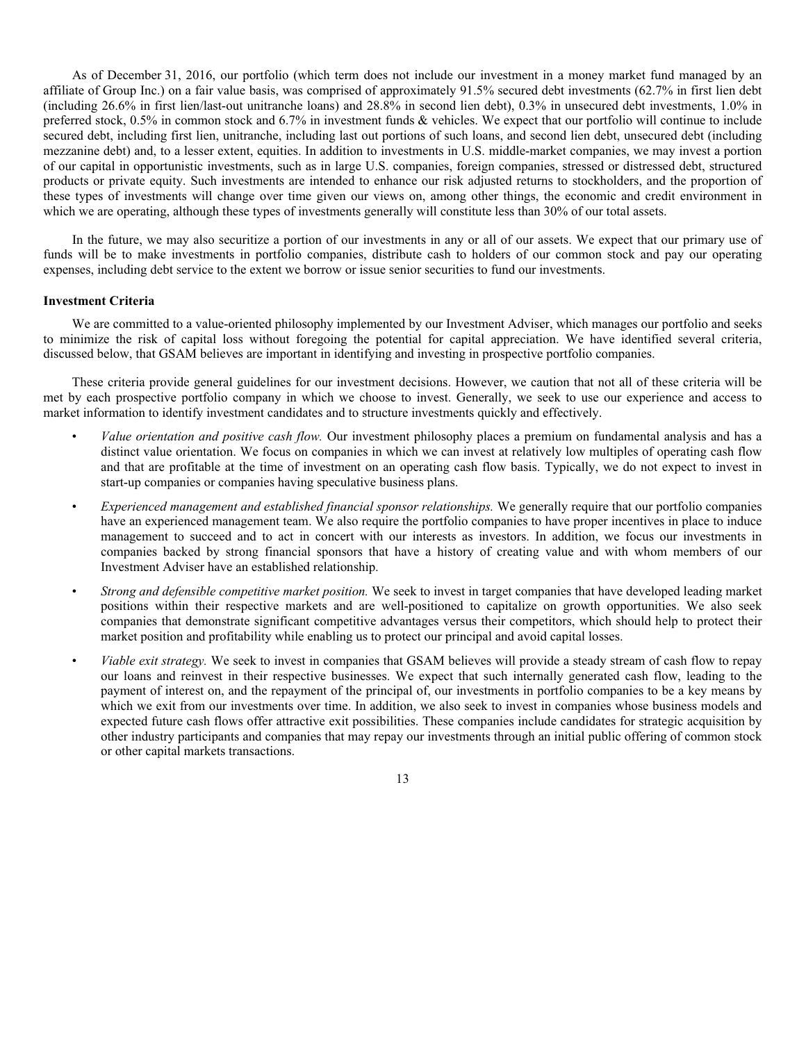As of December 31, 2016, our portfolio (which term does not include our investment in a money market fund managed by an affiliate of Group Inc.) on a fair value basis, was comprised of approximately 91.5% secured debt investments (62.7% in first lien debt (including 26.6% in first lien/last-out unitranche loans) and 28.8% in second lien debt), 0.3% in unsecured debt investments, 1.0% in preferred stock, 0.5% in common stock and 6.7% in investment funds & vehicles. We expect that our portfolio will continue to include secured debt, including first lien, unitranche, including last out portions of such loans, and second lien debt, unsecured debt (including mezzanine debt) and, to a lesser extent, equities. In addition to investments in U.S. middle-market companies, we may invest a portion of our capital in opportunistic investments, such as in large U.S. companies, foreign companies, stressed or distressed debt, structured products or private equity. Such investments are intended to enhance our risk adjusted returns to stockholders, and the proportion of these types of investments will change over time given our views on, among other things, the economic and credit environment in which we are operating, although these types of investments generally will constitute less than 30% of our total assets.

In the future, we may also securitize a portion of our investments in any or all of our assets. We expect that our primary use of funds will be to make investments in portfolio companies, distribute cash to holders of our common stock and pay our operating expenses, including debt service to the extent we borrow or issue senior securities to fund our investments.

#### **Investment Criteria**

We are committed to a value-oriented philosophy implemented by our Investment Adviser, which manages our portfolio and seeks to minimize the risk of capital loss without foregoing the potential for capital appreciation. We have identified several criteria, discussed below, that GSAM believes are important in identifying and investing in prospective portfolio companies.

These criteria provide general guidelines for our investment decisions. However, we caution that not all of these criteria will be met by each prospective portfolio company in which we choose to invest. Generally, we seek to use our experience and access to market information to identify investment candidates and to structure investments quickly and effectively.

- *Value orientation and positive cash flow.* Our investment philosophy places a premium on fundamental analysis and has a distinct value orientation. We focus on companies in which we can invest at relatively low multiples of operating cash flow and that are profitable at the time of investment on an operating cash flow basis. Typically, we do not expect to invest in start-up companies or companies having speculative business plans.
- *Experienced management and established financial sponsor relationships.* We generally require that our portfolio companies have an experienced management team. We also require the portfolio companies to have proper incentives in place to induce management to succeed and to act in concert with our interests as investors. In addition, we focus our investments in companies backed by strong financial sponsors that have a history of creating value and with whom members of our Investment Adviser have an established relationship.
- *Strong and defensible competitive market position.* We seek to invest in target companies that have developed leading market positions within their respective markets and are well-positioned to capitalize on growth opportunities. We also seek companies that demonstrate significant competitive advantages versus their competitors, which should help to protect their market position and profitability while enabling us to protect our principal and avoid capital losses.
- *Viable exit strategy.* We seek to invest in companies that GSAM believes will provide a steady stream of cash flow to repay our loans and reinvest in their respective businesses. We expect that such internally generated cash flow, leading to the payment of interest on, and the repayment of the principal of, our investments in portfolio companies to be a key means by which we exit from our investments over time. In addition, we also seek to invest in companies whose business models and expected future cash flows offer attractive exit possibilities. These companies include candidates for strategic acquisition by other industry participants and companies that may repay our investments through an initial public offering of common stock or other capital markets transactions.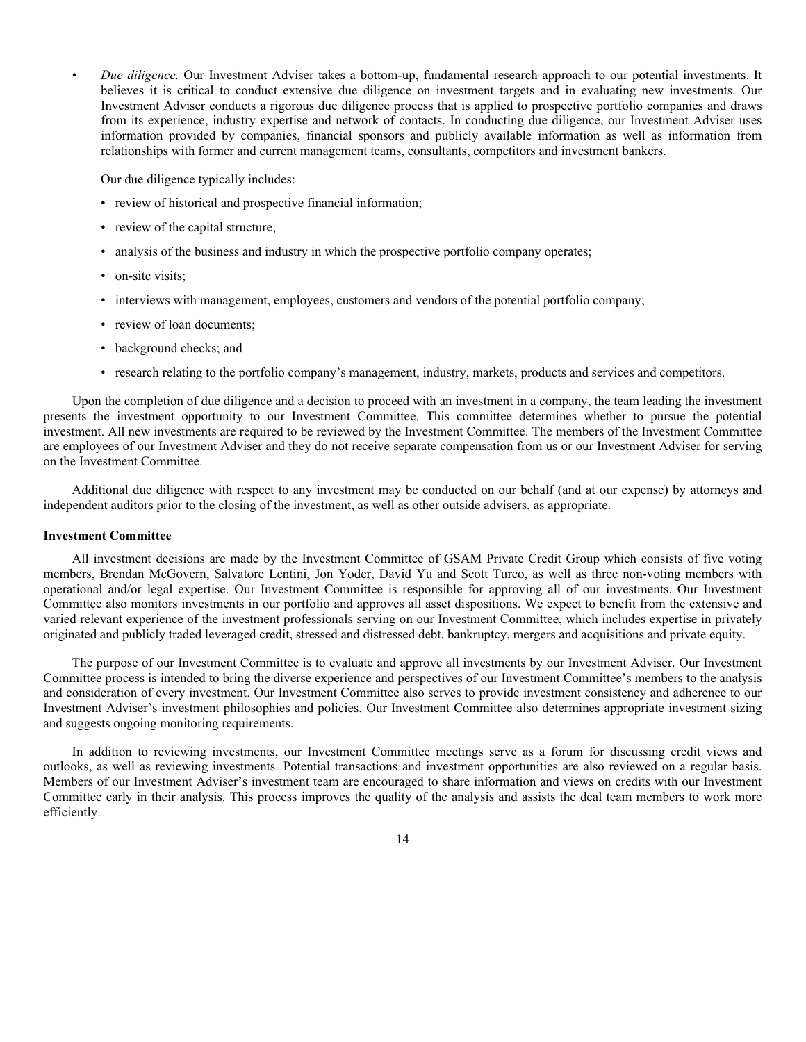• *Due diligence.* Our Investment Adviser takes a bottom-up, fundamental research approach to our potential investments. It believes it is critical to conduct extensive due diligence on investment targets and in evaluating new investments. Our Investment Adviser conducts a rigorous due diligence process that is applied to prospective portfolio companies and draws from its experience, industry expertise and network of contacts. In conducting due diligence, our Investment Adviser uses information provided by companies, financial sponsors and publicly available information as well as information from relationships with former and current management teams, consultants, competitors and investment bankers.

Our due diligence typically includes:

- review of historical and prospective financial information;
- review of the capital structure;
- analysis of the business and industry in which the prospective portfolio company operates;
- on-site visits;
- interviews with management, employees, customers and vendors of the potential portfolio company;
- review of loan documents;
- background checks; and
- research relating to the portfolio company's management, industry, markets, products and services and competitors.

Upon the completion of due diligence and a decision to proceed with an investment in a company, the team leading the investment presents the investment opportunity to our Investment Committee. This committee determines whether to pursue the potential investment. All new investments are required to be reviewed by the Investment Committee. The members of the Investment Committee are employees of our Investment Adviser and they do not receive separate compensation from us or our Investment Adviser for serving on the Investment Committee.

Additional due diligence with respect to any investment may be conducted on our behalf (and at our expense) by attorneys and independent auditors prior to the closing of the investment, as well as other outside advisers, as appropriate.

# **Investment Committee**

All investment decisions are made by the Investment Committee of GSAM Private Credit Group which consists of five voting members, Brendan McGovern, Salvatore Lentini, Jon Yoder, David Yu and Scott Turco, as well as three non-voting members with operational and/or legal expertise. Our Investment Committee is responsible for approving all of our investments. Our Investment Committee also monitors investments in our portfolio and approves all asset dispositions. We expect to benefit from the extensive and varied relevant experience of the investment professionals serving on our Investment Committee, which includes expertise in privately originated and publicly traded leveraged credit, stressed and distressed debt, bankruptcy, mergers and acquisitions and private equity.

The purpose of our Investment Committee is to evaluate and approve all investments by our Investment Adviser. Our Investment Committee process is intended to bring the diverse experience and perspectives of our Investment Committee's members to the analysis and consideration of every investment. Our Investment Committee also serves to provide investment consistency and adherence to our Investment Adviser's investment philosophies and policies. Our Investment Committee also determines appropriate investment sizing and suggests ongoing monitoring requirements.

In addition to reviewing investments, our Investment Committee meetings serve as a forum for discussing credit views and outlooks, as well as reviewing investments. Potential transactions and investment opportunities are also reviewed on a regular basis. Members of our Investment Adviser's investment team are encouraged to share information and views on credits with our Investment Committee early in their analysis. This process improves the quality of the analysis and assists the deal team members to work more efficiently.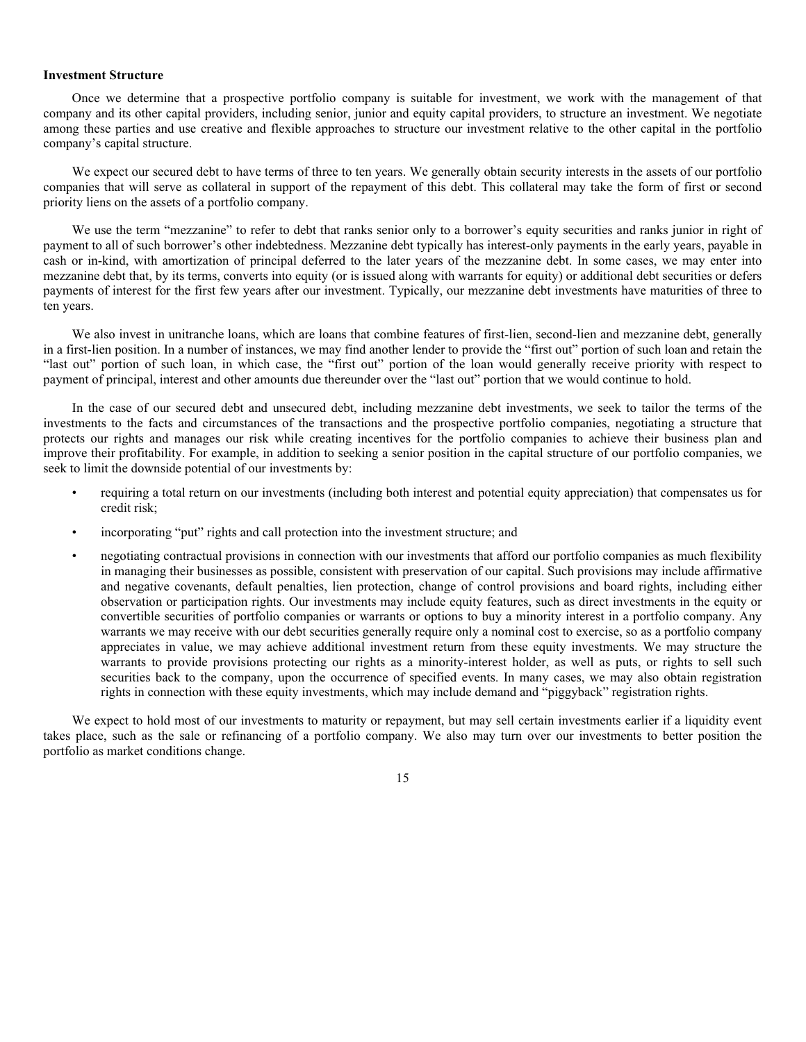#### **Investment Structure**

Once we determine that a prospective portfolio company is suitable for investment, we work with the management of that company and its other capital providers, including senior, junior and equity capital providers, to structure an investment. We negotiate among these parties and use creative and flexible approaches to structure our investment relative to the other capital in the portfolio company's capital structure.

We expect our secured debt to have terms of three to ten years. We generally obtain security interests in the assets of our portfolio companies that will serve as collateral in support of the repayment of this debt. This collateral may take the form of first or second priority liens on the assets of a portfolio company.

We use the term "mezzanine" to refer to debt that ranks senior only to a borrower's equity securities and ranks junior in right of payment to all of such borrower's other indebtedness. Mezzanine debt typically has interest-only payments in the early years, payable in cash or in-kind, with amortization of principal deferred to the later years of the mezzanine debt. In some cases, we may enter into mezzanine debt that, by its terms, converts into equity (or is issued along with warrants for equity) or additional debt securities or defers payments of interest for the first few years after our investment. Typically, our mezzanine debt investments have maturities of three to ten years.

We also invest in unitranche loans, which are loans that combine features of first-lien, second-lien and mezzanine debt, generally in a first-lien position. In a number of instances, we may find another lender to provide the "first out" portion of such loan and retain the "last out" portion of such loan, in which case, the "first out" portion of the loan would generally receive priority with respect to payment of principal, interest and other amounts due thereunder over the "last out" portion that we would continue to hold.

In the case of our secured debt and unsecured debt, including mezzanine debt investments, we seek to tailor the terms of the investments to the facts and circumstances of the transactions and the prospective portfolio companies, negotiating a structure that protects our rights and manages our risk while creating incentives for the portfolio companies to achieve their business plan and improve their profitability. For example, in addition to seeking a senior position in the capital structure of our portfolio companies, we seek to limit the downside potential of our investments by:

- requiring a total return on our investments (including both interest and potential equity appreciation) that compensates us for credit risk;
- incorporating "put" rights and call protection into the investment structure; and
- negotiating contractual provisions in connection with our investments that afford our portfolio companies as much flexibility in managing their businesses as possible, consistent with preservation of our capital. Such provisions may include affirmative and negative covenants, default penalties, lien protection, change of control provisions and board rights, including either observation or participation rights. Our investments may include equity features, such as direct investments in the equity or convertible securities of portfolio companies or warrants or options to buy a minority interest in a portfolio company. Any warrants we may receive with our debt securities generally require only a nominal cost to exercise, so as a portfolio company appreciates in value, we may achieve additional investment return from these equity investments. We may structure the warrants to provide provisions protecting our rights as a minority-interest holder, as well as puts, or rights to sell such securities back to the company, upon the occurrence of specified events. In many cases, we may also obtain registration rights in connection with these equity investments, which may include demand and "piggyback" registration rights.

We expect to hold most of our investments to maturity or repayment, but may sell certain investments earlier if a liquidity event takes place, such as the sale or refinancing of a portfolio company. We also may turn over our investments to better position the portfolio as market conditions change.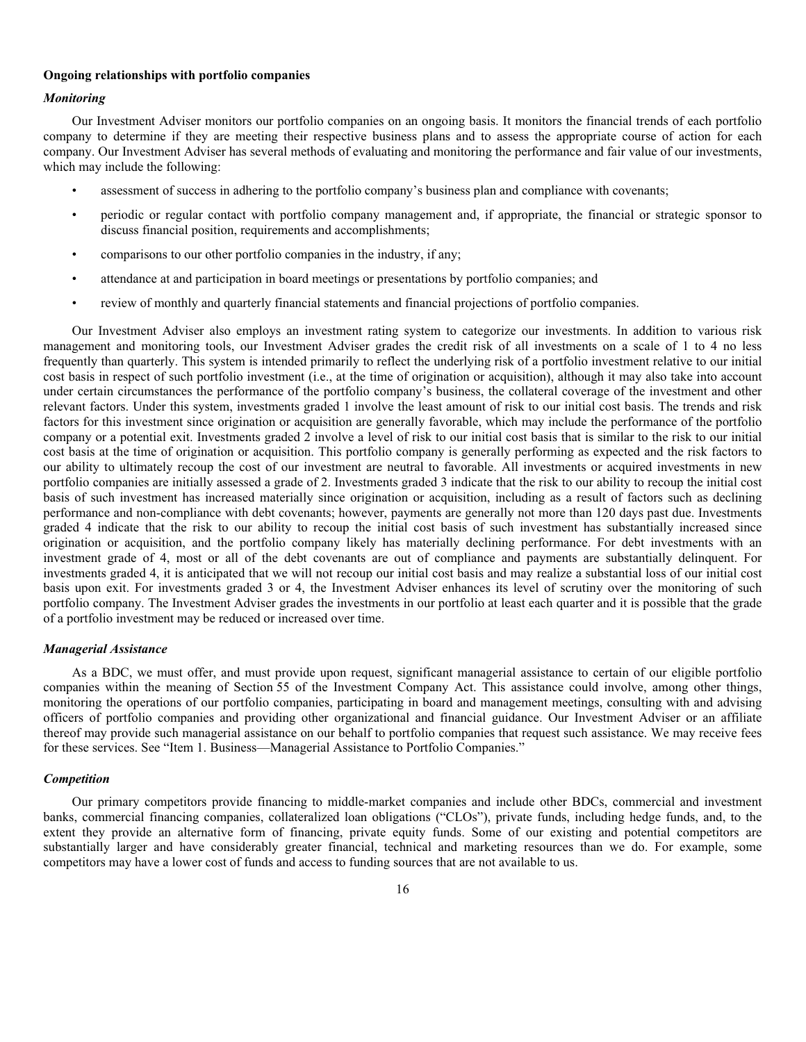#### **Ongoing relationships with portfolio companies**

#### *Monitoring*

Our Investment Adviser monitors our portfolio companies on an ongoing basis. It monitors the financial trends of each portfolio company to determine if they are meeting their respective business plans and to assess the appropriate course of action for each company. Our Investment Adviser has several methods of evaluating and monitoring the performance and fair value of our investments, which may include the following:

- assessment of success in adhering to the portfolio company's business plan and compliance with covenants;
- periodic or regular contact with portfolio company management and, if appropriate, the financial or strategic sponsor to discuss financial position, requirements and accomplishments;
- comparisons to our other portfolio companies in the industry, if any;
- attendance at and participation in board meetings or presentations by portfolio companies; and
- review of monthly and quarterly financial statements and financial projections of portfolio companies.

Our Investment Adviser also employs an investment rating system to categorize our investments. In addition to various risk management and monitoring tools, our Investment Adviser grades the credit risk of all investments on a scale of 1 to 4 no less frequently than quarterly. This system is intended primarily to reflect the underlying risk of a portfolio investment relative to our initial cost basis in respect of such portfolio investment (i.e., at the time of origination or acquisition), although it may also take into account under certain circumstances the performance of the portfolio company's business, the collateral coverage of the investment and other relevant factors. Under this system, investments graded 1 involve the least amount of risk to our initial cost basis. The trends and risk factors for this investment since origination or acquisition are generally favorable, which may include the performance of the portfolio company or a potential exit. Investments graded 2 involve a level of risk to our initial cost basis that is similar to the risk to our initial cost basis at the time of origination or acquisition. This portfolio company is generally performing as expected and the risk factors to our ability to ultimately recoup the cost of our investment are neutral to favorable. All investments or acquired investments in new portfolio companies are initially assessed a grade of 2. Investments graded 3 indicate that the risk to our ability to recoup the initial cost basis of such investment has increased materially since origination or acquisition, including as a result of factors such as declining performance and non-compliance with debt covenants; however, payments are generally not more than 120 days past due. Investments graded 4 indicate that the risk to our ability to recoup the initial cost basis of such investment has substantially increased since origination or acquisition, and the portfolio company likely has materially declining performance. For debt investments with an investment grade of 4, most or all of the debt covenants are out of compliance and payments are substantially delinquent. For investments graded 4, it is anticipated that we will not recoup our initial cost basis and may realize a substantial loss of our initial cost basis upon exit. For investments graded 3 or 4, the Investment Adviser enhances its level of scrutiny over the monitoring of such portfolio company. The Investment Adviser grades the investments in our portfolio at least each quarter and it is possible that the grade of a portfolio investment may be reduced or increased over time.

#### *Managerial Assistance*

As a BDC, we must offer, and must provide upon request, significant managerial assistance to certain of our eligible portfolio companies within the meaning of Section 55 of the Investment Company Act. This assistance could involve, among other things, monitoring the operations of our portfolio companies, participating in board and management meetings, consulting with and advising officers of portfolio companies and providing other organizational and financial guidance. Our Investment Adviser or an affiliate thereof may provide such managerial assistance on our behalf to portfolio companies that request such assistance. We may receive fees for these services. See "Item 1. Business—Managerial Assistance to Portfolio Companies."

#### *Competition*

Our primary competitors provide financing to middle-market companies and include other BDCs, commercial and investment banks, commercial financing companies, collateralized loan obligations ("CLOs"), private funds, including hedge funds, and, to the extent they provide an alternative form of financing, private equity funds. Some of our existing and potential competitors are substantially larger and have considerably greater financial, technical and marketing resources than we do. For example, some competitors may have a lower cost of funds and access to funding sources that are not available to us.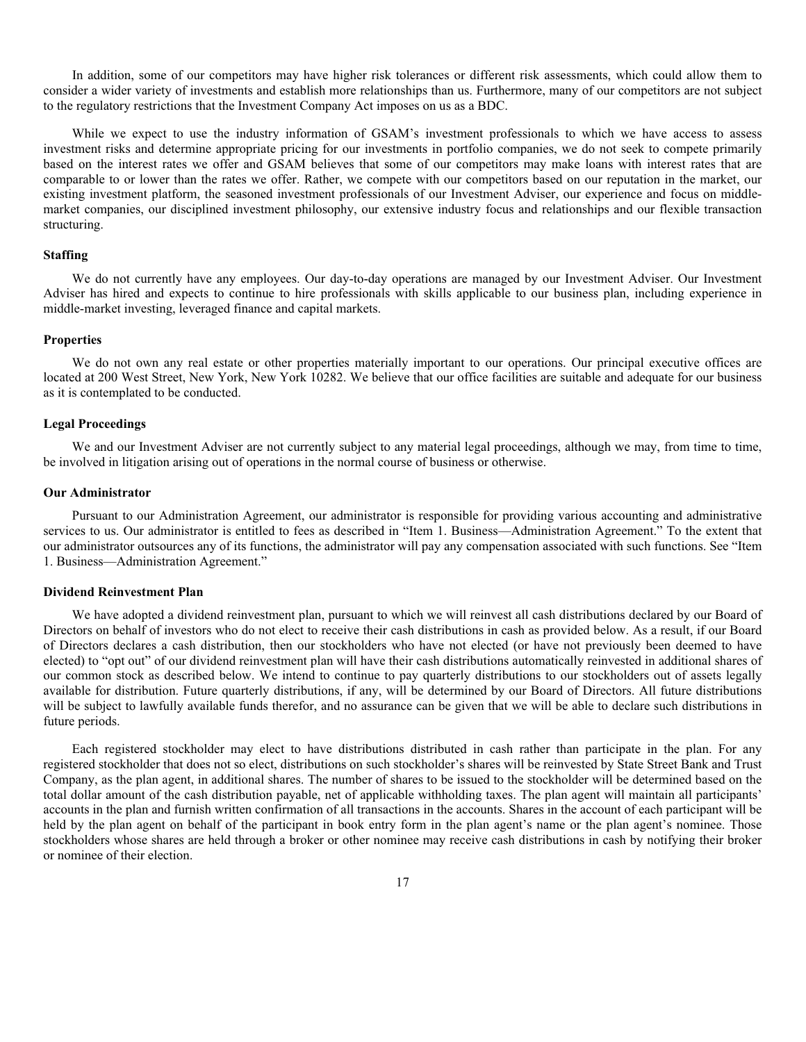In addition, some of our competitors may have higher risk tolerances or different risk assessments, which could allow them to consider a wider variety of investments and establish more relationships than us. Furthermore, many of our competitors are not subject to the regulatory restrictions that the Investment Company Act imposes on us as a BDC.

While we expect to use the industry information of GSAM's investment professionals to which we have access to assess investment risks and determine appropriate pricing for our investments in portfolio companies, we do not seek to compete primarily based on the interest rates we offer and GSAM believes that some of our competitors may make loans with interest rates that are comparable to or lower than the rates we offer. Rather, we compete with our competitors based on our reputation in the market, our existing investment platform, the seasoned investment professionals of our Investment Adviser, our experience and focus on middlemarket companies, our disciplined investment philosophy, our extensive industry focus and relationships and our flexible transaction structuring.

# **Staffing**

We do not currently have any employees. Our day-to-day operations are managed by our Investment Adviser. Our Investment Adviser has hired and expects to continue to hire professionals with skills applicable to our business plan, including experience in middle-market investing, leveraged finance and capital markets.

#### **Properties**

We do not own any real estate or other properties materially important to our operations. Our principal executive offices are located at 200 West Street, New York, New York 10282. We believe that our office facilities are suitable and adequate for our business as it is contemplated to be conducted.

#### **Legal Proceedings**

We and our Investment Adviser are not currently subject to any material legal proceedings, although we may, from time to time, be involved in litigation arising out of operations in the normal course of business or otherwise.

#### **Our Administrator**

Pursuant to our Administration Agreement, our administrator is responsible for providing various accounting and administrative services to us. Our administrator is entitled to fees as described in "Item 1. Business—Administration Agreement." To the extent that our administrator outsources any of its functions, the administrator will pay any compensation associated with such functions. See "Item 1. Business—Administration Agreement."

# **Dividend Reinvestment Plan**

We have adopted a dividend reinvestment plan, pursuant to which we will reinvest all cash distributions declared by our Board of Directors on behalf of investors who do not elect to receive their cash distributions in cash as provided below. As a result, if our Board of Directors declares a cash distribution, then our stockholders who have not elected (or have not previously been deemed to have elected) to "opt out" of our dividend reinvestment plan will have their cash distributions automatically reinvested in additional shares of our common stock as described below. We intend to continue to pay quarterly distributions to our stockholders out of assets legally available for distribution. Future quarterly distributions, if any, will be determined by our Board of Directors. All future distributions will be subject to lawfully available funds therefor, and no assurance can be given that we will be able to declare such distributions in future periods.

Each registered stockholder may elect to have distributions distributed in cash rather than participate in the plan. For any registered stockholder that does not so elect, distributions on such stockholder's shares will be reinvested by State Street Bank and Trust Company, as the plan agent, in additional shares. The number of shares to be issued to the stockholder will be determined based on the total dollar amount of the cash distribution payable, net of applicable withholding taxes. The plan agent will maintain all participants' accounts in the plan and furnish written confirmation of all transactions in the accounts. Shares in the account of each participant will be held by the plan agent on behalf of the participant in book entry form in the plan agent's name or the plan agent's nominee. Those stockholders whose shares are held through a broker or other nominee may receive cash distributions in cash by notifying their broker or nominee of their election.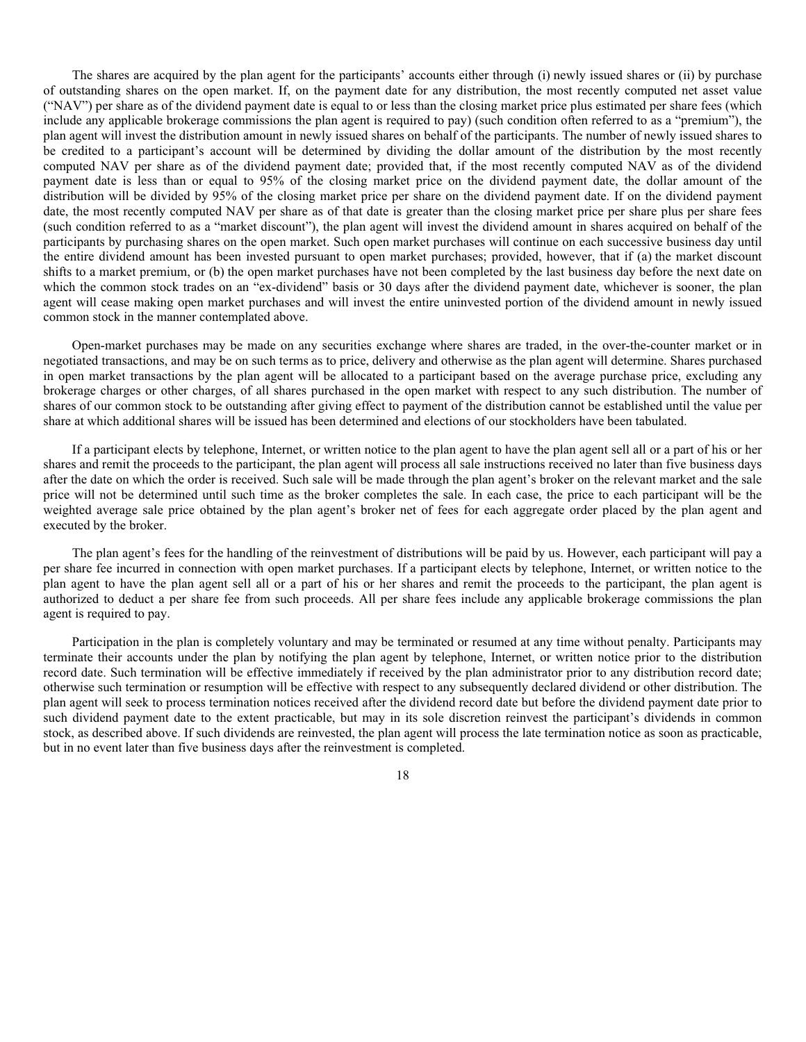The shares are acquired by the plan agent for the participants' accounts either through (i) newly issued shares or (ii) by purchase of outstanding shares on the open market. If, on the payment date for any distribution, the most recently computed net asset value ("NAV") per share as of the dividend payment date is equal to or less than the closing market price plus estimated per share fees (which include any applicable brokerage commissions the plan agent is required to pay) (such condition often referred to as a "premium"), the plan agent will invest the distribution amount in newly issued shares on behalf of the participants. The number of newly issued shares to be credited to a participant's account will be determined by dividing the dollar amount of the distribution by the most recently computed NAV per share as of the dividend payment date; provided that, if the most recently computed NAV as of the dividend payment date is less than or equal to 95% of the closing market price on the dividend payment date, the dollar amount of the distribution will be divided by 95% of the closing market price per share on the dividend payment date. If on the dividend payment date, the most recently computed NAV per share as of that date is greater than the closing market price per share plus per share fees (such condition referred to as a "market discount"), the plan agent will invest the dividend amount in shares acquired on behalf of the participants by purchasing shares on the open market. Such open market purchases will continue on each successive business day until the entire dividend amount has been invested pursuant to open market purchases; provided, however, that if (a) the market discount shifts to a market premium, or (b) the open market purchases have not been completed by the last business day before the next date on which the common stock trades on an "ex-dividend" basis or 30 days after the dividend payment date, whichever is sooner, the plan agent will cease making open market purchases and will invest the entire uninvested portion of the dividend amount in newly issued common stock in the manner contemplated above.

Open-market purchases may be made on any securities exchange where shares are traded, in the over-the-counter market or in negotiated transactions, and may be on such terms as to price, delivery and otherwise as the plan agent will determine. Shares purchased in open market transactions by the plan agent will be allocated to a participant based on the average purchase price, excluding any brokerage charges or other charges, of all shares purchased in the open market with respect to any such distribution. The number of shares of our common stock to be outstanding after giving effect to payment of the distribution cannot be established until the value per share at which additional shares will be issued has been determined and elections of our stockholders have been tabulated.

If a participant elects by telephone, Internet, or written notice to the plan agent to have the plan agent sell all or a part of his or her shares and remit the proceeds to the participant, the plan agent will process all sale instructions received no later than five business days after the date on which the order is received. Such sale will be made through the plan agent's broker on the relevant market and the sale price will not be determined until such time as the broker completes the sale. In each case, the price to each participant will be the weighted average sale price obtained by the plan agent's broker net of fees for each aggregate order placed by the plan agent and executed by the broker.

The plan agent's fees for the handling of the reinvestment of distributions will be paid by us. However, each participant will pay a per share fee incurred in connection with open market purchases. If a participant elects by telephone, Internet, or written notice to the plan agent to have the plan agent sell all or a part of his or her shares and remit the proceeds to the participant, the plan agent is authorized to deduct a per share fee from such proceeds. All per share fees include any applicable brokerage commissions the plan agent is required to pay.

Participation in the plan is completely voluntary and may be terminated or resumed at any time without penalty. Participants may terminate their accounts under the plan by notifying the plan agent by telephone, Internet, or written notice prior to the distribution record date. Such termination will be effective immediately if received by the plan administrator prior to any distribution record date; otherwise such termination or resumption will be effective with respect to any subsequently declared dividend or other distribution. The plan agent will seek to process termination notices received after the dividend record date but before the dividend payment date prior to such dividend payment date to the extent practicable, but may in its sole discretion reinvest the participant's dividends in common stock, as described above. If such dividends are reinvested, the plan agent will process the late termination notice as soon as practicable, but in no event later than five business days after the reinvestment is completed.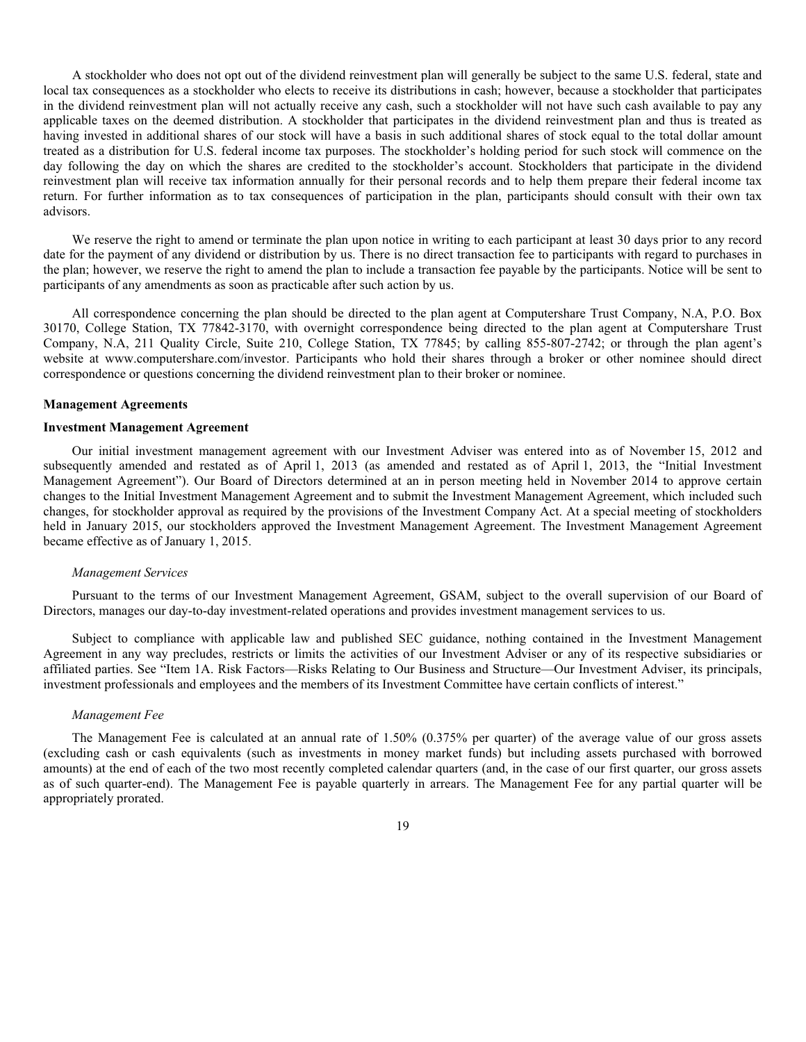A stockholder who does not opt out of the dividend reinvestment plan will generally be subject to the same U.S. federal, state and local tax consequences as a stockholder who elects to receive its distributions in cash; however, because a stockholder that participates in the dividend reinvestment plan will not actually receive any cash, such a stockholder will not have such cash available to pay any applicable taxes on the deemed distribution. A stockholder that participates in the dividend reinvestment plan and thus is treated as having invested in additional shares of our stock will have a basis in such additional shares of stock equal to the total dollar amount treated as a distribution for U.S. federal income tax purposes. The stockholder's holding period for such stock will commence on the day following the day on which the shares are credited to the stockholder's account. Stockholders that participate in the dividend reinvestment plan will receive tax information annually for their personal records and to help them prepare their federal income tax return. For further information as to tax consequences of participation in the plan, participants should consult with their own tax advisors.

We reserve the right to amend or terminate the plan upon notice in writing to each participant at least 30 days prior to any record date for the payment of any dividend or distribution by us. There is no direct transaction fee to participants with regard to purchases in the plan; however, we reserve the right to amend the plan to include a transaction fee payable by the participants. Notice will be sent to participants of any amendments as soon as practicable after such action by us.

All correspondence concerning the plan should be directed to the plan agent at Computershare Trust Company, N.A, P.O. Box 30170, College Station, TX 77842-3170, with overnight correspondence being directed to the plan agent at Computershare Trust Company, N.A, 211 Quality Circle, Suite 210, College Station, TX 77845; by calling 855-807-2742; or through the plan agent's website at www.computershare.com/investor. Participants who hold their shares through a broker or other nominee should direct correspondence or questions concerning the dividend reinvestment plan to their broker or nominee.

#### **Management Agreements**

#### **Investment Management Agreement**

Our initial investment management agreement with our Investment Adviser was entered into as of November 15, 2012 and subsequently amended and restated as of April 1, 2013 (as amended and restated as of April 1, 2013, the "Initial Investment Management Agreement"). Our Board of Directors determined at an in person meeting held in November 2014 to approve certain changes to the Initial Investment Management Agreement and to submit the Investment Management Agreement, which included such changes, for stockholder approval as required by the provisions of the Investment Company Act. At a special meeting of stockholders held in January 2015, our stockholders approved the Investment Management Agreement. The Investment Management Agreement became effective as of January 1, 2015.

#### *Management Services*

Pursuant to the terms of our Investment Management Agreement, GSAM, subject to the overall supervision of our Board of Directors, manages our day-to-day investment-related operations and provides investment management services to us.

Subject to compliance with applicable law and published SEC guidance, nothing contained in the Investment Management Agreement in any way precludes, restricts or limits the activities of our Investment Adviser or any of its respective subsidiaries or affiliated parties. See "Item 1A. Risk Factors—Risks Relating to Our Business and Structure—Our Investment Adviser, its principals, investment professionals and employees and the members of its Investment Committee have certain conflicts of interest."

#### *Management Fee*

The Management Fee is calculated at an annual rate of 1.50% (0.375% per quarter) of the average value of our gross assets (excluding cash or cash equivalents (such as investments in money market funds) but including assets purchased with borrowed amounts) at the end of each of the two most recently completed calendar quarters (and, in the case of our first quarter, our gross assets as of such quarter-end). The Management Fee is payable quarterly in arrears. The Management Fee for any partial quarter will be appropriately prorated.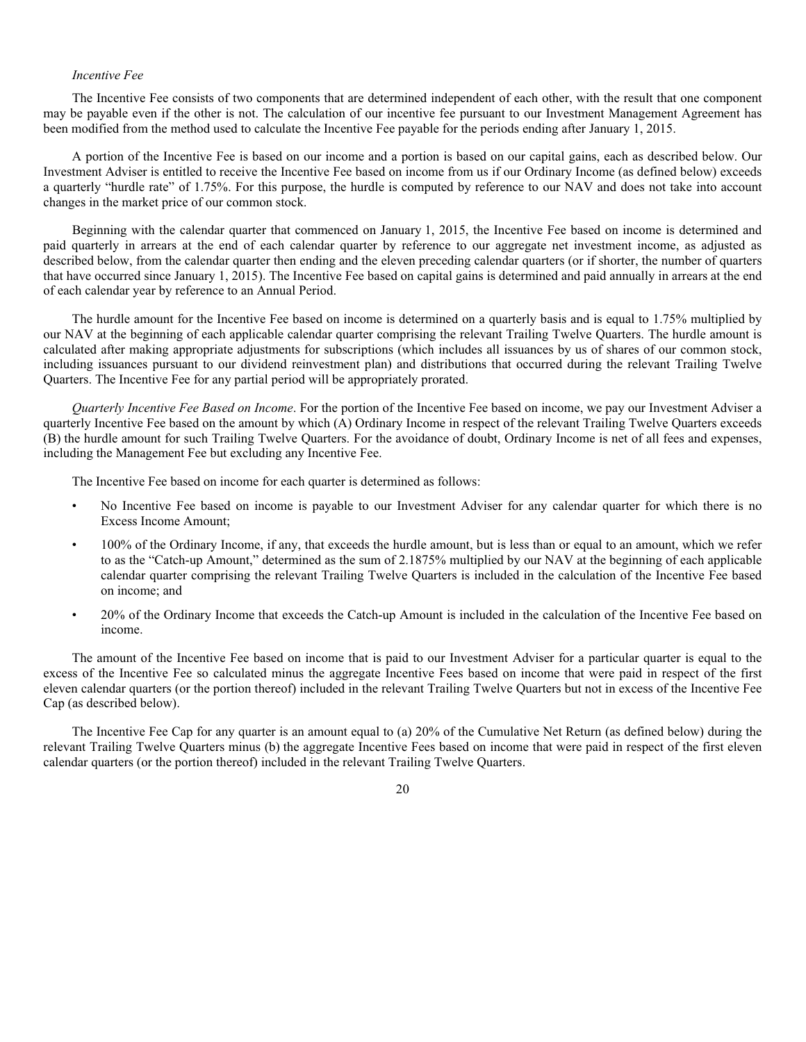#### *Incentive Fee*

The Incentive Fee consists of two components that are determined independent of each other, with the result that one component may be payable even if the other is not. The calculation of our incentive fee pursuant to our Investment Management Agreement has been modified from the method used to calculate the Incentive Fee payable for the periods ending after January 1, 2015.

A portion of the Incentive Fee is based on our income and a portion is based on our capital gains, each as described below. Our Investment Adviser is entitled to receive the Incentive Fee based on income from us if our Ordinary Income (as defined below) exceeds a quarterly "hurdle rate" of 1.75%. For this purpose, the hurdle is computed by reference to our NAV and does not take into account changes in the market price of our common stock.

Beginning with the calendar quarter that commenced on January 1, 2015, the Incentive Fee based on income is determined and paid quarterly in arrears at the end of each calendar quarter by reference to our aggregate net investment income, as adjusted as described below, from the calendar quarter then ending and the eleven preceding calendar quarters (or if shorter, the number of quarters that have occurred since January 1, 2015). The Incentive Fee based on capital gains is determined and paid annually in arrears at the end of each calendar year by reference to an Annual Period.

The hurdle amount for the Incentive Fee based on income is determined on a quarterly basis and is equal to 1.75% multiplied by our NAV at the beginning of each applicable calendar quarter comprising the relevant Trailing Twelve Quarters. The hurdle amount is calculated after making appropriate adjustments for subscriptions (which includes all issuances by us of shares of our common stock, including issuances pursuant to our dividend reinvestment plan) and distributions that occurred during the relevant Trailing Twelve Quarters. The Incentive Fee for any partial period will be appropriately prorated.

*Quarterly Incentive Fee Based on Income*. For the portion of the Incentive Fee based on income, we pay our Investment Adviser a quarterly Incentive Fee based on the amount by which (A) Ordinary Income in respect of the relevant Trailing Twelve Quarters exceeds (B) the hurdle amount for such Trailing Twelve Quarters. For the avoidance of doubt, Ordinary Income is net of all fees and expenses, including the Management Fee but excluding any Incentive Fee.

The Incentive Fee based on income for each quarter is determined as follows:

- No Incentive Fee based on income is payable to our Investment Adviser for any calendar quarter for which there is no Excess Income Amount;
- 100% of the Ordinary Income, if any, that exceeds the hurdle amount, but is less than or equal to an amount, which we refer to as the "Catch-up Amount," determined as the sum of 2.1875% multiplied by our NAV at the beginning of each applicable calendar quarter comprising the relevant Trailing Twelve Quarters is included in the calculation of the Incentive Fee based on income; and
- 20% of the Ordinary Income that exceeds the Catch-up Amount is included in the calculation of the Incentive Fee based on income.

The amount of the Incentive Fee based on income that is paid to our Investment Adviser for a particular quarter is equal to the excess of the Incentive Fee so calculated minus the aggregate Incentive Fees based on income that were paid in respect of the first eleven calendar quarters (or the portion thereof) included in the relevant Trailing Twelve Quarters but not in excess of the Incentive Fee Cap (as described below).

The Incentive Fee Cap for any quarter is an amount equal to (a) 20% of the Cumulative Net Return (as defined below) during the relevant Trailing Twelve Quarters minus (b) the aggregate Incentive Fees based on income that were paid in respect of the first eleven calendar quarters (or the portion thereof) included in the relevant Trailing Twelve Quarters.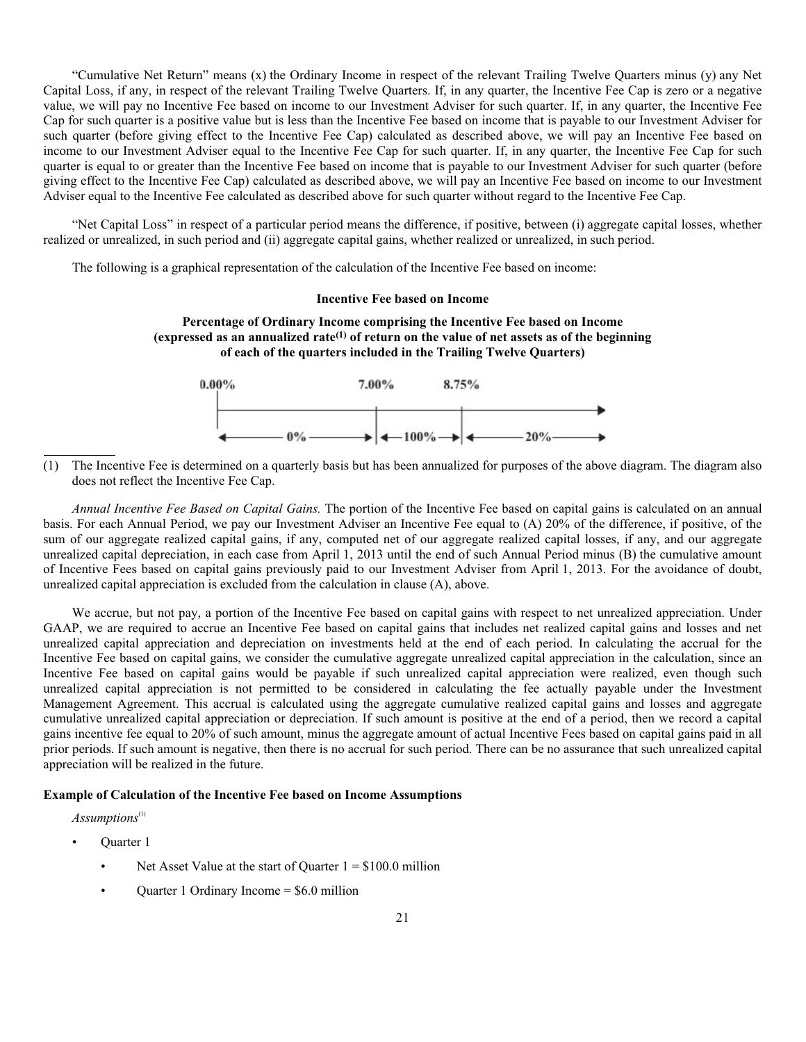"Cumulative Net Return" means (x) the Ordinary Income in respect of the relevant Trailing Twelve Quarters minus (y) any Net Capital Loss, if any, in respect of the relevant Trailing Twelve Quarters. If, in any quarter, the Incentive Fee Cap is zero or a negative value, we will pay no Incentive Fee based on income to our Investment Adviser for such quarter. If, in any quarter, the Incentive Fee Cap for such quarter is a positive value but is less than the Incentive Fee based on income that is payable to our Investment Adviser for such quarter (before giving effect to the Incentive Fee Cap) calculated as described above, we will pay an Incentive Fee based on income to our Investment Adviser equal to the Incentive Fee Cap for such quarter. If, in any quarter, the Incentive Fee Cap for such quarter is equal to or greater than the Incentive Fee based on income that is payable to our Investment Adviser for such quarter (before giving effect to the Incentive Fee Cap) calculated as described above, we will pay an Incentive Fee based on income to our Investment Adviser equal to the Incentive Fee calculated as described above for such quarter without regard to the Incentive Fee Cap.

"Net Capital Loss" in respect of a particular period means the difference, if positive, between (i) aggregate capital losses, whether realized or unrealized, in such period and (ii) aggregate capital gains, whether realized or unrealized, in such period.

The following is a graphical representation of the calculation of the Incentive Fee based on income:

#### **Incentive Fee based on Income**

# **Percentage of Ordinary Income comprising the Incentive Fee based on Income (expressed as an annualized rate(1) of return on the value of net assets as of the beginning of each of the quarters included in the Trailing Twelve Quarters)**



(1) The Incentive Fee is determined on a quarterly basis but has been annualized for purposes of the above diagram. The diagram also does not reflect the Incentive Fee Cap.

*Annual Incentive Fee Based on Capital Gains.* The portion of the Incentive Fee based on capital gains is calculated on an annual basis. For each Annual Period, we pay our Investment Adviser an Incentive Fee equal to (A) 20% of the difference, if positive, of the sum of our aggregate realized capital gains, if any, computed net of our aggregate realized capital losses, if any, and our aggregate unrealized capital depreciation, in each case from April 1, 2013 until the end of such Annual Period minus (B) the cumulative amount of Incentive Fees based on capital gains previously paid to our Investment Adviser from April 1, 2013. For the avoidance of doubt, unrealized capital appreciation is excluded from the calculation in clause (A), above.

We accrue, but not pay, a portion of the Incentive Fee based on capital gains with respect to net unrealized appreciation. Under GAAP, we are required to accrue an Incentive Fee based on capital gains that includes net realized capital gains and losses and net unrealized capital appreciation and depreciation on investments held at the end of each period. In calculating the accrual for the Incentive Fee based on capital gains, we consider the cumulative aggregate unrealized capital appreciation in the calculation, since an Incentive Fee based on capital gains would be payable if such unrealized capital appreciation were realized, even though such unrealized capital appreciation is not permitted to be considered in calculating the fee actually payable under the Investment Management Agreement. This accrual is calculated using the aggregate cumulative realized capital gains and losses and aggregate cumulative unrealized capital appreciation or depreciation. If such amount is positive at the end of a period, then we record a capital gains incentive fee equal to 20% of such amount, minus the aggregate amount of actual Incentive Fees based on capital gains paid in all prior periods. If such amount is negative, then there is no accrual for such period. There can be no assurance that such unrealized capital appreciation will be realized in the future.

# **Example of Calculation of the Incentive Fee based on Income Assumptions**

 $Assumptions^{(1)}$ 

- Quarter 1
	- Net Asset Value at the start of Quarter  $1 = $100.0$  million
	- Quarter 1 Ordinary Income = \$6.0 million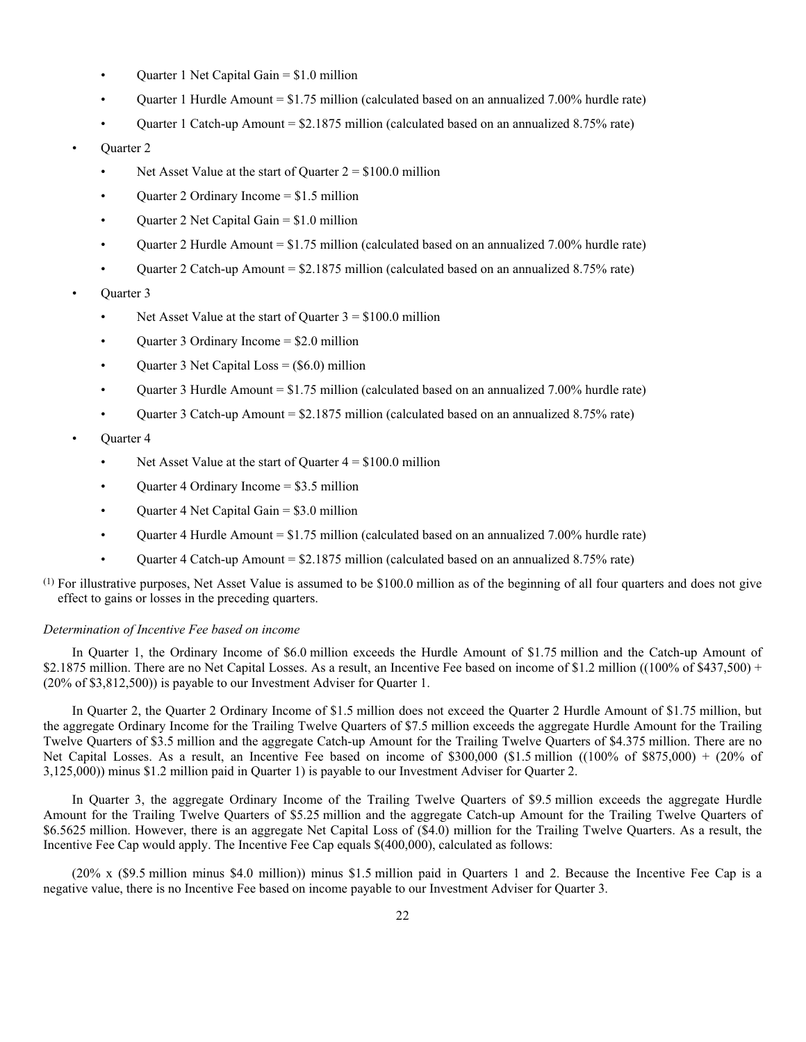- Quarter 1 Net Capital Gain  $= $1.0$  million
- Quarter 1 Hurdle Amount  $= $1.75$  million (calculated based on an annualized 7.00% hurdle rate)
- Quarter 1 Catch-up Amount = \$2.1875 million (calculated based on an annualized 8.75% rate)
- Quarter 2
	- Net Asset Value at the start of Quarter  $2 = $100.0$  million
	- Quarter 2 Ordinary Income = \$1.5 million
	- Quarter 2 Net Capital Gain  $= $1.0$  million
	- Ouarter 2 Hurdle Amount  $= $1.75$  million (calculated based on an annualized 7.00% hurdle rate)
	- Quarter 2 Catch-up Amount =  $$2.1875$  million (calculated based on an annualized 8.75% rate)
- Quarter 3
	- Net Asset Value at the start of Quarter  $3 = $100.0$  million
	- Quarter 3 Ordinary Income = \$2.0 million
	- Quarter 3 Net Capital Loss =  $(\$6.0)$  million
	- Quarter 3 Hurdle Amount = \$1.75 million (calculated based on an annualized 7.00% hurdle rate)
	- Ouarter 3 Catch-up Amount = \$2.1875 million (calculated based on an annualized 8.75% rate)
- Quarter 4
	- Net Asset Value at the start of Quarter  $4 = $100.0$  million
	- Quarter 4 Ordinary Income = \$3.5 million
	- Ouarter 4 Net Capital Gain  $= $3.0$  million
	- Quarter 4 Hurdle Amount = \$1.75 million (calculated based on an annualized 7.00% hurdle rate)
	- Ouarter 4 Catch-up Amount = \$2.1875 million (calculated based on an annualized 8.75% rate)
- (1) For illustrative purposes, Net Asset Value is assumed to be \$100.0 million as of the beginning of all four quarters and does not give effect to gains or losses in the preceding quarters.

### *Determination of Incentive Fee based on income*

In Quarter 1, the Ordinary Income of \$6.0 million exceeds the Hurdle Amount of \$1.75 million and the Catch-up Amount of \$2.1875 million. There are no Net Capital Losses. As a result, an Incentive Fee based on income of \$1.2 million ((100% of \$437,500) + (20% of \$3,812,500)) is payable to our Investment Adviser for Quarter 1.

In Quarter 2, the Quarter 2 Ordinary Income of \$1.5 million does not exceed the Quarter 2 Hurdle Amount of \$1.75 million, but the aggregate Ordinary Income for the Trailing Twelve Quarters of \$7.5 million exceeds the aggregate Hurdle Amount for the Trailing Twelve Quarters of \$3.5 million and the aggregate Catch-up Amount for the Trailing Twelve Quarters of \$4.375 million. There are no Net Capital Losses. As a result, an Incentive Fee based on income of \$300,000 (\$1.5 million ((100% of \$875,000) + (20% of 3,125,000)) minus \$1.2 million paid in Quarter 1) is payable to our Investment Adviser for Quarter 2.

In Quarter 3, the aggregate Ordinary Income of the Trailing Twelve Quarters of \$9.5 million exceeds the aggregate Hurdle Amount for the Trailing Twelve Quarters of \$5.25 million and the aggregate Catch-up Amount for the Trailing Twelve Quarters of \$6.5625 million. However, there is an aggregate Net Capital Loss of (\$4.0) million for the Trailing Twelve Quarters. As a result, the Incentive Fee Cap would apply. The Incentive Fee Cap equals \$(400,000), calculated as follows:

(20% x (\$9.5 million minus \$4.0 million)) minus \$1.5 million paid in Quarters 1 and 2. Because the Incentive Fee Cap is a negative value, there is no Incentive Fee based on income payable to our Investment Adviser for Quarter 3.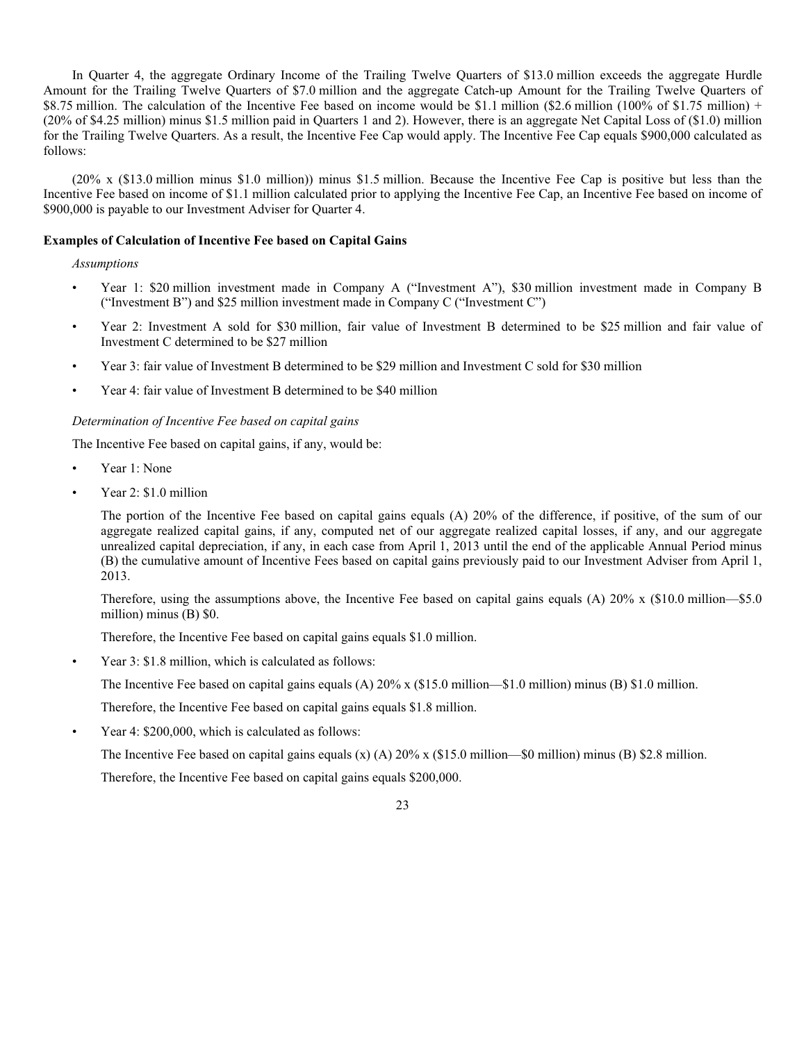In Quarter 4, the aggregate Ordinary Income of the Trailing Twelve Quarters of \$13.0 million exceeds the aggregate Hurdle Amount for the Trailing Twelve Quarters of \$7.0 million and the aggregate Catch-up Amount for the Trailing Twelve Quarters of \$8.75 million. The calculation of the Incentive Fee based on income would be \$1.1 million (\$2.6 million (100% of \$1.75 million) + (20% of \$4.25 million) minus \$1.5 million paid in Quarters 1 and 2). However, there is an aggregate Net Capital Loss of (\$1.0) million for the Trailing Twelve Quarters. As a result, the Incentive Fee Cap would apply. The Incentive Fee Cap equals \$900,000 calculated as follows:

(20% x (\$13.0 million minus \$1.0 million)) minus \$1.5 million. Because the Incentive Fee Cap is positive but less than the Incentive Fee based on income of \$1.1 million calculated prior to applying the Incentive Fee Cap, an Incentive Fee based on income of \$900,000 is payable to our Investment Adviser for Quarter 4.

# **Examples of Calculation of Incentive Fee based on Capital Gains**

*Assumptions* 

- Year 1: \$20 million investment made in Company A ("Investment A"), \$30 million investment made in Company B ("Investment B") and \$25 million investment made in Company C ("Investment C")
- Year 2: Investment A sold for \$30 million, fair value of Investment B determined to be \$25 million and fair value of Investment C determined to be \$27 million
- Year 3: fair value of Investment B determined to be \$29 million and Investment C sold for \$30 million
- Year 4: fair value of Investment B determined to be \$40 million

# *Determination of Incentive Fee based on capital gains*

The Incentive Fee based on capital gains, if any, would be:

- Year 1: None
- Year 2: \$1.0 million

The portion of the Incentive Fee based on capital gains equals (A) 20% of the difference, if positive, of the sum of our aggregate realized capital gains, if any, computed net of our aggregate realized capital losses, if any, and our aggregate unrealized capital depreciation, if any, in each case from April 1, 2013 until the end of the applicable Annual Period minus (B) the cumulative amount of Incentive Fees based on capital gains previously paid to our Investment Adviser from April 1, 2013.

Therefore, using the assumptions above, the Incentive Fee based on capital gains equals (A) 20% x (\$10.0 million—\$5.0 million) minus (B) \$0.

Therefore, the Incentive Fee based on capital gains equals \$1.0 million.

Year 3: \$1.8 million, which is calculated as follows:

The Incentive Fee based on capital gains equals (A) 20% x (\$15.0 million—\$1.0 million) minus (B) \$1.0 million.

Therefore, the Incentive Fee based on capital gains equals \$1.8 million.

Year 4: \$200,000, which is calculated as follows:

The Incentive Fee based on capital gains equals (x) (A)  $20\%$  x (\$15.0 million—\$0 million) minus (B) \$2.8 million.

Therefore, the Incentive Fee based on capital gains equals \$200,000.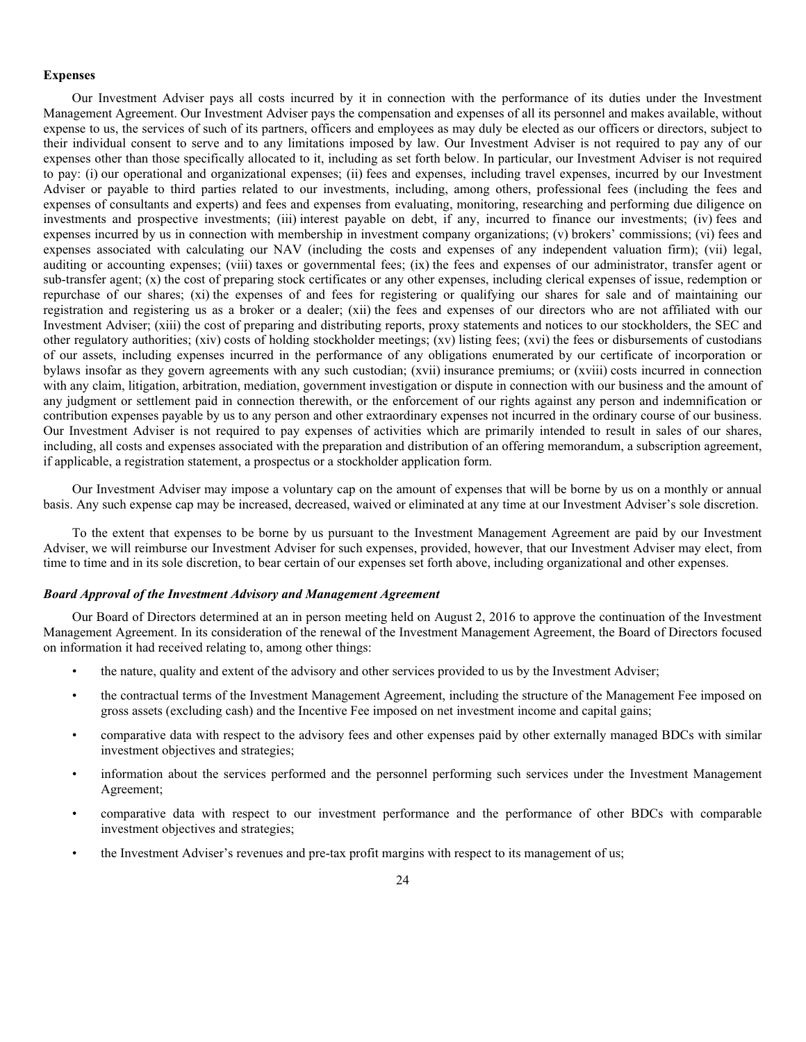#### **Expenses**

Our Investment Adviser pays all costs incurred by it in connection with the performance of its duties under the Investment Management Agreement. Our Investment Adviser pays the compensation and expenses of all its personnel and makes available, without expense to us, the services of such of its partners, officers and employees as may duly be elected as our officers or directors, subject to their individual consent to serve and to any limitations imposed by law. Our Investment Adviser is not required to pay any of our expenses other than those specifically allocated to it, including as set forth below. In particular, our Investment Adviser is not required to pay: (i) our operational and organizational expenses; (ii) fees and expenses, including travel expenses, incurred by our Investment Adviser or payable to third parties related to our investments, including, among others, professional fees (including the fees and expenses of consultants and experts) and fees and expenses from evaluating, monitoring, researching and performing due diligence on investments and prospective investments; (iii) interest payable on debt, if any, incurred to finance our investments; (iv) fees and expenses incurred by us in connection with membership in investment company organizations; (v) brokers' commissions; (vi) fees and expenses associated with calculating our NAV (including the costs and expenses of any independent valuation firm); (vii) legal, auditing or accounting expenses; (viii) taxes or governmental fees; (ix) the fees and expenses of our administrator, transfer agent or sub-transfer agent; (x) the cost of preparing stock certificates or any other expenses, including clerical expenses of issue, redemption or repurchase of our shares; (xi) the expenses of and fees for registering or qualifying our shares for sale and of maintaining our registration and registering us as a broker or a dealer; (xii) the fees and expenses of our directors who are not affiliated with our Investment Adviser; (xiii) the cost of preparing and distributing reports, proxy statements and notices to our stockholders, the SEC and other regulatory authorities; (xiv) costs of holding stockholder meetings; (xv) listing fees; (xvi) the fees or disbursements of custodians of our assets, including expenses incurred in the performance of any obligations enumerated by our certificate of incorporation or bylaws insofar as they govern agreements with any such custodian; (xvii) insurance premiums; or (xviii) costs incurred in connection with any claim, litigation, arbitration, mediation, government investigation or dispute in connection with our business and the amount of any judgment or settlement paid in connection therewith, or the enforcement of our rights against any person and indemnification or contribution expenses payable by us to any person and other extraordinary expenses not incurred in the ordinary course of our business. Our Investment Adviser is not required to pay expenses of activities which are primarily intended to result in sales of our shares, including, all costs and expenses associated with the preparation and distribution of an offering memorandum, a subscription agreement, if applicable, a registration statement, a prospectus or a stockholder application form.

Our Investment Adviser may impose a voluntary cap on the amount of expenses that will be borne by us on a monthly or annual basis. Any such expense cap may be increased, decreased, waived or eliminated at any time at our Investment Adviser's sole discretion.

To the extent that expenses to be borne by us pursuant to the Investment Management Agreement are paid by our Investment Adviser, we will reimburse our Investment Adviser for such expenses, provided, however, that our Investment Adviser may elect, from time to time and in its sole discretion, to bear certain of our expenses set forth above, including organizational and other expenses.

#### *Board Approval of the Investment Advisory and Management Agreement*

Our Board of Directors determined at an in person meeting held on August 2, 2016 to approve the continuation of the Investment Management Agreement. In its consideration of the renewal of the Investment Management Agreement, the Board of Directors focused on information it had received relating to, among other things:

- the nature, quality and extent of the advisory and other services provided to us by the Investment Adviser;
- the contractual terms of the Investment Management Agreement, including the structure of the Management Fee imposed on gross assets (excluding cash) and the Incentive Fee imposed on net investment income and capital gains;
- comparative data with respect to the advisory fees and other expenses paid by other externally managed BDCs with similar investment objectives and strategies;
- information about the services performed and the personnel performing such services under the Investment Management Agreement;
- comparative data with respect to our investment performance and the performance of other BDCs with comparable investment objectives and strategies;
- the Investment Adviser's revenues and pre-tax profit margins with respect to its management of us;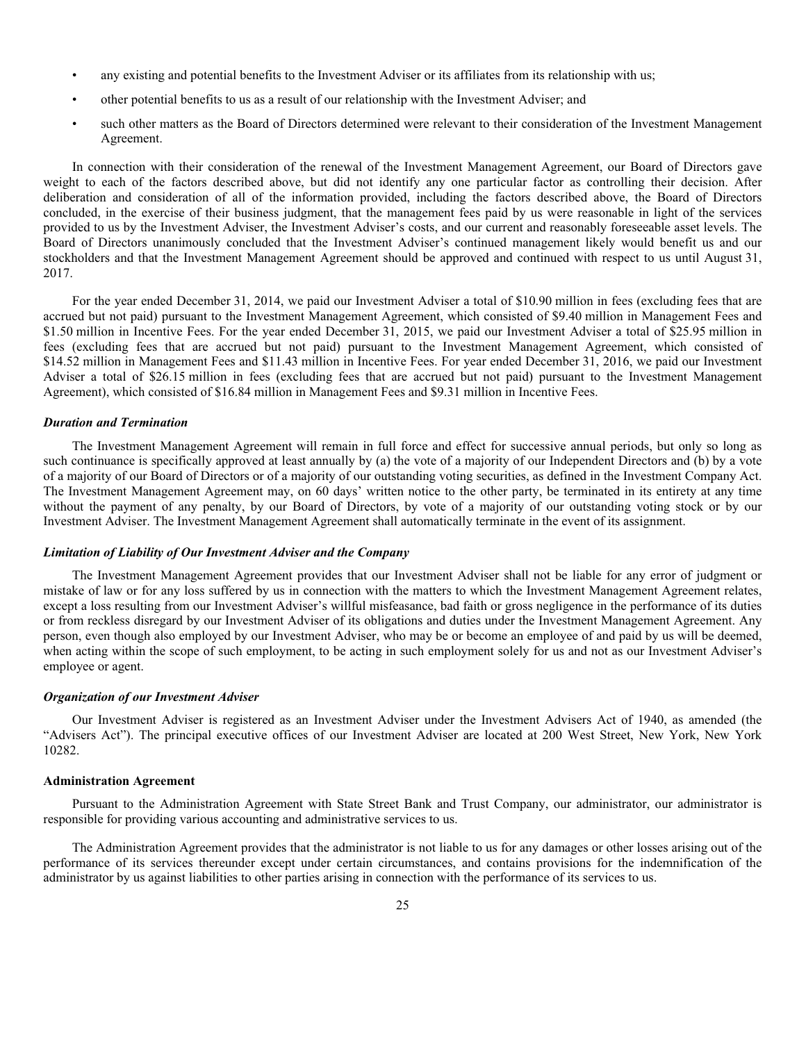- any existing and potential benefits to the Investment Adviser or its affiliates from its relationship with us;
- other potential benefits to us as a result of our relationship with the Investment Adviser; and
- such other matters as the Board of Directors determined were relevant to their consideration of the Investment Management Agreement.

In connection with their consideration of the renewal of the Investment Management Agreement, our Board of Directors gave weight to each of the factors described above, but did not identify any one particular factor as controlling their decision. After deliberation and consideration of all of the information provided, including the factors described above, the Board of Directors concluded, in the exercise of their business judgment, that the management fees paid by us were reasonable in light of the services provided to us by the Investment Adviser, the Investment Adviser's costs, and our current and reasonably foreseeable asset levels. The Board of Directors unanimously concluded that the Investment Adviser's continued management likely would benefit us and our stockholders and that the Investment Management Agreement should be approved and continued with respect to us until August 31, 2017.

For the year ended December 31, 2014, we paid our Investment Adviser a total of \$10.90 million in fees (excluding fees that are accrued but not paid) pursuant to the Investment Management Agreement, which consisted of \$9.40 million in Management Fees and \$1.50 million in Incentive Fees. For the year ended December 31, 2015, we paid our Investment Adviser a total of \$25.95 million in fees (excluding fees that are accrued but not paid) pursuant to the Investment Management Agreement, which consisted of \$14.52 million in Management Fees and \$11.43 million in Incentive Fees. For year ended December 31, 2016, we paid our Investment Adviser a total of \$26.15 million in fees (excluding fees that are accrued but not paid) pursuant to the Investment Management Agreement), which consisted of \$16.84 million in Management Fees and \$9.31 million in Incentive Fees.

#### *Duration and Termination*

The Investment Management Agreement will remain in full force and effect for successive annual periods, but only so long as such continuance is specifically approved at least annually by (a) the vote of a majority of our Independent Directors and (b) by a vote of a majority of our Board of Directors or of a majority of our outstanding voting securities, as defined in the Investment Company Act. The Investment Management Agreement may, on 60 days' written notice to the other party, be terminated in its entirety at any time without the payment of any penalty, by our Board of Directors, by vote of a majority of our outstanding voting stock or by our Investment Adviser. The Investment Management Agreement shall automatically terminate in the event of its assignment.

#### *Limitation of Liability of Our Investment Adviser and the Company*

The Investment Management Agreement provides that our Investment Adviser shall not be liable for any error of judgment or mistake of law or for any loss suffered by us in connection with the matters to which the Investment Management Agreement relates, except a loss resulting from our Investment Adviser's willful misfeasance, bad faith or gross negligence in the performance of its duties or from reckless disregard by our Investment Adviser of its obligations and duties under the Investment Management Agreement. Any person, even though also employed by our Investment Adviser, who may be or become an employee of and paid by us will be deemed, when acting within the scope of such employment, to be acting in such employment solely for us and not as our Investment Adviser's employee or agent.

#### *Organization of our Investment Adviser*

Our Investment Adviser is registered as an Investment Adviser under the Investment Advisers Act of 1940, as amended (the "Advisers Act"). The principal executive offices of our Investment Adviser are located at 200 West Street, New York, New York 10282.

#### **Administration Agreement**

Pursuant to the Administration Agreement with State Street Bank and Trust Company, our administrator, our administrator is responsible for providing various accounting and administrative services to us.

The Administration Agreement provides that the administrator is not liable to us for any damages or other losses arising out of the performance of its services thereunder except under certain circumstances, and contains provisions for the indemnification of the administrator by us against liabilities to other parties arising in connection with the performance of its services to us.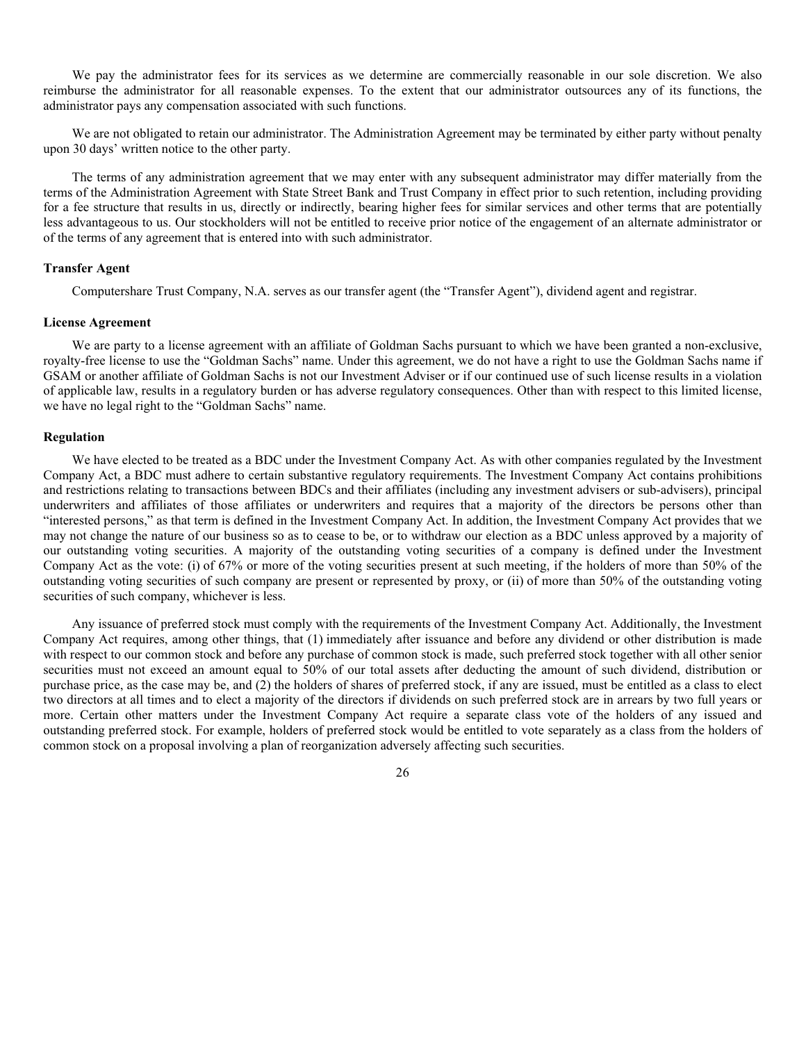We pay the administrator fees for its services as we determine are commercially reasonable in our sole discretion. We also reimburse the administrator for all reasonable expenses. To the extent that our administrator outsources any of its functions, the administrator pays any compensation associated with such functions.

We are not obligated to retain our administrator. The Administration Agreement may be terminated by either party without penalty upon 30 days' written notice to the other party.

The terms of any administration agreement that we may enter with any subsequent administrator may differ materially from the terms of the Administration Agreement with State Street Bank and Trust Company in effect prior to such retention, including providing for a fee structure that results in us, directly or indirectly, bearing higher fees for similar services and other terms that are potentially less advantageous to us. Our stockholders will not be entitled to receive prior notice of the engagement of an alternate administrator or of the terms of any agreement that is entered into with such administrator.

# **Transfer Agent**

Computershare Trust Company, N.A. serves as our transfer agent (the "Transfer Agent"), dividend agent and registrar.

#### **License Agreement**

We are party to a license agreement with an affiliate of Goldman Sachs pursuant to which we have been granted a non-exclusive, royalty-free license to use the "Goldman Sachs" name. Under this agreement, we do not have a right to use the Goldman Sachs name if GSAM or another affiliate of Goldman Sachs is not our Investment Adviser or if our continued use of such license results in a violation of applicable law, results in a regulatory burden or has adverse regulatory consequences. Other than with respect to this limited license, we have no legal right to the "Goldman Sachs" name.

#### **Regulation**

We have elected to be treated as a BDC under the Investment Company Act. As with other companies regulated by the Investment Company Act, a BDC must adhere to certain substantive regulatory requirements. The Investment Company Act contains prohibitions and restrictions relating to transactions between BDCs and their affiliates (including any investment advisers or sub-advisers), principal underwriters and affiliates of those affiliates or underwriters and requires that a majority of the directors be persons other than "interested persons," as that term is defined in the Investment Company Act. In addition, the Investment Company Act provides that we may not change the nature of our business so as to cease to be, or to withdraw our election as a BDC unless approved by a majority of our outstanding voting securities. A majority of the outstanding voting securities of a company is defined under the Investment Company Act as the vote: (i) of 67% or more of the voting securities present at such meeting, if the holders of more than 50% of the outstanding voting securities of such company are present or represented by proxy, or (ii) of more than 50% of the outstanding voting securities of such company, whichever is less.

Any issuance of preferred stock must comply with the requirements of the Investment Company Act. Additionally, the Investment Company Act requires, among other things, that (1) immediately after issuance and before any dividend or other distribution is made with respect to our common stock and before any purchase of common stock is made, such preferred stock together with all other senior securities must not exceed an amount equal to 50% of our total assets after deducting the amount of such dividend, distribution or purchase price, as the case may be, and (2) the holders of shares of preferred stock, if any are issued, must be entitled as a class to elect two directors at all times and to elect a majority of the directors if dividends on such preferred stock are in arrears by two full years or more. Certain other matters under the Investment Company Act require a separate class vote of the holders of any issued and outstanding preferred stock. For example, holders of preferred stock would be entitled to vote separately as a class from the holders of common stock on a proposal involving a plan of reorganization adversely affecting such securities.

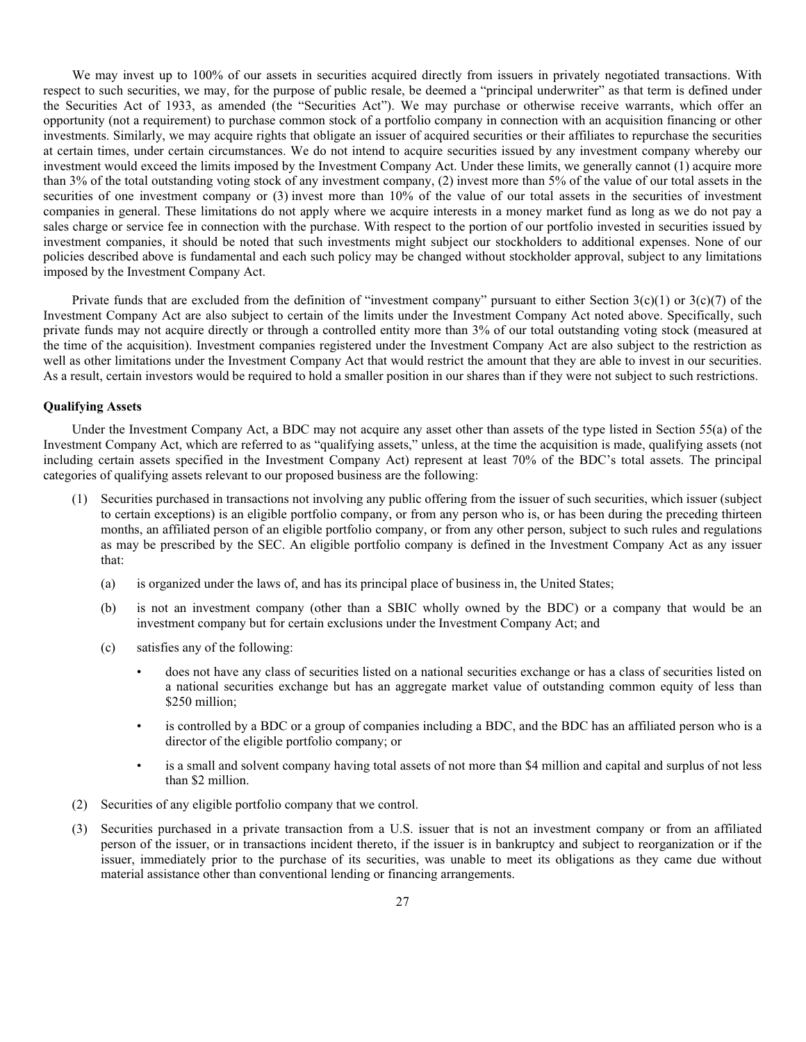We may invest up to 100% of our assets in securities acquired directly from issuers in privately negotiated transactions. With respect to such securities, we may, for the purpose of public resale, be deemed a "principal underwriter" as that term is defined under the Securities Act of 1933, as amended (the "Securities Act"). We may purchase or otherwise receive warrants, which offer an opportunity (not a requirement) to purchase common stock of a portfolio company in connection with an acquisition financing or other investments. Similarly, we may acquire rights that obligate an issuer of acquired securities or their affiliates to repurchase the securities at certain times, under certain circumstances. We do not intend to acquire securities issued by any investment company whereby our investment would exceed the limits imposed by the Investment Company Act. Under these limits, we generally cannot (1) acquire more than 3% of the total outstanding voting stock of any investment company, (2) invest more than 5% of the value of our total assets in the securities of one investment company or (3) invest more than 10% of the value of our total assets in the securities of investment companies in general. These limitations do not apply where we acquire interests in a money market fund as long as we do not pay a sales charge or service fee in connection with the purchase. With respect to the portion of our portfolio invested in securities issued by investment companies, it should be noted that such investments might subject our stockholders to additional expenses. None of our policies described above is fundamental and each such policy may be changed without stockholder approval, subject to any limitations imposed by the Investment Company Act.

Private funds that are excluded from the definition of "investment company" pursuant to either Section 3(c)(1) or 3(c)(7) of the Investment Company Act are also subject to certain of the limits under the Investment Company Act noted above. Specifically, such private funds may not acquire directly or through a controlled entity more than 3% of our total outstanding voting stock (measured at the time of the acquisition). Investment companies registered under the Investment Company Act are also subject to the restriction as well as other limitations under the Investment Company Act that would restrict the amount that they are able to invest in our securities. As a result, certain investors would be required to hold a smaller position in our shares than if they were not subject to such restrictions.

#### **Qualifying Assets**

Under the Investment Company Act, a BDC may not acquire any asset other than assets of the type listed in Section 55(a) of the Investment Company Act, which are referred to as "qualifying assets," unless, at the time the acquisition is made, qualifying assets (not including certain assets specified in the Investment Company Act) represent at least 70% of the BDC's total assets. The principal categories of qualifying assets relevant to our proposed business are the following:

- (1) Securities purchased in transactions not involving any public offering from the issuer of such securities, which issuer (subject to certain exceptions) is an eligible portfolio company, or from any person who is, or has been during the preceding thirteen months, an affiliated person of an eligible portfolio company, or from any other person, subject to such rules and regulations as may be prescribed by the SEC. An eligible portfolio company is defined in the Investment Company Act as any issuer that:
	- (a) is organized under the laws of, and has its principal place of business in, the United States;
	- (b) is not an investment company (other than a SBIC wholly owned by the BDC) or a company that would be an investment company but for certain exclusions under the Investment Company Act; and
	- (c) satisfies any of the following:
		- does not have any class of securities listed on a national securities exchange or has a class of securities listed on a national securities exchange but has an aggregate market value of outstanding common equity of less than \$250 million;
		- is controlled by a BDC or a group of companies including a BDC, and the BDC has an affiliated person who is a director of the eligible portfolio company; or
		- is a small and solvent company having total assets of not more than \$4 million and capital and surplus of not less than \$2 million.
- (2) Securities of any eligible portfolio company that we control.
- (3) Securities purchased in a private transaction from a U.S. issuer that is not an investment company or from an affiliated person of the issuer, or in transactions incident thereto, if the issuer is in bankruptcy and subject to reorganization or if the issuer, immediately prior to the purchase of its securities, was unable to meet its obligations as they came due without material assistance other than conventional lending or financing arrangements.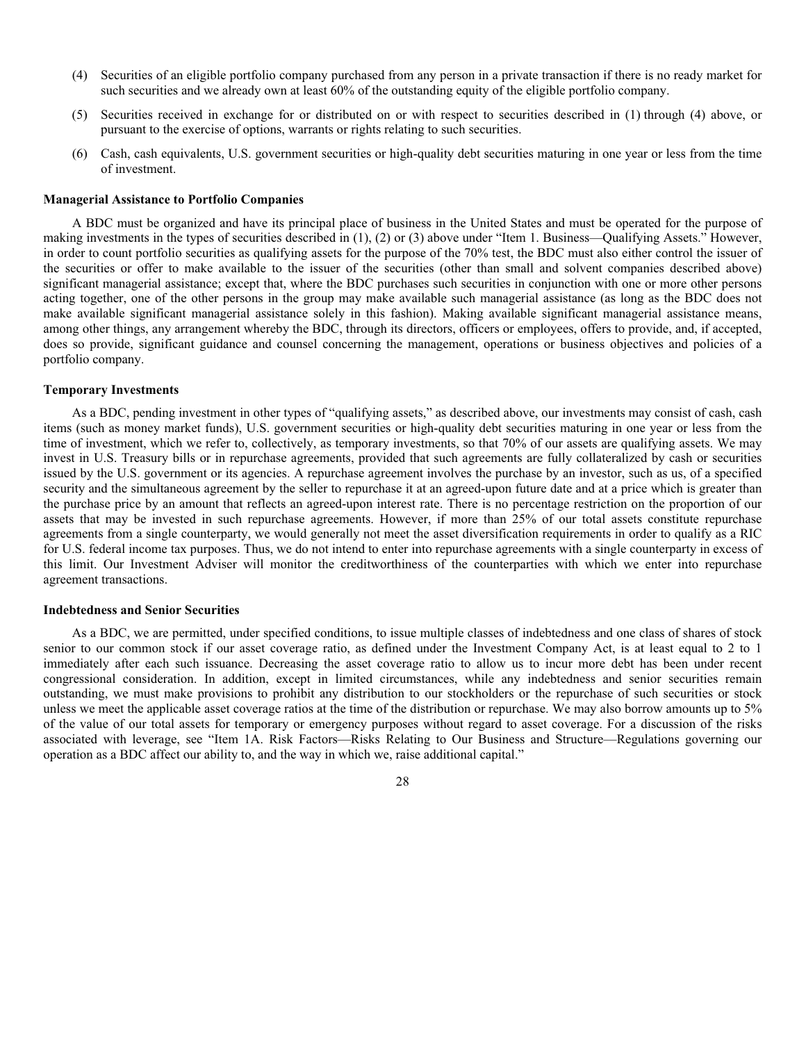- (4) Securities of an eligible portfolio company purchased from any person in a private transaction if there is no ready market for such securities and we already own at least 60% of the outstanding equity of the eligible portfolio company.
- (5) Securities received in exchange for or distributed on or with respect to securities described in (1) through (4) above, or pursuant to the exercise of options, warrants or rights relating to such securities.
- (6) Cash, cash equivalents, U.S. government securities or high-quality debt securities maturing in one year or less from the time of investment.

#### **Managerial Assistance to Portfolio Companies**

A BDC must be organized and have its principal place of business in the United States and must be operated for the purpose of making investments in the types of securities described in (1), (2) or (3) above under "Item 1. Business—Qualifying Assets." However, in order to count portfolio securities as qualifying assets for the purpose of the 70% test, the BDC must also either control the issuer of the securities or offer to make available to the issuer of the securities (other than small and solvent companies described above) significant managerial assistance; except that, where the BDC purchases such securities in conjunction with one or more other persons acting together, one of the other persons in the group may make available such managerial assistance (as long as the BDC does not make available significant managerial assistance solely in this fashion). Making available significant managerial assistance means, among other things, any arrangement whereby the BDC, through its directors, officers or employees, offers to provide, and, if accepted, does so provide, significant guidance and counsel concerning the management, operations or business objectives and policies of a portfolio company.

#### **Temporary Investments**

As a BDC, pending investment in other types of "qualifying assets," as described above, our investments may consist of cash, cash items (such as money market funds), U.S. government securities or high-quality debt securities maturing in one year or less from the time of investment, which we refer to, collectively, as temporary investments, so that 70% of our assets are qualifying assets. We may invest in U.S. Treasury bills or in repurchase agreements, provided that such agreements are fully collateralized by cash or securities issued by the U.S. government or its agencies. A repurchase agreement involves the purchase by an investor, such as us, of a specified security and the simultaneous agreement by the seller to repurchase it at an agreed-upon future date and at a price which is greater than the purchase price by an amount that reflects an agreed-upon interest rate. There is no percentage restriction on the proportion of our assets that may be invested in such repurchase agreements. However, if more than 25% of our total assets constitute repurchase agreements from a single counterparty, we would generally not meet the asset diversification requirements in order to qualify as a RIC for U.S. federal income tax purposes. Thus, we do not intend to enter into repurchase agreements with a single counterparty in excess of this limit. Our Investment Adviser will monitor the creditworthiness of the counterparties with which we enter into repurchase agreement transactions.

#### **Indebtedness and Senior Securities**

As a BDC, we are permitted, under specified conditions, to issue multiple classes of indebtedness and one class of shares of stock senior to our common stock if our asset coverage ratio, as defined under the Investment Company Act, is at least equal to 2 to 1 immediately after each such issuance. Decreasing the asset coverage ratio to allow us to incur more debt has been under recent congressional consideration. In addition, except in limited circumstances, while any indebtedness and senior securities remain outstanding, we must make provisions to prohibit any distribution to our stockholders or the repurchase of such securities or stock unless we meet the applicable asset coverage ratios at the time of the distribution or repurchase. We may also borrow amounts up to 5% of the value of our total assets for temporary or emergency purposes without regard to asset coverage. For a discussion of the risks associated with leverage, see "Item 1A. Risk Factors—Risks Relating to Our Business and Structure—Regulations governing our operation as a BDC affect our ability to, and the way in which we, raise additional capital."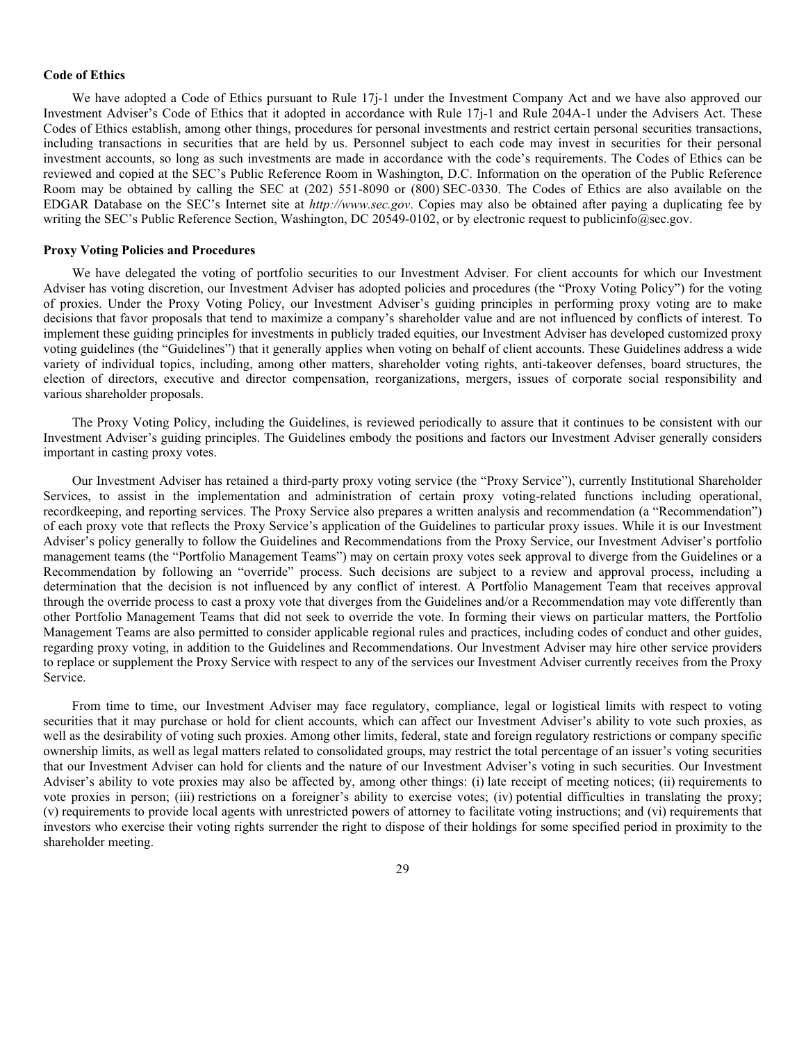#### **Code of Ethics**

We have adopted a Code of Ethics pursuant to Rule 17-1 under the Investment Company Act and we have also approved our Investment Adviser's Code of Ethics that it adopted in accordance with Rule 17j-1 and Rule 204A-1 under the Advisers Act. These Codes of Ethics establish, among other things, procedures for personal investments and restrict certain personal securities transactions, including transactions in securities that are held by us. Personnel subject to each code may invest in securities for their personal investment accounts, so long as such investments are made in accordance with the code's requirements. The Codes of Ethics can be reviewed and copied at the SEC's Public Reference Room in Washington, D.C. Information on the operation of the Public Reference Room may be obtained by calling the SEC at (202) 551-8090 or (800) SEC-0330. The Codes of Ethics are also available on the EDGAR Database on the SEC's Internet site at *http://www.sec.gov*. Copies may also be obtained after paying a duplicating fee by writing the SEC's Public Reference Section, Washington, DC 20549-0102, or by electronic request to publicinfo@sec.gov.

#### **Proxy Voting Policies and Procedures**

We have delegated the voting of portfolio securities to our Investment Adviser. For client accounts for which our Investment Adviser has voting discretion, our Investment Adviser has adopted policies and procedures (the "Proxy Voting Policy") for the voting of proxies. Under the Proxy Voting Policy, our Investment Adviser's guiding principles in performing proxy voting are to make decisions that favor proposals that tend to maximize a company's shareholder value and are not influenced by conflicts of interest. To implement these guiding principles for investments in publicly traded equities, our Investment Adviser has developed customized proxy voting guidelines (the "Guidelines") that it generally applies when voting on behalf of client accounts. These Guidelines address a wide variety of individual topics, including, among other matters, shareholder voting rights, anti-takeover defenses, board structures, the election of directors, executive and director compensation, reorganizations, mergers, issues of corporate social responsibility and various shareholder proposals.

The Proxy Voting Policy, including the Guidelines, is reviewed periodically to assure that it continues to be consistent with our Investment Adviser's guiding principles. The Guidelines embody the positions and factors our Investment Adviser generally considers important in casting proxy votes.

Our Investment Adviser has retained a third-party proxy voting service (the "Proxy Service"), currently Institutional Shareholder Services, to assist in the implementation and administration of certain proxy voting-related functions including operational, recordkeeping, and reporting services. The Proxy Service also prepares a written analysis and recommendation (a "Recommendation") of each proxy vote that reflects the Proxy Service's application of the Guidelines to particular proxy issues. While it is our Investment Adviser's policy generally to follow the Guidelines and Recommendations from the Proxy Service, our Investment Adviser's portfolio management teams (the "Portfolio Management Teams") may on certain proxy votes seek approval to diverge from the Guidelines or a Recommendation by following an "override" process. Such decisions are subject to a review and approval process, including a determination that the decision is not influenced by any conflict of interest. A Portfolio Management Team that receives approval through the override process to cast a proxy vote that diverges from the Guidelines and/or a Recommendation may vote differently than other Portfolio Management Teams that did not seek to override the vote. In forming their views on particular matters, the Portfolio Management Teams are also permitted to consider applicable regional rules and practices, including codes of conduct and other guides, regarding proxy voting, in addition to the Guidelines and Recommendations. Our Investment Adviser may hire other service providers to replace or supplement the Proxy Service with respect to any of the services our Investment Adviser currently receives from the Proxy Service.

From time to time, our Investment Adviser may face regulatory, compliance, legal or logistical limits with respect to voting securities that it may purchase or hold for client accounts, which can affect our Investment Adviser's ability to vote such proxies, as well as the desirability of voting such proxies. Among other limits, federal, state and foreign regulatory restrictions or company specific ownership limits, as well as legal matters related to consolidated groups, may restrict the total percentage of an issuer's voting securities that our Investment Adviser can hold for clients and the nature of our Investment Adviser's voting in such securities. Our Investment Adviser's ability to vote proxies may also be affected by, among other things: (i) late receipt of meeting notices; (ii) requirements to vote proxies in person; (iii) restrictions on a foreigner's ability to exercise votes; (iv) potential difficulties in translating the proxy; (v) requirements to provide local agents with unrestricted powers of attorney to facilitate voting instructions; and (vi) requirements that investors who exercise their voting rights surrender the right to dispose of their holdings for some specified period in proximity to the shareholder meeting.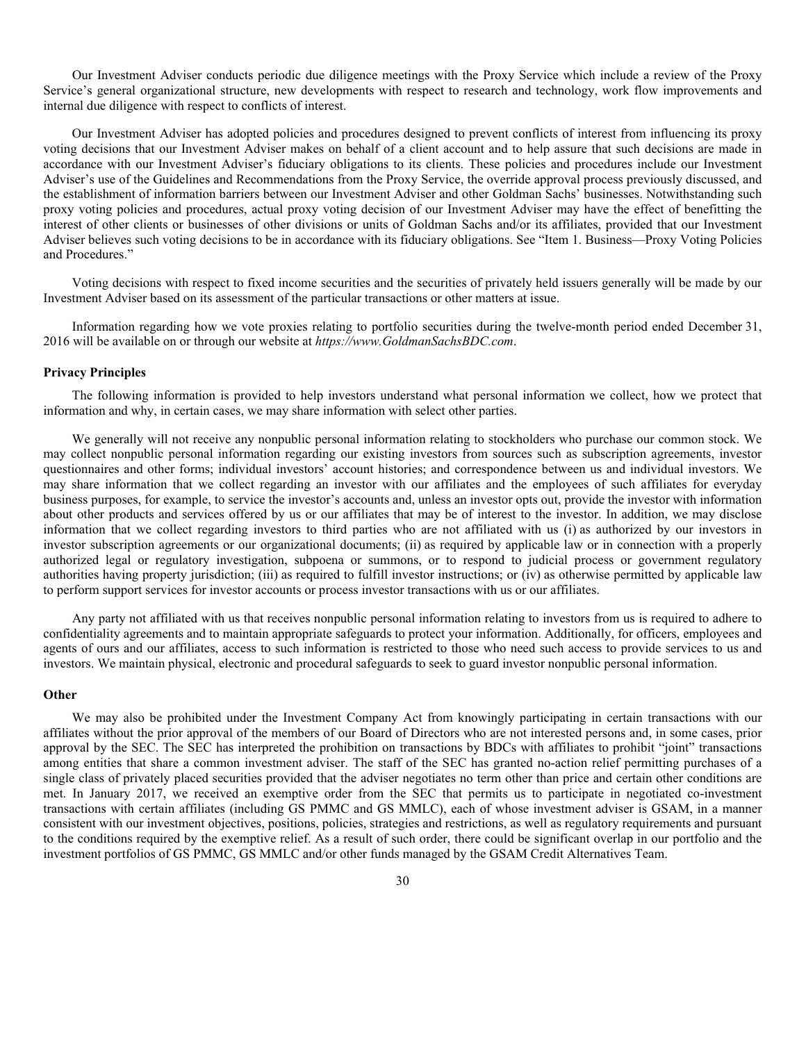Our Investment Adviser conducts periodic due diligence meetings with the Proxy Service which include a review of the Proxy Service's general organizational structure, new developments with respect to research and technology, work flow improvements and internal due diligence with respect to conflicts of interest.

Our Investment Adviser has adopted policies and procedures designed to prevent conflicts of interest from influencing its proxy voting decisions that our Investment Adviser makes on behalf of a client account and to help assure that such decisions are made in accordance with our Investment Adviser's fiduciary obligations to its clients. These policies and procedures include our Investment Adviser's use of the Guidelines and Recommendations from the Proxy Service, the override approval process previously discussed, and the establishment of information barriers between our Investment Adviser and other Goldman Sachs' businesses. Notwithstanding such proxy voting policies and procedures, actual proxy voting decision of our Investment Adviser may have the effect of benefitting the interest of other clients or businesses of other divisions or units of Goldman Sachs and/or its affiliates, provided that our Investment Adviser believes such voting decisions to be in accordance with its fiduciary obligations. See "Item 1. Business—Proxy Voting Policies and Procedures."

Voting decisions with respect to fixed income securities and the securities of privately held issuers generally will be made by our Investment Adviser based on its assessment of the particular transactions or other matters at issue.

Information regarding how we vote proxies relating to portfolio securities during the twelve-month period ended December 31, 2016 will be available on or through our website at *https://www.GoldmanSachsBDC.com*.

#### **Privacy Principles**

The following information is provided to help investors understand what personal information we collect, how we protect that information and why, in certain cases, we may share information with select other parties.

We generally will not receive any nonpublic personal information relating to stockholders who purchase our common stock. We may collect nonpublic personal information regarding our existing investors from sources such as subscription agreements, investor questionnaires and other forms; individual investors' account histories; and correspondence between us and individual investors. We may share information that we collect regarding an investor with our affiliates and the employees of such affiliates for everyday business purposes, for example, to service the investor's accounts and, unless an investor opts out, provide the investor with information about other products and services offered by us or our affiliates that may be of interest to the investor. In addition, we may disclose information that we collect regarding investors to third parties who are not affiliated with us (i) as authorized by our investors in investor subscription agreements or our organizational documents; (ii) as required by applicable law or in connection with a properly authorized legal or regulatory investigation, subpoena or summons, or to respond to judicial process or government regulatory authorities having property jurisdiction; (iii) as required to fulfill investor instructions; or (iv) as otherwise permitted by applicable law to perform support services for investor accounts or process investor transactions with us or our affiliates.

Any party not affiliated with us that receives nonpublic personal information relating to investors from us is required to adhere to confidentiality agreements and to maintain appropriate safeguards to protect your information. Additionally, for officers, employees and agents of ours and our affiliates, access to such information is restricted to those who need such access to provide services to us and investors. We maintain physical, electronic and procedural safeguards to seek to guard investor nonpublic personal information.

# **Other**

We may also be prohibited under the Investment Company Act from knowingly participating in certain transactions with our affiliates without the prior approval of the members of our Board of Directors who are not interested persons and, in some cases, prior approval by the SEC. The SEC has interpreted the prohibition on transactions by BDCs with affiliates to prohibit "joint" transactions among entities that share a common investment adviser. The staff of the SEC has granted no-action relief permitting purchases of a single class of privately placed securities provided that the adviser negotiates no term other than price and certain other conditions are met. In January 2017, we received an exemptive order from the SEC that permits us to participate in negotiated co-investment transactions with certain affiliates (including GS PMMC and GS MMLC), each of whose investment adviser is GSAM, in a manner consistent with our investment objectives, positions, policies, strategies and restrictions, as well as regulatory requirements and pursuant to the conditions required by the exemptive relief. As a result of such order, there could be significant overlap in our portfolio and the investment portfolios of GS PMMC, GS MMLC and/or other funds managed by the GSAM Credit Alternatives Team.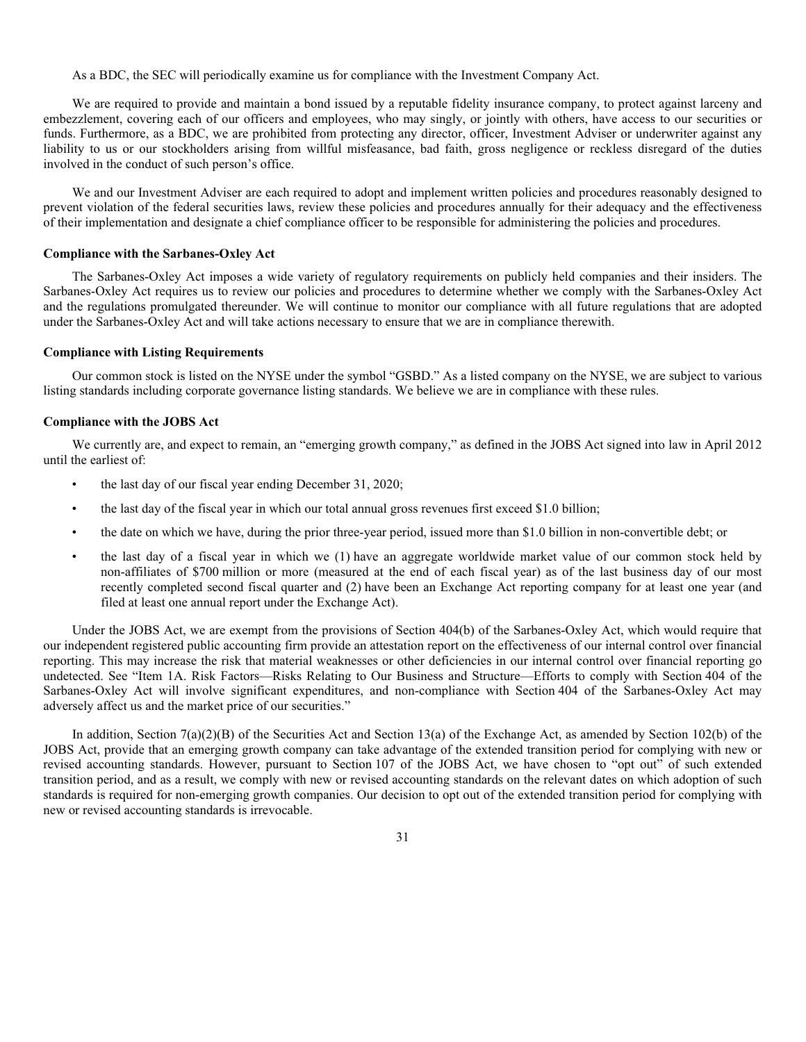As a BDC, the SEC will periodically examine us for compliance with the Investment Company Act.

We are required to provide and maintain a bond issued by a reputable fidelity insurance company, to protect against larceny and embezzlement, covering each of our officers and employees, who may singly, or jointly with others, have access to our securities or funds. Furthermore, as a BDC, we are prohibited from protecting any director, officer, Investment Adviser or underwriter against any liability to us or our stockholders arising from willful misfeasance, bad faith, gross negligence or reckless disregard of the duties involved in the conduct of such person's office.

We and our Investment Adviser are each required to adopt and implement written policies and procedures reasonably designed to prevent violation of the federal securities laws, review these policies and procedures annually for their adequacy and the effectiveness of their implementation and designate a chief compliance officer to be responsible for administering the policies and procedures.

### **Compliance with the Sarbanes-Oxley Act**

The Sarbanes-Oxley Act imposes a wide variety of regulatory requirements on publicly held companies and their insiders. The Sarbanes-Oxley Act requires us to review our policies and procedures to determine whether we comply with the Sarbanes-Oxley Act and the regulations promulgated thereunder. We will continue to monitor our compliance with all future regulations that are adopted under the Sarbanes-Oxley Act and will take actions necessary to ensure that we are in compliance therewith.

#### **Compliance with Listing Requirements**

Our common stock is listed on the NYSE under the symbol "GSBD." As a listed company on the NYSE, we are subject to various listing standards including corporate governance listing standards. We believe we are in compliance with these rules.

#### **Compliance with the JOBS Act**

We currently are, and expect to remain, an "emerging growth company," as defined in the JOBS Act signed into law in April 2012 until the earliest of:

- the last day of our fiscal year ending December 31, 2020;
- the last day of the fiscal year in which our total annual gross revenues first exceed \$1.0 billion;
- the date on which we have, during the prior three-year period, issued more than \$1.0 billion in non-convertible debt; or
- the last day of a fiscal year in which we (1) have an aggregate worldwide market value of our common stock held by non-affiliates of \$700 million or more (measured at the end of each fiscal year) as of the last business day of our most recently completed second fiscal quarter and (2) have been an Exchange Act reporting company for at least one year (and filed at least one annual report under the Exchange Act).

Under the JOBS Act, we are exempt from the provisions of Section 404(b) of the Sarbanes-Oxley Act, which would require that our independent registered public accounting firm provide an attestation report on the effectiveness of our internal control over financial reporting. This may increase the risk that material weaknesses or other deficiencies in our internal control over financial reporting go undetected. See "Item 1A. Risk Factors—Risks Relating to Our Business and Structure—Efforts to comply with Section 404 of the Sarbanes-Oxley Act will involve significant expenditures, and non-compliance with Section 404 of the Sarbanes-Oxley Act may adversely affect us and the market price of our securities."

In addition, Section 7(a)(2)(B) of the Securities Act and Section 13(a) of the Exchange Act, as amended by Section 102(b) of the JOBS Act, provide that an emerging growth company can take advantage of the extended transition period for complying with new or revised accounting standards. However, pursuant to Section 107 of the JOBS Act, we have chosen to "opt out" of such extended transition period, and as a result, we comply with new or revised accounting standards on the relevant dates on which adoption of such standards is required for non-emerging growth companies. Our decision to opt out of the extended transition period for complying with new or revised accounting standards is irrevocable.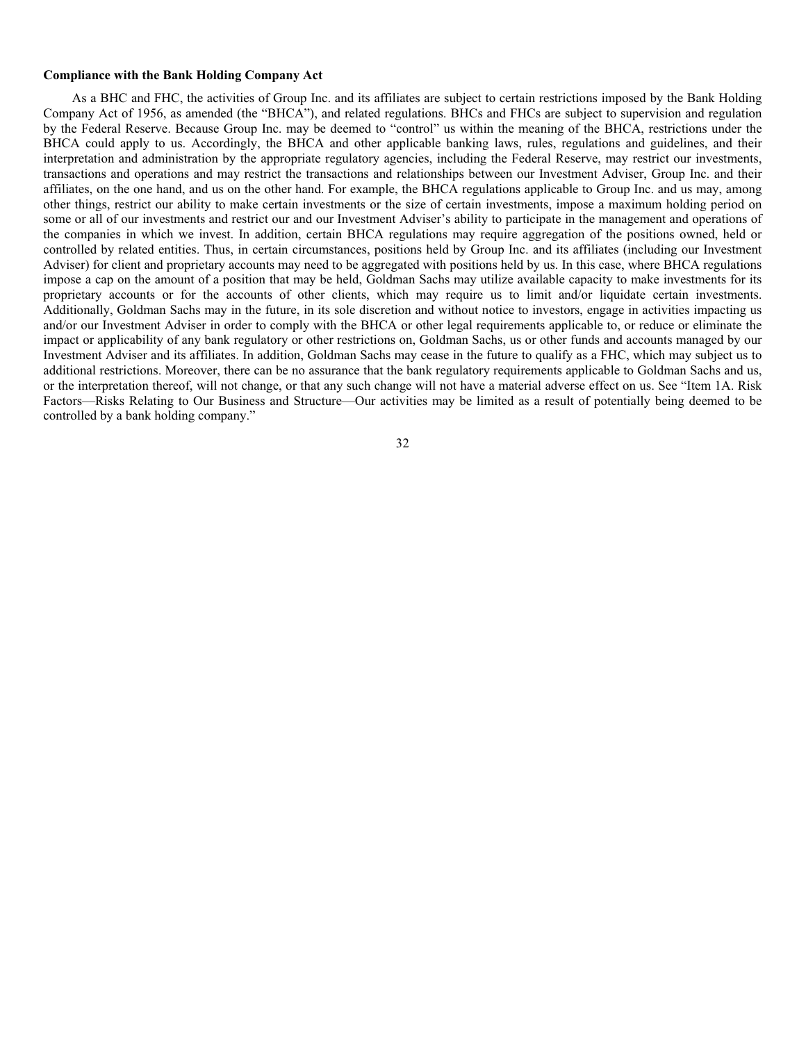#### **Compliance with the Bank Holding Company Act**

As a BHC and FHC, the activities of Group Inc. and its affiliates are subject to certain restrictions imposed by the Bank Holding Company Act of 1956, as amended (the "BHCA"), and related regulations. BHCs and FHCs are subject to supervision and regulation by the Federal Reserve. Because Group Inc. may be deemed to "control" us within the meaning of the BHCA, restrictions under the BHCA could apply to us. Accordingly, the BHCA and other applicable banking laws, rules, regulations and guidelines, and their interpretation and administration by the appropriate regulatory agencies, including the Federal Reserve, may restrict our investments, transactions and operations and may restrict the transactions and relationships between our Investment Adviser, Group Inc. and their affiliates, on the one hand, and us on the other hand. For example, the BHCA regulations applicable to Group Inc. and us may, among other things, restrict our ability to make certain investments or the size of certain investments, impose a maximum holding period on some or all of our investments and restrict our and our Investment Adviser's ability to participate in the management and operations of the companies in which we invest. In addition, certain BHCA regulations may require aggregation of the positions owned, held or controlled by related entities. Thus, in certain circumstances, positions held by Group Inc. and its affiliates (including our Investment Adviser) for client and proprietary accounts may need to be aggregated with positions held by us. In this case, where BHCA regulations impose a cap on the amount of a position that may be held, Goldman Sachs may utilize available capacity to make investments for its proprietary accounts or for the accounts of other clients, which may require us to limit and/or liquidate certain investments. Additionally, Goldman Sachs may in the future, in its sole discretion and without notice to investors, engage in activities impacting us and/or our Investment Adviser in order to comply with the BHCA or other legal requirements applicable to, or reduce or eliminate the impact or applicability of any bank regulatory or other restrictions on, Goldman Sachs, us or other funds and accounts managed by our Investment Adviser and its affiliates. In addition, Goldman Sachs may cease in the future to qualify as a FHC, which may subject us to additional restrictions. Moreover, there can be no assurance that the bank regulatory requirements applicable to Goldman Sachs and us, or the interpretation thereof, will not change, or that any such change will not have a material adverse effect on us. See "Item 1A. Risk Factors—Risks Relating to Our Business and Structure—Our activities may be limited as a result of potentially being deemed to be controlled by a bank holding company."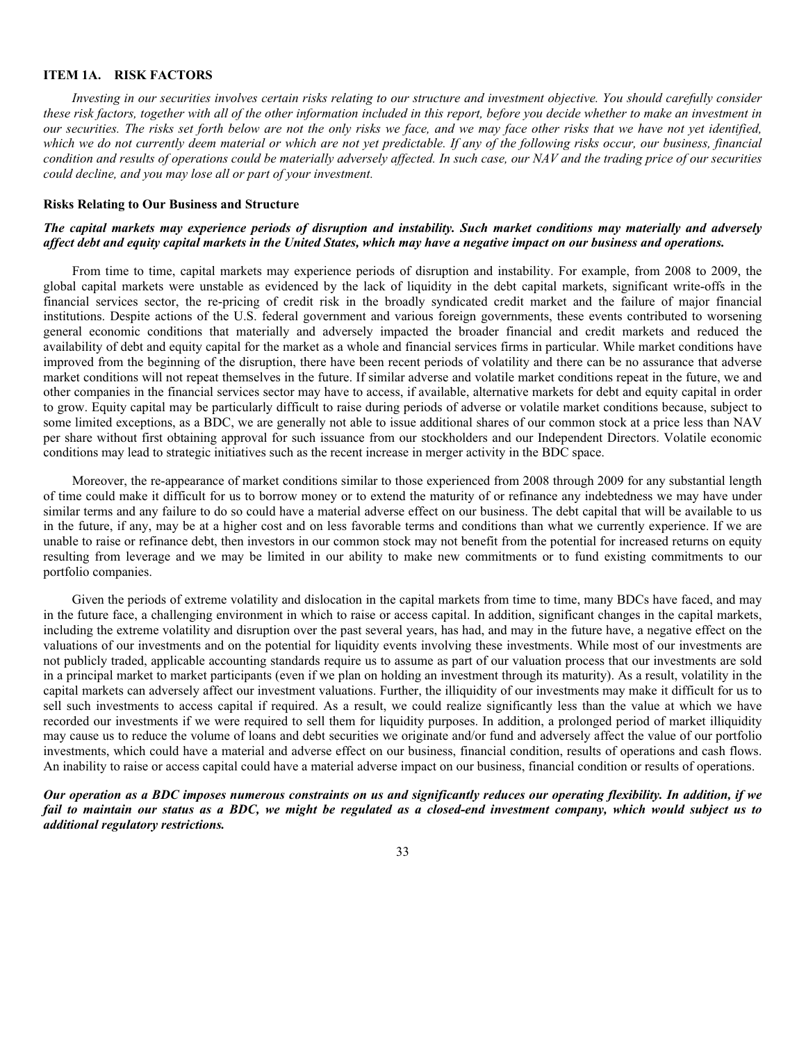# **ITEM 1A. RISK FACTORS**

*Investing in our securities involves certain risks relating to our structure and investment objective. You should carefully consider these risk factors, together with all of the other information included in this report, before you decide whether to make an investment in our securities. The risks set forth below are not the only risks we face, and we may face other risks that we have not yet identified, which we do not currently deem material or which are not yet predictable. If any of the following risks occur, our business, financial condition and results of operations could be materially adversely affected. In such case, our NAV and the trading price of our securities could decline, and you may lose all or part of your investment.* 

#### **Risks Relating to Our Business and Structure**

# *The capital markets may experience periods of disruption and instability. Such market conditions may materially and adversely affect debt and equity capital markets in the United States, which may have a negative impact on our business and operations.*

From time to time, capital markets may experience periods of disruption and instability. For example, from 2008 to 2009, the global capital markets were unstable as evidenced by the lack of liquidity in the debt capital markets, significant write-offs in the financial services sector, the re-pricing of credit risk in the broadly syndicated credit market and the failure of major financial institutions. Despite actions of the U.S. federal government and various foreign governments, these events contributed to worsening general economic conditions that materially and adversely impacted the broader financial and credit markets and reduced the availability of debt and equity capital for the market as a whole and financial services firms in particular. While market conditions have improved from the beginning of the disruption, there have been recent periods of volatility and there can be no assurance that adverse market conditions will not repeat themselves in the future. If similar adverse and volatile market conditions repeat in the future, we and other companies in the financial services sector may have to access, if available, alternative markets for debt and equity capital in order to grow. Equity capital may be particularly difficult to raise during periods of adverse or volatile market conditions because, subject to some limited exceptions, as a BDC, we are generally not able to issue additional shares of our common stock at a price less than NAV per share without first obtaining approval for such issuance from our stockholders and our Independent Directors. Volatile economic conditions may lead to strategic initiatives such as the recent increase in merger activity in the BDC space.

Moreover, the re-appearance of market conditions similar to those experienced from 2008 through 2009 for any substantial length of time could make it difficult for us to borrow money or to extend the maturity of or refinance any indebtedness we may have under similar terms and any failure to do so could have a material adverse effect on our business. The debt capital that will be available to us in the future, if any, may be at a higher cost and on less favorable terms and conditions than what we currently experience. If we are unable to raise or refinance debt, then investors in our common stock may not benefit from the potential for increased returns on equity resulting from leverage and we may be limited in our ability to make new commitments or to fund existing commitments to our portfolio companies.

Given the periods of extreme volatility and dislocation in the capital markets from time to time, many BDCs have faced, and may in the future face, a challenging environment in which to raise or access capital. In addition, significant changes in the capital markets, including the extreme volatility and disruption over the past several years, has had, and may in the future have, a negative effect on the valuations of our investments and on the potential for liquidity events involving these investments. While most of our investments are not publicly traded, applicable accounting standards require us to assume as part of our valuation process that our investments are sold in a principal market to market participants (even if we plan on holding an investment through its maturity). As a result, volatility in the capital markets can adversely affect our investment valuations. Further, the illiquidity of our investments may make it difficult for us to sell such investments to access capital if required. As a result, we could realize significantly less than the value at which we have recorded our investments if we were required to sell them for liquidity purposes. In addition, a prolonged period of market illiquidity may cause us to reduce the volume of loans and debt securities we originate and/or fund and adversely affect the value of our portfolio investments, which could have a material and adverse effect on our business, financial condition, results of operations and cash flows. An inability to raise or access capital could have a material adverse impact on our business, financial condition or results of operations.

*Our operation as a BDC imposes numerous constraints on us and significantly reduces our operating flexibility. In addition, if we fail to maintain our status as a BDC, we might be regulated as a closed-end investment company, which would subject us to additional regulatory restrictions.*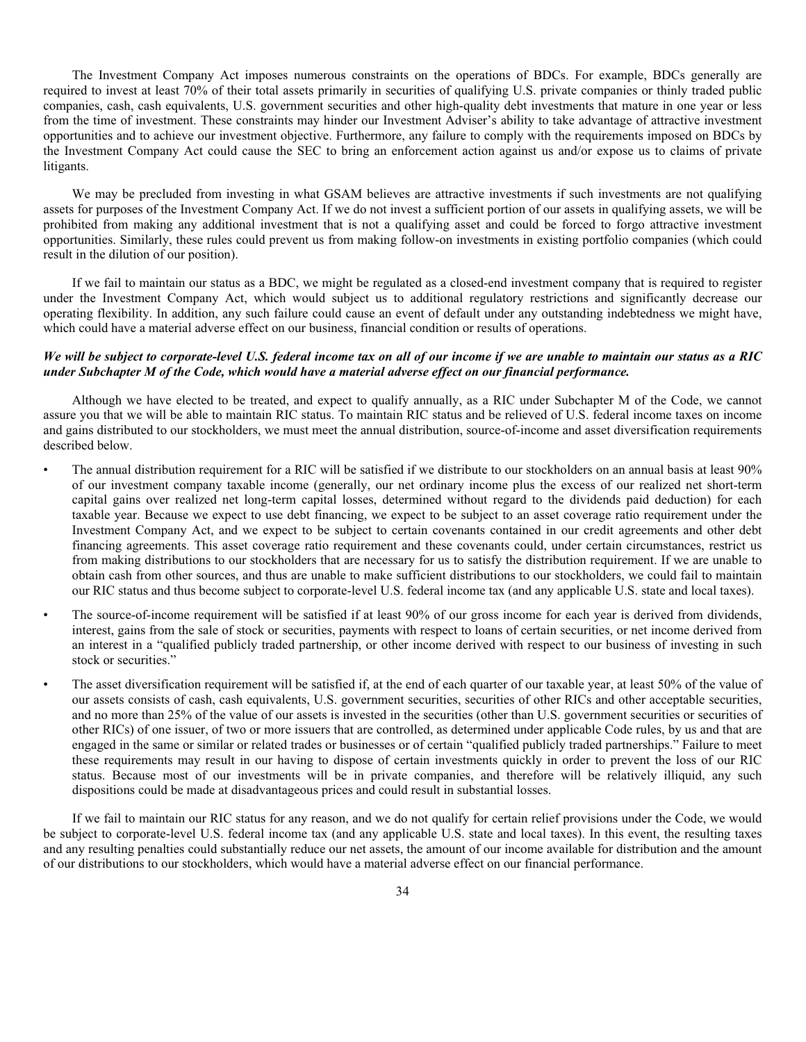The Investment Company Act imposes numerous constraints on the operations of BDCs. For example, BDCs generally are required to invest at least 70% of their total assets primarily in securities of qualifying U.S. private companies or thinly traded public companies, cash, cash equivalents, U.S. government securities and other high-quality debt investments that mature in one year or less from the time of investment. These constraints may hinder our Investment Adviser's ability to take advantage of attractive investment opportunities and to achieve our investment objective. Furthermore, any failure to comply with the requirements imposed on BDCs by the Investment Company Act could cause the SEC to bring an enforcement action against us and/or expose us to claims of private litigants.

We may be precluded from investing in what GSAM believes are attractive investments if such investments are not qualifying assets for purposes of the Investment Company Act. If we do not invest a sufficient portion of our assets in qualifying assets, we will be prohibited from making any additional investment that is not a qualifying asset and could be forced to forgo attractive investment opportunities. Similarly, these rules could prevent us from making follow-on investments in existing portfolio companies (which could result in the dilution of our position).

If we fail to maintain our status as a BDC, we might be regulated as a closed-end investment company that is required to register under the Investment Company Act, which would subject us to additional regulatory restrictions and significantly decrease our operating flexibility. In addition, any such failure could cause an event of default under any outstanding indebtedness we might have, which could have a material adverse effect on our business, financial condition or results of operations.

# *We will be subject to corporate-level U.S. federal income tax on all of our income if we are unable to maintain our status as a RIC under Subchapter M of the Code, which would have a material adverse effect on our financial performance.*

Although we have elected to be treated, and expect to qualify annually, as a RIC under Subchapter M of the Code, we cannot assure you that we will be able to maintain RIC status. To maintain RIC status and be relieved of U.S. federal income taxes on income and gains distributed to our stockholders, we must meet the annual distribution, source-of-income and asset diversification requirements described below.

- The annual distribution requirement for a RIC will be satisfied if we distribute to our stockholders on an annual basis at least 90% of our investment company taxable income (generally, our net ordinary income plus the excess of our realized net short-term capital gains over realized net long-term capital losses, determined without regard to the dividends paid deduction) for each taxable year. Because we expect to use debt financing, we expect to be subject to an asset coverage ratio requirement under the Investment Company Act, and we expect to be subject to certain covenants contained in our credit agreements and other debt financing agreements. This asset coverage ratio requirement and these covenants could, under certain circumstances, restrict us from making distributions to our stockholders that are necessary for us to satisfy the distribution requirement. If we are unable to obtain cash from other sources, and thus are unable to make sufficient distributions to our stockholders, we could fail to maintain our RIC status and thus become subject to corporate-level U.S. federal income tax (and any applicable U.S. state and local taxes).
- The source-of-income requirement will be satisfied if at least 90% of our gross income for each year is derived from dividends, interest, gains from the sale of stock or securities, payments with respect to loans of certain securities, or net income derived from an interest in a "qualified publicly traded partnership, or other income derived with respect to our business of investing in such stock or securities."
- The asset diversification requirement will be satisfied if, at the end of each quarter of our taxable year, at least 50% of the value of our assets consists of cash, cash equivalents, U.S. government securities, securities of other RICs and other acceptable securities, and no more than 25% of the value of our assets is invested in the securities (other than U.S. government securities or securities of other RICs) of one issuer, of two or more issuers that are controlled, as determined under applicable Code rules, by us and that are engaged in the same or similar or related trades or businesses or of certain "qualified publicly traded partnerships." Failure to meet these requirements may result in our having to dispose of certain investments quickly in order to prevent the loss of our RIC status. Because most of our investments will be in private companies, and therefore will be relatively illiquid, any such dispositions could be made at disadvantageous prices and could result in substantial losses.

If we fail to maintain our RIC status for any reason, and we do not qualify for certain relief provisions under the Code, we would be subject to corporate-level U.S. federal income tax (and any applicable U.S. state and local taxes). In this event, the resulting taxes and any resulting penalties could substantially reduce our net assets, the amount of our income available for distribution and the amount of our distributions to our stockholders, which would have a material adverse effect on our financial performance.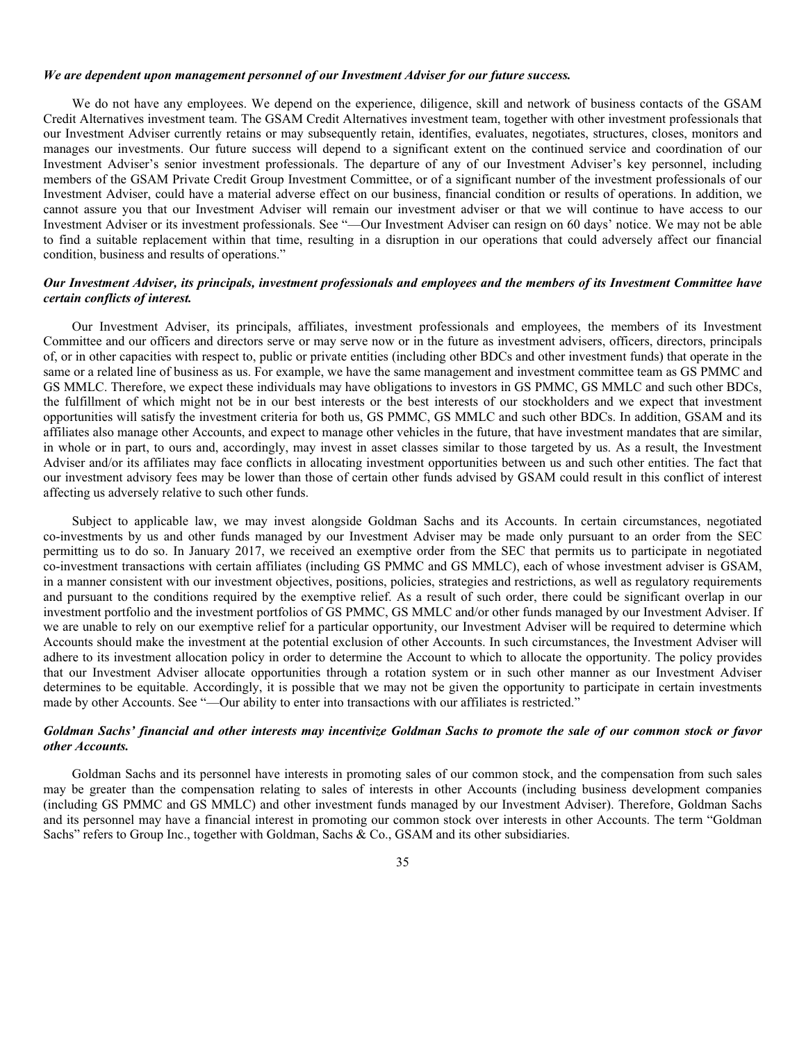#### *We are dependent upon management personnel of our Investment Adviser for our future success.*

We do not have any employees. We depend on the experience, diligence, skill and network of business contacts of the GSAM Credit Alternatives investment team. The GSAM Credit Alternatives investment team, together with other investment professionals that our Investment Adviser currently retains or may subsequently retain, identifies, evaluates, negotiates, structures, closes, monitors and manages our investments. Our future success will depend to a significant extent on the continued service and coordination of our Investment Adviser's senior investment professionals. The departure of any of our Investment Adviser's key personnel, including members of the GSAM Private Credit Group Investment Committee, or of a significant number of the investment professionals of our Investment Adviser, could have a material adverse effect on our business, financial condition or results of operations. In addition, we cannot assure you that our Investment Adviser will remain our investment adviser or that we will continue to have access to our Investment Adviser or its investment professionals. See "—Our Investment Adviser can resign on 60 days' notice. We may not be able to find a suitable replacement within that time, resulting in a disruption in our operations that could adversely affect our financial condition, business and results of operations."

# *Our Investment Adviser, its principals, investment professionals and employees and the members of its Investment Committee have certain conflicts of interest.*

Our Investment Adviser, its principals, affiliates, investment professionals and employees, the members of its Investment Committee and our officers and directors serve or may serve now or in the future as investment advisers, officers, directors, principals of, or in other capacities with respect to, public or private entities (including other BDCs and other investment funds) that operate in the same or a related line of business as us. For example, we have the same management and investment committee team as GS PMMC and GS MMLC. Therefore, we expect these individuals may have obligations to investors in GS PMMC, GS MMLC and such other BDCs, the fulfillment of which might not be in our best interests or the best interests of our stockholders and we expect that investment opportunities will satisfy the investment criteria for both us, GS PMMC, GS MMLC and such other BDCs. In addition, GSAM and its affiliates also manage other Accounts, and expect to manage other vehicles in the future, that have investment mandates that are similar, in whole or in part, to ours and, accordingly, may invest in asset classes similar to those targeted by us. As a result, the Investment Adviser and/or its affiliates may face conflicts in allocating investment opportunities between us and such other entities. The fact that our investment advisory fees may be lower than those of certain other funds advised by GSAM could result in this conflict of interest affecting us adversely relative to such other funds.

Subject to applicable law, we may invest alongside Goldman Sachs and its Accounts. In certain circumstances, negotiated co-investments by us and other funds managed by our Investment Adviser may be made only pursuant to an order from the SEC permitting us to do so. In January 2017, we received an exemptive order from the SEC that permits us to participate in negotiated co-investment transactions with certain affiliates (including GS PMMC and GS MMLC), each of whose investment adviser is GSAM, in a manner consistent with our investment objectives, positions, policies, strategies and restrictions, as well as regulatory requirements and pursuant to the conditions required by the exemptive relief. As a result of such order, there could be significant overlap in our investment portfolio and the investment portfolios of GS PMMC, GS MMLC and/or other funds managed by our Investment Adviser. If we are unable to rely on our exemptive relief for a particular opportunity, our Investment Adviser will be required to determine which Accounts should make the investment at the potential exclusion of other Accounts. In such circumstances, the Investment Adviser will adhere to its investment allocation policy in order to determine the Account to which to allocate the opportunity. The policy provides that our Investment Adviser allocate opportunities through a rotation system or in such other manner as our Investment Adviser determines to be equitable. Accordingly, it is possible that we may not be given the opportunity to participate in certain investments made by other Accounts. See "—Our ability to enter into transactions with our affiliates is restricted."

### *Goldman Sachs' financial and other interests may incentivize Goldman Sachs to promote the sale of our common stock or favor other Accounts.*

Goldman Sachs and its personnel have interests in promoting sales of our common stock, and the compensation from such sales may be greater than the compensation relating to sales of interests in other Accounts (including business development companies (including GS PMMC and GS MMLC) and other investment funds managed by our Investment Adviser). Therefore, Goldman Sachs and its personnel may have a financial interest in promoting our common stock over interests in other Accounts. The term "Goldman Sachs" refers to Group Inc., together with Goldman, Sachs & Co., GSAM and its other subsidiaries.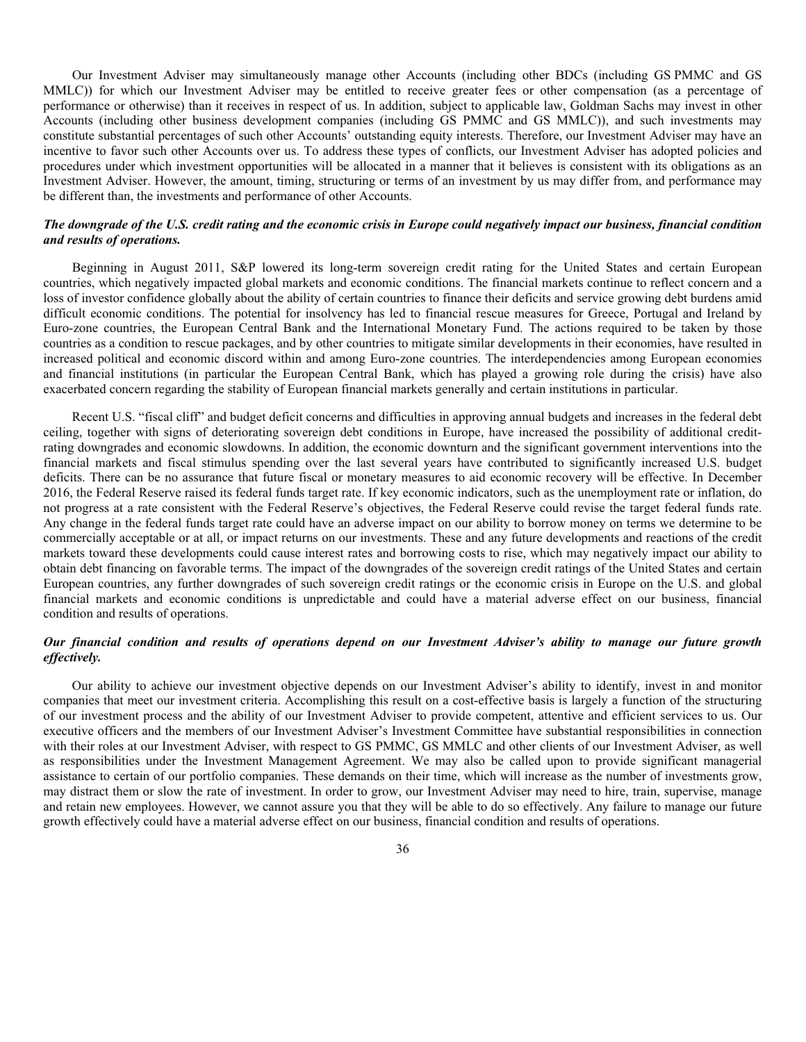Our Investment Adviser may simultaneously manage other Accounts (including other BDCs (including GS PMMC and GS MMLC)) for which our Investment Adviser may be entitled to receive greater fees or other compensation (as a percentage of performance or otherwise) than it receives in respect of us. In addition, subject to applicable law, Goldman Sachs may invest in other Accounts (including other business development companies (including GS PMMC and GS MMLC)), and such investments may constitute substantial percentages of such other Accounts' outstanding equity interests. Therefore, our Investment Adviser may have an incentive to favor such other Accounts over us. To address these types of conflicts, our Investment Adviser has adopted policies and procedures under which investment opportunities will be allocated in a manner that it believes is consistent with its obligations as an Investment Adviser. However, the amount, timing, structuring or terms of an investment by us may differ from, and performance may be different than, the investments and performance of other Accounts.

## *The downgrade of the U.S. credit rating and the economic crisis in Europe could negatively impact our business, financial condition and results of operations.*

Beginning in August 2011, S&P lowered its long-term sovereign credit rating for the United States and certain European countries, which negatively impacted global markets and economic conditions. The financial markets continue to reflect concern and a loss of investor confidence globally about the ability of certain countries to finance their deficits and service growing debt burdens amid difficult economic conditions. The potential for insolvency has led to financial rescue measures for Greece, Portugal and Ireland by Euro-zone countries, the European Central Bank and the International Monetary Fund. The actions required to be taken by those countries as a condition to rescue packages, and by other countries to mitigate similar developments in their economies, have resulted in increased political and economic discord within and among Euro-zone countries. The interdependencies among European economies and financial institutions (in particular the European Central Bank, which has played a growing role during the crisis) have also exacerbated concern regarding the stability of European financial markets generally and certain institutions in particular.

Recent U.S. "fiscal cliff" and budget deficit concerns and difficulties in approving annual budgets and increases in the federal debt ceiling, together with signs of deteriorating sovereign debt conditions in Europe, have increased the possibility of additional creditrating downgrades and economic slowdowns. In addition, the economic downturn and the significant government interventions into the financial markets and fiscal stimulus spending over the last several years have contributed to significantly increased U.S. budget deficits. There can be no assurance that future fiscal or monetary measures to aid economic recovery will be effective. In December 2016, the Federal Reserve raised its federal funds target rate. If key economic indicators, such as the unemployment rate or inflation, do not progress at a rate consistent with the Federal Reserve's objectives, the Federal Reserve could revise the target federal funds rate. Any change in the federal funds target rate could have an adverse impact on our ability to borrow money on terms we determine to be commercially acceptable or at all, or impact returns on our investments. These and any future developments and reactions of the credit markets toward these developments could cause interest rates and borrowing costs to rise, which may negatively impact our ability to obtain debt financing on favorable terms. The impact of the downgrades of the sovereign credit ratings of the United States and certain European countries, any further downgrades of such sovereign credit ratings or the economic crisis in Europe on the U.S. and global financial markets and economic conditions is unpredictable and could have a material adverse effect on our business, financial condition and results of operations.

### *Our financial condition and results of operations depend on our Investment Adviser's ability to manage our future growth effectively.*

Our ability to achieve our investment objective depends on our Investment Adviser's ability to identify, invest in and monitor companies that meet our investment criteria. Accomplishing this result on a cost-effective basis is largely a function of the structuring of our investment process and the ability of our Investment Adviser to provide competent, attentive and efficient services to us. Our executive officers and the members of our Investment Adviser's Investment Committee have substantial responsibilities in connection with their roles at our Investment Adviser, with respect to GS PMMC, GS MMLC and other clients of our Investment Adviser, as well as responsibilities under the Investment Management Agreement. We may also be called upon to provide significant managerial assistance to certain of our portfolio companies. These demands on their time, which will increase as the number of investments grow, may distract them or slow the rate of investment. In order to grow, our Investment Adviser may need to hire, train, supervise, manage and retain new employees. However, we cannot assure you that they will be able to do so effectively. Any failure to manage our future growth effectively could have a material adverse effect on our business, financial condition and results of operations.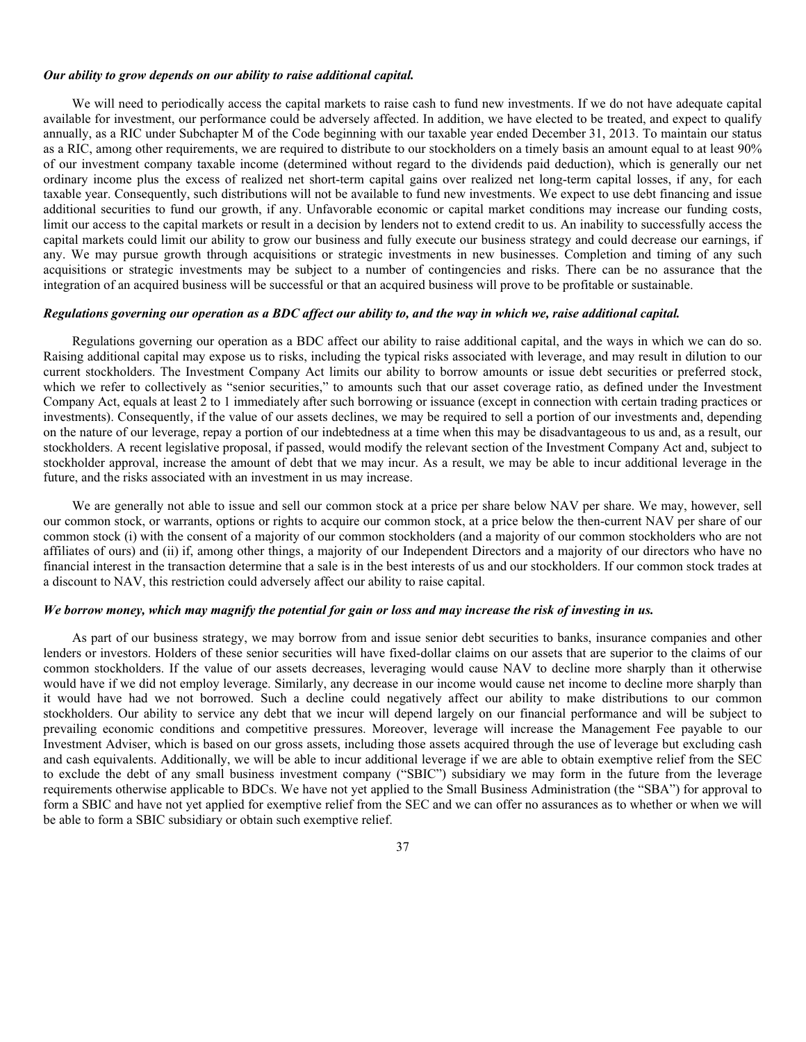#### *Our ability to grow depends on our ability to raise additional capital.*

We will need to periodically access the capital markets to raise cash to fund new investments. If we do not have adequate capital available for investment, our performance could be adversely affected. In addition, we have elected to be treated, and expect to qualify annually, as a RIC under Subchapter M of the Code beginning with our taxable year ended December 31, 2013. To maintain our status as a RIC, among other requirements, we are required to distribute to our stockholders on a timely basis an amount equal to at least 90% of our investment company taxable income (determined without regard to the dividends paid deduction), which is generally our net ordinary income plus the excess of realized net short-term capital gains over realized net long-term capital losses, if any, for each taxable year. Consequently, such distributions will not be available to fund new investments. We expect to use debt financing and issue additional securities to fund our growth, if any. Unfavorable economic or capital market conditions may increase our funding costs, limit our access to the capital markets or result in a decision by lenders not to extend credit to us. An inability to successfully access the capital markets could limit our ability to grow our business and fully execute our business strategy and could decrease our earnings, if any. We may pursue growth through acquisitions or strategic investments in new businesses. Completion and timing of any such acquisitions or strategic investments may be subject to a number of contingencies and risks. There can be no assurance that the integration of an acquired business will be successful or that an acquired business will prove to be profitable or sustainable.

## *Regulations governing our operation as a BDC affect our ability to, and the way in which we, raise additional capital.*

Regulations governing our operation as a BDC affect our ability to raise additional capital, and the ways in which we can do so. Raising additional capital may expose us to risks, including the typical risks associated with leverage, and may result in dilution to our current stockholders. The Investment Company Act limits our ability to borrow amounts or issue debt securities or preferred stock, which we refer to collectively as "senior securities," to amounts such that our asset coverage ratio, as defined under the Investment Company Act, equals at least 2 to 1 immediately after such borrowing or issuance (except in connection with certain trading practices or investments). Consequently, if the value of our assets declines, we may be required to sell a portion of our investments and, depending on the nature of our leverage, repay a portion of our indebtedness at a time when this may be disadvantageous to us and, as a result, our stockholders. A recent legislative proposal, if passed, would modify the relevant section of the Investment Company Act and, subject to stockholder approval, increase the amount of debt that we may incur. As a result, we may be able to incur additional leverage in the future, and the risks associated with an investment in us may increase.

We are generally not able to issue and sell our common stock at a price per share below NAV per share. We may, however, sell our common stock, or warrants, options or rights to acquire our common stock, at a price below the then-current NAV per share of our common stock (i) with the consent of a majority of our common stockholders (and a majority of our common stockholders who are not affiliates of ours) and (ii) if, among other things, a majority of our Independent Directors and a majority of our directors who have no financial interest in the transaction determine that a sale is in the best interests of us and our stockholders. If our common stock trades at a discount to NAV, this restriction could adversely affect our ability to raise capital.

### *We borrow money, which may magnify the potential for gain or loss and may increase the risk of investing in us.*

As part of our business strategy, we may borrow from and issue senior debt securities to banks, insurance companies and other lenders or investors. Holders of these senior securities will have fixed-dollar claims on our assets that are superior to the claims of our common stockholders. If the value of our assets decreases, leveraging would cause NAV to decline more sharply than it otherwise would have if we did not employ leverage. Similarly, any decrease in our income would cause net income to decline more sharply than it would have had we not borrowed. Such a decline could negatively affect our ability to make distributions to our common stockholders. Our ability to service any debt that we incur will depend largely on our financial performance and will be subject to prevailing economic conditions and competitive pressures. Moreover, leverage will increase the Management Fee payable to our Investment Adviser, which is based on our gross assets, including those assets acquired through the use of leverage but excluding cash and cash equivalents. Additionally, we will be able to incur additional leverage if we are able to obtain exemptive relief from the SEC to exclude the debt of any small business investment company ("SBIC") subsidiary we may form in the future from the leverage requirements otherwise applicable to BDCs. We have not yet applied to the Small Business Administration (the "SBA") for approval to form a SBIC and have not yet applied for exemptive relief from the SEC and we can offer no assurances as to whether or when we will be able to form a SBIC subsidiary or obtain such exemptive relief.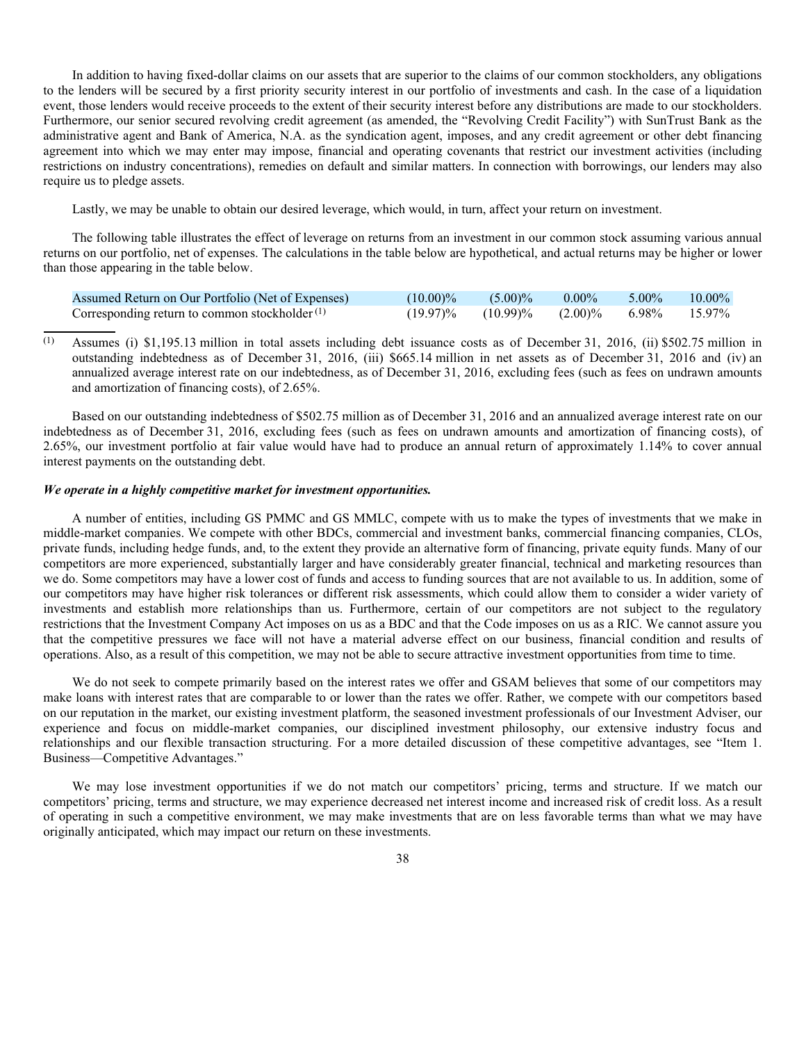In addition to having fixed-dollar claims on our assets that are superior to the claims of our common stockholders, any obligations to the lenders will be secured by a first priority security interest in our portfolio of investments and cash. In the case of a liquidation event, those lenders would receive proceeds to the extent of their security interest before any distributions are made to our stockholders. Furthermore, our senior secured revolving credit agreement (as amended, the "Revolving Credit Facility") with SunTrust Bank as the administrative agent and Bank of America, N.A. as the syndication agent, imposes, and any credit agreement or other debt financing agreement into which we may enter may impose, financial and operating covenants that restrict our investment activities (including restrictions on industry concentrations), remedies on default and similar matters. In connection with borrowings, our lenders may also require us to pledge assets.

Lastly, we may be unable to obtain our desired leverage, which would, in turn, affect your return on investment.

The following table illustrates the effect of leverage on returns from an investment in our common stock assuming various annual returns on our portfolio, net of expenses. The calculations in the table below are hypothetical, and actual returns may be higher or lower than those appearing in the table below.

| Assumed Return on Our Portfolio (Net of Expenses) | $(10.00)\%$ | $(5.00)\%$                                            | $0.00\%$ | $5.00\%$ | $10.00\%$ |
|---------------------------------------------------|-------------|-------------------------------------------------------|----------|----------|-----------|
| Corresponding return to common stockholder $(1)$  |             | $(19.97)\%$ $(10.99)\%$ $(2.00)\%$ $6.98\%$ $15.97\%$ |          |          |           |

(1) Assumes (i) \$1,195.13 million in total assets including debt issuance costs as of December 31, 2016, (ii) \$502.75 million in outstanding indebtedness as of December 31, 2016, (iii) \$665.14 million in net assets as of December 31, 2016 and (iv) an annualized average interest rate on our indebtedness, as of December 31, 2016, excluding fees (such as fees on undrawn amounts and amortization of financing costs), of 2.65%.

Based on our outstanding indebtedness of \$502.75 million as of December 31, 2016 and an annualized average interest rate on our indebtedness as of December 31, 2016, excluding fees (such as fees on undrawn amounts and amortization of financing costs), of 2.65%, our investment portfolio at fair value would have had to produce an annual return of approximately 1.14% to cover annual interest payments on the outstanding debt.

#### *We operate in a highly competitive market for investment opportunities.*

A number of entities, including GS PMMC and GS MMLC, compete with us to make the types of investments that we make in middle-market companies. We compete with other BDCs, commercial and investment banks, commercial financing companies, CLOs, private funds, including hedge funds, and, to the extent they provide an alternative form of financing, private equity funds. Many of our competitors are more experienced, substantially larger and have considerably greater financial, technical and marketing resources than we do. Some competitors may have a lower cost of funds and access to funding sources that are not available to us. In addition, some of our competitors may have higher risk tolerances or different risk assessments, which could allow them to consider a wider variety of investments and establish more relationships than us. Furthermore, certain of our competitors are not subject to the regulatory restrictions that the Investment Company Act imposes on us as a BDC and that the Code imposes on us as a RIC. We cannot assure you that the competitive pressures we face will not have a material adverse effect on our business, financial condition and results of operations. Also, as a result of this competition, we may not be able to secure attractive investment opportunities from time to time.

We do not seek to compete primarily based on the interest rates we offer and GSAM believes that some of our competitors may make loans with interest rates that are comparable to or lower than the rates we offer. Rather, we compete with our competitors based on our reputation in the market, our existing investment platform, the seasoned investment professionals of our Investment Adviser, our experience and focus on middle-market companies, our disciplined investment philosophy, our extensive industry focus and relationships and our flexible transaction structuring. For a more detailed discussion of these competitive advantages, see "Item 1. Business—Competitive Advantages."

We may lose investment opportunities if we do not match our competitors' pricing, terms and structure. If we match our competitors' pricing, terms and structure, we may experience decreased net interest income and increased risk of credit loss. As a result of operating in such a competitive environment, we may make investments that are on less favorable terms than what we may have originally anticipated, which may impact our return on these investments.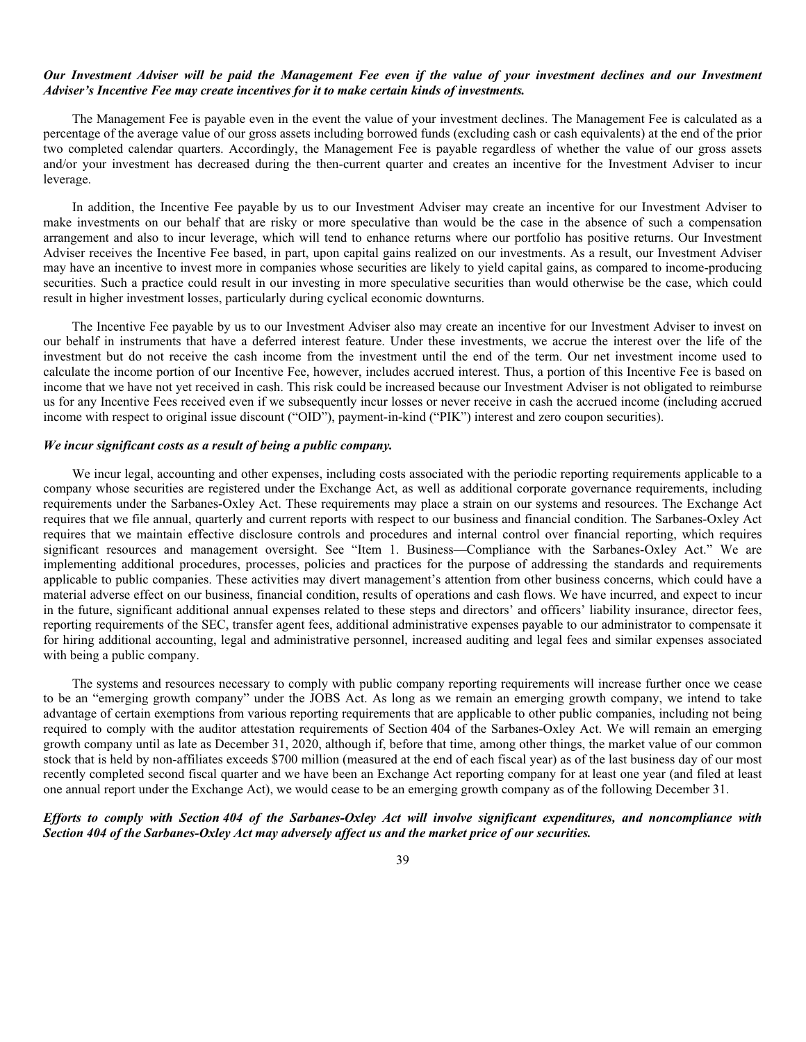### *Our Investment Adviser will be paid the Management Fee even if the value of your investment declines and our Investment Adviser's Incentive Fee may create incentives for it to make certain kinds of investments.*

The Management Fee is payable even in the event the value of your investment declines. The Management Fee is calculated as a percentage of the average value of our gross assets including borrowed funds (excluding cash or cash equivalents) at the end of the prior two completed calendar quarters. Accordingly, the Management Fee is payable regardless of whether the value of our gross assets and/or your investment has decreased during the then-current quarter and creates an incentive for the Investment Adviser to incur leverage.

In addition, the Incentive Fee payable by us to our Investment Adviser may create an incentive for our Investment Adviser to make investments on our behalf that are risky or more speculative than would be the case in the absence of such a compensation arrangement and also to incur leverage, which will tend to enhance returns where our portfolio has positive returns. Our Investment Adviser receives the Incentive Fee based, in part, upon capital gains realized on our investments. As a result, our Investment Adviser may have an incentive to invest more in companies whose securities are likely to yield capital gains, as compared to income-producing securities. Such a practice could result in our investing in more speculative securities than would otherwise be the case, which could result in higher investment losses, particularly during cyclical economic downturns.

The Incentive Fee payable by us to our Investment Adviser also may create an incentive for our Investment Adviser to invest on our behalf in instruments that have a deferred interest feature. Under these investments, we accrue the interest over the life of the investment but do not receive the cash income from the investment until the end of the term. Our net investment income used to calculate the income portion of our Incentive Fee, however, includes accrued interest. Thus, a portion of this Incentive Fee is based on income that we have not yet received in cash. This risk could be increased because our Investment Adviser is not obligated to reimburse us for any Incentive Fees received even if we subsequently incur losses or never receive in cash the accrued income (including accrued income with respect to original issue discount ("OID"), payment-in-kind ("PIK") interest and zero coupon securities).

### *We incur significant costs as a result of being a public company.*

We incur legal, accounting and other expenses, including costs associated with the periodic reporting requirements applicable to a company whose securities are registered under the Exchange Act, as well as additional corporate governance requirements, including requirements under the Sarbanes-Oxley Act. These requirements may place a strain on our systems and resources. The Exchange Act requires that we file annual, quarterly and current reports with respect to our business and financial condition. The Sarbanes-Oxley Act requires that we maintain effective disclosure controls and procedures and internal control over financial reporting, which requires significant resources and management oversight. See "Item 1. Business—Compliance with the Sarbanes-Oxley Act." We are implementing additional procedures, processes, policies and practices for the purpose of addressing the standards and requirements applicable to public companies. These activities may divert management's attention from other business concerns, which could have a material adverse effect on our business, financial condition, results of operations and cash flows. We have incurred, and expect to incur in the future, significant additional annual expenses related to these steps and directors' and officers' liability insurance, director fees, reporting requirements of the SEC, transfer agent fees, additional administrative expenses payable to our administrator to compensate it for hiring additional accounting, legal and administrative personnel, increased auditing and legal fees and similar expenses associated with being a public company.

The systems and resources necessary to comply with public company reporting requirements will increase further once we cease to be an "emerging growth company" under the JOBS Act. As long as we remain an emerging growth company, we intend to take advantage of certain exemptions from various reporting requirements that are applicable to other public companies, including not being required to comply with the auditor attestation requirements of Section 404 of the Sarbanes-Oxley Act. We will remain an emerging growth company until as late as December 31, 2020, although if, before that time, among other things, the market value of our common stock that is held by non-affiliates exceeds \$700 million (measured at the end of each fiscal year) as of the last business day of our most recently completed second fiscal quarter and we have been an Exchange Act reporting company for at least one year (and filed at least one annual report under the Exchange Act), we would cease to be an emerging growth company as of the following December 31.

## *Efforts to comply with Section 404 of the Sarbanes-Oxley Act will involve significant expenditures, and noncompliance with Section 404 of the Sarbanes-Oxley Act may adversely affect us and the market price of our securities.*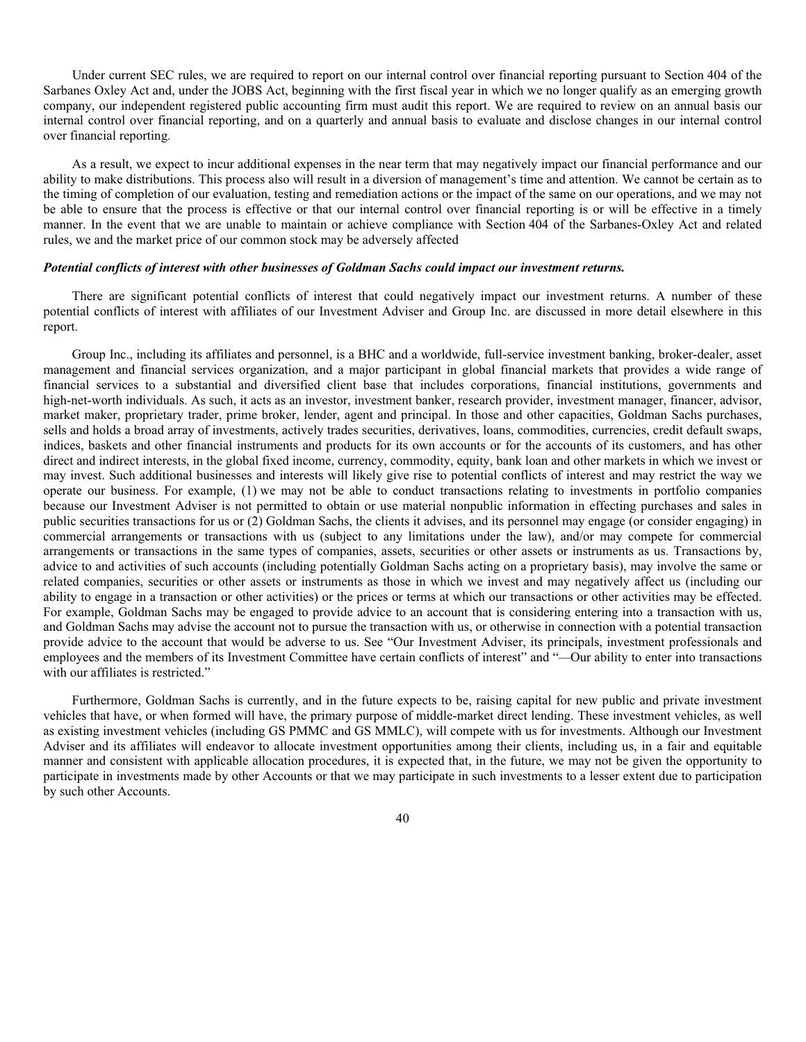Under current SEC rules, we are required to report on our internal control over financial reporting pursuant to Section 404 of the Sarbanes Oxley Act and, under the JOBS Act, beginning with the first fiscal year in which we no longer qualify as an emerging growth company, our independent registered public accounting firm must audit this report. We are required to review on an annual basis our internal control over financial reporting, and on a quarterly and annual basis to evaluate and disclose changes in our internal control over financial reporting.

As a result, we expect to incur additional expenses in the near term that may negatively impact our financial performance and our ability to make distributions. This process also will result in a diversion of management's time and attention. We cannot be certain as to the timing of completion of our evaluation, testing and remediation actions or the impact of the same on our operations, and we may not be able to ensure that the process is effective or that our internal control over financial reporting is or will be effective in a timely manner. In the event that we are unable to maintain or achieve compliance with Section 404 of the Sarbanes-Oxley Act and related rules, we and the market price of our common stock may be adversely affected

## *Potential conflicts of interest with other businesses of Goldman Sachs could impact our investment returns.*

There are significant potential conflicts of interest that could negatively impact our investment returns. A number of these potential conflicts of interest with affiliates of our Investment Adviser and Group Inc. are discussed in more detail elsewhere in this report.

Group Inc., including its affiliates and personnel, is a BHC and a worldwide, full-service investment banking, broker-dealer, asset management and financial services organization, and a major participant in global financial markets that provides a wide range of financial services to a substantial and diversified client base that includes corporations, financial institutions, governments and high-net-worth individuals. As such, it acts as an investor, investment banker, research provider, investment manager, financer, advisor, market maker, proprietary trader, prime broker, lender, agent and principal. In those and other capacities, Goldman Sachs purchases, sells and holds a broad array of investments, actively trades securities, derivatives, loans, commodities, currencies, credit default swaps, indices, baskets and other financial instruments and products for its own accounts or for the accounts of its customers, and has other direct and indirect interests, in the global fixed income, currency, commodity, equity, bank loan and other markets in which we invest or may invest. Such additional businesses and interests will likely give rise to potential conflicts of interest and may restrict the way we operate our business. For example, (1) we may not be able to conduct transactions relating to investments in portfolio companies because our Investment Adviser is not permitted to obtain or use material nonpublic information in effecting purchases and sales in public securities transactions for us or (2) Goldman Sachs, the clients it advises, and its personnel may engage (or consider engaging) in commercial arrangements or transactions with us (subject to any limitations under the law), and/or may compete for commercial arrangements or transactions in the same types of companies, assets, securities or other assets or instruments as us. Transactions by, advice to and activities of such accounts (including potentially Goldman Sachs acting on a proprietary basis), may involve the same or related companies, securities or other assets or instruments as those in which we invest and may negatively affect us (including our ability to engage in a transaction or other activities) or the prices or terms at which our transactions or other activities may be effected. For example, Goldman Sachs may be engaged to provide advice to an account that is considering entering into a transaction with us, and Goldman Sachs may advise the account not to pursue the transaction with us, or otherwise in connection with a potential transaction provide advice to the account that would be adverse to us. See "Our Investment Adviser, its principals, investment professionals and employees and the members of its Investment Committee have certain conflicts of interest" and "*—*Our ability to enter into transactions with our affiliates is restricted."

Furthermore, Goldman Sachs is currently, and in the future expects to be, raising capital for new public and private investment vehicles that have, or when formed will have, the primary purpose of middle-market direct lending. These investment vehicles, as well as existing investment vehicles (including GS PMMC and GS MMLC), will compete with us for investments. Although our Investment Adviser and its affiliates will endeavor to allocate investment opportunities among their clients, including us, in a fair and equitable manner and consistent with applicable allocation procedures, it is expected that, in the future, we may not be given the opportunity to participate in investments made by other Accounts or that we may participate in such investments to a lesser extent due to participation by such other Accounts.

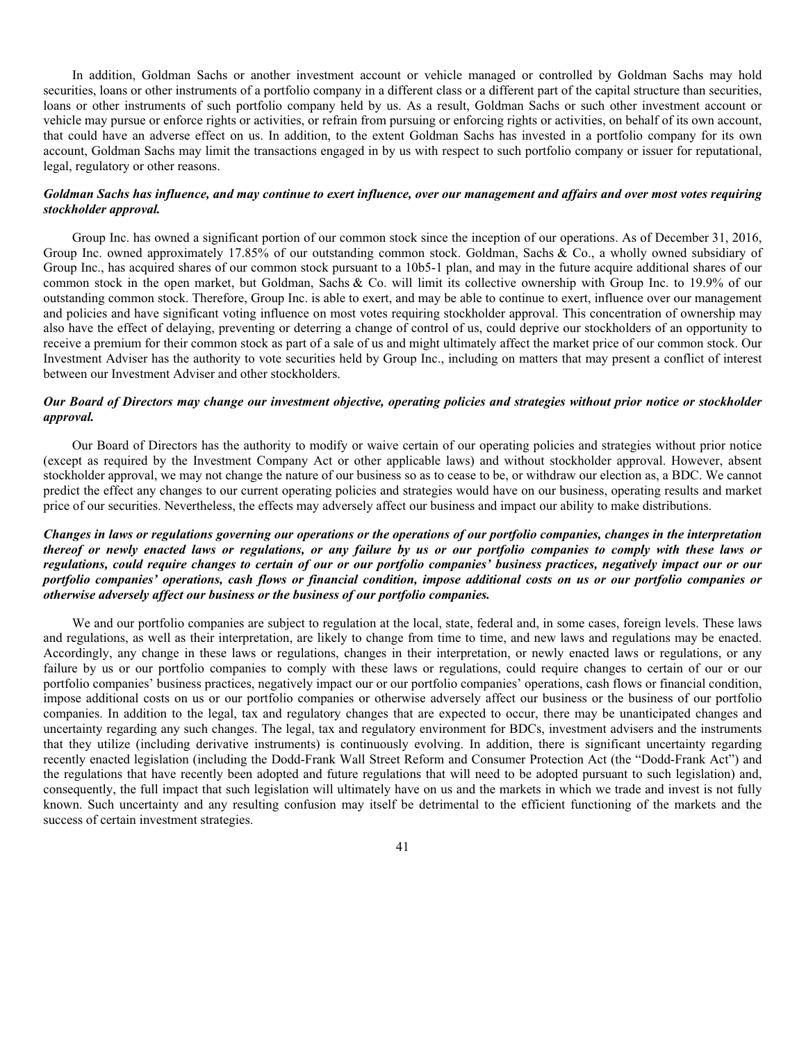In addition, Goldman Sachs or another investment account or vehicle managed or controlled by Goldman Sachs may hold securities, loans or other instruments of a portfolio company in a different class or a different part of the capital structure than securities, loans or other instruments of such portfolio company held by us. As a result, Goldman Sachs or such other investment account or vehicle may pursue or enforce rights or activities, or refrain from pursuing or enforcing rights or activities, on behalf of its own account, that could have an adverse effect on us. In addition, to the extent Goldman Sachs has invested in a portfolio company for its own account, Goldman Sachs may limit the transactions engaged in by us with respect to such portfolio company or issuer for reputational, legal, regulatory or other reasons.

# *Goldman Sachs has influence, and may continue to exert influence, over our management and affairs and over most votes requiring stockholder approval.*

Group Inc. has owned a significant portion of our common stock since the inception of our operations. As of December 31, 2016, Group Inc. owned approximately 17.85% of our outstanding common stock. Goldman, Sachs & Co., a wholly owned subsidiary of Group Inc., has acquired shares of our common stock pursuant to a 10b5-1 plan, and may in the future acquire additional shares of our common stock in the open market, but Goldman, Sachs & Co. will limit its collective ownership with Group Inc. to 19.9% of our outstanding common stock. Therefore, Group Inc. is able to exert, and may be able to continue to exert, influence over our management and policies and have significant voting influence on most votes requiring stockholder approval. This concentration of ownership may also have the effect of delaying, preventing or deterring a change of control of us, could deprive our stockholders of an opportunity to receive a premium for their common stock as part of a sale of us and might ultimately affect the market price of our common stock. Our Investment Adviser has the authority to vote securities held by Group Inc., including on matters that may present a conflict of interest between our Investment Adviser and other stockholders.

## *Our Board of Directors may change our investment objective, operating policies and strategies without prior notice or stockholder approval.*

Our Board of Directors has the authority to modify or waive certain of our operating policies and strategies without prior notice (except as required by the Investment Company Act or other applicable laws) and without stockholder approval. However, absent stockholder approval, we may not change the nature of our business so as to cease to be, or withdraw our election as, a BDC. We cannot predict the effect any changes to our current operating policies and strategies would have on our business, operating results and market price of our securities. Nevertheless, the effects may adversely affect our business and impact our ability to make distributions.

## *Changes in laws or regulations governing our operations or the operations of our portfolio companies, changes in the interpretation thereof or newly enacted laws or regulations, or any failure by us or our portfolio companies to comply with these laws or regulations, could require changes to certain of our or our portfolio companies' business practices, negatively impact our or our portfolio companies' operations, cash flows or financial condition, impose additional costs on us or our portfolio companies or otherwise adversely affect our business or the business of our portfolio companies.*

We and our portfolio companies are subject to regulation at the local, state, federal and, in some cases, foreign levels. These laws and regulations, as well as their interpretation, are likely to change from time to time, and new laws and regulations may be enacted. Accordingly, any change in these laws or regulations, changes in their interpretation, or newly enacted laws or regulations, or any failure by us or our portfolio companies to comply with these laws or regulations, could require changes to certain of our or our portfolio companies' business practices, negatively impact our or our portfolio companies' operations, cash flows or financial condition, impose additional costs on us or our portfolio companies or otherwise adversely affect our business or the business of our portfolio companies. In addition to the legal, tax and regulatory changes that are expected to occur, there may be unanticipated changes and uncertainty regarding any such changes. The legal, tax and regulatory environment for BDCs, investment advisers and the instruments that they utilize (including derivative instruments) is continuously evolving. In addition, there is significant uncertainty regarding recently enacted legislation (including the Dodd-Frank Wall Street Reform and Consumer Protection Act (the "Dodd-Frank Act") and the regulations that have recently been adopted and future regulations that will need to be adopted pursuant to such legislation) and, consequently, the full impact that such legislation will ultimately have on us and the markets in which we trade and invest is not fully known. Such uncertainty and any resulting confusion may itself be detrimental to the efficient functioning of the markets and the success of certain investment strategies.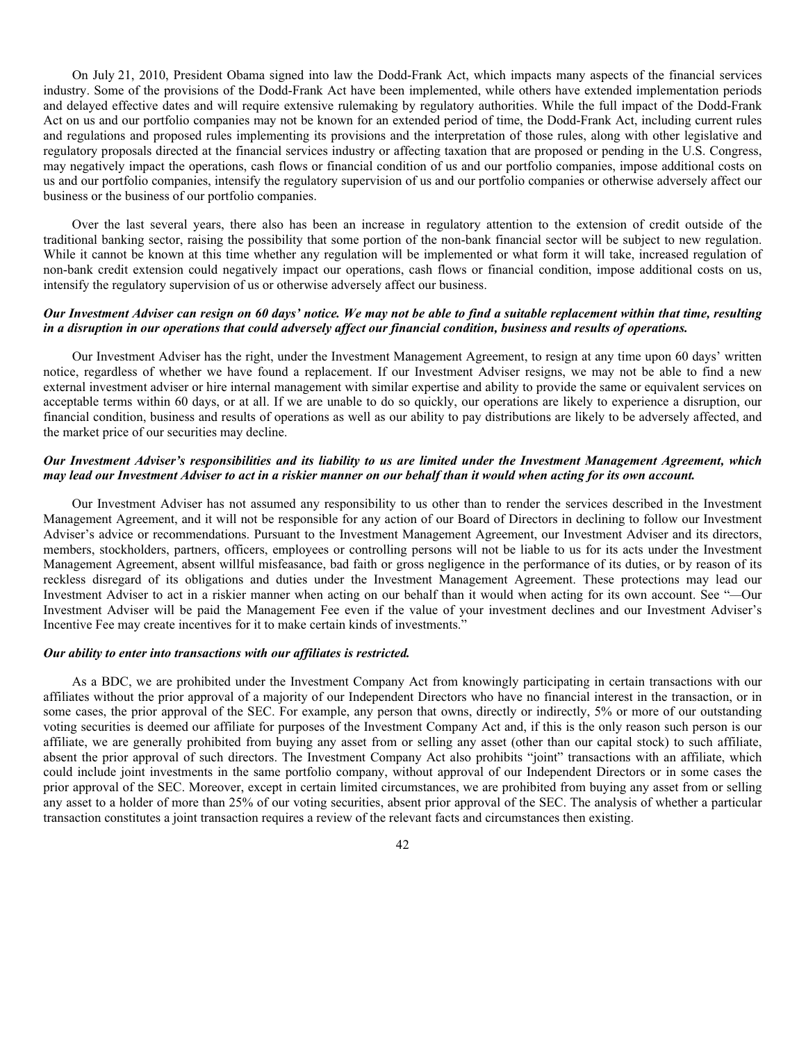On July 21, 2010, President Obama signed into law the Dodd-Frank Act, which impacts many aspects of the financial services industry. Some of the provisions of the Dodd-Frank Act have been implemented, while others have extended implementation periods and delayed effective dates and will require extensive rulemaking by regulatory authorities. While the full impact of the Dodd-Frank Act on us and our portfolio companies may not be known for an extended period of time, the Dodd-Frank Act, including current rules and regulations and proposed rules implementing its provisions and the interpretation of those rules, along with other legislative and regulatory proposals directed at the financial services industry or affecting taxation that are proposed or pending in the U.S. Congress, may negatively impact the operations, cash flows or financial condition of us and our portfolio companies, impose additional costs on us and our portfolio companies, intensify the regulatory supervision of us and our portfolio companies or otherwise adversely affect our business or the business of our portfolio companies.

Over the last several years, there also has been an increase in regulatory attention to the extension of credit outside of the traditional banking sector, raising the possibility that some portion of the non-bank financial sector will be subject to new regulation. While it cannot be known at this time whether any regulation will be implemented or what form it will take, increased regulation of non-bank credit extension could negatively impact our operations, cash flows or financial condition, impose additional costs on us, intensify the regulatory supervision of us or otherwise adversely affect our business.

## *Our Investment Adviser can resign on 60 days' notice. We may not be able to find a suitable replacement within that time, resulting in a disruption in our operations that could adversely affect our financial condition, business and results of operations.*

Our Investment Adviser has the right, under the Investment Management Agreement, to resign at any time upon 60 days' written notice, regardless of whether we have found a replacement. If our Investment Adviser resigns, we may not be able to find a new external investment adviser or hire internal management with similar expertise and ability to provide the same or equivalent services on acceptable terms within 60 days, or at all. If we are unable to do so quickly, our operations are likely to experience a disruption, our financial condition, business and results of operations as well as our ability to pay distributions are likely to be adversely affected, and the market price of our securities may decline.

## *Our Investment Adviser's responsibilities and its liability to us are limited under the Investment Management Agreement, which may lead our Investment Adviser to act in a riskier manner on our behalf than it would when acting for its own account.*

Our Investment Adviser has not assumed any responsibility to us other than to render the services described in the Investment Management Agreement, and it will not be responsible for any action of our Board of Directors in declining to follow our Investment Adviser's advice or recommendations. Pursuant to the Investment Management Agreement, our Investment Adviser and its directors, members, stockholders, partners, officers, employees or controlling persons will not be liable to us for its acts under the Investment Management Agreement, absent willful misfeasance, bad faith or gross negligence in the performance of its duties, or by reason of its reckless disregard of its obligations and duties under the Investment Management Agreement. These protections may lead our Investment Adviser to act in a riskier manner when acting on our behalf than it would when acting for its own account. See "*—*Our Investment Adviser will be paid the Management Fee even if the value of your investment declines and our Investment Adviser's Incentive Fee may create incentives for it to make certain kinds of investments."

#### *Our ability to enter into transactions with our affiliates is restricted.*

As a BDC, we are prohibited under the Investment Company Act from knowingly participating in certain transactions with our affiliates without the prior approval of a majority of our Independent Directors who have no financial interest in the transaction, or in some cases, the prior approval of the SEC. For example, any person that owns, directly or indirectly, 5% or more of our outstanding voting securities is deemed our affiliate for purposes of the Investment Company Act and, if this is the only reason such person is our affiliate, we are generally prohibited from buying any asset from or selling any asset (other than our capital stock) to such affiliate, absent the prior approval of such directors. The Investment Company Act also prohibits "joint" transactions with an affiliate, which could include joint investments in the same portfolio company, without approval of our Independent Directors or in some cases the prior approval of the SEC. Moreover, except in certain limited circumstances, we are prohibited from buying any asset from or selling any asset to a holder of more than 25% of our voting securities, absent prior approval of the SEC. The analysis of whether a particular transaction constitutes a joint transaction requires a review of the relevant facts and circumstances then existing.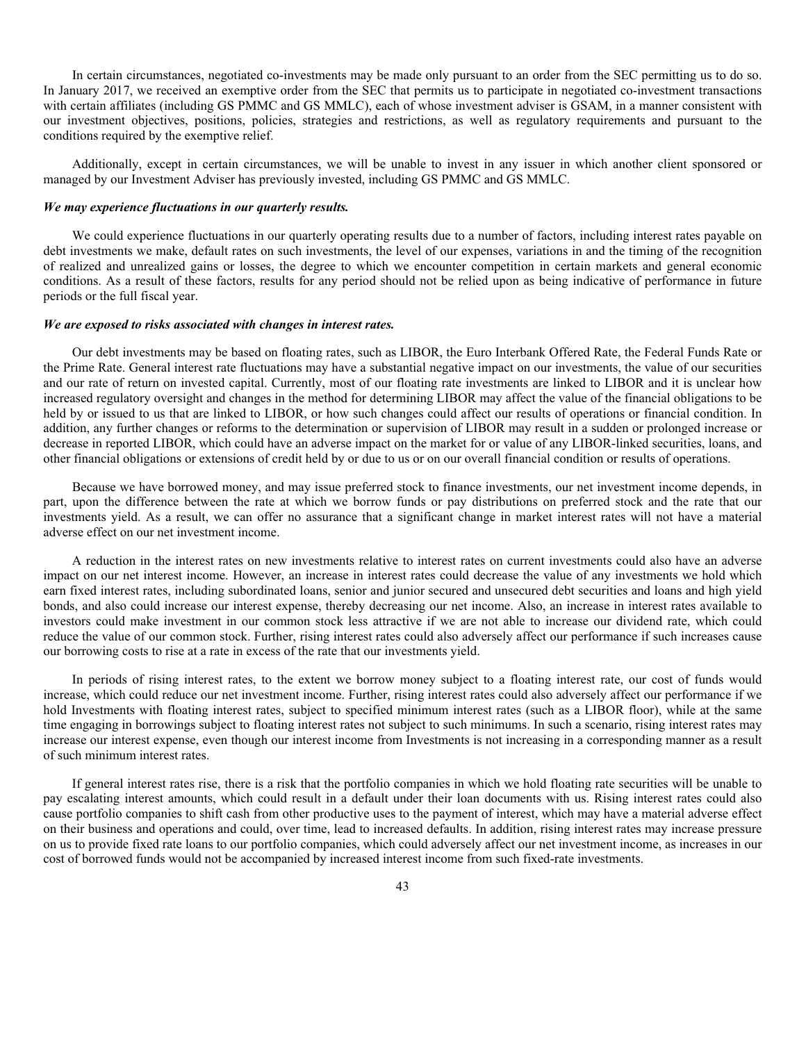In certain circumstances, negotiated co-investments may be made only pursuant to an order from the SEC permitting us to do so. In January 2017, we received an exemptive order from the SEC that permits us to participate in negotiated co-investment transactions with certain affiliates (including GS PMMC and GS MMLC), each of whose investment adviser is GSAM, in a manner consistent with our investment objectives, positions, policies, strategies and restrictions, as well as regulatory requirements and pursuant to the conditions required by the exemptive relief.

Additionally, except in certain circumstances, we will be unable to invest in any issuer in which another client sponsored or managed by our Investment Adviser has previously invested, including GS PMMC and GS MMLC.

#### *We may experience fluctuations in our quarterly results.*

We could experience fluctuations in our quarterly operating results due to a number of factors, including interest rates payable on debt investments we make, default rates on such investments, the level of our expenses, variations in and the timing of the recognition of realized and unrealized gains or losses, the degree to which we encounter competition in certain markets and general economic conditions. As a result of these factors, results for any period should not be relied upon as being indicative of performance in future periods or the full fiscal year.

### *We are exposed to risks associated with changes in interest rates.*

Our debt investments may be based on floating rates, such as LIBOR, the Euro Interbank Offered Rate, the Federal Funds Rate or the Prime Rate. General interest rate fluctuations may have a substantial negative impact on our investments, the value of our securities and our rate of return on invested capital. Currently, most of our floating rate investments are linked to LIBOR and it is unclear how increased regulatory oversight and changes in the method for determining LIBOR may affect the value of the financial obligations to be held by or issued to us that are linked to LIBOR, or how such changes could affect our results of operations or financial condition. In addition, any further changes or reforms to the determination or supervision of LIBOR may result in a sudden or prolonged increase or decrease in reported LIBOR, which could have an adverse impact on the market for or value of any LIBOR-linked securities, loans, and other financial obligations or extensions of credit held by or due to us or on our overall financial condition or results of operations.

Because we have borrowed money, and may issue preferred stock to finance investments, our net investment income depends, in part, upon the difference between the rate at which we borrow funds or pay distributions on preferred stock and the rate that our investments yield. As a result, we can offer no assurance that a significant change in market interest rates will not have a material adverse effect on our net investment income.

A reduction in the interest rates on new investments relative to interest rates on current investments could also have an adverse impact on our net interest income. However, an increase in interest rates could decrease the value of any investments we hold which earn fixed interest rates, including subordinated loans, senior and junior secured and unsecured debt securities and loans and high yield bonds, and also could increase our interest expense, thereby decreasing our net income. Also, an increase in interest rates available to investors could make investment in our common stock less attractive if we are not able to increase our dividend rate, which could reduce the value of our common stock. Further, rising interest rates could also adversely affect our performance if such increases cause our borrowing costs to rise at a rate in excess of the rate that our investments yield.

In periods of rising interest rates, to the extent we borrow money subject to a floating interest rate, our cost of funds would increase, which could reduce our net investment income. Further, rising interest rates could also adversely affect our performance if we hold Investments with floating interest rates, subject to specified minimum interest rates (such as a LIBOR floor), while at the same time engaging in borrowings subject to floating interest rates not subject to such minimums. In such a scenario, rising interest rates may increase our interest expense, even though our interest income from Investments is not increasing in a corresponding manner as a result of such minimum interest rates.

If general interest rates rise, there is a risk that the portfolio companies in which we hold floating rate securities will be unable to pay escalating interest amounts, which could result in a default under their loan documents with us. Rising interest rates could also cause portfolio companies to shift cash from other productive uses to the payment of interest, which may have a material adverse effect on their business and operations and could, over time, lead to increased defaults. In addition, rising interest rates may increase pressure on us to provide fixed rate loans to our portfolio companies, which could adversely affect our net investment income, as increases in our cost of borrowed funds would not be accompanied by increased interest income from such fixed-rate investments.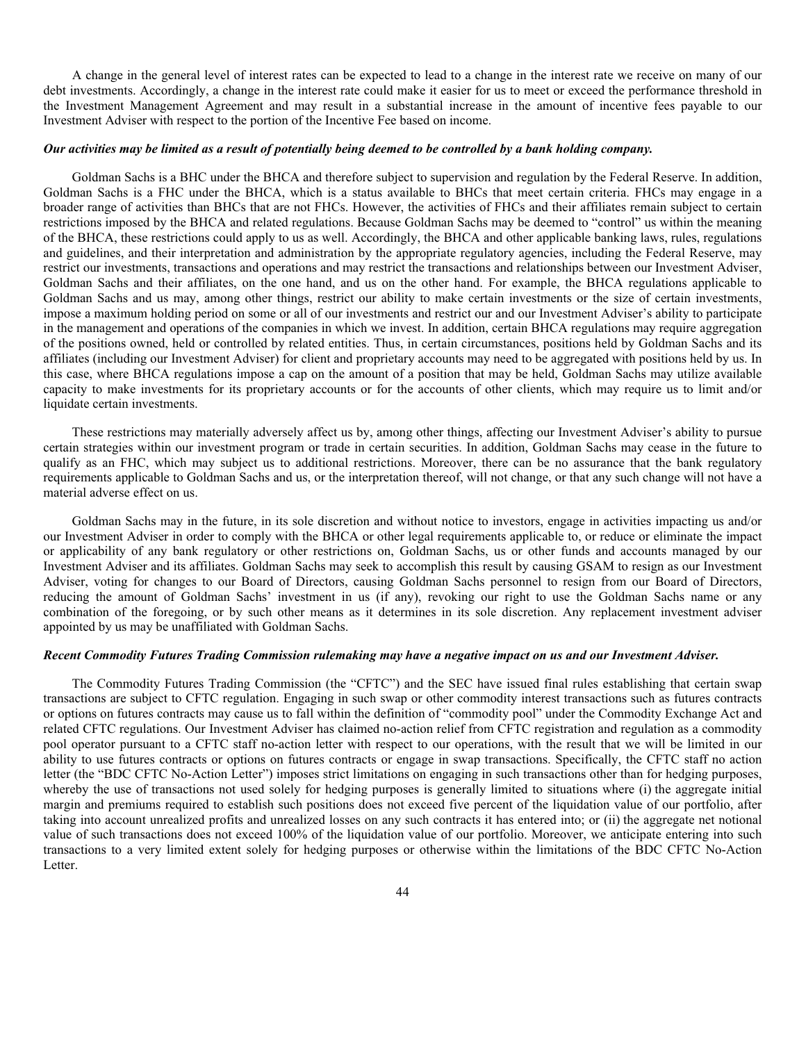A change in the general level of interest rates can be expected to lead to a change in the interest rate we receive on many of our debt investments. Accordingly, a change in the interest rate could make it easier for us to meet or exceed the performance threshold in the Investment Management Agreement and may result in a substantial increase in the amount of incentive fees payable to our Investment Adviser with respect to the portion of the Incentive Fee based on income.

### *Our activities may be limited as a result of potentially being deemed to be controlled by a bank holding company.*

Goldman Sachs is a BHC under the BHCA and therefore subject to supervision and regulation by the Federal Reserve. In addition, Goldman Sachs is a FHC under the BHCA, which is a status available to BHCs that meet certain criteria. FHCs may engage in a broader range of activities than BHCs that are not FHCs. However, the activities of FHCs and their affiliates remain subject to certain restrictions imposed by the BHCA and related regulations. Because Goldman Sachs may be deemed to "control" us within the meaning of the BHCA, these restrictions could apply to us as well. Accordingly, the BHCA and other applicable banking laws, rules, regulations and guidelines, and their interpretation and administration by the appropriate regulatory agencies, including the Federal Reserve, may restrict our investments, transactions and operations and may restrict the transactions and relationships between our Investment Adviser, Goldman Sachs and their affiliates, on the one hand, and us on the other hand. For example, the BHCA regulations applicable to Goldman Sachs and us may, among other things, restrict our ability to make certain investments or the size of certain investments, impose a maximum holding period on some or all of our investments and restrict our and our Investment Adviser's ability to participate in the management and operations of the companies in which we invest. In addition, certain BHCA regulations may require aggregation of the positions owned, held or controlled by related entities. Thus, in certain circumstances, positions held by Goldman Sachs and its affiliates (including our Investment Adviser) for client and proprietary accounts may need to be aggregated with positions held by us. In this case, where BHCA regulations impose a cap on the amount of a position that may be held, Goldman Sachs may utilize available capacity to make investments for its proprietary accounts or for the accounts of other clients, which may require us to limit and/or liquidate certain investments.

These restrictions may materially adversely affect us by, among other things, affecting our Investment Adviser's ability to pursue certain strategies within our investment program or trade in certain securities. In addition, Goldman Sachs may cease in the future to qualify as an FHC, which may subject us to additional restrictions. Moreover, there can be no assurance that the bank regulatory requirements applicable to Goldman Sachs and us, or the interpretation thereof, will not change, or that any such change will not have a material adverse effect on us.

Goldman Sachs may in the future, in its sole discretion and without notice to investors, engage in activities impacting us and/or our Investment Adviser in order to comply with the BHCA or other legal requirements applicable to, or reduce or eliminate the impact or applicability of any bank regulatory or other restrictions on, Goldman Sachs, us or other funds and accounts managed by our Investment Adviser and its affiliates. Goldman Sachs may seek to accomplish this result by causing GSAM to resign as our Investment Adviser, voting for changes to our Board of Directors, causing Goldman Sachs personnel to resign from our Board of Directors, reducing the amount of Goldman Sachs' investment in us (if any), revoking our right to use the Goldman Sachs name or any combination of the foregoing, or by such other means as it determines in its sole discretion. Any replacement investment adviser appointed by us may be unaffiliated with Goldman Sachs.

### *Recent Commodity Futures Trading Commission rulemaking may have a negative impact on us and our Investment Adviser.*

The Commodity Futures Trading Commission (the "CFTC") and the SEC have issued final rules establishing that certain swap transactions are subject to CFTC regulation. Engaging in such swap or other commodity interest transactions such as futures contracts or options on futures contracts may cause us to fall within the definition of "commodity pool" under the Commodity Exchange Act and related CFTC regulations. Our Investment Adviser has claimed no-action relief from CFTC registration and regulation as a commodity pool operator pursuant to a CFTC staff no-action letter with respect to our operations, with the result that we will be limited in our ability to use futures contracts or options on futures contracts or engage in swap transactions. Specifically, the CFTC staff no action letter (the "BDC CFTC No-Action Letter") imposes strict limitations on engaging in such transactions other than for hedging purposes, whereby the use of transactions not used solely for hedging purposes is generally limited to situations where (i) the aggregate initial margin and premiums required to establish such positions does not exceed five percent of the liquidation value of our portfolio, after taking into account unrealized profits and unrealized losses on any such contracts it has entered into; or (ii) the aggregate net notional value of such transactions does not exceed 100% of the liquidation value of our portfolio. Moreover, we anticipate entering into such transactions to a very limited extent solely for hedging purposes or otherwise within the limitations of the BDC CFTC No-Action Letter.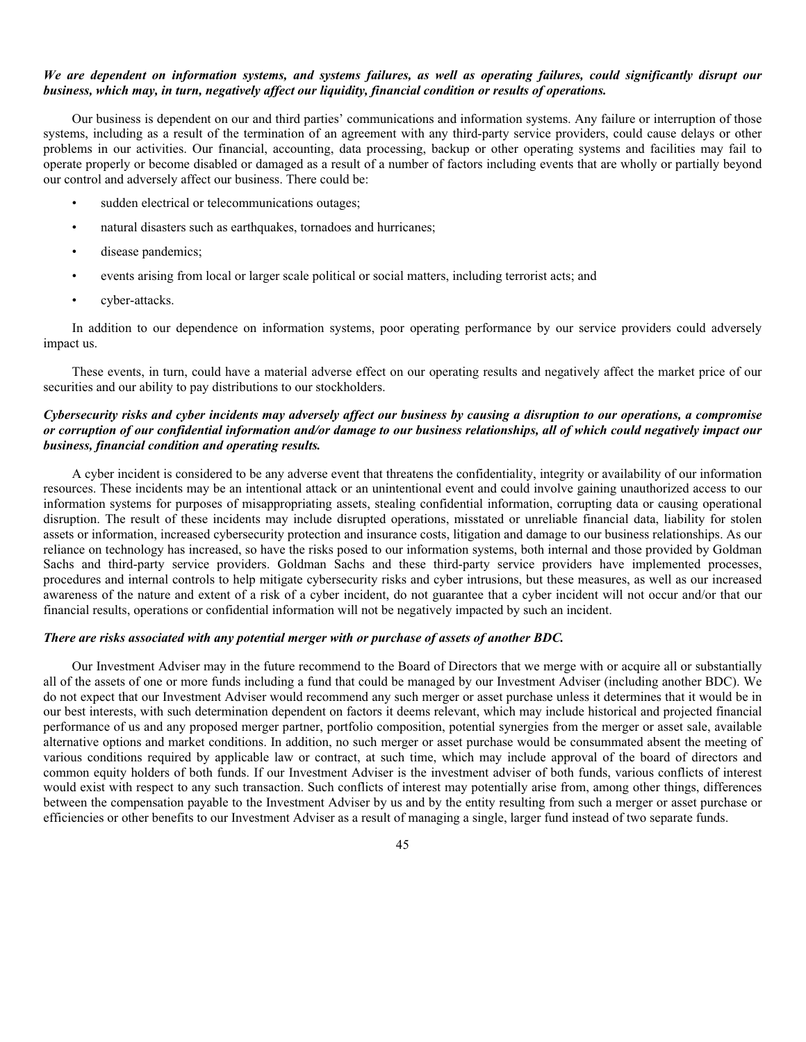### *We are dependent on information systems, and systems failures, as well as operating failures, could significantly disrupt our business, which may, in turn, negatively affect our liquidity, financial condition or results of operations.*

Our business is dependent on our and third parties' communications and information systems. Any failure or interruption of those systems, including as a result of the termination of an agreement with any third-party service providers, could cause delays or other problems in our activities. Our financial, accounting, data processing, backup or other operating systems and facilities may fail to operate properly or become disabled or damaged as a result of a number of factors including events that are wholly or partially beyond our control and adversely affect our business. There could be:

- sudden electrical or telecommunications outages;
- natural disasters such as earthquakes, tornadoes and hurricanes;
- disease pandemics;
- events arising from local or larger scale political or social matters, including terrorist acts; and
- cyber-attacks.

In addition to our dependence on information systems, poor operating performance by our service providers could adversely impact us.

These events, in turn, could have a material adverse effect on our operating results and negatively affect the market price of our securities and our ability to pay distributions to our stockholders.

## *Cybersecurity risks and cyber incidents may adversely affect our business by causing a disruption to our operations, a compromise or corruption of our confidential information and/or damage to our business relationships, all of which could negatively impact our business, financial condition and operating results.*

A cyber incident is considered to be any adverse event that threatens the confidentiality, integrity or availability of our information resources. These incidents may be an intentional attack or an unintentional event and could involve gaining unauthorized access to our information systems for purposes of misappropriating assets, stealing confidential information, corrupting data or causing operational disruption. The result of these incidents may include disrupted operations, misstated or unreliable financial data, liability for stolen assets or information, increased cybersecurity protection and insurance costs, litigation and damage to our business relationships. As our reliance on technology has increased, so have the risks posed to our information systems, both internal and those provided by Goldman Sachs and third-party service providers. Goldman Sachs and these third-party service providers have implemented processes, procedures and internal controls to help mitigate cybersecurity risks and cyber intrusions, but these measures, as well as our increased awareness of the nature and extent of a risk of a cyber incident, do not guarantee that a cyber incident will not occur and/or that our financial results, operations or confidential information will not be negatively impacted by such an incident.

### *There are risks associated with any potential merger with or purchase of assets of another BDC.*

Our Investment Adviser may in the future recommend to the Board of Directors that we merge with or acquire all or substantially all of the assets of one or more funds including a fund that could be managed by our Investment Adviser (including another BDC). We do not expect that our Investment Adviser would recommend any such merger or asset purchase unless it determines that it would be in our best interests, with such determination dependent on factors it deems relevant, which may include historical and projected financial performance of us and any proposed merger partner, portfolio composition, potential synergies from the merger or asset sale, available alternative options and market conditions. In addition, no such merger or asset purchase would be consummated absent the meeting of various conditions required by applicable law or contract, at such time, which may include approval of the board of directors and common equity holders of both funds. If our Investment Adviser is the investment adviser of both funds, various conflicts of interest would exist with respect to any such transaction. Such conflicts of interest may potentially arise from, among other things, differences between the compensation payable to the Investment Adviser by us and by the entity resulting from such a merger or asset purchase or efficiencies or other benefits to our Investment Adviser as a result of managing a single, larger fund instead of two separate funds.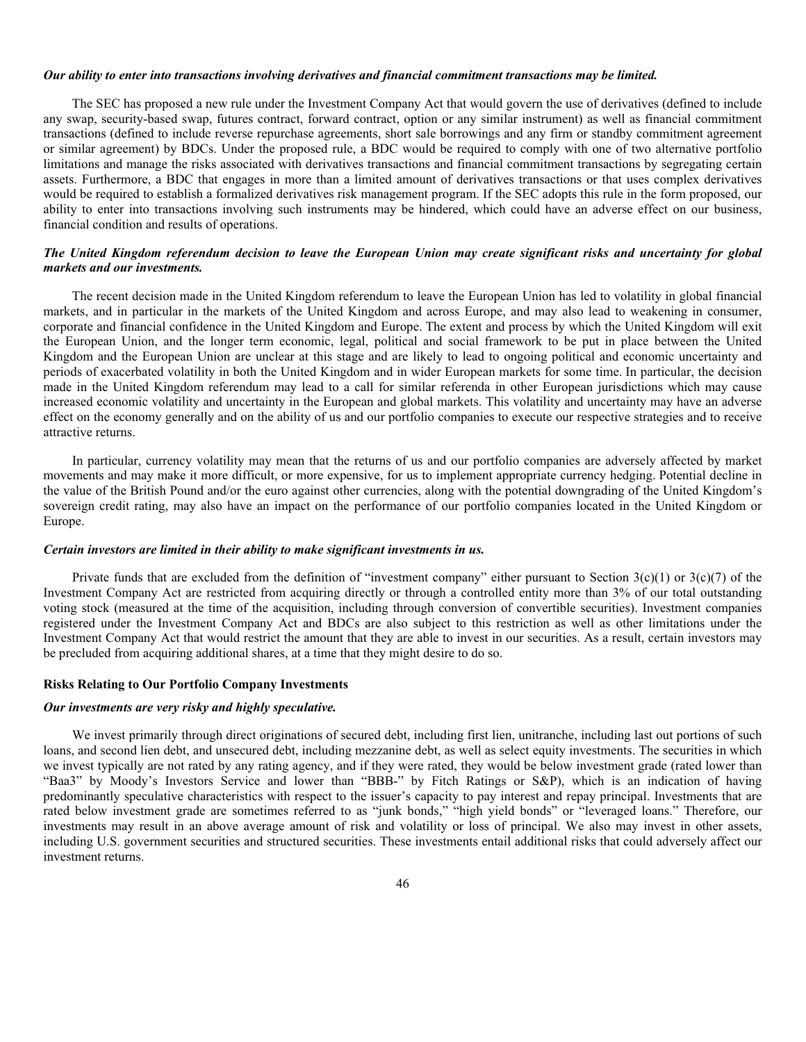#### *Our ability to enter into transactions involving derivatives and financial commitment transactions may be limited.*

The SEC has proposed a new rule under the Investment Company Act that would govern the use of derivatives (defined to include any swap, security-based swap, futures contract, forward contract, option or any similar instrument) as well as financial commitment transactions (defined to include reverse repurchase agreements, short sale borrowings and any firm or standby commitment agreement or similar agreement) by BDCs. Under the proposed rule, a BDC would be required to comply with one of two alternative portfolio limitations and manage the risks associated with derivatives transactions and financial commitment transactions by segregating certain assets. Furthermore, a BDC that engages in more than a limited amount of derivatives transactions or that uses complex derivatives would be required to establish a formalized derivatives risk management program. If the SEC adopts this rule in the form proposed, our ability to enter into transactions involving such instruments may be hindered, which could have an adverse effect on our business, financial condition and results of operations.

## *The United Kingdom referendum decision to leave the European Union may create significant risks and uncertainty for global markets and our investments.*

The recent decision made in the United Kingdom referendum to leave the European Union has led to volatility in global financial markets, and in particular in the markets of the United Kingdom and across Europe, and may also lead to weakening in consumer, corporate and financial confidence in the United Kingdom and Europe. The extent and process by which the United Kingdom will exit the European Union, and the longer term economic, legal, political and social framework to be put in place between the United Kingdom and the European Union are unclear at this stage and are likely to lead to ongoing political and economic uncertainty and periods of exacerbated volatility in both the United Kingdom and in wider European markets for some time. In particular, the decision made in the United Kingdom referendum may lead to a call for similar referenda in other European jurisdictions which may cause increased economic volatility and uncertainty in the European and global markets. This volatility and uncertainty may have an adverse effect on the economy generally and on the ability of us and our portfolio companies to execute our respective strategies and to receive attractive returns.

In particular, currency volatility may mean that the returns of us and our portfolio companies are adversely affected by market movements and may make it more difficult, or more expensive, for us to implement appropriate currency hedging. Potential decline in the value of the British Pound and/or the euro against other currencies, along with the potential downgrading of the United Kingdom's sovereign credit rating, may also have an impact on the performance of our portfolio companies located in the United Kingdom or Europe.

### *Certain investors are limited in their ability to make significant investments in us.*

Private funds that are excluded from the definition of "investment company" either pursuant to Section  $3(c)(1)$  or  $3(c)(7)$  of the Investment Company Act are restricted from acquiring directly or through a controlled entity more than 3% of our total outstanding voting stock (measured at the time of the acquisition, including through conversion of convertible securities). Investment companies registered under the Investment Company Act and BDCs are also subject to this restriction as well as other limitations under the Investment Company Act that would restrict the amount that they are able to invest in our securities. As a result, certain investors may be precluded from acquiring additional shares, at a time that they might desire to do so.

#### **Risks Relating to Our Portfolio Company Investments**

#### *Our investments are very risky and highly speculative.*

We invest primarily through direct originations of secured debt, including first lien, unitranche, including last out portions of such loans, and second lien debt, and unsecured debt, including mezzanine debt, as well as select equity investments. The securities in which we invest typically are not rated by any rating agency, and if they were rated, they would be below investment grade (rated lower than "Baa3" by Moody's Investors Service and lower than "BBB-" by Fitch Ratings or S&P), which is an indication of having predominantly speculative characteristics with respect to the issuer's capacity to pay interest and repay principal. Investments that are rated below investment grade are sometimes referred to as "junk bonds," "high yield bonds" or "leveraged loans." Therefore, our investments may result in an above average amount of risk and volatility or loss of principal. We also may invest in other assets, including U.S. government securities and structured securities. These investments entail additional risks that could adversely affect our investment returns.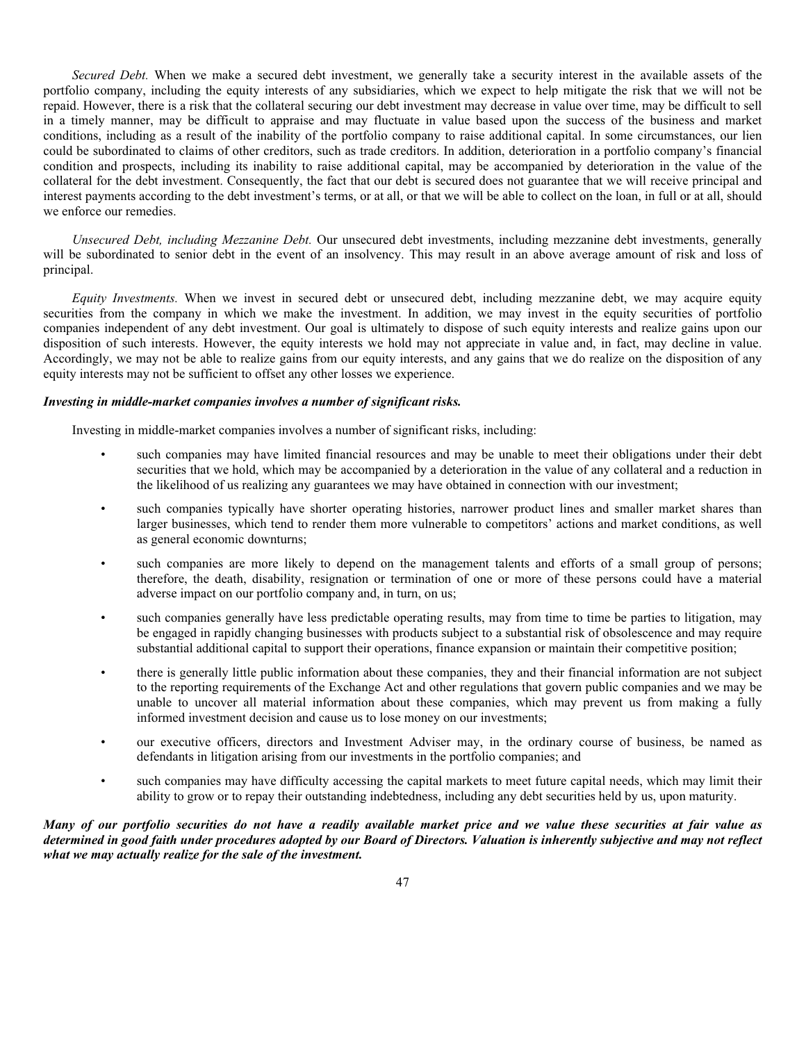*Secured Debt.* When we make a secured debt investment, we generally take a security interest in the available assets of the portfolio company, including the equity interests of any subsidiaries, which we expect to help mitigate the risk that we will not be repaid. However, there is a risk that the collateral securing our debt investment may decrease in value over time, may be difficult to sell in a timely manner, may be difficult to appraise and may fluctuate in value based upon the success of the business and market conditions, including as a result of the inability of the portfolio company to raise additional capital. In some circumstances, our lien could be subordinated to claims of other creditors, such as trade creditors. In addition, deterioration in a portfolio company's financial condition and prospects, including its inability to raise additional capital, may be accompanied by deterioration in the value of the collateral for the debt investment. Consequently, the fact that our debt is secured does not guarantee that we will receive principal and interest payments according to the debt investment's terms, or at all, or that we will be able to collect on the loan, in full or at all, should we enforce our remedies.

*Unsecured Debt, including Mezzanine Debt.* Our unsecured debt investments, including mezzanine debt investments, generally will be subordinated to senior debt in the event of an insolvency. This may result in an above average amount of risk and loss of principal.

*Equity Investments.* When we invest in secured debt or unsecured debt, including mezzanine debt, we may acquire equity securities from the company in which we make the investment. In addition, we may invest in the equity securities of portfolio companies independent of any debt investment. Our goal is ultimately to dispose of such equity interests and realize gains upon our disposition of such interests. However, the equity interests we hold may not appreciate in value and, in fact, may decline in value. Accordingly, we may not be able to realize gains from our equity interests, and any gains that we do realize on the disposition of any equity interests may not be sufficient to offset any other losses we experience.

#### *Investing in middle-market companies involves a number of significant risks.*

Investing in middle-market companies involves a number of significant risks, including:

- such companies may have limited financial resources and may be unable to meet their obligations under their debt securities that we hold, which may be accompanied by a deterioration in the value of any collateral and a reduction in the likelihood of us realizing any guarantees we may have obtained in connection with our investment;
- such companies typically have shorter operating histories, narrower product lines and smaller market shares than larger businesses, which tend to render them more vulnerable to competitors' actions and market conditions, as well as general economic downturns;
- such companies are more likely to depend on the management talents and efforts of a small group of persons; therefore, the death, disability, resignation or termination of one or more of these persons could have a material adverse impact on our portfolio company and, in turn, on us;
- such companies generally have less predictable operating results, may from time to time be parties to litigation, may be engaged in rapidly changing businesses with products subject to a substantial risk of obsolescence and may require substantial additional capital to support their operations, finance expansion or maintain their competitive position;
- there is generally little public information about these companies, they and their financial information are not subject to the reporting requirements of the Exchange Act and other regulations that govern public companies and we may be unable to uncover all material information about these companies, which may prevent us from making a fully informed investment decision and cause us to lose money on our investments;
- our executive officers, directors and Investment Adviser may, in the ordinary course of business, be named as defendants in litigation arising from our investments in the portfolio companies; and
- such companies may have difficulty accessing the capital markets to meet future capital needs, which may limit their ability to grow or to repay their outstanding indebtedness, including any debt securities held by us, upon maturity.

*Many of our portfolio securities do not have a readily available market price and we value these securities at fair value as determined in good faith under procedures adopted by our Board of Directors. Valuation is inherently subjective and may not reflect what we may actually realize for the sale of the investment.*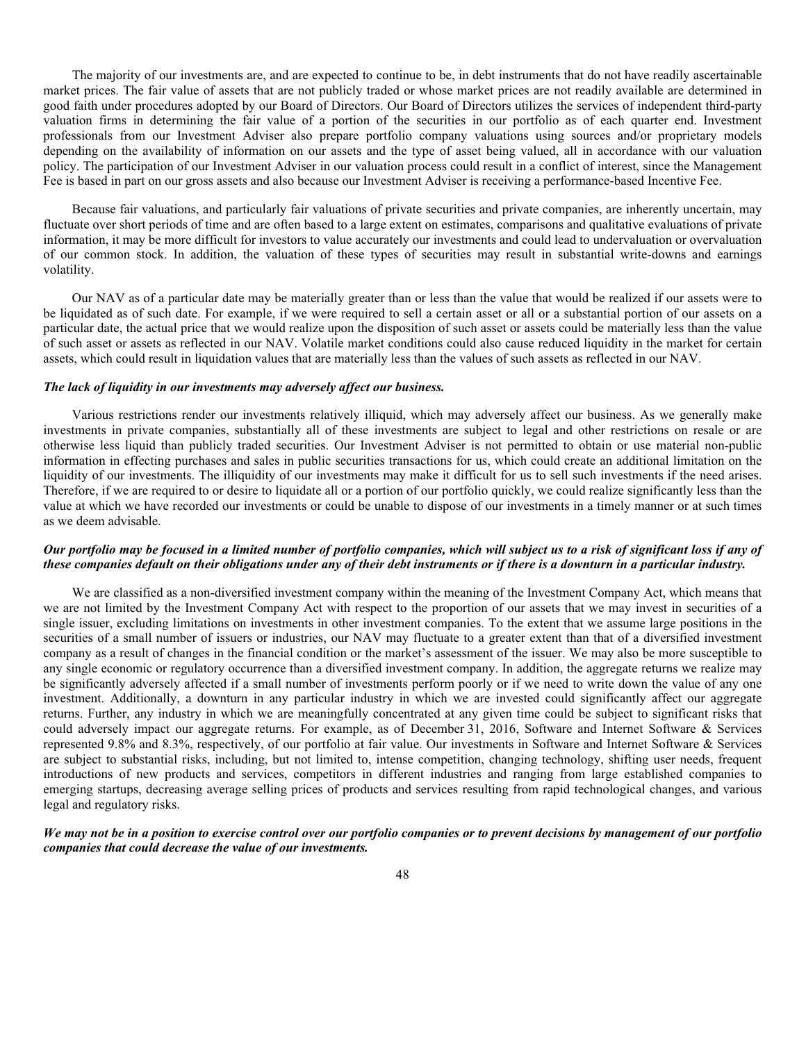The majority of our investments are, and are expected to continue to be, in debt instruments that do not have readily ascertainable market prices. The fair value of assets that are not publicly traded or whose market prices are not readily available are determined in good faith under procedures adopted by our Board of Directors. Our Board of Directors utilizes the services of independent third-party valuation firms in determining the fair value of a portion of the securities in our portfolio as of each quarter end. Investment professionals from our Investment Adviser also prepare portfolio company valuations using sources and/or proprietary models depending on the availability of information on our assets and the type of asset being valued, all in accordance with our valuation policy. The participation of our Investment Adviser in our valuation process could result in a conflict of interest, since the Management Fee is based in part on our gross assets and also because our Investment Adviser is receiving a performance-based Incentive Fee.

Because fair valuations, and particularly fair valuations of private securities and private companies, are inherently uncertain, may fluctuate over short periods of time and are often based to a large extent on estimates, comparisons and qualitative evaluations of private information, it may be more difficult for investors to value accurately our investments and could lead to undervaluation or overvaluation of our common stock. In addition, the valuation of these types of securities may result in substantial write-downs and earnings volatility.

Our NAV as of a particular date may be materially greater than or less than the value that would be realized if our assets were to be liquidated as of such date. For example, if we were required to sell a certain asset or all or a substantial portion of our assets on a particular date, the actual price that we would realize upon the disposition of such asset or assets could be materially less than the value of such asset or assets as reflected in our NAV. Volatile market conditions could also cause reduced liquidity in the market for certain assets, which could result in liquidation values that are materially less than the values of such assets as reflected in our NAV.

### *The lack of liquidity in our investments may adversely affect our business.*

Various restrictions render our investments relatively illiquid, which may adversely affect our business. As we generally make investments in private companies, substantially all of these investments are subject to legal and other restrictions on resale or are otherwise less liquid than publicly traded securities. Our Investment Adviser is not permitted to obtain or use material non-public information in effecting purchases and sales in public securities transactions for us, which could create an additional limitation on the liquidity of our investments. The illiquidity of our investments may make it difficult for us to sell such investments if the need arises. Therefore, if we are required to or desire to liquidate all or a portion of our portfolio quickly, we could realize significantly less than the value at which we have recorded our investments or could be unable to dispose of our investments in a timely manner or at such times as we deem advisable.

## *Our portfolio may be focused in a limited number of portfolio companies, which will subject us to a risk of significant loss if any of these companies default on their obligations under any of their debt instruments or if there is a downturn in a particular industry.*

We are classified as a non-diversified investment company within the meaning of the Investment Company Act, which means that we are not limited by the Investment Company Act with respect to the proportion of our assets that we may invest in securities of a single issuer, excluding limitations on investments in other investment companies. To the extent that we assume large positions in the securities of a small number of issuers or industries, our NAV may fluctuate to a greater extent than that of a diversified investment company as a result of changes in the financial condition or the market's assessment of the issuer. We may also be more susceptible to any single economic or regulatory occurrence than a diversified investment company. In addition, the aggregate returns we realize may be significantly adversely affected if a small number of investments perform poorly or if we need to write down the value of any one investment. Additionally, a downturn in any particular industry in which we are invested could significantly affect our aggregate returns. Further, any industry in which we are meaningfully concentrated at any given time could be subject to significant risks that could adversely impact our aggregate returns. For example, as of December 31, 2016, Software and Internet Software & Services represented 9.8% and 8.3%, respectively, of our portfolio at fair value. Our investments in Software and Internet Software & Services are subject to substantial risks, including, but not limited to, intense competition, changing technology, shifting user needs, frequent introductions of new products and services, competitors in different industries and ranging from large established companies to emerging startups, decreasing average selling prices of products and services resulting from rapid technological changes, and various legal and regulatory risks.

## *We may not be in a position to exercise control over our portfolio companies or to prevent decisions by management of our portfolio companies that could decrease the value of our investments.*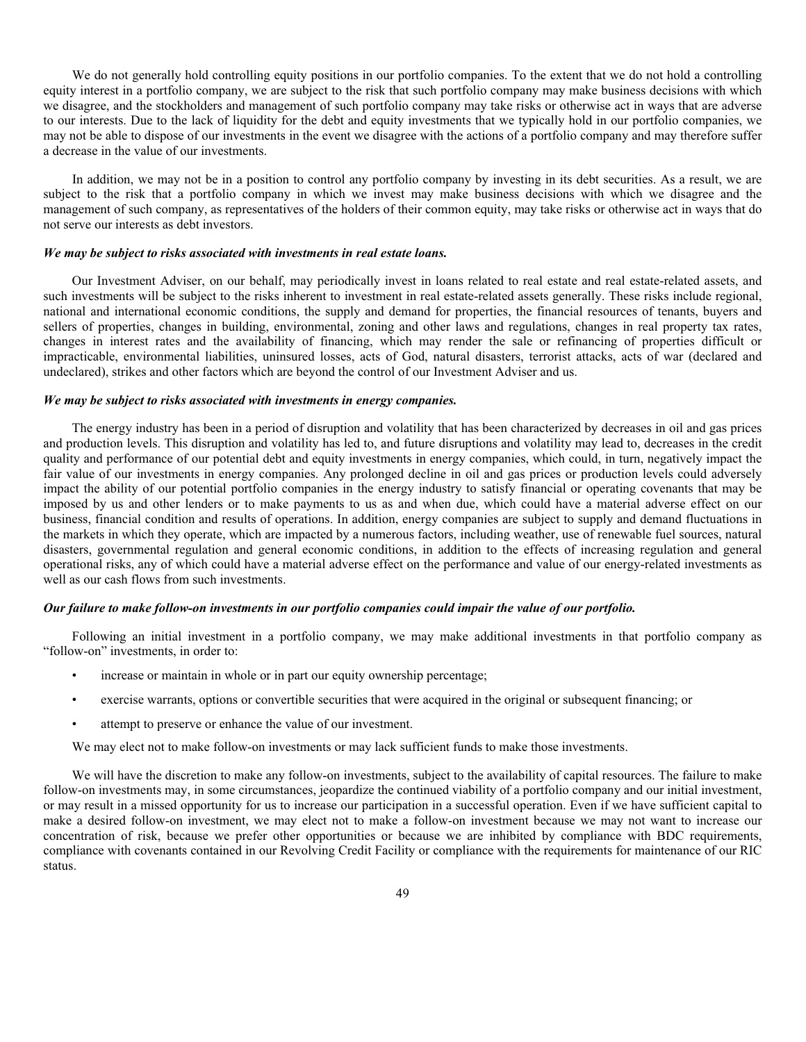We do not generally hold controlling equity positions in our portfolio companies. To the extent that we do not hold a controlling equity interest in a portfolio company, we are subject to the risk that such portfolio company may make business decisions with which we disagree, and the stockholders and management of such portfolio company may take risks or otherwise act in ways that are adverse to our interests. Due to the lack of liquidity for the debt and equity investments that we typically hold in our portfolio companies, we may not be able to dispose of our investments in the event we disagree with the actions of a portfolio company and may therefore suffer a decrease in the value of our investments.

In addition, we may not be in a position to control any portfolio company by investing in its debt securities. As a result, we are subject to the risk that a portfolio company in which we invest may make business decisions with which we disagree and the management of such company, as representatives of the holders of their common equity, may take risks or otherwise act in ways that do not serve our interests as debt investors.

#### *We may be subject to risks associated with investments in real estate loans.*

Our Investment Adviser, on our behalf, may periodically invest in loans related to real estate and real estate-related assets, and such investments will be subject to the risks inherent to investment in real estate-related assets generally. These risks include regional, national and international economic conditions, the supply and demand for properties, the financial resources of tenants, buyers and sellers of properties, changes in building, environmental, zoning and other laws and regulations, changes in real property tax rates, changes in interest rates and the availability of financing, which may render the sale or refinancing of properties difficult or impracticable, environmental liabilities, uninsured losses, acts of God, natural disasters, terrorist attacks, acts of war (declared and undeclared), strikes and other factors which are beyond the control of our Investment Adviser and us.

#### *We may be subject to risks associated with investments in energy companies.*

The energy industry has been in a period of disruption and volatility that has been characterized by decreases in oil and gas prices and production levels. This disruption and volatility has led to, and future disruptions and volatility may lead to, decreases in the credit quality and performance of our potential debt and equity investments in energy companies, which could, in turn, negatively impact the fair value of our investments in energy companies. Any prolonged decline in oil and gas prices or production levels could adversely impact the ability of our potential portfolio companies in the energy industry to satisfy financial or operating covenants that may be imposed by us and other lenders or to make payments to us as and when due, which could have a material adverse effect on our business, financial condition and results of operations. In addition, energy companies are subject to supply and demand fluctuations in the markets in which they operate, which are impacted by a numerous factors, including weather, use of renewable fuel sources, natural disasters, governmental regulation and general economic conditions, in addition to the effects of increasing regulation and general operational risks, any of which could have a material adverse effect on the performance and value of our energy-related investments as well as our cash flows from such investments.

### *Our failure to make follow-on investments in our portfolio companies could impair the value of our portfolio.*

Following an initial investment in a portfolio company, we may make additional investments in that portfolio company as "follow-on" investments, in order to:

- increase or maintain in whole or in part our equity ownership percentage;
- exercise warrants, options or convertible securities that were acquired in the original or subsequent financing; or
- attempt to preserve or enhance the value of our investment.

We may elect not to make follow-on investments or may lack sufficient funds to make those investments.

We will have the discretion to make any follow-on investments, subject to the availability of capital resources. The failure to make follow-on investments may, in some circumstances, jeopardize the continued viability of a portfolio company and our initial investment, or may result in a missed opportunity for us to increase our participation in a successful operation. Even if we have sufficient capital to make a desired follow-on investment, we may elect not to make a follow-on investment because we may not want to increase our concentration of risk, because we prefer other opportunities or because we are inhibited by compliance with BDC requirements, compliance with covenants contained in our Revolving Credit Facility or compliance with the requirements for maintenance of our RIC status.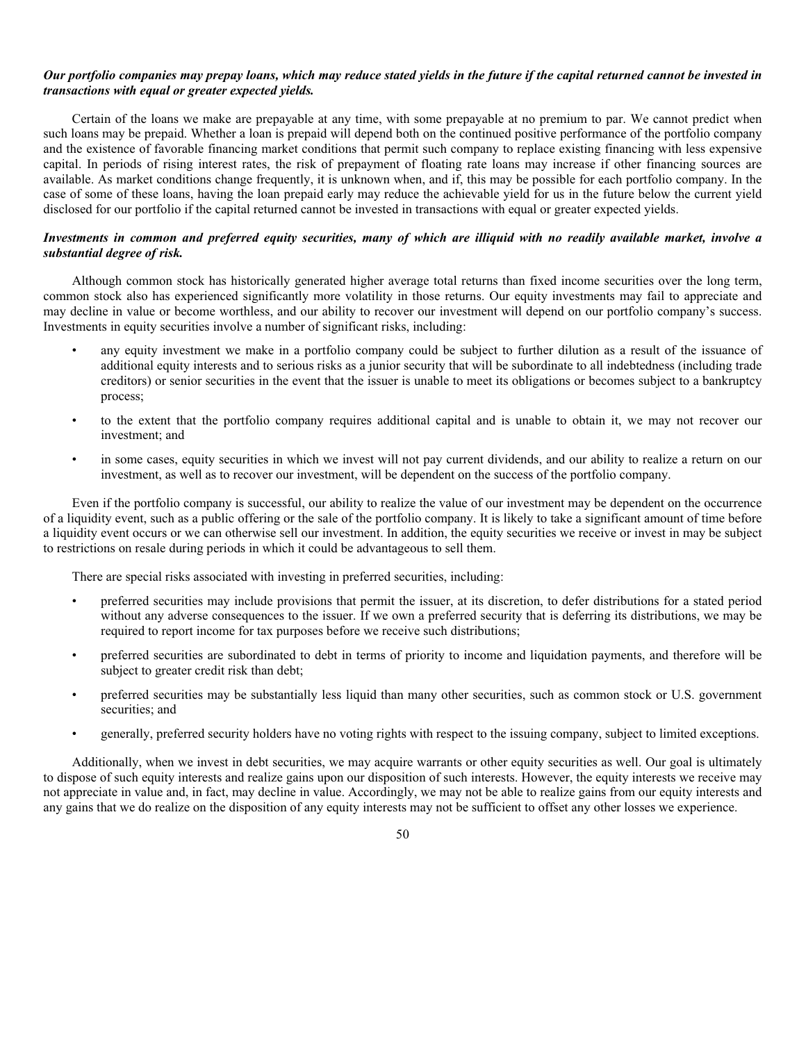### *Our portfolio companies may prepay loans, which may reduce stated yields in the future if the capital returned cannot be invested in transactions with equal or greater expected yields.*

Certain of the loans we make are prepayable at any time, with some prepayable at no premium to par. We cannot predict when such loans may be prepaid. Whether a loan is prepaid will depend both on the continued positive performance of the portfolio company and the existence of favorable financing market conditions that permit such company to replace existing financing with less expensive capital. In periods of rising interest rates, the risk of prepayment of floating rate loans may increase if other financing sources are available. As market conditions change frequently, it is unknown when, and if, this may be possible for each portfolio company. In the case of some of these loans, having the loan prepaid early may reduce the achievable yield for us in the future below the current yield disclosed for our portfolio if the capital returned cannot be invested in transactions with equal or greater expected yields.

# *Investments in common and preferred equity securities, many of which are illiquid with no readily available market, involve a substantial degree of risk.*

Although common stock has historically generated higher average total returns than fixed income securities over the long term, common stock also has experienced significantly more volatility in those returns. Our equity investments may fail to appreciate and may decline in value or become worthless, and our ability to recover our investment will depend on our portfolio company's success. Investments in equity securities involve a number of significant risks, including:

- any equity investment we make in a portfolio company could be subject to further dilution as a result of the issuance of additional equity interests and to serious risks as a junior security that will be subordinate to all indebtedness (including trade creditors) or senior securities in the event that the issuer is unable to meet its obligations or becomes subject to a bankruptcy process;
- to the extent that the portfolio company requires additional capital and is unable to obtain it, we may not recover our investment; and
- in some cases, equity securities in which we invest will not pay current dividends, and our ability to realize a return on our investment, as well as to recover our investment, will be dependent on the success of the portfolio company.

Even if the portfolio company is successful, our ability to realize the value of our investment may be dependent on the occurrence of a liquidity event, such as a public offering or the sale of the portfolio company. It is likely to take a significant amount of time before a liquidity event occurs or we can otherwise sell our investment. In addition, the equity securities we receive or invest in may be subject to restrictions on resale during periods in which it could be advantageous to sell them.

There are special risks associated with investing in preferred securities, including:

- preferred securities may include provisions that permit the issuer, at its discretion, to defer distributions for a stated period without any adverse consequences to the issuer. If we own a preferred security that is deferring its distributions, we may be required to report income for tax purposes before we receive such distributions;
- preferred securities are subordinated to debt in terms of priority to income and liquidation payments, and therefore will be subject to greater credit risk than debt;
- preferred securities may be substantially less liquid than many other securities, such as common stock or U.S. government securities; and
- generally, preferred security holders have no voting rights with respect to the issuing company, subject to limited exceptions.

Additionally, when we invest in debt securities, we may acquire warrants or other equity securities as well. Our goal is ultimately to dispose of such equity interests and realize gains upon our disposition of such interests. However, the equity interests we receive may not appreciate in value and, in fact, may decline in value. Accordingly, we may not be able to realize gains from our equity interests and any gains that we do realize on the disposition of any equity interests may not be sufficient to offset any other losses we experience.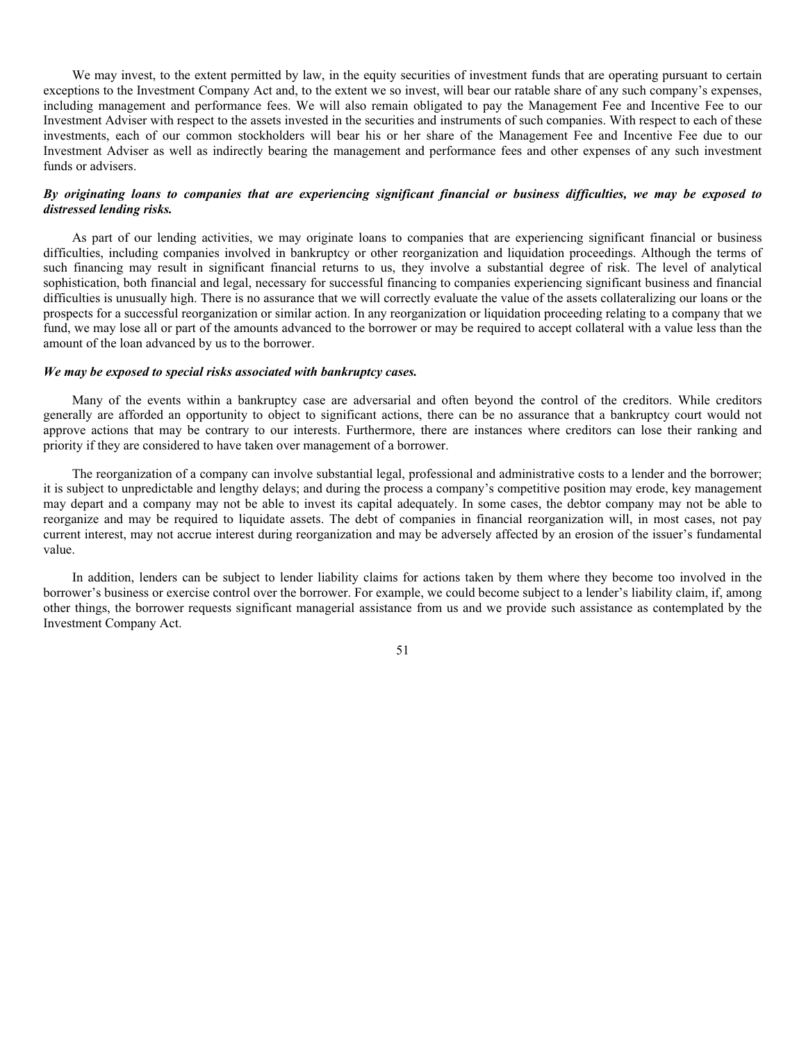We may invest, to the extent permitted by law, in the equity securities of investment funds that are operating pursuant to certain exceptions to the Investment Company Act and, to the extent we so invest, will bear our ratable share of any such company's expenses, including management and performance fees. We will also remain obligated to pay the Management Fee and Incentive Fee to our Investment Adviser with respect to the assets invested in the securities and instruments of such companies. With respect to each of these investments, each of our common stockholders will bear his or her share of the Management Fee and Incentive Fee due to our Investment Adviser as well as indirectly bearing the management and performance fees and other expenses of any such investment funds or advisers.

# *By originating loans to companies that are experiencing significant financial or business difficulties, we may be exposed to distressed lending risks.*

As part of our lending activities, we may originate loans to companies that are experiencing significant financial or business difficulties, including companies involved in bankruptcy or other reorganization and liquidation proceedings. Although the terms of such financing may result in significant financial returns to us, they involve a substantial degree of risk. The level of analytical sophistication, both financial and legal, necessary for successful financing to companies experiencing significant business and financial difficulties is unusually high. There is no assurance that we will correctly evaluate the value of the assets collateralizing our loans or the prospects for a successful reorganization or similar action. In any reorganization or liquidation proceeding relating to a company that we fund, we may lose all or part of the amounts advanced to the borrower or may be required to accept collateral with a value less than the amount of the loan advanced by us to the borrower.

#### *We may be exposed to special risks associated with bankruptcy cases.*

Many of the events within a bankruptcy case are adversarial and often beyond the control of the creditors. While creditors generally are afforded an opportunity to object to significant actions, there can be no assurance that a bankruptcy court would not approve actions that may be contrary to our interests. Furthermore, there are instances where creditors can lose their ranking and priority if they are considered to have taken over management of a borrower.

The reorganization of a company can involve substantial legal, professional and administrative costs to a lender and the borrower; it is subject to unpredictable and lengthy delays; and during the process a company's competitive position may erode, key management may depart and a company may not be able to invest its capital adequately. In some cases, the debtor company may not be able to reorganize and may be required to liquidate assets. The debt of companies in financial reorganization will, in most cases, not pay current interest, may not accrue interest during reorganization and may be adversely affected by an erosion of the issuer's fundamental value.

In addition, lenders can be subject to lender liability claims for actions taken by them where they become too involved in the borrower's business or exercise control over the borrower. For example, we could become subject to a lender's liability claim, if, among other things, the borrower requests significant managerial assistance from us and we provide such assistance as contemplated by the Investment Company Act.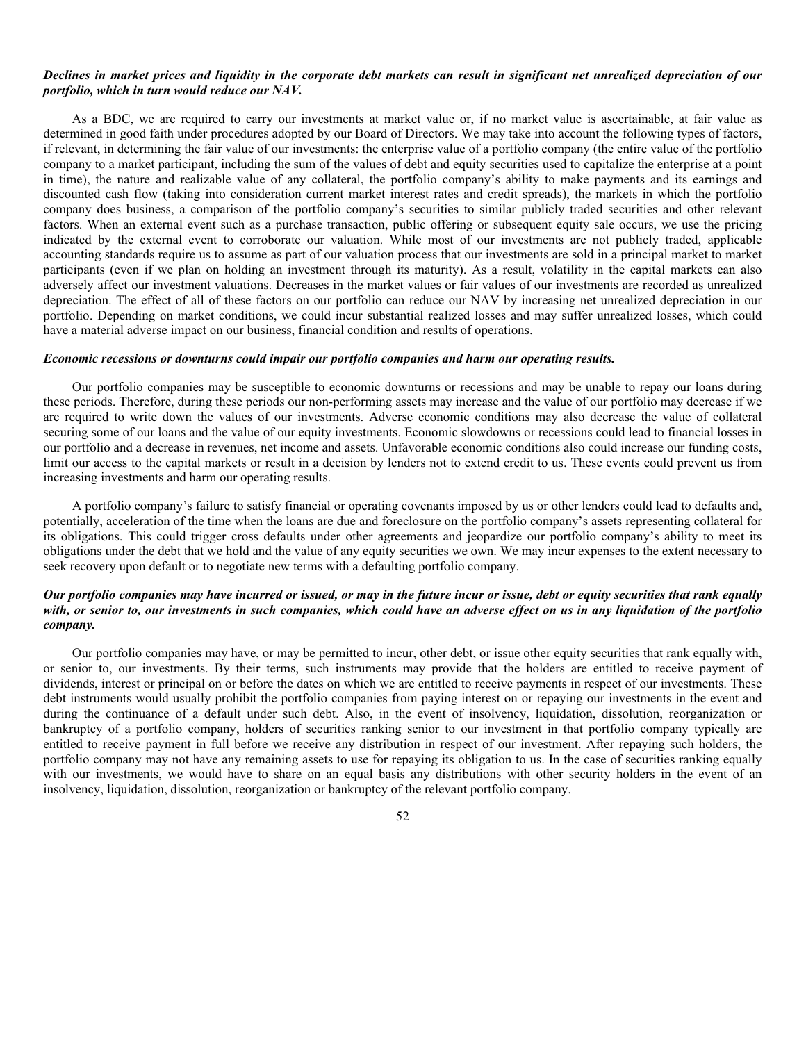### *Declines in market prices and liquidity in the corporate debt markets can result in significant net unrealized depreciation of our portfolio, which in turn would reduce our NAV.*

As a BDC, we are required to carry our investments at market value or, if no market value is ascertainable, at fair value as determined in good faith under procedures adopted by our Board of Directors. We may take into account the following types of factors, if relevant, in determining the fair value of our investments: the enterprise value of a portfolio company (the entire value of the portfolio company to a market participant, including the sum of the values of debt and equity securities used to capitalize the enterprise at a point in time), the nature and realizable value of any collateral, the portfolio company's ability to make payments and its earnings and discounted cash flow (taking into consideration current market interest rates and credit spreads), the markets in which the portfolio company does business, a comparison of the portfolio company's securities to similar publicly traded securities and other relevant factors. When an external event such as a purchase transaction, public offering or subsequent equity sale occurs, we use the pricing indicated by the external event to corroborate our valuation. While most of our investments are not publicly traded, applicable accounting standards require us to assume as part of our valuation process that our investments are sold in a principal market to market participants (even if we plan on holding an investment through its maturity). As a result, volatility in the capital markets can also adversely affect our investment valuations. Decreases in the market values or fair values of our investments are recorded as unrealized depreciation. The effect of all of these factors on our portfolio can reduce our NAV by increasing net unrealized depreciation in our portfolio. Depending on market conditions, we could incur substantial realized losses and may suffer unrealized losses, which could have a material adverse impact on our business, financial condition and results of operations.

#### *Economic recessions or downturns could impair our portfolio companies and harm our operating results.*

Our portfolio companies may be susceptible to economic downturns or recessions and may be unable to repay our loans during these periods. Therefore, during these periods our non-performing assets may increase and the value of our portfolio may decrease if we are required to write down the values of our investments. Adverse economic conditions may also decrease the value of collateral securing some of our loans and the value of our equity investments. Economic slowdowns or recessions could lead to financial losses in our portfolio and a decrease in revenues, net income and assets. Unfavorable economic conditions also could increase our funding costs, limit our access to the capital markets or result in a decision by lenders not to extend credit to us. These events could prevent us from increasing investments and harm our operating results.

A portfolio company's failure to satisfy financial or operating covenants imposed by us or other lenders could lead to defaults and, potentially, acceleration of the time when the loans are due and foreclosure on the portfolio company's assets representing collateral for its obligations. This could trigger cross defaults under other agreements and jeopardize our portfolio company's ability to meet its obligations under the debt that we hold and the value of any equity securities we own. We may incur expenses to the extent necessary to seek recovery upon default or to negotiate new terms with a defaulting portfolio company.

## *Our portfolio companies may have incurred or issued, or may in the future incur or issue, debt or equity securities that rank equally with, or senior to, our investments in such companies, which could have an adverse effect on us in any liquidation of the portfolio company.*

Our portfolio companies may have, or may be permitted to incur, other debt, or issue other equity securities that rank equally with, or senior to, our investments. By their terms, such instruments may provide that the holders are entitled to receive payment of dividends, interest or principal on or before the dates on which we are entitled to receive payments in respect of our investments. These debt instruments would usually prohibit the portfolio companies from paying interest on or repaying our investments in the event and during the continuance of a default under such debt. Also, in the event of insolvency, liquidation, dissolution, reorganization or bankruptcy of a portfolio company, holders of securities ranking senior to our investment in that portfolio company typically are entitled to receive payment in full before we receive any distribution in respect of our investment. After repaying such holders, the portfolio company may not have any remaining assets to use for repaying its obligation to us. In the case of securities ranking equally with our investments, we would have to share on an equal basis any distributions with other security holders in the event of an insolvency, liquidation, dissolution, reorganization or bankruptcy of the relevant portfolio company.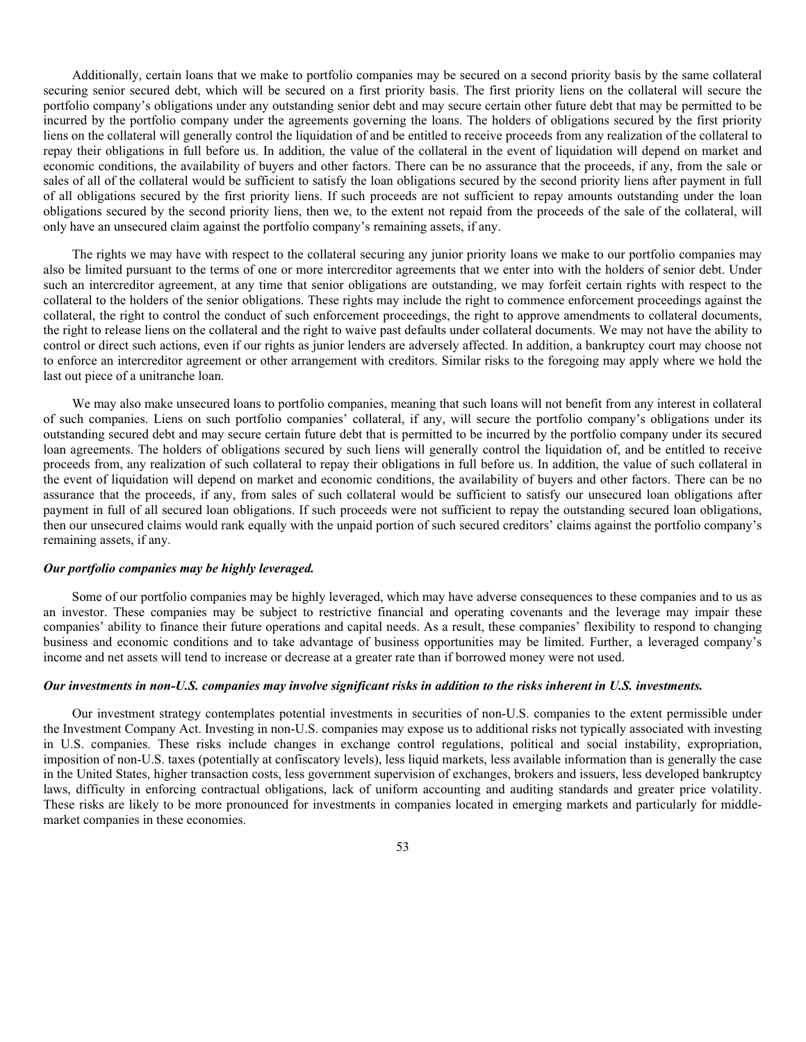Additionally, certain loans that we make to portfolio companies may be secured on a second priority basis by the same collateral securing senior secured debt, which will be secured on a first priority basis. The first priority liens on the collateral will secure the portfolio company's obligations under any outstanding senior debt and may secure certain other future debt that may be permitted to be incurred by the portfolio company under the agreements governing the loans. The holders of obligations secured by the first priority liens on the collateral will generally control the liquidation of and be entitled to receive proceeds from any realization of the collateral to repay their obligations in full before us. In addition, the value of the collateral in the event of liquidation will depend on market and economic conditions, the availability of buyers and other factors. There can be no assurance that the proceeds, if any, from the sale or sales of all of the collateral would be sufficient to satisfy the loan obligations secured by the second priority liens after payment in full of all obligations secured by the first priority liens. If such proceeds are not sufficient to repay amounts outstanding under the loan obligations secured by the second priority liens, then we, to the extent not repaid from the proceeds of the sale of the collateral, will only have an unsecured claim against the portfolio company's remaining assets, if any.

The rights we may have with respect to the collateral securing any junior priority loans we make to our portfolio companies may also be limited pursuant to the terms of one or more intercreditor agreements that we enter into with the holders of senior debt. Under such an intercreditor agreement, at any time that senior obligations are outstanding, we may forfeit certain rights with respect to the collateral to the holders of the senior obligations. These rights may include the right to commence enforcement proceedings against the collateral, the right to control the conduct of such enforcement proceedings, the right to approve amendments to collateral documents, the right to release liens on the collateral and the right to waive past defaults under collateral documents. We may not have the ability to control or direct such actions, even if our rights as junior lenders are adversely affected. In addition, a bankruptcy court may choose not to enforce an intercreditor agreement or other arrangement with creditors. Similar risks to the foregoing may apply where we hold the last out piece of a unitranche loan.

We may also make unsecured loans to portfolio companies, meaning that such loans will not benefit from any interest in collateral of such companies. Liens on such portfolio companies' collateral, if any, will secure the portfolio company's obligations under its outstanding secured debt and may secure certain future debt that is permitted to be incurred by the portfolio company under its secured loan agreements. The holders of obligations secured by such liens will generally control the liquidation of, and be entitled to receive proceeds from, any realization of such collateral to repay their obligations in full before us. In addition, the value of such collateral in the event of liquidation will depend on market and economic conditions, the availability of buyers and other factors. There can be no assurance that the proceeds, if any, from sales of such collateral would be sufficient to satisfy our unsecured loan obligations after payment in full of all secured loan obligations. If such proceeds were not sufficient to repay the outstanding secured loan obligations, then our unsecured claims would rank equally with the unpaid portion of such secured creditors' claims against the portfolio company's remaining assets, if any.

#### *Our portfolio companies may be highly leveraged.*

Some of our portfolio companies may be highly leveraged, which may have adverse consequences to these companies and to us as an investor. These companies may be subject to restrictive financial and operating covenants and the leverage may impair these companies' ability to finance their future operations and capital needs. As a result, these companies' flexibility to respond to changing business and economic conditions and to take advantage of business opportunities may be limited. Further, a leveraged company's income and net assets will tend to increase or decrease at a greater rate than if borrowed money were not used.

#### *Our investments in non-U.S. companies may involve significant risks in addition to the risks inherent in U.S. investments.*

Our investment strategy contemplates potential investments in securities of non-U.S. companies to the extent permissible under the Investment Company Act. Investing in non-U.S. companies may expose us to additional risks not typically associated with investing in U.S. companies. These risks include changes in exchange control regulations, political and social instability, expropriation, imposition of non-U.S. taxes (potentially at confiscatory levels), less liquid markets, less available information than is generally the case in the United States, higher transaction costs, less government supervision of exchanges, brokers and issuers, less developed bankruptcy laws, difficulty in enforcing contractual obligations, lack of uniform accounting and auditing standards and greater price volatility. These risks are likely to be more pronounced for investments in companies located in emerging markets and particularly for middlemarket companies in these economies.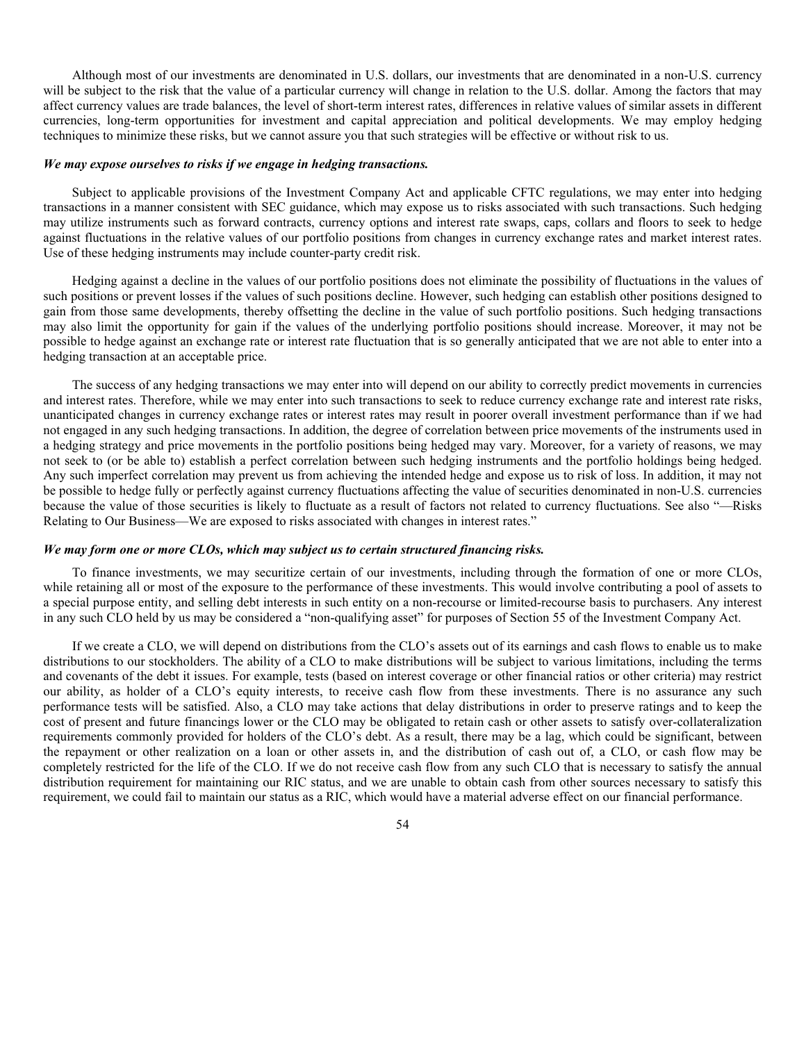Although most of our investments are denominated in U.S. dollars, our investments that are denominated in a non-U.S. currency will be subject to the risk that the value of a particular currency will change in relation to the U.S. dollar. Among the factors that may affect currency values are trade balances, the level of short-term interest rates, differences in relative values of similar assets in different currencies, long-term opportunities for investment and capital appreciation and political developments. We may employ hedging techniques to minimize these risks, but we cannot assure you that such strategies will be effective or without risk to us.

#### *We may expose ourselves to risks if we engage in hedging transactions.*

Subject to applicable provisions of the Investment Company Act and applicable CFTC regulations, we may enter into hedging transactions in a manner consistent with SEC guidance, which may expose us to risks associated with such transactions. Such hedging may utilize instruments such as forward contracts, currency options and interest rate swaps, caps, collars and floors to seek to hedge against fluctuations in the relative values of our portfolio positions from changes in currency exchange rates and market interest rates. Use of these hedging instruments may include counter-party credit risk.

Hedging against a decline in the values of our portfolio positions does not eliminate the possibility of fluctuations in the values of such positions or prevent losses if the values of such positions decline. However, such hedging can establish other positions designed to gain from those same developments, thereby offsetting the decline in the value of such portfolio positions. Such hedging transactions may also limit the opportunity for gain if the values of the underlying portfolio positions should increase. Moreover, it may not be possible to hedge against an exchange rate or interest rate fluctuation that is so generally anticipated that we are not able to enter into a hedging transaction at an acceptable price.

The success of any hedging transactions we may enter into will depend on our ability to correctly predict movements in currencies and interest rates. Therefore, while we may enter into such transactions to seek to reduce currency exchange rate and interest rate risks, unanticipated changes in currency exchange rates or interest rates may result in poorer overall investment performance than if we had not engaged in any such hedging transactions. In addition, the degree of correlation between price movements of the instruments used in a hedging strategy and price movements in the portfolio positions being hedged may vary. Moreover, for a variety of reasons, we may not seek to (or be able to) establish a perfect correlation between such hedging instruments and the portfolio holdings being hedged. Any such imperfect correlation may prevent us from achieving the intended hedge and expose us to risk of loss. In addition, it may not be possible to hedge fully or perfectly against currency fluctuations affecting the value of securities denominated in non-U.S. currencies because the value of those securities is likely to fluctuate as a result of factors not related to currency fluctuations. See also "—Risks Relating to Our Business—We are exposed to risks associated with changes in interest rates."

### *We may form one or more CLOs, which may subject us to certain structured financing risks.*

To finance investments, we may securitize certain of our investments, including through the formation of one or more CLOs, while retaining all or most of the exposure to the performance of these investments. This would involve contributing a pool of assets to a special purpose entity, and selling debt interests in such entity on a non-recourse or limited-recourse basis to purchasers. Any interest in any such CLO held by us may be considered a "non-qualifying asset" for purposes of Section 55 of the Investment Company Act.

If we create a CLO, we will depend on distributions from the CLO's assets out of its earnings and cash flows to enable us to make distributions to our stockholders. The ability of a CLO to make distributions will be subject to various limitations, including the terms and covenants of the debt it issues. For example, tests (based on interest coverage or other financial ratios or other criteria) may restrict our ability, as holder of a CLO's equity interests, to receive cash flow from these investments. There is no assurance any such performance tests will be satisfied. Also, a CLO may take actions that delay distributions in order to preserve ratings and to keep the cost of present and future financings lower or the CLO may be obligated to retain cash or other assets to satisfy over-collateralization requirements commonly provided for holders of the CLO's debt. As a result, there may be a lag, which could be significant, between the repayment or other realization on a loan or other assets in, and the distribution of cash out of, a CLO, or cash flow may be completely restricted for the life of the CLO. If we do not receive cash flow from any such CLO that is necessary to satisfy the annual distribution requirement for maintaining our RIC status, and we are unable to obtain cash from other sources necessary to satisfy this requirement, we could fail to maintain our status as a RIC, which would have a material adverse effect on our financial performance.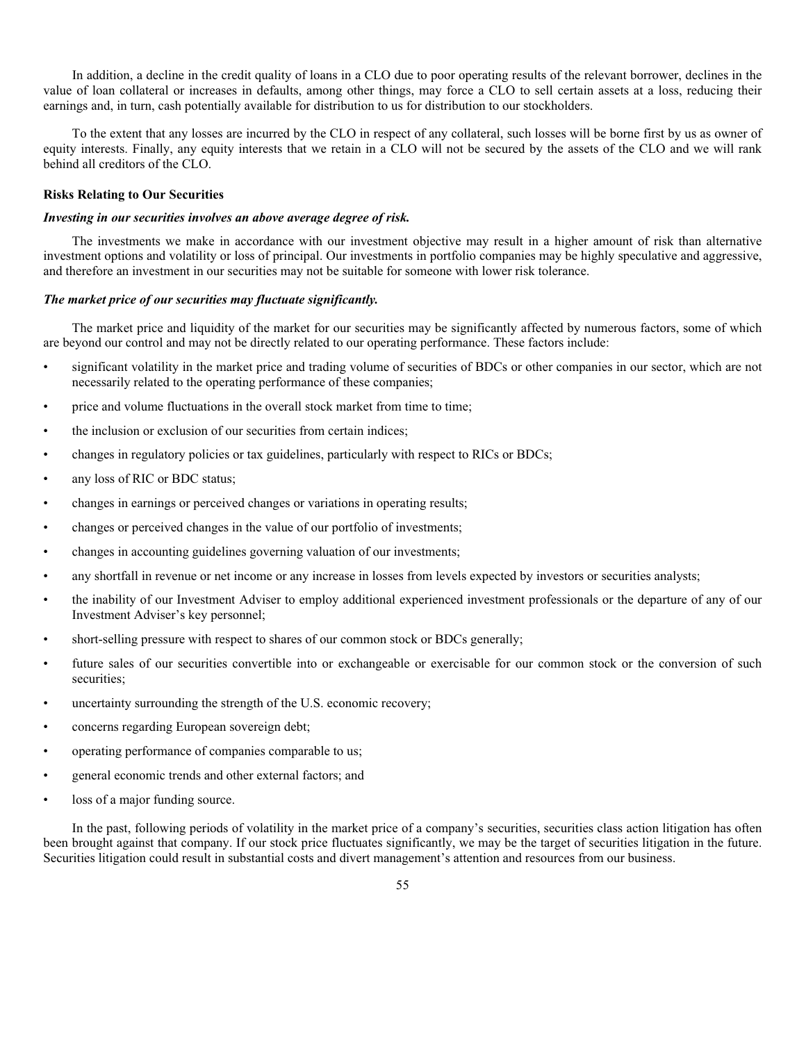In addition, a decline in the credit quality of loans in a CLO due to poor operating results of the relevant borrower, declines in the value of loan collateral or increases in defaults, among other things, may force a CLO to sell certain assets at a loss, reducing their earnings and, in turn, cash potentially available for distribution to us for distribution to our stockholders.

To the extent that any losses are incurred by the CLO in respect of any collateral, such losses will be borne first by us as owner of equity interests. Finally, any equity interests that we retain in a CLO will not be secured by the assets of the CLO and we will rank behind all creditors of the CLO.

## **Risks Relating to Our Securities**

### *Investing in our securities involves an above average degree of risk.*

The investments we make in accordance with our investment objective may result in a higher amount of risk than alternative investment options and volatility or loss of principal. Our investments in portfolio companies may be highly speculative and aggressive, and therefore an investment in our securities may not be suitable for someone with lower risk tolerance.

#### *The market price of our securities may fluctuate significantly.*

The market price and liquidity of the market for our securities may be significantly affected by numerous factors, some of which are beyond our control and may not be directly related to our operating performance. These factors include:

- significant volatility in the market price and trading volume of securities of BDCs or other companies in our sector, which are not necessarily related to the operating performance of these companies;
- price and volume fluctuations in the overall stock market from time to time;
- the inclusion or exclusion of our securities from certain indices;
- changes in regulatory policies or tax guidelines, particularly with respect to RICs or BDCs;
- any loss of RIC or BDC status;
- changes in earnings or perceived changes or variations in operating results;
- changes or perceived changes in the value of our portfolio of investments;
- changes in accounting guidelines governing valuation of our investments;
- any shortfall in revenue or net income or any increase in losses from levels expected by investors or securities analysts;
- the inability of our Investment Adviser to employ additional experienced investment professionals or the departure of any of our Investment Adviser's key personnel;
- short-selling pressure with respect to shares of our common stock or BDCs generally;
- future sales of our securities convertible into or exchangeable or exercisable for our common stock or the conversion of such securities;
- uncertainty surrounding the strength of the U.S. economic recovery;
- concerns regarding European sovereign debt;
- operating performance of companies comparable to us;
- general economic trends and other external factors; and
- loss of a major funding source.

In the past, following periods of volatility in the market price of a company's securities, securities class action litigation has often been brought against that company. If our stock price fluctuates significantly, we may be the target of securities litigation in the future. Securities litigation could result in substantial costs and divert management's attention and resources from our business.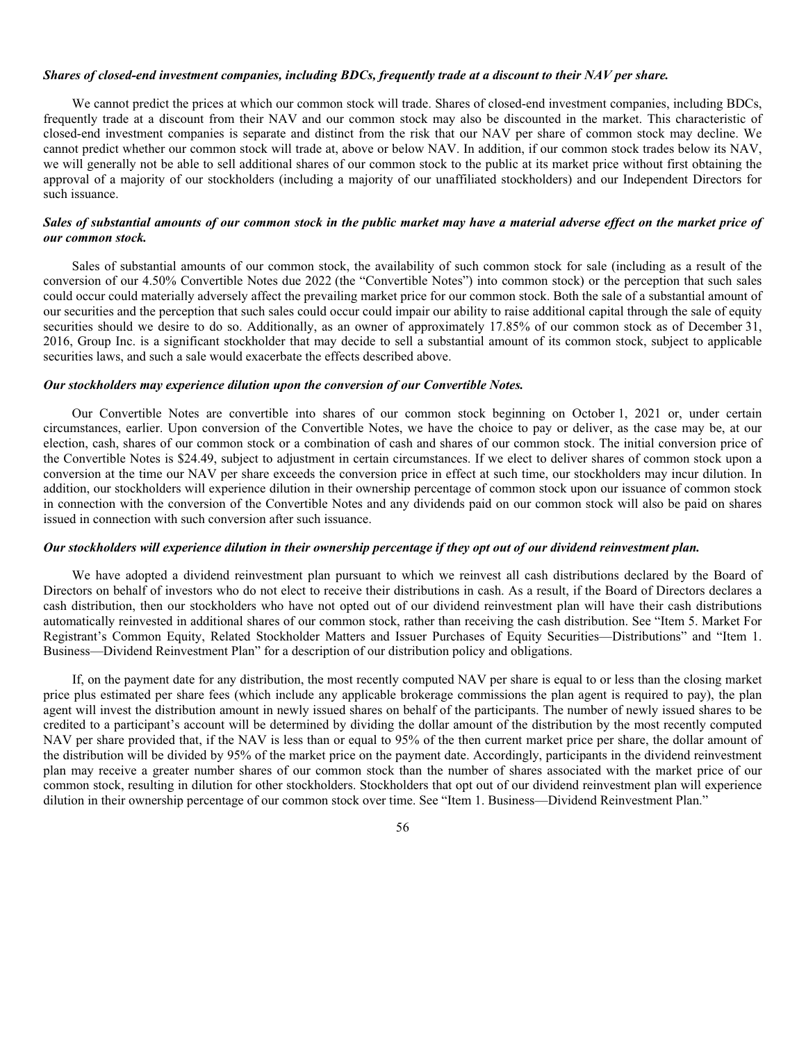### *Shares of closed-end investment companies, including BDCs, frequently trade at a discount to their NAV per share.*

We cannot predict the prices at which our common stock will trade. Shares of closed-end investment companies, including BDCs, frequently trade at a discount from their NAV and our common stock may also be discounted in the market. This characteristic of closed-end investment companies is separate and distinct from the risk that our NAV per share of common stock may decline. We cannot predict whether our common stock will trade at, above or below NAV. In addition, if our common stock trades below its NAV, we will generally not be able to sell additional shares of our common stock to the public at its market price without first obtaining the approval of a majority of our stockholders (including a majority of our unaffiliated stockholders) and our Independent Directors for such issuance.

### *Sales of substantial amounts of our common stock in the public market may have a material adverse effect on the market price of our common stock.*

Sales of substantial amounts of our common stock, the availability of such common stock for sale (including as a result of the conversion of our 4.50% Convertible Notes due 2022 (the "Convertible Notes") into common stock) or the perception that such sales could occur could materially adversely affect the prevailing market price for our common stock. Both the sale of a substantial amount of our securities and the perception that such sales could occur could impair our ability to raise additional capital through the sale of equity securities should we desire to do so. Additionally, as an owner of approximately 17.85% of our common stock as of December 31, 2016, Group Inc. is a significant stockholder that may decide to sell a substantial amount of its common stock, subject to applicable securities laws, and such a sale would exacerbate the effects described above.

#### *Our stockholders may experience dilution upon the conversion of our Convertible Notes.*

Our Convertible Notes are convertible into shares of our common stock beginning on October 1, 2021 or, under certain circumstances, earlier. Upon conversion of the Convertible Notes, we have the choice to pay or deliver, as the case may be, at our election, cash, shares of our common stock or a combination of cash and shares of our common stock. The initial conversion price of the Convertible Notes is \$24.49, subject to adjustment in certain circumstances. If we elect to deliver shares of common stock upon a conversion at the time our NAV per share exceeds the conversion price in effect at such time, our stockholders may incur dilution. In addition, our stockholders will experience dilution in their ownership percentage of common stock upon our issuance of common stock in connection with the conversion of the Convertible Notes and any dividends paid on our common stock will also be paid on shares issued in connection with such conversion after such issuance.

#### *Our stockholders will experience dilution in their ownership percentage if they opt out of our dividend reinvestment plan.*

We have adopted a dividend reinvestment plan pursuant to which we reinvest all cash distributions declared by the Board of Directors on behalf of investors who do not elect to receive their distributions in cash. As a result, if the Board of Directors declares a cash distribution, then our stockholders who have not opted out of our dividend reinvestment plan will have their cash distributions automatically reinvested in additional shares of our common stock, rather than receiving the cash distribution. See "Item 5. Market For Registrant's Common Equity, Related Stockholder Matters and Issuer Purchases of Equity Securities—Distributions" and "Item 1. Business—Dividend Reinvestment Plan" for a description of our distribution policy and obligations.

If, on the payment date for any distribution, the most recently computed NAV per share is equal to or less than the closing market price plus estimated per share fees (which include any applicable brokerage commissions the plan agent is required to pay), the plan agent will invest the distribution amount in newly issued shares on behalf of the participants. The number of newly issued shares to be credited to a participant's account will be determined by dividing the dollar amount of the distribution by the most recently computed NAV per share provided that, if the NAV is less than or equal to 95% of the then current market price per share, the dollar amount of the distribution will be divided by 95% of the market price on the payment date. Accordingly, participants in the dividend reinvestment plan may receive a greater number shares of our common stock than the number of shares associated with the market price of our common stock, resulting in dilution for other stockholders. Stockholders that opt out of our dividend reinvestment plan will experience dilution in their ownership percentage of our common stock over time. See "Item 1. Business—Dividend Reinvestment Plan."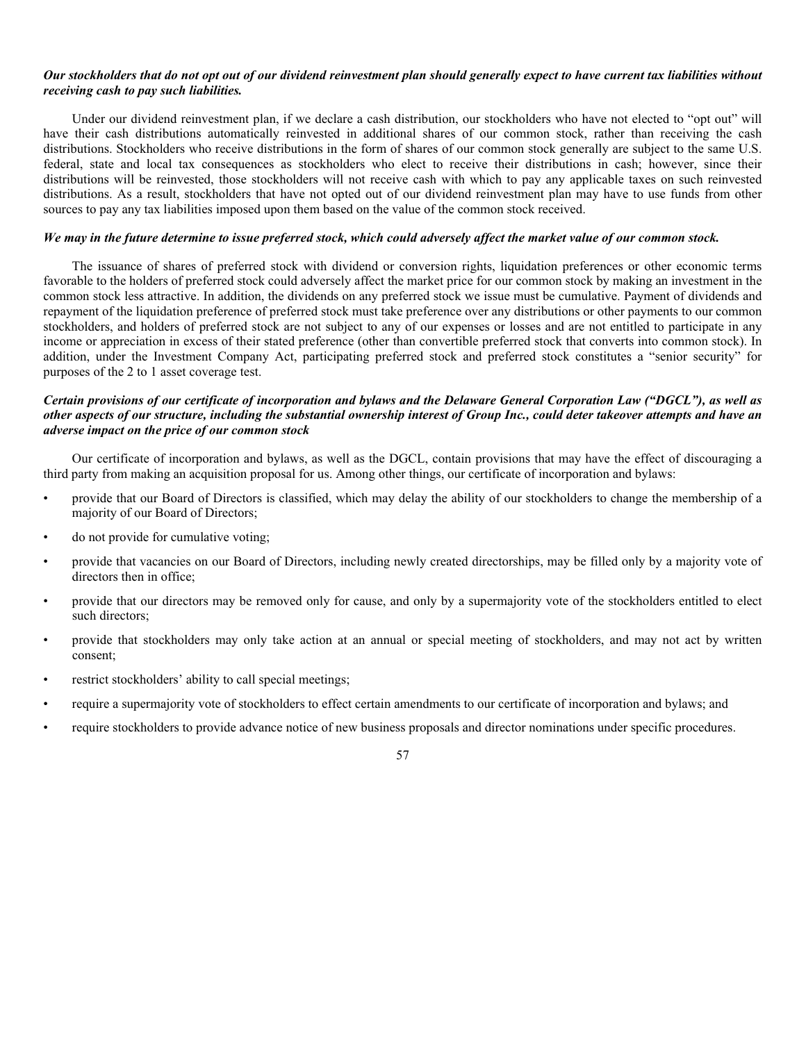## *Our stockholders that do not opt out of our dividend reinvestment plan should generally expect to have current tax liabilities without receiving cash to pay such liabilities.*

Under our dividend reinvestment plan, if we declare a cash distribution, our stockholders who have not elected to "opt out" will have their cash distributions automatically reinvested in additional shares of our common stock, rather than receiving the cash distributions. Stockholders who receive distributions in the form of shares of our common stock generally are subject to the same U.S. federal, state and local tax consequences as stockholders who elect to receive their distributions in cash; however, since their distributions will be reinvested, those stockholders will not receive cash with which to pay any applicable taxes on such reinvested distributions. As a result, stockholders that have not opted out of our dividend reinvestment plan may have to use funds from other sources to pay any tax liabilities imposed upon them based on the value of the common stock received.

## *We may in the future determine to issue preferred stock, which could adversely affect the market value of our common stock.*

The issuance of shares of preferred stock with dividend or conversion rights, liquidation preferences or other economic terms favorable to the holders of preferred stock could adversely affect the market price for our common stock by making an investment in the common stock less attractive. In addition, the dividends on any preferred stock we issue must be cumulative. Payment of dividends and repayment of the liquidation preference of preferred stock must take preference over any distributions or other payments to our common stockholders, and holders of preferred stock are not subject to any of our expenses or losses and are not entitled to participate in any income or appreciation in excess of their stated preference (other than convertible preferred stock that converts into common stock). In addition, under the Investment Company Act, participating preferred stock and preferred stock constitutes a "senior security" for purposes of the 2 to 1 asset coverage test.

## *Certain provisions of our certificate of incorporation and bylaws and the Delaware General Corporation Law ("DGCL"), as well as other aspects of our structure, including the substantial ownership interest of Group Inc., could deter takeover attempts and have an adverse impact on the price of our common stock*

Our certificate of incorporation and bylaws, as well as the DGCL, contain provisions that may have the effect of discouraging a third party from making an acquisition proposal for us. Among other things, our certificate of incorporation and bylaws:

- provide that our Board of Directors is classified, which may delay the ability of our stockholders to change the membership of a majority of our Board of Directors;
- do not provide for cumulative voting;
- provide that vacancies on our Board of Directors, including newly created directorships, may be filled only by a majority vote of directors then in office;
- provide that our directors may be removed only for cause, and only by a supermajority vote of the stockholders entitled to elect such directors;
- provide that stockholders may only take action at an annual or special meeting of stockholders, and may not act by written consent;
- restrict stockholders' ability to call special meetings;
- require a supermajority vote of stockholders to effect certain amendments to our certificate of incorporation and bylaws; and
- require stockholders to provide advance notice of new business proposals and director nominations under specific procedures.

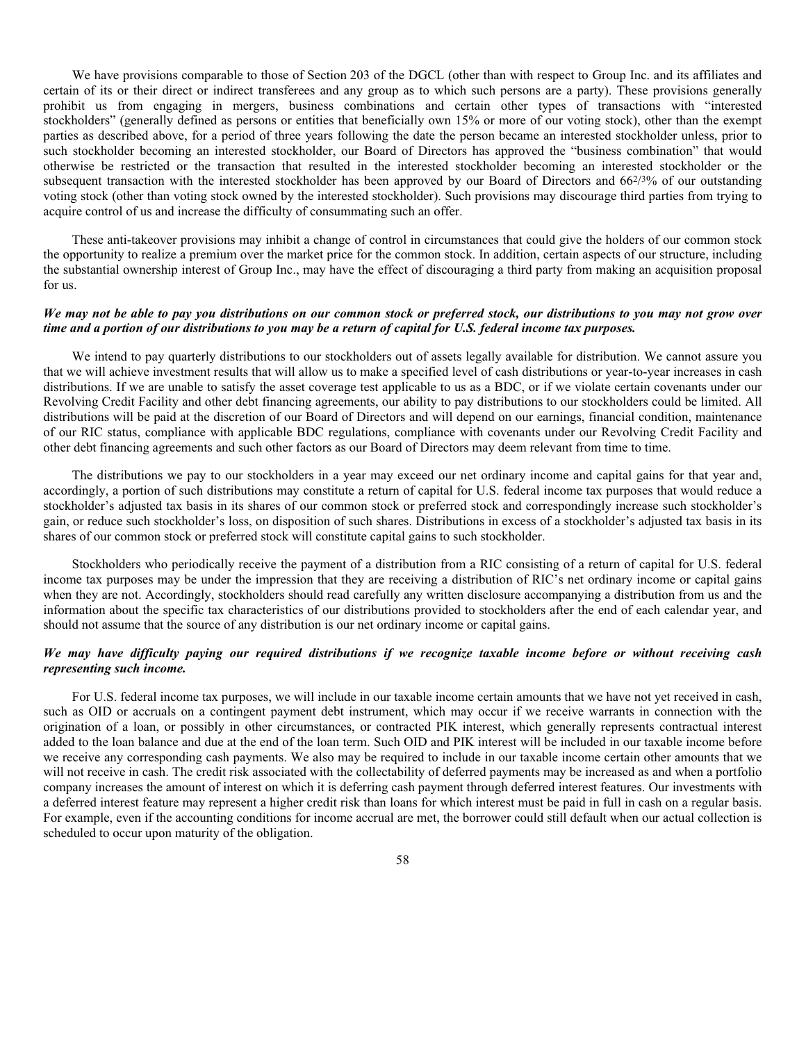We have provisions comparable to those of Section 203 of the DGCL (other than with respect to Group Inc. and its affiliates and certain of its or their direct or indirect transferees and any group as to which such persons are a party). These provisions generally prohibit us from engaging in mergers, business combinations and certain other types of transactions with "interested stockholders" (generally defined as persons or entities that beneficially own 15% or more of our voting stock), other than the exempt parties as described above, for a period of three years following the date the person became an interested stockholder unless, prior to such stockholder becoming an interested stockholder, our Board of Directors has approved the "business combination" that would otherwise be restricted or the transaction that resulted in the interested stockholder becoming an interested stockholder or the subsequent transaction with the interested stockholder has been approved by our Board of Directors and 66<sup>2/3%</sup> of our outstanding voting stock (other than voting stock owned by the interested stockholder). Such provisions may discourage third parties from trying to acquire control of us and increase the difficulty of consummating such an offer.

These anti-takeover provisions may inhibit a change of control in circumstances that could give the holders of our common stock the opportunity to realize a premium over the market price for the common stock. In addition, certain aspects of our structure, including the substantial ownership interest of Group Inc., may have the effect of discouraging a third party from making an acquisition proposal for us.

## *We may not be able to pay you distributions on our common stock or preferred stock, our distributions to you may not grow over time and a portion of our distributions to you may be a return of capital for U.S. federal income tax purposes.*

We intend to pay quarterly distributions to our stockholders out of assets legally available for distribution. We cannot assure you that we will achieve investment results that will allow us to make a specified level of cash distributions or year-to-year increases in cash distributions. If we are unable to satisfy the asset coverage test applicable to us as a BDC, or if we violate certain covenants under our Revolving Credit Facility and other debt financing agreements, our ability to pay distributions to our stockholders could be limited. All distributions will be paid at the discretion of our Board of Directors and will depend on our earnings, financial condition, maintenance of our RIC status, compliance with applicable BDC regulations, compliance with covenants under our Revolving Credit Facility and other debt financing agreements and such other factors as our Board of Directors may deem relevant from time to time.

The distributions we pay to our stockholders in a year may exceed our net ordinary income and capital gains for that year and, accordingly, a portion of such distributions may constitute a return of capital for U.S. federal income tax purposes that would reduce a stockholder's adjusted tax basis in its shares of our common stock or preferred stock and correspondingly increase such stockholder's gain, or reduce such stockholder's loss, on disposition of such shares. Distributions in excess of a stockholder's adjusted tax basis in its shares of our common stock or preferred stock will constitute capital gains to such stockholder.

Stockholders who periodically receive the payment of a distribution from a RIC consisting of a return of capital for U.S. federal income tax purposes may be under the impression that they are receiving a distribution of RIC's net ordinary income or capital gains when they are not. Accordingly, stockholders should read carefully any written disclosure accompanying a distribution from us and the information about the specific tax characteristics of our distributions provided to stockholders after the end of each calendar year, and should not assume that the source of any distribution is our net ordinary income or capital gains.

## *We may have difficulty paying our required distributions if we recognize taxable income before or without receiving cash representing such income.*

For U.S. federal income tax purposes, we will include in our taxable income certain amounts that we have not yet received in cash, such as OID or accruals on a contingent payment debt instrument, which may occur if we receive warrants in connection with the origination of a loan, or possibly in other circumstances, or contracted PIK interest, which generally represents contractual interest added to the loan balance and due at the end of the loan term. Such OID and PIK interest will be included in our taxable income before we receive any corresponding cash payments. We also may be required to include in our taxable income certain other amounts that we will not receive in cash. The credit risk associated with the collectability of deferred payments may be increased as and when a portfolio company increases the amount of interest on which it is deferring cash payment through deferred interest features. Our investments with a deferred interest feature may represent a higher credit risk than loans for which interest must be paid in full in cash on a regular basis. For example, even if the accounting conditions for income accrual are met, the borrower could still default when our actual collection is scheduled to occur upon maturity of the obligation.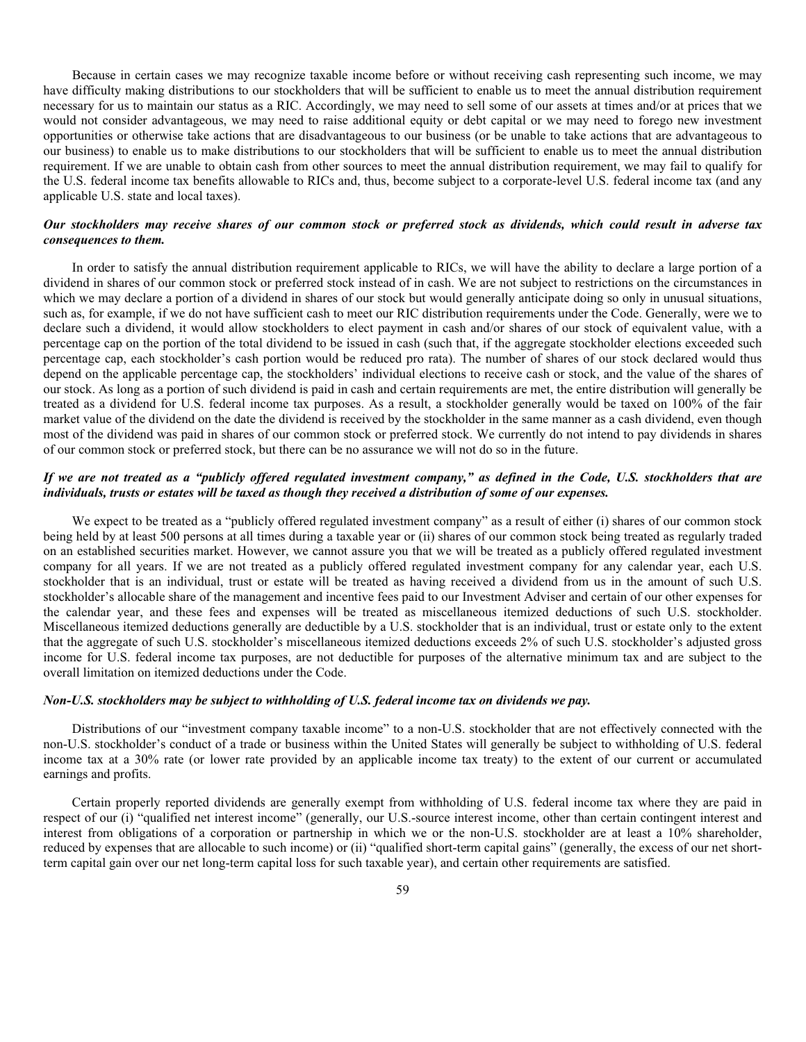Because in certain cases we may recognize taxable income before or without receiving cash representing such income, we may have difficulty making distributions to our stockholders that will be sufficient to enable us to meet the annual distribution requirement necessary for us to maintain our status as a RIC. Accordingly, we may need to sell some of our assets at times and/or at prices that we would not consider advantageous, we may need to raise additional equity or debt capital or we may need to forego new investment opportunities or otherwise take actions that are disadvantageous to our business (or be unable to take actions that are advantageous to our business) to enable us to make distributions to our stockholders that will be sufficient to enable us to meet the annual distribution requirement. If we are unable to obtain cash from other sources to meet the annual distribution requirement, we may fail to qualify for the U.S. federal income tax benefits allowable to RICs and, thus, become subject to a corporate-level U.S. federal income tax (and any applicable U.S. state and local taxes).

### *Our stockholders may receive shares of our common stock or preferred stock as dividends, which could result in adverse tax consequences to them.*

In order to satisfy the annual distribution requirement applicable to RICs, we will have the ability to declare a large portion of a dividend in shares of our common stock or preferred stock instead of in cash. We are not subject to restrictions on the circumstances in which we may declare a portion of a dividend in shares of our stock but would generally anticipate doing so only in unusual situations, such as, for example, if we do not have sufficient cash to meet our RIC distribution requirements under the Code. Generally, were we to declare such a dividend, it would allow stockholders to elect payment in cash and/or shares of our stock of equivalent value, with a percentage cap on the portion of the total dividend to be issued in cash (such that, if the aggregate stockholder elections exceeded such percentage cap, each stockholder's cash portion would be reduced pro rata). The number of shares of our stock declared would thus depend on the applicable percentage cap, the stockholders' individual elections to receive cash or stock, and the value of the shares of our stock. As long as a portion of such dividend is paid in cash and certain requirements are met, the entire distribution will generally be treated as a dividend for U.S. federal income tax purposes. As a result, a stockholder generally would be taxed on 100% of the fair market value of the dividend on the date the dividend is received by the stockholder in the same manner as a cash dividend, even though most of the dividend was paid in shares of our common stock or preferred stock. We currently do not intend to pay dividends in shares of our common stock or preferred stock, but there can be no assurance we will not do so in the future.

## *If we are not treated as a "publicly offered regulated investment company," as defined in the Code, U.S. stockholders that are individuals, trusts or estates will be taxed as though they received a distribution of some of our expenses.*

We expect to be treated as a "publicly offered regulated investment company" as a result of either (i) shares of our common stock being held by at least 500 persons at all times during a taxable year or (ii) shares of our common stock being treated as regularly traded on an established securities market. However, we cannot assure you that we will be treated as a publicly offered regulated investment company for all years. If we are not treated as a publicly offered regulated investment company for any calendar year, each U.S. stockholder that is an individual, trust or estate will be treated as having received a dividend from us in the amount of such U.S. stockholder's allocable share of the management and incentive fees paid to our Investment Adviser and certain of our other expenses for the calendar year, and these fees and expenses will be treated as miscellaneous itemized deductions of such U.S. stockholder. Miscellaneous itemized deductions generally are deductible by a U.S. stockholder that is an individual, trust or estate only to the extent that the aggregate of such U.S. stockholder's miscellaneous itemized deductions exceeds 2% of such U.S. stockholder's adjusted gross income for U.S. federal income tax purposes, are not deductible for purposes of the alternative minimum tax and are subject to the overall limitation on itemized deductions under the Code.

#### *Non-U.S. stockholders may be subject to withholding of U.S. federal income tax on dividends we pay.*

Distributions of our "investment company taxable income" to a non-U.S. stockholder that are not effectively connected with the non-U.S. stockholder's conduct of a trade or business within the United States will generally be subject to withholding of U.S. federal income tax at a 30% rate (or lower rate provided by an applicable income tax treaty) to the extent of our current or accumulated earnings and profits.

Certain properly reported dividends are generally exempt from withholding of U.S. federal income tax where they are paid in respect of our (i) "qualified net interest income" (generally, our U.S.-source interest income, other than certain contingent interest and interest from obligations of a corporation or partnership in which we or the non-U.S. stockholder are at least a 10% shareholder, reduced by expenses that are allocable to such income) or (ii) "qualified short-term capital gains" (generally, the excess of our net shortterm capital gain over our net long-term capital loss for such taxable year), and certain other requirements are satisfied.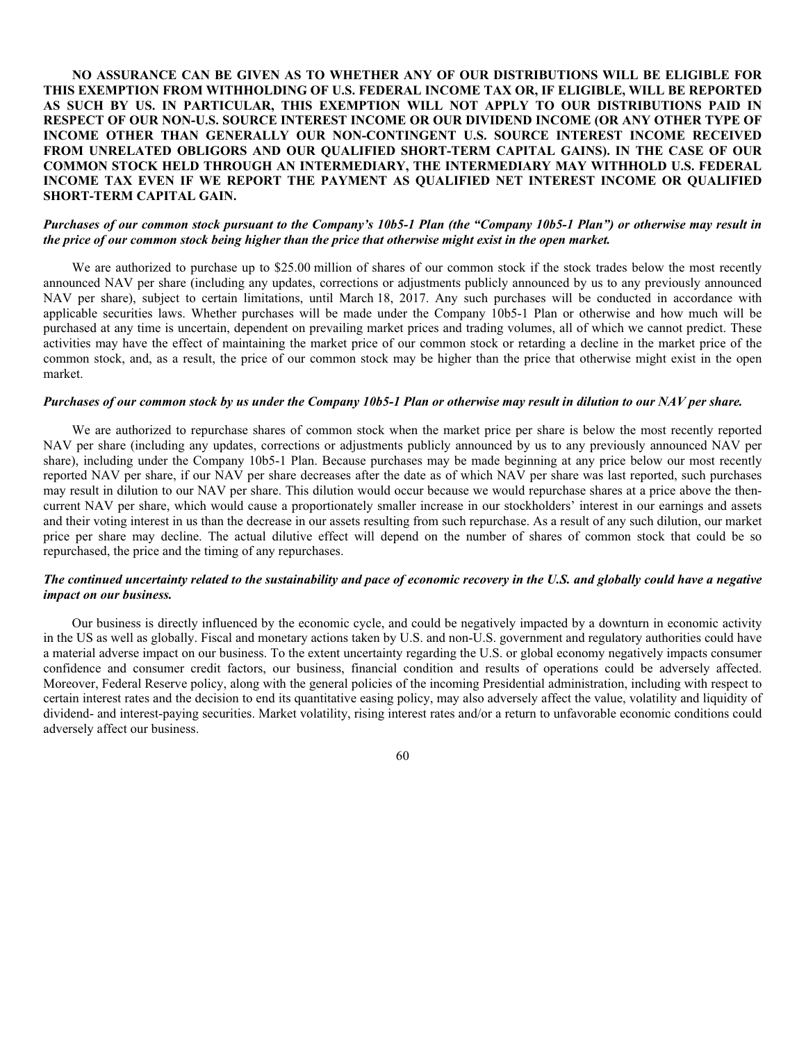**NO ASSURANCE CAN BE GIVEN AS TO WHETHER ANY OF OUR DISTRIBUTIONS WILL BE ELIGIBLE FOR THIS EXEMPTION FROM WITHHOLDING OF U.S. FEDERAL INCOME TAX OR, IF ELIGIBLE, WILL BE REPORTED AS SUCH BY US. IN PARTICULAR, THIS EXEMPTION WILL NOT APPLY TO OUR DISTRIBUTIONS PAID IN RESPECT OF OUR NON-U.S. SOURCE INTEREST INCOME OR OUR DIVIDEND INCOME (OR ANY OTHER TYPE OF INCOME OTHER THAN GENERALLY OUR NON-CONTINGENT U.S. SOURCE INTEREST INCOME RECEIVED FROM UNRELATED OBLIGORS AND OUR QUALIFIED SHORT-TERM CAPITAL GAINS). IN THE CASE OF OUR COMMON STOCK HELD THROUGH AN INTERMEDIARY, THE INTERMEDIARY MAY WITHHOLD U.S. FEDERAL INCOME TAX EVEN IF WE REPORT THE PAYMENT AS QUALIFIED NET INTEREST INCOME OR QUALIFIED SHORT-TERM CAPITAL GAIN.** 

## *Purchases of our common stock pursuant to the Company's 10b5-1 Plan (the "Company 10b5-1 Plan") or otherwise may result in the price of our common stock being higher than the price that otherwise might exist in the open market.*

We are authorized to purchase up to \$25.00 million of shares of our common stock if the stock trades below the most recently announced NAV per share (including any updates, corrections or adjustments publicly announced by us to any previously announced NAV per share), subject to certain limitations, until March 18, 2017. Any such purchases will be conducted in accordance with applicable securities laws. Whether purchases will be made under the Company 10b5-1 Plan or otherwise and how much will be purchased at any time is uncertain, dependent on prevailing market prices and trading volumes, all of which we cannot predict. These activities may have the effect of maintaining the market price of our common stock or retarding a decline in the market price of the common stock, and, as a result, the price of our common stock may be higher than the price that otherwise might exist in the open market.

### *Purchases of our common stock by us under the Company 10b5-1 Plan or otherwise may result in dilution to our NAV per share.*

We are authorized to repurchase shares of common stock when the market price per share is below the most recently reported NAV per share (including any updates, corrections or adjustments publicly announced by us to any previously announced NAV per share), including under the Company 10b5-1 Plan. Because purchases may be made beginning at any price below our most recently reported NAV per share, if our NAV per share decreases after the date as of which NAV per share was last reported, such purchases may result in dilution to our NAV per share. This dilution would occur because we would repurchase shares at a price above the thencurrent NAV per share, which would cause a proportionately smaller increase in our stockholders' interest in our earnings and assets and their voting interest in us than the decrease in our assets resulting from such repurchase. As a result of any such dilution, our market price per share may decline. The actual dilutive effect will depend on the number of shares of common stock that could be so repurchased, the price and the timing of any repurchases.

### *The continued uncertainty related to the sustainability and pace of economic recovery in the U.S. and globally could have a negative impact on our business.*

Our business is directly influenced by the economic cycle, and could be negatively impacted by a downturn in economic activity in the US as well as globally. Fiscal and monetary actions taken by U.S. and non-U.S. government and regulatory authorities could have a material adverse impact on our business. To the extent uncertainty regarding the U.S. or global economy negatively impacts consumer confidence and consumer credit factors, our business, financial condition and results of operations could be adversely affected. Moreover, Federal Reserve policy, along with the general policies of the incoming Presidential administration, including with respect to certain interest rates and the decision to end its quantitative easing policy, may also adversely affect the value, volatility and liquidity of dividend- and interest-paying securities. Market volatility, rising interest rates and/or a return to unfavorable economic conditions could adversely affect our business.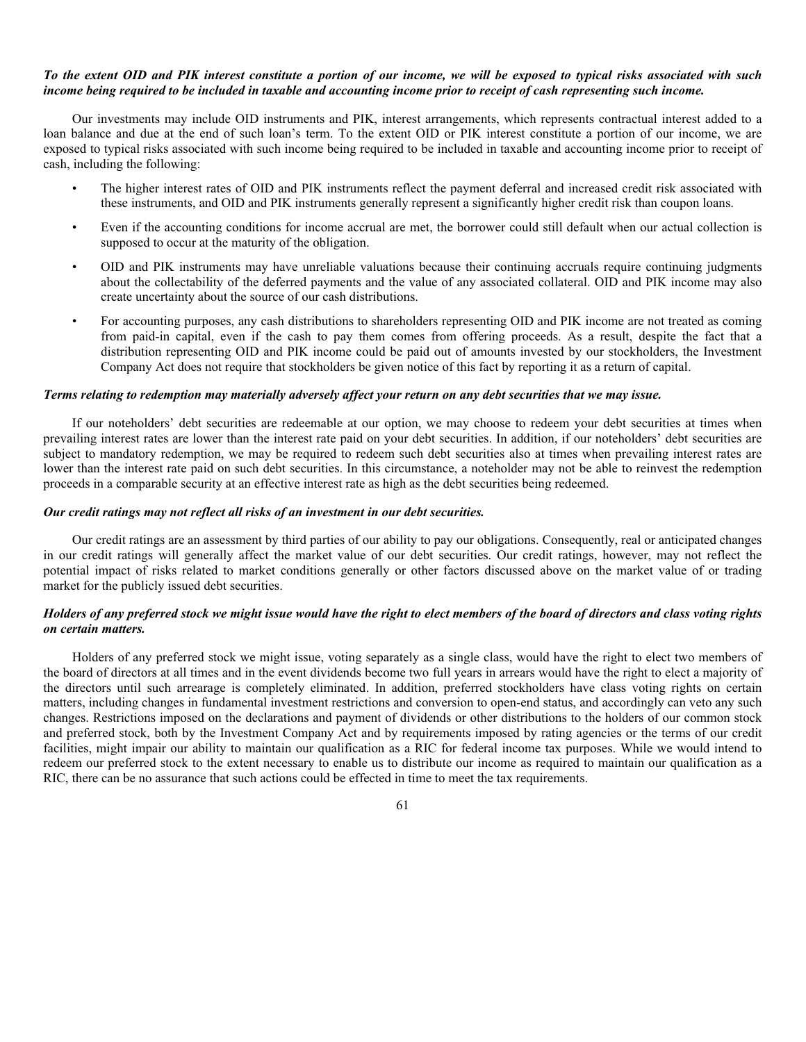### *To the extent OID and PIK interest constitute a portion of our income, we will be exposed to typical risks associated with such income being required to be included in taxable and accounting income prior to receipt of cash representing such income.*

Our investments may include OID instruments and PIK, interest arrangements, which represents contractual interest added to a loan balance and due at the end of such loan's term. To the extent OID or PIK interest constitute a portion of our income, we are exposed to typical risks associated with such income being required to be included in taxable and accounting income prior to receipt of cash, including the following:

- The higher interest rates of OID and PIK instruments reflect the payment deferral and increased credit risk associated with these instruments, and OID and PIK instruments generally represent a significantly higher credit risk than coupon loans.
- Even if the accounting conditions for income accrual are met, the borrower could still default when our actual collection is supposed to occur at the maturity of the obligation.
- OID and PIK instruments may have unreliable valuations because their continuing accruals require continuing judgments about the collectability of the deferred payments and the value of any associated collateral. OID and PIK income may also create uncertainty about the source of our cash distributions.
- For accounting purposes, any cash distributions to shareholders representing OID and PIK income are not treated as coming from paid-in capital, even if the cash to pay them comes from offering proceeds. As a result, despite the fact that a distribution representing OID and PIK income could be paid out of amounts invested by our stockholders, the Investment Company Act does not require that stockholders be given notice of this fact by reporting it as a return of capital.

#### *Terms relating to redemption may materially adversely affect your return on any debt securities that we may issue.*

If our noteholders' debt securities are redeemable at our option, we may choose to redeem your debt securities at times when prevailing interest rates are lower than the interest rate paid on your debt securities. In addition, if our noteholders' debt securities are subject to mandatory redemption, we may be required to redeem such debt securities also at times when prevailing interest rates are lower than the interest rate paid on such debt securities. In this circumstance, a noteholder may not be able to reinvest the redemption proceeds in a comparable security at an effective interest rate as high as the debt securities being redeemed.

### *Our credit ratings may not reflect all risks of an investment in our debt securities.*

Our credit ratings are an assessment by third parties of our ability to pay our obligations. Consequently, real or anticipated changes in our credit ratings will generally affect the market value of our debt securities. Our credit ratings, however, may not reflect the potential impact of risks related to market conditions generally or other factors discussed above on the market value of or trading market for the publicly issued debt securities.

## *Holders of any preferred stock we might issue would have the right to elect members of the board of directors and class voting rights on certain matters.*

Holders of any preferred stock we might issue, voting separately as a single class, would have the right to elect two members of the board of directors at all times and in the event dividends become two full years in arrears would have the right to elect a majority of the directors until such arrearage is completely eliminated. In addition, preferred stockholders have class voting rights on certain matters, including changes in fundamental investment restrictions and conversion to open-end status, and accordingly can veto any such changes. Restrictions imposed on the declarations and payment of dividends or other distributions to the holders of our common stock and preferred stock, both by the Investment Company Act and by requirements imposed by rating agencies or the terms of our credit facilities, might impair our ability to maintain our qualification as a RIC for federal income tax purposes. While we would intend to redeem our preferred stock to the extent necessary to enable us to distribute our income as required to maintain our qualification as a RIC, there can be no assurance that such actions could be effected in time to meet the tax requirements.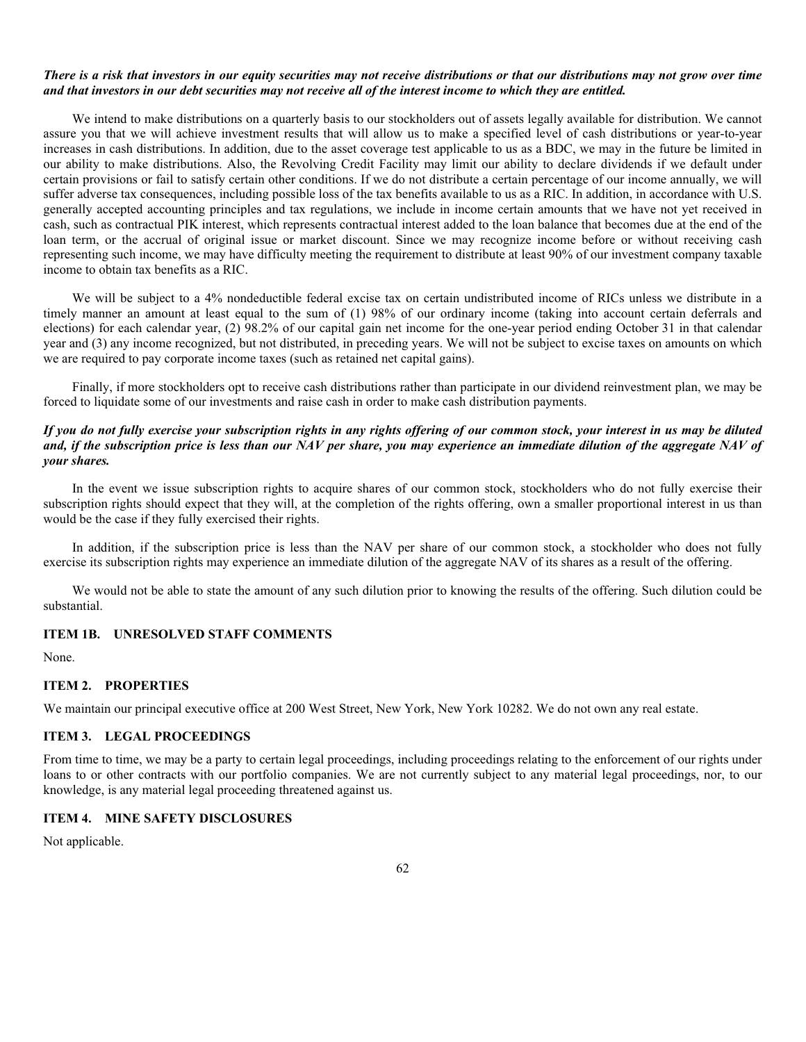## *There is a risk that investors in our equity securities may not receive distributions or that our distributions may not grow over time and that investors in our debt securities may not receive all of the interest income to which they are entitled.*

We intend to make distributions on a quarterly basis to our stockholders out of assets legally available for distribution. We cannot assure you that we will achieve investment results that will allow us to make a specified level of cash distributions or year-to-year increases in cash distributions. In addition, due to the asset coverage test applicable to us as a BDC, we may in the future be limited in our ability to make distributions. Also, the Revolving Credit Facility may limit our ability to declare dividends if we default under certain provisions or fail to satisfy certain other conditions. If we do not distribute a certain percentage of our income annually, we will suffer adverse tax consequences, including possible loss of the tax benefits available to us as a RIC. In addition, in accordance with U.S. generally accepted accounting principles and tax regulations, we include in income certain amounts that we have not yet received in cash, such as contractual PIK interest, which represents contractual interest added to the loan balance that becomes due at the end of the loan term, or the accrual of original issue or market discount. Since we may recognize income before or without receiving cash representing such income, we may have difficulty meeting the requirement to distribute at least 90% of our investment company taxable income to obtain tax benefits as a RIC.

We will be subject to a 4% nondeductible federal excise tax on certain undistributed income of RICs unless we distribute in a timely manner an amount at least equal to the sum of (1) 98% of our ordinary income (taking into account certain deferrals and elections) for each calendar year, (2) 98.2% of our capital gain net income for the one-year period ending October 31 in that calendar year and (3) any income recognized, but not distributed, in preceding years. We will not be subject to excise taxes on amounts on which we are required to pay corporate income taxes (such as retained net capital gains).

Finally, if more stockholders opt to receive cash distributions rather than participate in our dividend reinvestment plan, we may be forced to liquidate some of our investments and raise cash in order to make cash distribution payments.

# *If you do not fully exercise your subscription rights in any rights offering of our common stock, your interest in us may be diluted and, if the subscription price is less than our NAV per share, you may experience an immediate dilution of the aggregate NAV of your shares.*

In the event we issue subscription rights to acquire shares of our common stock, stockholders who do not fully exercise their subscription rights should expect that they will, at the completion of the rights offering, own a smaller proportional interest in us than would be the case if they fully exercised their rights.

In addition, if the subscription price is less than the NAV per share of our common stock, a stockholder who does not fully exercise its subscription rights may experience an immediate dilution of the aggregate NAV of its shares as a result of the offering.

We would not be able to state the amount of any such dilution prior to knowing the results of the offering. Such dilution could be substantial.

### **ITEM 1B. UNRESOLVED STAFF COMMENTS**

None.

### **ITEM 2. PROPERTIES**

We maintain our principal executive office at 200 West Street, New York, New York 10282. We do not own any real estate.

## **ITEM 3. LEGAL PROCEEDINGS**

From time to time, we may be a party to certain legal proceedings, including proceedings relating to the enforcement of our rights under loans to or other contracts with our portfolio companies. We are not currently subject to any material legal proceedings, nor, to our knowledge, is any material legal proceeding threatened against us.

# **ITEM 4. MINE SAFETY DISCLOSURES**

Not applicable.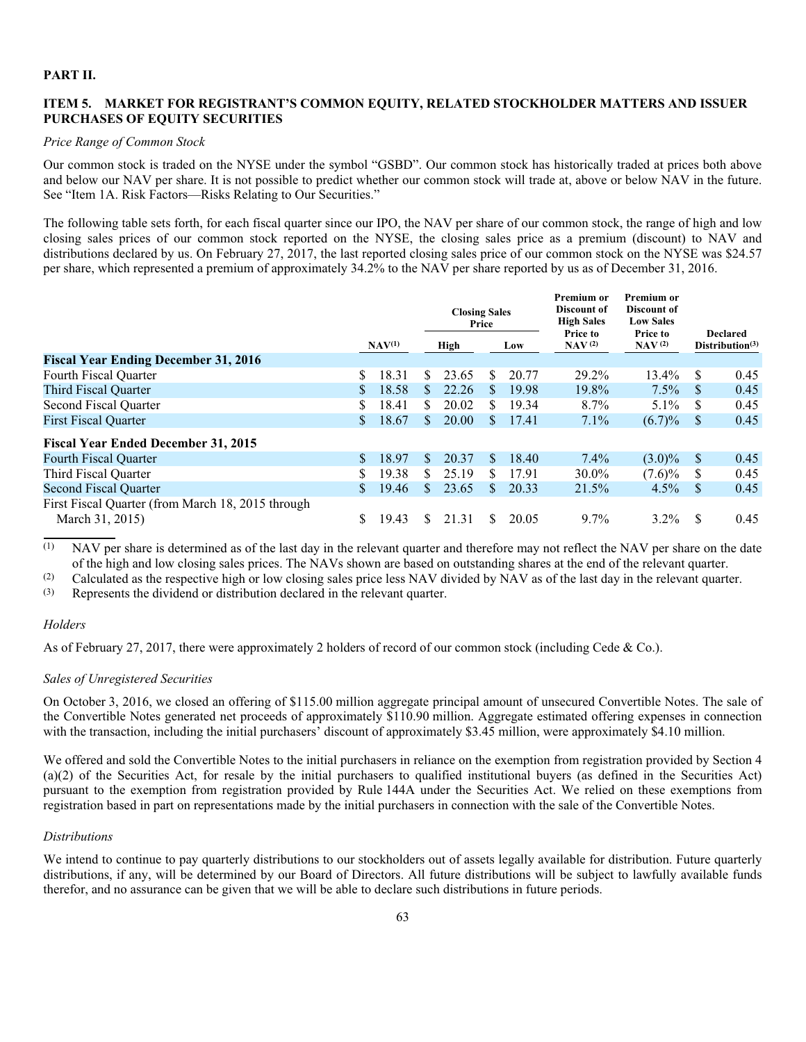### **PART II.**

## **ITEM 5. MARKET FOR REGISTRANT'S COMMON EQUITY, RELATED STOCKHOLDER MATTERS AND ISSUER PURCHASES OF EQUITY SECURITIES**

#### *Price Range of Common Stock*

Our common stock is traded on the NYSE under the symbol "GSBD". Our common stock has historically traded at prices both above and below our NAV per share. It is not possible to predict whether our common stock will trade at, above or below NAV in the future. See "Item 1A. Risk Factors—Risks Relating to Our Securities."

The following table sets forth, for each fiscal quarter since our IPO, the NAV per share of our common stock, the range of high and low closing sales prices of our common stock reported on the NYSE, the closing sales price as a premium (discount) to NAV and distributions declared by us. On February 27, 2017, the last reported closing sales price of our common stock on the NYSE was \$24.57 per share, which represented a premium of approximately 34.2% to the NAV per share reported by us as of December 31, 2016.

|                                                                      |               |                      |     |       |                | <b>Closing Sales</b> | Premium or<br>Discount of<br><b>High Sales</b> | <b>Premium or</b><br>Discount of<br><b>Low Sales</b> |               |                                                |
|----------------------------------------------------------------------|---------------|----------------------|-----|-------|----------------|----------------------|------------------------------------------------|------------------------------------------------------|---------------|------------------------------------------------|
|                                                                      |               | $\mathbf{NAV}^{(1)}$ |     | High  |                | Low                  | Price to<br>$\bf{NAV}^{(2)}$                   | Price to<br>$\bf{NAV}^{(2)}$                         |               | <b>Declared</b><br>Distribution <sup>(3)</sup> |
| <b>Fiscal Year Ending December 31, 2016</b>                          |               |                      |     |       |                |                      |                                                |                                                      |               |                                                |
| Fourth Fiscal Ouarter                                                | S.            | 18.31                | S.  | 23.65 | S              | 20.77                | 29.2%                                          | $13.4\%$                                             | S             | 0.45                                           |
| Third Fiscal Quarter                                                 | \$.           | 18.58                | \$  | 22.26 |                | 19.98                | 19.8%                                          | $7.5\%$                                              | \$            | 0.45                                           |
| Second Fiscal Ouarter                                                |               | 18.41                | S.  | 20.02 | S.             | 19.34                | 8.7%                                           | $5.1\%$                                              | S.            | 0.45                                           |
| <b>First Fiscal Quarter</b>                                          | S.            | 18.67                | S.  | 20.00 | <sup>S</sup>   | 17.41                | $7.1\%$                                        | $(6.7)\%$                                            | <sup>S</sup>  | 0.45                                           |
| <b>Fiscal Year Ended December 31, 2015</b>                           |               |                      |     |       |                |                      |                                                |                                                      |               |                                                |
| <b>Fourth Fiscal Quarter</b>                                         | $\mathcal{S}$ | 18.97                | \$. | 20.37 | $\mathbb{S}^-$ | 18.40                | $7.4\%$                                        | $(3.0)\%$                                            | <sup>\$</sup> | 0.45                                           |
| Third Fiscal Ouarter                                                 | S.            | 19.38                | \$. | 25.19 |                | 17.91                | $30.0\%$                                       | $(7.6)\%$                                            | \$            | 0.45                                           |
| <b>Second Fiscal Quarter</b>                                         | \$.           | 19.46                | S.  | 23.65 | <sup>S</sup>   | 20.33                | 21.5%                                          | $4.5\%$                                              | <sup>S</sup>  | 0.45                                           |
| First Fiscal Quarter (from March 18, 2015 through<br>March 31, 2015) | \$            | 19.43                | S.  | 21.31 | S.             | 20.05                | $9.7\%$                                        | $3.2\%$                                              | S             | 0.45                                           |

(1) NAV per share is determined as of the last day in the relevant quarter and therefore may not reflect the NAV per share on the date of the high and low closing sales prices. The NAVs shown are based on outstanding shares at the end of the relevant quarter.

(2) Calculated as the respective high or low closing sales price less NAV divided by NAV as of the last day in the relevant quarter.<br>(3) Represents the dividend or distribution declared in the relevant quarter.

### *Holders*

As of February 27, 2017, there were approximately 2 holders of record of our common stock (including Cede & Co.).

#### *Sales of Unregistered Securities*

On October 3, 2016, we closed an offering of \$115.00 million aggregate principal amount of unsecured Convertible Notes. The sale of the Convertible Notes generated net proceeds of approximately \$110.90 million. Aggregate estimated offering expenses in connection with the transaction, including the initial purchasers' discount of approximately \$3.45 million, were approximately \$4.10 million.

We offered and sold the Convertible Notes to the initial purchasers in reliance on the exemption from registration provided by Section 4 (a)(2) of the Securities Act, for resale by the initial purchasers to qualified institutional buyers (as defined in the Securities Act) pursuant to the exemption from registration provided by Rule 144A under the Securities Act. We relied on these exemptions from registration based in part on representations made by the initial purchasers in connection with the sale of the Convertible Notes.

#### *Distributions*

We intend to continue to pay quarterly distributions to our stockholders out of assets legally available for distribution. Future quarterly distributions, if any, will be determined by our Board of Directors. All future distributions will be subject to lawfully available funds therefor, and no assurance can be given that we will be able to declare such distributions in future periods.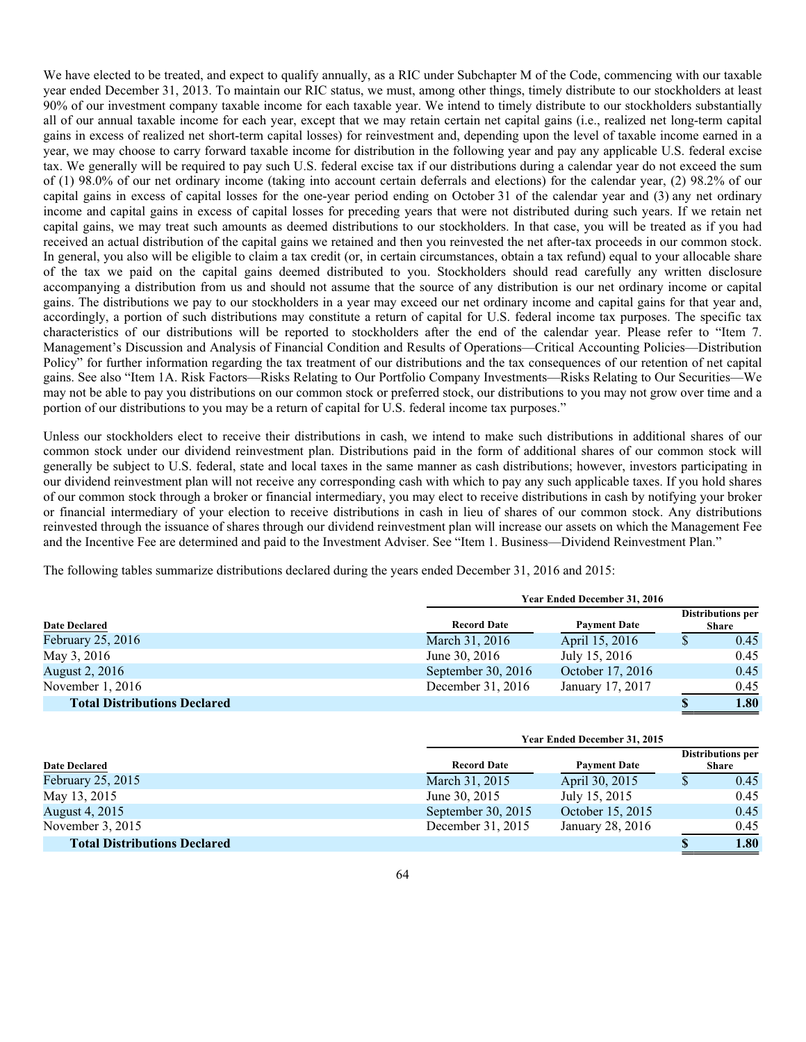We have elected to be treated, and expect to qualify annually, as a RIC under Subchapter M of the Code, commencing with our taxable year ended December 31, 2013. To maintain our RIC status, we must, among other things, timely distribute to our stockholders at least 90% of our investment company taxable income for each taxable year. We intend to timely distribute to our stockholders substantially all of our annual taxable income for each year, except that we may retain certain net capital gains (i.e., realized net long-term capital gains in excess of realized net short-term capital losses) for reinvestment and, depending upon the level of taxable income earned in a year, we may choose to carry forward taxable income for distribution in the following year and pay any applicable U.S. federal excise tax. We generally will be required to pay such U.S. federal excise tax if our distributions during a calendar year do not exceed the sum of (1) 98.0% of our net ordinary income (taking into account certain deferrals and elections) for the calendar year, (2) 98.2% of our capital gains in excess of capital losses for the one-year period ending on October 31 of the calendar year and (3) any net ordinary income and capital gains in excess of capital losses for preceding years that were not distributed during such years. If we retain net capital gains, we may treat such amounts as deemed distributions to our stockholders. In that case, you will be treated as if you had received an actual distribution of the capital gains we retained and then you reinvested the net after-tax proceeds in our common stock. In general, you also will be eligible to claim a tax credit (or, in certain circumstances, obtain a tax refund) equal to your allocable share of the tax we paid on the capital gains deemed distributed to you. Stockholders should read carefully any written disclosure accompanying a distribution from us and should not assume that the source of any distribution is our net ordinary income or capital gains. The distributions we pay to our stockholders in a year may exceed our net ordinary income and capital gains for that year and, accordingly, a portion of such distributions may constitute a return of capital for U.S. federal income tax purposes. The specific tax characteristics of our distributions will be reported to stockholders after the end of the calendar year. Please refer to "Item 7. Management's Discussion and Analysis of Financial Condition and Results of Operations—Critical Accounting Policies—Distribution Policy" for further information regarding the tax treatment of our distributions and the tax consequences of our retention of net capital gains. See also "Item 1A. Risk Factors—Risks Relating to Our Portfolio Company Investments—Risks Relating to Our Securities—We may not be able to pay you distributions on our common stock or preferred stock, our distributions to you may not grow over time and a portion of our distributions to you may be a return of capital for U.S. federal income tax purposes."

Unless our stockholders elect to receive their distributions in cash, we intend to make such distributions in additional shares of our common stock under our dividend reinvestment plan. Distributions paid in the form of additional shares of our common stock will generally be subject to U.S. federal, state and local taxes in the same manner as cash distributions; however, investors participating in our dividend reinvestment plan will not receive any corresponding cash with which to pay any such applicable taxes. If you hold shares of our common stock through a broker or financial intermediary, you may elect to receive distributions in cash by notifying your broker or financial intermediary of your election to receive distributions in cash in lieu of shares of our common stock. Any distributions reinvested through the issuance of shares through our dividend reinvestment plan will increase our assets on which the Management Fee and the Incentive Fee are determined and paid to the Investment Adviser. See "Item 1. Business—Dividend Reinvestment Plan."

The following tables summarize distributions declared during the years ended December 31, 2016 and 2015:

|                                     |                    | Year Ended December 31, 2016 |  |                                          |  |  |  |
|-------------------------------------|--------------------|------------------------------|--|------------------------------------------|--|--|--|
| <b>Date Declared</b>                | <b>Record Date</b> | <b>Payment Date</b>          |  | <b>Distributions per</b><br><b>Share</b> |  |  |  |
| February 25, 2016                   | March 31, 2016     | April 15, 2016               |  | 0.45                                     |  |  |  |
| May 3, 2016                         | June 30, 2016      | July 15, 2016                |  | 0.45                                     |  |  |  |
| <b>August 2, 2016</b>               | September 30, 2016 | October 17, 2016             |  | 0.45                                     |  |  |  |
| November $1, 2016$                  | December 31, 2016  | January 17, 2017             |  | 0.45                                     |  |  |  |
| <b>Total Distributions Declared</b> |                    |                              |  | 1.80                                     |  |  |  |

| <b>Date Declared</b>                |                    | Year Ended December 31, 2015 |                                   |      |  |  |  |  |  |
|-------------------------------------|--------------------|------------------------------|-----------------------------------|------|--|--|--|--|--|
|                                     | <b>Record Date</b> | <b>Payment Date</b>          | <b>Distributions per</b><br>Share |      |  |  |  |  |  |
| February 25, 2015                   | March 31, 2015     | April 30, 2015               |                                   | 0.45 |  |  |  |  |  |
| May 13, 2015                        | June 30, 2015      | July 15, 2015                |                                   | 0.45 |  |  |  |  |  |
| <b>August 4, 2015</b>               | September 30, 2015 | October 15, 2015             |                                   | 0.45 |  |  |  |  |  |
| November $3, 2015$                  | December 31, 2015  | January 28, 2016             |                                   | 0.45 |  |  |  |  |  |
| <b>Total Distributions Declared</b> |                    |                              |                                   | 1.80 |  |  |  |  |  |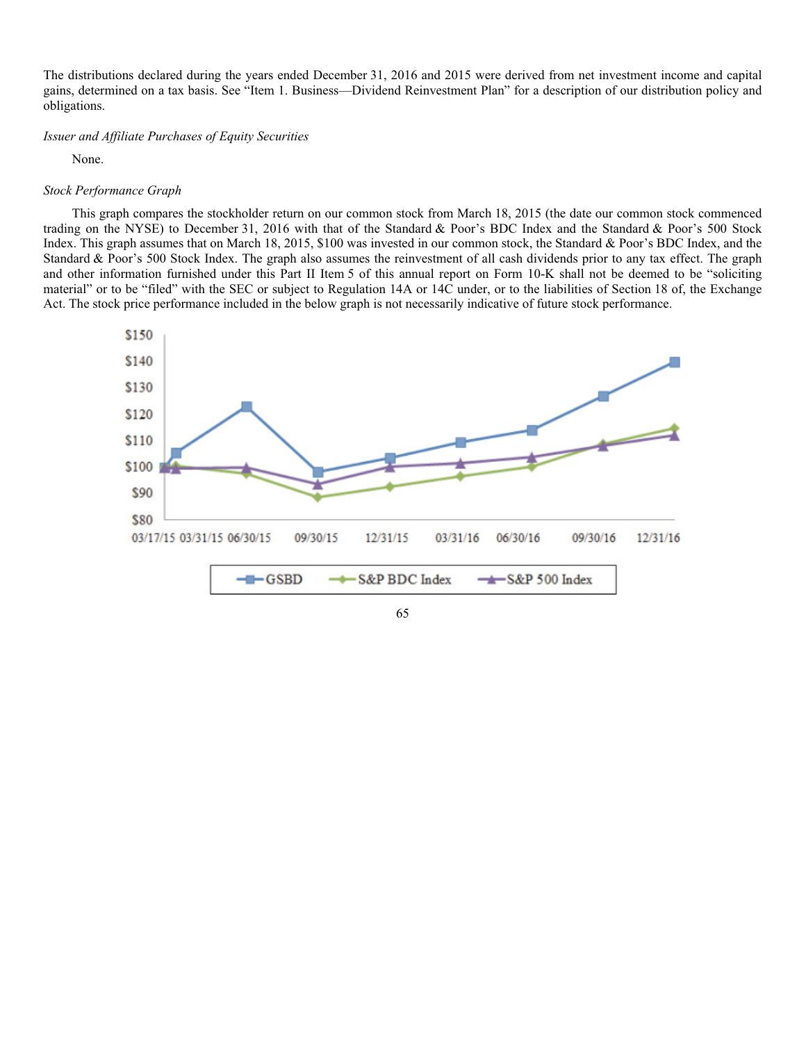The distributions declared during the years ended December 31, 2016 and 2015 were derived from net investment income and capital gains, determined on a tax basis. See "Item 1. Business—Dividend Reinvestment Plan" for a description of our distribution policy and obligations.

*Issuer and Affiliate Purchases of Equity Securities* 

None.

#### *Stock Performance Graph*

This graph compares the stockholder return on our common stock from March 18, 2015 (the date our common stock commenced trading on the NYSE) to December 31, 2016 with that of the Standard & Poor's BDC Index and the Standard & Poor's 500 Stock Index. This graph assumes that on March 18, 2015, \$100 was invested in our common stock, the Standard & Poor's BDC Index, and the Standard & Poor's 500 Stock Index. The graph also assumes the reinvestment of all cash dividends prior to any tax effect. The graph and other information furnished under this Part II Item 5 of this annual report on Form 10-K shall not be deemed to be "soliciting material" or to be "filed" with the SEC or subject to Regulation 14A or 14C under, or to the liabilities of Section 18 of, the Exchange Act. The stock price performance included in the below graph is not necessarily indicative of future stock performance.

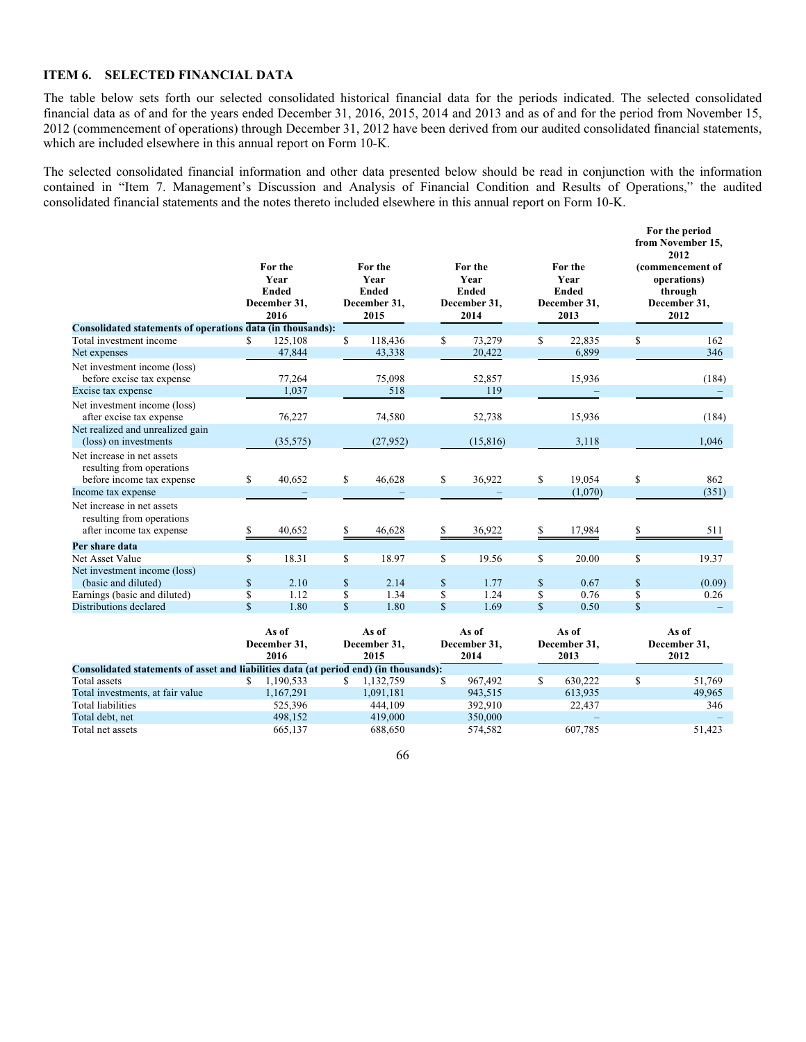## **ITEM 6. SELECTED FINANCIAL DATA**

The table below sets forth our selected consolidated historical financial data for the periods indicated. The selected consolidated financial data as of and for the years ended December 31, 2016, 2015, 2014 and 2013 and as of and for the period from November 15, 2012 (commencement of operations) through December 31, 2012 have been derived from our audited consolidated financial statements, which are included elsewhere in this annual report on Form 10-K.

The selected consolidated financial information and other data presented below should be read in conjunction with the information contained in "Item 7. Management's Discussion and Analysis of Financial Condition and Results of Operations," the audited consolidated financial statements and the notes thereto included elsewhere in this annual report on Form 10-K.

|                                                                                       |             | For the<br>Year<br><b>Ended</b><br>December 31,<br>2016 |              | For the<br>Year<br><b>Ended</b><br>December 31,<br>2015 |          | For the<br>Year<br><b>Ended</b><br>December 31,<br>2014 |             | For the<br>Year<br><b>Ended</b><br>December 31,<br>2013 |          | For the period<br>from November 15,<br>2012<br>(commencement of<br>operations)<br>through<br>December 31,<br>2012 |
|---------------------------------------------------------------------------------------|-------------|---------------------------------------------------------|--------------|---------------------------------------------------------|----------|---------------------------------------------------------|-------------|---------------------------------------------------------|----------|-------------------------------------------------------------------------------------------------------------------|
| Consolidated statements of operations data (in thousands):                            |             |                                                         |              |                                                         |          |                                                         |             |                                                         |          |                                                                                                                   |
| Total investment income                                                               | \$          | 125,108                                                 | S            | 118,436                                                 | \$       | 73,279                                                  | \$          | 22,835                                                  | \$       | 162                                                                                                               |
| Net expenses                                                                          |             | 47,844                                                  |              | 43,338                                                  |          | 20,422                                                  |             | 6,899                                                   |          | 346                                                                                                               |
| Net investment income (loss)                                                          |             |                                                         |              |                                                         |          |                                                         |             |                                                         |          |                                                                                                                   |
| before excise tax expense                                                             |             | 77,264                                                  |              | 75,098                                                  |          | 52,857                                                  |             | 15,936                                                  |          | (184)                                                                                                             |
| Excise tax expense                                                                    |             | 1,037                                                   |              | 518                                                     |          | 119                                                     |             |                                                         |          |                                                                                                                   |
| Net investment income (loss)                                                          |             |                                                         |              |                                                         |          |                                                         |             |                                                         |          |                                                                                                                   |
| after excise tax expense                                                              |             | 76,227                                                  |              | 74,580                                                  |          | 52,738                                                  |             | 15,936                                                  |          | (184)                                                                                                             |
| Net realized and unrealized gain                                                      |             |                                                         |              |                                                         |          |                                                         |             |                                                         |          |                                                                                                                   |
| (loss) on investments                                                                 |             | (35, 575)                                               |              | (27, 952)                                               |          | (15, 816)                                               |             | 3,118                                                   |          | 1,046                                                                                                             |
| Net increase in net assets<br>resulting from operations                               |             |                                                         |              |                                                         |          |                                                         |             |                                                         |          |                                                                                                                   |
| before income tax expense                                                             | \$          | 40,652                                                  | \$           | 46,628                                                  | \$       | 36,922                                                  | \$          | 19.054<br>(1,070)                                       | \$       | 862<br>(351)                                                                                                      |
| Income tax expense                                                                    |             |                                                         |              |                                                         |          |                                                         |             |                                                         |          |                                                                                                                   |
| Net increase in net assets<br>resulting from operations<br>after income tax expense   | \$          | 40,652                                                  | \$           | 46,628                                                  | \$       | 36,922                                                  | \$          | 17,984                                                  | \$       | 511                                                                                                               |
|                                                                                       |             |                                                         |              |                                                         |          |                                                         |             |                                                         |          |                                                                                                                   |
| Per share data                                                                        |             |                                                         |              |                                                         |          |                                                         |             |                                                         |          |                                                                                                                   |
| Net Asset Value                                                                       | \$          | 18.31                                                   | \$           | 18.97                                                   | \$       | 19.56                                                   | \$          | 20.00                                                   | \$       | 19.37                                                                                                             |
| Net investment income (loss)                                                          |             |                                                         |              |                                                         |          |                                                         |             |                                                         |          |                                                                                                                   |
| (basic and diluted)<br>Earnings (basic and diluted)                                   | \$<br>\$    | 2.10<br>1.12                                            | \$<br>\$     | 2.14<br>1.34                                            | \$<br>\$ | 1.77<br>1.24                                            | \$<br>\$    | 0.67<br>0.76                                            | \$<br>\$ | (0.09)<br>0.26                                                                                                    |
| Distributions declared                                                                | $\mathbf S$ | 1.80                                                    | $\mathbf{s}$ | 1.80                                                    | \$       | 1.69                                                    | $\mathbf S$ | 0.50                                                    | \$       |                                                                                                                   |
|                                                                                       |             |                                                         |              |                                                         |          |                                                         |             |                                                         |          |                                                                                                                   |
|                                                                                       |             | As of                                                   |              | As of                                                   |          | As of                                                   |             | As of                                                   |          | As of                                                                                                             |
|                                                                                       |             | December 31,<br>2016                                    |              | December 31,<br>2015                                    |          | December 31,<br>2014                                    |             | December 31,<br>2013                                    |          | December 31,<br>2012                                                                                              |
| Consolidated statements of asset and liabilities data (at period end) (in thousands): |             |                                                         |              |                                                         |          |                                                         |             |                                                         |          |                                                                                                                   |
| Total assets                                                                          | \$          | 1,190,533                                               | \$.          | 1,132,759                                               | \$       | 967,492                                                 | \$          | 630,222                                                 | \$       | 51,769                                                                                                            |
| Total investments, at fair value                                                      |             | 1,167,291                                               |              | 1,091,181                                               |          | 943,515                                                 |             | 613,935                                                 |          | 49,965                                                                                                            |
| <b>Total liabilities</b>                                                              |             | 525,396                                                 |              | 444,109                                                 |          | 392,910                                                 |             | 22,437                                                  |          | 346                                                                                                               |
| Total debt, net                                                                       |             | 498,152                                                 |              | 419,000                                                 |          | 350,000                                                 |             | $\overline{\phantom{0}}$                                |          |                                                                                                                   |

Total net assets 665,137 688,650 574,582 607,785 51,423 66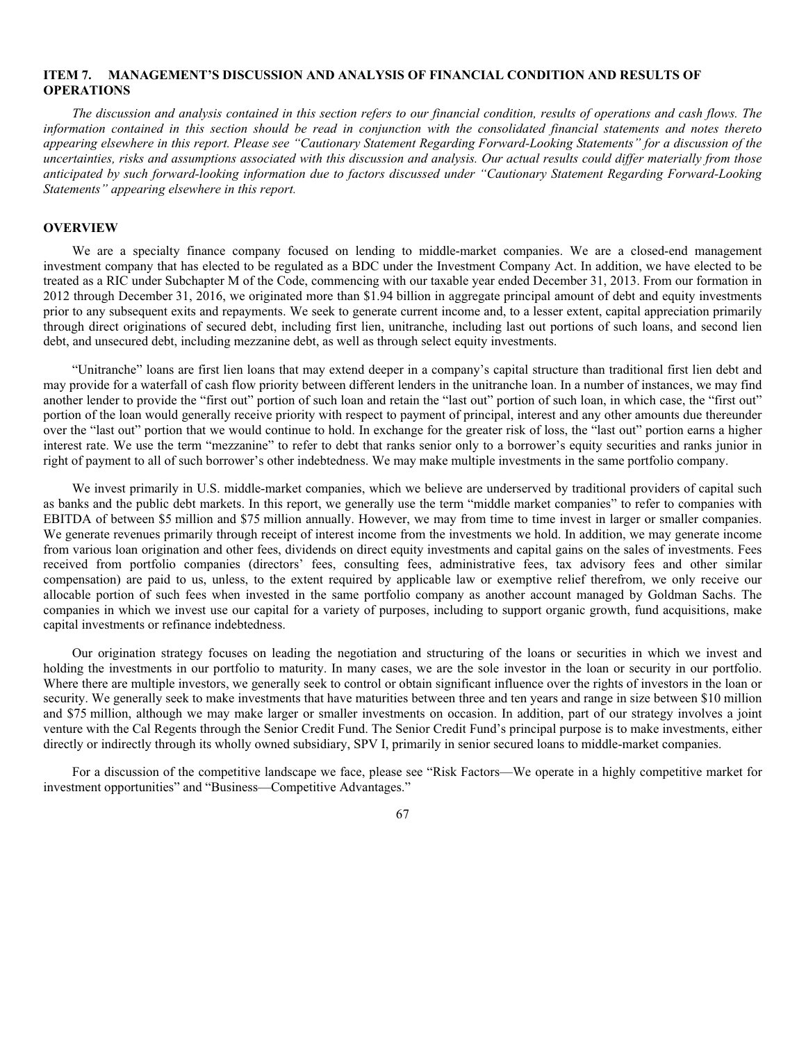## **ITEM 7. MANAGEMENT'S DISCUSSION AND ANALYSIS OF FINANCIAL CONDITION AND RESULTS OF OPERATIONS**

*The discussion and analysis contained in this section refers to our financial condition, results of operations and cash flows. The information contained in this section should be read in conjunction with the consolidated financial statements and notes thereto appearing elsewhere in this report. Please see "Cautionary Statement Regarding Forward-Looking Statements" for a discussion of the uncertainties, risks and assumptions associated with this discussion and analysis. Our actual results could differ materially from those anticipated by such forward-looking information due to factors discussed under "Cautionary Statement Regarding Forward-Looking Statements" appearing elsewhere in this report.* 

### **OVERVIEW**

We are a specialty finance company focused on lending to middle-market companies. We are a closed-end management investment company that has elected to be regulated as a BDC under the Investment Company Act. In addition, we have elected to be treated as a RIC under Subchapter M of the Code, commencing with our taxable year ended December 31, 2013. From our formation in 2012 through December 31, 2016, we originated more than \$1.94 billion in aggregate principal amount of debt and equity investments prior to any subsequent exits and repayments. We seek to generate current income and, to a lesser extent, capital appreciation primarily through direct originations of secured debt, including first lien, unitranche, including last out portions of such loans, and second lien debt, and unsecured debt, including mezzanine debt, as well as through select equity investments.

"Unitranche" loans are first lien loans that may extend deeper in a company's capital structure than traditional first lien debt and may provide for a waterfall of cash flow priority between different lenders in the unitranche loan. In a number of instances, we may find another lender to provide the "first out" portion of such loan and retain the "last out" portion of such loan, in which case, the "first out" portion of the loan would generally receive priority with respect to payment of principal, interest and any other amounts due thereunder over the "last out" portion that we would continue to hold. In exchange for the greater risk of loss, the "last out" portion earns a higher interest rate. We use the term "mezzanine" to refer to debt that ranks senior only to a borrower's equity securities and ranks junior in right of payment to all of such borrower's other indebtedness. We may make multiple investments in the same portfolio company.

We invest primarily in U.S. middle-market companies, which we believe are underserved by traditional providers of capital such as banks and the public debt markets. In this report, we generally use the term "middle market companies" to refer to companies with EBITDA of between \$5 million and \$75 million annually. However, we may from time to time invest in larger or smaller companies. We generate revenues primarily through receipt of interest income from the investments we hold. In addition, we may generate income from various loan origination and other fees, dividends on direct equity investments and capital gains on the sales of investments. Fees received from portfolio companies (directors' fees, consulting fees, administrative fees, tax advisory fees and other similar compensation) are paid to us, unless, to the extent required by applicable law or exemptive relief therefrom, we only receive our allocable portion of such fees when invested in the same portfolio company as another account managed by Goldman Sachs. The companies in which we invest use our capital for a variety of purposes, including to support organic growth, fund acquisitions, make capital investments or refinance indebtedness.

Our origination strategy focuses on leading the negotiation and structuring of the loans or securities in which we invest and holding the investments in our portfolio to maturity. In many cases, we are the sole investor in the loan or security in our portfolio. Where there are multiple investors, we generally seek to control or obtain significant influence over the rights of investors in the loan or security. We generally seek to make investments that have maturities between three and ten years and range in size between \$10 million and \$75 million, although we may make larger or smaller investments on occasion. In addition, part of our strategy involves a joint venture with the Cal Regents through the Senior Credit Fund. The Senior Credit Fund's principal purpose is to make investments, either directly or indirectly through its wholly owned subsidiary, SPV I, primarily in senior secured loans to middle-market companies.

For a discussion of the competitive landscape we face, please see "Risk Factors—We operate in a highly competitive market for investment opportunities" and "Business—Competitive Advantages."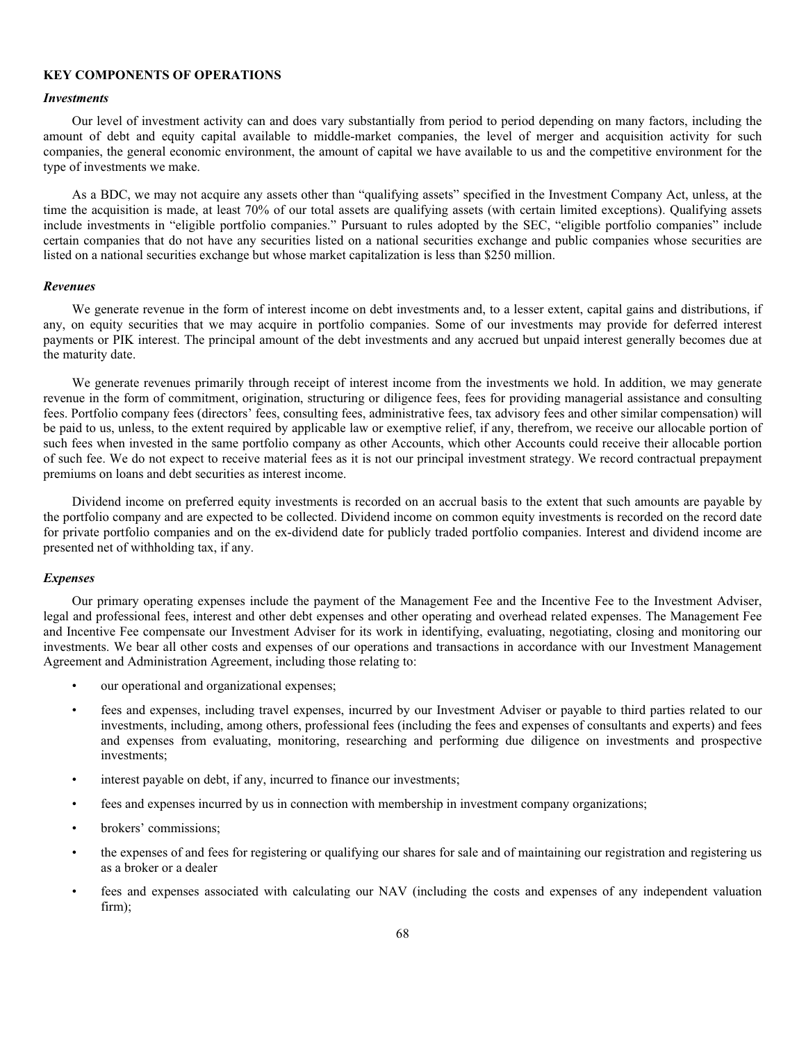# **KEY COMPONENTS OF OPERATIONS**

#### *Investments*

Our level of investment activity can and does vary substantially from period to period depending on many factors, including the amount of debt and equity capital available to middle-market companies, the level of merger and acquisition activity for such companies, the general economic environment, the amount of capital we have available to us and the competitive environment for the type of investments we make.

As a BDC, we may not acquire any assets other than "qualifying assets" specified in the Investment Company Act, unless, at the time the acquisition is made, at least 70% of our total assets are qualifying assets (with certain limited exceptions). Qualifying assets include investments in "eligible portfolio companies." Pursuant to rules adopted by the SEC, "eligible portfolio companies" include certain companies that do not have any securities listed on a national securities exchange and public companies whose securities are listed on a national securities exchange but whose market capitalization is less than \$250 million.

#### *Revenues*

We generate revenue in the form of interest income on debt investments and, to a lesser extent, capital gains and distributions, if any, on equity securities that we may acquire in portfolio companies. Some of our investments may provide for deferred interest payments or PIK interest. The principal amount of the debt investments and any accrued but unpaid interest generally becomes due at the maturity date.

We generate revenues primarily through receipt of interest income from the investments we hold. In addition, we may generate revenue in the form of commitment, origination, structuring or diligence fees, fees for providing managerial assistance and consulting fees. Portfolio company fees (directors' fees, consulting fees, administrative fees, tax advisory fees and other similar compensation) will be paid to us, unless, to the extent required by applicable law or exemptive relief, if any, therefrom, we receive our allocable portion of such fees when invested in the same portfolio company as other Accounts, which other Accounts could receive their allocable portion of such fee. We do not expect to receive material fees as it is not our principal investment strategy. We record contractual prepayment premiums on loans and debt securities as interest income.

Dividend income on preferred equity investments is recorded on an accrual basis to the extent that such amounts are payable by the portfolio company and are expected to be collected. Dividend income on common equity investments is recorded on the record date for private portfolio companies and on the ex-dividend date for publicly traded portfolio companies. Interest and dividend income are presented net of withholding tax, if any.

#### *Expenses*

Our primary operating expenses include the payment of the Management Fee and the Incentive Fee to the Investment Adviser, legal and professional fees, interest and other debt expenses and other operating and overhead related expenses. The Management Fee and Incentive Fee compensate our Investment Adviser for its work in identifying, evaluating, negotiating, closing and monitoring our investments. We bear all other costs and expenses of our operations and transactions in accordance with our Investment Management Agreement and Administration Agreement, including those relating to:

- our operational and organizational expenses;
- fees and expenses, including travel expenses, incurred by our Investment Adviser or payable to third parties related to our investments, including, among others, professional fees (including the fees and expenses of consultants and experts) and fees and expenses from evaluating, monitoring, researching and performing due diligence on investments and prospective investments;
- interest payable on debt, if any, incurred to finance our investments;
- fees and expenses incurred by us in connection with membership in investment company organizations;
- brokers' commissions;
- the expenses of and fees for registering or qualifying our shares for sale and of maintaining our registration and registering us as a broker or a dealer
- fees and expenses associated with calculating our NAV (including the costs and expenses of any independent valuation firm);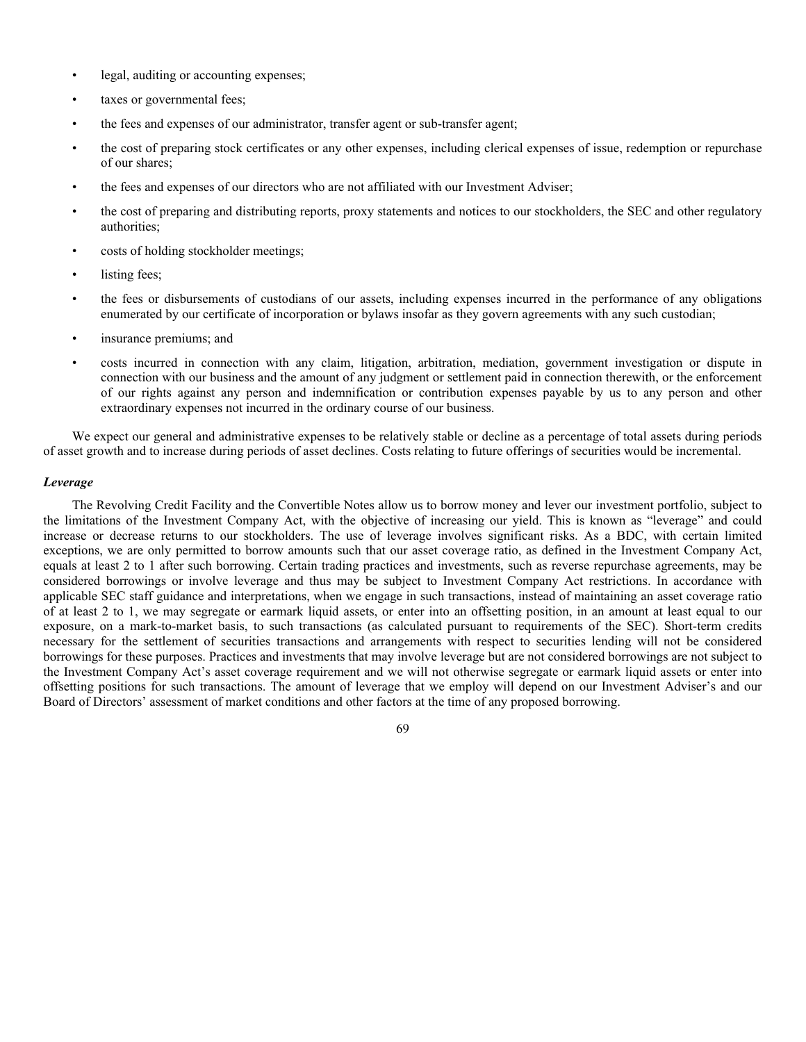- legal, auditing or accounting expenses;
- taxes or governmental fees;
- the fees and expenses of our administrator, transfer agent or sub-transfer agent;
- the cost of preparing stock certificates or any other expenses, including clerical expenses of issue, redemption or repurchase of our shares;
- the fees and expenses of our directors who are not affiliated with our Investment Adviser;
- the cost of preparing and distributing reports, proxy statements and notices to our stockholders, the SEC and other regulatory authorities;
- costs of holding stockholder meetings;
- listing fees;
- the fees or disbursements of custodians of our assets, including expenses incurred in the performance of any obligations enumerated by our certificate of incorporation or bylaws insofar as they govern agreements with any such custodian;
- insurance premiums; and
- costs incurred in connection with any claim, litigation, arbitration, mediation, government investigation or dispute in connection with our business and the amount of any judgment or settlement paid in connection therewith, or the enforcement of our rights against any person and indemnification or contribution expenses payable by us to any person and other extraordinary expenses not incurred in the ordinary course of our business.

We expect our general and administrative expenses to be relatively stable or decline as a percentage of total assets during periods of asset growth and to increase during periods of asset declines. Costs relating to future offerings of securities would be incremental.

#### *Leverage*

The Revolving Credit Facility and the Convertible Notes allow us to borrow money and lever our investment portfolio, subject to the limitations of the Investment Company Act, with the objective of increasing our yield. This is known as "leverage" and could increase or decrease returns to our stockholders. The use of leverage involves significant risks. As a BDC, with certain limited exceptions, we are only permitted to borrow amounts such that our asset coverage ratio, as defined in the Investment Company Act, equals at least 2 to 1 after such borrowing. Certain trading practices and investments, such as reverse repurchase agreements, may be considered borrowings or involve leverage and thus may be subject to Investment Company Act restrictions. In accordance with applicable SEC staff guidance and interpretations, when we engage in such transactions, instead of maintaining an asset coverage ratio of at least 2 to 1, we may segregate or earmark liquid assets, or enter into an offsetting position, in an amount at least equal to our exposure, on a mark-to-market basis, to such transactions (as calculated pursuant to requirements of the SEC). Short-term credits necessary for the settlement of securities transactions and arrangements with respect to securities lending will not be considered borrowings for these purposes. Practices and investments that may involve leverage but are not considered borrowings are not subject to the Investment Company Act's asset coverage requirement and we will not otherwise segregate or earmark liquid assets or enter into offsetting positions for such transactions. The amount of leverage that we employ will depend on our Investment Adviser's and our Board of Directors' assessment of market conditions and other factors at the time of any proposed borrowing.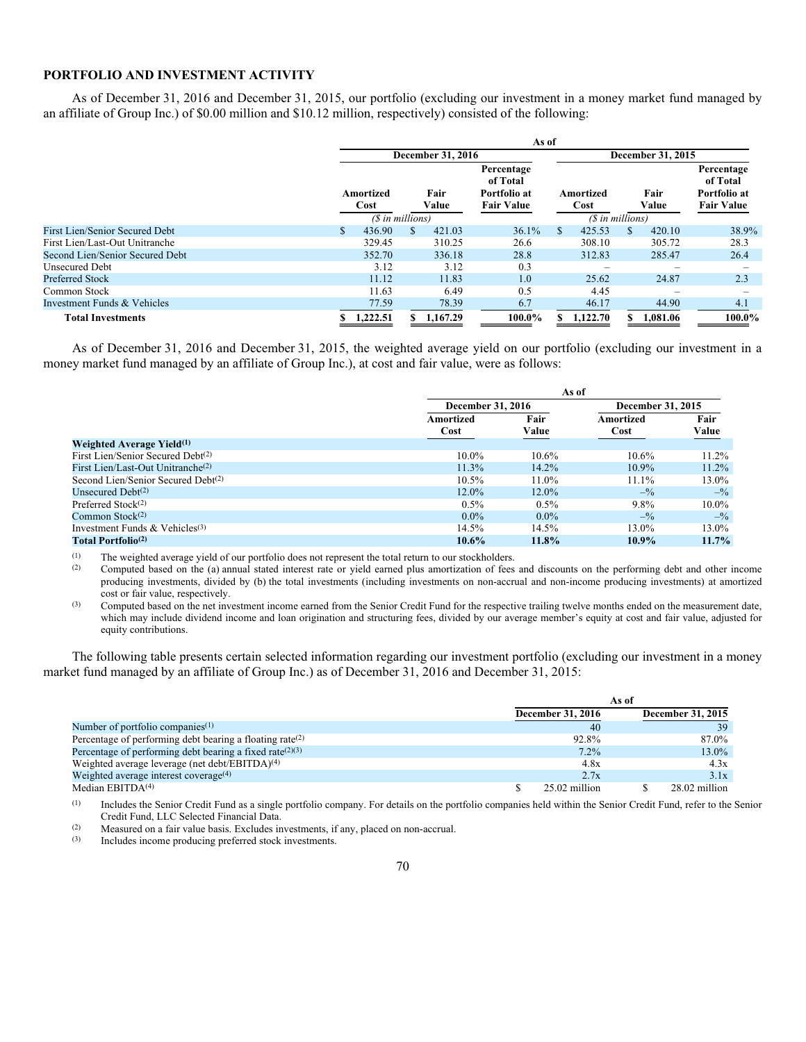### **PORTFOLIO AND INVESTMENT ACTIVITY**

As of December 31, 2016 and December 31, 2015, our portfolio (excluding our investment in a money market fund managed by an affiliate of Group Inc.) of \$0.00 million and \$10.12 million, respectively) consisted of the following:

|                                       |    | As of                    |   |          |                                                |    |                          |  |          |                                        |  |
|---------------------------------------|----|--------------------------|---|----------|------------------------------------------------|----|--------------------------|--|----------|----------------------------------------|--|
|                                       |    | December 31, 2016        |   |          |                                                |    | December 31, 2015        |  |          |                                        |  |
|                                       |    | Amortized                |   |          | Percentage<br>of Total<br>Fair<br>Portfolio at |    | Fair<br>Amortized        |  |          | Percentage<br>of Total<br>Portfolio at |  |
|                                       |    | Cost<br>(\$ in millions) |   | Value    | <b>Fair Value</b>                              |    | Cost<br>(\$ in millions) |  | Value    | <b>Fair Value</b>                      |  |
| <b>First Lien/Senior Secured Debt</b> | S. | 436.90                   | S | 421.03   | 36.1%                                          | S. | 425.53                   |  | 420.10   | 38.9%                                  |  |
| First Lien/Last-Out Unitranche        |    | 329.45                   |   | 310.25   | 26.6                                           |    | 308.10                   |  | 305.72   | 28.3                                   |  |
| Second Lien/Senior Secured Debt       |    | 352.70                   |   | 336.18   | 28.8                                           |    | 312.83                   |  | 285.47   | 26.4                                   |  |
| Unsecured Debt                        |    | 3.12                     |   | 3.12     | 0.3                                            |    |                          |  |          |                                        |  |
| Preferred Stock                       |    | 11.12                    |   | 11.83    | 1.0                                            |    | 25.62                    |  | 24.87    | 2.3                                    |  |
| Common Stock                          |    | 11.63                    |   | 6.49     | 0.5                                            |    | 4.45                     |  |          |                                        |  |
| Investment Funds & Vehicles           |    | 77.59                    |   | 78.39    | 6.7                                            |    | 46.17                    |  | 44.90    | 4.1                                    |  |
| <b>Total Investments</b>              |    | 1,222.51                 |   | 1,167.29 | 100.0%                                         |    | 1.122.70                 |  | 1.081.06 | 100.0%                                 |  |

As of December 31, 2016 and December 31, 2015, the weighted average yield on our portfolio (excluding our investment in a money market fund managed by an affiliate of Group Inc.), at cost and fair value, were as follows:

|                                                |                   | As of    |                   |                 |  |  |  |  |  |
|------------------------------------------------|-------------------|----------|-------------------|-----------------|--|--|--|--|--|
|                                                | December 31, 2016 |          | December 31, 2015 |                 |  |  |  |  |  |
|                                                | Amortized         | Fair     | Amortized         | Fair            |  |  |  |  |  |
|                                                | Cost              | Value    | Cost              | Value           |  |  |  |  |  |
| Weighted Average Yield $(1)$                   |                   |          |                   |                 |  |  |  |  |  |
| First Lien/Senior Secured Debt(2)              | $10.0\%$          | 10.6%    | $10.6\%$          | $11.2\%$        |  |  |  |  |  |
| First Lien/Last-Out Unitranche $(2)$           | $11.3\%$          | 14.2%    | $10.9\%$          | $11.2\%$        |  |  |  |  |  |
| Second Lien/Senior Secured Debt <sup>(2)</sup> | 10.5%             | 11.0%    | $11.1\%$          | 13.0%           |  |  |  |  |  |
| Unsecured $Debt^{(2)}$                         | $12.0\%$          | $12.0\%$ | $- \frac{9}{6}$   | $-^{0}\!/_{0}$  |  |  |  |  |  |
| Preferred Stock $(2)$                          | $0.5\%$           | $0.5\%$  | 9.8%              | $10.0\%$        |  |  |  |  |  |
| Common Stock $(2)$                             | $0.0\%$           | $0.0\%$  | $- \frac{0}{2}$   | $- \frac{9}{6}$ |  |  |  |  |  |
| Investment Funds & Vehicles <sup>(3)</sup>     | 14.5%             | 14.5%    | 13.0%             | 13.0%           |  |  |  |  |  |
| Total Portfolio <sup>(2)</sup>                 | $10.6\%$          | 11.8%    | $10.9\%$          | $11.7\%$        |  |  |  |  |  |

(1) The weighted average yield of our portfolio does not represent the total return to our stockholders.

(2) Computed based on the (a) annual stated interest rate or yield earned plus amortization of fees and discounts on the performing debt and other income producing investments, divided by (b) the total investments (including investments on non-accrual and non-income producing investments) at amortized cost or fair value, respectively.

(3) Computed based on the net investment income earned from the Senior Credit Fund for the respective trailing twelve months ended on the measurement date, which may include dividend income and loan origination and structuring fees, divided by our average member's equity at cost and fair value, adjusted for equity contributions.

The following table presents certain selected information regarding our investment portfolio (excluding our investment in a money market fund managed by an affiliate of Group Inc.) as of December 31, 2016 and December 31, 2015:

|                                                             | As of |                   |  |                   |  |
|-------------------------------------------------------------|-------|-------------------|--|-------------------|--|
|                                                             |       | December 31, 2016 |  | December 31, 2015 |  |
| Number of portfolio companies $(1)$                         |       | 40                |  | 39                |  |
| Percentage of performing debt bearing a floating rate $(2)$ |       | 92.8%             |  | 87.0%             |  |
| Percentage of performing debt bearing a fixed rate $(2)(3)$ |       | 7.2%              |  | $13.0\%$          |  |
| Weighted average leverage (net debt/EBITDA) $(4)$           |       | 4.8x              |  | 4.3x              |  |
| Weighted average interest coverage $(4)$                    |       | 2.7x              |  | 3.1x              |  |
| Median EBITD $A^{(4)}$                                      |       | $25.02$ million   |  | 28.02 million     |  |

(1) Includes the Senior Credit Fund as a single portfolio company. For details on the portfolio companies held within the Senior Credit Fund, refer to the Senior Credit Fund, LLC Selected Financial Data.

(2) Measured on a fair value basis. Excludes investments, if any, placed on non-accrual.<br>  $\frac{(3)}{100}$  Includes income producing preferred stock investments.

Includes income producing preferred stock investments.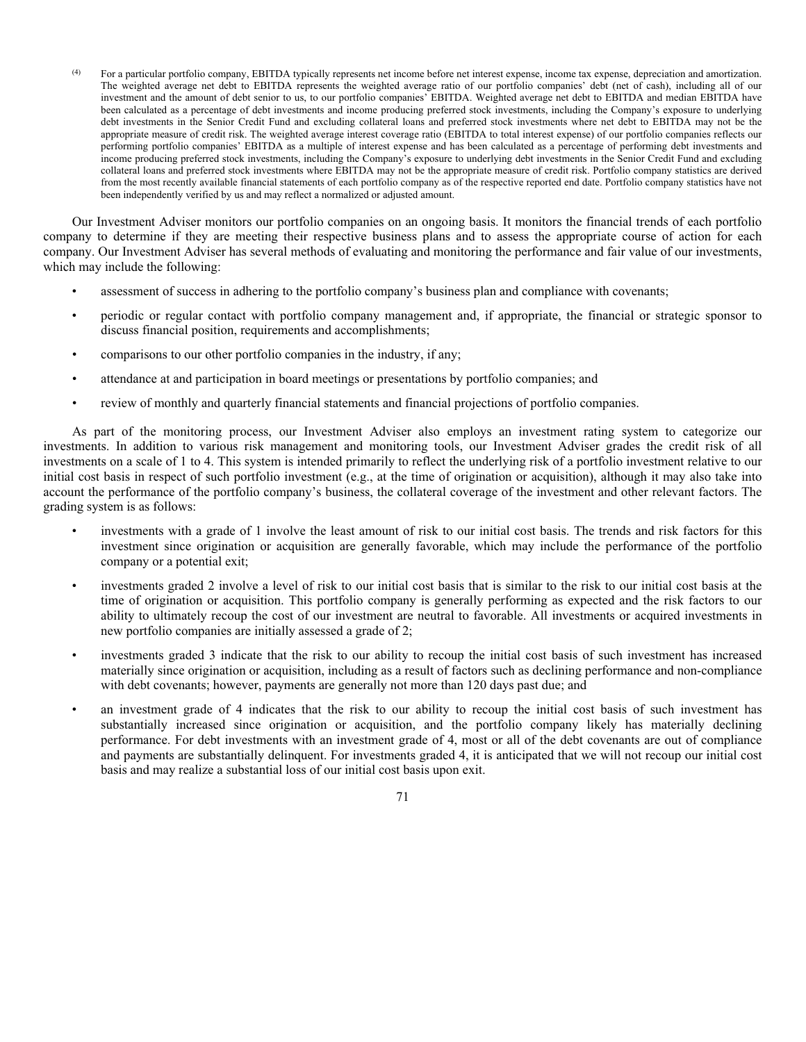(4) For a particular portfolio company, EBITDA typically represents net income before net interest expense, income tax expense, depreciation and amortization. The weighted average net debt to EBITDA represents the weighted average ratio of our portfolio companies' debt (net of cash), including all of our investment and the amount of debt senior to us, to our portfolio companies' EBITDA. Weighted average net debt to EBITDA and median EBITDA have been calculated as a percentage of debt investments and income producing preferred stock investments, including the Company's exposure to underlying debt investments in the Senior Credit Fund and excluding collateral loans and preferred stock investments where net debt to EBITDA may not be the appropriate measure of credit risk. The weighted average interest coverage ratio (EBITDA to total interest expense) of our portfolio companies reflects our performing portfolio companies' EBITDA as a multiple of interest expense and has been calculated as a percentage of performing debt investments and income producing preferred stock investments, including the Company's exposure to underlying debt investments in the Senior Credit Fund and excluding collateral loans and preferred stock investments where EBITDA may not be the appropriate measure of credit risk. Portfolio company statistics are derived from the most recently available financial statements of each portfolio company as of the respective reported end date. Portfolio company statistics have not been independently verified by us and may reflect a normalized or adjusted amount.

Our Investment Adviser monitors our portfolio companies on an ongoing basis. It monitors the financial trends of each portfolio company to determine if they are meeting their respective business plans and to assess the appropriate course of action for each company. Our Investment Adviser has several methods of evaluating and monitoring the performance and fair value of our investments, which may include the following:

- assessment of success in adhering to the portfolio company's business plan and compliance with covenants;
- periodic or regular contact with portfolio company management and, if appropriate, the financial or strategic sponsor to discuss financial position, requirements and accomplishments;
- comparisons to our other portfolio companies in the industry, if any;
- attendance at and participation in board meetings or presentations by portfolio companies; and
- review of monthly and quarterly financial statements and financial projections of portfolio companies.

As part of the monitoring process, our Investment Adviser also employs an investment rating system to categorize our investments. In addition to various risk management and monitoring tools, our Investment Adviser grades the credit risk of all investments on a scale of 1 to 4. This system is intended primarily to reflect the underlying risk of a portfolio investment relative to our initial cost basis in respect of such portfolio investment (e.g., at the time of origination or acquisition), although it may also take into account the performance of the portfolio company's business, the collateral coverage of the investment and other relevant factors. The grading system is as follows:

- investments with a grade of 1 involve the least amount of risk to our initial cost basis. The trends and risk factors for this investment since origination or acquisition are generally favorable, which may include the performance of the portfolio company or a potential exit;
- investments graded 2 involve a level of risk to our initial cost basis that is similar to the risk to our initial cost basis at the time of origination or acquisition. This portfolio company is generally performing as expected and the risk factors to our ability to ultimately recoup the cost of our investment are neutral to favorable. All investments or acquired investments in new portfolio companies are initially assessed a grade of 2;
- investments graded 3 indicate that the risk to our ability to recoup the initial cost basis of such investment has increased materially since origination or acquisition, including as a result of factors such as declining performance and non-compliance with debt covenants; however, payments are generally not more than 120 days past due; and
- an investment grade of 4 indicates that the risk to our ability to recoup the initial cost basis of such investment has substantially increased since origination or acquisition, and the portfolio company likely has materially declining performance. For debt investments with an investment grade of 4, most or all of the debt covenants are out of compliance and payments are substantially delinquent. For investments graded 4, it is anticipated that we will not recoup our initial cost basis and may realize a substantial loss of our initial cost basis upon exit.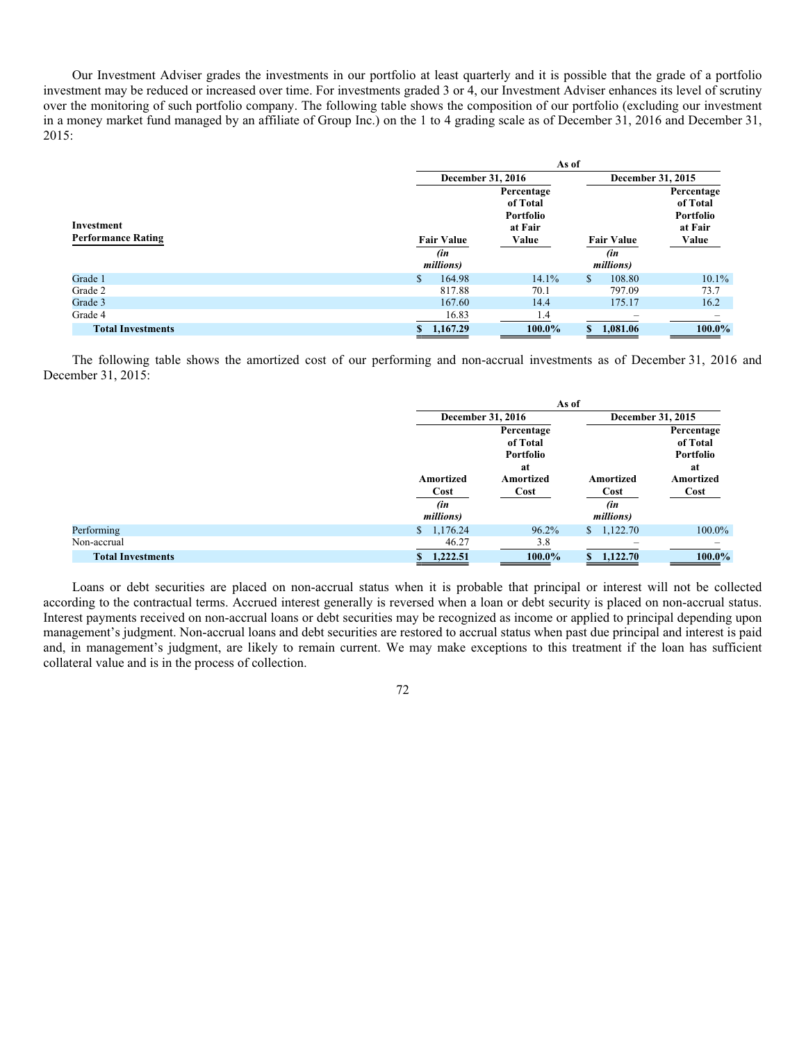Our Investment Adviser grades the investments in our portfolio at least quarterly and it is possible that the grade of a portfolio investment may be reduced or increased over time. For investments graded 3 or 4, our Investment Adviser enhances its level of scrutiny over the monitoring of such portfolio company. The following table shows the composition of our portfolio (excluding our investment in a money market fund managed by an affiliate of Group Inc.) on the 1 to 4 grading scale as of December 31, 2016 and December 31, 2015:

|                           |                   | As of                                  |                        |            |  |  |  |  |
|---------------------------|-------------------|----------------------------------------|------------------------|------------|--|--|--|--|
|                           |                   | December 31, 2016<br>December 31, 2015 |                        |            |  |  |  |  |
|                           |                   | Percentage                             |                        | Percentage |  |  |  |  |
|                           |                   | of Total                               |                        | of Total   |  |  |  |  |
|                           |                   | Portfolio                              |                        | Portfolio  |  |  |  |  |
| Investment                |                   | at Fair                                |                        | at Fair    |  |  |  |  |
| <b>Performance Rating</b> | <b>Fair Value</b> | Value                                  | <b>Fair Value</b>      | Value      |  |  |  |  |
|                           | (in               |                                        | (in                    |            |  |  |  |  |
|                           | millions)         |                                        | millions)              |            |  |  |  |  |
| Grade 1                   | \$<br>164.98      | $14.1\%$                               | 108.80<br>$\mathbb{S}$ | $10.1\%$   |  |  |  |  |
| Grade 2                   | 817.88            | 70.1                                   | 797.09                 | 73.7       |  |  |  |  |
| Grade 3                   | 167.60            | 14.4                                   | 175.17                 | 16.2       |  |  |  |  |
| Grade 4                   | 16.83             | 1.4                                    |                        |            |  |  |  |  |
| <b>Total Investments</b>  | 1,167.29<br>\$    | 100.0%                                 | 1.081.06<br>\$         | $100.0\%$  |  |  |  |  |

The following table shows the amortized cost of our performing and non-accrual investments as of December 31, 2016 and December 31, 2015:

|                          |                   | As of                                                          |                          |                                                                |  |  |  |  |
|--------------------------|-------------------|----------------------------------------------------------------|--------------------------|----------------------------------------------------------------|--|--|--|--|
|                          | December 31, 2016 |                                                                |                          | December 31, 2015                                              |  |  |  |  |
|                          | Amortized<br>Cost | Percentage<br>of Total<br>Portfolio<br>at<br>Amortized<br>Cost | Amortized<br>Cost        | Percentage<br>of Total<br>Portfolio<br>at<br>Amortized<br>Cost |  |  |  |  |
|                          | (in<br>millions)  |                                                                | (in<br>millions)         |                                                                |  |  |  |  |
| Performing               | \$1,176.24        | $96.2\%$                                                       | 1,122.70<br>$\mathbb{S}$ | 100.0%                                                         |  |  |  |  |
| Non-accrual              | 46.27             | 3.8                                                            | $\overline{\phantom{a}}$ |                                                                |  |  |  |  |
| <b>Total Investments</b> | 1,222.51<br>\$    | 100.0%                                                         | 1,122.70                 | 100.0%                                                         |  |  |  |  |

Loans or debt securities are placed on non-accrual status when it is probable that principal or interest will not be collected according to the contractual terms. Accrued interest generally is reversed when a loan or debt security is placed on non-accrual status. Interest payments received on non-accrual loans or debt securities may be recognized as income or applied to principal depending upon management's judgment. Non-accrual loans and debt securities are restored to accrual status when past due principal and interest is paid and, in management's judgment, are likely to remain current. We may make exceptions to this treatment if the loan has sufficient collateral value and is in the process of collection.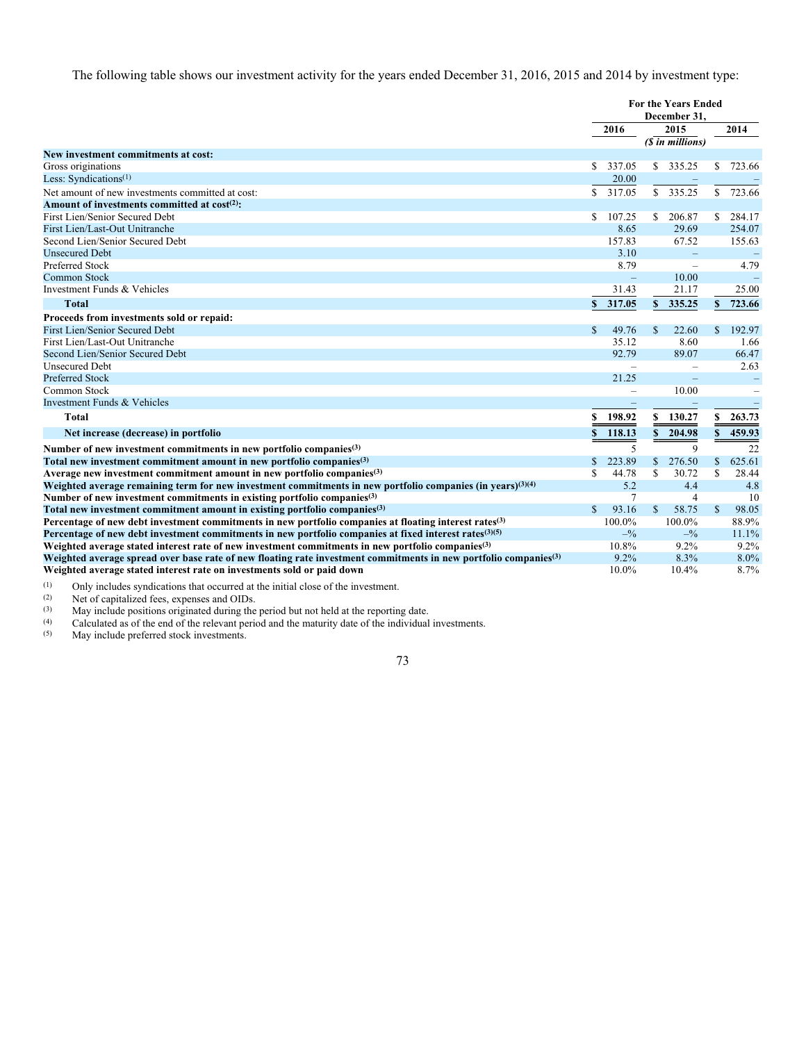The following table shows our investment activity for the years ended December 31, 2016, 2015 and 2014 by investment type:

|                                                                                                                              | <b>For the Years Ended</b><br>December 31, |              |              |                   |              |        |
|------------------------------------------------------------------------------------------------------------------------------|--------------------------------------------|--------------|--------------|-------------------|--------------|--------|
|                                                                                                                              |                                            | 2016         |              | 2015              |              | 2014   |
|                                                                                                                              |                                            |              |              | $(S$ in millions) |              |        |
| New investment commitments at cost:                                                                                          |                                            |              |              |                   |              |        |
| Gross originations                                                                                                           | S.                                         | 337.05       | S.           | 335.25            | S.           | 723.66 |
| Less: Syndications $(1)$                                                                                                     |                                            | 20.00        |              |                   |              |        |
| Net amount of new investments committed at cost:                                                                             | \$.                                        | 317.05       | \$           | 335.25            | \$.          | 723.66 |
| Amount of investments committed at cost(2):                                                                                  |                                            |              |              |                   |              |        |
| First Lien/Senior Secured Debt                                                                                               | \$                                         | 107.25       | \$           | 206.87            | S.           | 284.17 |
| First Lien/Last-Out Unitranche                                                                                               |                                            | 8.65         |              | 29.69             |              | 254.07 |
| Second Lien/Senior Secured Debt                                                                                              |                                            | 157.83       |              | 67.52             |              | 155.63 |
| <b>Unsecured Debt</b>                                                                                                        |                                            | 3.10         |              |                   |              |        |
| Preferred Stock                                                                                                              |                                            | 8.79         |              |                   |              | 4.79   |
| <b>Common Stock</b>                                                                                                          |                                            |              |              | 10.00             |              |        |
| Investment Funds & Vehicles                                                                                                  |                                            | 31.43        |              | 21.17             |              | 25.00  |
| <b>Total</b>                                                                                                                 | \$                                         | 317.05       |              | 335.25            | S            | 723.66 |
| Proceeds from investments sold or repaid:                                                                                    |                                            |              |              |                   |              |        |
| <b>First Lien/Senior Secured Debt</b>                                                                                        | $\mathbb{S}$                               | 49.76        | $\mathbb{S}$ | 22.60             | \$           | 192.97 |
| First Lien/Last-Out Unitranche                                                                                               |                                            | 35.12        |              | 8.60              |              | 1.66   |
| Second Lien/Senior Secured Debt                                                                                              |                                            | 92.79        |              | 89.07             |              | 66.47  |
| <b>Unsecured Debt</b>                                                                                                        |                                            |              |              | $\equiv$          |              | 2.63   |
| <b>Preferred Stock</b>                                                                                                       |                                            | 21.25        |              |                   |              |        |
| Common Stock                                                                                                                 |                                            |              |              | 10.00             |              |        |
| Investment Funds & Vehicles                                                                                                  |                                            |              |              |                   |              |        |
| <b>Total</b>                                                                                                                 | \$                                         | 198.92       |              | 130.27            | S            | 263.73 |
| Net increase (decrease) in portfolio                                                                                         | $\mathbf{s}$                               | 118.13       |              | 204.98            | S            | 459.93 |
| Number of new investment commitments in new portfolio companies <sup>(3)</sup>                                               |                                            | 5            |              | 9                 |              | 22     |
| Total new investment commitment amount in new portfolio companies <sup>(3)</sup>                                             | \$                                         | 223.89       | \$           | 276.50            | $\mathbf S$  | 625.61 |
| Average new investment commitment amount in new portfolio companies <sup>(3)</sup>                                           | \$                                         | 44.78        | S            | 30.72             | \$.          | 28.44  |
| Weighted average remaining term for new investment commitments in new portfolio companies (in years)(3)(4)                   |                                            | 5.2          |              | 4.4               |              | 4.8    |
| Number of new investment commitments in existing portfolio companies <sup>(3)</sup>                                          |                                            | 7            |              | $\overline{4}$    |              | 10     |
| Total new investment commitment amount in existing portfolio companies <sup>(3)</sup>                                        | $\mathbb{S}$                               | 93.16        | $\mathbb{S}$ | 58.75             | $\mathbb{S}$ | 98.05  |
| Percentage of new debt investment commitments in new portfolio companies at floating interest rates <sup>(3)</sup>           |                                            | 100.0%       |              | 100.0%            |              | 88.9%  |
| Percentage of new debt investment commitments in new portfolio companies at fixed interest rates(3)(5)                       |                                            | $-^{0}/_{0}$ |              | $-^{0}/_{0}$      |              | 11.1%  |
| Weighted average stated interest rate of new investment commitments in new portfolio companies <sup>(3)</sup>                |                                            | 10.8%        |              | 9.2%              |              | 9.2%   |
| Weighted average spread over base rate of new floating rate investment commitments in new portfolio companies <sup>(3)</sup> |                                            | 9.2%         |              | 8.3%              |              | 8.0%   |
| Weighted average stated interest rate on investments sold or paid down                                                       |                                            | $10.0\%$     |              | 10.4%             |              | 8.7%   |

(1) Only includes syndications that occurred at the initial close of the investment.<br>(2) Net of capitalized fees, expenses and OIDs.

(2) Net of capitalized fees, expenses and OIDs.<br>(3) May include positions originated during the

(3) May include positions originated during the period but not held at the reporting date.

(4) Calculated as of the end of the relevant period and the maturity date of the individual investments.

(5) May include preferred stock investments.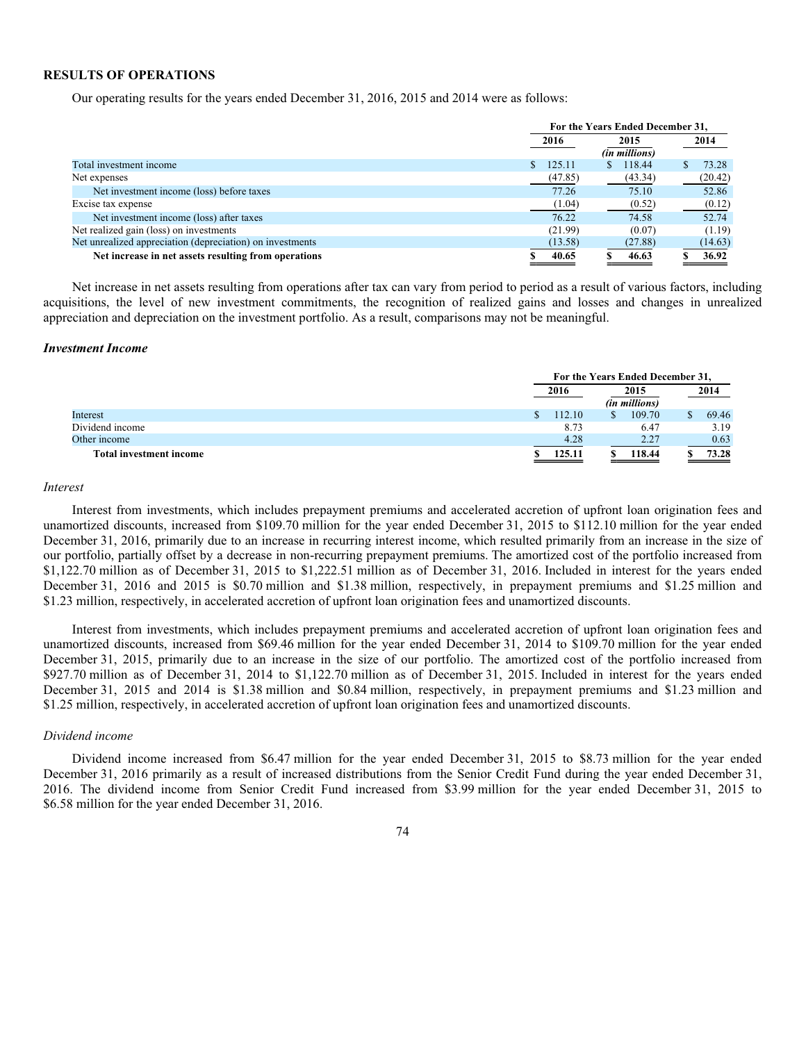### **RESULTS OF OPERATIONS**

Our operating results for the years ended December 31, 2016, 2015 and 2014 were as follows:

|                                                           |         | For the Years Ended December 31, |         |  |  |
|-----------------------------------------------------------|---------|----------------------------------|---------|--|--|
|                                                           | 2016    | 2015                             | 2014    |  |  |
|                                                           |         | (in millions)                    |         |  |  |
| Total investment income                                   | 125.11  | 118.44<br>SУ.                    | 73.28   |  |  |
| Net expenses                                              | (47.85) | (43.34)                          | (20.42) |  |  |
| Net investment income (loss) before taxes                 | 77.26   | 75.10                            | 52.86   |  |  |
| Excise tax expense                                        | (1.04)  | (0.52)                           | (0.12)  |  |  |
| Net investment income (loss) after taxes                  | 76.22   | 74.58                            | 52.74   |  |  |
| Net realized gain (loss) on investments                   | (21.99) | (0.07)                           | (1.19)  |  |  |
| Net unrealized appreciation (depreciation) on investments | (13.58) | (27.88)                          | (14.63) |  |  |
| Net increase in net assets resulting from operations      | 40.65   | 46.63                            | 36.92   |  |  |

Net increase in net assets resulting from operations after tax can vary from period to period as a result of various factors, including acquisitions, the level of new investment commitments, the recognition of realized gains and losses and changes in unrealized appreciation and depreciation on the investment portfolio. As a result, comparisons may not be meaningful.

## *Investment Income*

|                                | For the Years Ended December 31, |               |  |       |  |
|--------------------------------|----------------------------------|---------------|--|-------|--|
|                                | 2016                             | 2015          |  | 2014  |  |
|                                |                                  | (in millions) |  |       |  |
| Interest                       | 112.10                           | 109.70        |  | 69.46 |  |
| Dividend income                | 8.73                             | 6.47          |  | 3.19  |  |
| Other income                   | 4.28                             | 2.27          |  | 0.63  |  |
| <b>Total investment income</b> | 125.11                           | 118.44        |  | 73.28 |  |

#### *Interest*

Interest from investments, which includes prepayment premiums and accelerated accretion of upfront loan origination fees and unamortized discounts, increased from \$109.70 million for the year ended December 31, 2015 to \$112.10 million for the year ended December 31, 2016, primarily due to an increase in recurring interest income, which resulted primarily from an increase in the size of our portfolio, partially offset by a decrease in non-recurring prepayment premiums. The amortized cost of the portfolio increased from \$1,122.70 million as of December 31, 2015 to \$1,222.51 million as of December 31, 2016. Included in interest for the years ended December 31, 2016 and 2015 is \$0.70 million and \$1.38 million, respectively, in prepayment premiums and \$1.25 million and \$1.23 million, respectively, in accelerated accretion of upfront loan origination fees and unamortized discounts.

Interest from investments, which includes prepayment premiums and accelerated accretion of upfront loan origination fees and unamortized discounts, increased from \$69.46 million for the year ended December 31, 2014 to \$109.70 million for the year ended December 31, 2015, primarily due to an increase in the size of our portfolio. The amortized cost of the portfolio increased from \$927.70 million as of December 31, 2014 to \$1,122.70 million as of December 31, 2015. Included in interest for the years ended December 31, 2015 and 2014 is \$1.38 million and \$0.84 million, respectively, in prepayment premiums and \$1.23 million and \$1.25 million, respectively, in accelerated accretion of upfront loan origination fees and unamortized discounts.

## *Dividend income*

Dividend income increased from \$6.47 million for the year ended December 31, 2015 to \$8.73 million for the year ended December 31, 2016 primarily as a result of increased distributions from the Senior Credit Fund during the year ended December 31, 2016. The dividend income from Senior Credit Fund increased from \$3.99 million for the year ended December 31, 2015 to \$6.58 million for the year ended December 31, 2016.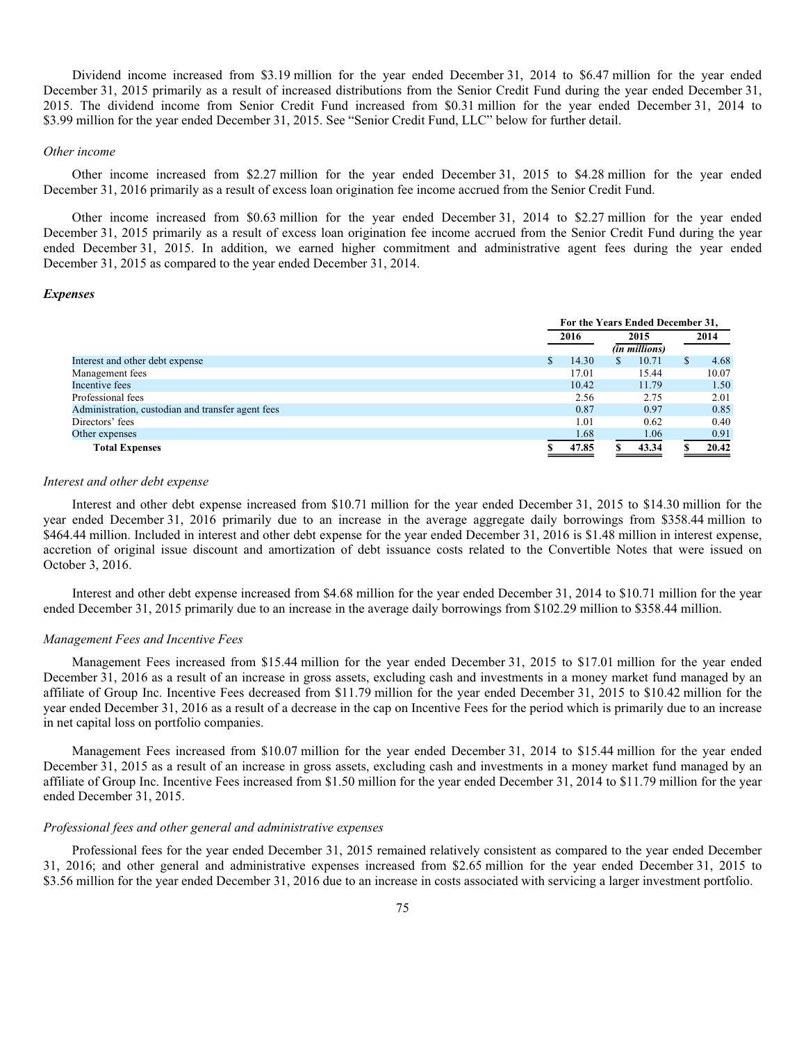Dividend income increased from \$3.19 million for the year ended December 31, 2014 to \$6.47 million for the year ended December 31, 2015 primarily as a result of increased distributions from the Senior Credit Fund during the year ended December 31, 2015. The dividend income from Senior Credit Fund increased from \$0.31 million for the year ended December 31, 2014 to \$3.99 million for the year ended December 31, 2015. See "Senior Credit Fund, LLC" below for further detail.

#### *Other income*

Other income increased from \$2.27 million for the year ended December 31, 2015 to \$4.28 million for the year ended December 31, 2016 primarily as a result of excess loan origination fee income accrued from the Senior Credit Fund.

Other income increased from \$0.63 million for the year ended December 31, 2014 to \$2.27 million for the year ended December 31, 2015 primarily as a result of excess loan origination fee income accrued from the Senior Credit Fund during the year ended December 31, 2015. In addition, we earned higher commitment and administrative agent fees during the year ended December 31, 2015 as compared to the year ended December 31, 2014.

### *Expenses*

|                                                   |    | For the Years Ended December 31, |    |               |    |       |  |  |  |      |
|---------------------------------------------------|----|----------------------------------|----|---------------|----|-------|--|--|--|------|
|                                                   |    | 2016                             |    |               |    | 2015  |  |  |  | 2014 |
|                                                   |    |                                  |    | (in millions) |    |       |  |  |  |      |
| Interest and other debt expense                   | \$ | 14.30                            | Ъ. | 10.71         | S. | 4.68  |  |  |  |      |
| Management fees                                   |    | 17.01                            |    | 15.44         |    | 10.07 |  |  |  |      |
| Incentive fees                                    |    | 10.42                            |    | 11.79         |    | 1.50  |  |  |  |      |
| Professional fees                                 |    | 2.56                             |    | 2.75          |    | 2.01  |  |  |  |      |
| Administration, custodian and transfer agent fees |    | 0.87                             |    | 0.97          |    | 0.85  |  |  |  |      |
| Directors' fees                                   |    | 1.01                             |    | 0.62          |    | 0.40  |  |  |  |      |
| Other expenses                                    |    | 1.68                             |    | 1.06          |    | 0.91  |  |  |  |      |
| <b>Total Expenses</b>                             |    | 47.85<br>______                  |    | 43.34         |    | 20.42 |  |  |  |      |

#### *Interest and other debt expense*

Interest and other debt expense increased from \$10.71 million for the year ended December 31, 2015 to \$14.30 million for the year ended December 31, 2016 primarily due to an increase in the average aggregate daily borrowings from \$358.44 million to \$464.44 million. Included in interest and other debt expense for the year ended December 31, 2016 is \$1.48 million in interest expense, accretion of original issue discount and amortization of debt issuance costs related to the Convertible Notes that were issued on October 3, 2016.

Interest and other debt expense increased from \$4.68 million for the year ended December 31, 2014 to \$10.71 million for the year ended December 31, 2015 primarily due to an increase in the average daily borrowings from \$102.29 million to \$358.44 million.

#### *Management Fees and Incentive Fees*

Management Fees increased from \$15.44 million for the year ended December 31, 2015 to \$17.01 million for the year ended December 31, 2016 as a result of an increase in gross assets, excluding cash and investments in a money market fund managed by an affiliate of Group Inc. Incentive Fees decreased from \$11.79 million for the year ended December 31, 2015 to \$10.42 million for the year ended December 31, 2016 as a result of a decrease in the cap on Incentive Fees for the period which is primarily due to an increase in net capital loss on portfolio companies.

Management Fees increased from \$10.07 million for the year ended December 31, 2014 to \$15.44 million for the year ended December 31, 2015 as a result of an increase in gross assets, excluding cash and investments in a money market fund managed by an affiliate of Group Inc. Incentive Fees increased from \$1.50 million for the year ended December 31, 2014 to \$11.79 million for the year ended December 31, 2015.

#### *Professional fees and other general and administrative expenses*

Professional fees for the year ended December 31, 2015 remained relatively consistent as compared to the year ended December 31, 2016; and other general and administrative expenses increased from \$2.65 million for the year ended December 31, 2015 to \$3.56 million for the year ended December 31, 2016 due to an increase in costs associated with servicing a larger investment portfolio.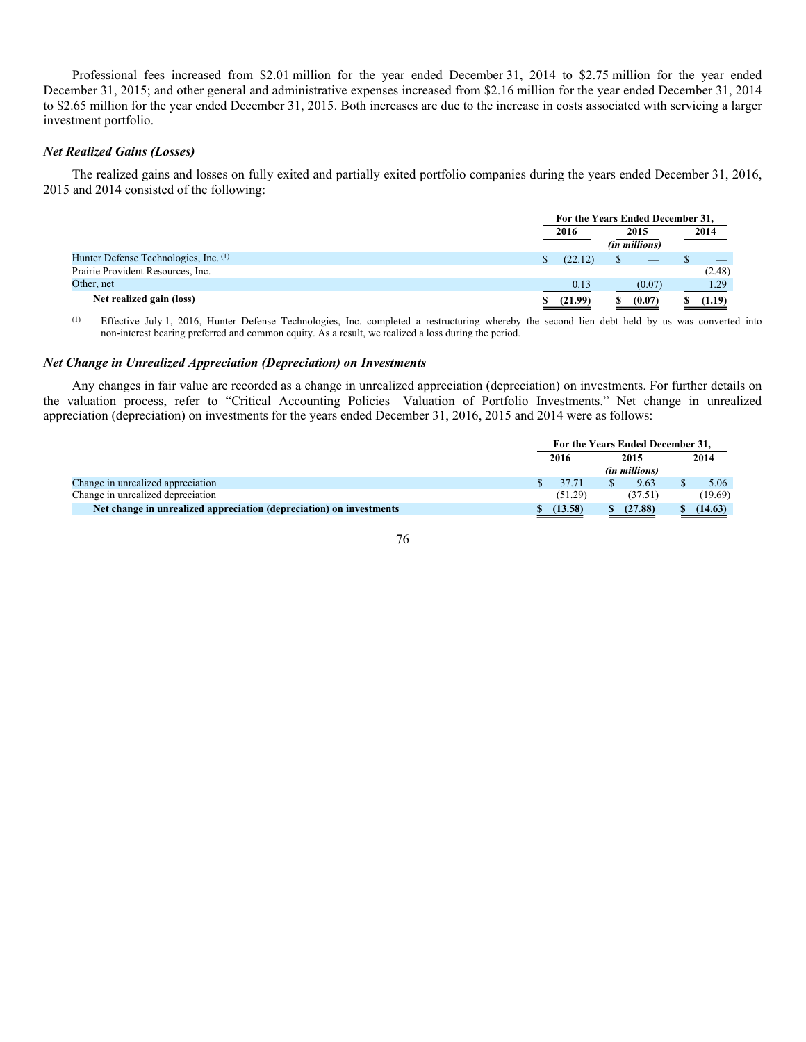Professional fees increased from \$2.01 million for the year ended December 31, 2014 to \$2.75 million for the year ended December 31, 2015; and other general and administrative expenses increased from \$2.16 million for the year ended December 31, 2014 to \$2.65 million for the year ended December 31, 2015. Both increases are due to the increase in costs associated with servicing a larger investment portfolio.

### *Net Realized Gains (Losses)*

The realized gains and losses on fully exited and partially exited portfolio companies during the years ended December 31, 2016, 2015 and 2014 consisted of the following:

|                                       |         | For the Years Ended December 31, |        |  |  |
|---------------------------------------|---------|----------------------------------|--------|--|--|
|                                       | 2016    | 2015<br>(in millions)            | 2014   |  |  |
| Hunter Defense Technologies, Inc. (1) | (22.12) | $\overline{\phantom{a}}$         |        |  |  |
| Prairie Provident Resources, Inc.     |         |                                  | (2.48) |  |  |
| Other, net                            | 0.13    | (0.07)                           | 1.29   |  |  |
| Net realized gain (loss)              | (21.99) | (0.07)                           | (1.19) |  |  |

(1) Effective July 1, 2016, Hunter Defense Technologies, Inc. completed a restructuring whereby the second lien debt held by us was converted into non-interest bearing preferred and common equity. As a result, we realized a loss during the period.

## *Net Change in Unrealized Appreciation (Depreciation) on Investments*

Any changes in fair value are recorded as a change in unrealized appreciation (depreciation) on investments. For further details on the valuation process, refer to "Critical Accounting Policies—Valuation of Portfolio Investments." Net change in unrealized appreciation (depreciation) on investments for the years ended December 31, 2016, 2015 and 2014 were as follows:

|                                                                     | For the Years Ended December 31. |         |  |               |  |         |  |      |
|---------------------------------------------------------------------|----------------------------------|---------|--|---------------|--|---------|--|------|
|                                                                     | 2016                             |         |  |               |  | 2015    |  | 2014 |
|                                                                     |                                  |         |  | (in millions) |  |         |  |      |
| Change in unrealized appreciation                                   |                                  | 37.71   |  | 9.63          |  | 5.06    |  |      |
| Change in unrealized depreciation                                   |                                  | (51.29) |  | (37.51)       |  | (19.69) |  |      |
| Net change in unrealized appreciation (depreciation) on investments |                                  | (13.58) |  | (27.88)       |  | (14.63) |  |      |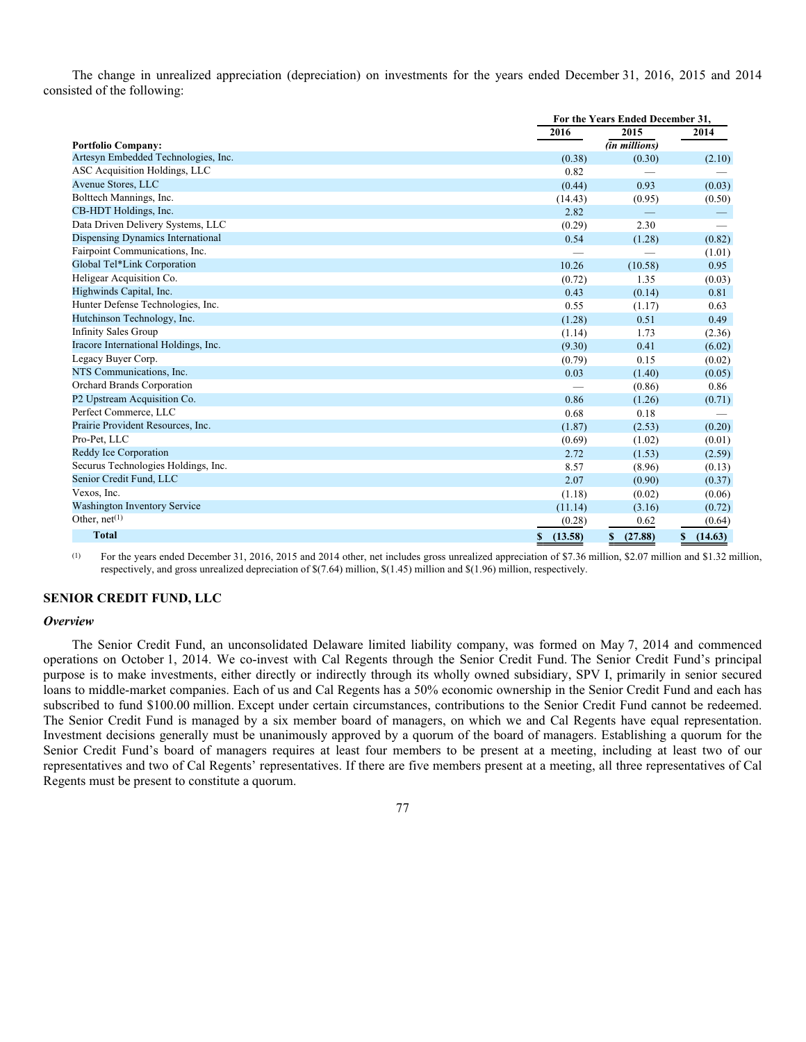The change in unrealized appreciation (depreciation) on investments for the years ended December 31, 2016, 2015 and 2014 consisted of the following:

|                                      | For the Years Ended December 31. |               |               |
|--------------------------------------|----------------------------------|---------------|---------------|
|                                      | 2016                             | 2015          | 2014          |
| <b>Portfolio Company:</b>            |                                  | (in millions) |               |
| Artesyn Embedded Technologies, Inc.  | (0.38)                           | (0.30)        | (2.10)        |
| ASC Acquisition Holdings, LLC        | 0.82                             |               |               |
| Avenue Stores, LLC                   | (0.44)                           | 0.93          | (0.03)        |
| Bolttech Mannings, Inc.              | (14.43)                          | (0.95)        | (0.50)        |
| CB-HDT Holdings, Inc.                | 2.82                             |               |               |
| Data Driven Delivery Systems, LLC    | (0.29)                           | 2.30          |               |
| Dispensing Dynamics International    | 0.54                             | (1.28)        | (0.82)        |
| Fairpoint Communications, Inc.       |                                  |               | (1.01)        |
| Global Tel*Link Corporation          | 10.26                            | (10.58)       | 0.95          |
| Heligear Acquisition Co.             | (0.72)                           | 1.35          | (0.03)        |
| Highwinds Capital, Inc.              | 0.43                             | (0.14)        | 0.81          |
| Hunter Defense Technologies, Inc.    | 0.55                             | (1.17)        | 0.63          |
| Hutchinson Technology, Inc.          | (1.28)                           | 0.51          | 0.49          |
| <b>Infinity Sales Group</b>          | (1.14)                           | 1.73          | (2.36)        |
| Iracore International Holdings, Inc. | (9.30)                           | 0.41          | (6.02)        |
| Legacy Buyer Corp.                   | (0.79)                           | 0.15          | (0.02)        |
| NTS Communications, Inc.             | 0.03                             | (1.40)        | (0.05)        |
| Orchard Brands Corporation           |                                  | (0.86)        | 0.86          |
| P2 Upstream Acquisition Co.          | 0.86                             | (1.26)        | (0.71)        |
| Perfect Commerce, LLC                | 0.68                             | 0.18          |               |
| Prairie Provident Resources, Inc.    | (1.87)                           | (2.53)        | (0.20)        |
| Pro-Pet, LLC                         | (0.69)                           | (1.02)        | (0.01)        |
| Reddy Ice Corporation                | 2.72                             | (1.53)        | (2.59)        |
| Securus Technologies Holdings, Inc.  | 8.57                             | (8.96)        | (0.13)        |
| Senior Credit Fund, LLC              | 2.07                             | (0.90)        | (0.37)        |
| Vexos, Inc.                          | (1.18)                           | (0.02)        | (0.06)        |
| Washington Inventory Service         | (11.14)                          | (3.16)        | (0.72)        |
| Other, $net^{(1)}$                   | (0.28)                           | 0.62          | (0.64)        |
| <b>Total</b>                         | (13.58)<br>\$                    | (27.88)<br>\$ | (14.63)<br>\$ |

(1) For the years ended December 31, 2016, 2015 and 2014 other, net includes gross unrealized appreciation of \$7.36 million, \$2.07 million and \$1.32 million, respectively, and gross unrealized depreciation of \$(7.64) million, \$(1.45) million and \$(1.96) million, respectively.

### **SENIOR CREDIT FUND, LLC**

#### *Overview*

The Senior Credit Fund, an unconsolidated Delaware limited liability company, was formed on May 7, 2014 and commenced operations on October 1, 2014. We co-invest with Cal Regents through the Senior Credit Fund. The Senior Credit Fund's principal purpose is to make investments, either directly or indirectly through its wholly owned subsidiary, SPV I, primarily in senior secured loans to middle-market companies. Each of us and Cal Regents has a 50% economic ownership in the Senior Credit Fund and each has subscribed to fund \$100.00 million. Except under certain circumstances, contributions to the Senior Credit Fund cannot be redeemed. The Senior Credit Fund is managed by a six member board of managers, on which we and Cal Regents have equal representation. Investment decisions generally must be unanimously approved by a quorum of the board of managers. Establishing a quorum for the Senior Credit Fund's board of managers requires at least four members to be present at a meeting, including at least two of our representatives and two of Cal Regents' representatives. If there are five members present at a meeting, all three representatives of Cal Regents must be present to constitute a quorum.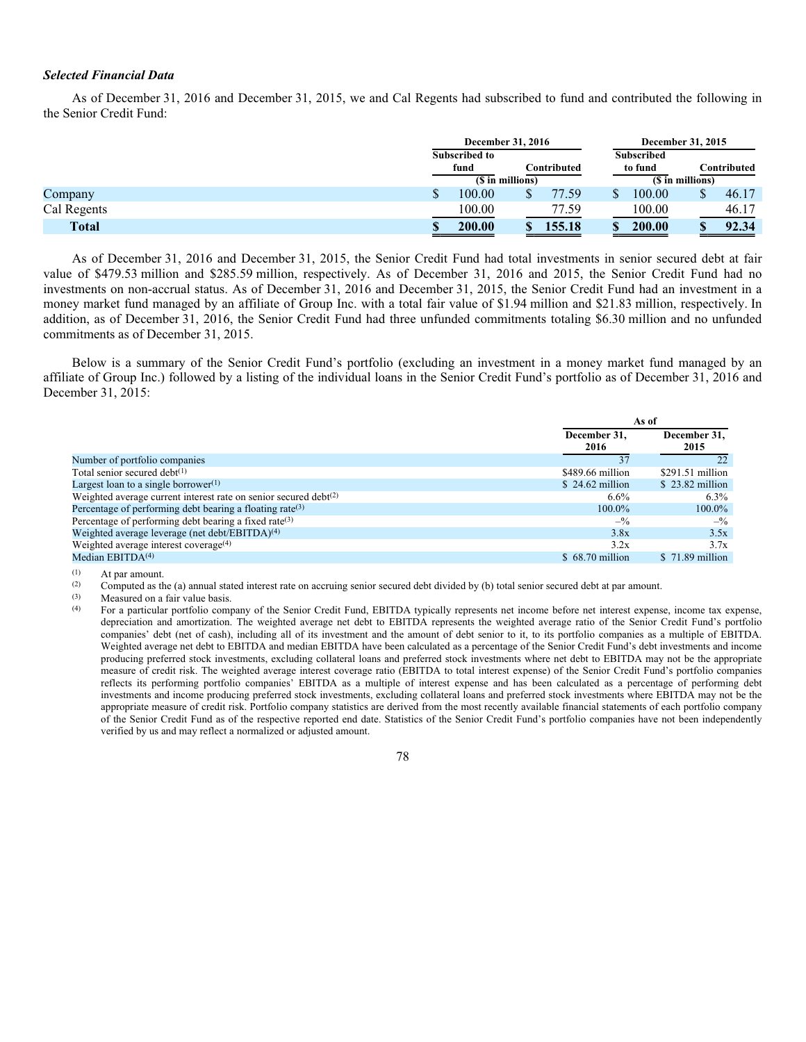### *Selected Financial Data*

As of December 31, 2016 and December 31, 2015, we and Cal Regents had subscribed to fund and contributed the following in the Senior Credit Fund:

|              | <b>December 31, 2016</b> |  |             | December 31, 2015 |                   |  |             |
|--------------|--------------------------|--|-------------|-------------------|-------------------|--|-------------|
|              | Subscribed to            |  |             |                   | <b>Subscribed</b> |  |             |
|              | fund                     |  | Contributed |                   | to fund           |  | Contributed |
|              | (\$ in millions)         |  |             | (\$ in millions)  |                   |  |             |
| Company      | 100.00                   |  | 77.59       |                   | 100.00            |  | 46.17       |
| Cal Regents  | 100.00                   |  | 77.59       |                   | 100.00            |  | 46.17       |
| <b>Total</b> | 200.00                   |  | 155.18      |                   | 200.00            |  | 92.34       |

As of December 31, 2016 and December 31, 2015, the Senior Credit Fund had total investments in senior secured debt at fair value of \$479.53 million and \$285.59 million, respectively. As of December 31, 2016 and 2015, the Senior Credit Fund had no investments on non-accrual status. As of December 31, 2016 and December 31, 2015, the Senior Credit Fund had an investment in a money market fund managed by an affiliate of Group Inc. with a total fair value of \$1.94 million and \$21.83 million, respectively. In addition, as of December 31, 2016, the Senior Credit Fund had three unfunded commitments totaling \$6.30 million and no unfunded commitments as of December 31, 2015.

Below is a summary of the Senior Credit Fund's portfolio (excluding an investment in a money market fund managed by an affiliate of Group Inc.) followed by a listing of the individual loans in the Senior Credit Fund's portfolio as of December 31, 2016 and December 31, 2015:

|                                                                       |                      | As of                |
|-----------------------------------------------------------------------|----------------------|----------------------|
|                                                                       | December 31.<br>2016 | December 31,<br>2015 |
| Number of portfolio companies                                         | 37                   | 22                   |
| Total senior secured debt <sup>(1)</sup>                              | \$489.66 million     | $$291.51$ million    |
| Largest loan to a single borrower $(1)$                               | $$24.62$ million     | $$23.82$ million     |
| Weighted average current interest rate on senior secured $debt^{(2)}$ | 6.6%                 | $6.3\%$              |
| Percentage of performing debt bearing a floating rate $(3)$           | $100.0\%$            | $100.0\%$            |
| Percentage of performing debt bearing a fixed rate <sup>(3)</sup>     | $-^{0}/_{0}$         | $-^{0}\!/_{0}$       |
| Weighted average leverage (net debt/EBITDA) <sup>(4)</sup>            | 3.8x                 | 3.5x                 |
| Weighted average interest coverage <sup>(4)</sup>                     | 3.2x                 | 3.7x                 |
| Median EBITD $A^{(4)}$                                                | \$68.70 million      | $$71.89$ million     |

(1) At par amount.

(2) Computed as the (a) annual stated interest rate on accruing senior secured debt divided by (b) total senior secured debt at par amount.<br>Measured on a fair value basis

(3) Measured on a fair value basis.<br>(4) For a particular portfolio comp

(4) For a particular portfolio company of the Senior Credit Fund, EBITDA typically represents net income before net interest expense, income tax expense, depreciation and amortization. The weighted average net debt to EBITDA represents the weighted average ratio of the Senior Credit Fund's portfolio companies' debt (net of cash), including all of its investment and the amount of debt senior to it, to its portfolio companies as a multiple of EBITDA. Weighted average net debt to EBITDA and median EBITDA have been calculated as a percentage of the Senior Credit Fund's debt investments and income producing preferred stock investments, excluding collateral loans and preferred stock investments where net debt to EBITDA may not be the appropriate measure of credit risk. The weighted average interest coverage ratio (EBITDA to total interest expense) of the Senior Credit Fund's portfolio companies reflects its performing portfolio companies' EBITDA as a multiple of interest expense and has been calculated as a percentage of performing debt investments and income producing preferred stock investments, excluding collateral loans and preferred stock investments where EBITDA may not be the appropriate measure of credit risk. Portfolio company statistics are derived from the most recently available financial statements of each portfolio company of the Senior Credit Fund as of the respective reported end date. Statistics of the Senior Credit Fund's portfolio companies have not been independently verified by us and may reflect a normalized or adjusted amount.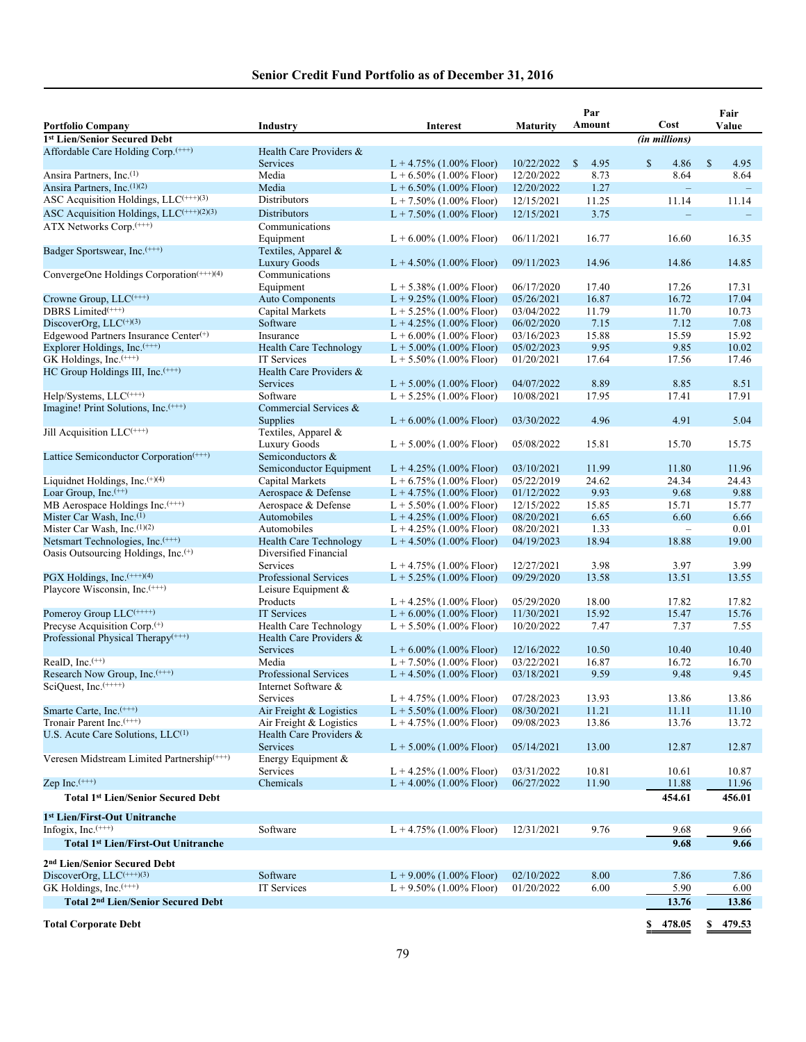## **Senior Credit Fund Portfolio as of December 31, 2016**

|                                                                                 |                                            |                            |                 | Par        |               | Fair                       |
|---------------------------------------------------------------------------------|--------------------------------------------|----------------------------|-----------------|------------|---------------|----------------------------|
| <b>Portfolio Company</b>                                                        | Industry                                   | <b>Interest</b>            | <b>Maturity</b> | Amount     | Cost          | Value                      |
| 1st Lien/Senior Secured Debt                                                    |                                            |                            |                 |            | (in millions) |                            |
| Affordable Care Holding Corp.(+++)                                              | Health Care Providers &                    |                            |                 |            |               |                            |
|                                                                                 | Services                                   | L + 4.75% $(1.00\%$ Floor) | 10/22/2022      | 4.95<br>S. | \$<br>4.86    | $\mathbf{\hat{s}}$<br>4.95 |
| Ansira Partners, Inc. <sup>(1)</sup>                                            | Media                                      | L + $6.50\%$ (1.00% Floor) | 12/20/2022      | 8.73       | 8.64          | 8.64                       |
| Ansira Partners, Inc.(1)(2)                                                     | Media                                      | L + 6.50% (1.00% Floor)    | 12/20/2022      | 1.27       | $\equiv$      |                            |
| ASC Acquisition Holdings, LLC <sup>(+++)(3)</sup>                               | Distributors                               | L + 7.50% (1.00% Floor)    | 12/15/2021      | 11.25      | 11.14         | 11.14                      |
| ASC Acquisition Holdings, LLC <sup>(+++)(2)(3)</sup>                            | Distributors                               | $L + 7.50\%$ (1.00% Floor) | 12/15/2021      | 3.75       |               |                            |
| ATX Networks Corp. <sup>(+++)</sup>                                             | Communications<br>Equipment                | $L + 6.00\%$ (1.00% Floor) | 06/11/2021      | 16.77      | 16.60         | 16.35                      |
| Badger Sportswear, Inc.(+++)                                                    | Textiles, Apparel &<br><b>Luxury Goods</b> | $L + 4.50\%$ (1.00% Floor) | 09/11/2023      | 14.96      | 14.86         | 14.85                      |
| ConvergeOne Holdings Corporation $(***)(4)$                                     | Communications<br>Equipment                | $L + 5.38\%$ (1.00% Floor) | 06/17/2020      | 17.40      | 17.26         | 17.31                      |
| Crowne Group, LLC <sup>(+++)</sup>                                              | <b>Auto Components</b>                     | $L + 9.25\%$ (1.00% Floor) | 05/26/2021      | 16.87      | 16.72         | 17.04                      |
| DBRS Limited <sup>(+++)</sup>                                                   |                                            |                            |                 | 11.79      | 11.70         | 10.73                      |
|                                                                                 | Capital Markets                            | $L + 5.25\%$ (1.00% Floor) | 03/04/2022      |            |               |                            |
| DiscoverOrg, $LLC^{(+)(3)}$                                                     | Software                                   | $L + 4.25\%$ (1.00% Floor) | 06/02/2020      | 7.15       | 7.12          | 7.08                       |
| Edgewood Partners Insurance Center <sup>(+)</sup>                               | Insurance                                  | $L + 6.00\%$ (1.00% Floor) | 03/16/2023      | 15.88      | 15.59         | 15.92                      |
| Explorer Holdings, Inc. <sup>(+++)</sup>                                        | <b>Health Care Technology</b>              | $L + 5.00\%$ (1.00% Floor) | 05/02/2023      | 9.95       | 9.85          | 10.02                      |
| GK Holdings, Inc.(+++)                                                          | IT Services                                | $L + 5.50\%$ (1.00% Floor) | 01/20/2021      | 17.64      | 17.56         | 17.46                      |
| HC Group Holdings III, Inc. <sup>(+++)</sup>                                    | Health Care Providers &                    |                            |                 |            |               |                            |
|                                                                                 | Services                                   | $L + 5.00\%$ (1.00% Floor) | 04/07/2022      | 8.89       | 8.85          | 8.51                       |
| Help/Systems, LLC <sup>(+++)</sup>                                              | Software                                   | $L + 5.25\%$ (1.00% Floor) | 10/08/2021      | 17.95      | 17.41         | 17.91                      |
| Imagine! Print Solutions, Inc.(+++)                                             | Commercial Services &                      |                            |                 |            |               |                            |
|                                                                                 | Supplies                                   | $L + 6.00\%$ (1.00% Floor) | 03/30/2022      | 4.96       | 4.91          | 5.04                       |
| Jill Acquisition LLC <sup>(+++)</sup>                                           | Textiles, Apparel &<br><b>Luxury Goods</b> | $L + 5.00\%$ (1.00% Floor) | 05/08/2022      | 15.81      | 15.70         | 15.75                      |
| Lattice Semiconductor Corporation(+++)                                          | Semiconductors &                           |                            |                 |            |               |                            |
|                                                                                 | Semiconductor Equipment                    | $L + 4.25\%$ (1.00% Floor) | 03/10/2021      | 11.99      | 11.80         | 11.96                      |
| Liquidnet Holdings, Inc. $(+)$ (4)                                              | Capital Markets                            | $L + 6.75\%$ (1.00% Floor) | 05/22/2019      | 24.62      | 24.34         | 24.43                      |
| Loar Group, Inc. $(+)$                                                          | Aerospace & Defense                        | $L + 4.75\%$ (1.00% Floor) | 01/12/2022      | 9.93       | 9.68          | 9.88                       |
| MB Aerospace Holdings Inc.(+++)                                                 | Aerospace & Defense                        | $L + 5.50\%$ (1.00% Floor) | 12/15/2022      | 15.85      | 15.71         | 15.77                      |
| Mister Car Wash, Inc.(1)                                                        | Automobiles                                | $L + 4.25\%$ (1.00% Floor) | 08/20/2021      | 6.65       | 6.60          | 6.66                       |
| Mister Car Wash, Inc. $(1)(2)$                                                  | Automobiles                                | L + 4.25% (1.00% Floor)    | 08/20/2021      | 1.33       | $\equiv$      | 0.01                       |
| Netsmart Technologies, Inc.(+++)                                                | <b>Health Care Technology</b>              | $L + 4.50\%$ (1.00% Floor) | 04/19/2023      | 18.94      | 18.88         | 19.00                      |
| Oasis Outsourcing Holdings, Inc.(+)                                             | Diversified Financial                      |                            |                 |            |               |                            |
|                                                                                 | Services                                   | L + 4.75% (1.00% Floor)    | 12/27/2021      | 3.98       | 3.97          | 3.99                       |
| PGX Holdings, Inc.(+++)(4)                                                      | Professional Services                      | $L + 5.25\%$ (1.00% Floor) | 09/29/2020      | 13.58      | 13.51         | 13.55                      |
| Playcore Wisconsin, Inc.(+++)                                                   | Leisure Equipment $&$                      |                            |                 |            |               |                            |
|                                                                                 | Products                                   | L + 4.25% (1.00% Floor)    | 05/29/2020      | 18.00      | 17.82         | 17.82                      |
| Pomeroy Group LLC <sup>(++++)</sup>                                             | IT Services                                | $L + 6.00\%$ (1.00% Floor) | 11/30/2021      | 15.92      | 15.47         | 15.76                      |
| Precyse Acquisition Corp. <sup>(+)</sup>                                        | <b>Health Care Technology</b>              | $L + 5.50\%$ (1.00% Floor) | 10/20/2022      | 7.47       | 7.37          | 7.55                       |
| Professional Physical Therapy(+++)                                              | Health Care Providers &<br>Services        | $L + 6.00\%$ (1.00% Floor) | 12/16/2022      | 10.50      | 10.40         | 10.40                      |
| RealD, $Inc$ . <sup><math>(++)</math></sup>                                     | Media                                      | L + 7.50% (1.00% Floor)    | 03/22/2021      | 16.87      | 16.72         | 16.70                      |
| Research Now Group, Inc. $(++)$                                                 | Professional Services                      | $L + 4.50\%$ (1.00% Floor) | 03/18/2021      | 9.59       | 9.48          | 9.45                       |
| SciQuest, Inc. <sup>(++++)</sup>                                                | Internet Software &                        |                            |                 |            |               |                            |
|                                                                                 | Services                                   | L + 4.75% (1.00% Floor)    | 07/28/2023      | 13.93      | 13.86         | 13.86                      |
| Smarte Carte, Inc. <sup>(+++)</sup>                                             | Air Freight & Logistics                    | $L + 5.50\%$ (1.00% Floor) | 08/30/2021      | 11.21      | 11.11         | 11.10                      |
| Tronair Parent Inc.(+++)                                                        | Air Freight & Logistics                    | L + 4.75% (1.00% Floor)    | 09/08/2023      | 13.86      | 13.76         | 13.72                      |
|                                                                                 |                                            |                            |                 |            |               |                            |
| U.S. Acute Care Solutions, $LLC^{(1)}$                                          | Health Care Providers &<br><b>Services</b> | $L + 5.00\%$ (1.00% Floor) | 05/14/2021      | 13.00      | 12.87         | 12.87                      |
| Veresen Midstream Limited Partnership <sup>(+++)</sup>                          | Energy Equipment &<br>Services             | $L + 4.25\%$ (1.00% Floor) | 03/31/2022      | 10.81      | 10.61         | 10.87                      |
| Zep Inc. $(++)$                                                                 | Chemicals                                  | $L + 4.00\%$ (1.00% Floor) | 06/27/2022      | 11.90      | 11.88         | 11.96                      |
| <b>Total 1st Lien/Senior Secured Debt</b>                                       |                                            |                            |                 |            | 454.61        | 456.01                     |
| 1 <sup>st</sup> Lien/First-Out Unitranche                                       |                                            |                            |                 |            |               |                            |
| Infogix, Inc. $(***)$                                                           | Software                                   | L + 4.75% (1.00% Floor)    | 12/31/2021      | 9.76       | 9.68          | 9.66                       |
|                                                                                 |                                            |                            |                 |            |               |                            |
| Total 1st Lien/First-Out Unitranche<br>2 <sup>nd</sup> Lien/Senior Secured Debt |                                            |                            |                 |            | 9.68          | 9.66                       |
| DiscoverOrg, $LLC^{(++)(3)}$                                                    | Software                                   |                            |                 |            |               |                            |
|                                                                                 |                                            | $L + 9.00\%$ (1.00% Floor) | 02/10/2022      | 8.00       | 7.86          | 7.86                       |
| GK Holdings, Inc.(+++)                                                          | IT Services                                | L + 9.50% (1.00% Floor)    | 01/20/2022      | 6.00       | 5.90          | 6.00                       |
| <b>Total 2nd Lien/Senior Secured Debt</b>                                       |                                            |                            |                 |            | 13.76         | 13.86                      |
| <b>Total Corporate Debt</b>                                                     |                                            |                            |                 |            | \$478.05      | \$479.53                   |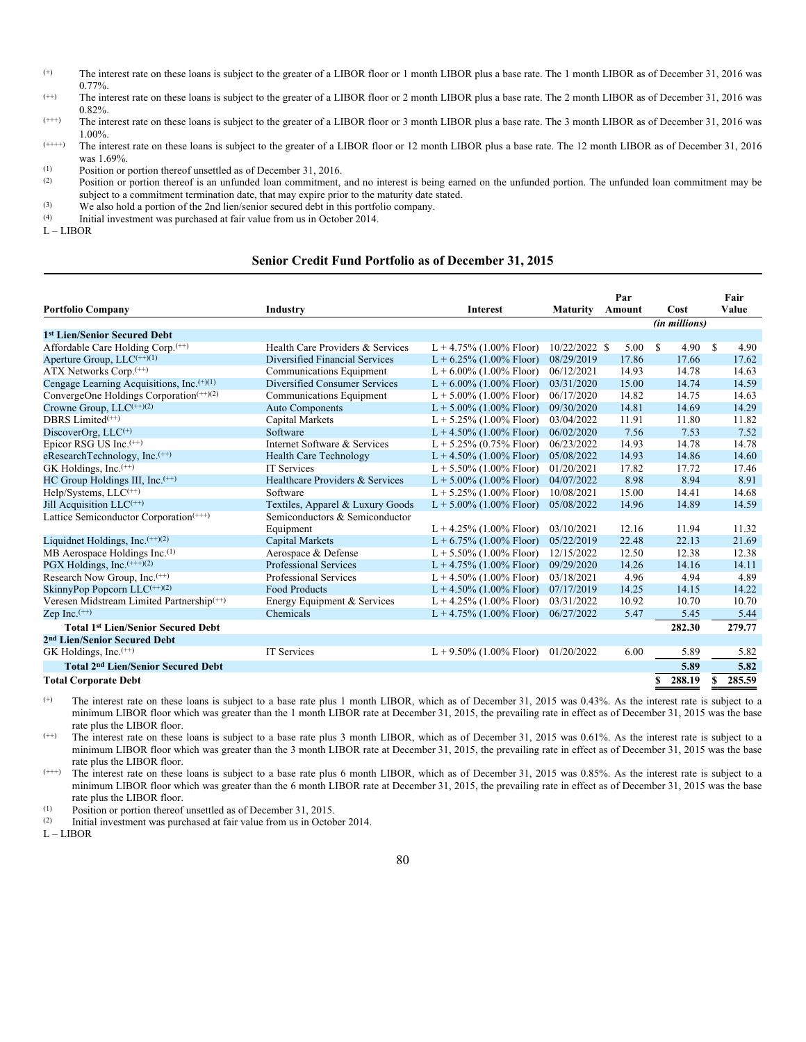- (+) The interest rate on these loans is subject to the greater of a LIBOR floor or 1 month LIBOR plus a base rate. The 1 month LIBOR as of December 31, 2016 was 0.77%.
- (++) The interest rate on these loans is subject to the greater of a LIBOR floor or 2 month LIBOR plus a base rate. The 2 month LIBOR as of December 31, 2016 was 0.82%.
- (+++) The interest rate on these loans is subject to the greater of a LIBOR floor or 3 month LIBOR plus a base rate. The 3 month LIBOR as of December 31, 2016 was 1.00%.
- (++++) The interest rate on these loans is subject to the greater of a LIBOR floor or 12 month LIBOR plus a base rate. The 12 month LIBOR as of December 31, 2016 was 1.69%.
- (1) Position or portion thereof unsettled as of December 31, 2016.<br>(2) Position or portion thereof is an unfunded loan commitment
- Position or portion thereof is an unfunded loan commitment, and no interest is being earned on the unfunded portion. The unfunded loan commitment may be subject to a commitment termination date, that may expire prior to the maturity date stated.
- (3) We also hold a portion of the 2nd lien/senior secured debt in this portfolio company.<br>
(4) Initial investment was purchased at fair value from us in October 2014.
- Initial investment was purchased at fair value from us in October 2014.
- L LIBOR

### **Senior Credit Fund Portfolio as of December 31, 2015**

| <b>Portfolio Company</b>                              | Interest<br>Industry             |                            | <b>Maturity</b> | Par<br>Amount | Cost          | Fair<br>Value |
|-------------------------------------------------------|----------------------------------|----------------------------|-----------------|---------------|---------------|---------------|
|                                                       |                                  |                            |                 |               | (in millions) |               |
| 1 <sup>st</sup> Lien/Senior Secured Debt              |                                  |                            |                 |               |               |               |
| Affordable Care Holding Corp. <sup>(++)</sup>         | Health Care Providers & Services | L + 4.75% $(1.00\%$ Floor) | $10/22/2022$ \$ | 5.00          | S<br>4.90 S   | 4.90          |
| Aperture Group, $LLC^{(+)(1)}$                        | Diversified Financial Services   | $L + 6.25\%$ (1.00% Floor) | 08/29/2019      | 17.86         | 17.66         | 17.62         |
| ATX Networks Corp. <sup>(++)</sup>                    | Communications Equipment         | $L + 6.00\%$ (1.00% Floor) | 06/12/2021      | 14.93         | 14.78         | 14.63         |
| Cengage Learning Acquisitions, Inc. $(+)(1)$          | Diversified Consumer Services    | $L + 6.00\%$ (1.00% Floor) | 03/31/2020      | 15.00         | 14.74         | 14.59         |
| ConvergeOne Holdings Corporation <sup>(++)(2)</sup>   | Communications Equipment         | $L + 5.00\%$ (1.00% Floor) | 06/17/2020      | 14.82         | 14.75         | 14.63         |
| Crowne Group, $LLC^{(+)(2)}$                          | <b>Auto Components</b>           | $L + 5.00\%$ (1.00% Floor) | 09/30/2020      | 14.81         | 14.69         | 14.29         |
| DBRS Limited <sup>(++)</sup>                          | Capital Markets                  | $L + 5.25\%$ (1.00% Floor) | 03/04/2022      | 11.91         | 11.80         | 11.82         |
| DiscoverOrg, $LLC^{(+)}$                              | Software                         | $L + 4.50\%$ (1.00% Floor) | 06/02/2020      | 7.56          | 7.53          | 7.52          |
| Epicor RSG US Inc. $(++)$                             | Internet Software & Services     | $L + 5.25\%$ (0.75% Floor) | 06/23/2022      | 14.93         | 14.78         | 14.78         |
| eResearchTechnology, Inc. $(++)$                      | <b>Health Care Technology</b>    | $L + 4.50\%$ (1.00% Floor) | 05/08/2022      | 14.93         | 14.86         | 14.60         |
| GK Holdings, Inc. $(++)$                              | IT Services                      | $L + 5.50\%$ (1.00% Floor) | 01/20/2021      | 17.82         | 17.72         | 17.46         |
| HC Group Holdings III, Inc. $(+)$                     | Healthcare Providers & Services  | $L + 5.00\%$ (1.00% Floor) | 04/07/2022      | 8.98          | 8.94          | 8.91          |
| Help/Systems, $LLC^{(+)}$                             | Software                         | $L + 5.25\%$ (1.00% Floor) | 10/08/2021      | 15.00         | 14.41         | 14.68         |
| Jill Acquisition LLC <sup>(++)</sup>                  | Textiles, Apparel & Luxury Goods | $L + 5.00\%$ (1.00% Floor) | 05/08/2022      | 14.96         | 14.89         | 14.59         |
| Lattice Semiconductor Corporation <sup>(+++)</sup>    | Semiconductors & Semiconductor   |                            |                 |               |               |               |
|                                                       | Equipment                        | $L + 4.25\%$ (1.00% Floor) | 03/10/2021      | 12.16         | 11.94         | 11.32         |
| Liquidnet Holdings, Inc. $(+)$ (2)                    | Capital Markets                  | $L + 6.75\%$ (1.00% Floor) | 05/22/2019      | 22.48         | 22.13         | 21.69         |
| MB Aerospace Holdings Inc.(1)                         | Aerospace & Defense              | $L + 5.50\%$ (1.00% Floor) | 12/15/2022      | 12.50         | 12.38         | 12.38         |
| PGX Holdings, Inc. $(++)$ (2)                         | <b>Professional Services</b>     | $L + 4.75\%$ (1.00% Floor) | 09/29/2020      | 14.26         | 14.16         | 14.11         |
| Research Now Group, Inc. <sup>(++)</sup>              | <b>Professional Services</b>     | $L + 4.50\%$ (1.00% Floor) | 03/18/2021      | 4.96          | 4.94          | 4.89          |
| SkinnyPop Popcorn $LLC^{(+)(2)}$                      | <b>Food Products</b>             | $L + 4.50\%$ (1.00% Floor) | 07/17/2019      | 14.25         | 14.15         | 14.22         |
| Veresen Midstream Limited Partnership <sup>(++)</sup> | Energy Equipment & Services      | $L + 4.25\%$ (1.00% Floor) | 03/31/2022      | 10.92         | 10.70         | 10.70         |
| Zep Inc. $(+)$                                        | Chemicals                        | $L + 4.75\%$ (1.00% Floor) | 06/27/2022      | 5.47          | 5.45          | 5.44          |
| <b>Total 1st Lien/Senior Secured Debt</b>             |                                  |                            |                 |               | 282.30        | 279.77        |
| 2 <sup>nd</sup> Lien/Senior Secured Debt              |                                  |                            |                 |               |               |               |
| GK Holdings, Inc. $(++)$                              | <b>IT Services</b>               | $L + 9.50\%$ (1.00% Floor) | 01/20/2022      | 6.00          | 5.89          | 5.82          |
| <b>Total 2<sup>nd</sup> Lien/Senior Secured Debt</b>  |                                  |                            |                 |               | 5.89          | 5.82          |
| <b>Total Corporate Debt</b>                           |                                  |                            |                 |               | 288.19        | 285.59        |

(+) The interest rate on these loans is subject to a base rate plus 1 month LIBOR, which as of December 31, 2015 was 0.43%. As the interest rate is subject to a minimum LIBOR floor which was greater than the 1 month LIBOR rate at December 31, 2015, the prevailing rate in effect as of December 31, 2015 was the base rate plus the LIBOR floor.

(++) The interest rate on these loans is subject to a base rate plus 3 month LIBOR, which as of December 31, 2015 was 0.61%. As the interest rate is subject to a minimum LIBOR floor which was greater than the 3 month LIBOR rate at December 31, 2015, the prevailing rate in effect as of December 31, 2015 was the base rate plus the LIBOR floor.

(+++) The interest rate on these loans is subject to a base rate plus 6 month LIBOR, which as of December 31, 2015 was 0.85%. As the interest rate is subject to a minimum LIBOR floor which was greater than the 6 month LIBOR rate at December 31, 2015, the prevailing rate in effect as of December 31, 2015 was the base rate plus the LIBOR floor.

(1) Position or portion thereof unsettled as of December 31, 2015.<br>
[2) Initial investment was purchased at fair value from us in Octob

Initial investment was purchased at fair value from us in October 2014.

L – LIBOR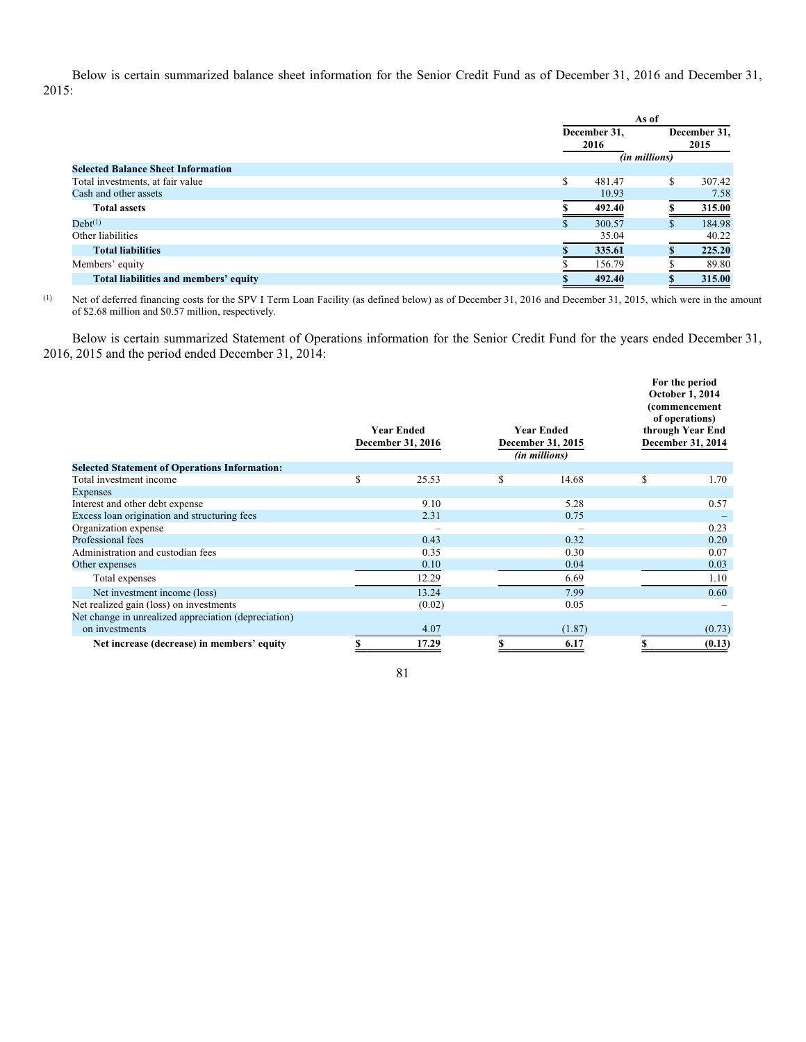Below is certain summarized balance sheet information for the Senior Credit Fund as of December 31, 2016 and December 31, 2015:

|                                           |     | As of                |               |                      |  |
|-------------------------------------------|-----|----------------------|---------------|----------------------|--|
|                                           |     | December 31.<br>2016 |               | December 31,<br>2015 |  |
|                                           |     |                      | (in millions) |                      |  |
| <b>Selected Balance Sheet Information</b> |     |                      |               |                      |  |
| Total investments, at fair value          | S   | 481.47               | S.            | 307.42               |  |
| Cash and other assets                     |     | 10.93                |               | 7.58                 |  |
| <b>Total assets</b>                       |     | 492.40               |               | 315.00               |  |
| $Debt^{(1)}$                              | ЭĐ. | 300.57               | S.            | 184.98               |  |
| Other liabilities                         |     | 35.04                |               | 40.22                |  |
| <b>Total liabilities</b>                  |     | 335.61               | \$            | 225.20               |  |
| Members' equity                           |     | 156.79               |               | 89.80                |  |
| Total liabilities and members' equity     |     | 492.40               |               | 315.00               |  |

(1) Net of deferred financing costs for the SPV I Term Loan Facility (as defined below) as of December 31, 2016 and December 31, 2015, which were in the amount of \$2.68 million and \$0.57 million, respectively.

Below is certain summarized Statement of Operations information for the Senior Credit Fund for the years ended December 31, 2016, 2015 and the period ended December 31, 2014:

|                                                      |    | <b>Year Ended</b><br><b>Year Ended</b><br>December 31, 2016<br>December 31, 2015<br>(in millions) |    |        |   |        |  | For the period<br><b>October 1, 2014</b><br><i>(commencement</i> )<br>of operations)<br>through Year End<br>December 31, 2014 |
|------------------------------------------------------|----|---------------------------------------------------------------------------------------------------|----|--------|---|--------|--|-------------------------------------------------------------------------------------------------------------------------------|
| <b>Selected Statement of Operations Information:</b> |    |                                                                                                   |    |        |   |        |  |                                                                                                                               |
| Total investment income                              | \$ | 25.53                                                                                             | \$ | 14.68  | S | 1.70   |  |                                                                                                                               |
| Expenses                                             |    |                                                                                                   |    |        |   |        |  |                                                                                                                               |
| Interest and other debt expense                      |    | 9.10                                                                                              |    | 5.28   |   | 0.57   |  |                                                                                                                               |
| Excess loan origination and structuring fees         |    | 2.31                                                                                              |    | 0.75   |   |        |  |                                                                                                                               |
| Organization expense                                 |    |                                                                                                   |    |        |   | 0.23   |  |                                                                                                                               |
| Professional fees                                    |    | 0.43                                                                                              |    | 0.32   |   | 0.20   |  |                                                                                                                               |
| Administration and custodian fees                    |    | 0.35                                                                                              |    | 0.30   |   | 0.07   |  |                                                                                                                               |
| Other expenses                                       |    | 0.10                                                                                              |    | 0.04   |   | 0.03   |  |                                                                                                                               |
| Total expenses                                       |    | 12.29                                                                                             |    | 6.69   |   | 1.10   |  |                                                                                                                               |
| Net investment income (loss)                         |    | 13.24                                                                                             |    | 7.99   |   | 0.60   |  |                                                                                                                               |
| Net realized gain (loss) on investments              |    | (0.02)                                                                                            |    | 0.05   |   |        |  |                                                                                                                               |
| Net change in unrealized appreciation (depreciation) |    |                                                                                                   |    |        |   |        |  |                                                                                                                               |
| on investments                                       |    | 4.07                                                                                              |    | (1.87) |   | (0.73) |  |                                                                                                                               |
| Net increase (decrease) in members' equity           | S  | 17.29                                                                                             |    | 6.17   |   | (0.13) |  |                                                                                                                               |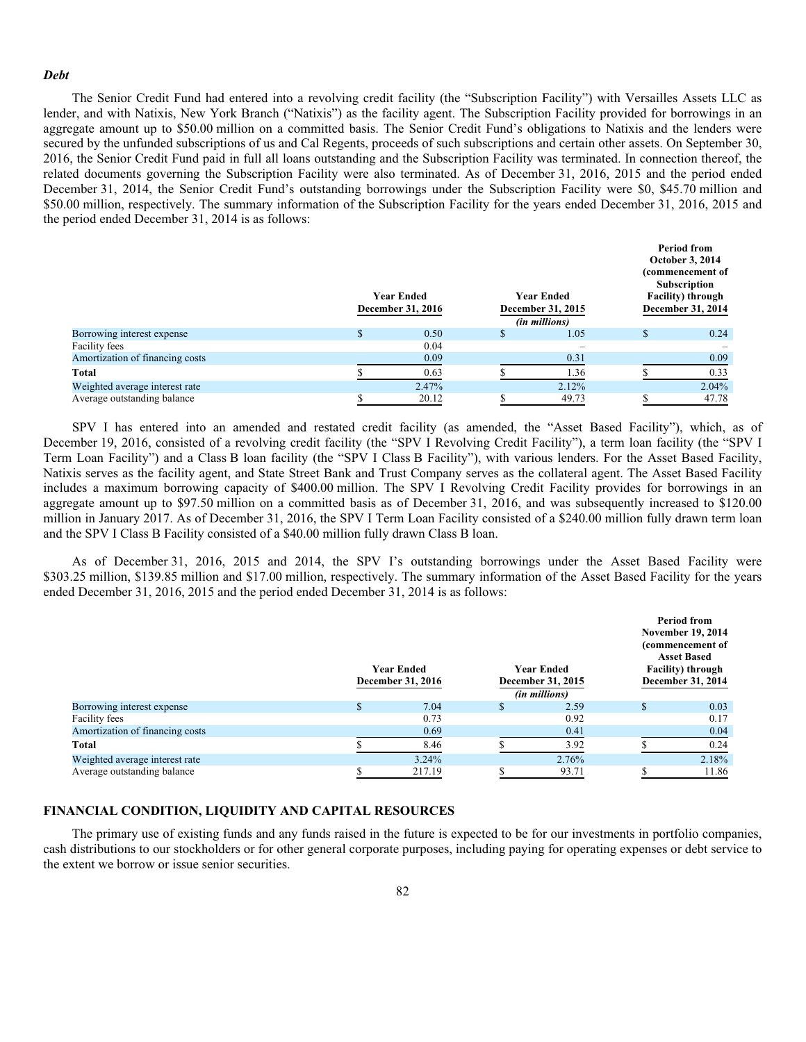#### *Debt*

The Senior Credit Fund had entered into a revolving credit facility (the "Subscription Facility") with Versailles Assets LLC as lender, and with Natixis, New York Branch ("Natixis") as the facility agent. The Subscription Facility provided for borrowings in an aggregate amount up to \$50.00 million on a committed basis. The Senior Credit Fund's obligations to Natixis and the lenders were secured by the unfunded subscriptions of us and Cal Regents, proceeds of such subscriptions and certain other assets. On September 30, 2016, the Senior Credit Fund paid in full all loans outstanding and the Subscription Facility was terminated. In connection thereof, the related documents governing the Subscription Facility were also terminated. As of December 31, 2016, 2015 and the period ended December 31, 2014, the Senior Credit Fund's outstanding borrowings under the Subscription Facility were \$0, \$45.70 million and \$50.00 million, respectively. The summary information of the Subscription Facility for the years ended December 31, 2016, 2015 and the period ended December 31, 2014 is as follows:

|                                 |   | <b>Year Ended</b><br><b>December 31, 2016</b> | <b>Year Ended</b><br>December 31, 2015<br>(in millions) |   | Period from<br><b>October 3, 2014</b><br>(commencement of<br>Subscription<br><b>Facility</b> ) through<br>December 31, 2014 |
|---------------------------------|---|-----------------------------------------------|---------------------------------------------------------|---|-----------------------------------------------------------------------------------------------------------------------------|
| Borrowing interest expense      | S | 0.50                                          | 1.05                                                    | S | 0.24                                                                                                                        |
| Facility fees                   |   | 0.04                                          |                                                         |   |                                                                                                                             |
| Amortization of financing costs |   | 0.09                                          | 0.31                                                    |   | 0.09                                                                                                                        |
| Total                           |   | 0.63                                          | 1.36                                                    |   | 0.33                                                                                                                        |
| Weighted average interest rate  |   | 2.47%                                         | 2.12%                                                   |   | 2.04%                                                                                                                       |
| Average outstanding balance     |   | 20.12                                         | 49.73                                                   |   | 47.78                                                                                                                       |

SPV I has entered into an amended and restated credit facility (as amended, the "Asset Based Facility"), which, as of December 19, 2016, consisted of a revolving credit facility (the "SPV I Revolving Credit Facility"), a term loan facility (the "SPV I Term Loan Facility") and a Class B loan facility (the "SPV I Class B Facility"), with various lenders. For the Asset Based Facility, Natixis serves as the facility agent, and State Street Bank and Trust Company serves as the collateral agent. The Asset Based Facility includes a maximum borrowing capacity of \$400.00 million. The SPV I Revolving Credit Facility provides for borrowings in an aggregate amount up to \$97.50 million on a committed basis as of December 31, 2016, and was subsequently increased to \$120.00 million in January 2017. As of December 31, 2016, the SPV I Term Loan Facility consisted of a \$240.00 million fully drawn term loan and the SPV I Class B Facility consisted of a \$40.00 million fully drawn Class B loan.

As of December 31, 2016, 2015 and 2014, the SPV I's outstanding borrowings under the Asset Based Facility were \$303.25 million, \$139.85 million and \$17.00 million, respectively. The summary information of the Asset Based Facility for the years ended December 31, 2016, 2015 and the period ended December 31, 2014 is as follows:

|                                 | <b>Year Ended</b><br>December 31, 2016 |   | <b>Year Ended</b><br>December 31, 2015<br>(in millions) |   | Period from<br><b>November 19, 2014</b><br>(commencement of<br><b>Asset Based</b><br><b>Facility</b> ) through<br>December 31, 2014 |
|---------------------------------|----------------------------------------|---|---------------------------------------------------------|---|-------------------------------------------------------------------------------------------------------------------------------------|
| Borrowing interest expense      | \$<br>7.04                             | S | 2.59                                                    | S | 0.03                                                                                                                                |
| Facility fees                   | 0.73                                   |   | 0.92                                                    |   | 0.17                                                                                                                                |
| Amortization of financing costs | 0.69                                   |   | 0.41                                                    |   | 0.04                                                                                                                                |
| Total                           | 8.46                                   |   | 3.92                                                    |   | 0.24                                                                                                                                |
| Weighted average interest rate  | $3.24\%$                               |   | 2.76%                                                   |   | 2.18%                                                                                                                               |
| Average outstanding balance     | 217.19                                 |   | 93.71                                                   |   | 11.86                                                                                                                               |

## **FINANCIAL CONDITION, LIQUIDITY AND CAPITAL RESOURCES**

The primary use of existing funds and any funds raised in the future is expected to be for our investments in portfolio companies, cash distributions to our stockholders or for other general corporate purposes, including paying for operating expenses or debt service to the extent we borrow or issue senior securities.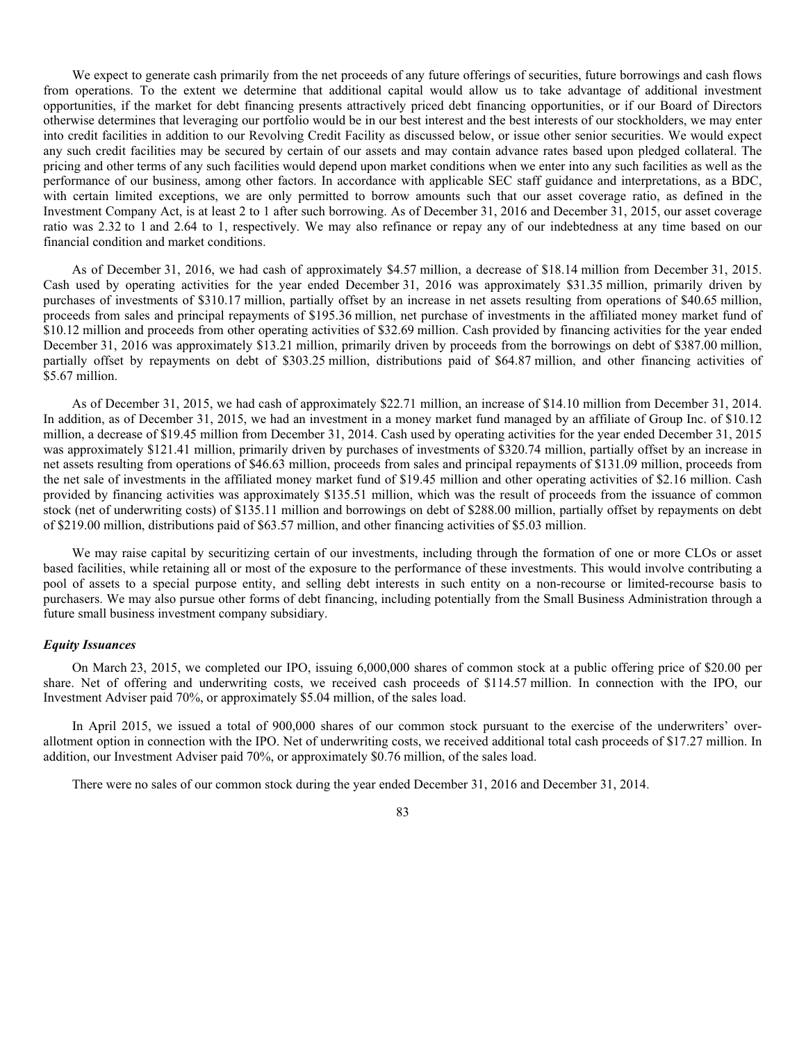We expect to generate cash primarily from the net proceeds of any future offerings of securities, future borrowings and cash flows from operations. To the extent we determine that additional capital would allow us to take advantage of additional investment opportunities, if the market for debt financing presents attractively priced debt financing opportunities, or if our Board of Directors otherwise determines that leveraging our portfolio would be in our best interest and the best interests of our stockholders, we may enter into credit facilities in addition to our Revolving Credit Facility as discussed below, or issue other senior securities. We would expect any such credit facilities may be secured by certain of our assets and may contain advance rates based upon pledged collateral. The pricing and other terms of any such facilities would depend upon market conditions when we enter into any such facilities as well as the performance of our business, among other factors. In accordance with applicable SEC staff guidance and interpretations, as a BDC, with certain limited exceptions, we are only permitted to borrow amounts such that our asset coverage ratio, as defined in the Investment Company Act, is at least 2 to 1 after such borrowing. As of December 31, 2016 and December 31, 2015, our asset coverage ratio was 2.32 to 1 and 2.64 to 1, respectively. We may also refinance or repay any of our indebtedness at any time based on our financial condition and market conditions.

As of December 31, 2016, we had cash of approximately \$4.57 million, a decrease of \$18.14 million from December 31, 2015. Cash used by operating activities for the year ended December 31, 2016 was approximately \$31.35 million, primarily driven by purchases of investments of \$310.17 million, partially offset by an increase in net assets resulting from operations of \$40.65 million, proceeds from sales and principal repayments of \$195.36 million, net purchase of investments in the affiliated money market fund of \$10.12 million and proceeds from other operating activities of \$32.69 million. Cash provided by financing activities for the year ended December 31, 2016 was approximately \$13.21 million, primarily driven by proceeds from the borrowings on debt of \$387.00 million, partially offset by repayments on debt of \$303.25 million, distributions paid of \$64.87 million, and other financing activities of \$5.67 million.

As of December 31, 2015, we had cash of approximately \$22.71 million, an increase of \$14.10 million from December 31, 2014. In addition, as of December 31, 2015, we had an investment in a money market fund managed by an affiliate of Group Inc. of \$10.12 million, a decrease of \$19.45 million from December 31, 2014. Cash used by operating activities for the year ended December 31, 2015 was approximately \$121.41 million, primarily driven by purchases of investments of \$320.74 million, partially offset by an increase in net assets resulting from operations of \$46.63 million, proceeds from sales and principal repayments of \$131.09 million, proceeds from the net sale of investments in the affiliated money market fund of \$19.45 million and other operating activities of \$2.16 million. Cash provided by financing activities was approximately \$135.51 million, which was the result of proceeds from the issuance of common stock (net of underwriting costs) of \$135.11 million and borrowings on debt of \$288.00 million, partially offset by repayments on debt of \$219.00 million, distributions paid of \$63.57 million, and other financing activities of \$5.03 million.

We may raise capital by securitizing certain of our investments, including through the formation of one or more CLOs or asset based facilities, while retaining all or most of the exposure to the performance of these investments. This would involve contributing a pool of assets to a special purpose entity, and selling debt interests in such entity on a non-recourse or limited-recourse basis to purchasers. We may also pursue other forms of debt financing, including potentially from the Small Business Administration through a future small business investment company subsidiary.

#### *Equity Issuances*

On March 23, 2015, we completed our IPO, issuing 6,000,000 shares of common stock at a public offering price of \$20.00 per share. Net of offering and underwriting costs, we received cash proceeds of \$114.57 million. In connection with the IPO, our Investment Adviser paid 70%, or approximately \$5.04 million, of the sales load.

In April 2015, we issued a total of 900,000 shares of our common stock pursuant to the exercise of the underwriters' overallotment option in connection with the IPO. Net of underwriting costs, we received additional total cash proceeds of \$17.27 million. In addition, our Investment Adviser paid 70%, or approximately \$0.76 million, of the sales load.

There were no sales of our common stock during the year ended December 31, 2016 and December 31, 2014.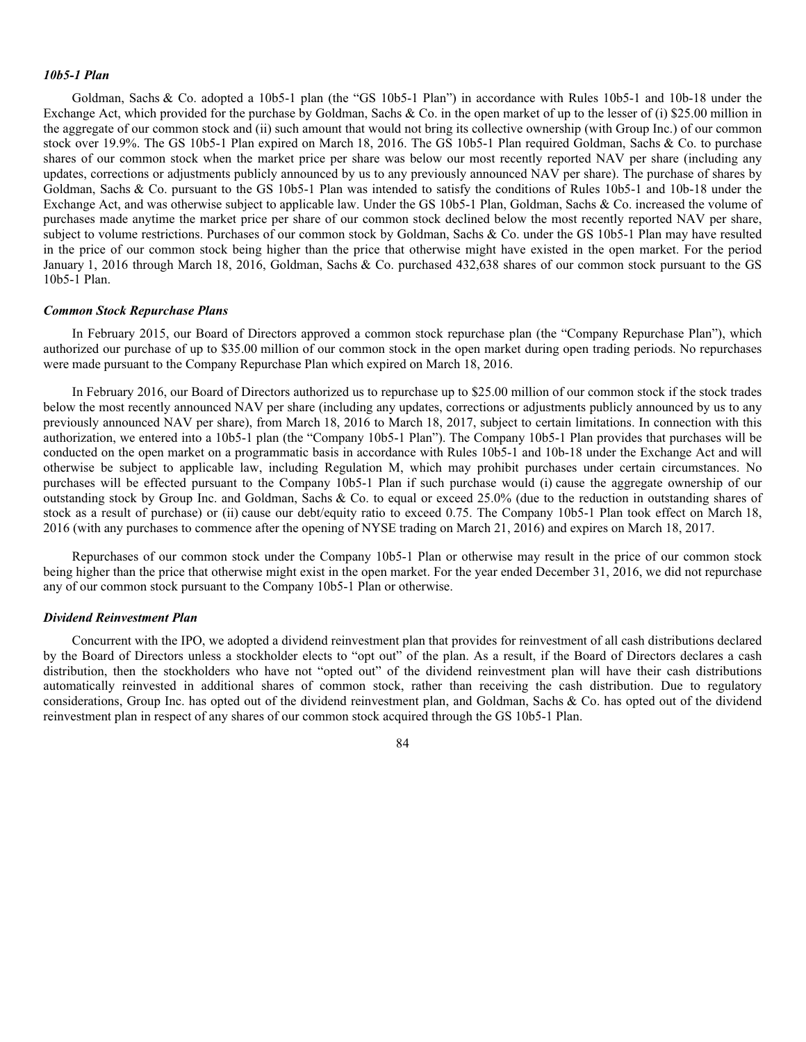#### *10b5-1 Plan*

Goldman, Sachs & Co. adopted a 10b5-1 plan (the "GS 10b5-1 Plan") in accordance with Rules 10b5-1 and 10b-18 under the Exchange Act, which provided for the purchase by Goldman, Sachs & Co. in the open market of up to the lesser of (i) \$25.00 million in the aggregate of our common stock and (ii) such amount that would not bring its collective ownership (with Group Inc.) of our common stock over 19.9%. The GS 10b5-1 Plan expired on March 18, 2016. The GS 10b5-1 Plan required Goldman, Sachs & Co. to purchase shares of our common stock when the market price per share was below our most recently reported NAV per share (including any updates, corrections or adjustments publicly announced by us to any previously announced NAV per share). The purchase of shares by Goldman, Sachs & Co. pursuant to the GS 10b5-1 Plan was intended to satisfy the conditions of Rules 10b5-1 and 10b-18 under the Exchange Act, and was otherwise subject to applicable law. Under the GS 10b5-1 Plan, Goldman, Sachs & Co. increased the volume of purchases made anytime the market price per share of our common stock declined below the most recently reported NAV per share, subject to volume restrictions. Purchases of our common stock by Goldman, Sachs & Co. under the GS 10b5-1 Plan may have resulted in the price of our common stock being higher than the price that otherwise might have existed in the open market. For the period January 1, 2016 through March 18, 2016, Goldman, Sachs & Co. purchased 432,638 shares of our common stock pursuant to the GS 10b5-1 Plan.

### *Common Stock Repurchase Plans*

In February 2015, our Board of Directors approved a common stock repurchase plan (the "Company Repurchase Plan"), which authorized our purchase of up to \$35.00 million of our common stock in the open market during open trading periods. No repurchases were made pursuant to the Company Repurchase Plan which expired on March 18, 2016.

In February 2016, our Board of Directors authorized us to repurchase up to \$25.00 million of our common stock if the stock trades below the most recently announced NAV per share (including any updates, corrections or adjustments publicly announced by us to any previously announced NAV per share), from March 18, 2016 to March 18, 2017, subject to certain limitations. In connection with this authorization, we entered into a 10b5-1 plan (the "Company 10b5-1 Plan"). The Company 10b5-1 Plan provides that purchases will be conducted on the open market on a programmatic basis in accordance with Rules 10b5-1 and 10b-18 under the Exchange Act and will otherwise be subject to applicable law, including Regulation M, which may prohibit purchases under certain circumstances. No purchases will be effected pursuant to the Company 10b5-1 Plan if such purchase would (i) cause the aggregate ownership of our outstanding stock by Group Inc. and Goldman, Sachs & Co. to equal or exceed 25.0% (due to the reduction in outstanding shares of stock as a result of purchase) or (ii) cause our debt/equity ratio to exceed 0.75. The Company 10b5-1 Plan took effect on March 18, 2016 (with any purchases to commence after the opening of NYSE trading on March 21, 2016) and expires on March 18, 2017.

Repurchases of our common stock under the Company 10b5-1 Plan or otherwise may result in the price of our common stock being higher than the price that otherwise might exist in the open market. For the year ended December 31, 2016, we did not repurchase any of our common stock pursuant to the Company 10b5-1 Plan or otherwise.

#### *Dividend Reinvestment Plan*

Concurrent with the IPO, we adopted a dividend reinvestment plan that provides for reinvestment of all cash distributions declared by the Board of Directors unless a stockholder elects to "opt out" of the plan. As a result, if the Board of Directors declares a cash distribution, then the stockholders who have not "opted out" of the dividend reinvestment plan will have their cash distributions automatically reinvested in additional shares of common stock, rather than receiving the cash distribution. Due to regulatory considerations, Group Inc. has opted out of the dividend reinvestment plan, and Goldman, Sachs & Co. has opted out of the dividend reinvestment plan in respect of any shares of our common stock acquired through the GS 10b5-1 Plan.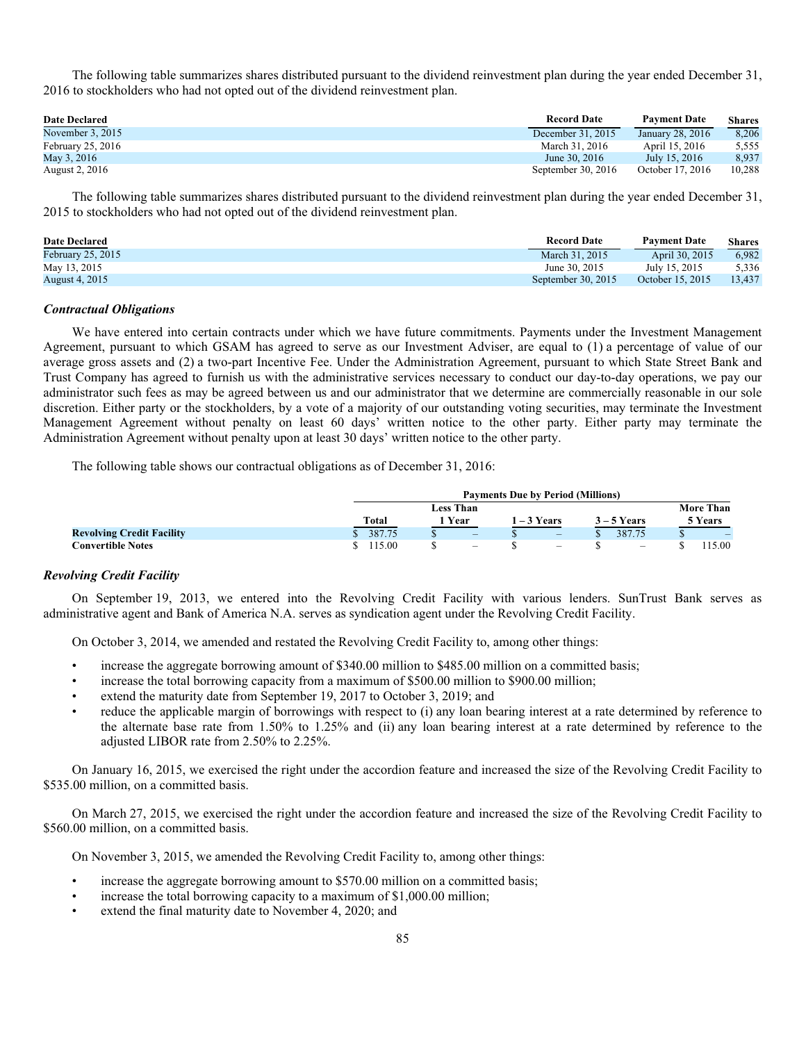The following table summarizes shares distributed pursuant to the dividend reinvestment plan during the year ended December 31, 2016 to stockholders who had not opted out of the dividend reinvestment plan.

| <b>Date Declared</b> | <b>Record Date</b>   | <b>Payment Date</b> | <b>Shares</b> |
|----------------------|----------------------|---------------------|---------------|
| November 3, 2015     | December 31, 2015    | January 28, 2016    | 8.206         |
| February 25, 2016    | March 31, 2016       | April 15, 2016      | 5.555         |
| May 3, 2016          | June 30, 2016        | July 15, 2016       | 8.937         |
| August 2, 2016       | September 30, $2016$ | October 17, 2016    | 10,288        |

The following table summarizes shares distributed pursuant to the dividend reinvestment plan during the year ended December 31, 2015 to stockholders who had not opted out of the dividend reinvestment plan.

| <b>Date Declared</b>  | <b>Record Date</b>   | <b>Payment Date</b> | <b>Shares</b> |
|-----------------------|----------------------|---------------------|---------------|
| February 25, 2015     | March 31, 2015       | April 30, 2015      | 6.982         |
| May 13, 2015          | June 30, 2015        | July 15, 2015       | 5.336         |
| <b>August 4, 2015</b> | September 30, $2015$ | October 15, 2015    | 13,437        |

#### *Contractual Obligations*

We have entered into certain contracts under which we have future commitments. Payments under the Investment Management Agreement, pursuant to which GSAM has agreed to serve as our Investment Adviser, are equal to (1) a percentage of value of our average gross assets and (2) a two-part Incentive Fee. Under the Administration Agreement, pursuant to which State Street Bank and Trust Company has agreed to furnish us with the administrative services necessary to conduct our day-to-day operations, we pay our administrator such fees as may be agreed between us and our administrator that we determine are commercially reasonable in our sole discretion. Either party or the stockholders, by a vote of a majority of our outstanding voting securities, may terminate the Investment Management Agreement without penalty on least 60 days' written notice to the other party. Either party may terminate the Administration Agreement without penalty upon at least 30 days' written notice to the other party.

The following table shows our contractual obligations as of December 31, 2016:

|                                  |              | <b>Payments Due by Period (Millions)</b> |                                   |  |                          |  |                                 |                  |
|----------------------------------|--------------|------------------------------------------|-----------------------------------|--|--------------------------|--|---------------------------------|------------------|
|                                  |              | <b>Less Than</b>                         |                                   |  |                          |  |                                 | <b>More Than</b> |
|                                  | <b>Total</b> | Year                                     |                                   |  | $-3$ Years               |  | $3 - 5$ Years                   | 5 Years          |
| <b>Revolving Credit Facility</b> | 387.75       |                                          | $\hspace{1.0cm} - \hspace{1.0cm}$ |  | $\overline{\phantom{a}}$ |  | 387.75                          | -                |
| Convertible Notes                | 115.00       |                                          | $\qquad \qquad -$                 |  | $\qquad \qquad -$        |  | $\hspace{0.1mm}-\hspace{0.1mm}$ | 15.00            |

#### *Revolving Credit Facility*

On September 19, 2013, we entered into the Revolving Credit Facility with various lenders. SunTrust Bank serves as administrative agent and Bank of America N.A. serves as syndication agent under the Revolving Credit Facility.

On October 3, 2014, we amended and restated the Revolving Credit Facility to, among other things:

- increase the aggregate borrowing amount of \$340.00 million to \$485.00 million on a committed basis;
- increase the total borrowing capacity from a maximum of \$500.00 million to \$900.00 million;
- extend the maturity date from September 19, 2017 to October 3, 2019; and
- reduce the applicable margin of borrowings with respect to (i) any loan bearing interest at a rate determined by reference to the alternate base rate from 1.50% to 1.25% and (ii) any loan bearing interest at a rate determined by reference to the adjusted LIBOR rate from 2.50% to 2.25%.

On January 16, 2015, we exercised the right under the accordion feature and increased the size of the Revolving Credit Facility to \$535.00 million, on a committed basis.

On March 27, 2015, we exercised the right under the accordion feature and increased the size of the Revolving Credit Facility to \$560.00 million, on a committed basis.

On November 3, 2015, we amended the Revolving Credit Facility to, among other things:

- increase the aggregate borrowing amount to \$570.00 million on a committed basis;
- increase the total borrowing capacity to a maximum of \$1,000.00 million;
- extend the final maturity date to November 4, 2020; and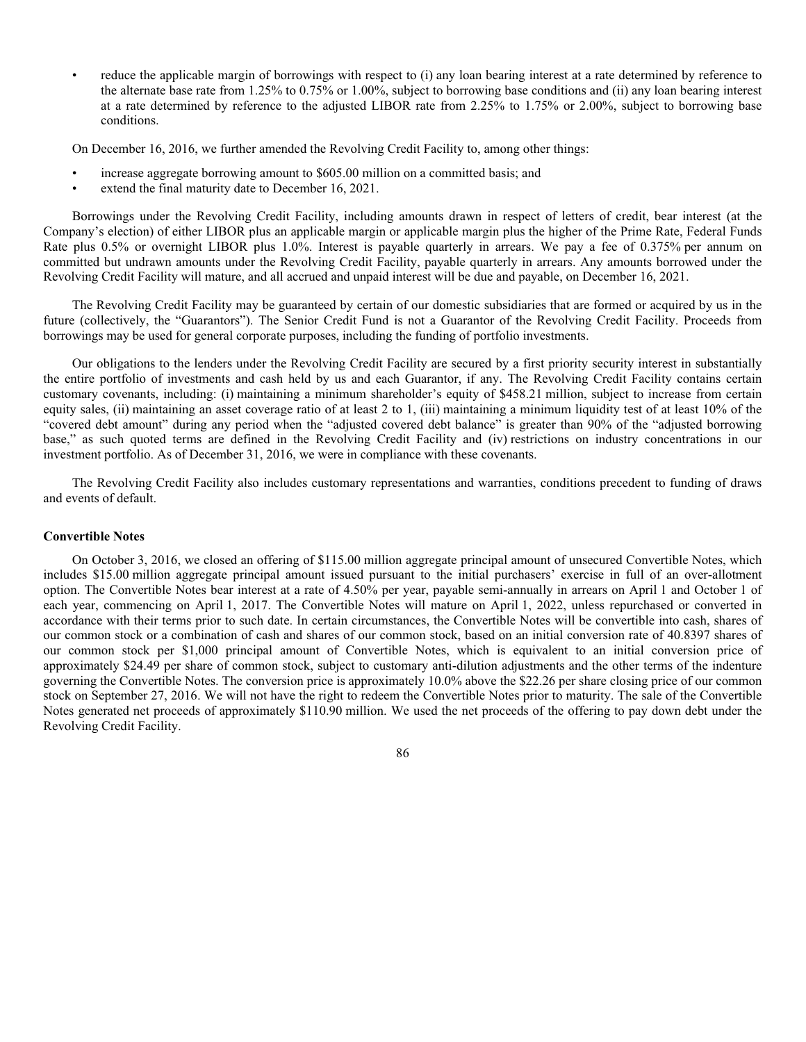reduce the applicable margin of borrowings with respect to (i) any loan bearing interest at a rate determined by reference to the alternate base rate from 1.25% to 0.75% or 1.00%, subject to borrowing base conditions and (ii) any loan bearing interest at a rate determined by reference to the adjusted LIBOR rate from 2.25% to 1.75% or 2.00%, subject to borrowing base conditions.

On December 16, 2016, we further amended the Revolving Credit Facility to, among other things:

- increase aggregate borrowing amount to \$605.00 million on a committed basis; and
- extend the final maturity date to December 16, 2021.

Borrowings under the Revolving Credit Facility, including amounts drawn in respect of letters of credit, bear interest (at the Company's election) of either LIBOR plus an applicable margin or applicable margin plus the higher of the Prime Rate, Federal Funds Rate plus 0.5% or overnight LIBOR plus 1.0%. Interest is payable quarterly in arrears. We pay a fee of 0.375% per annum on committed but undrawn amounts under the Revolving Credit Facility, payable quarterly in arrears. Any amounts borrowed under the Revolving Credit Facility will mature, and all accrued and unpaid interest will be due and payable, on December 16, 2021.

The Revolving Credit Facility may be guaranteed by certain of our domestic subsidiaries that are formed or acquired by us in the future (collectively, the "Guarantors"). The Senior Credit Fund is not a Guarantor of the Revolving Credit Facility. Proceeds from borrowings may be used for general corporate purposes, including the funding of portfolio investments.

Our obligations to the lenders under the Revolving Credit Facility are secured by a first priority security interest in substantially the entire portfolio of investments and cash held by us and each Guarantor, if any. The Revolving Credit Facility contains certain customary covenants, including: (i) maintaining a minimum shareholder's equity of \$458.21 million, subject to increase from certain equity sales, (ii) maintaining an asset coverage ratio of at least 2 to 1, (iii) maintaining a minimum liquidity test of at least 10% of the "covered debt amount" during any period when the "adjusted covered debt balance" is greater than 90% of the "adjusted borrowing base," as such quoted terms are defined in the Revolving Credit Facility and (iv) restrictions on industry concentrations in our investment portfolio. As of December 31, 2016, we were in compliance with these covenants.

The Revolving Credit Facility also includes customary representations and warranties, conditions precedent to funding of draws and events of default.

### **Convertible Notes**

On October 3, 2016, we closed an offering of \$115.00 million aggregate principal amount of unsecured Convertible Notes, which includes \$15.00 million aggregate principal amount issued pursuant to the initial purchasers' exercise in full of an over-allotment option. The Convertible Notes bear interest at a rate of 4.50% per year, payable semi-annually in arrears on April 1 and October 1 of each year, commencing on April 1, 2017. The Convertible Notes will mature on April 1, 2022, unless repurchased or converted in accordance with their terms prior to such date. In certain circumstances, the Convertible Notes will be convertible into cash, shares of our common stock or a combination of cash and shares of our common stock, based on an initial conversion rate of 40.8397 shares of our common stock per \$1,000 principal amount of Convertible Notes, which is equivalent to an initial conversion price of approximately \$24.49 per share of common stock, subject to customary anti-dilution adjustments and the other terms of the indenture governing the Convertible Notes. The conversion price is approximately 10.0% above the \$22.26 per share closing price of our common stock on September 27, 2016. We will not have the right to redeem the Convertible Notes prior to maturity. The sale of the Convertible Notes generated net proceeds of approximately \$110.90 million. We used the net proceeds of the offering to pay down debt under the Revolving Credit Facility.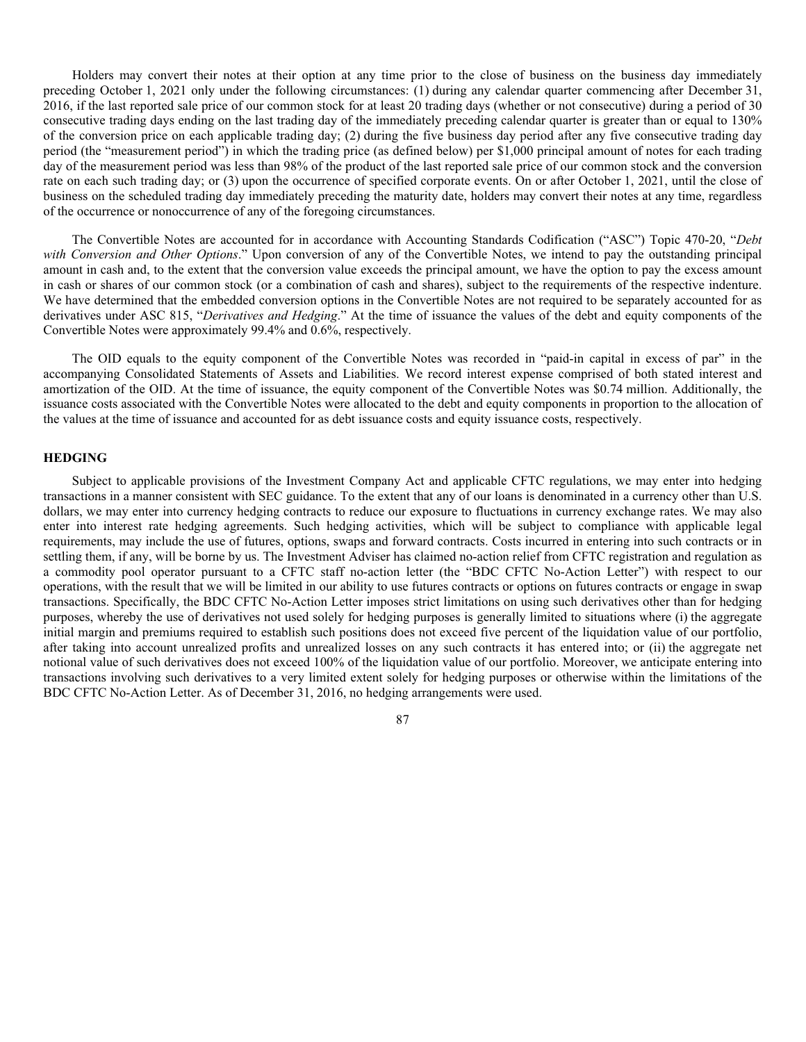Holders may convert their notes at their option at any time prior to the close of business on the business day immediately preceding October 1, 2021 only under the following circumstances: (1) during any calendar quarter commencing after December 31, 2016, if the last reported sale price of our common stock for at least 20 trading days (whether or not consecutive) during a period of 30 consecutive trading days ending on the last trading day of the immediately preceding calendar quarter is greater than or equal to 130% of the conversion price on each applicable trading day; (2) during the five business day period after any five consecutive trading day period (the "measurement period") in which the trading price (as defined below) per \$1,000 principal amount of notes for each trading day of the measurement period was less than 98% of the product of the last reported sale price of our common stock and the conversion rate on each such trading day; or (3) upon the occurrence of specified corporate events. On or after October 1, 2021, until the close of business on the scheduled trading day immediately preceding the maturity date, holders may convert their notes at any time, regardless of the occurrence or nonoccurrence of any of the foregoing circumstances.

The Convertible Notes are accounted for in accordance with Accounting Standards Codification ("ASC") Topic 470-20, "*Debt with Conversion and Other Options*." Upon conversion of any of the Convertible Notes, we intend to pay the outstanding principal amount in cash and, to the extent that the conversion value exceeds the principal amount, we have the option to pay the excess amount in cash or shares of our common stock (or a combination of cash and shares), subject to the requirements of the respective indenture. We have determined that the embedded conversion options in the Convertible Notes are not required to be separately accounted for as derivatives under ASC 815, "*Derivatives and Hedging*." At the time of issuance the values of the debt and equity components of the Convertible Notes were approximately 99.4% and 0.6%, respectively.

The OID equals to the equity component of the Convertible Notes was recorded in "paid-in capital in excess of par" in the accompanying Consolidated Statements of Assets and Liabilities. We record interest expense comprised of both stated interest and amortization of the OID. At the time of issuance, the equity component of the Convertible Notes was \$0.74 million. Additionally, the issuance costs associated with the Convertible Notes were allocated to the debt and equity components in proportion to the allocation of the values at the time of issuance and accounted for as debt issuance costs and equity issuance costs, respectively.

#### **HEDGING**

Subject to applicable provisions of the Investment Company Act and applicable CFTC regulations, we may enter into hedging transactions in a manner consistent with SEC guidance. To the extent that any of our loans is denominated in a currency other than U.S. dollars, we may enter into currency hedging contracts to reduce our exposure to fluctuations in currency exchange rates. We may also enter into interest rate hedging agreements. Such hedging activities, which will be subject to compliance with applicable legal requirements, may include the use of futures, options, swaps and forward contracts. Costs incurred in entering into such contracts or in settling them, if any, will be borne by us. The Investment Adviser has claimed no-action relief from CFTC registration and regulation as a commodity pool operator pursuant to a CFTC staff no-action letter (the "BDC CFTC No-Action Letter") with respect to our operations, with the result that we will be limited in our ability to use futures contracts or options on futures contracts or engage in swap transactions. Specifically, the BDC CFTC No-Action Letter imposes strict limitations on using such derivatives other than for hedging purposes, whereby the use of derivatives not used solely for hedging purposes is generally limited to situations where (i) the aggregate initial margin and premiums required to establish such positions does not exceed five percent of the liquidation value of our portfolio, after taking into account unrealized profits and unrealized losses on any such contracts it has entered into; or (ii) the aggregate net notional value of such derivatives does not exceed 100% of the liquidation value of our portfolio. Moreover, we anticipate entering into transactions involving such derivatives to a very limited extent solely for hedging purposes or otherwise within the limitations of the BDC CFTC No-Action Letter. As of December 31, 2016, no hedging arrangements were used.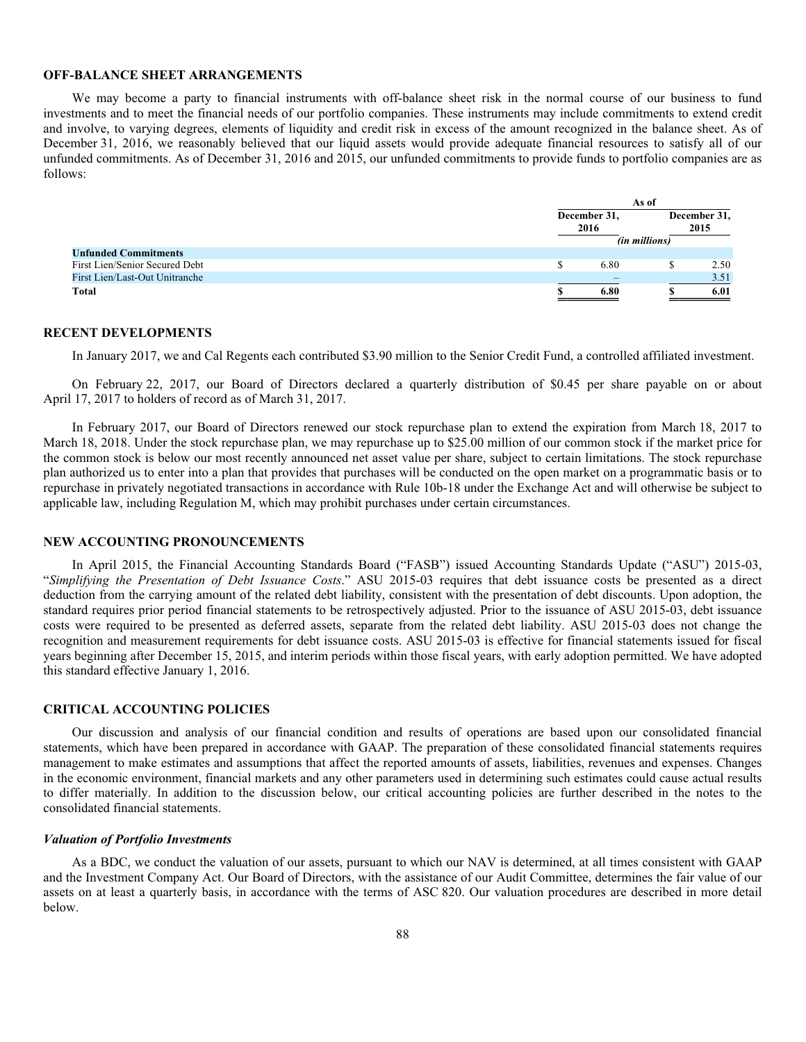### **OFF-BALANCE SHEET ARRANGEMENTS**

We may become a party to financial instruments with off-balance sheet risk in the normal course of our business to fund investments and to meet the financial needs of our portfolio companies. These instruments may include commitments to extend credit and involve, to varying degrees, elements of liquidity and credit risk in excess of the amount recognized in the balance sheet. As of December 31, 2016, we reasonably believed that our liquid assets would provide adequate financial resources to satisfy all of our unfunded commitments. As of December 31, 2016 and 2015, our unfunded commitments to provide funds to portfolio companies are as follows:

|                                | As of                                 |  |                      |  |
|--------------------------------|---------------------------------------|--|----------------------|--|
|                                | December 31,<br>2016<br>(in millions) |  | December 31,<br>2015 |  |
| <b>Unfunded Commitments</b>    |                                       |  |                      |  |
| First Lien/Senior Secured Debt | 6.80                                  |  | 2.50                 |  |
| First Lien/Last-Out Unitranche |                                       |  | 3.51                 |  |
| Total                          | 6.80                                  |  | 6.01                 |  |

#### **RECENT DEVELOPMENTS**

In January 2017, we and Cal Regents each contributed \$3.90 million to the Senior Credit Fund, a controlled affiliated investment.

On February 22, 2017, our Board of Directors declared a quarterly distribution of \$0.45 per share payable on or about April 17, 2017 to holders of record as of March 31, 2017.

In February 2017, our Board of Directors renewed our stock repurchase plan to extend the expiration from March 18, 2017 to March 18, 2018. Under the stock repurchase plan, we may repurchase up to \$25.00 million of our common stock if the market price for the common stock is below our most recently announced net asset value per share, subject to certain limitations. The stock repurchase plan authorized us to enter into a plan that provides that purchases will be conducted on the open market on a programmatic basis or to repurchase in privately negotiated transactions in accordance with Rule 10b-18 under the Exchange Act and will otherwise be subject to applicable law, including Regulation M, which may prohibit purchases under certain circumstances.

## **NEW ACCOUNTING PRONOUNCEMENTS**

In April 2015, the Financial Accounting Standards Board ("FASB") issued Accounting Standards Update ("ASU") 2015-03, "*Simplifying the Presentation of Debt Issuance Costs*." ASU 2015-03 requires that debt issuance costs be presented as a direct deduction from the carrying amount of the related debt liability, consistent with the presentation of debt discounts. Upon adoption, the standard requires prior period financial statements to be retrospectively adjusted. Prior to the issuance of ASU 2015-03, debt issuance costs were required to be presented as deferred assets, separate from the related debt liability. ASU 2015-03 does not change the recognition and measurement requirements for debt issuance costs. ASU 2015-03 is effective for financial statements issued for fiscal years beginning after December 15, 2015, and interim periods within those fiscal years, with early adoption permitted. We have adopted this standard effective January 1, 2016.

## **CRITICAL ACCOUNTING POLICIES**

Our discussion and analysis of our financial condition and results of operations are based upon our consolidated financial statements, which have been prepared in accordance with GAAP. The preparation of these consolidated financial statements requires management to make estimates and assumptions that affect the reported amounts of assets, liabilities, revenues and expenses. Changes in the economic environment, financial markets and any other parameters used in determining such estimates could cause actual results to differ materially. In addition to the discussion below, our critical accounting policies are further described in the notes to the consolidated financial statements.

#### *Valuation of Portfolio Investments*

As a BDC, we conduct the valuation of our assets, pursuant to which our NAV is determined, at all times consistent with GAAP and the Investment Company Act. Our Board of Directors, with the assistance of our Audit Committee, determines the fair value of our assets on at least a quarterly basis, in accordance with the terms of ASC 820. Our valuation procedures are described in more detail below.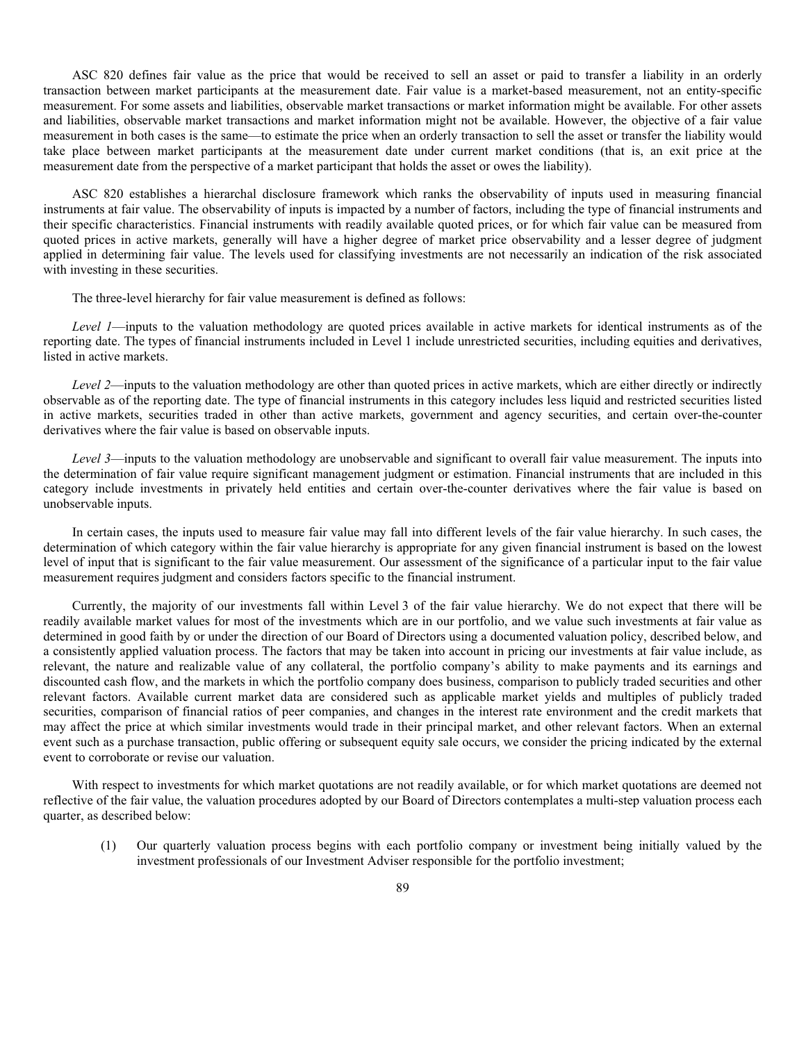ASC 820 defines fair value as the price that would be received to sell an asset or paid to transfer a liability in an orderly transaction between market participants at the measurement date. Fair value is a market-based measurement, not an entity-specific measurement. For some assets and liabilities, observable market transactions or market information might be available. For other assets and liabilities, observable market transactions and market information might not be available. However, the objective of a fair value measurement in both cases is the same—to estimate the price when an orderly transaction to sell the asset or transfer the liability would take place between market participants at the measurement date under current market conditions (that is, an exit price at the measurement date from the perspective of a market participant that holds the asset or owes the liability).

ASC 820 establishes a hierarchal disclosure framework which ranks the observability of inputs used in measuring financial instruments at fair value. The observability of inputs is impacted by a number of factors, including the type of financial instruments and their specific characteristics. Financial instruments with readily available quoted prices, or for which fair value can be measured from quoted prices in active markets, generally will have a higher degree of market price observability and a lesser degree of judgment applied in determining fair value. The levels used for classifying investments are not necessarily an indication of the risk associated with investing in these securities.

The three-level hierarchy for fair value measurement is defined as follows:

*Level 1*—inputs to the valuation methodology are quoted prices available in active markets for identical instruments as of the reporting date. The types of financial instruments included in Level 1 include unrestricted securities, including equities and derivatives, listed in active markets.

*Level 2*—inputs to the valuation methodology are other than quoted prices in active markets, which are either directly or indirectly observable as of the reporting date. The type of financial instruments in this category includes less liquid and restricted securities listed in active markets, securities traded in other than active markets, government and agency securities, and certain over-the-counter derivatives where the fair value is based on observable inputs.

*Level 3*—inputs to the valuation methodology are unobservable and significant to overall fair value measurement. The inputs into the determination of fair value require significant management judgment or estimation. Financial instruments that are included in this category include investments in privately held entities and certain over-the-counter derivatives where the fair value is based on unobservable inputs.

In certain cases, the inputs used to measure fair value may fall into different levels of the fair value hierarchy. In such cases, the determination of which category within the fair value hierarchy is appropriate for any given financial instrument is based on the lowest level of input that is significant to the fair value measurement. Our assessment of the significance of a particular input to the fair value measurement requires judgment and considers factors specific to the financial instrument.

Currently, the majority of our investments fall within Level 3 of the fair value hierarchy. We do not expect that there will be readily available market values for most of the investments which are in our portfolio, and we value such investments at fair value as determined in good faith by or under the direction of our Board of Directors using a documented valuation policy, described below, and a consistently applied valuation process. The factors that may be taken into account in pricing our investments at fair value include, as relevant, the nature and realizable value of any collateral, the portfolio company's ability to make payments and its earnings and discounted cash flow, and the markets in which the portfolio company does business, comparison to publicly traded securities and other relevant factors. Available current market data are considered such as applicable market yields and multiples of publicly traded securities, comparison of financial ratios of peer companies, and changes in the interest rate environment and the credit markets that may affect the price at which similar investments would trade in their principal market, and other relevant factors. When an external event such as a purchase transaction, public offering or subsequent equity sale occurs, we consider the pricing indicated by the external event to corroborate or revise our valuation.

With respect to investments for which market quotations are not readily available, or for which market quotations are deemed not reflective of the fair value, the valuation procedures adopted by our Board of Directors contemplates a multi-step valuation process each quarter, as described below:

(1) Our quarterly valuation process begins with each portfolio company or investment being initially valued by the investment professionals of our Investment Adviser responsible for the portfolio investment;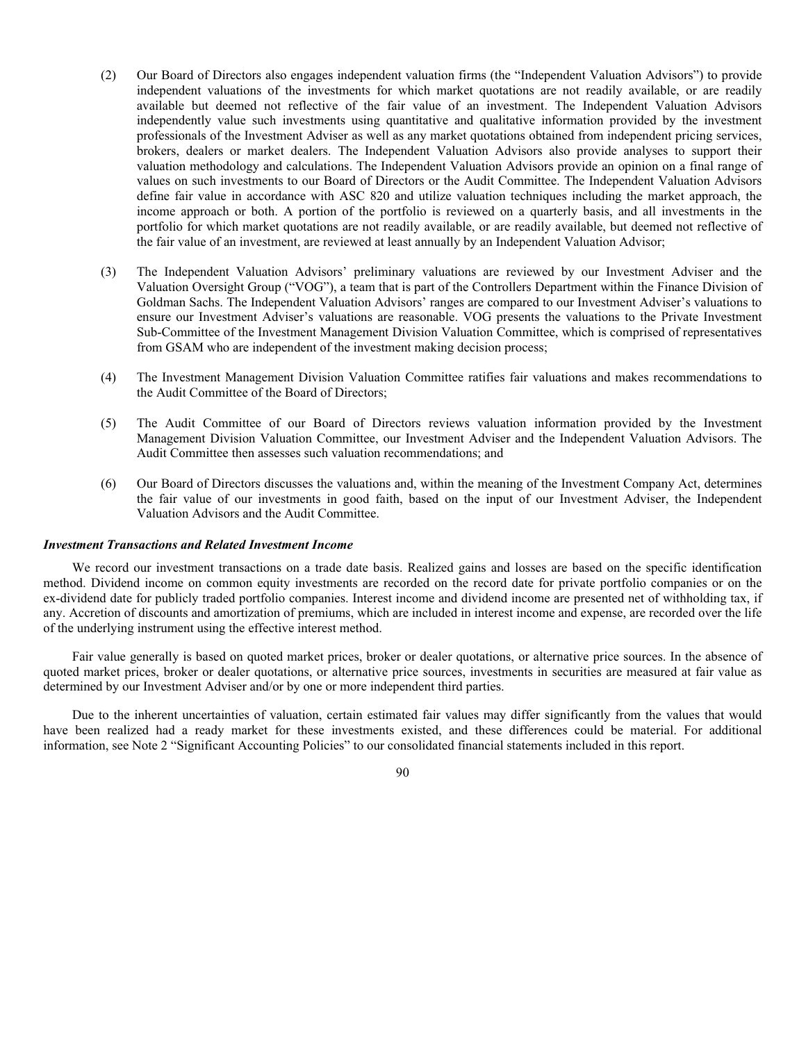- (2) Our Board of Directors also engages independent valuation firms (the "Independent Valuation Advisors") to provide independent valuations of the investments for which market quotations are not readily available, or are readily available but deemed not reflective of the fair value of an investment. The Independent Valuation Advisors independently value such investments using quantitative and qualitative information provided by the investment professionals of the Investment Adviser as well as any market quotations obtained from independent pricing services, brokers, dealers or market dealers. The Independent Valuation Advisors also provide analyses to support their valuation methodology and calculations. The Independent Valuation Advisors provide an opinion on a final range of values on such investments to our Board of Directors or the Audit Committee. The Independent Valuation Advisors define fair value in accordance with ASC 820 and utilize valuation techniques including the market approach, the income approach or both. A portion of the portfolio is reviewed on a quarterly basis, and all investments in the portfolio for which market quotations are not readily available, or are readily available, but deemed not reflective of the fair value of an investment, are reviewed at least annually by an Independent Valuation Advisor;
- (3) The Independent Valuation Advisors' preliminary valuations are reviewed by our Investment Adviser and the Valuation Oversight Group ("VOG"), a team that is part of the Controllers Department within the Finance Division of Goldman Sachs. The Independent Valuation Advisors' ranges are compared to our Investment Adviser's valuations to ensure our Investment Adviser's valuations are reasonable. VOG presents the valuations to the Private Investment Sub-Committee of the Investment Management Division Valuation Committee, which is comprised of representatives from GSAM who are independent of the investment making decision process;
- (4) The Investment Management Division Valuation Committee ratifies fair valuations and makes recommendations to the Audit Committee of the Board of Directors;
- (5) The Audit Committee of our Board of Directors reviews valuation information provided by the Investment Management Division Valuation Committee, our Investment Adviser and the Independent Valuation Advisors. The Audit Committee then assesses such valuation recommendations; and
- (6) Our Board of Directors discusses the valuations and, within the meaning of the Investment Company Act, determines the fair value of our investments in good faith, based on the input of our Investment Adviser, the Independent Valuation Advisors and the Audit Committee.

#### *Investment Transactions and Related Investment Income*

We record our investment transactions on a trade date basis. Realized gains and losses are based on the specific identification method. Dividend income on common equity investments are recorded on the record date for private portfolio companies or on the ex-dividend date for publicly traded portfolio companies. Interest income and dividend income are presented net of withholding tax, if any. Accretion of discounts and amortization of premiums, which are included in interest income and expense, are recorded over the life of the underlying instrument using the effective interest method.

Fair value generally is based on quoted market prices, broker or dealer quotations, or alternative price sources. In the absence of quoted market prices, broker or dealer quotations, or alternative price sources, investments in securities are measured at fair value as determined by our Investment Adviser and/or by one or more independent third parties.

Due to the inherent uncertainties of valuation, certain estimated fair values may differ significantly from the values that would have been realized had a ready market for these investments existed, and these differences could be material. For additional information, see Note 2 "Significant Accounting Policies" to our consolidated financial statements included in this report.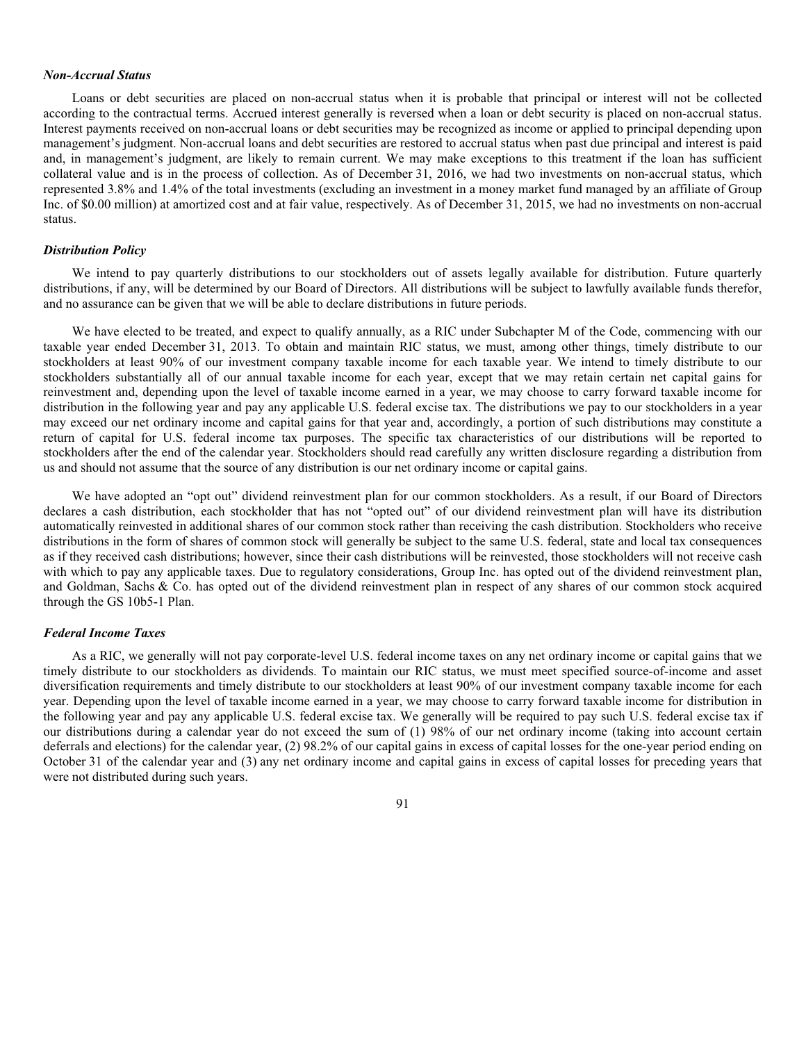#### *Non-Accrual Status*

Loans or debt securities are placed on non-accrual status when it is probable that principal or interest will not be collected according to the contractual terms. Accrued interest generally is reversed when a loan or debt security is placed on non-accrual status. Interest payments received on non-accrual loans or debt securities may be recognized as income or applied to principal depending upon management's judgment. Non-accrual loans and debt securities are restored to accrual status when past due principal and interest is paid and, in management's judgment, are likely to remain current. We may make exceptions to this treatment if the loan has sufficient collateral value and is in the process of collection. As of December 31, 2016, we had two investments on non-accrual status, which represented 3.8% and 1.4% of the total investments (excluding an investment in a money market fund managed by an affiliate of Group Inc. of \$0.00 million) at amortized cost and at fair value, respectively. As of December 31, 2015, we had no investments on non-accrual status.

#### *Distribution Policy*

We intend to pay quarterly distributions to our stockholders out of assets legally available for distribution. Future quarterly distributions, if any, will be determined by our Board of Directors. All distributions will be subject to lawfully available funds therefor, and no assurance can be given that we will be able to declare distributions in future periods.

We have elected to be treated, and expect to qualify annually, as a RIC under Subchapter M of the Code, commencing with our taxable year ended December 31, 2013. To obtain and maintain RIC status, we must, among other things, timely distribute to our stockholders at least 90% of our investment company taxable income for each taxable year. We intend to timely distribute to our stockholders substantially all of our annual taxable income for each year, except that we may retain certain net capital gains for reinvestment and, depending upon the level of taxable income earned in a year, we may choose to carry forward taxable income for distribution in the following year and pay any applicable U.S. federal excise tax. The distributions we pay to our stockholders in a year may exceed our net ordinary income and capital gains for that year and, accordingly, a portion of such distributions may constitute a return of capital for U.S. federal income tax purposes. The specific tax characteristics of our distributions will be reported to stockholders after the end of the calendar year. Stockholders should read carefully any written disclosure regarding a distribution from us and should not assume that the source of any distribution is our net ordinary income or capital gains.

We have adopted an "opt out" dividend reinvestment plan for our common stockholders. As a result, if our Board of Directors declares a cash distribution, each stockholder that has not "opted out" of our dividend reinvestment plan will have its distribution automatically reinvested in additional shares of our common stock rather than receiving the cash distribution. Stockholders who receive distributions in the form of shares of common stock will generally be subject to the same U.S. federal, state and local tax consequences as if they received cash distributions; however, since their cash distributions will be reinvested, those stockholders will not receive cash with which to pay any applicable taxes. Due to regulatory considerations, Group Inc. has opted out of the dividend reinvestment plan, and Goldman, Sachs & Co. has opted out of the dividend reinvestment plan in respect of any shares of our common stock acquired through the GS 10b5-1 Plan.

#### *Federal Income Taxes*

As a RIC, we generally will not pay corporate-level U.S. federal income taxes on any net ordinary income or capital gains that we timely distribute to our stockholders as dividends. To maintain our RIC status, we must meet specified source-of-income and asset diversification requirements and timely distribute to our stockholders at least 90% of our investment company taxable income for each year. Depending upon the level of taxable income earned in a year, we may choose to carry forward taxable income for distribution in the following year and pay any applicable U.S. federal excise tax. We generally will be required to pay such U.S. federal excise tax if our distributions during a calendar year do not exceed the sum of (1) 98% of our net ordinary income (taking into account certain deferrals and elections) for the calendar year, (2) 98.2% of our capital gains in excess of capital losses for the one-year period ending on October 31 of the calendar year and (3) any net ordinary income and capital gains in excess of capital losses for preceding years that were not distributed during such years.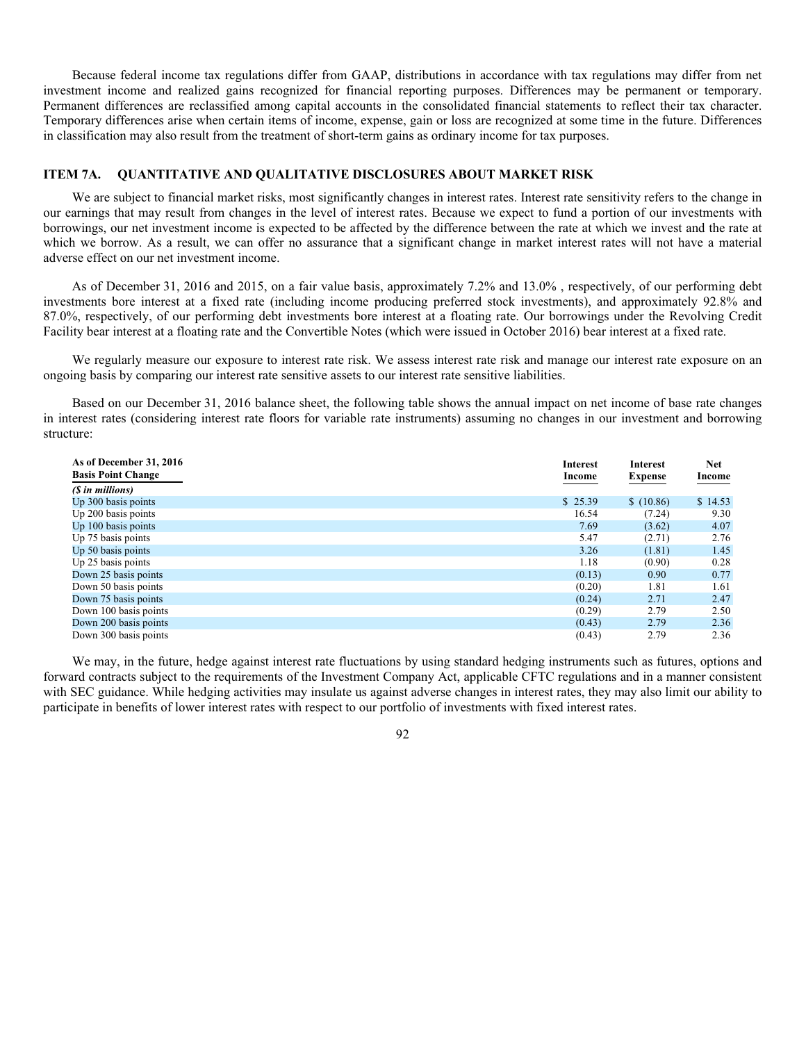Because federal income tax regulations differ from GAAP, distributions in accordance with tax regulations may differ from net investment income and realized gains recognized for financial reporting purposes. Differences may be permanent or temporary. Permanent differences are reclassified among capital accounts in the consolidated financial statements to reflect their tax character. Temporary differences arise when certain items of income, expense, gain or loss are recognized at some time in the future. Differences in classification may also result from the treatment of short-term gains as ordinary income for tax purposes.

## **ITEM 7A. QUANTITATIVE AND QUALITATIVE DISCLOSURES ABOUT MARKET RISK**

We are subject to financial market risks, most significantly changes in interest rates. Interest rate sensitivity refers to the change in our earnings that may result from changes in the level of interest rates. Because we expect to fund a portion of our investments with borrowings, our net investment income is expected to be affected by the difference between the rate at which we invest and the rate at which we borrow. As a result, we can offer no assurance that a significant change in market interest rates will not have a material adverse effect on our net investment income.

As of December 31, 2016 and 2015, on a fair value basis, approximately 7.2% and 13.0% , respectively, of our performing debt investments bore interest at a fixed rate (including income producing preferred stock investments), and approximately 92.8% and 87.0%, respectively, of our performing debt investments bore interest at a floating rate. Our borrowings under the Revolving Credit Facility bear interest at a floating rate and the Convertible Notes (which were issued in October 2016) bear interest at a fixed rate.

We regularly measure our exposure to interest rate risk. We assess interest rate risk and manage our interest rate exposure on an ongoing basis by comparing our interest rate sensitive assets to our interest rate sensitive liabilities.

Based on our December 31, 2016 balance sheet, the following table shows the annual impact on net income of base rate changes in interest rates (considering interest rate floors for variable rate instruments) assuming no changes in our investment and borrowing structure:

| As of December 31, 2016<br><b>Basis Point Change</b> | <b>Interest</b><br>Income | Interest<br><b>Expense</b> | Net<br>Income |
|------------------------------------------------------|---------------------------|----------------------------|---------------|
| (\$ in millions)                                     |                           |                            |               |
| Up 300 basis points                                  | \$25.39                   | \$(10.86)                  | \$14.53       |
| Up 200 basis points                                  | 16.54                     | (7.24)                     | 9.30          |
| Up 100 basis points                                  | 7.69                      | (3.62)                     | 4.07          |
| Up 75 basis points                                   | 5.47                      | (2.71)                     | 2.76          |
| Up 50 basis points                                   | 3.26                      | (1.81)                     | 1.45          |
| Up 25 basis points                                   | 1.18                      | (0.90)                     | 0.28          |
| Down 25 basis points                                 | (0.13)                    | 0.90                       | 0.77          |
| Down 50 basis points                                 | (0.20)                    | 1.81                       | 1.61          |
| Down 75 basis points                                 | (0.24)                    | 2.71                       | 2.47          |
| Down 100 basis points                                | (0.29)                    | 2.79                       | 2.50          |
| Down 200 basis points                                | (0.43)                    | 2.79                       | 2.36          |
| Down 300 basis points                                | (0.43)                    | 2.79                       | 2.36          |

We may, in the future, hedge against interest rate fluctuations by using standard hedging instruments such as futures, options and forward contracts subject to the requirements of the Investment Company Act, applicable CFTC regulations and in a manner consistent with SEC guidance. While hedging activities may insulate us against adverse changes in interest rates, they may also limit our ability to participate in benefits of lower interest rates with respect to our portfolio of investments with fixed interest rates.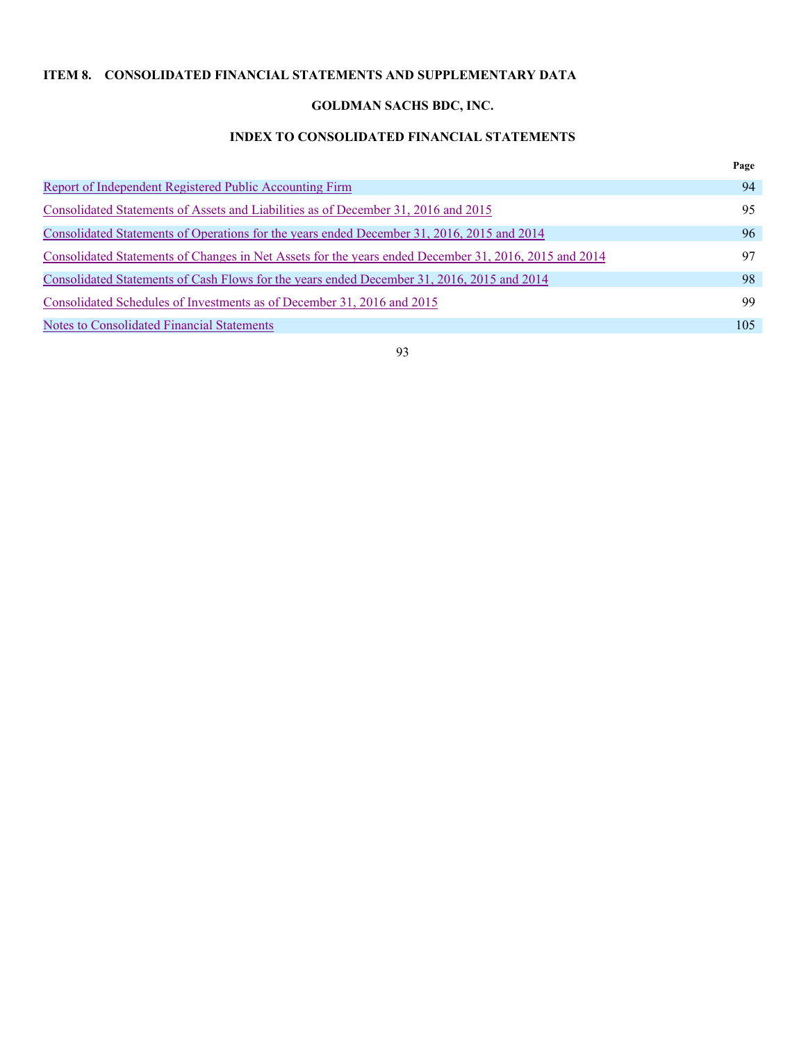# **ITEM 8. CONSOLIDATED FINANCIAL STATEMENTS AND SUPPLEMENTARY DATA**

## **GOLDMAN SACHS BDC, INC.**

## **INDEX TO CONSOLIDATED FINANCIAL STATEMENTS**

|                                                                                                       | Page |
|-------------------------------------------------------------------------------------------------------|------|
| Report of Independent Registered Public Accounting Firm                                               | 94   |
| Consolidated Statements of Assets and Liabilities as of December 31, 2016 and 2015                    | 95   |
| Consolidated Statements of Operations for the years ended December 31, 2016, 2015 and 2014            | 96   |
| Consolidated Statements of Changes in Net Assets for the years ended December 31, 2016, 2015 and 2014 | 97   |
| Consolidated Statements of Cash Flows for the years ended December 31, 2016, 2015 and 2014            | 98   |
| Consolidated Schedules of Investments as of December 31, 2016 and 2015                                | 99   |
| Notes to Consolidated Financial Statements                                                            | 105  |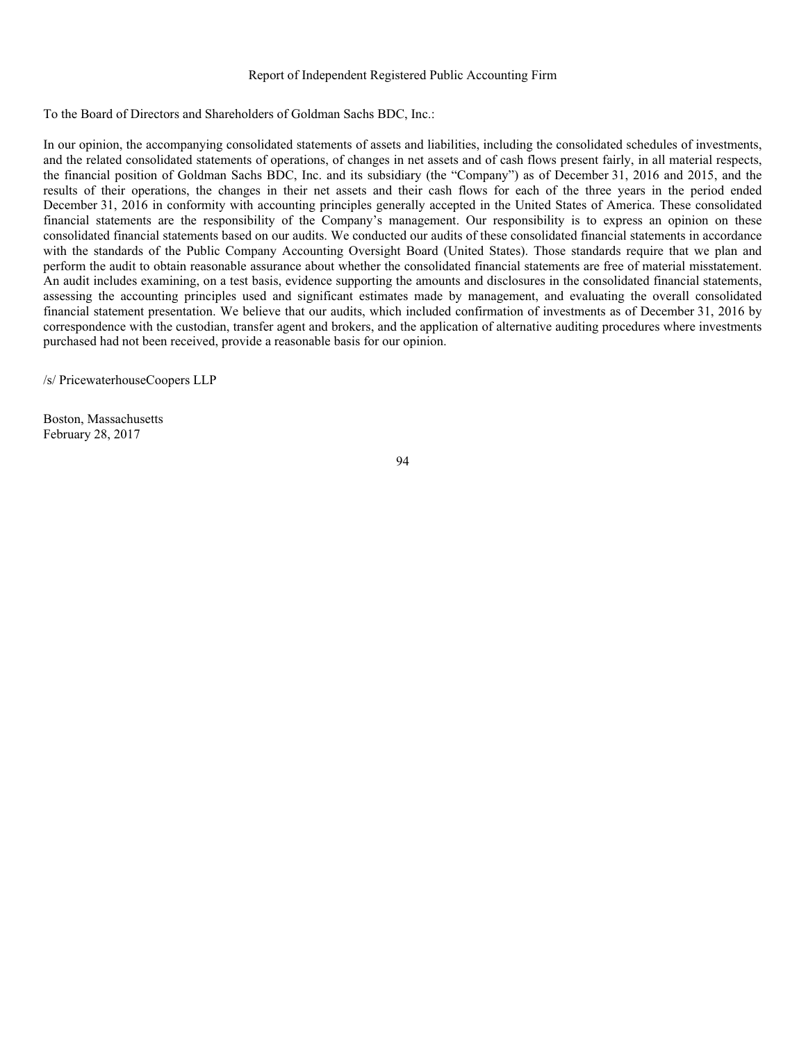### Report of Independent Registered Public Accounting Firm

To the Board of Directors and Shareholders of Goldman Sachs BDC, Inc.:

In our opinion, the accompanying consolidated statements of assets and liabilities, including the consolidated schedules of investments, and the related consolidated statements of operations, of changes in net assets and of cash flows present fairly, in all material respects, the financial position of Goldman Sachs BDC, Inc. and its subsidiary (the "Company") as of December 31, 2016 and 2015, and the results of their operations, the changes in their net assets and their cash flows for each of the three years in the period ended December 31, 2016 in conformity with accounting principles generally accepted in the United States of America. These consolidated financial statements are the responsibility of the Company's management. Our responsibility is to express an opinion on these consolidated financial statements based on our audits. We conducted our audits of these consolidated financial statements in accordance with the standards of the Public Company Accounting Oversight Board (United States). Those standards require that we plan and perform the audit to obtain reasonable assurance about whether the consolidated financial statements are free of material misstatement. An audit includes examining, on a test basis, evidence supporting the amounts and disclosures in the consolidated financial statements, assessing the accounting principles used and significant estimates made by management, and evaluating the overall consolidated financial statement presentation. We believe that our audits, which included confirmation of investments as of December 31, 2016 by correspondence with the custodian, transfer agent and brokers, and the application of alternative auditing procedures where investments purchased had not been received, provide a reasonable basis for our opinion.

/s/ PricewaterhouseCoopers LLP

Boston, Massachusetts February 28, 2017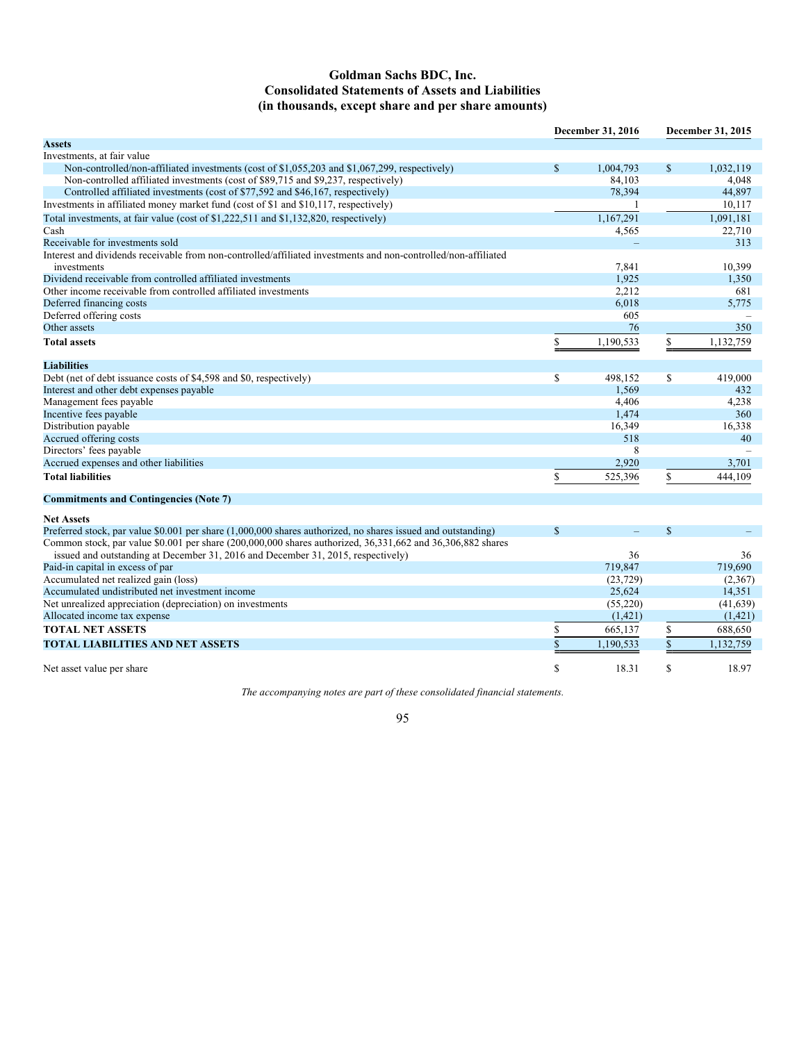## **Goldman Sachs BDC, Inc. Consolidated Statements of Assets and Liabilities (in thousands, except share and per share amounts)**

|                                                                                                                               |             | December 31, 2016 |              | December 31, 2015 |  |
|-------------------------------------------------------------------------------------------------------------------------------|-------------|-------------------|--------------|-------------------|--|
| <b>Assets</b>                                                                                                                 |             |                   |              |                   |  |
| Investments, at fair value                                                                                                    |             |                   |              |                   |  |
| Non-controlled/non-affiliated investments (cost of \$1,055,203 and \$1,067,299, respectively)                                 | $\mathbf S$ | 1,004,793         | $\mathbb{S}$ | 1.032.119         |  |
| Non-controlled affiliated investments (cost of \$89,715 and \$9,237, respectively)                                            |             | 84,103            |              | 4,048             |  |
| Controlled affiliated investments (cost of \$77,592 and \$46,167, respectively)                                               |             | 78,394            |              | 44,897            |  |
| Investments in affiliated money market fund (cost of \$1 and \$10,117, respectively)                                          |             |                   |              | 10,117            |  |
| Total investments, at fair value (cost of \$1,222,511 and \$1,132,820, respectively)                                          |             | 1,167,291         |              | 1,091,181         |  |
| Cash                                                                                                                          |             | 4,565             |              | 22.710            |  |
| Receivable for investments sold                                                                                               |             |                   |              | 313               |  |
| Interest and dividends receivable from non-controlled/affiliated investments and non-controlled/non-affiliated<br>investments |             | 7,841             |              | 10,399            |  |
| Dividend receivable from controlled affiliated investments                                                                    |             | 1,925             |              | 1,350             |  |
| Other income receivable from controlled affiliated investments                                                                |             | 2,212             |              | 681               |  |
| Deferred financing costs                                                                                                      |             | 6,018             |              | 5,775             |  |
| Deferred offering costs                                                                                                       |             | 605               |              |                   |  |
| Other assets                                                                                                                  |             | 76                |              | 350               |  |
| <b>Total assets</b>                                                                                                           | \$          | 1,190,533         | \$           | 1,132,759         |  |
| <b>Liabilities</b>                                                                                                            |             |                   |              |                   |  |
| Debt (net of debt issuance costs of \$4,598 and \$0, respectively)                                                            | \$          | 498.152           | \$           | 419,000           |  |
| Interest and other debt expenses payable                                                                                      |             | 1,569             |              | 432               |  |
| Management fees payable                                                                                                       |             | 4,406             |              | 4,238             |  |
| Incentive fees payable                                                                                                        |             | 1.474             |              | 360               |  |
| Distribution payable                                                                                                          |             | 16,349            |              | 16,338            |  |
| Accrued offering costs                                                                                                        |             | 518               |              | 40                |  |
| Directors' fees payable                                                                                                       |             | 8                 |              |                   |  |
| Accrued expenses and other liabilities                                                                                        |             | 2,920             |              | 3,701             |  |
| <b>Total liabilities</b>                                                                                                      | \$          | 525,396           | \$           | 444,109           |  |
| <b>Commitments and Contingencies (Note 7)</b>                                                                                 |             |                   |              |                   |  |
| <b>Net Assets</b>                                                                                                             |             |                   |              |                   |  |
| Preferred stock, par value \$0.001 per share (1,000,000 shares authorized, no shares issued and outstanding)                  | \$          |                   | \$           |                   |  |
| Common stock, par value \$0.001 per share (200,000,000 shares authorized, 36,331,662 and 36,306,882 shares                    |             |                   |              |                   |  |
| issued and outstanding at December 31, 2016 and December 31, 2015, respectively)                                              |             | 36                |              | 36                |  |
| Paid-in capital in excess of par                                                                                              |             | 719,847           |              | 719,690           |  |
| Accumulated net realized gain (loss)                                                                                          |             | (23, 729)         |              | (2,367)           |  |
| Accumulated undistributed net investment income                                                                               |             | 25,624            |              | 14,351            |  |
| Net unrealized appreciation (depreciation) on investments                                                                     |             | (55,220)          |              | (41, 639)         |  |
| Allocated income tax expense                                                                                                  |             | (1,421)           |              | (1,421)           |  |
| <b>TOTAL NET ASSETS</b>                                                                                                       | S           | 665,137           | \$           | 688,650           |  |
| <b>TOTAL LIABILITIES AND NET ASSETS</b>                                                                                       | \$          | 1,190,533         | $\mathbf{s}$ | 1,132,759         |  |
| Net asset value per share                                                                                                     | \$          | 18.31             | \$           | 18.97             |  |

*The accompanying notes are part of these consolidated financial statements.*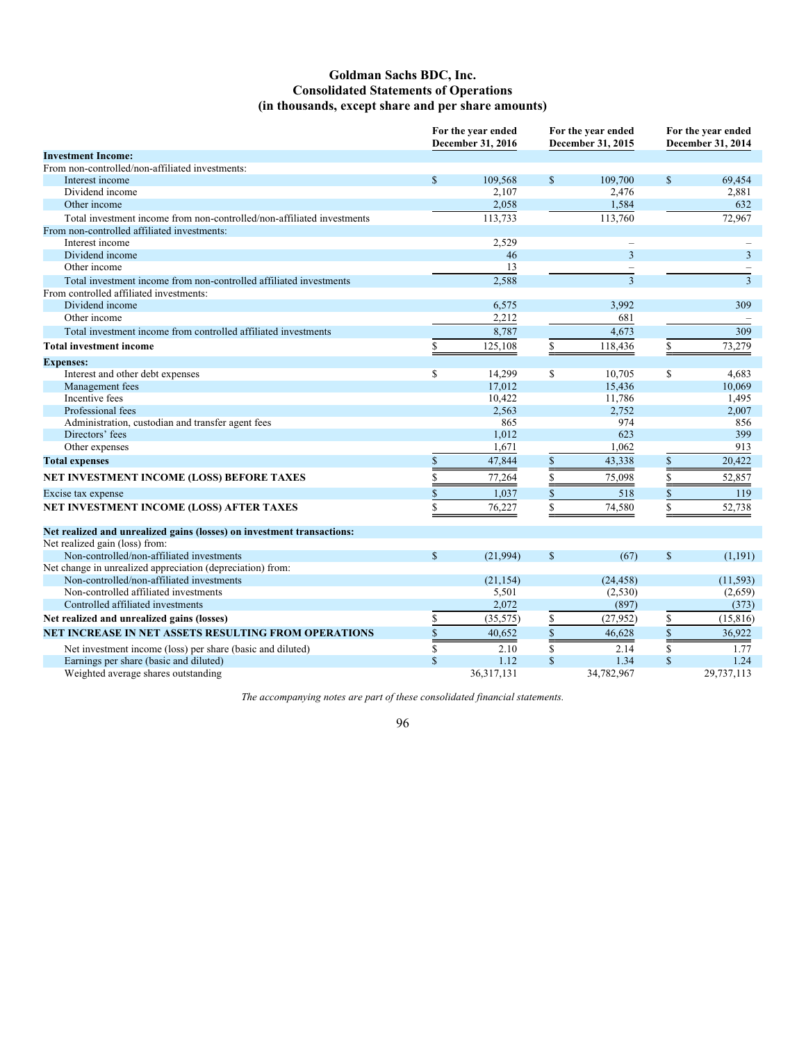## **Goldman Sachs BDC, Inc. Consolidated Statements of Operations (in thousands, except share and per share amounts)**

|                                                                        | For the year ended<br>December 31, 2016 |            | For the year ended<br>December 31, 2015 |                          | For the year ended<br>December 31, 2014 |                |
|------------------------------------------------------------------------|-----------------------------------------|------------|-----------------------------------------|--------------------------|-----------------------------------------|----------------|
| <b>Investment Income:</b>                                              |                                         |            |                                         |                          |                                         |                |
| From non-controlled/non-affiliated investments:                        |                                         |            |                                         |                          |                                         |                |
| Interest income                                                        | $\mathbb{S}$                            | 109,568    | $\mathbb{S}$                            | 109,700                  | $\mathbb{S}$                            | 69,454         |
| Dividend income                                                        |                                         | 2,107      |                                         | 2,476                    |                                         | 2,881          |
| Other income                                                           |                                         | 2,058      |                                         | 1,584                    |                                         | 632            |
| Total investment income from non-controlled/non-affiliated investments |                                         | 113,733    |                                         | 113,760                  |                                         | 72,967         |
| From non-controlled affiliated investments:                            |                                         |            |                                         |                          |                                         |                |
| Interest income                                                        |                                         | 2,529      |                                         |                          |                                         |                |
| Dividend income                                                        |                                         | 46         |                                         | $\overline{3}$           |                                         | $\overline{3}$ |
| Other income                                                           |                                         | 13         |                                         | $\overline{\phantom{0}}$ |                                         |                |
| Total investment income from non-controlled affiliated investments     |                                         | 2,588      |                                         | 3                        |                                         | $\overline{3}$ |
| From controlled affiliated investments:                                |                                         |            |                                         |                          |                                         |                |
| Dividend income                                                        |                                         | 6,575      |                                         | 3,992                    |                                         | 309            |
| Other income                                                           |                                         | 2,212      |                                         | 681                      |                                         |                |
| Total investment income from controlled affiliated investments         |                                         | 8,787      |                                         | 4,673                    |                                         | 309            |
| <b>Total investment income</b>                                         | \$                                      | 125,108    | \$                                      | 118,436                  | \$                                      | 73,279         |
| <b>Expenses:</b>                                                       |                                         |            |                                         |                          |                                         |                |
| Interest and other debt expenses                                       | \$                                      | 14,299     | \$                                      | 10,705                   | \$                                      | 4,683          |
| Management fees                                                        |                                         | 17,012     |                                         | 15,436                   |                                         | 10,069         |
| Incentive fees                                                         |                                         | 10,422     |                                         | 11,786                   |                                         | 1,495          |
| Professional fees                                                      |                                         | 2,563      |                                         | 2,752                    |                                         | 2,007          |
| Administration, custodian and transfer agent fees                      |                                         | 865        |                                         | 974                      |                                         | 856            |
| Directors' fees                                                        |                                         | 1,012      |                                         | 623                      |                                         | 399            |
| Other expenses                                                         |                                         | 1,671      |                                         | 1,062                    |                                         | 913            |
| <b>Total expenses</b>                                                  | \$                                      | 47,844     | \$                                      | 43,338                   | \$                                      | 20,422         |
| NET INVESTMENT INCOME (LOSS) BEFORE TAXES                              | \$                                      | 77,264     | \$                                      | 75,098                   | \$                                      | 52,857         |
| Excise tax expense                                                     | \$                                      | 1,037      | \$                                      | 518                      | \$                                      | 119            |
| NET INVESTMENT INCOME (LOSS) AFTER TAXES                               | \$                                      | 76,227     | \$                                      | 74,580                   | \$                                      | 52,738         |
|                                                                        |                                         |            |                                         |                          |                                         |                |
| Net realized and unrealized gains (losses) on investment transactions: |                                         |            |                                         |                          |                                         |                |
| Net realized gain (loss) from:                                         |                                         |            |                                         |                          |                                         |                |
| Non-controlled/non-affiliated investments                              | $\mathbb{S}$                            | (21,994)   | \$                                      | (67)                     | $\mathcal{S}$                           | (1,191)        |
| Net change in unrealized appreciation (depreciation) from:             |                                         |            |                                         |                          |                                         |                |
| Non-controlled/non-affiliated investments                              |                                         | (21, 154)  |                                         | (24, 458)                |                                         | (11, 593)      |
| Non-controlled affiliated investments                                  |                                         | 5,501      |                                         | (2, 530)                 |                                         | (2,659)        |
| Controlled affiliated investments                                      |                                         | 2,072      |                                         | (897)                    |                                         | (373)          |
| Net realized and unrealized gains (losses)                             | \$                                      | (35, 575)  | \$                                      | (27, 952)                | \$                                      | (15, 816)      |
| NET INCREASE IN NET ASSETS RESULTING FROM OPERATIONS                   | \$                                      | 40,652     | \$                                      | 46,628                   | $\mathbb{S}$                            | 36,922         |
| Net investment income (loss) per share (basic and diluted)             | \$                                      | 2.10       | \$                                      | 2.14                     | \$                                      | 1.77           |
| Earnings per share (basic and diluted)                                 | $\mathbf S$                             | 1.12       | $\mathbb{S}$                            | 1.34                     | $\mathbf S$                             | 1.24           |
| Weighted average shares outstanding                                    |                                         | 36,317,131 |                                         | 34,782,967               |                                         | 29,737,113     |

*The accompanying notes are part of these consolidated financial statements.*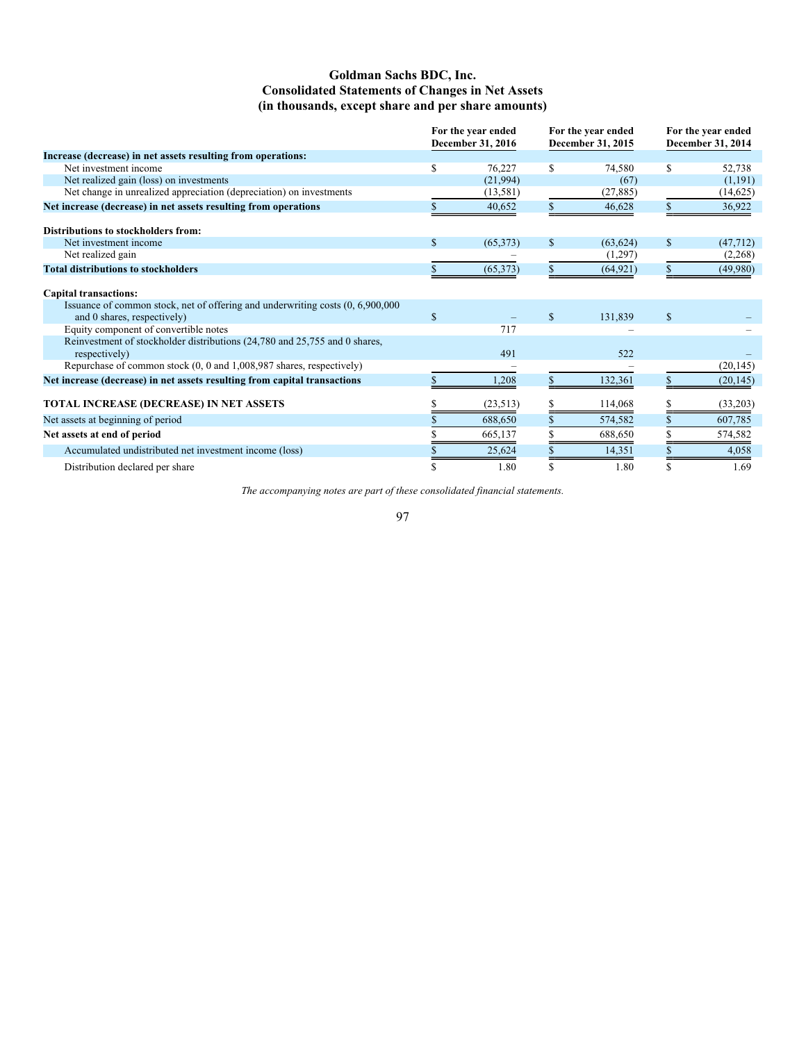## **Goldman Sachs BDC, Inc. Consolidated Statements of Changes in Net Assets (in thousands, except share and per share amounts)**

|                                                                                | For the year ended<br>December 31, 2016 |           |    | For the year ended<br>December 31, 2015 |             | For the year ended<br>December 31, 2014 |  |
|--------------------------------------------------------------------------------|-----------------------------------------|-----------|----|-----------------------------------------|-------------|-----------------------------------------|--|
| Increase (decrease) in net assets resulting from operations:                   |                                         |           |    |                                         |             |                                         |  |
| Net investment income                                                          | \$                                      | 76,227    | \$ | 74,580                                  | \$          | 52,738                                  |  |
| Net realized gain (loss) on investments                                        |                                         | (21, 994) |    | (67)                                    |             | (1,191)                                 |  |
| Net change in unrealized appreciation (depreciation) on investments            |                                         | (13,581)  |    | (27, 885)                               |             | (14, 625)                               |  |
| Net increase (decrease) in net assets resulting from operations                |                                         | 40,652    |    | 46,628                                  |             | 36,922                                  |  |
| <b>Distributions to stockholders from:</b>                                     |                                         |           |    |                                         |             |                                         |  |
| Net investment income                                                          | \$.                                     | (65,373)  | \$ | (63, 624)                               | \$          | (47, 712)                               |  |
| Net realized gain                                                              |                                         |           |    | (1,297)                                 |             | (2,268)                                 |  |
| <b>Total distributions to stockholders</b>                                     |                                         | (65, 373) |    | (64, 921)                               |             | (49,980)                                |  |
| <b>Capital transactions:</b>                                                   |                                         |           |    |                                         |             |                                         |  |
| Issuance of common stock, net of offering and underwriting costs (0, 6,900,000 |                                         |           |    |                                         |             |                                         |  |
| and 0 shares, respectively)                                                    | $\mathbb{S}$                            |           | \$ | 131,839                                 | $\mathbf S$ |                                         |  |
| Equity component of convertible notes                                          |                                         | 717       |    |                                         |             |                                         |  |
| Reinvestment of stockholder distributions (24,780 and 25,755 and 0 shares,     |                                         |           |    |                                         |             |                                         |  |
| respectively)                                                                  |                                         | 491       |    | 522                                     |             |                                         |  |
| Repurchase of common stock (0, 0 and 1,008,987 shares, respectively)           |                                         |           |    |                                         |             | (20, 145)                               |  |
| Net increase (decrease) in net assets resulting from capital transactions      |                                         | 1,208     |    | 132,361                                 |             | (20, 145)                               |  |
| TOTAL INCREASE (DECREASE) IN NET ASSETS                                        |                                         | (23,513)  | S  | 114,068                                 |             | (33,203)                                |  |
| Net assets at beginning of period                                              |                                         | 688,650   |    | 574,582                                 |             | 607,785                                 |  |
| Net assets at end of period                                                    |                                         | 665,137   |    | 688,650                                 |             | 574,582                                 |  |
| Accumulated undistributed net investment income (loss)                         |                                         | 25,624    |    | 14,351                                  |             | 4,058                                   |  |
| Distribution declared per share                                                |                                         | 1.80      |    | 1.80                                    |             | 1.69                                    |  |

*The accompanying notes are part of these consolidated financial statements.*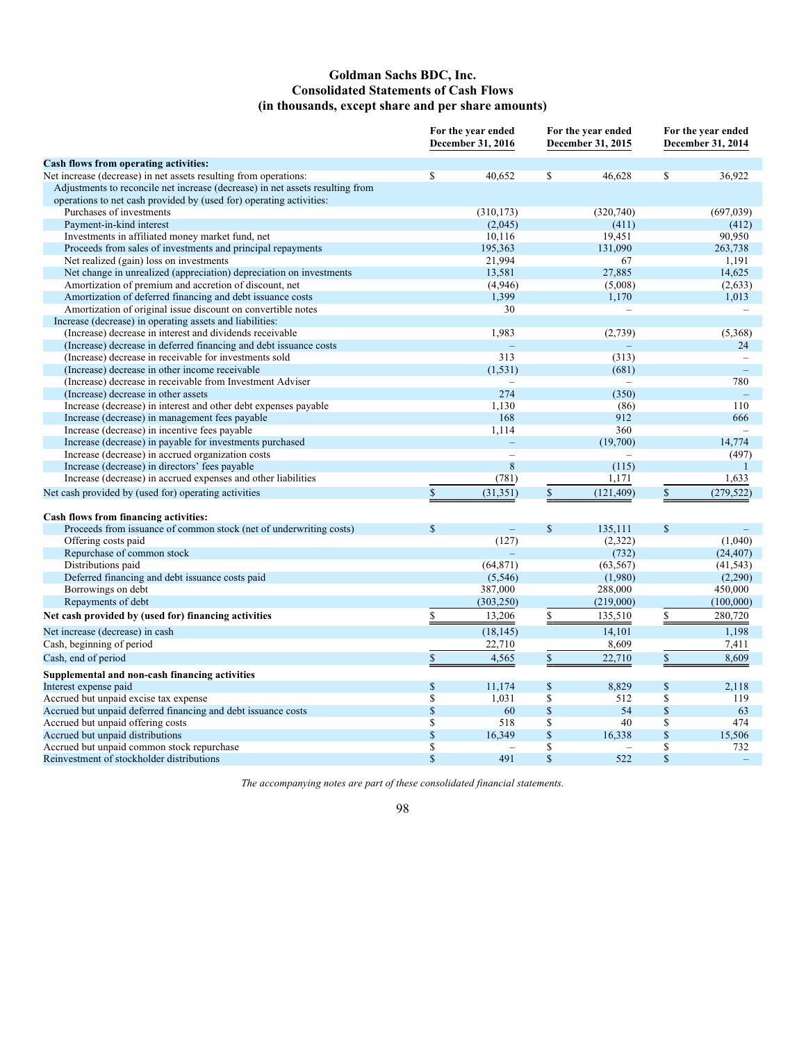## **Goldman Sachs BDC, Inc. Consolidated Statements of Cash Flows (in thousands, except share and per share amounts)**

|                                                                               |               | For the year ended<br>December 31, 2016 |              | For the year ended<br>December 31, 2015 |                         | For the year ended<br>December 31, 2014 |  |
|-------------------------------------------------------------------------------|---------------|-----------------------------------------|--------------|-----------------------------------------|-------------------------|-----------------------------------------|--|
| Cash flows from operating activities:                                         |               |                                         |              |                                         |                         |                                         |  |
| Net increase (decrease) in net assets resulting from operations:              | <sup>\$</sup> | 40,652                                  | \$           | 46,628                                  | \$                      | 36,922                                  |  |
| Adjustments to reconcile net increase (decrease) in net assets resulting from |               |                                         |              |                                         |                         |                                         |  |
| operations to net cash provided by (used for) operating activities:           |               |                                         |              |                                         |                         |                                         |  |
| Purchases of investments                                                      |               | (310, 173)                              |              | (320,740)                               |                         | (697, 039)                              |  |
| Payment-in-kind interest                                                      |               | (2,045)                                 |              | (411)                                   |                         | (412)                                   |  |
| Investments in affiliated money market fund, net                              |               | 10.116                                  |              | 19,451                                  |                         | 90,950                                  |  |
| Proceeds from sales of investments and principal repayments                   |               | 195,363                                 |              | 131,090                                 |                         | 263,738                                 |  |
| Net realized (gain) loss on investments                                       |               | 21,994                                  |              | 67                                      |                         | 1,191                                   |  |
| Net change in unrealized (appreciation) depreciation on investments           |               | 13,581                                  |              | 27,885                                  |                         | 14,625                                  |  |
| Amortization of premium and accretion of discount, net                        |               | (4,946)                                 |              | (5,008)                                 |                         | (2, 633)                                |  |
| Amortization of deferred financing and debt issuance costs                    |               | 1,399                                   |              | 1,170                                   |                         | 1,013                                   |  |
| Amortization of original issue discount on convertible notes                  |               | 30                                      |              |                                         |                         |                                         |  |
| Increase (decrease) in operating assets and liabilities:                      |               |                                         |              |                                         |                         |                                         |  |
| (Increase) decrease in interest and dividends receivable                      |               | 1,983                                   |              | (2,739)                                 |                         | (5,368)                                 |  |
| (Increase) decrease in deferred financing and debt issuance costs             |               |                                         |              |                                         |                         | 24                                      |  |
| (Increase) decrease in receivable for investments sold                        |               | 313                                     |              | (313)                                   |                         |                                         |  |
| (Increase) decrease in other income receivable                                |               | (1, 531)                                |              | (681)                                   |                         |                                         |  |
| (Increase) decrease in receivable from Investment Adviser                     |               |                                         |              | $\equiv$                                |                         | 780                                     |  |
| (Increase) decrease in other assets                                           |               | 274                                     |              | (350)                                   |                         |                                         |  |
| Increase (decrease) in interest and other debt expenses payable               |               | 1,130                                   |              | (86)                                    |                         | 110                                     |  |
| Increase (decrease) in management fees payable                                |               | 168                                     |              | 912                                     |                         | 666                                     |  |
| Increase (decrease) in incentive fees payable                                 |               | 1,114                                   |              | 360                                     |                         |                                         |  |
| Increase (decrease) in payable for investments purchased                      |               |                                         |              | (19,700)                                |                         | 14,774                                  |  |
| Increase (decrease) in accrued organization costs                             |               | $\overline{\phantom{0}}$                |              |                                         |                         | (497)                                   |  |
| Increase (decrease) in directors' fees payable                                |               | 8                                       |              | (115)                                   |                         | 1                                       |  |
| Increase (decrease) in accrued expenses and other liabilities                 |               | (781)                                   |              | 1,171                                   |                         | 1,633                                   |  |
| Net cash provided by (used for) operating activities                          | \$            | (31, 351)                               | \$           | (121, 409)                              | \$                      | (279, 522)                              |  |
|                                                                               |               |                                         |              |                                         |                         |                                         |  |
| Cash flows from financing activities:                                         |               |                                         |              |                                         |                         |                                         |  |
| Proceeds from issuance of common stock (net of underwriting costs)            | $\mathbf S$   | $\equiv$                                | $\mathbf S$  | 135,111                                 | \$                      |                                         |  |
| Offering costs paid                                                           |               | (127)                                   |              | (2, 322)                                |                         | (1,040)                                 |  |
| Repurchase of common stock                                                    |               |                                         |              | (732)                                   |                         | (24, 407)                               |  |
| Distributions paid                                                            |               | (64, 871)                               |              | (63, 567)                               |                         | (41, 543)                               |  |
| Deferred financing and debt issuance costs paid                               |               | (5, 546)                                |              | (1,980)                                 |                         | (2,290)                                 |  |
| Borrowings on debt                                                            |               | 387,000                                 |              | 288,000                                 |                         | 450,000                                 |  |
| Repayments of debt                                                            |               | (303, 250)                              |              | (219,000)                               |                         | (100,000)                               |  |
| Net cash provided by (used for) financing activities                          | \$            | 13,206                                  | \$           | 135,510                                 | \$                      | 280,720                                 |  |
| Net increase (decrease) in cash                                               |               | (18, 145)                               |              | 14,101                                  |                         | 1,198                                   |  |
| Cash, beginning of period                                                     |               | 22,710                                  |              | 8,609                                   |                         | 7,411                                   |  |
| Cash, end of period                                                           | $\mathbb{S}$  | 4,565                                   | \$           | 22,710                                  | \$                      | 8,609                                   |  |
| Supplemental and non-cash financing activities                                |               |                                         |              |                                         |                         |                                         |  |
| Interest expense paid                                                         | \$            | 11,174                                  | \$           | 8,829                                   | \$                      | 2,118                                   |  |
| Accrued but unpaid excise tax expense                                         | ${\mathbb S}$ | 1,031                                   | \$           | 512                                     | \$                      | 119                                     |  |
| Accrued but unpaid deferred financing and debt issuance costs                 | $\mathbb{S}$  | 60                                      | $\mathbb{S}$ | 54                                      | \$                      | 63                                      |  |
| Accrued but unpaid offering costs                                             | \$            | 518                                     | \$           | 40                                      | \$                      | 474                                     |  |
| Accrued but unpaid distributions                                              | \$            | 16,349                                  | \$           | 16,338                                  | \$                      | 15,506                                  |  |
| Accrued but unpaid common stock repurchase                                    | \$            |                                         | \$           |                                         | $\overline{\mathbb{S}}$ | 732                                     |  |
| Reinvestment of stockholder distributions                                     | \$            | 491                                     | $\mathbf S$  | 522                                     | \$                      |                                         |  |

*The accompanying notes are part of these consolidated financial statements.*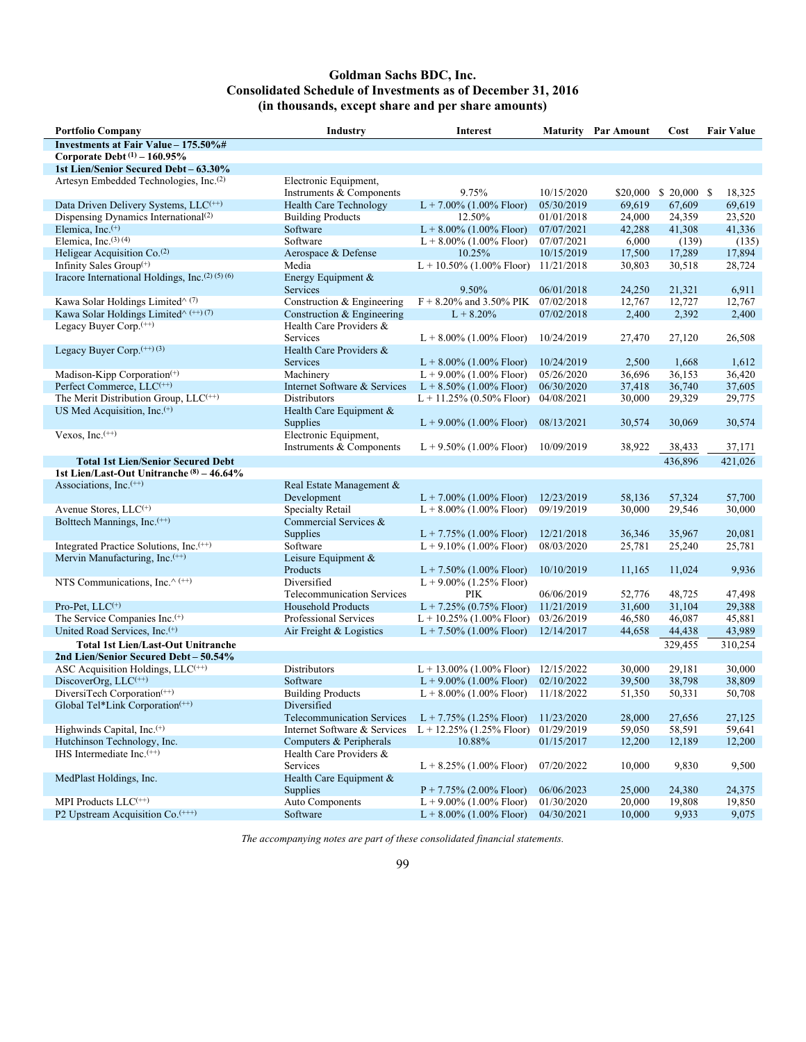## **Goldman Sachs BDC, Inc. Consolidated Schedule of Investments as of December 31, 2016 (in thousands, except share and per share amounts)**

| <b>Portfolio Company</b>                                             | Industry                                            | Interest                                                 |            | <b>Maturity</b> Par Amount | Cost             | <b>Fair Value</b> |
|----------------------------------------------------------------------|-----------------------------------------------------|----------------------------------------------------------|------------|----------------------------|------------------|-------------------|
| Investments at Fair Value - 175.50%#                                 |                                                     |                                                          |            |                            |                  |                   |
| Corporate Debt $(1) - 160.95\%$                                      |                                                     |                                                          |            |                            |                  |                   |
| 1st Lien/Senior Secured Debt – 63.30%                                |                                                     |                                                          |            |                            |                  |                   |
| Artesyn Embedded Technologies, Inc. <sup>(2)</sup>                   | Electronic Equipment,                               |                                                          |            |                            |                  |                   |
|                                                                      | Instruments & Components                            | 9.75%                                                    | 10/15/2020 | \$20,000                   | $$20,000$ \$     | 18,325            |
| Data Driven Delivery Systems, LLC <sup>(++)</sup>                    | <b>Health Care Technology</b>                       | $L + 7.00\%$ (1.00% Floor)                               | 05/30/2019 | 69.619                     | 67,609           | 69,619            |
| Dispensing Dynamics International <sup>(2)</sup>                     | <b>Building Products</b>                            | 12.50%                                                   | 01/01/2018 | 24,000                     | 24,359           | 23,520            |
| Elemica, Inc. $(+)$                                                  | Software                                            | $L + 8.00\%$ (1.00% Floor)                               | 07/07/2021 | 42,288                     | 41,308           | 41,336            |
| Elemica, Inc. $(3)(4)$                                               | Software                                            | $L + 8.00\%$ (1.00% Floor)                               | 07/07/2021 | 6,000                      | (139)            | (135)             |
| Heligear Acquisition Co. <sup>(2)</sup>                              | Aerospace & Defense                                 | 10.25%                                                   | 10/15/2019 | 17,500                     | 17,289           | 17,894            |
| Infinity Sales Group <sup>(+)</sup>                                  | Media                                               | $L + 10.50\%$ (1.00% Floor)                              | 11/21/2018 | 30,803                     | 30,518           | 28,724            |
| Iracore International Holdings, Inc. <sup>(2)(5)(6)</sup>            | Energy Equipment &                                  |                                                          |            |                            |                  |                   |
|                                                                      | <b>Services</b>                                     | 9.50%                                                    | 06/01/2018 | 24,250                     | 21,321           | 6,911             |
| Kawa Solar Holdings Limited <sup><math>\wedge</math> (7)</sup>       | Construction & Engineering                          | $F + 8.20\%$ and 3.50% PIK                               | 07/02/2018 | 12,767                     | 12,727           | 12,767            |
| Kawa Solar Holdings Limited^ (++)(7)                                 | Construction & Engineering                          | $L + 8.20\%$                                             | 07/02/2018 | 2,400                      | 2,392            | 2,400             |
| Legacy Buyer Corp.(++)                                               | Health Care Providers &                             |                                                          |            |                            |                  |                   |
|                                                                      | Services                                            | $L + 8.00\%$ (1.00% Floor)                               | 10/24/2019 | 27,470                     | 27,120           | 26,508            |
| Legacy Buyer Corp. <sup>(++)(3)</sup>                                | Health Care Providers &                             |                                                          |            |                            |                  |                   |
|                                                                      | Services                                            | $L + 8.00\%$ (1.00% Floor)                               | 10/24/2019 | 2,500                      | 1,668            | 1,612             |
| Madison-Kipp Corporation(+)<br>Perfect Commerce, LLC <sup>(++)</sup> | Machinery                                           | $L + 9.00\%$ (1.00% Floor)                               | 05/26/2020 | 36,696                     | 36,153           | 36,420            |
|                                                                      | Internet Software & Services<br><b>Distributors</b> | $L + 8.50\%$ (1.00% Floor)                               | 06/30/2020 | 37,418                     | 36,740           | 37,605            |
| The Merit Distribution Group, LLC <sup>(++)</sup>                    |                                                     | $L + 11.25\%$ (0.50% Floor)                              | 04/08/2021 | 30,000                     | 29,329           | 29,775            |
| US Med Acquisition, Inc. $(+)$                                       | Health Care Equipment &                             |                                                          |            |                            |                  | 30,574            |
| Vexos, Inc. $(+)$                                                    | Supplies<br>Electronic Equipment,                   | L + 9.00% (1.00% Floor)                                  | 08/13/2021 | 30,574                     | 30,069           |                   |
|                                                                      | Instruments & Components                            | L + 9.50% (1.00% Floor)                                  |            |                            |                  |                   |
|                                                                      |                                                     |                                                          | 10/09/2019 | 38,922                     | 38,433           | 37,171            |
| <b>Total 1st Lien/Senior Secured Debt</b>                            |                                                     |                                                          |            |                            | 436,896          | 421,026           |
| 1st Lien/Last-Out Unitranche $(8) - 46.64\%$                         |                                                     |                                                          |            |                            |                  |                   |
| Associations, Inc. $(++)$                                            | Real Estate Management &                            |                                                          |            |                            |                  |                   |
|                                                                      | Development                                         | $L + 7.00\%$ (1.00% Floor)                               | 12/23/2019 | 58,136                     | 57,324           | 57,700            |
| Avenue Stores, LLC <sup>(+)</sup>                                    | Specialty Retail                                    | $L + 8.00\%$ (1.00% Floor)                               | 09/19/2019 | 30,000                     | 29,546           | 30,000            |
| Bolttech Mannings, Inc. <sup>(++)</sup>                              | Commercial Services &                               |                                                          | 12/21/2018 |                            |                  | 20,081            |
| Integrated Practice Solutions, Inc. <sup>(++)</sup>                  | <b>Supplies</b><br>Software                         | $L + 7.75\%$ (1.00% Floor)<br>$L + 9.10\%$ (1.00% Floor) | 08/03/2020 | 36,346<br>25,781           | 35,967<br>25,240 | 25,781            |
| Mervin Manufacturing, Inc. <sup>(++)</sup>                           | Leisure Equipment &                                 |                                                          |            |                            |                  |                   |
|                                                                      | Products                                            | L + 7.50% (1.00% Floor)                                  | 10/10/2019 | 11,165                     | 11,024           | 9,936             |
| NTS Communications, Inc. $\wedge$ (++)                               | Diversified                                         | $L + 9.00\%$ (1.25% Floor)                               |            |                            |                  |                   |
|                                                                      | <b>Telecommunication Services</b>                   | <b>PIK</b>                                               | 06/06/2019 | 52,776                     | 48,725           | 47,498            |
| Pro-Pet, $LLC^{(+)}$                                                 | <b>Household Products</b>                           | $L + 7.25\%$ (0.75% Floor)                               | 11/21/2019 | 31,600                     | 31,104           | 29,388            |
| The Service Companies Inc. <sup>(+)</sup>                            | Professional Services                               | $L + 10.25\%$ (1.00% Floor)                              | 03/26/2019 | 46,580                     | 46,087           | 45,881            |
| United Road Services, Inc. <sup>(+)</sup>                            | Air Freight & Logistics                             | $L + 7.50\%$ (1.00% Floor)                               | 12/14/2017 | 44,658                     | 44,438           | 43,989            |
| <b>Total 1st Lien/Last-Out Unitranche</b>                            |                                                     |                                                          |            |                            | 329,455          | 310,254           |
| 2nd Lien/Senior Secured Debt - 50.54%                                |                                                     |                                                          |            |                            |                  |                   |
| ASC Acquisition Holdings, $LLC^{(+)}$                                | Distributors                                        | $L + 13.00\%$ (1.00% Floor)                              | 12/15/2022 | 30,000                     | 29,181           | 30,000            |
| DiscoverOrg, LLC <sup>(++)</sup>                                     | Software                                            | $L + 9.00\%$ (1.00% Floor)                               | 02/10/2022 | 39,500                     | 38,798           | 38,809            |
| DiversiTech Corporation <sup>(++)</sup>                              | <b>Building Products</b>                            | $L + 8.00\%$ (1.00% Floor)                               | 11/18/2022 | 51,350                     | 50,331           | 50,708            |
| Global Tel*Link Corporation(++)                                      | Diversified                                         |                                                          |            |                            |                  |                   |
|                                                                      | <b>Telecommunication Services</b>                   | $L + 7.75\%$ (1.25% Floor)                               | 11/23/2020 | 28,000                     | 27,656           | 27,125            |
| Highwinds Capital, Inc. $(+)$                                        | Internet Software & Services                        | $L + 12.25\%$ (1.25% Floor)                              | 01/29/2019 | 59,050                     | 58,591           | 59,641            |
|                                                                      | Computers & Peripherals                             |                                                          |            |                            |                  |                   |
| Hutchinson Technology, Inc.<br>IHS Intermediate Inc.(++)             | Health Care Providers &                             | 10.88%                                                   | 01/15/2017 | 12,200                     | 12,189           | 12,200            |
|                                                                      | Services                                            |                                                          | 07/20/2022 | 10,000                     | 9,830            | 9,500             |
| MedPlast Holdings, Inc.                                              | Health Care Equipment &                             | $L + 8.25\%$ (1.00% Floor)                               |            |                            |                  |                   |
|                                                                      | <b>Supplies</b>                                     | $P + 7.75\%$ (2.00% Floor)                               | 06/06/2023 | 25,000                     | 24,380           | 24,375            |
| MPI Products LLC <sup>(++)</sup>                                     | Auto Components                                     | $L + 9.00\%$ (1.00% Floor)                               | 01/30/2020 | 20,000                     | 19,808           | 19,850            |
| P2 Upstream Acquisition Co. <sup>(+++)</sup>                         | Software                                            | $L + 8.00\%$ (1.00% Floor)                               | 04/30/2021 | 10,000                     | 9,933            | 9,075             |
|                                                                      |                                                     |                                                          |            |                            |                  |                   |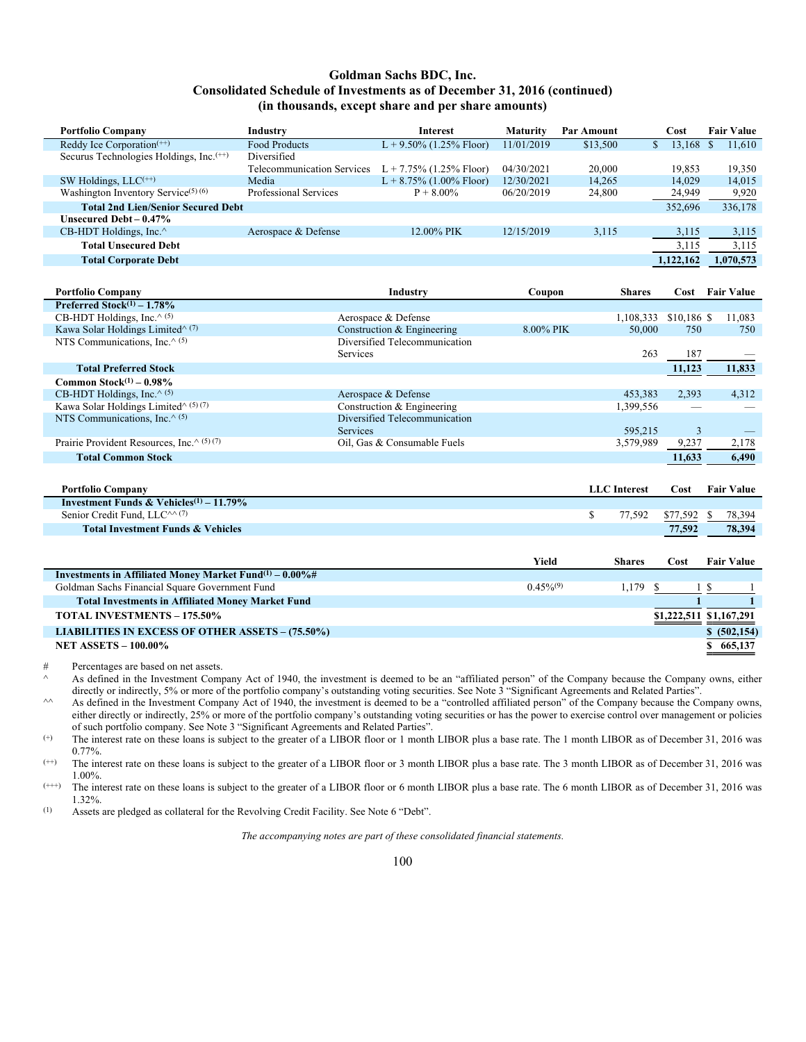## **Goldman Sachs BDC, Inc. Consolidated Schedule of Investments as of December 31, 2016 (continued) (in thousands, except share and per share amounts)**

| <b>Portfolio Company</b>                                                       | Industry                          | Interest                      | <b>Maturity</b> | Par Amount          | Cost                       | <b>Fair Value</b>       |
|--------------------------------------------------------------------------------|-----------------------------------|-------------------------------|-----------------|---------------------|----------------------------|-------------------------|
| Reddy Ice Corporation <sup>(++)</sup>                                          | <b>Food Products</b>              | $L + 9.50\%$ (1.25% Floor)    | 11/01/2019      | \$13,500            | $\mathcal{S}$<br>13,168 \$ | 11.610                  |
| Securus Technologies Holdings, Inc. <sup>(++)</sup>                            | Diversified                       |                               |                 |                     |                            |                         |
|                                                                                | <b>Telecommunication Services</b> | $L + 7.75\%$ (1.25% Floor)    | 04/30/2021      | 20,000              | 19,853                     | 19,350                  |
| SW Holdings, LLC <sup>(++)</sup>                                               | Media                             | $L + 8.75\%$ (1.00% Floor)    | 12/30/2021      | 14.265              | 14.029                     | 14,015                  |
| Washington Inventory Service <sup>(5)(6)</sup>                                 | Professional Services             | $P + 8.00\%$                  | 06/20/2019      | 24,800              | 24,949                     | 9,920                   |
| <b>Total 2nd Lien/Senior Secured Debt</b>                                      |                                   |                               |                 |                     | 352,696                    | 336,178                 |
| Unsecured Debt $-0.47\%$                                                       |                                   |                               |                 |                     |                            |                         |
| CB-HDT Holdings, Inc.^                                                         | Aerospace & Defense               | 12.00% PIK                    | 12/15/2019      | 3.115               | 3,115                      | 3,115                   |
| <b>Total Unsecured Debt</b>                                                    |                                   |                               |                 |                     | 3,115                      | 3,115                   |
| <b>Total Corporate Debt</b>                                                    |                                   |                               |                 |                     | 1,122,162                  | 1,070,573               |
|                                                                                |                                   |                               |                 |                     |                            |                         |
| <b>Portfolio Company</b>                                                       |                                   | Industry                      | Coupon          | <b>Shares</b>       | Cost                       | <b>Fair Value</b>       |
| Preferred Stock $(1)$ – 1.78%                                                  |                                   |                               |                 |                     |                            |                         |
| CB-HDT Holdings, Inc. $\wedge$ (5)                                             |                                   | Aerospace & Defense           |                 | 1,108,333           | $$10,186$ \$               | 11,083                  |
| Kawa Solar Holdings Limited <sup><math>\wedge</math> (7)</sup>                 |                                   | Construction & Engineering    | 8.00% PIK       | 50,000              | 750                        | 750                     |
| NTS Communications, Inc.^(5)                                                   |                                   | Diversified Telecommunication |                 |                     |                            |                         |
|                                                                                | <b>Services</b>                   |                               |                 |                     | 187<br>263                 |                         |
| <b>Total Preferred Stock</b>                                                   |                                   |                               |                 |                     | 11,123                     | 11,833                  |
| Common Stock $(1)$ – 0.98%                                                     |                                   |                               |                 |                     |                            |                         |
| CB-HDT Holdings, Inc. $(5)$                                                    |                                   | Aerospace & Defense           |                 | 453.383             | 2.393                      | 4,312                   |
| Kawa Solar Holdings Limited^ (5)(7)                                            |                                   | Construction & Engineering    |                 | 1,399,556           |                            |                         |
| NTS Communications, Inc. $\wedge$ (5)                                          | <b>Services</b>                   | Diversified Telecommunication |                 | 595,215             | $\overline{3}$             |                         |
| Prairie Provident Resources, Inc. $\wedge$ (5)(7)                              |                                   | Oil, Gas & Consumable Fuels   |                 | 3,579,989           | 9,237                      | 2,178                   |
| <b>Total Common Stock</b>                                                      |                                   |                               |                 |                     | 11,633                     | 6,490                   |
|                                                                                |                                   |                               |                 |                     |                            |                         |
|                                                                                |                                   |                               |                 |                     |                            |                         |
| <b>Portfolio Company</b>                                                       |                                   |                               |                 | <b>LLC</b> Interest | Cost                       | <b>Fair Value</b>       |
| Investment Funds & Vehicles <sup>(1)</sup> – 11.79%                            |                                   |                               |                 |                     |                            |                         |
| Senior Credit Fund, LLC^^(7)                                                   |                                   |                               |                 | \$<br>77,592        | \$77,592                   | 78,394<br>-S            |
| <b>Total Investment Funds &amp; Vehicles</b>                                   |                                   |                               |                 |                     | 77,592                     | 78,394                  |
|                                                                                |                                   |                               |                 |                     |                            |                         |
|                                                                                |                                   |                               | Yield           | <b>Shares</b>       | Cost                       | <b>Fair Value</b>       |
| <b>Investments in Affiliated Money Market Fund</b> <sup>(1)</sup> – $0.00\%$ # |                                   |                               |                 |                     |                            |                         |
| Goldman Sachs Financial Square Government Fund                                 |                                   |                               | $0.45\%^{(9)}$  | 1,179               |                            |                         |
| <b>Total Investments in Affiliated Money Market Fund</b>                       |                                   |                               |                 |                     | $\mathbf{1}$               |                         |
| <b>TOTAL INVESTMENTS - 175.50%</b>                                             |                                   |                               |                 |                     |                            | \$1,222,511 \$1,167,291 |
| <b>LIABILITIES IN EXCESS OF OTHER ASSETS - (75.50%)</b>                        |                                   |                               |                 |                     |                            | \$ (502, 154)           |
| <b>NET ASSETS - 100.00%</b>                                                    |                                   |                               |                 |                     |                            | 665,137<br>\$           |

# Percentages are based on net assets.

As defined in the Investment Company Act of 1940, the investment is deemed to be an "affiliated person" of the Company because the Company owns, either directly or indirectly, 5% or more of the portfolio company's outstanding voting securities. See Note 3 "Significant Agreements and Related Parties".

<sup>^^</sup> As defined in the Investment Company Act of 1940, the investment is deemed to be a "controlled affiliated person" of the Company because the Company owns, either directly or indirectly, 25% or more of the portfolio company's outstanding voting securities or has the power to exercise control over management or policies of such portfolio company. See Note 3 "Significant Agreements and Related Parties".

(+) The interest rate on these loans is subject to the greater of a LIBOR floor or 1 month LIBOR plus a base rate. The 1 month LIBOR as of December 31, 2016 was 0.77%.

(++) The interest rate on these loans is subject to the greater of a LIBOR floor or 3 month LIBOR plus a base rate. The 3 month LIBOR as of December 31, 2016 was 1.00%.

(+++) The interest rate on these loans is subject to the greater of a LIBOR floor or 6 month LIBOR plus a base rate. The 6 month LIBOR as of December 31, 2016 was 1.32%.

(1) Assets are pledged as collateral for the Revolving Credit Facility. See Note 6 "Debt".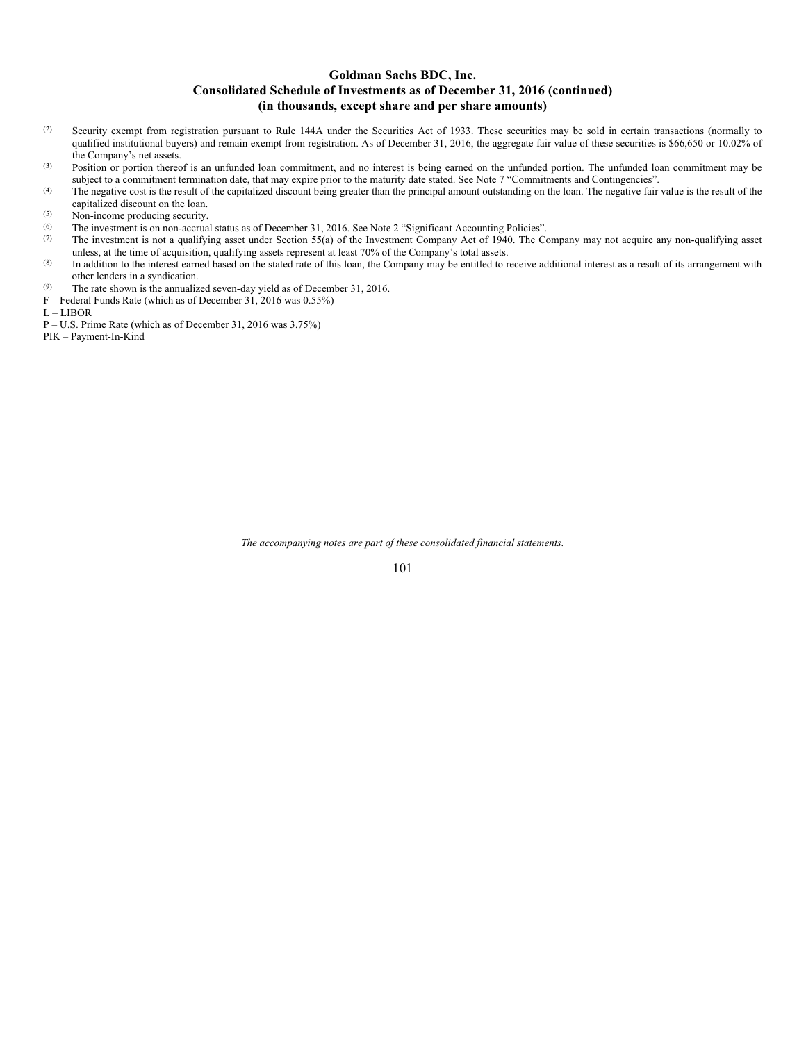## **Goldman Sachs BDC, Inc. Consolidated Schedule of Investments as of December 31, 2016 (continued) (in thousands, except share and per share amounts)**

- (2) Security exempt from registration pursuant to Rule 144A under the Securities Act of 1933. These securities may be sold in certain transactions (normally to qualified institutional buyers) and remain exempt from registration. As of December 31, 2016, the aggregate fair value of these securities is \$66,650 or 10.02% of the Company's net assets.
- (3) Position or portion thereof is an unfunded loan commitment, and no interest is being earned on the unfunded portion. The unfunded loan commitment may be subject to a commitment termination date, that may expire prior to the maturity date stated. See Note 7 "Commitments and Contingencies".
- (4) The negative cost is the result of the capitalized discount being greater than the principal amount outstanding on the loan. The negative fair value is the result of the capitalized discount on the loan.
- (5) Non-income producing security.
- (6) The investment is on non-accrual status as of December 31, 2016. See Note 2 "Significant Accounting Policies".<br>
(7) The investment is not a qualifying asset under Section 55(a) of the Investment Company Act of 1940. T
- The investment is not a qualifying asset under Section 55(a) of the Investment Company Act of 1940. The Company may not acquire any non-qualifying asset unless, at the time of acquisition, qualifying assets represent at least 70% of the Company's total assets.
- (8) In addition to the interest earned based on the stated rate of this loan, the Company may be entitled to receive additional interest as a result of its arrangement with other lenders in a syndication.
- (9) The rate shown is the annualized seven-day yield as of December 31, 2016.
- F Federal Funds Rate (which as of December 31, 2016 was 0.55%)

L – LIBOR

P – U.S. Prime Rate (which as of December 31, 2016 was 3.75%)

PIK – Payment-In-Kind

*The accompanying notes are part of these consolidated financial statements.*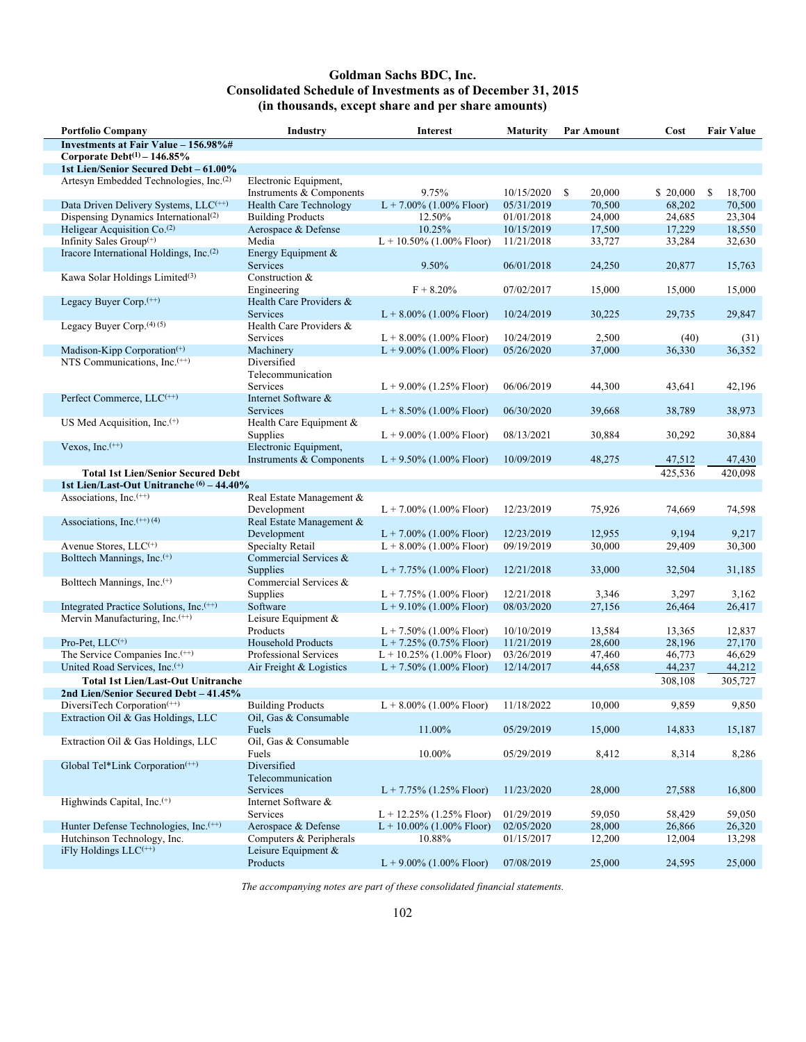## **Goldman Sachs BDC, Inc. Consolidated Schedule of Investments as of December 31, 2015 (in thousands, except share and per share amounts)**

| <b>Portfolio Company</b>                            | <b>Industry</b>               | Interest                           | <b>Maturity</b> | <b>Par Amount</b>       | Cost     | <b>Fair Value</b> |
|-----------------------------------------------------|-------------------------------|------------------------------------|-----------------|-------------------------|----------|-------------------|
| Investments at Fair Value - 156.98%#                |                               |                                    |                 |                         |          |                   |
| Corporate Debt $(1)$ – 146.85%                      |                               |                                    |                 |                         |          |                   |
| 1st Lien/Senior Secured Debt - 61.00%               |                               |                                    |                 |                         |          |                   |
| Artesyn Embedded Technologies, Inc. <sup>(2)</sup>  | Electronic Equipment,         |                                    |                 |                         |          |                   |
|                                                     | Instruments & Components      | 9.75%                              | 10/15/2020      | <sup>\$</sup><br>20,000 | \$20,000 | \$<br>18,700      |
| Data Driven Delivery Systems, LLC <sup>(++)</sup>   | <b>Health Care Technology</b> | $L + 7.00\%$ (1.00% Floor)         | 05/31/2019      | 70,500                  | 68,202   | 70,500            |
| Dispensing Dynamics International <sup>(2)</sup>    | <b>Building Products</b>      | 12.50%                             | 01/01/2018      | 24,000                  | 24,685   | 23,304            |
| Heligear Acquisition Co. <sup>(2)</sup>             | Aerospace & Defense           | 10.25%                             | 10/15/2019      | 17,500                  | 17,229   | 18,550            |
| Infinity Sales Group <sup>(+)</sup>                 | Media                         | $L + 10.50\%$ (1.00% Floor)        | 11/21/2018      | 33,727                  | 33,284   | 32,630            |
| Iracore International Holdings, Inc. <sup>(2)</sup> |                               |                                    |                 |                         |          |                   |
|                                                     | Energy Equipment &            |                                    |                 |                         |          |                   |
|                                                     | Services                      | 9.50%                              | 06/01/2018      | 24,250                  | 20,877   | 15,763            |
| Kawa Solar Holdings Limited <sup>(3)</sup>          | Construction &                |                                    |                 |                         |          |                   |
|                                                     | Engineering                   | $F + 8.20\%$                       | 07/02/2017      | 15,000                  | 15,000   | 15,000            |
| Legacy Buyer Corp. <sup>(++)</sup>                  | Health Care Providers &       |                                    |                 |                         |          |                   |
|                                                     | <b>Services</b>               | $L + 8.00\%$ (1.00% Floor)         | 10/24/2019      | 30,225                  | 29,735   | 29,847            |
| Legacy Buyer Corp. <sup>(4)(5)</sup>                | Health Care Providers &       |                                    |                 |                         |          |                   |
|                                                     | Services                      | $L + 8.00\%$ (1.00% Floor)         | 10/24/2019      | 2,500                   | (40)     | (31)              |
| Madison-Kipp Corporation $(+)$                      | Machinery                     | $L + 9.00\%$ (1.00% Floor)         | 05/26/2020      | 37,000                  | 36,330   | 36,352            |
| NTS Communications, Inc. <sup>(++)</sup>            | Diversified                   |                                    |                 |                         |          |                   |
|                                                     | Telecommunication             |                                    |                 |                         |          |                   |
|                                                     | Services                      | $L + 9.00\%$ (1.25% Floor)         | 06/06/2019      | 44,300                  | 43,641   | 42,196            |
| Perfect Commerce, LLC <sup>(++)</sup>               | Internet Software &           |                                    |                 |                         |          |                   |
|                                                     | Services                      | $L + 8.50\%$ (1.00% Floor)         | 06/30/2020      | 39,668                  | 38,789   | 38,973            |
|                                                     | Health Care Equipment &       |                                    |                 |                         |          |                   |
| US Med Acquisition, Inc. $(+)$                      |                               |                                    |                 |                         |          |                   |
|                                                     | Supplies                      | $L + 9.00\%$ (1.00% Floor)         | 08/13/2021      | 30,884                  | 30,292   | 30,884            |
| Vexos, Inc. $(+)$                                   | Electronic Equipment,         |                                    |                 |                         |          |                   |
|                                                     | Instruments & Components      | L + 9.50% $(1.00\% \text{ Floor})$ | 10/09/2019      | 48,275                  | 47,512   | 47,430            |
| <b>Total 1st Lien/Senior Secured Debt</b>           |                               |                                    |                 |                         | 425,536  | 420,098           |
| 1st Lien/Last-Out Unitranche $(6) - 44.40\%$        |                               |                                    |                 |                         |          |                   |
| Associations, Inc. $(++)$                           | Real Estate Management &      |                                    |                 |                         |          |                   |
|                                                     | Development                   | $L + 7.00\%$ (1.00% Floor)         | 12/23/2019      | 75,926                  | 74,669   | 74,598            |
| Associations, Inc. $(++)$ $(4)$                     | Real Estate Management &      |                                    |                 |                         |          |                   |
|                                                     | Development                   | $L + 7.00\%$ (1.00% Floor)         | 12/23/2019      | 12,955                  | 9,194    | 9,217             |
| Avenue Stores, $LLC^{(+)}$                          | Specialty Retail              | $L + 8.00\%$ (1.00% Floor)         | 09/19/2019      | 30,000                  | 29,409   | 30,300            |
| Bolttech Mannings, Inc. <sup>(+)</sup>              | Commercial Services &         |                                    |                 |                         |          |                   |
|                                                     | Supplies                      |                                    | 12/21/2018      | 33,000                  | 32,504   | 31,185            |
| Bolttech Mannings, Inc. <sup>(+)</sup>              | Commercial Services &         | L + 7.75% $(1.00\%$ Floor)         |                 |                         |          |                   |
|                                                     |                               |                                    |                 |                         |          |                   |
|                                                     | Supplies                      | $L + 7.75\%$ (1.00% Floor)         | 12/21/2018      | 3,346                   | 3,297    | 3,162             |
| Integrated Practice Solutions, Inc. <sup>(++)</sup> | Software                      | L + 9.10% (1.00% Floor)            | 08/03/2020      | 27,156                  | 26,464   | 26,417            |
| Mervin Manufacturing, Inc. <sup>(++)</sup>          | Leisure Equipment &           |                                    |                 |                         |          |                   |
|                                                     | Products                      | $L + 7.50\%$ (1.00% Floor)         | 10/10/2019      | 13,584                  | 13,365   | 12,837            |
| Pro-Pet, $LLC^{(+)}$                                | <b>Household Products</b>     | $L + 7.25\%$ (0.75% Floor)         | 11/21/2019      | 28,600                  | 28,196   | 27,170            |
| The Service Companies Inc. <sup>(++)</sup>          | Professional Services         | $L + 10.25\%$ (1.00% Floor)        | 03/26/2019      | 47,460                  | 46,773   | 46,629            |
| United Road Services, Inc. <sup>(+)</sup>           | Air Freight & Logistics       | L + 7.50% (1.00% Floor)            | 12/14/2017      | 44,658                  | 44,237   | 44,212            |
| <b>Total 1st Lien/Last-Out Unitranche</b>           |                               |                                    |                 |                         | 308,108  | 305,727           |
| 2nd Lien/Senior Secured Debt - 41.45%               |                               |                                    |                 |                         |          |                   |
| DiversiTech Corporation $(+)$                       | <b>Building Products</b>      | $L + 8.00\%$ (1.00% Floor)         | 11/18/2022      | 10,000                  | 9,859    | 9,850             |
| Extraction Oil & Gas Holdings, LLC                  | Oil, Gas & Consumable         |                                    |                 |                         |          |                   |
|                                                     | Fuels                         | 11.00%                             | 05/29/2019      | 15,000                  | 14,833   | 15,187            |
| Extraction Oil & Gas Holdings, LLC                  | Oil, Gas & Consumable         |                                    |                 |                         |          |                   |
|                                                     |                               |                                    |                 |                         |          |                   |
|                                                     | Fuels                         | 10.00%                             | 05/29/2019      | 8,412                   | 8,314    | 8,286             |
| Global Tel*Link Corporation <sup>(++)</sup>         | Diversified                   |                                    |                 |                         |          |                   |
|                                                     | Telecommunication             |                                    |                 |                         |          |                   |
|                                                     | <b>Services</b>               | $L + 7.75\%$ (1.25% Floor)         | 11/23/2020      | 28,000                  | 27,588   | 16,800            |
| Highwinds Capital, Inc.(+)                          | Internet Software &           |                                    |                 |                         |          |                   |
|                                                     | Services                      | $L + 12.25\%$ (1.25% Floor)        | 01/29/2019      | 59,050                  | 58,429   | 59,050            |
| Hunter Defense Technologies, Inc. <sup>(++)</sup>   | Aerospace & Defense           | $L + 10.00\%$ (1.00% Floor)        | 02/05/2020      | 28,000                  | 26,866   | 26,320            |
| Hutchinson Technology, Inc.                         | Computers & Peripherals       | 10.88%                             | 01/15/2017      | 12,200                  | 12,004   | 13,298            |
| iFly Holdings LLC <sup>(++)</sup>                   | Leisure Equipment $&$         |                                    |                 |                         |          |                   |
|                                                     | Products                      | $L + 9.00\%$ (1.00% Floor)         | 07/08/2019      | 25,000                  | 24,595   | 25,000            |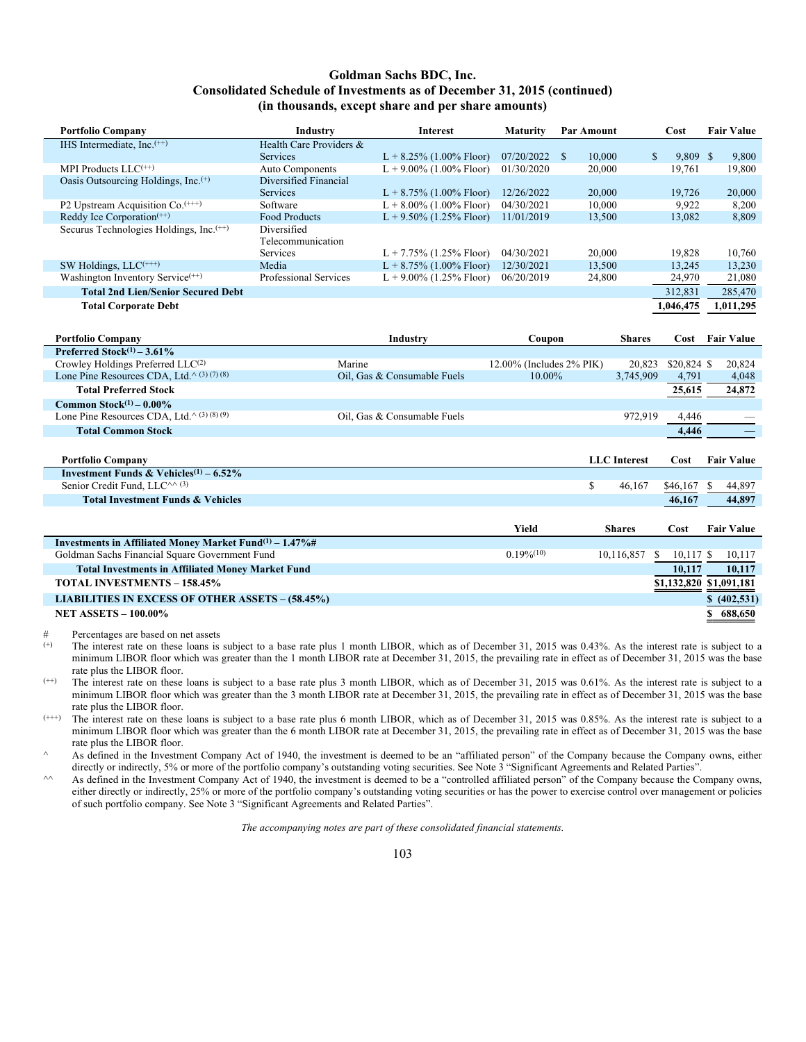## **Goldman Sachs BDC, Inc. Consolidated Schedule of Investments as of December 31, 2015 (continued) (in thousands, except share and per share amounts)**

| <b>Portfolio Company</b>                                                                                                         | Industry                         |        | Interest                    | <b>Maturity</b>          | Par Amount |                     | Cost         | <b>Fair Value</b>       |
|----------------------------------------------------------------------------------------------------------------------------------|----------------------------------|--------|-----------------------------|--------------------------|------------|---------------------|--------------|-------------------------|
| IHS Intermediate, Inc. <sup>(++)</sup>                                                                                           | Health Care Providers &          |        |                             |                          |            |                     |              |                         |
|                                                                                                                                  | <b>Services</b>                  |        | $L + 8.25\%$ (1.00% Floor)  | $07/20/2022$ \$          | 10,000     | \$                  | $9,809$ \$   | 9,800                   |
| MPI Products $LLC^{(+)}$                                                                                                         | Auto Components                  |        | $L + 9.00\%$ (1.00% Floor)  | 01/30/2020               | 20,000     |                     | 19,761       | 19,800                  |
| Oasis Outsourcing Holdings, Inc. <sup>(+)</sup>                                                                                  | Diversified Financial            |        |                             |                          |            |                     |              |                         |
|                                                                                                                                  | <b>Services</b>                  |        | $L + 8.75\%$ (1.00% Floor)  | 12/26/2022               | 20,000     |                     | 19,726       | 20,000                  |
| P2 Upstream Acquisition Co. <sup>(+++)</sup>                                                                                     | Software                         |        | $L + 8.00\%$ (1.00% Floor)  | 04/30/2021               | 10.000     |                     | 9.922        | 8,200                   |
| Reddy Ice Corporation <sup>(++)</sup>                                                                                            | <b>Food Products</b>             |        | $L + 9.50\%$ (1.25% Floor)  | 11/01/2019               | 13,500     |                     | 13,082       | 8,809                   |
| Securus Technologies Holdings, Inc. $(++)$                                                                                       | Diversified<br>Telecommunication |        |                             |                          |            |                     |              |                         |
|                                                                                                                                  | Services                         |        | $L + 7.75\%$ (1.25% Floor)  | 04/30/2021               | 20,000     |                     | 19,828       | 10,760                  |
| SW Holdings, LLC <sup>(+++)</sup>                                                                                                | Media                            |        | $L + 8.75\%$ (1.00% Floor)  | 12/30/2021               | 13,500     |                     | 13,245       | 13,230                  |
| Washington Inventory Service <sup>(++)</sup>                                                                                     | <b>Professional Services</b>     |        | $L + 9.00\%$ (1.25% Floor)  | 06/20/2019               | 24,800     |                     | 24,970       | 21,080                  |
| <b>Total 2nd Lien/Senior Secured Debt</b>                                                                                        |                                  |        |                             |                          |            |                     | 312,831      | 285,470                 |
| <b>Total Corporate Debt</b>                                                                                                      |                                  |        |                             |                          |            |                     | 1,046,475    | 1,011,295               |
|                                                                                                                                  |                                  |        |                             |                          |            |                     |              |                         |
| <b>Portfolio Company</b>                                                                                                         |                                  |        | Industry                    | Coupon                   |            | <b>Shares</b>       | Cost         | <b>Fair Value</b>       |
| Preferred Stock $(1)$ – 3.61%                                                                                                    |                                  |        |                             |                          |            |                     |              |                         |
| Crowley Holdings Preferred LLC <sup>(2)</sup>                                                                                    |                                  | Marine |                             | 12.00% (Includes 2% PIK) |            | 20,823              | $$20,824$ \$ | 20,824                  |
| Lone Pine Resources CDA, Ltd. $\wedge$ (3)(7)(8)                                                                                 |                                  |        | Oil, Gas & Consumable Fuels | 10.00%                   |            | 3,745,909           | 4,791        | 4,048                   |
| <b>Total Preferred Stock</b>                                                                                                     |                                  |        |                             |                          |            |                     | 25,615       | 24,872                  |
| Common Stock $(1) - 0.00\%$                                                                                                      |                                  |        |                             |                          |            |                     |              |                         |
| Lone Pine Resources CDA, Ltd. $\wedge$ (3)(8)(9)                                                                                 |                                  |        | Oil, Gas & Consumable Fuels |                          |            | 972,919             | 4,446        |                         |
| <b>Total Common Stock</b>                                                                                                        |                                  |        |                             |                          |            |                     | 4,446        |                         |
|                                                                                                                                  |                                  |        |                             |                          |            |                     |              |                         |
|                                                                                                                                  |                                  |        |                             |                          |            |                     |              |                         |
| <b>Portfolio Company</b>                                                                                                         |                                  |        |                             |                          |            | <b>LLC</b> Interest | Cost         | <b>Fair Value</b>       |
| Investment Funds & Vehicles <sup>(1)</sup> – 6.52%                                                                               |                                  |        |                             |                          |            |                     |              |                         |
| Senior Credit Fund, LLC^^ (3)                                                                                                    |                                  |        |                             |                          | \$         | 46,167              | \$46,167     | 44,897<br>S.            |
| <b>Total Investment Funds &amp; Vehicles</b>                                                                                     |                                  |        |                             |                          |            |                     | 46,167       | 44,897                  |
|                                                                                                                                  |                                  |        |                             |                          |            |                     |              |                         |
|                                                                                                                                  |                                  |        |                             | Yield                    |            | <b>Shares</b>       | Cost         | <b>Fair Value</b>       |
| <b>Investments in Affiliated Money Market Fund</b> <sup>(1)</sup> - $1.47\%$ #<br>Goldman Sachs Financial Square Government Fund |                                  |        |                             | $0.19\%$ <sup>(10)</sup> |            | 10,116,857<br>-S    | $10,117$ \$  | 10,117                  |
| <b>Total Investments in Affiliated Money Market Fund</b>                                                                         |                                  |        |                             |                          |            |                     | 10.117       | 10.117                  |
| <b>TOTAL INVESTMENTS - 158.45%</b>                                                                                               |                                  |        |                             |                          |            |                     |              | \$1,132,820 \$1,091,181 |
| <b>LIABILITIES IN EXCESS OF OTHER ASSETS - (58.45%)</b>                                                                          |                                  |        |                             |                          |            |                     |              | \$ (402,531)            |
| <b>NET ASSETS - 100.00%</b>                                                                                                      |                                  |        |                             |                          |            |                     |              | 688,650<br>S            |

# Percentages are based on net assets

(+) The interest rate on these loans is subject to a base rate plus 1 month LIBOR, which as of December 31, 2015 was 0.43%. As the interest rate is subject to a minimum LIBOR floor which was greater than the 1 month LIBOR rate at December 31, 2015, the prevailing rate in effect as of December 31, 2015 was the base rate plus the LIBOR floor.

(++) The interest rate on these loans is subject to a base rate plus 3 month LIBOR, which as of December 31, 2015 was 0.61%. As the interest rate is subject to a minimum LIBOR floor which was greater than the 3 month LIBOR rate at December 31, 2015, the prevailing rate in effect as of December 31, 2015 was the base rate plus the LIBOR floor.

(+++) The interest rate on these loans is subject to a base rate plus 6 month LIBOR, which as of December 31, 2015 was 0.85%. As the interest rate is subject to a minimum LIBOR floor which was greater than the 6 month LIBOR rate at December 31, 2015, the prevailing rate in effect as of December 31, 2015 was the base rate plus the LIBOR floor.

As defined in the Investment Company Act of 1940, the investment is deemed to be an "affiliated person" of the Company because the Company owns, either directly or indirectly, 5% or more of the portfolio company's outstanding voting securities. See Note 3 "Significant Agreements and Related Parties".

<sup>^^</sup> As defined in the Investment Company Act of 1940, the investment is deemed to be a "controlled affiliated person" of the Company because the Company owns, either directly or indirectly, 25% or more of the portfolio company's outstanding voting securities or has the power to exercise control over management or policies of such portfolio company. See Note 3 "Significant Agreements and Related Parties".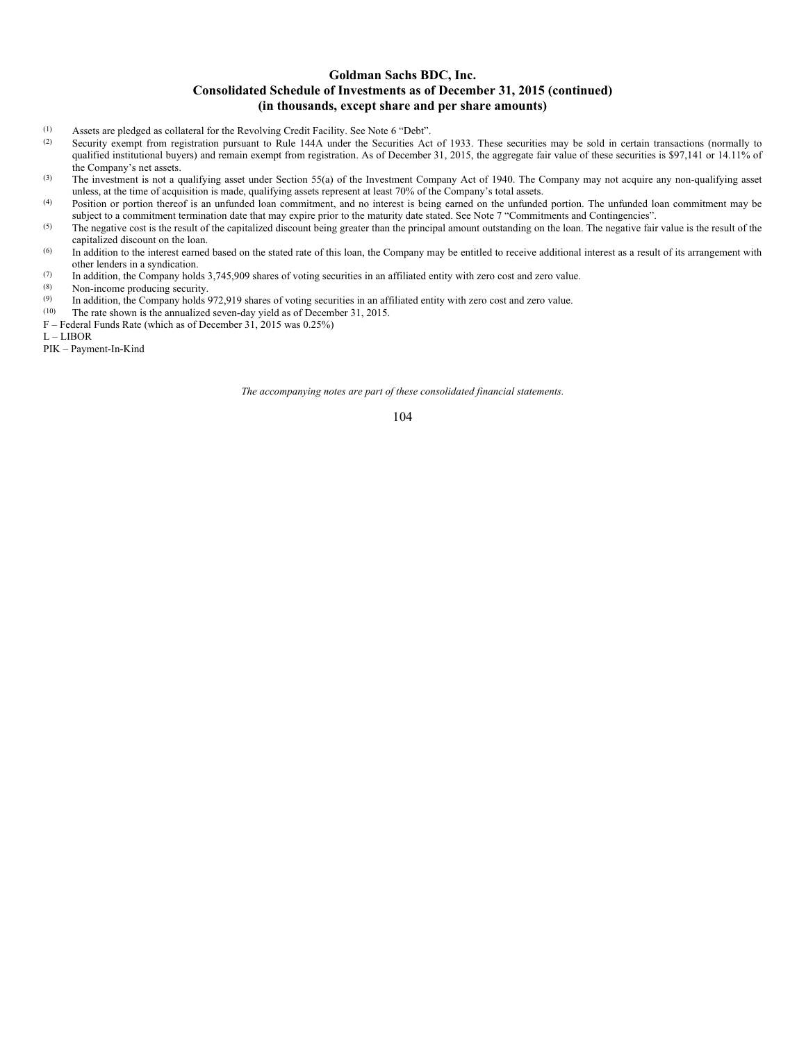## **Goldman Sachs BDC, Inc. Consolidated Schedule of Investments as of December 31, 2015 (continued) (in thousands, except share and per share amounts)**

- (1) Assets are pledged as collateral for the Revolving Credit Facility. See Note 6 "Debt".<br>Security exempt from registration pursuant to Rule 144A under the Securities Act
- Security exempt from registration pursuant to Rule 144A under the Securities Act of 1933. These securities may be sold in certain transactions (normally to qualified institutional buyers) and remain exempt from registration. As of December 31, 2015, the aggregate fair value of these securities is \$97,141 or 14.11% of the Company's net assets.
- (3) The investment is not a qualifying asset under Section 55(a) of the Investment Company Act of 1940. The Company may not acquire any non-qualifying asset unless, at the time of acquisition is made, qualifying assets represent at least 70% of the Company's total assets.
- (4) Position or portion thereof is an unfunded loan commitment, and no interest is being earned on the unfunded portion. The unfunded loan commitment may be subject to a commitment termination date that may expire prior to the maturity date stated. See Note 7 "Commitments and Contingencies".
- <sup>(5)</sup> The negative cost is the result of the capitalized discount being greater than the principal amount outstanding on the loan. The negative fair value is the result of the capitalized discount on the loan.
- (6) In addition to the interest earned based on the stated rate of this loan, the Company may be entitled to receive additional interest as a result of its arrangement with other lenders in a syndication.
- (7) In addition, the Company holds 3,745,909 shares of voting securities in an affiliated entity with zero cost and zero value.<br>Non-income producing security
- (8) Non-income producing security.<br>(9) In addition, the Company holds
- (9) In addition, the Company holds 972,919 shares of voting securities in an affiliated entity with zero cost and zero value.<br>(10) The rate shown is the annualized seven-day vield as of December 31, 2015
- The rate shown is the annualized seven-day yield as of December 31, 2015.
- F Federal Funds Rate (which as of December 31, 2015 was 0.25%)

L – LIBOR

PIK – Payment-In-Kind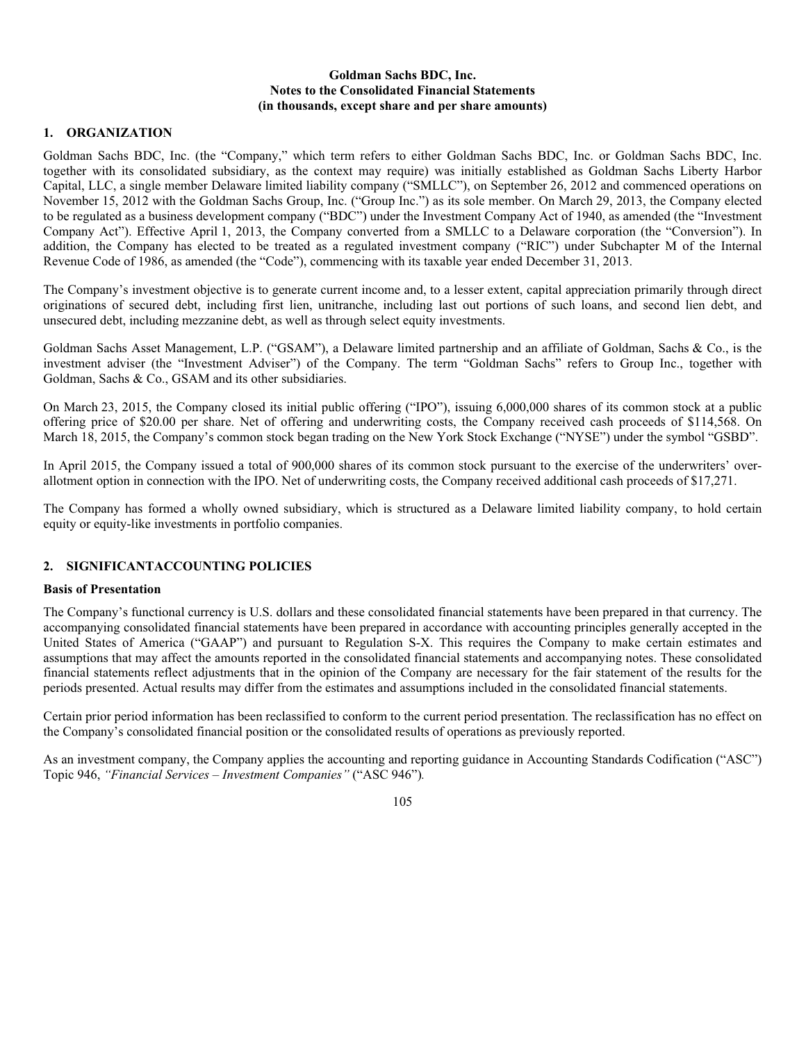## **Goldman Sachs BDC, Inc. Notes to the Consolidated Financial Statements (in thousands, except share and per share amounts)**

## **1. ORGANIZATION**

Goldman Sachs BDC, Inc. (the "Company," which term refers to either Goldman Sachs BDC, Inc. or Goldman Sachs BDC, Inc. together with its consolidated subsidiary, as the context may require) was initially established as Goldman Sachs Liberty Harbor Capital, LLC, a single member Delaware limited liability company ("SMLLC"), on September 26, 2012 and commenced operations on November 15, 2012 with the Goldman Sachs Group, Inc. ("Group Inc.") as its sole member. On March 29, 2013, the Company elected to be regulated as a business development company ("BDC") under the Investment Company Act of 1940, as amended (the "Investment Company Act"). Effective April 1, 2013, the Company converted from a SMLLC to a Delaware corporation (the "Conversion"). In addition, the Company has elected to be treated as a regulated investment company ("RIC") under Subchapter M of the Internal Revenue Code of 1986, as amended (the "Code"), commencing with its taxable year ended December 31, 2013.

The Company's investment objective is to generate current income and, to a lesser extent, capital appreciation primarily through direct originations of secured debt, including first lien, unitranche, including last out portions of such loans, and second lien debt, and unsecured debt, including mezzanine debt, as well as through select equity investments.

Goldman Sachs Asset Management, L.P. ("GSAM"), a Delaware limited partnership and an affiliate of Goldman, Sachs & Co., is the investment adviser (the "Investment Adviser") of the Company. The term "Goldman Sachs" refers to Group Inc., together with Goldman, Sachs & Co., GSAM and its other subsidiaries.

On March 23, 2015, the Company closed its initial public offering ("IPO"), issuing 6,000,000 shares of its common stock at a public offering price of \$20.00 per share. Net of offering and underwriting costs, the Company received cash proceeds of \$114,568. On March 18, 2015, the Company's common stock began trading on the New York Stock Exchange ("NYSE") under the symbol "GSBD".

In April 2015, the Company issued a total of 900,000 shares of its common stock pursuant to the exercise of the underwriters' overallotment option in connection with the IPO. Net of underwriting costs, the Company received additional cash proceeds of \$17,271.

The Company has formed a wholly owned subsidiary, which is structured as a Delaware limited liability company, to hold certain equity or equity-like investments in portfolio companies.

## **2. SIGNIFICANTACCOUNTING POLICIES**

## **Basis of Presentation**

The Company's functional currency is U.S. dollars and these consolidated financial statements have been prepared in that currency. The accompanying consolidated financial statements have been prepared in accordance with accounting principles generally accepted in the United States of America ("GAAP") and pursuant to Regulation S-X. This requires the Company to make certain estimates and assumptions that may affect the amounts reported in the consolidated financial statements and accompanying notes. These consolidated financial statements reflect adjustments that in the opinion of the Company are necessary for the fair statement of the results for the periods presented. Actual results may differ from the estimates and assumptions included in the consolidated financial statements.

Certain prior period information has been reclassified to conform to the current period presentation. The reclassification has no effect on the Company's consolidated financial position or the consolidated results of operations as previously reported.

As an investment company, the Company applies the accounting and reporting guidance in Accounting Standards Codification ("ASC") Topic 946, *"Financial Services – Investment Companies"* ("ASC 946")*.*

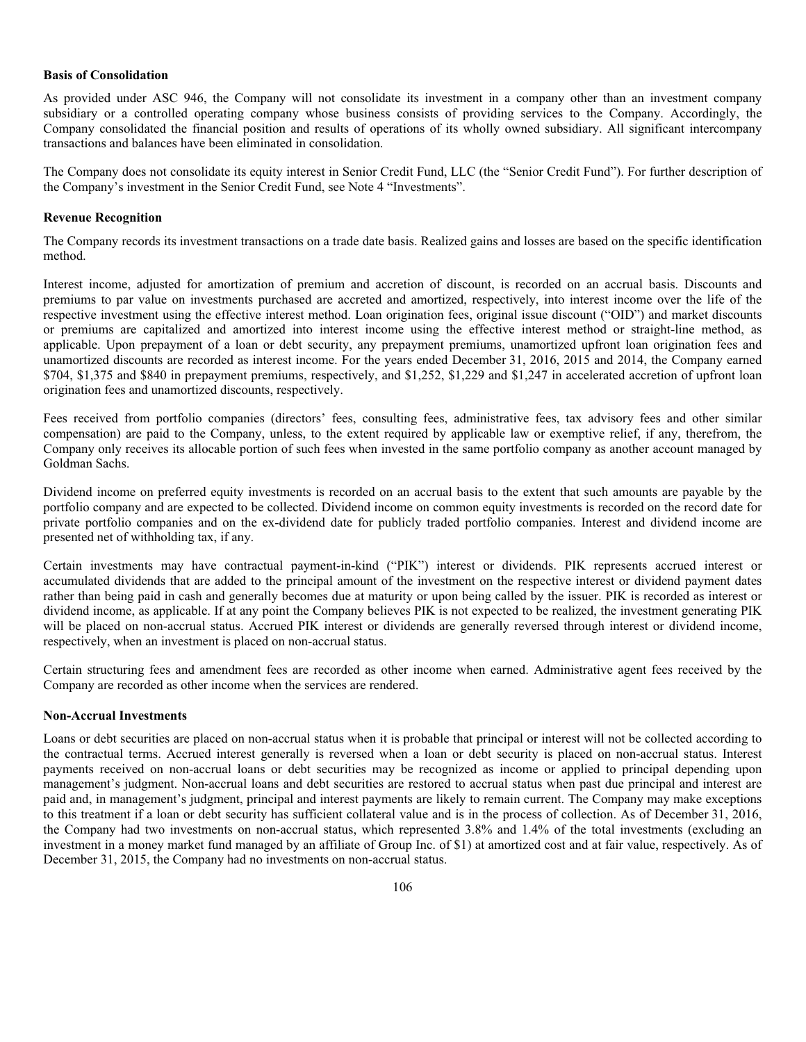### **Basis of Consolidation**

As provided under ASC 946, the Company will not consolidate its investment in a company other than an investment company subsidiary or a controlled operating company whose business consists of providing services to the Company. Accordingly, the Company consolidated the financial position and results of operations of its wholly owned subsidiary. All significant intercompany transactions and balances have been eliminated in consolidation.

The Company does not consolidate its equity interest in Senior Credit Fund, LLC (the "Senior Credit Fund"). For further description of the Company's investment in the Senior Credit Fund, see Note 4 "Investments".

### **Revenue Recognition**

The Company records its investment transactions on a trade date basis. Realized gains and losses are based on the specific identification method.

Interest income, adjusted for amortization of premium and accretion of discount, is recorded on an accrual basis. Discounts and premiums to par value on investments purchased are accreted and amortized, respectively, into interest income over the life of the respective investment using the effective interest method. Loan origination fees, original issue discount ("OID") and market discounts or premiums are capitalized and amortized into interest income using the effective interest method or straight-line method, as applicable. Upon prepayment of a loan or debt security, any prepayment premiums, unamortized upfront loan origination fees and unamortized discounts are recorded as interest income. For the years ended December 31, 2016, 2015 and 2014, the Company earned \$704, \$1,375 and \$840 in prepayment premiums, respectively, and \$1,252, \$1,229 and \$1,247 in accelerated accretion of upfront loan origination fees and unamortized discounts, respectively.

Fees received from portfolio companies (directors' fees, consulting fees, administrative fees, tax advisory fees and other similar compensation) are paid to the Company, unless, to the extent required by applicable law or exemptive relief, if any, therefrom, the Company only receives its allocable portion of such fees when invested in the same portfolio company as another account managed by Goldman Sachs.

Dividend income on preferred equity investments is recorded on an accrual basis to the extent that such amounts are payable by the portfolio company and are expected to be collected. Dividend income on common equity investments is recorded on the record date for private portfolio companies and on the ex-dividend date for publicly traded portfolio companies. Interest and dividend income are presented net of withholding tax, if any.

Certain investments may have contractual payment-in-kind ("PIK") interest or dividends. PIK represents accrued interest or accumulated dividends that are added to the principal amount of the investment on the respective interest or dividend payment dates rather than being paid in cash and generally becomes due at maturity or upon being called by the issuer. PIK is recorded as interest or dividend income, as applicable. If at any point the Company believes PIK is not expected to be realized, the investment generating PIK will be placed on non-accrual status. Accrued PIK interest or dividends are generally reversed through interest or dividend income, respectively, when an investment is placed on non-accrual status.

Certain structuring fees and amendment fees are recorded as other income when earned. Administrative agent fees received by the Company are recorded as other income when the services are rendered.

## **Non-Accrual Investments**

Loans or debt securities are placed on non-accrual status when it is probable that principal or interest will not be collected according to the contractual terms. Accrued interest generally is reversed when a loan or debt security is placed on non-accrual status. Interest payments received on non-accrual loans or debt securities may be recognized as income or applied to principal depending upon management's judgment. Non-accrual loans and debt securities are restored to accrual status when past due principal and interest are paid and, in management's judgment, principal and interest payments are likely to remain current. The Company may make exceptions to this treatment if a loan or debt security has sufficient collateral value and is in the process of collection. As of December 31, 2016, the Company had two investments on non-accrual status, which represented 3.8% and 1.4% of the total investments (excluding an investment in a money market fund managed by an affiliate of Group Inc. of \$1) at amortized cost and at fair value, respectively. As of December 31, 2015, the Company had no investments on non-accrual status.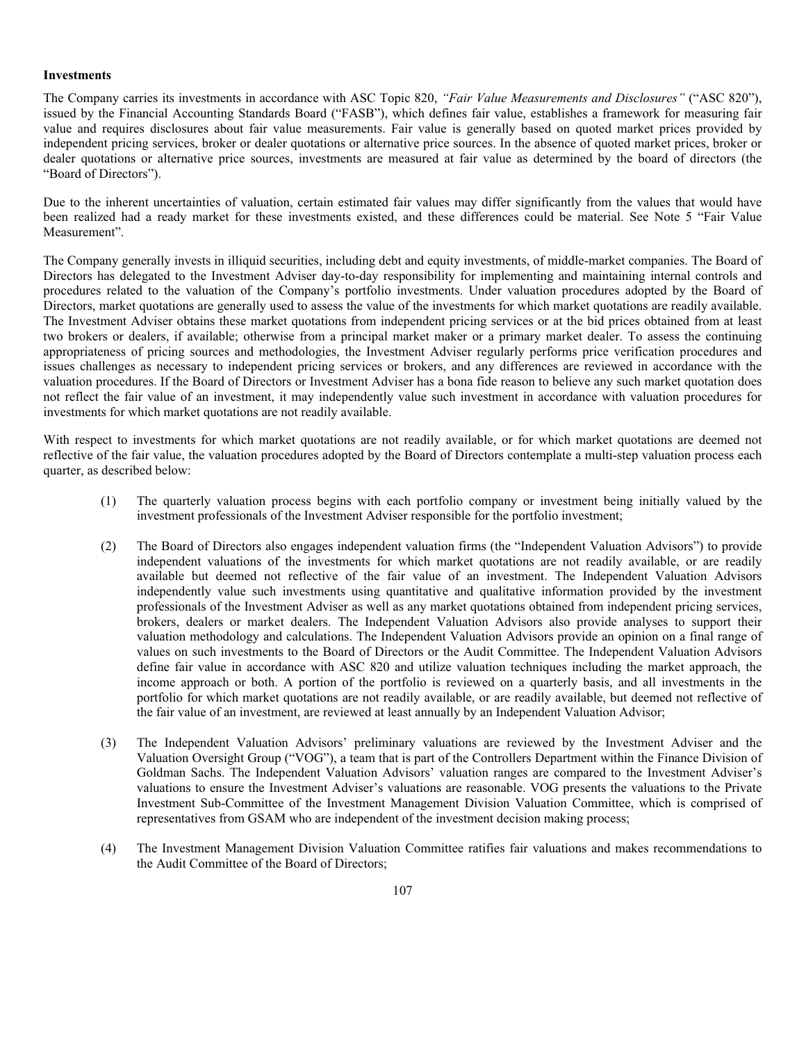#### **Investments**

The Company carries its investments in accordance with ASC Topic 820, *"Fair Value Measurements and Disclosures"* ("ASC 820"), issued by the Financial Accounting Standards Board ("FASB"), which defines fair value, establishes a framework for measuring fair value and requires disclosures about fair value measurements. Fair value is generally based on quoted market prices provided by independent pricing services, broker or dealer quotations or alternative price sources. In the absence of quoted market prices, broker or dealer quotations or alternative price sources, investments are measured at fair value as determined by the board of directors (the "Board of Directors").

Due to the inherent uncertainties of valuation, certain estimated fair values may differ significantly from the values that would have been realized had a ready market for these investments existed, and these differences could be material. See Note 5 "Fair Value Measurement".

The Company generally invests in illiquid securities, including debt and equity investments, of middle-market companies. The Board of Directors has delegated to the Investment Adviser day-to-day responsibility for implementing and maintaining internal controls and procedures related to the valuation of the Company's portfolio investments. Under valuation procedures adopted by the Board of Directors, market quotations are generally used to assess the value of the investments for which market quotations are readily available. The Investment Adviser obtains these market quotations from independent pricing services or at the bid prices obtained from at least two brokers or dealers, if available; otherwise from a principal market maker or a primary market dealer. To assess the continuing appropriateness of pricing sources and methodologies, the Investment Adviser regularly performs price verification procedures and issues challenges as necessary to independent pricing services or brokers, and any differences are reviewed in accordance with the valuation procedures. If the Board of Directors or Investment Adviser has a bona fide reason to believe any such market quotation does not reflect the fair value of an investment, it may independently value such investment in accordance with valuation procedures for investments for which market quotations are not readily available.

With respect to investments for which market quotations are not readily available, or for which market quotations are deemed not reflective of the fair value, the valuation procedures adopted by the Board of Directors contemplate a multi-step valuation process each quarter, as described below:

- (1) The quarterly valuation process begins with each portfolio company or investment being initially valued by the investment professionals of the Investment Adviser responsible for the portfolio investment;
- (2) The Board of Directors also engages independent valuation firms (the "Independent Valuation Advisors") to provide independent valuations of the investments for which market quotations are not readily available, or are readily available but deemed not reflective of the fair value of an investment. The Independent Valuation Advisors independently value such investments using quantitative and qualitative information provided by the investment professionals of the Investment Adviser as well as any market quotations obtained from independent pricing services, brokers, dealers or market dealers. The Independent Valuation Advisors also provide analyses to support their valuation methodology and calculations. The Independent Valuation Advisors provide an opinion on a final range of values on such investments to the Board of Directors or the Audit Committee. The Independent Valuation Advisors define fair value in accordance with ASC 820 and utilize valuation techniques including the market approach, the income approach or both. A portion of the portfolio is reviewed on a quarterly basis, and all investments in the portfolio for which market quotations are not readily available, or are readily available, but deemed not reflective of the fair value of an investment, are reviewed at least annually by an Independent Valuation Advisor;
- (3) The Independent Valuation Advisors' preliminary valuations are reviewed by the Investment Adviser and the Valuation Oversight Group ("VOG"), a team that is part of the Controllers Department within the Finance Division of Goldman Sachs. The Independent Valuation Advisors' valuation ranges are compared to the Investment Adviser's valuations to ensure the Investment Adviser's valuations are reasonable. VOG presents the valuations to the Private Investment Sub-Committee of the Investment Management Division Valuation Committee, which is comprised of representatives from GSAM who are independent of the investment decision making process;
- (4) The Investment Management Division Valuation Committee ratifies fair valuations and makes recommendations to the Audit Committee of the Board of Directors;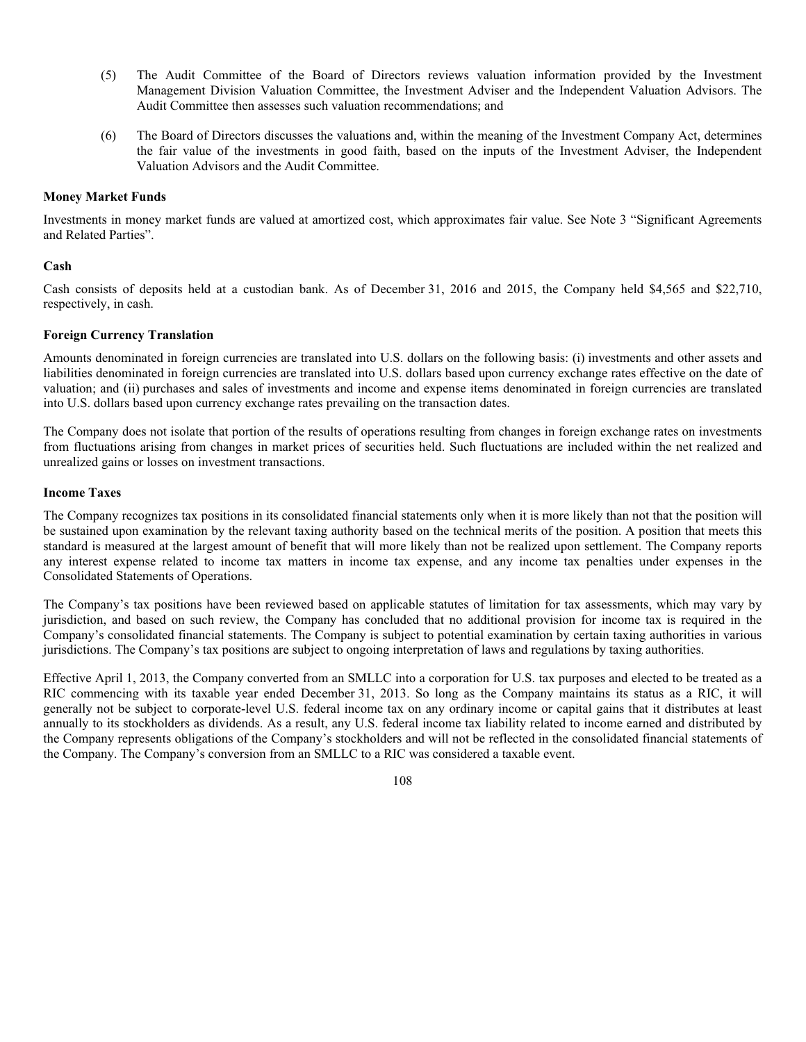- (5) The Audit Committee of the Board of Directors reviews valuation information provided by the Investment Management Division Valuation Committee, the Investment Adviser and the Independent Valuation Advisors. The Audit Committee then assesses such valuation recommendations; and
- (6) The Board of Directors discusses the valuations and, within the meaning of the Investment Company Act, determines the fair value of the investments in good faith, based on the inputs of the Investment Adviser, the Independent Valuation Advisors and the Audit Committee.

# **Money Market Funds**

Investments in money market funds are valued at amortized cost, which approximates fair value. See Note 3 "Significant Agreements and Related Parties".

# **Cash**

Cash consists of deposits held at a custodian bank. As of December 31, 2016 and 2015, the Company held \$4,565 and \$22,710, respectively, in cash.

### **Foreign Currency Translation**

Amounts denominated in foreign currencies are translated into U.S. dollars on the following basis: (i) investments and other assets and liabilities denominated in foreign currencies are translated into U.S. dollars based upon currency exchange rates effective on the date of valuation; and (ii) purchases and sales of investments and income and expense items denominated in foreign currencies are translated into U.S. dollars based upon currency exchange rates prevailing on the transaction dates.

The Company does not isolate that portion of the results of operations resulting from changes in foreign exchange rates on investments from fluctuations arising from changes in market prices of securities held. Such fluctuations are included within the net realized and unrealized gains or losses on investment transactions.

# **Income Taxes**

The Company recognizes tax positions in its consolidated financial statements only when it is more likely than not that the position will be sustained upon examination by the relevant taxing authority based on the technical merits of the position. A position that meets this standard is measured at the largest amount of benefit that will more likely than not be realized upon settlement. The Company reports any interest expense related to income tax matters in income tax expense, and any income tax penalties under expenses in the Consolidated Statements of Operations.

The Company's tax positions have been reviewed based on applicable statutes of limitation for tax assessments, which may vary by jurisdiction, and based on such review, the Company has concluded that no additional provision for income tax is required in the Company's consolidated financial statements. The Company is subject to potential examination by certain taxing authorities in various jurisdictions. The Company's tax positions are subject to ongoing interpretation of laws and regulations by taxing authorities.

Effective April 1, 2013, the Company converted from an SMLLC into a corporation for U.S. tax purposes and elected to be treated as a RIC commencing with its taxable year ended December 31, 2013. So long as the Company maintains its status as a RIC, it will generally not be subject to corporate-level U.S. federal income tax on any ordinary income or capital gains that it distributes at least annually to its stockholders as dividends. As a result, any U.S. federal income tax liability related to income earned and distributed by the Company represents obligations of the Company's stockholders and will not be reflected in the consolidated financial statements of the Company. The Company's conversion from an SMLLC to a RIC was considered a taxable event.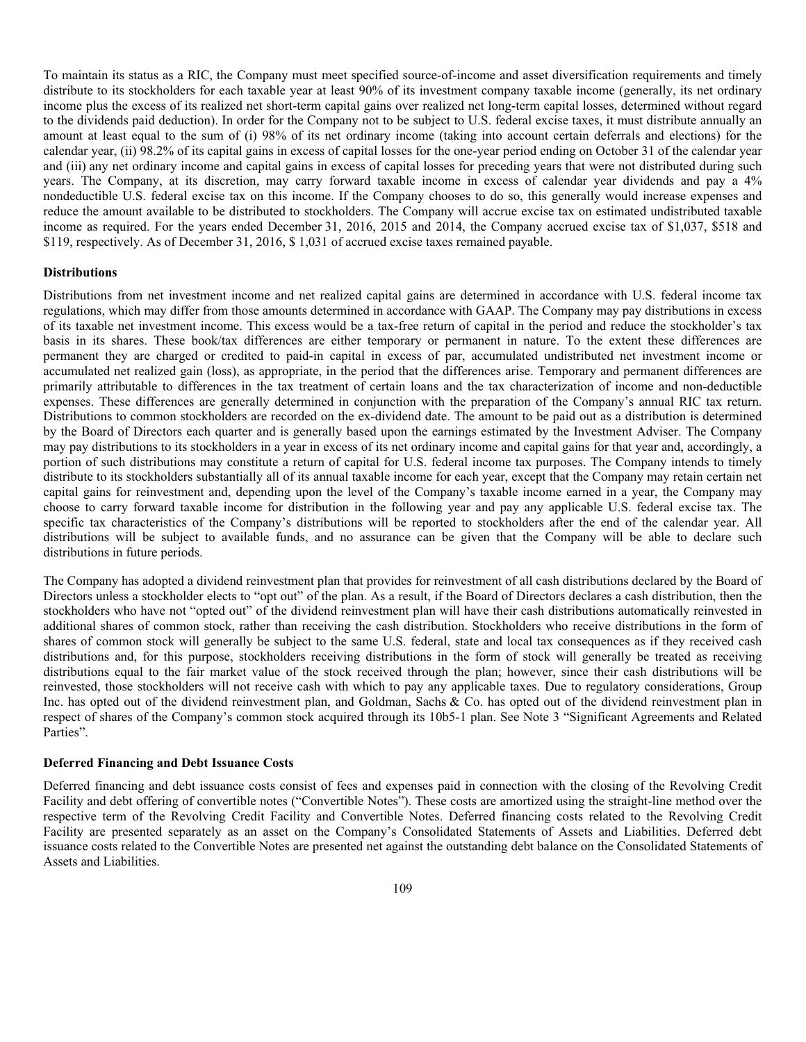To maintain its status as a RIC, the Company must meet specified source-of-income and asset diversification requirements and timely distribute to its stockholders for each taxable year at least 90% of its investment company taxable income (generally, its net ordinary income plus the excess of its realized net short-term capital gains over realized net long-term capital losses, determined without regard to the dividends paid deduction). In order for the Company not to be subject to U.S. federal excise taxes, it must distribute annually an amount at least equal to the sum of (i) 98% of its net ordinary income (taking into account certain deferrals and elections) for the calendar year, (ii) 98.2% of its capital gains in excess of capital losses for the one-year period ending on October 31 of the calendar year and (iii) any net ordinary income and capital gains in excess of capital losses for preceding years that were not distributed during such years. The Company, at its discretion, may carry forward taxable income in excess of calendar year dividends and pay a 4% nondeductible U.S. federal excise tax on this income. If the Company chooses to do so, this generally would increase expenses and reduce the amount available to be distributed to stockholders. The Company will accrue excise tax on estimated undistributed taxable income as required. For the years ended December 31, 2016, 2015 and 2014, the Company accrued excise tax of \$1,037, \$518 and \$119, respectively. As of December 31, 2016, \$ 1,031 of accrued excise taxes remained payable.

#### **Distributions**

Distributions from net investment income and net realized capital gains are determined in accordance with U.S. federal income tax regulations, which may differ from those amounts determined in accordance with GAAP. The Company may pay distributions in excess of its taxable net investment income. This excess would be a tax-free return of capital in the period and reduce the stockholder's tax basis in its shares. These book/tax differences are either temporary or permanent in nature. To the extent these differences are permanent they are charged or credited to paid-in capital in excess of par, accumulated undistributed net investment income or accumulated net realized gain (loss), as appropriate, in the period that the differences arise. Temporary and permanent differences are primarily attributable to differences in the tax treatment of certain loans and the tax characterization of income and non-deductible expenses. These differences are generally determined in conjunction with the preparation of the Company's annual RIC tax return. Distributions to common stockholders are recorded on the ex-dividend date. The amount to be paid out as a distribution is determined by the Board of Directors each quarter and is generally based upon the earnings estimated by the Investment Adviser. The Company may pay distributions to its stockholders in a year in excess of its net ordinary income and capital gains for that year and, accordingly, a portion of such distributions may constitute a return of capital for U.S. federal income tax purposes. The Company intends to timely distribute to its stockholders substantially all of its annual taxable income for each year, except that the Company may retain certain net capital gains for reinvestment and, depending upon the level of the Company's taxable income earned in a year, the Company may choose to carry forward taxable income for distribution in the following year and pay any applicable U.S. federal excise tax. The specific tax characteristics of the Company's distributions will be reported to stockholders after the end of the calendar year. All distributions will be subject to available funds, and no assurance can be given that the Company will be able to declare such distributions in future periods.

The Company has adopted a dividend reinvestment plan that provides for reinvestment of all cash distributions declared by the Board of Directors unless a stockholder elects to "opt out" of the plan. As a result, if the Board of Directors declares a cash distribution, then the stockholders who have not "opted out" of the dividend reinvestment plan will have their cash distributions automatically reinvested in additional shares of common stock, rather than receiving the cash distribution. Stockholders who receive distributions in the form of shares of common stock will generally be subject to the same U.S. federal, state and local tax consequences as if they received cash distributions and, for this purpose, stockholders receiving distributions in the form of stock will generally be treated as receiving distributions equal to the fair market value of the stock received through the plan; however, since their cash distributions will be reinvested, those stockholders will not receive cash with which to pay any applicable taxes. Due to regulatory considerations, Group Inc. has opted out of the dividend reinvestment plan, and Goldman, Sachs & Co. has opted out of the dividend reinvestment plan in respect of shares of the Company's common stock acquired through its 10b5-1 plan. See Note 3 "Significant Agreements and Related Parties".

#### **Deferred Financing and Debt Issuance Costs**

Deferred financing and debt issuance costs consist of fees and expenses paid in connection with the closing of the Revolving Credit Facility and debt offering of convertible notes ("Convertible Notes"). These costs are amortized using the straight-line method over the respective term of the Revolving Credit Facility and Convertible Notes. Deferred financing costs related to the Revolving Credit Facility are presented separately as an asset on the Company's Consolidated Statements of Assets and Liabilities. Deferred debt issuance costs related to the Convertible Notes are presented net against the outstanding debt balance on the Consolidated Statements of Assets and Liabilities.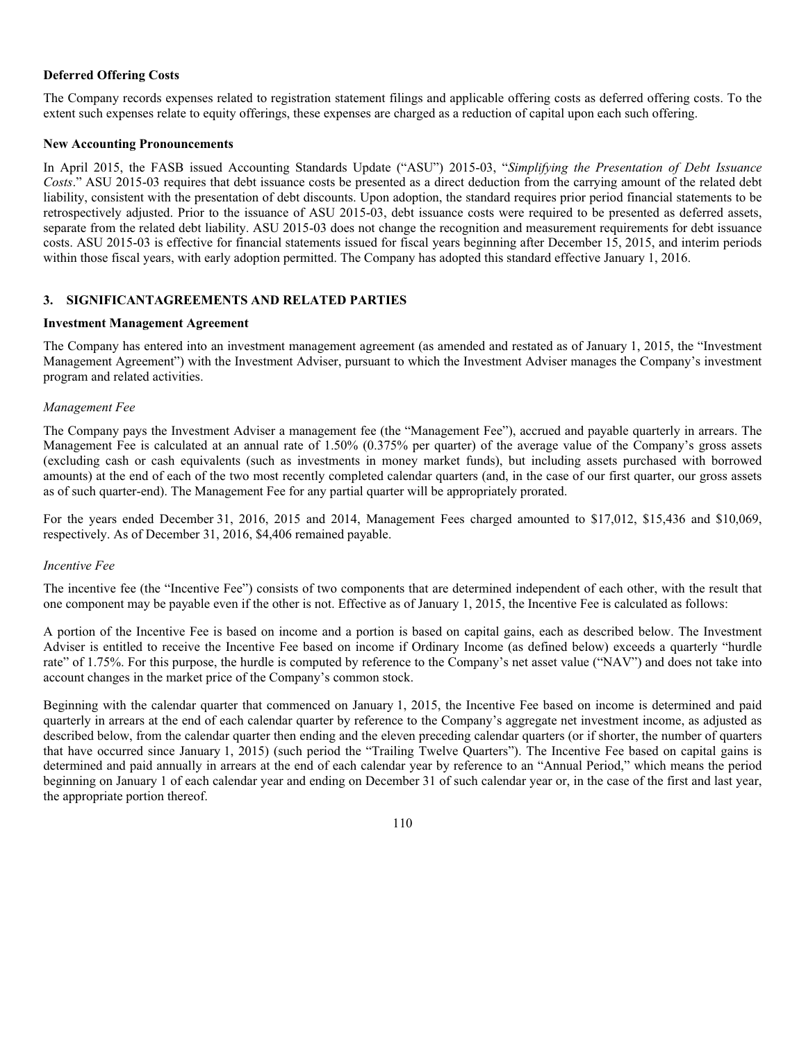# **Deferred Offering Costs**

The Company records expenses related to registration statement filings and applicable offering costs as deferred offering costs. To the extent such expenses relate to equity offerings, these expenses are charged as a reduction of capital upon each such offering.

### **New Accounting Pronouncements**

In April 2015, the FASB issued Accounting Standards Update ("ASU") 2015-03, "*Simplifying the Presentation of Debt Issuance Costs*." ASU 2015-03 requires that debt issuance costs be presented as a direct deduction from the carrying amount of the related debt liability, consistent with the presentation of debt discounts. Upon adoption, the standard requires prior period financial statements to be retrospectively adjusted. Prior to the issuance of ASU 2015-03, debt issuance costs were required to be presented as deferred assets, separate from the related debt liability. ASU 2015-03 does not change the recognition and measurement requirements for debt issuance costs. ASU 2015-03 is effective for financial statements issued for fiscal years beginning after December 15, 2015, and interim periods within those fiscal years, with early adoption permitted. The Company has adopted this standard effective January 1, 2016.

# **3. SIGNIFICANTAGREEMENTS AND RELATED PARTIES**

# **Investment Management Agreement**

The Company has entered into an investment management agreement (as amended and restated as of January 1, 2015, the "Investment Management Agreement") with the Investment Adviser, pursuant to which the Investment Adviser manages the Company's investment program and related activities.

# *Management Fee*

The Company pays the Investment Adviser a management fee (the "Management Fee"), accrued and payable quarterly in arrears. The Management Fee is calculated at an annual rate of 1.50% (0.375% per quarter) of the average value of the Company's gross assets (excluding cash or cash equivalents (such as investments in money market funds), but including assets purchased with borrowed amounts) at the end of each of the two most recently completed calendar quarters (and, in the case of our first quarter, our gross assets as of such quarter-end). The Management Fee for any partial quarter will be appropriately prorated.

For the years ended December 31, 2016, 2015 and 2014, Management Fees charged amounted to \$17,012, \$15,436 and \$10,069, respectively. As of December 31, 2016, \$4,406 remained payable.

# *Incentive Fee*

The incentive fee (the "Incentive Fee") consists of two components that are determined independent of each other, with the result that one component may be payable even if the other is not. Effective as of January 1, 2015, the Incentive Fee is calculated as follows:

A portion of the Incentive Fee is based on income and a portion is based on capital gains, each as described below. The Investment Adviser is entitled to receive the Incentive Fee based on income if Ordinary Income (as defined below) exceeds a quarterly "hurdle rate" of 1.75%. For this purpose, the hurdle is computed by reference to the Company's net asset value ("NAV") and does not take into account changes in the market price of the Company's common stock.

Beginning with the calendar quarter that commenced on January 1, 2015, the Incentive Fee based on income is determined and paid quarterly in arrears at the end of each calendar quarter by reference to the Company's aggregate net investment income, as adjusted as described below, from the calendar quarter then ending and the eleven preceding calendar quarters (or if shorter, the number of quarters that have occurred since January 1, 2015) (such period the "Trailing Twelve Quarters"). The Incentive Fee based on capital gains is determined and paid annually in arrears at the end of each calendar year by reference to an "Annual Period," which means the period beginning on January 1 of each calendar year and ending on December 31 of such calendar year or, in the case of the first and last year, the appropriate portion thereof.

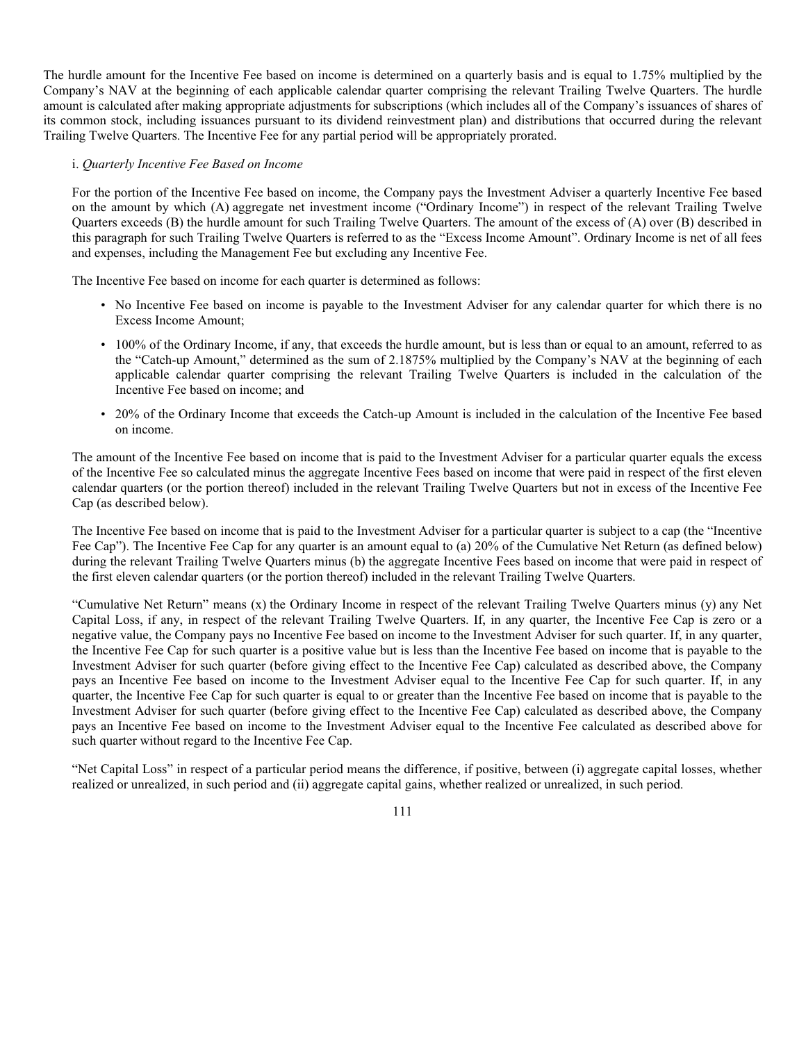The hurdle amount for the Incentive Fee based on income is determined on a quarterly basis and is equal to 1.75% multiplied by the Company's NAV at the beginning of each applicable calendar quarter comprising the relevant Trailing Twelve Quarters. The hurdle amount is calculated after making appropriate adjustments for subscriptions (which includes all of the Company's issuances of shares of its common stock, including issuances pursuant to its dividend reinvestment plan) and distributions that occurred during the relevant Trailing Twelve Quarters. The Incentive Fee for any partial period will be appropriately prorated.

### i. *Quarterly Incentive Fee Based on Income*

For the portion of the Incentive Fee based on income, the Company pays the Investment Adviser a quarterly Incentive Fee based on the amount by which (A) aggregate net investment income ("Ordinary Income") in respect of the relevant Trailing Twelve Quarters exceeds (B) the hurdle amount for such Trailing Twelve Quarters. The amount of the excess of (A) over (B) described in this paragraph for such Trailing Twelve Quarters is referred to as the "Excess Income Amount". Ordinary Income is net of all fees and expenses, including the Management Fee but excluding any Incentive Fee.

The Incentive Fee based on income for each quarter is determined as follows:

- No Incentive Fee based on income is payable to the Investment Adviser for any calendar quarter for which there is no Excess Income Amount;
- 100% of the Ordinary Income, if any, that exceeds the hurdle amount, but is less than or equal to an amount, referred to as the "Catch-up Amount," determined as the sum of 2.1875% multiplied by the Company's NAV at the beginning of each applicable calendar quarter comprising the relevant Trailing Twelve Quarters is included in the calculation of the Incentive Fee based on income; and
- 20% of the Ordinary Income that exceeds the Catch-up Amount is included in the calculation of the Incentive Fee based on income.

The amount of the Incentive Fee based on income that is paid to the Investment Adviser for a particular quarter equals the excess of the Incentive Fee so calculated minus the aggregate Incentive Fees based on income that were paid in respect of the first eleven calendar quarters (or the portion thereof) included in the relevant Trailing Twelve Quarters but not in excess of the Incentive Fee Cap (as described below).

The Incentive Fee based on income that is paid to the Investment Adviser for a particular quarter is subject to a cap (the "Incentive Fee Cap"). The Incentive Fee Cap for any quarter is an amount equal to (a) 20% of the Cumulative Net Return (as defined below) during the relevant Trailing Twelve Quarters minus (b) the aggregate Incentive Fees based on income that were paid in respect of the first eleven calendar quarters (or the portion thereof) included in the relevant Trailing Twelve Quarters.

"Cumulative Net Return" means (x) the Ordinary Income in respect of the relevant Trailing Twelve Quarters minus (y) any Net Capital Loss, if any, in respect of the relevant Trailing Twelve Quarters. If, in any quarter, the Incentive Fee Cap is zero or a negative value, the Company pays no Incentive Fee based on income to the Investment Adviser for such quarter. If, in any quarter, the Incentive Fee Cap for such quarter is a positive value but is less than the Incentive Fee based on income that is payable to the Investment Adviser for such quarter (before giving effect to the Incentive Fee Cap) calculated as described above, the Company pays an Incentive Fee based on income to the Investment Adviser equal to the Incentive Fee Cap for such quarter. If, in any quarter, the Incentive Fee Cap for such quarter is equal to or greater than the Incentive Fee based on income that is payable to the Investment Adviser for such quarter (before giving effect to the Incentive Fee Cap) calculated as described above, the Company pays an Incentive Fee based on income to the Investment Adviser equal to the Incentive Fee calculated as described above for such quarter without regard to the Incentive Fee Cap.

"Net Capital Loss" in respect of a particular period means the difference, if positive, between (i) aggregate capital losses, whether realized or unrealized, in such period and (ii) aggregate capital gains, whether realized or unrealized, in such period.

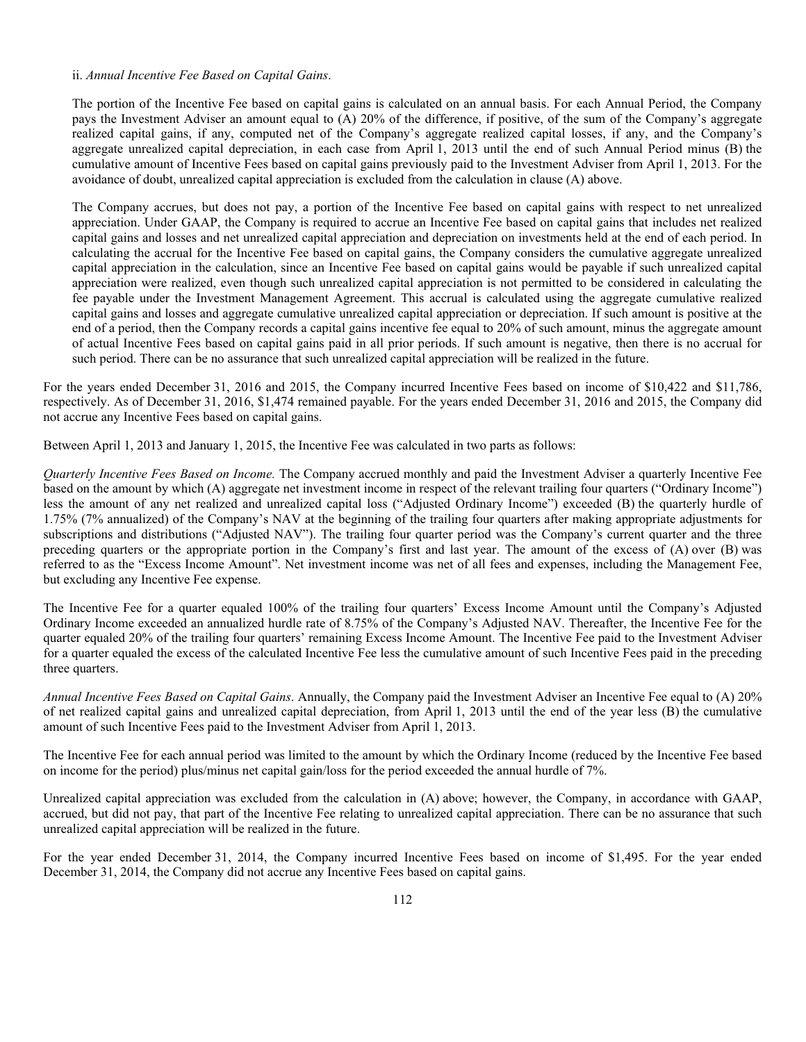#### ii. *Annual Incentive Fee Based on Capital Gains*.

The portion of the Incentive Fee based on capital gains is calculated on an annual basis. For each Annual Period, the Company pays the Investment Adviser an amount equal to (A) 20% of the difference, if positive, of the sum of the Company's aggregate realized capital gains, if any, computed net of the Company's aggregate realized capital losses, if any, and the Company's aggregate unrealized capital depreciation, in each case from April 1, 2013 until the end of such Annual Period minus (B) the cumulative amount of Incentive Fees based on capital gains previously paid to the Investment Adviser from April 1, 2013. For the avoidance of doubt, unrealized capital appreciation is excluded from the calculation in clause (A) above.

The Company accrues, but does not pay, a portion of the Incentive Fee based on capital gains with respect to net unrealized appreciation. Under GAAP, the Company is required to accrue an Incentive Fee based on capital gains that includes net realized capital gains and losses and net unrealized capital appreciation and depreciation on investments held at the end of each period. In calculating the accrual for the Incentive Fee based on capital gains, the Company considers the cumulative aggregate unrealized capital appreciation in the calculation, since an Incentive Fee based on capital gains would be payable if such unrealized capital appreciation were realized, even though such unrealized capital appreciation is not permitted to be considered in calculating the fee payable under the Investment Management Agreement. This accrual is calculated using the aggregate cumulative realized capital gains and losses and aggregate cumulative unrealized capital appreciation or depreciation. If such amount is positive at the end of a period, then the Company records a capital gains incentive fee equal to 20% of such amount, minus the aggregate amount of actual Incentive Fees based on capital gains paid in all prior periods. If such amount is negative, then there is no accrual for such period. There can be no assurance that such unrealized capital appreciation will be realized in the future.

For the years ended December 31, 2016 and 2015, the Company incurred Incentive Fees based on income of \$10,422 and \$11,786, respectively. As of December 31, 2016, \$1,474 remained payable. For the years ended December 31, 2016 and 2015, the Company did not accrue any Incentive Fees based on capital gains.

Between April 1, 2013 and January 1, 2015, the Incentive Fee was calculated in two parts as follows:

*Quarterly Incentive Fees Based on Income.* The Company accrued monthly and paid the Investment Adviser a quarterly Incentive Fee based on the amount by which (A) aggregate net investment income in respect of the relevant trailing four quarters ("Ordinary Income") less the amount of any net realized and unrealized capital loss ("Adjusted Ordinary Income") exceeded (B) the quarterly hurdle of 1.75% (7% annualized) of the Company's NAV at the beginning of the trailing four quarters after making appropriate adjustments for subscriptions and distributions ("Adjusted NAV"). The trailing four quarter period was the Company's current quarter and the three preceding quarters or the appropriate portion in the Company's first and last year. The amount of the excess of (A) over (B) was referred to as the "Excess Income Amount". Net investment income was net of all fees and expenses, including the Management Fee, but excluding any Incentive Fee expense.

The Incentive Fee for a quarter equaled 100% of the trailing four quarters' Excess Income Amount until the Company's Adjusted Ordinary Income exceeded an annualized hurdle rate of 8.75% of the Company's Adjusted NAV. Thereafter, the Incentive Fee for the quarter equaled 20% of the trailing four quarters' remaining Excess Income Amount. The Incentive Fee paid to the Investment Adviser for a quarter equaled the excess of the calculated Incentive Fee less the cumulative amount of such Incentive Fees paid in the preceding three quarters.

*Annual Incentive Fees Based on Capital Gains*. Annually, the Company paid the Investment Adviser an Incentive Fee equal to (A) 20% of net realized capital gains and unrealized capital depreciation, from April 1, 2013 until the end of the year less (B) the cumulative amount of such Incentive Fees paid to the Investment Adviser from April 1, 2013.

The Incentive Fee for each annual period was limited to the amount by which the Ordinary Income (reduced by the Incentive Fee based on income for the period) plus/minus net capital gain/loss for the period exceeded the annual hurdle of 7%.

Unrealized capital appreciation was excluded from the calculation in (A) above; however, the Company, in accordance with GAAP, accrued, but did not pay, that part of the Incentive Fee relating to unrealized capital appreciation. There can be no assurance that such unrealized capital appreciation will be realized in the future.

For the year ended December 31, 2014, the Company incurred Incentive Fees based on income of \$1,495. For the year ended December 31, 2014, the Company did not accrue any Incentive Fees based on capital gains.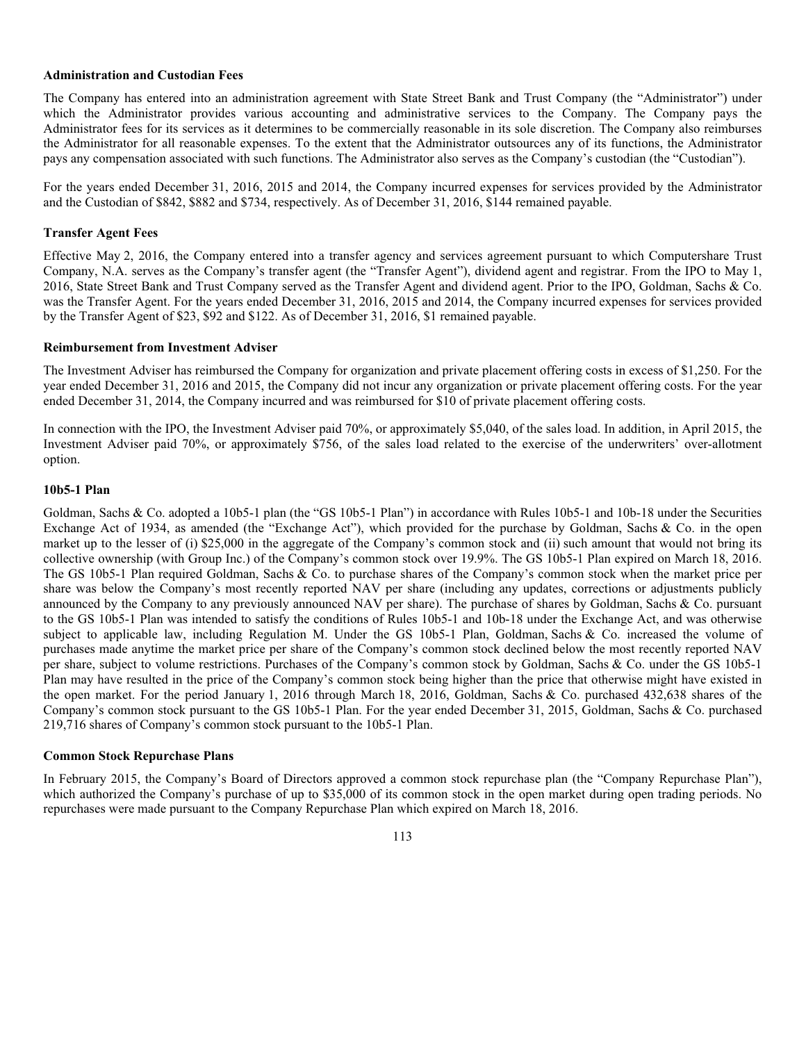#### **Administration and Custodian Fees**

The Company has entered into an administration agreement with State Street Bank and Trust Company (the "Administrator") under which the Administrator provides various accounting and administrative services to the Company. The Company pays the Administrator fees for its services as it determines to be commercially reasonable in its sole discretion. The Company also reimburses the Administrator for all reasonable expenses. To the extent that the Administrator outsources any of its functions, the Administrator pays any compensation associated with such functions. The Administrator also serves as the Company's custodian (the "Custodian").

For the years ended December 31, 2016, 2015 and 2014, the Company incurred expenses for services provided by the Administrator and the Custodian of \$842, \$882 and \$734, respectively. As of December 31, 2016, \$144 remained payable.

#### **Transfer Agent Fees**

Effective May 2, 2016, the Company entered into a transfer agency and services agreement pursuant to which Computershare Trust Company, N.A. serves as the Company's transfer agent (the "Transfer Agent"), dividend agent and registrar. From the IPO to May 1, 2016, State Street Bank and Trust Company served as the Transfer Agent and dividend agent. Prior to the IPO, Goldman, Sachs & Co. was the Transfer Agent. For the years ended December 31, 2016, 2015 and 2014, the Company incurred expenses for services provided by the Transfer Agent of \$23, \$92 and \$122. As of December 31, 2016, \$1 remained payable.

# **Reimbursement from Investment Adviser**

The Investment Adviser has reimbursed the Company for organization and private placement offering costs in excess of \$1,250. For the year ended December 31, 2016 and 2015, the Company did not incur any organization or private placement offering costs. For the year ended December 31, 2014, the Company incurred and was reimbursed for \$10 of private placement offering costs.

In connection with the IPO, the Investment Adviser paid 70%, or approximately \$5,040, of the sales load. In addition, in April 2015, the Investment Adviser paid 70%, or approximately \$756, of the sales load related to the exercise of the underwriters' over-allotment option.

#### **10b5-1 Plan**

Goldman, Sachs & Co. adopted a 10b5-1 plan (the "GS 10b5-1 Plan") in accordance with Rules 10b5-1 and 10b-18 under the Securities Exchange Act of 1934, as amended (the "Exchange Act"), which provided for the purchase by Goldman, Sachs & Co. in the open market up to the lesser of (i) \$25,000 in the aggregate of the Company's common stock and (ii) such amount that would not bring its collective ownership (with Group Inc.) of the Company's common stock over 19.9%. The GS 10b5-1 Plan expired on March 18, 2016. The GS 10b5-1 Plan required Goldman, Sachs & Co. to purchase shares of the Company's common stock when the market price per share was below the Company's most recently reported NAV per share (including any updates, corrections or adjustments publicly announced by the Company to any previously announced NAV per share). The purchase of shares by Goldman, Sachs & Co. pursuant to the GS 10b5-1 Plan was intended to satisfy the conditions of Rules 10b5-1 and 10b-18 under the Exchange Act, and was otherwise subject to applicable law, including Regulation M. Under the GS 10b5-1 Plan, Goldman, Sachs & Co. increased the volume of purchases made anytime the market price per share of the Company's common stock declined below the most recently reported NAV per share, subject to volume restrictions. Purchases of the Company's common stock by Goldman, Sachs & Co. under the GS 10b5-1 Plan may have resulted in the price of the Company's common stock being higher than the price that otherwise might have existed in the open market. For the period January 1, 2016 through March 18, 2016, Goldman, Sachs & Co. purchased 432,638 shares of the Company's common stock pursuant to the GS 10b5-1 Plan. For the year ended December 31, 2015, Goldman, Sachs & Co. purchased 219,716 shares of Company's common stock pursuant to the 10b5-1 Plan.

#### **Common Stock Repurchase Plans**

In February 2015, the Company's Board of Directors approved a common stock repurchase plan (the "Company Repurchase Plan"), which authorized the Company's purchase of up to \$35,000 of its common stock in the open market during open trading periods. No repurchases were made pursuant to the Company Repurchase Plan which expired on March 18, 2016.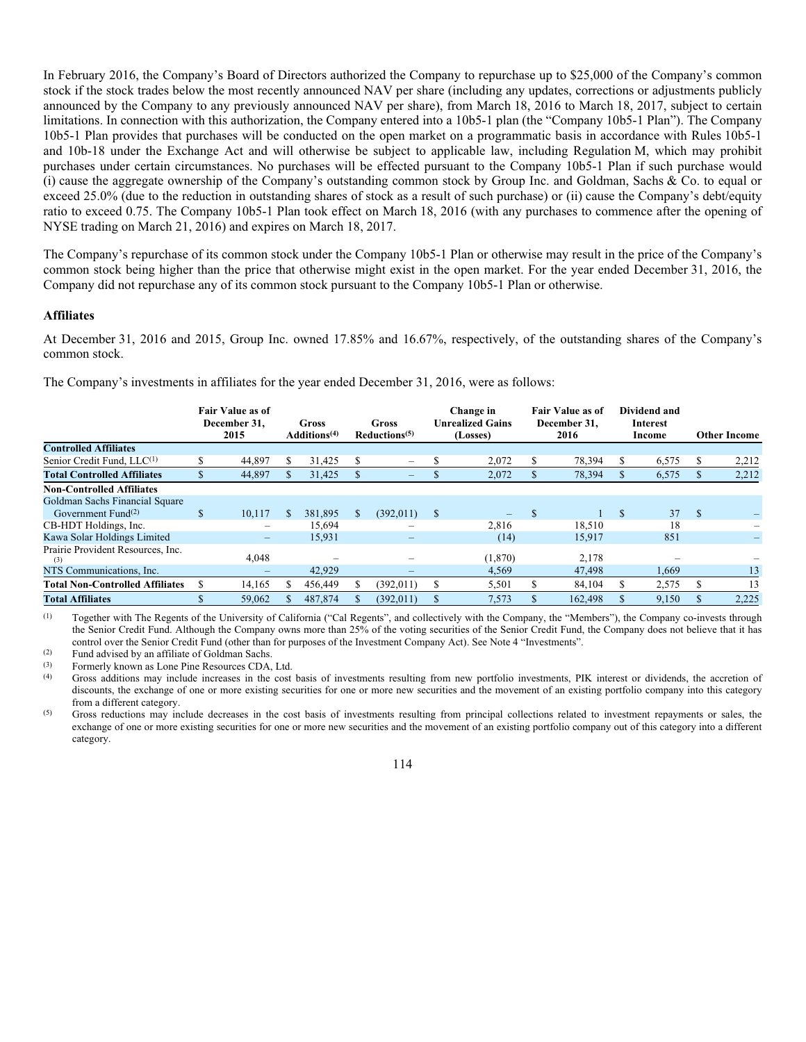In February 2016, the Company's Board of Directors authorized the Company to repurchase up to \$25,000 of the Company's common stock if the stock trades below the most recently announced NAV per share (including any updates, corrections or adjustments publicly announced by the Company to any previously announced NAV per share), from March 18, 2016 to March 18, 2017, subject to certain limitations. In connection with this authorization, the Company entered into a 10b5-1 plan (the "Company 10b5-1 Plan"). The Company 10b5-1 Plan provides that purchases will be conducted on the open market on a programmatic basis in accordance with Rules 10b5-1 and 10b-18 under the Exchange Act and will otherwise be subject to applicable law, including Regulation M, which may prohibit purchases under certain circumstances. No purchases will be effected pursuant to the Company 10b5-1 Plan if such purchase would (i) cause the aggregate ownership of the Company's outstanding common stock by Group Inc. and Goldman, Sachs & Co. to equal or exceed 25.0% (due to the reduction in outstanding shares of stock as a result of such purchase) or (ii) cause the Company's debt/equity ratio to exceed 0.75. The Company 10b5-1 Plan took effect on March 18, 2016 (with any purchases to commence after the opening of NYSE trading on March 21, 2016) and expires on March 18, 2017.

The Company's repurchase of its common stock under the Company 10b5-1 Plan or otherwise may result in the price of the Company's common stock being higher than the price that otherwise might exist in the open market. For the year ended December 31, 2016, the Company did not repurchase any of its common stock pursuant to the Company 10b5-1 Plan or otherwise.

### **Affiliates**

At December 31, 2016 and 2015, Group Inc. owned 17.85% and 16.67%, respectively, of the outstanding shares of the Company's common stock.

|  | The Company's investments in affiliates for the year ended December 31, 2016, were as follows: |  |  |  |  |
|--|------------------------------------------------------------------------------------------------|--|--|--|--|
|  |                                                                                                |  |  |  |  |

|                                          |    | <b>Fair Value as of</b><br>December 31.<br>2015 |          | Gross<br>Additions <sup>(4)</sup> |               | <b>Gross</b><br>Reductions <sup>(5)</sup> |              | Change in<br><b>Unrealized Gains</b><br>(Losses) |               | <b>Fair Value as of</b><br>December 31,<br>2016 |     | Dividend and<br>Interest<br>Income |               | <b>Other Income</b> |  |
|------------------------------------------|----|-------------------------------------------------|----------|-----------------------------------|---------------|-------------------------------------------|--------------|--------------------------------------------------|---------------|-------------------------------------------------|-----|------------------------------------|---------------|---------------------|--|
| <b>Controlled Affiliates</b>             |    |                                                 |          |                                   |               |                                           |              |                                                  |               |                                                 |     |                                    |               |                     |  |
| Senior Credit Fund, LLC <sup>(1)</sup>   |    | 44,897                                          |          | 31,425                            | £.            | -                                         |              | 2,072                                            |               | 78,394                                          | S   | 6,575                              | S.            | 2,212               |  |
| <b>Total Controlled Affiliates</b>       | \$ | 44,897                                          |          | 31,425                            |               |                                           |              | 2,072                                            |               | 78,394                                          | S.  | 6,575                              | ъ             | 2,212               |  |
| <b>Non-Controlled Affiliates</b>         |    |                                                 |          |                                   |               |                                           |              |                                                  |               |                                                 |     |                                    |               |                     |  |
| Goldman Sachs Financial Square           |    |                                                 |          |                                   |               |                                           |              |                                                  |               |                                                 |     |                                    |               |                     |  |
| Government Fund $(2)$                    | S. | 10,117                                          | <b>S</b> | 381,895                           | <sup>\$</sup> | (392, 011)                                | <sup>S</sup> | $\qquad \qquad -$                                | $\mathcal{P}$ |                                                 | \$  | 37                                 | <sup>\$</sup> |                     |  |
| CB-HDT Holdings, Inc.                    |    | -                                               |          | 15,694                            |               | -                                         |              | 2,816                                            |               | 18,510                                          |     | 18                                 |               |                     |  |
| Kawa Solar Holdings Limited              |    | -                                               |          | 15,931                            |               | $\overline{\phantom{0}}$                  |              | (14)                                             |               | 15,917                                          |     | 851                                |               |                     |  |
| Prairie Provident Resources, Inc.<br>(3) |    | 4,048                                           |          |                                   |               |                                           |              | (1,870)                                          |               | 2,178                                           |     |                                    |               |                     |  |
| NTS Communications, Inc.                 |    |                                                 |          | 42,929                            |               |                                           |              | 4,569                                            |               | 47,498                                          |     | 1.669                              |               | 13                  |  |
| <b>Total Non-Controlled Affiliates</b>   | S  | 14.165                                          |          | 456,449                           |               | (392, 011)                                |              | 5,501                                            |               | 84,104                                          | \$. | 2,575                              | -S            | 13                  |  |
| <b>Total Affiliates</b>                  |    | 59,062                                          |          | 487,874                           |               | (392, 011)                                |              | 7,573                                            |               | 162,498                                         |     | 9,150                              |               | 2,225               |  |

(1) Together with The Regents of the University of California ("Cal Regents", and collectively with the Company, the "Members"), the Company co-invests through the Senior Credit Fund. Although the Company owns more than 25% of the voting securities of the Senior Credit Fund, the Company does not believe that it has control over the Senior Credit Fund (other than for purposes of the Investment Company Act). See Note 4 "Investments".

(2) Fund advised by an affiliate of Goldman Sachs.

(3) Formerly known as Lone Pine Resources CDA, Ltd.<br>(4) Gross additions may include increases in the cost

Gross additions may include increases in the cost basis of investments resulting from new portfolio investments, PIK interest or dividends, the accretion of discounts, the exchange of one or more existing securities for one or more new securities and the movement of an existing portfolio company into this category from a different category.

(5) Gross reductions may include decreases in the cost basis of investments resulting from principal collections related to investment repayments or sales, the exchange of one or more existing securities for one or more new securities and the movement of an existing portfolio company out of this category into a different category.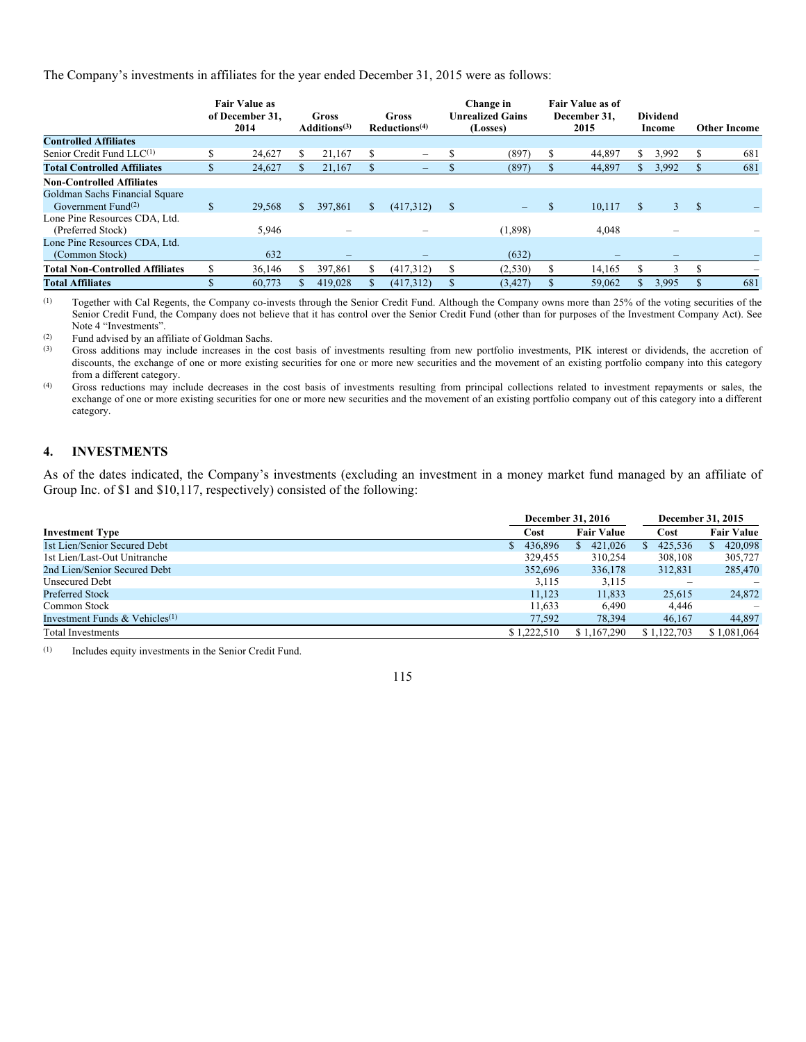The Company's investments in affiliates for the year ended December 31, 2015 were as follows:

|                                                                  |     | <b>Fair Value as</b><br>of December 31,<br>2014 | Gross<br>Additions <sup>(3)</sup> |     | <b>Gross</b><br>Reductions <sup>(4)</sup> |    | Change in<br><b>Unrealized Gains</b><br>(Losses) |               | <b>Fair Value as of</b><br>December 31,<br>2015 | <b>Dividend</b><br>Income |      | <b>Other Income</b> |
|------------------------------------------------------------------|-----|-------------------------------------------------|-----------------------------------|-----|-------------------------------------------|----|--------------------------------------------------|---------------|-------------------------------------------------|---------------------------|------|---------------------|
| <b>Controlled Affiliates</b>                                     |     |                                                 |                                   |     |                                           |    |                                                  |               |                                                 |                           |      |                     |
| Senior Credit Fund LLC <sup>(1)</sup>                            |     | 24,627                                          | 21.167                            | S   | $\hspace{1.0cm} \rule{1.5cm}{0.15cm}$     |    | (897)                                            | ъ             | 44.897                                          | \$<br>3,992               | ъ    | 681                 |
| <b>Total Controlled Affiliates</b>                               |     | 24,627                                          | 21,167                            |     |                                           |    | (897)                                            |               | 44,897                                          | 3,992                     |      | 681                 |
| <b>Non-Controlled Affiliates</b>                                 |     |                                                 |                                   |     |                                           |    |                                                  |               |                                                 |                           |      |                     |
| Goldman Sachs Financial Square<br>Government Fund <sup>(2)</sup> | \$. | 29,568                                          | 397,861                           | \$. | (417,312)                                 | \$ |                                                  | <sup>\$</sup> | 10,117                                          | \$<br>$\mathbf{3}$        | - \$ |                     |
| Lone Pine Resources CDA, Ltd.<br>(Preferred Stock)               |     | 5,946                                           |                                   |     |                                           |    | (1,898)                                          |               | 4,048                                           |                           |      |                     |
| Lone Pine Resources CDA, Ltd.<br>(Common Stock)                  |     | 632                                             |                                   |     |                                           |    | (632)                                            |               |                                                 |                           |      |                     |
| <b>Total Non-Controlled Affiliates</b>                           |     | 36,146                                          | 397,861                           |     | (417.312)                                 | S  | (2,530)                                          |               | 14.165                                          | 3                         |      |                     |
| <b>Total Affiliates</b>                                          |     | 60,773                                          | 419,028                           |     | (417,312)                                 |    | (3, 427)                                         |               | 59,062                                          | 3,995                     |      | 681                 |

(1) Together with Cal Regents, the Company co-invests through the Senior Credit Fund. Although the Company owns more than 25% of the voting securities of the Senior Credit Fund, the Company does not believe that it has control over the Senior Credit Fund (other than for purposes of the Investment Company Act). See Note 4 "Investments".

(2) Fund advised by an affiliate of Goldman Sachs.<br>(3) Gross additions may include increases in the

Gross additions may include increases in the cost basis of investments resulting from new portfolio investments, PIK interest or dividends, the accretion of discounts, the exchange of one or more existing securities for one or more new securities and the movement of an existing portfolio company into this category from a different category.

(4) Gross reductions may include decreases in the cost basis of investments resulting from principal collections related to investment repayments or sales, the exchange of one or more existing securities for one or more new securities and the movement of an existing portfolio company out of this category into a different category.

# **4. INVESTMENTS**

As of the dates indicated, the Company's investments (excluding an investment in a money market fund managed by an affiliate of Group Inc. of \$1 and \$10,117, respectively) consisted of the following:

|                                            | December 31, 2016 |                   | December 31, 2015        |                   |
|--------------------------------------------|-------------------|-------------------|--------------------------|-------------------|
| <b>Investment Type</b>                     | Cost              | <b>Fair Value</b> | Cost                     | <b>Fair Value</b> |
| 1st Lien/Senior Secured Debt               | 436,896<br>S.     | 421,026<br>S.     | 425,536<br>$\mathcal{L}$ | 420,098<br>S      |
| 1st Lien/Last-Out Unitranche               | 329.455           | 310.254           | 308,108                  | 305,727           |
| 2nd Lien/Senior Secured Debt               | 352,696           | 336,178           | 312,831                  | 285,470           |
| Unsecured Debt                             | 3.115             | 3.115             |                          |                   |
| Preferred Stock                            | 11.123            | 11,833            | 25,615                   | 24,872            |
| Common Stock                               | 11.633            | 6.490             | 4.446                    | -                 |
| Investment Funds & Vehicles <sup>(1)</sup> | 77.592            | 78,394            | 46,167                   | 44,897            |
| <b>Total Investments</b>                   | \$1,222,510       | \$1,167,290       | \$1,122,703              | \$1,081,064       |

(1) Includes equity investments in the Senior Credit Fund.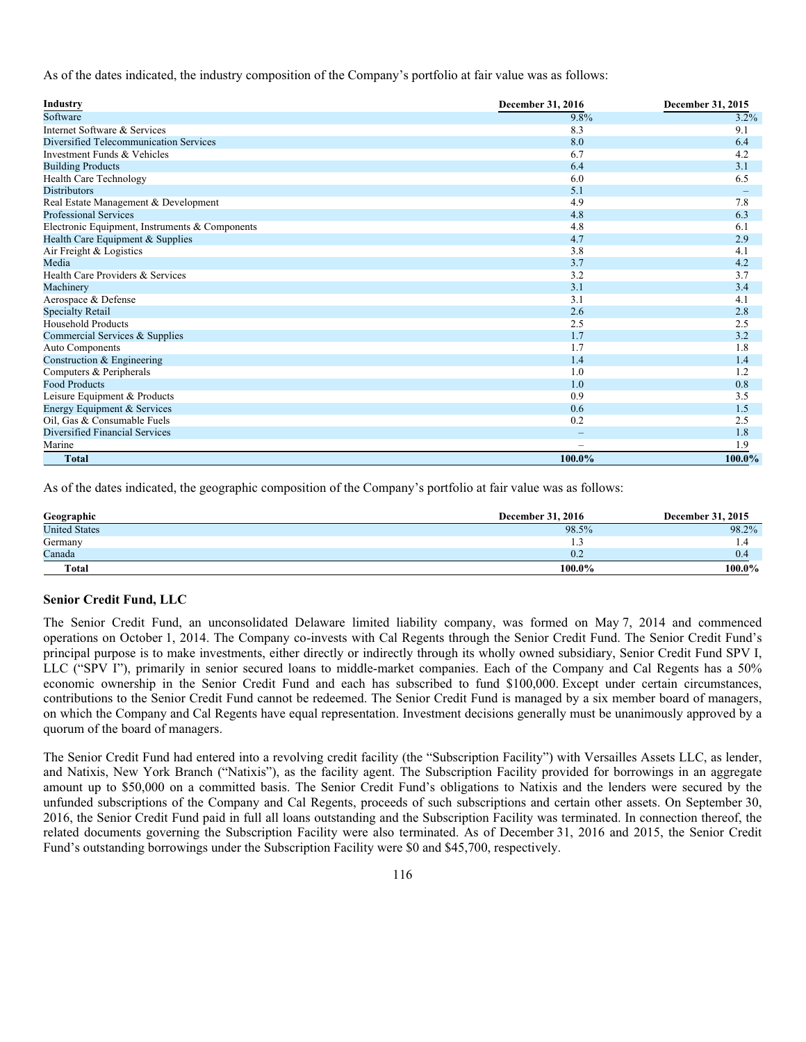As of the dates indicated, the industry composition of the Company's portfolio at fair value was as follows:

| Industry                                       | December 31, 2016 | December 31, 2015 |
|------------------------------------------------|-------------------|-------------------|
| Software                                       | 9.8%              | 3.2%              |
| Internet Software & Services                   | 8.3               | 9.1               |
| Diversified Telecommunication Services         | 8.0               | 6.4               |
| Investment Funds & Vehicles                    | 6.7               | 4.2               |
| <b>Building Products</b>                       | 6.4               | 3.1               |
| <b>Health Care Technology</b>                  | 6.0               | 6.5               |
| <b>Distributors</b>                            | 5.1               |                   |
| Real Estate Management & Development           | 4.9               | 7.8               |
| <b>Professional Services</b>                   | 4.8               | 6.3               |
| Electronic Equipment, Instruments & Components | 4.8               | 6.1               |
| Health Care Equipment & Supplies               | 4.7               | 2.9               |
| Air Freight & Logistics                        | 3.8               | 4.1               |
| Media                                          | 3.7               | 4.2               |
| Health Care Providers & Services               | 3.2               | 3.7               |
| Machinery                                      | 3.1               | 3.4               |
| Aerospace & Defense                            | 3.1               | 4.1               |
| <b>Specialty Retail</b>                        | 2.6               | 2.8               |
| Household Products                             | 2.5               | 2.5               |
| <b>Commercial Services &amp; Supplies</b>      | 1.7               | 3.2               |
| Auto Components                                | 1.7               | 1.8               |
| Construction & Engineering                     | 1.4               | 1.4               |
| Computers & Peripherals                        | 1.0               | 1.2               |
| <b>Food Products</b>                           | 1.0               | 0.8               |
| Leisure Equipment & Products                   | 0.9               | 3.5               |
| Energy Equipment & Services                    | 0.6               | 1.5               |
| Oil, Gas & Consumable Fuels                    | 0.2               | 2.5               |
| Diversified Financial Services                 |                   | 1.8               |
| Marine                                         |                   | 1.9               |
| <b>Total</b>                                   | 100.0%            | $100.0\%$         |

As of the dates indicated, the geographic composition of the Company's portfolio at fair value was as follows:

| Geographic           | <b>December 31, 2016</b> | December 31, 2015 |
|----------------------|--------------------------|-------------------|
| <b>United States</b> | 98.5%                    | 98.2%             |
| Germany              | ر. 1                     |                   |
| Canada               | 0.2                      | 0.4               |
| <b>Total</b>         | $100.0\%$                | 100.0%            |

#### **Senior Credit Fund, LLC**

The Senior Credit Fund, an unconsolidated Delaware limited liability company, was formed on May 7, 2014 and commenced operations on October 1, 2014. The Company co-invests with Cal Regents through the Senior Credit Fund. The Senior Credit Fund's principal purpose is to make investments, either directly or indirectly through its wholly owned subsidiary, Senior Credit Fund SPV I, LLC ("SPV I"), primarily in senior secured loans to middle-market companies. Each of the Company and Cal Regents has a 50% economic ownership in the Senior Credit Fund and each has subscribed to fund \$100,000. Except under certain circumstances, contributions to the Senior Credit Fund cannot be redeemed. The Senior Credit Fund is managed by a six member board of managers, on which the Company and Cal Regents have equal representation. Investment decisions generally must be unanimously approved by a quorum of the board of managers.

The Senior Credit Fund had entered into a revolving credit facility (the "Subscription Facility") with Versailles Assets LLC, as lender, and Natixis, New York Branch ("Natixis"), as the facility agent. The Subscription Facility provided for borrowings in an aggregate amount up to \$50,000 on a committed basis. The Senior Credit Fund's obligations to Natixis and the lenders were secured by the unfunded subscriptions of the Company and Cal Regents, proceeds of such subscriptions and certain other assets. On September 30, 2016, the Senior Credit Fund paid in full all loans outstanding and the Subscription Facility was terminated. In connection thereof, the related documents governing the Subscription Facility were also terminated. As of December 31, 2016 and 2015, the Senior Credit Fund's outstanding borrowings under the Subscription Facility were \$0 and \$45,700, respectively.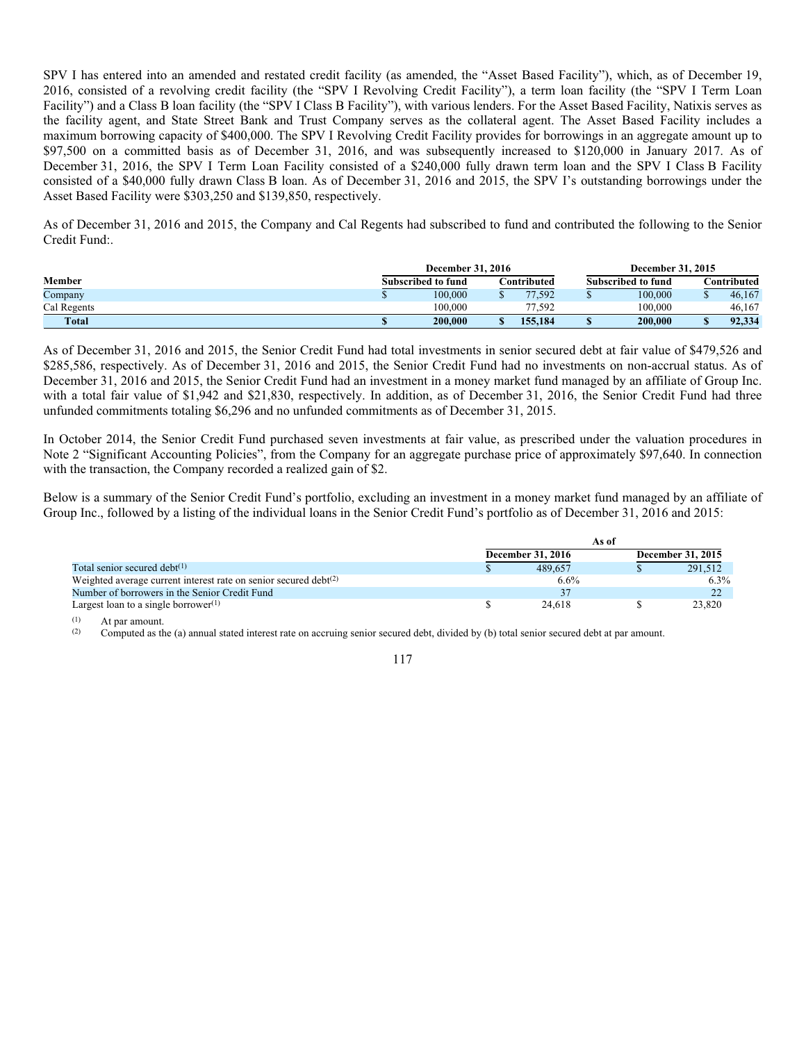SPV I has entered into an amended and restated credit facility (as amended, the "Asset Based Facility"), which, as of December 19, 2016, consisted of a revolving credit facility (the "SPV I Revolving Credit Facility"), a term loan facility (the "SPV I Term Loan Facility") and a Class B loan facility (the "SPV I Class B Facility"), with various lenders. For the Asset Based Facility, Natixis serves as the facility agent, and State Street Bank and Trust Company serves as the collateral agent. The Asset Based Facility includes a maximum borrowing capacity of \$400,000. The SPV I Revolving Credit Facility provides for borrowings in an aggregate amount up to \$97,500 on a committed basis as of December 31, 2016, and was subsequently increased to \$120,000 in January 2017. As of December 31, 2016, the SPV I Term Loan Facility consisted of a \$240,000 fully drawn term loan and the SPV I Class B Facility consisted of a \$40,000 fully drawn Class B loan. As of December 31, 2016 and 2015, the SPV I's outstanding borrowings under the Asset Based Facility were \$303,250 and \$139,850, respectively.

As of December 31, 2016 and 2015, the Company and Cal Regents had subscribed to fund and contributed the following to the Senior Credit Fund:.

|              |                           | <b>December 31, 2016</b> |             |                           |  |             |
|--------------|---------------------------|--------------------------|-------------|---------------------------|--|-------------|
| Member       | <b>Subscribed to fund</b> |                          | Contributed | <b>Subscribed to fund</b> |  | Contributed |
| Company      | 100,000                   |                          | 77.592      | 100,000                   |  | 46,167      |
| Cal Regents  | 100.000                   |                          | 77.592      | 100.000                   |  | 46.167      |
| <b>Total</b> | 200,000                   | 155.184                  |             | 200,000                   |  | 92.334      |

As of December 31, 2016 and 2015, the Senior Credit Fund had total investments in senior secured debt at fair value of \$479,526 and \$285,586, respectively. As of December 31, 2016 and 2015, the Senior Credit Fund had no investments on non-accrual status. As of December 31, 2016 and 2015, the Senior Credit Fund had an investment in a money market fund managed by an affiliate of Group Inc. with a total fair value of \$1,942 and \$21,830, respectively. In addition, as of December 31, 2016, the Senior Credit Fund had three unfunded commitments totaling \$6,296 and no unfunded commitments as of December 31, 2015.

In October 2014, the Senior Credit Fund purchased seven investments at fair value, as prescribed under the valuation procedures in Note 2 "Significant Accounting Policies", from the Company for an aggregate purchase price of approximately \$97,640. In connection with the transaction, the Company recorded a realized gain of \$2.

Below is a summary of the Senior Credit Fund's portfolio, excluding an investment in a money market fund managed by an affiliate of Group Inc., followed by a listing of the individual loans in the Senior Credit Fund's portfolio as of December 31, 2016 and 2015:

|                                                                       |                                                      |         | As of |         |  |
|-----------------------------------------------------------------------|------------------------------------------------------|---------|-------|---------|--|
|                                                                       | <b>December 31, 2015</b><br><b>December 31, 2016</b> |         |       |         |  |
| Total senior secured debt $(1)$                                       |                                                      | 489,657 |       | 291.512 |  |
| Weighted average current interest rate on senior secured $debt^{(2)}$ |                                                      | 6.6%    |       | $6.3\%$ |  |
| Number of borrowers in the Senior Credit Fund                         |                                                      | 37      |       |         |  |
| Largest loan to a single borrower $(1)$                               |                                                      | 24.618  |       | 23,820  |  |

(1) At par amount.<br>(2) Computed as the contract of  $\frac{1}{2}$ 

(2) Computed as the (a) annual stated interest rate on accruing senior secured debt, divided by (b) total senior secured debt at par amount.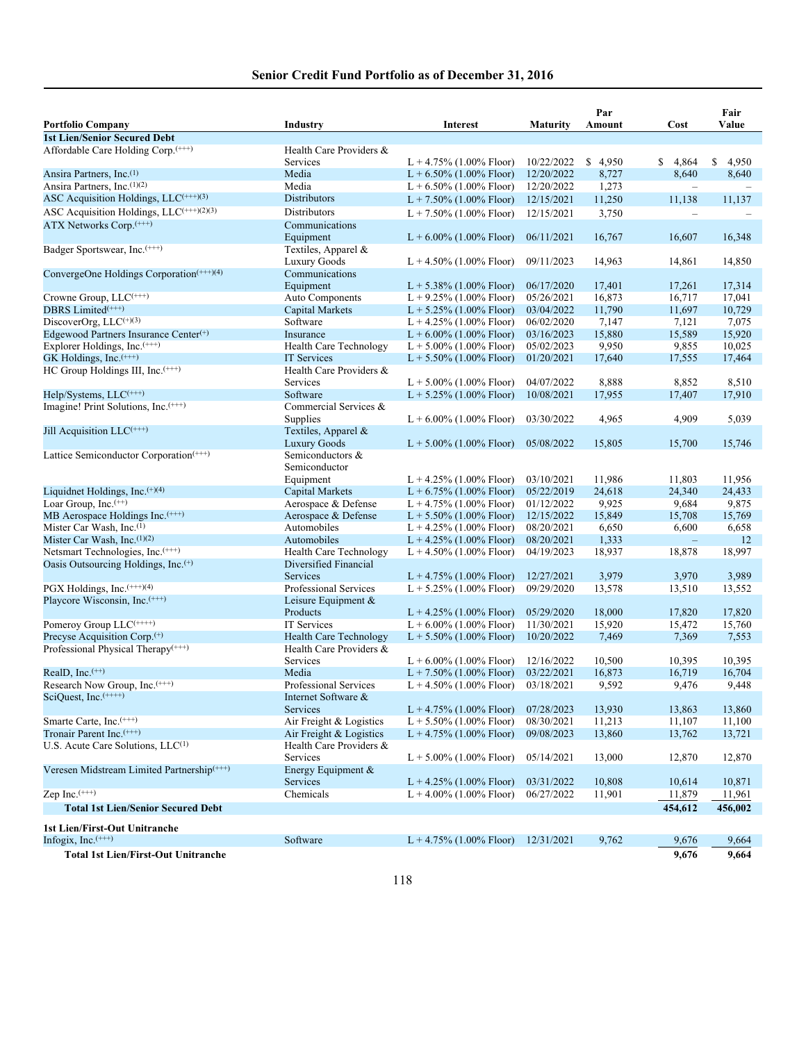# **Senior Credit Fund Portfolio as of December 31, 2016**

|                                                                |                                     |                                                          |                          | Par              |                  | Fair             |
|----------------------------------------------------------------|-------------------------------------|----------------------------------------------------------|--------------------------|------------------|------------------|------------------|
| <b>Portfolio Company</b>                                       | <b>Industry</b>                     | Interest                                                 | <b>Maturity</b>          | Amount           | Cost             | Value            |
| <b>1st Lien/Senior Secured Debt</b>                            |                                     |                                                          |                          |                  |                  |                  |
| Affordable Care Holding Corp.(+++)                             | Health Care Providers &             |                                                          |                          |                  |                  |                  |
|                                                                | Services                            | L + 4.75% $(1.00\%$ Floor)                               | 10/22/2022               | \$4,950          | 4,864<br>S.      | \$<br>4,950      |
| Ansira Partners, Inc.(1)<br>Ansira Partners, Inc.(1)(2)        | Media                               | L + $6.50\%$ (1.00% Floor)                               | 12/20/2022               | 8,727            | 8,640            | 8,640            |
|                                                                | Media                               | $L + 6.50\%$ (1.00% Floor)                               | 12/20/2022               | 1,273            | $\equiv$         |                  |
| ASC Acquisition Holdings, LLC <sup>(+++)(3)</sup>              | <b>Distributors</b>                 | L + 7.50% (1.00% Floor)                                  | 12/15/2021               | 11,250           | 11,138           | 11,137           |
| ASC Acquisition Holdings, LLC <sup>(+++)(2)(3)</sup>           | Distributors                        | $L + 7.50\%$ (1.00% Floor)                               | 12/15/2021               | 3,750            |                  |                  |
| ATX Networks Corp. <sup>(+++)</sup>                            | Communications                      |                                                          |                          |                  |                  |                  |
|                                                                | Equipment                           | $L + 6.00\%$ (1.00% Floor)                               | 06/11/2021               | 16,767           | 16,607           | 16,348           |
| Badger Sportswear, Inc. <sup>(+++)</sup>                       | Textiles, Apparel &                 |                                                          |                          |                  |                  |                  |
|                                                                | <b>Luxury Goods</b>                 | $L + 4.50\%$ (1.00% Floor)                               | 09/11/2023               | 14,963           | 14,861           | 14,850           |
| ConvergeOne Holdings Corporation $(***)(4)$                    | Communications                      |                                                          |                          |                  |                  |                  |
|                                                                | Equipment                           | $L + 5.38\%$ (1.00% Floor)                               | 06/17/2020               | 17,401           | 17,261           | 17,314           |
| Crowne Group, $LLC^{(+++)}$                                    | Auto Components                     | L + 9.25% (1.00% Floor)                                  | 05/26/2021               | 16,873           | 16,717           | 17,041           |
| DBRS Limited <sup>(+++)</sup>                                  | Capital Markets                     | $L + 5.25\%$ (1.00% Floor)                               | 03/04/2022               | 11,790           | 11,697           | 10,729           |
| DiscoverOrg, LLC <sup>(+)(3)</sup>                             | Software                            | $L + 4.25\%$ (1.00% Floor)                               | 06/02/2020               | 7,147            | 7,121            | 7,075            |
| Edgewood Partners Insurance Center <sup>(+)</sup>              | Insurance                           | $L + 6.00\%$ (1.00% Floor)                               | 03/16/2023               | 15,880           | 15,589           | 15,920           |
| Explorer Holdings, Inc. <sup>(+++)</sup>                       | Health Care Technology              | $L + 5.00\%$ (1.00% Floor)                               | 05/02/2023               | 9,950            | 9,855            | 10,025           |
| GK Holdings, Inc. (+++)                                        | IT Services                         | $L + 5.50\%$ (1.00% Floor)                               | 01/20/2021               | 17,640           | 17,555           | 17,464           |
| HC Group Holdings III, Inc.(+++)                               | Health Care Providers &             |                                                          |                          |                  |                  |                  |
|                                                                | Services                            | $L + 5.00\%$ (1.00% Floor)                               | 04/07/2022               | 8,888            | 8,852            | 8,510            |
| $Help/Systems, LLC$ <sup>(+++)</sup>                           | Software                            | L + 5.25% (1.00% Floor)                                  | 10/08/2021               | 17,955           | 17,407           | 17,910           |
| Imagine! Print Solutions, Inc. <sup>(+++)</sup>                | Commercial Services &               |                                                          |                          |                  |                  |                  |
|                                                                | Supplies                            | $L + 6.00\%$ (1.00% Floor)                               | 03/30/2022               | 4,965            | 4,909            | 5,039            |
| Jill Acquisition LLC <sup>(+++)</sup>                          | Textiles, Apparel &                 |                                                          |                          |                  |                  |                  |
|                                                                | <b>Luxury Goods</b>                 | $L + 5.00\%$ (1.00% Floor)                               | 05/08/2022               | 15,805           | 15,700           | 15,746           |
| Lattice Semiconductor Corporation <sup>(+++)</sup>             | Semiconductors &                    |                                                          |                          |                  |                  |                  |
|                                                                | Semiconductor                       |                                                          |                          |                  |                  |                  |
|                                                                | Equipment                           | $L + 4.25\%$ (1.00% Floor)                               | 03/10/2021               | 11,986           | 11,803           | 11,956           |
| Liquidnet Holdings, Inc. $(+)$ (4)                             | Capital Markets                     | $L + 6.75\%$ (1.00% Floor)                               | 05/22/2019               | 24,618           | 24,340           | 24,433           |
| Loar Group, Inc. <sup>(++)</sup>                               | Aerospace & Defense                 | $L + 4.75\%$ (1.00% Floor)                               | 01/12/2022               | 9,925            | 9,684            | 9,875            |
| MB Aerospace Holdings Inc.(+++)                                | Aerospace & Defense                 | $L + 5.50\%$ (1.00% Floor)                               | 12/15/2022               | 15,849           | 15,708           | 15,769           |
| Mister Car Wash, Inc. <sup>(1)</sup>                           | Automobiles                         | L + 4.25% $(1.00\%$ Floor)                               | 08/20/2021               | 6,650            | 6,600            | 6,658            |
| Mister Car Wash, Inc. $(1)(2)$                                 | Automobiles                         | $L + 4.25\%$ (1.00% Floor)                               | 08/20/2021               | 1,333            |                  | 12               |
| Netsmart Technologies, Inc. <sup>(+++)</sup>                   | Health Care Technology              | L + 4.50% (1.00% Floor)                                  | 04/19/2023               | 18,937           | 18,878           | 18,997           |
| Oasis Outsourcing Holdings, Inc.(+)                            | Diversified Financial               |                                                          |                          |                  |                  |                  |
|                                                                | Services                            | L + 4.75% (1.00% Floor)                                  | 12/27/2021               | 3,979            | 3,970            | 3,989            |
| PGX Holdings, Inc.(+++)(4)                                     | Professional Services               | $L + 5.25\%$ (1.00% Floor)                               | 09/29/2020               | 13,578           | 13,510           | 13,552           |
| Playcore Wisconsin, Inc. (+++)                                 | Leisure Equipment &                 |                                                          |                          |                  |                  |                  |
|                                                                | Products                            | $L + 4.25\%$ (1.00% Floor)                               | 05/29/2020               | 18,000           | 17,820           | 17,820           |
| Pomeroy Group LLC <sup>(++++)</sup>                            | IT Services                         | $L + 6.00\%$ (1.00% Floor)                               | 11/30/2021               | 15,920           | 15,472           | 15,760           |
| Precyse Acquisition Corp. <sup>(+)</sup>                       | <b>Health Care Technology</b>       | $L + 5.50\%$ (1.00% Floor)                               | 10/20/2022               | 7,469            | 7,369            | 7,553            |
| Professional Physical Therapy(+++)                             | Health Care Providers &<br>Services |                                                          |                          |                  |                  |                  |
|                                                                | Media                               | $L + 6.00\%$ (1.00% Floor)                               | 12/16/2022<br>03/22/2021 | 10,500           | 10,395           | 10,395           |
| RealD, Inc. $(+)$<br>Research Now Group, Inc. <sup>(+++)</sup> | <b>Professional Services</b>        | $L + 7.50\%$ (1.00% Floor)<br>$L + 4.50\%$ (1.00% Floor) |                          | 16,873<br>9,592  | 16,719           | 16,704           |
| SciQuest, Inc.(++++)                                           |                                     |                                                          | 03/18/2021               |                  | 9,476            | 9,448            |
|                                                                | Internet Software &                 |                                                          |                          |                  |                  |                  |
| Smarte Carte, Inc. <sup>(+++)</sup>                            | Services<br>Air Freight & Logistics | $L + 4.75\%$ (1.00% Floor)<br>$L + 5.50\%$ (1.00% Floor) | 07/28/2023<br>08/30/2021 | 13,930<br>11,213 | 13,863<br>11,107 | 13,860<br>11,100 |
| Tronair Parent Inc.(+++)                                       | Air Freight & Logistics             | $L + 4.75\%$ (1.00% Floor)                               | 09/08/2023               | 13,860           | 13,762           | 13,721           |
| U.S. Acute Care Solutions, $LLC^{(1)}$                         | Health Care Providers &             |                                                          |                          |                  |                  |                  |
|                                                                | Services                            | $L + 5.00\%$ (1.00% Floor)                               | 05/14/2021               | 13,000           | 12,870           | 12,870           |
| Veresen Midstream Limited Partnership(+++)                     | Energy Equipment &                  |                                                          |                          |                  |                  |                  |
|                                                                | Services                            | L + 4.25% (1.00% Floor)                                  | 03/31/2022               | 10,808           | 10,614           | 10,871           |
| Zep Inc. $(++)$                                                | Chemicals                           | $L + 4.00\%$ (1.00% Floor)                               | 06/27/2022               | 11,901           | 11,879           | 11,961           |
|                                                                |                                     |                                                          |                          |                  |                  |                  |
| <b>Total 1st Lien/Senior Secured Debt</b>                      |                                     |                                                          |                          |                  | 454,612          | 456,002          |
| <b>1st Lien/First-Out Unitranche</b>                           |                                     |                                                          |                          |                  |                  |                  |
| Infogix, Inc. $(++)$                                           | Software                            | L + 4.75% (1.00% Floor)                                  | 12/31/2021               | 9,762            | 9,676            | 9,664            |
| <b>Total 1st Lien/First-Out Unitranche</b>                     |                                     |                                                          |                          |                  | 9,676            | 9,664            |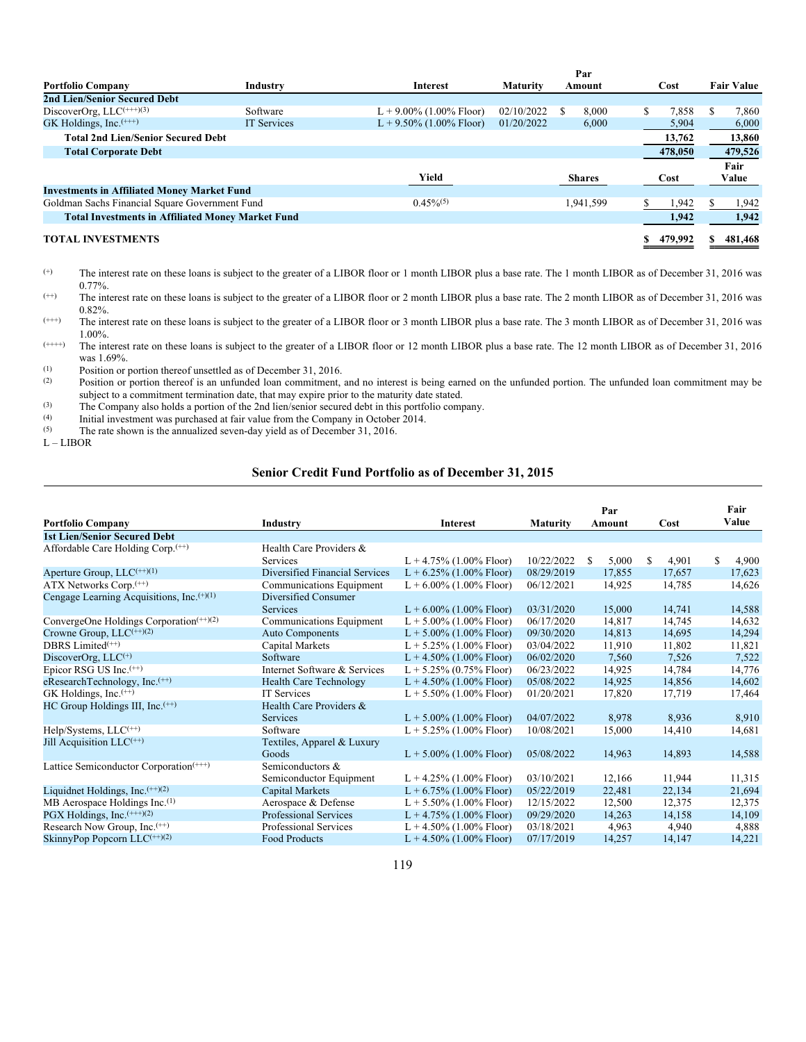|                                                          |                    |                            |                 | Par           |            |    |                   |
|----------------------------------------------------------|--------------------|----------------------------|-----------------|---------------|------------|----|-------------------|
| <b>Portfolio Company</b>                                 | Industry           | <b>Interest</b>            | <b>Maturity</b> | Amount        | Cost       |    | <b>Fair Value</b> |
| <b>2nd Lien/Senior Secured Debt</b>                      |                    |                            |                 |               |            |    |                   |
| DiscoverOrg, $LLC^{(++)(3)}$                             | Software           | $L + 9.00\%$ (1.00% Floor) | 02/10/2022      | 8,000<br>S.   | 7,858<br>S | S. | 7,860             |
| GK Holdings, Inc. $(***)$                                | <b>IT Services</b> | $L + 9.50\%$ (1.00% Floor) | 01/20/2022      | 6,000         | 5,904      |    | 6,000             |
| <b>Total 2nd Lien/Senior Secured Debt</b>                |                    |                            |                 |               | 13,762     |    | 13,860            |
| <b>Total Corporate Debt</b>                              |                    |                            |                 |               | 478,050    |    | 479,526           |
|                                                          |                    |                            |                 |               |            |    | Fair              |
|                                                          |                    | Yield                      |                 | <b>Shares</b> | Cost       |    | Value             |
| <b>Investments in Affiliated Money Market Fund</b>       |                    |                            |                 |               |            |    |                   |
| Goldman Sachs Financial Square Government Fund           |                    | $0.45\%^{(5)}$             |                 | 1.941.599     | 1,942      |    | 1,942             |
| <b>Total Investments in Affiliated Money Market Fund</b> |                    |                            |                 |               | 1,942      |    | 1,942             |
| <b>TOTAL INVESTMENTS</b>                                 |                    |                            |                 |               | 479,992    |    | 481.468           |

(+) The interest rate on these loans is subject to the greater of a LIBOR floor or 1 month LIBOR plus a base rate. The 1 month LIBOR as of December 31, 2016 was 0.77%.

(++) The interest rate on these loans is subject to the greater of a LIBOR floor or 2 month LIBOR plus a base rate. The 2 month LIBOR as of December 31, 2016 was 0.82%.

(+++) The interest rate on these loans is subject to the greater of a LIBOR floor or 3 month LIBOR plus a base rate. The 3 month LIBOR as of December 31, 2016 was 1.00%.

(++++) The interest rate on these loans is subject to the greater of a LIBOR floor or 12 month LIBOR plus a base rate. The 12 month LIBOR as of December 31, 2016 was 1.69%.

(1) Position or portion thereof unsettled as of December 31, 2016.<br>
Position or portion thereof is an unfunded loan commitment.

Position or portion thereof is an unfunded loan commitment, and no interest is being earned on the unfunded portion. The unfunded loan commitment may be subject to a commitment termination date, that may expire prior to the maturity date stated.

(3) The Company also holds a portion of the 2nd lien/senior secured debt in this portfolio company.<br>
(4) Initial investment was purchased at fair value from the Company in October 2014

(4) Initial investment was purchased at fair value from the Company in October 2014.<br>
The rate shown is the annualized seven-day vield as of December 31, 2016. The rate shown is the annualized seven-day yield as of December 31, 2016.

L – LIBOR

#### **Senior Credit Fund Portfolio as of December 31, 2015**

| <b>Portfolio Company</b>                                      | Industry                       | <b>Interest</b>            | Maturity   | Par<br>Amount | Cost        | Fair<br>Value |
|---------------------------------------------------------------|--------------------------------|----------------------------|------------|---------------|-------------|---------------|
| <b>1st Lien/Senior Secured Debt</b>                           |                                |                            |            |               |             |               |
| Affordable Care Holding Corp. $(+)$                           | Health Care Providers &        |                            |            |               |             |               |
|                                                               | Services                       | L + 4.75% $(1.00\%$ Floor) | 10/22/2022 | 5,000<br>-S   | S.<br>4.901 | \$<br>4,900   |
| Aperture Group, LLC <sup>(++)(1)</sup>                        | Diversified Financial Services | $L + 6.25\%$ (1.00% Floor) | 08/29/2019 | 17,855        | 17,657      | 17,623        |
| ATX Networks Corp. <sup>(++)</sup>                            | Communications Equipment       | $L + 6.00\%$ (1.00% Floor) | 06/12/2021 | 14,925        | 14,785      | 14,626        |
| Cengage Learning Acquisitions, Inc. $(+)$ (1)                 | Diversified Consumer           |                            |            |               |             |               |
|                                                               | Services                       | $L + 6.00\%$ (1.00% Floor) | 03/31/2020 | 15,000        | 14.741      | 14,588        |
| ConvergeOne Holdings Corporation $(+)$ (2)                    | Communications Equipment       | $L + 5.00\%$ (1.00% Floor) | 06/17/2020 | 14.817        | 14.745      | 14,632        |
| Crowne Group, $LLC^{(+)(2)}$                                  | <b>Auto Components</b>         | $L + 5.00\%$ (1.00% Floor) | 09/30/2020 | 14,813        | 14,695      | 14,294        |
| DBRS Limited <sup>(++)</sup>                                  | Capital Markets                | $L + 5.25\%$ (1.00% Floor) | 03/04/2022 | 11,910        | 11,802      | 11,821        |
| DiscoverOrg, LLC <sup>(+)</sup>                               | Software                       | L + 4.50% (1.00% Floor)    | 06/02/2020 | 7,560         | 7,526       | 7,522         |
| Epicor RSG US Inc. <sup>(++)</sup>                            | Internet Software & Services   | $L + 5.25\%$ (0.75% Floor) | 06/23/2022 | 14.925        | 14.784      | 14,776        |
| eResearchTechnology, Inc. $(++)$                              | <b>Health Care Technology</b>  | L + 4.50% (1.00% Floor)    | 05/08/2022 | 14,925        | 14,856      | 14,602        |
| GK Holdings, Inc. $(++)$                                      | <b>IT Services</b>             | $L + 5.50\%$ (1.00% Floor) | 01/20/2021 | 17,820        | 17,719      | 17,464        |
| HC Group Holdings III, Inc. $(+)$                             | Health Care Providers &        |                            |            |               |             |               |
|                                                               | Services                       | $L + 5.00\%$ (1.00% Floor) | 04/07/2022 | 8,978         | 8.936       | 8.910         |
| $Help/Systems, LLC^{(++)}$                                    | Software                       | $L + 5.25\%$ (1.00% Floor) | 10/08/2021 | 15,000        | 14,410      | 14,681        |
| Jill Acquisition LLC <sup>(++)</sup>                          | Textiles, Apparel & Luxury     |                            |            |               |             |               |
|                                                               | Goods                          | $L + 5.00\%$ (1.00% Floor) | 05/08/2022 | 14,963        | 14,893      | 14,588        |
| Lattice Semiconductor Corporation <sup>(+++)</sup>            | Semiconductors &               |                            |            |               |             |               |
|                                                               | Semiconductor Equipment        | $L + 4.25\%$ (1.00% Floor) | 03/10/2021 | 12,166        | 11.944      | 11,315        |
| Liquidnet Holdings, Inc. $(+)$ (2)                            | Capital Markets                | $L + 6.75\%$ (1.00% Floor) | 05/22/2019 | 22,481        | 22,134      | 21,694        |
| MB Aerospace Holdings Inc.(1)                                 | Aerospace & Defense            | $L + 5.50\%$ (1.00% Floor) | 12/15/2022 | 12,500        | 12,375      | 12,375        |
| PGX Holdings, Inc. $(++)$ (2)<br><b>Professional Services</b> |                                | $L + 4.75\%$ (1.00% Floor) | 09/29/2020 | 14,263        | 14,158      | 14,109        |
| Research Now Group, Inc. <sup>(++)</sup>                      | Professional Services          | $L + 4.50\%$ (1.00% Floor) | 03/18/2021 | 4.963         | 4.940       | 4,888         |
| SkinnyPop Popcorn $LLC^{(+)(2)}$                              | <b>Food Products</b>           | $L + 4.50\%$ (1.00% Floor) | 07/17/2019 | 14,257        | 14.147      | 14,221        |
|                                                               |                                |                            |            |               |             |               |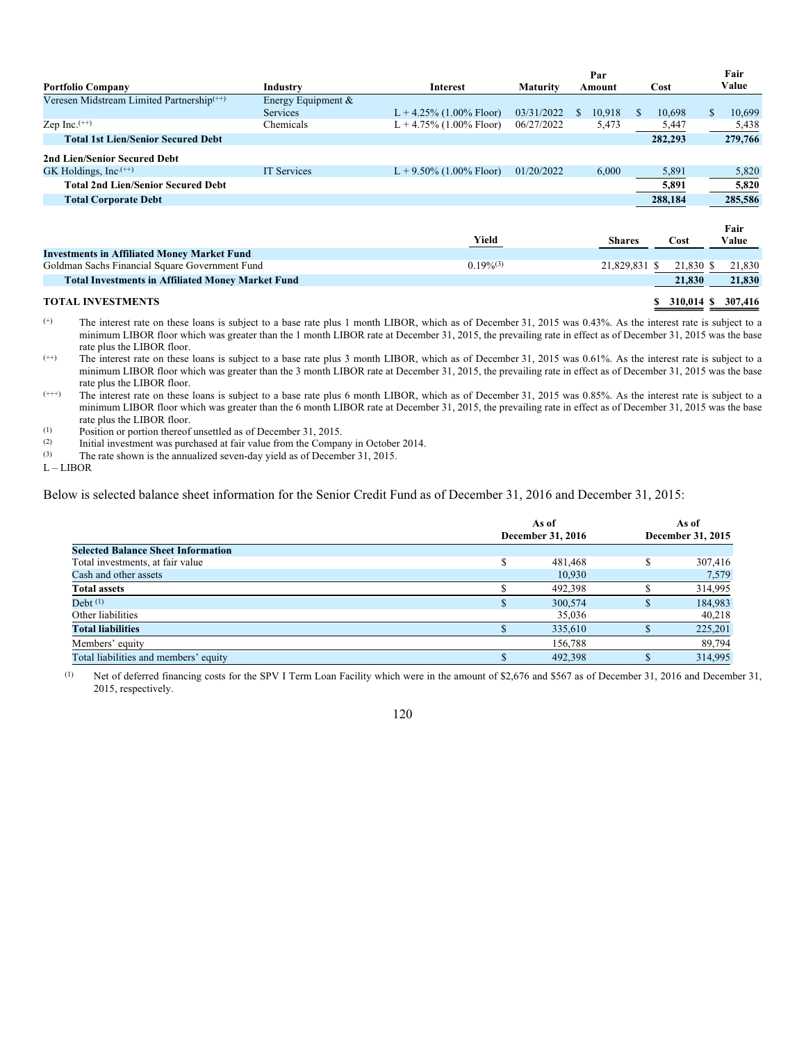|                                                          |                      |                            |                 | Par            |    |            | Fair         |
|----------------------------------------------------------|----------------------|----------------------------|-----------------|----------------|----|------------|--------------|
| <b>Portfolio Company</b>                                 | Industry             | Interest                   | <b>Maturity</b> | Amount         |    | Cost       | Value        |
| Veresen Midstream Limited Partnership <sup>(++)</sup>    | Energy Equipment $&$ |                            |                 |                |    |            |              |
|                                                          | <b>Services</b>      | $L + 4.25\%$ (1.00% Floor) | 03/31/2022      | 10,918<br>- \$ | S. | 10,698     | \$<br>10,699 |
| Zep Inc. $(+)$                                           | Chemicals            | L + 4.75% (1.00% Floor)    | 06/27/2022      | 5,473          |    | 5,447      | 5,438        |
| <b>Total 1st Lien/Senior Secured Debt</b>                |                      |                            |                 |                |    | 282,293    | 279,766      |
| 2nd Lien/Senior Secured Debt                             |                      |                            |                 |                |    |            |              |
| GK Holdings, Inc $(++)$                                  | <b>IT Services</b>   | $L + 9.50\%$ (1.00% Floor) | 01/20/2022      | 6,000          |    | 5,891      | 5,820        |
| <b>Total 2nd Lien/Senior Secured Debt</b>                |                      |                            |                 |                |    | 5,891      | 5,820        |
| <b>Total Corporate Debt</b>                              |                      |                            |                 |                |    | 288,184    | 285,586      |
|                                                          |                      |                            |                 |                |    |            |              |
|                                                          |                      |                            |                 |                |    |            | Fair         |
|                                                          |                      | Yield                      |                 | <b>Shares</b>  |    | Cost       | Value        |
| <b>Investments in Affiliated Money Market Fund</b>       |                      |                            |                 |                |    |            |              |
| Goldman Sachs Financial Square Government Fund           |                      | $0.19\%^{(3)}$             |                 | 21,829,831 \$  |    | 21,830 \$  | 21,830       |
| <b>Total Investments in Affiliated Money Market Fund</b> |                      |                            |                 |                |    | 21,830     | 21,830       |
| <b>TOTAL INVESTMENTS</b>                                 |                      |                            |                 |                |    | 310,014 \$ | 307,416      |

(+) The interest rate on these loans is subject to a base rate plus 1 month LIBOR, which as of December 31, 2015 was 0.43%. As the interest rate is subject to a minimum LIBOR floor which was greater than the 1 month LIBOR rate at December 31, 2015, the prevailing rate in effect as of December 31, 2015 was the base rate plus the LIBOR floor.

(++) The interest rate on these loans is subject to a base rate plus 3 month LIBOR, which as of December 31, 2015 was 0.61%. As the interest rate is subject to a minimum LIBOR floor which was greater than the 3 month LIBOR rate at December 31, 2015, the prevailing rate in effect as of December 31, 2015 was the base rate plus the LIBOR floor.

(+++) The interest rate on these loans is subject to a base rate plus 6 month LIBOR, which as of December 31, 2015 was 0.85%. As the interest rate is subject to a minimum LIBOR floor which was greater than the 6 month LIBOR rate at December 31, 2015, the prevailing rate in effect as of December 31, 2015 was the base rate plus the LIBOR floor.

(1) Position or portion thereof unsettled as of December 31, 2015.

(2) Initial investment was purchased at fair value from the Company in October 2014.<br>
The rate shown is the annualized seven-day vield as of December 31, 2015.

The rate shown is the annualized seven-day yield as of December 31, 2015.

L – LIBOR

Below is selected balance sheet information for the Senior Credit Fund as of December 31, 2016 and December 31, 2015:

|                                           | As of<br>December 31, 2016 |   | As of<br>December 31, 2015 |
|-------------------------------------------|----------------------------|---|----------------------------|
| <b>Selected Balance Sheet Information</b> |                            |   |                            |
| Total investments, at fair value          | 481,468                    |   | 307,416                    |
| Cash and other assets                     | 10,930                     |   | 7,579                      |
| <b>Total assets</b>                       | 492.398                    |   | 314,995                    |
| Debt(1)                                   | 300,574                    | m | 184,983                    |
| Other liabilities                         | 35,036                     |   | 40,218                     |
| <b>Total liabilities</b>                  | 335,610                    |   | 225,201                    |
| Members' equity                           | 156,788                    |   | 89,794                     |
| Total liabilities and members' equity     | 492,398                    |   | 314,995                    |

(1) Net of deferred financing costs for the SPV I Term Loan Facility which were in the amount of \$2,676 and \$567 as of December 31, 2016 and December 31, 2015, respectively.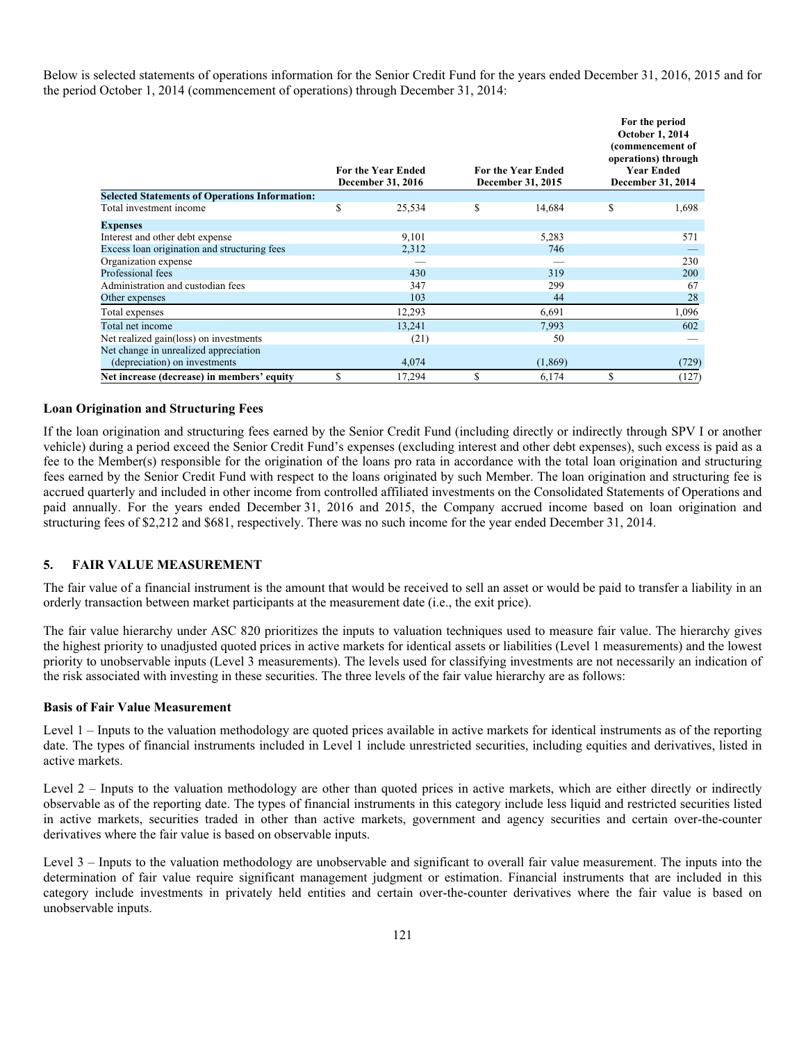Below is selected statements of operations information for the Senior Credit Fund for the years ended December 31, 2016, 2015 and for the period October 1, 2014 (commencement of operations) through December 31, 2014:

|                                                       | <b>For the Year Ended</b><br>December 31, 2016 | <b>For the Year Ended</b><br>December 31, 2015 | For the period<br><b>October 1, 2014</b><br>(commencement of<br>operations) through<br><b>Year Ended</b><br>December 31, 2014 |
|-------------------------------------------------------|------------------------------------------------|------------------------------------------------|-------------------------------------------------------------------------------------------------------------------------------|
| <b>Selected Statements of Operations Information:</b> |                                                |                                                |                                                                                                                               |
| Total investment income                               | \$<br>25,534                                   | \$<br>14,684                                   | \$<br>1,698                                                                                                                   |
| <b>Expenses</b>                                       |                                                |                                                |                                                                                                                               |
| Interest and other debt expense                       | 9,101                                          | 5,283                                          | 571                                                                                                                           |
| Excess loan origination and structuring fees          | 2,312                                          | 746                                            |                                                                                                                               |
| Organization expense                                  |                                                |                                                | 230                                                                                                                           |
| Professional fees                                     | 430                                            | 319                                            | 200                                                                                                                           |
| Administration and custodian fees                     | 347                                            | 299                                            | 67                                                                                                                            |
| Other expenses                                        | 103                                            | 44                                             | 28                                                                                                                            |
| Total expenses                                        | 12,293                                         | 6,691                                          | 1,096                                                                                                                         |
| Total net income                                      | 13,241                                         | 7,993                                          | 602                                                                                                                           |
| Net realized gain(loss) on investments                | (21)                                           | 50                                             |                                                                                                                               |
| Net change in unrealized appreciation                 |                                                |                                                |                                                                                                                               |
| (depreciation) on investments                         | 4,074                                          | (1, 869)                                       | (729)                                                                                                                         |
| Net increase (decrease) in members' equity            | 17,294                                         | \$<br>6,174                                    | \$<br>(127)                                                                                                                   |

#### **Loan Origination and Structuring Fees**

If the loan origination and structuring fees earned by the Senior Credit Fund (including directly or indirectly through SPV I or another vehicle) during a period exceed the Senior Credit Fund's expenses (excluding interest and other debt expenses), such excess is paid as a fee to the Member(s) responsible for the origination of the loans pro rata in accordance with the total loan origination and structuring fees earned by the Senior Credit Fund with respect to the loans originated by such Member. The loan origination and structuring fee is accrued quarterly and included in other income from controlled affiliated investments on the Consolidated Statements of Operations and paid annually. For the years ended December 31, 2016 and 2015, the Company accrued income based on loan origination and structuring fees of \$2,212 and \$681, respectively. There was no such income for the year ended December 31, 2014.

# **5. FAIR VALUE MEASUREMENT**

The fair value of a financial instrument is the amount that would be received to sell an asset or would be paid to transfer a liability in an orderly transaction between market participants at the measurement date (i.e., the exit price).

The fair value hierarchy under ASC 820 prioritizes the inputs to valuation techniques used to measure fair value. The hierarchy gives the highest priority to unadjusted quoted prices in active markets for identical assets or liabilities (Level 1 measurements) and the lowest priority to unobservable inputs (Level 3 measurements). The levels used for classifying investments are not necessarily an indication of the risk associated with investing in these securities. The three levels of the fair value hierarchy are as follows:

#### **Basis of Fair Value Measurement**

Level 1 – Inputs to the valuation methodology are quoted prices available in active markets for identical instruments as of the reporting date. The types of financial instruments included in Level 1 include unrestricted securities, including equities and derivatives, listed in active markets.

Level 2 – Inputs to the valuation methodology are other than quoted prices in active markets, which are either directly or indirectly observable as of the reporting date. The types of financial instruments in this category include less liquid and restricted securities listed in active markets, securities traded in other than active markets, government and agency securities and certain over-the-counter derivatives where the fair value is based on observable inputs.

Level 3 – Inputs to the valuation methodology are unobservable and significant to overall fair value measurement. The inputs into the determination of fair value require significant management judgment or estimation. Financial instruments that are included in this category include investments in privately held entities and certain over-the-counter derivatives where the fair value is based on unobservable inputs.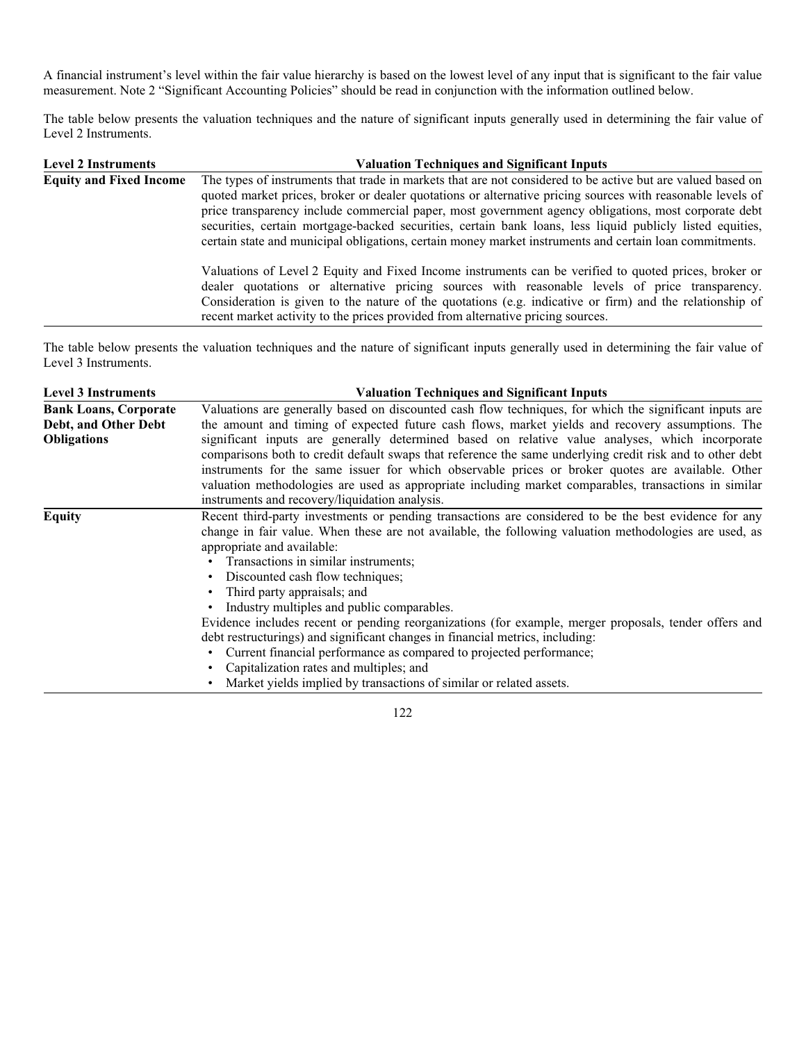A financial instrument's level within the fair value hierarchy is based on the lowest level of any input that is significant to the fair value measurement. Note 2 "Significant Accounting Policies" should be read in conjunction with the information outlined below.

The table below presents the valuation techniques and the nature of significant inputs generally used in determining the fair value of Level 2 Instruments.

| <b>Level 2 Instruments</b>     | <b>Valuation Techniques and Significant Inputs</b>                                                                                                                                                                                                                                                                                                                                                                                                                                                                                                        |
|--------------------------------|-----------------------------------------------------------------------------------------------------------------------------------------------------------------------------------------------------------------------------------------------------------------------------------------------------------------------------------------------------------------------------------------------------------------------------------------------------------------------------------------------------------------------------------------------------------|
| <b>Equity and Fixed Income</b> | The types of instruments that trade in markets that are not considered to be active but are valued based on<br>quoted market prices, broker or dealer quotations or alternative pricing sources with reasonable levels of<br>price transparency include commercial paper, most government agency obligations, most corporate debt<br>securities, certain mortgage-backed securities, certain bank loans, less liquid publicly listed equities,<br>certain state and municipal obligations, certain money market instruments and certain loan commitments. |
|                                | Valuations of Level 2 Equity and Fixed Income instruments can be verified to quoted prices, broker or<br>dealer quotations or alternative pricing sources with reasonable levels of price transparency.<br>Consideration is given to the nature of the quotations (e.g. indicative or firm) and the relationship of<br>recent market activity to the prices provided from alternative pricing sources.                                                                                                                                                    |

The table below presents the valuation techniques and the nature of significant inputs generally used in determining the fair value of Level 3 Instruments.

| <b>Level 3 Instruments</b>   | <b>Valuation Techniques and Significant Inputs</b>                                                                                                                                                                                                                                                                                                                                                                                                                           |
|------------------------------|------------------------------------------------------------------------------------------------------------------------------------------------------------------------------------------------------------------------------------------------------------------------------------------------------------------------------------------------------------------------------------------------------------------------------------------------------------------------------|
| <b>Bank Loans, Corporate</b> | Valuations are generally based on discounted cash flow techniques, for which the significant inputs are                                                                                                                                                                                                                                                                                                                                                                      |
| <b>Debt, and Other Debt</b>  | the amount and timing of expected future cash flows, market yields and recovery assumptions. The                                                                                                                                                                                                                                                                                                                                                                             |
| <b>Obligations</b>           | significant inputs are generally determined based on relative value analyses, which incorporate<br>comparisons both to credit default swaps that reference the same underlying credit risk and to other debt<br>instruments for the same issuer for which observable prices or broker quotes are available. Other<br>valuation methodologies are used as appropriate including market comparables, transactions in similar<br>instruments and recovery/liquidation analysis. |
| <b>Equity</b>                | Recent third-party investments or pending transactions are considered to be the best evidence for any<br>change in fair value. When these are not available, the following valuation methodologies are used, as                                                                                                                                                                                                                                                              |
|                              | appropriate and available:<br>Transactions in similar instruments;<br>Discounted cash flow techniques;                                                                                                                                                                                                                                                                                                                                                                       |
|                              | Third party appraisals; and<br>Industry multiples and public comparables.                                                                                                                                                                                                                                                                                                                                                                                                    |
|                              | Evidence includes recent or pending reorganizations (for example, merger proposals, tender offers and<br>debt restructurings) and significant changes in financial metrics, including:                                                                                                                                                                                                                                                                                       |
|                              | Current financial performance as compared to projected performance;<br>• Capitalization rates and multiples; and<br>Market yields implied by transactions of similar or related assets.                                                                                                                                                                                                                                                                                      |
|                              |                                                                                                                                                                                                                                                                                                                                                                                                                                                                              |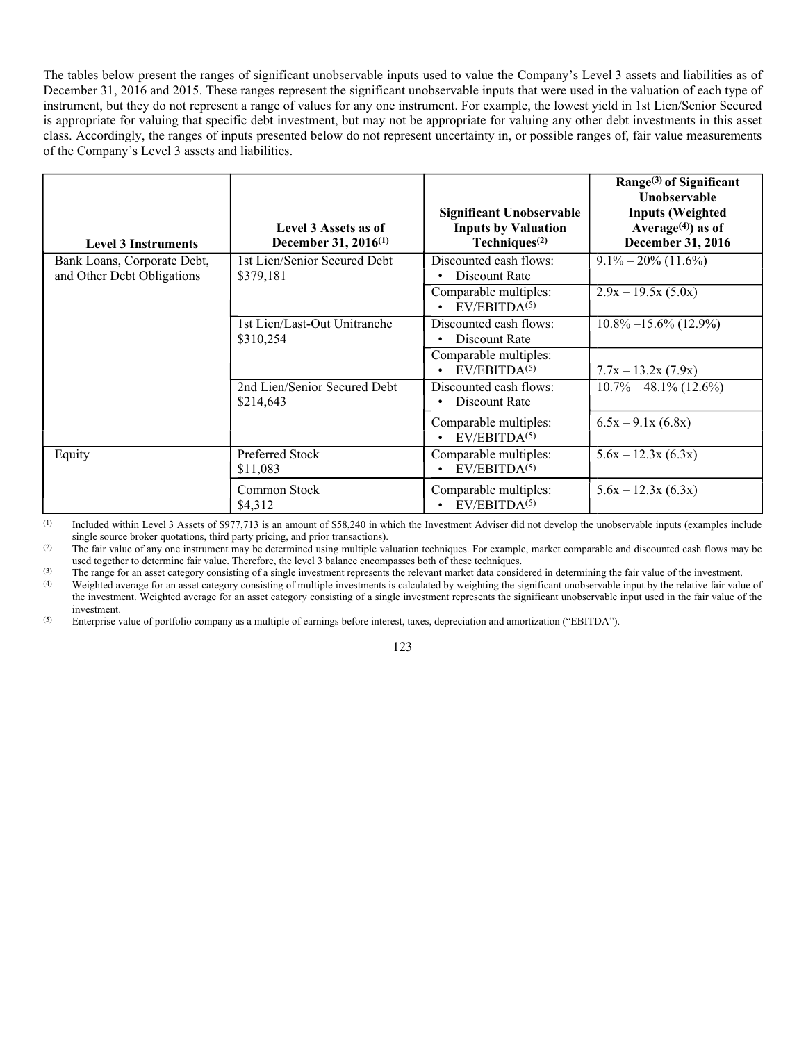The tables below present the ranges of significant unobservable inputs used to value the Company's Level 3 assets and liabilities as of December 31, 2016 and 2015. These ranges represent the significant unobservable inputs that were used in the valuation of each type of instrument, but they do not represent a range of values for any one instrument. For example, the lowest yield in 1st Lien/Senior Secured is appropriate for valuing that specific debt investment, but may not be appropriate for valuing any other debt investments in this asset class. Accordingly, the ranges of inputs presented below do not represent uncertainty in, or possible ranges of, fair value measurements of the Company's Level 3 assets and liabilities.

| <b>Level 3 Instruments</b>                                | Level 3 Assets as of<br>December 31, 2016 <sup>(1)</sup> | <b>Significant Unobservable</b><br><b>Inputs by Valuation</b><br>Techniques $(2)$ | Range $(3)$ of Significant<br>Unobservable<br><b>Inputs (Weighted</b><br>Average <sup>(4)</sup> ) as of<br>December 31, 2016 |
|-----------------------------------------------------------|----------------------------------------------------------|-----------------------------------------------------------------------------------|------------------------------------------------------------------------------------------------------------------------------|
| Bank Loans, Corporate Debt,<br>and Other Debt Obligations | 1st Lien/Senior Secured Debt<br>\$379,181                | Discounted cash flows:<br>Discount Rate                                           | $9.1\% - 20\%$ (11.6%)                                                                                                       |
|                                                           |                                                          | Comparable multiples:<br>EV/EBITDA <sup>(5)</sup><br>$\bullet$                    | $2.9x - 19.5x(5.0x)$                                                                                                         |
|                                                           | 1st Lien/Last-Out Unitranche<br>\$310,254                | Discounted cash flows:<br>Discount Rate                                           | $10.8\% - 15.6\%$ (12.9%)                                                                                                    |
|                                                           |                                                          | Comparable multiples:<br>EV/EBITDA <sup>(5)</sup><br>$\bullet$                    | $7.7x - 13.2x(7.9x)$                                                                                                         |
|                                                           | 2nd Lien/Senior Secured Debt<br>\$214,643                | Discounted cash flows:<br>Discount Rate                                           | $10.7\% - 48.1\%$ (12.6%)                                                                                                    |
|                                                           |                                                          | Comparable multiples:<br>EV/EBITDA <sup>(5)</sup>                                 | $6.5x - 9.1x(6.8x)$                                                                                                          |
| Equity                                                    | Preferred Stock<br>\$11,083                              | Comparable multiples:<br>EV/EBITDA <sup>(5)</sup>                                 | $5.6x - 12.3x(6.3x)$                                                                                                         |
|                                                           | Common Stock<br>\$4,312                                  | Comparable multiples:<br>EV/EBITDA <sup>(5)</sup>                                 | $5.6x - 12.3x(6.3x)$                                                                                                         |

(1) Included within Level 3 Assets of \$977,713 is an amount of \$58,240 in which the Investment Adviser did not develop the unobservable inputs (examples include single source broker quotations, third party pricing, and prior transactions).

(2) The fair value of any one instrument may be determined using multiple valuation techniques. For example, market comparable and discounted cash flows may be used together to determine fair value. Therefore, the level 3 balance encompasses both of these techniques.

(3) The range for an asset category consisting of a single investment represents the relevant market data considered in determining the fair value of the investment.<br>Weighted average for an asset category consisting of mul

Weighted average for an asset category consisting of multiple investments is calculated by weighting the significant unobservable input by the relative fair value of the investment. Weighted average for an asset category consisting of a single investment represents the significant unobservable input used in the fair value of the investment.

(5) Enterprise value of portfolio company as a multiple of earnings before interest, taxes, depreciation and amortization ("EBITDA").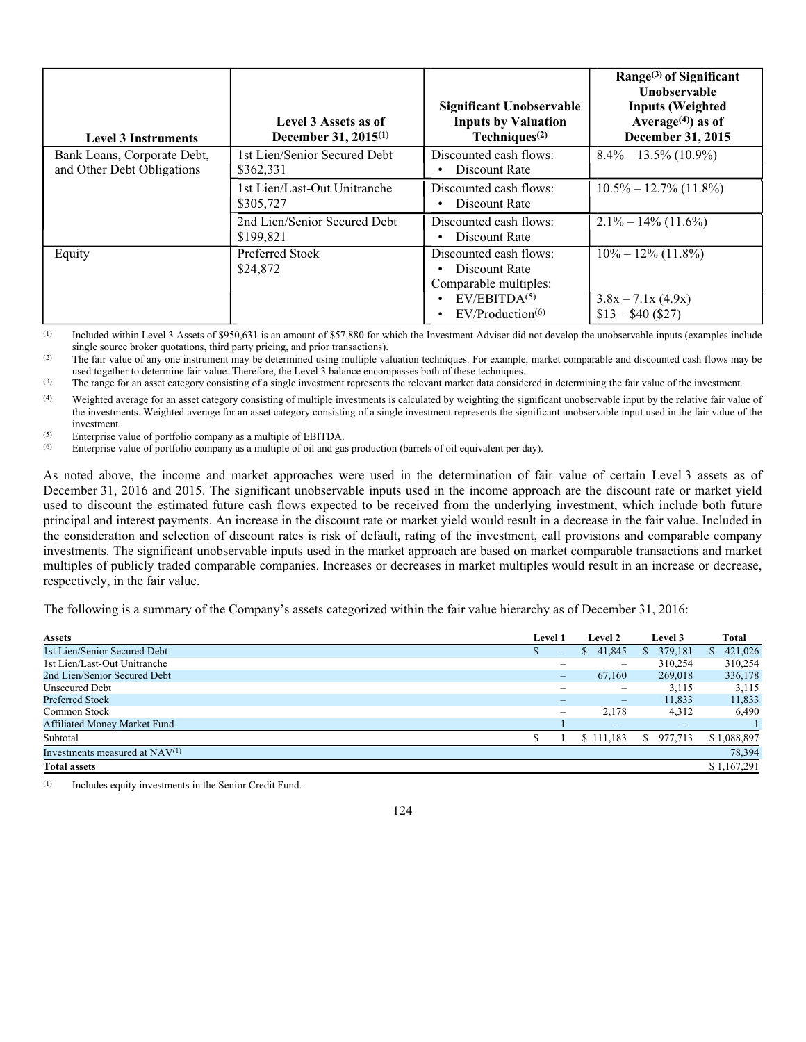| <b>Level 3 Instruments</b>                                | Level 3 Assets as of<br>December 31, $2015^{(1)}$ | Significant Unobservable<br><b>Inputs by Valuation</b><br>Techniques $(2)$                                                 | Range $(3)$ of Significant<br>Unobservable<br><b>Inputs (Weighted</b><br>Average <sup>(4)</sup> ) as of<br>December 31, 2015 |
|-----------------------------------------------------------|---------------------------------------------------|----------------------------------------------------------------------------------------------------------------------------|------------------------------------------------------------------------------------------------------------------------------|
| Bank Loans, Corporate Debt,<br>and Other Debt Obligations | 1st Lien/Senior Secured Debt<br>\$362,331         | Discounted cash flows:<br>Discount Rate                                                                                    | $8.4\% - 13.5\%$ (10.9%)                                                                                                     |
|                                                           | 1st Lien/Last-Out Unitranche<br>\$305,727         | Discounted cash flows:<br>Discount Rate                                                                                    | $10.5\% - 12.7\%$ (11.8%)                                                                                                    |
|                                                           | 2nd Lien/Senior Secured Debt<br>\$199,821         | Discounted cash flows:<br>Discount Rate                                                                                    | $2.1\% - 14\%$ (11.6%)                                                                                                       |
| Equity                                                    | Preferred Stock<br>\$24,872                       | Discounted cash flows:<br>Discount Rate<br>Comparable multiples:<br>EV/EBITDA <sup>(5)</sup><br>$EV/Production^{(6)}$<br>٠ | $10\% - 12\%$ (11.8%)<br>$3.8x - 7.1x(4.9x)$<br>$$13 - $40 ($27)$                                                            |

(1) Included within Level 3 Assets of \$950,631 is an amount of \$57,880 for which the Investment Adviser did not develop the unobservable inputs (examples include single source broker quotations, third party pricing, and prior transactions).

<sup>(2)</sup> The fair value of any one instrument may be determined using multiple valuation techniques. For example, market comparable and discounted cash flows may be used together to determine fair value. Therefore, the Level 3 balance encompasses both of these techniques.

(3) The range for an asset category consisting of a single investment represents the relevant market data considered in determining the fair value of the investment.

(4) Weighted average for an asset category consisting of multiple investments is calculated by weighting the significant unobservable input by the relative fair value of the investments. Weighted average for an asset category consisting of a single investment represents the significant unobservable input used in the fair value of the investment.

(5) Enterprise value of portfolio company as a multiple of EBITDA.<br>
Function company as a multiple of oil and ga

Enterprise value of portfolio company as a multiple of oil and gas production (barrels of oil equivalent per day).

As noted above, the income and market approaches were used in the determination of fair value of certain Level 3 assets as of December 31, 2016 and 2015. The significant unobservable inputs used in the income approach are the discount rate or market yield used to discount the estimated future cash flows expected to be received from the underlying investment, which include both future principal and interest payments. An increase in the discount rate or market yield would result in a decrease in the fair value. Included in the consideration and selection of discount rates is risk of default, rating of the investment, call provisions and comparable company investments. The significant unobservable inputs used in the market approach are based on market comparable transactions and market multiples of publicly traded comparable companies. Increases or decreases in market multiples would result in an increase or decrease, respectively, in the fair value.

The following is a summary of the Company's assets categorized within the fair value hierarchy as of December 31, 2016:

| <b>Assets</b>                       |   | <b>Level 1</b>                        | <b>Level 2</b>               |    | <b>Level 3</b>    | Total        |
|-------------------------------------|---|---------------------------------------|------------------------------|----|-------------------|--------------|
| 1st Lien/Senior Secured Debt        | D | $\qquad \qquad -$                     | 41,845<br>\$                 | S. | 379,181           | 421,026<br>S |
| 1st Lien/Last-Out Unitranche        |   | $\overline{\phantom{a}}$              | $\overline{\phantom{0}}$     |    | 310.254           | 310.254      |
| 2nd Lien/Senior Secured Debt        |   | $\qquad \qquad -$                     | 67.160                       |    | 269,018           | 336,178      |
| Unsecured Debt                      |   |                                       | $\overline{\phantom{0}}$     |    | 3,115             | 3,115        |
| <b>Preferred Stock</b>              |   | $\qquad \qquad -$                     | $\qquad \qquad \blacksquare$ |    | 11.833            | 11,833       |
| Common Stock                        |   | $\hspace{1.0cm} \rule{1.5cm}{0.15cm}$ | 2,178                        |    | 4,312             | 6,490        |
| <b>Affiliated Money Market Fund</b> |   |                                       | $\qquad \qquad -$            |    | $\qquad \qquad -$ |              |
| Subtotal                            |   |                                       | \$111.183                    | S. | 977,713           | \$1,088,897  |
| Investments measured at $NAV^{(1)}$ |   |                                       |                              |    |                   | 78,394       |
| <b>Total assets</b>                 |   |                                       |                              |    |                   | \$1,167,291  |

(1) Includes equity investments in the Senior Credit Fund.

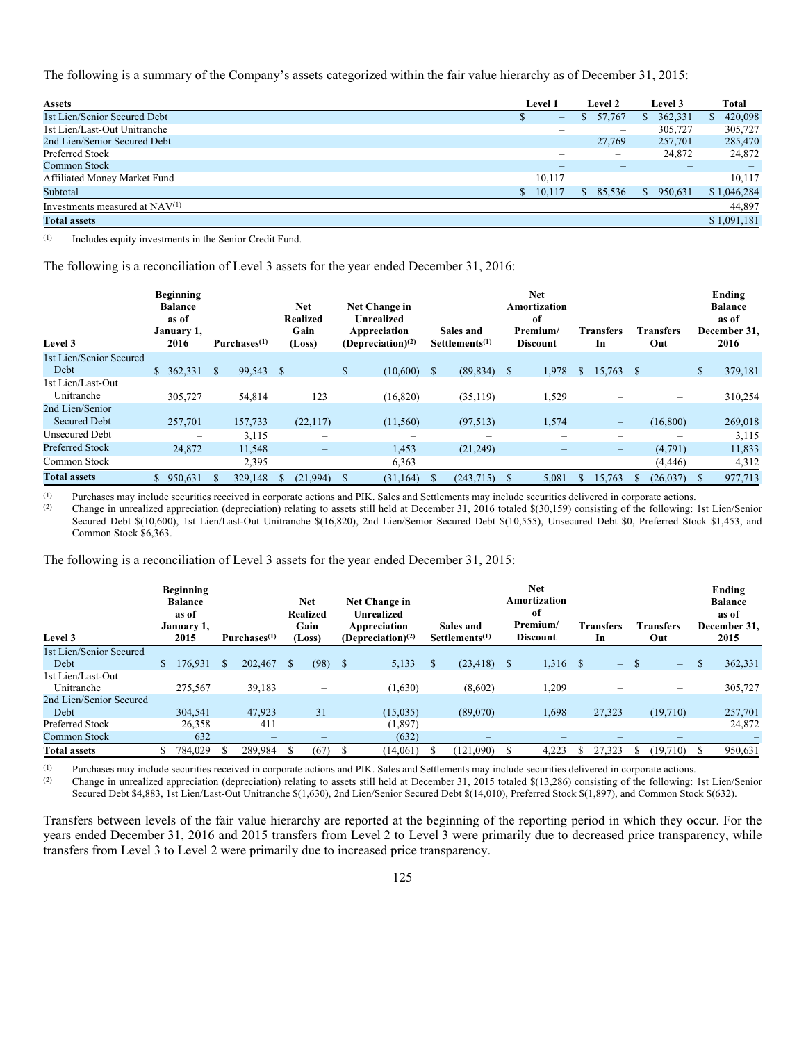The following is a summary of the Company's assets categorized within the fair value hierarchy as of December 31, 2015:

| <b>Assets</b>                       | <b>Level 1</b> |   | <b>Level 2</b>                                                            |    | Level 3                      |   | Total       |
|-------------------------------------|----------------|---|---------------------------------------------------------------------------|----|------------------------------|---|-------------|
| 1st Lien/Senior Secured Debt        | -              | S | 57,767                                                                    | S. | 362,331                      | э | 420,098     |
| 1st Lien/Last-Out Unitranche        | -              |   | $\qquad \qquad$                                                           |    | 305,727                      |   | 305,727     |
| 2nd Lien/Senior Secured Debt        | —              |   | 27,769                                                                    |    | 257,701                      |   | 285,470     |
| Preferred Stock                     |                |   | $\hspace{1.0cm} \rule{1.5cm}{0.15cm} \hspace{1.0cm} \rule{1.5cm}{0.15cm}$ |    | 24,872                       |   | 24,872      |
| Common Stock                        |                |   |                                                                           |    | $\qquad \qquad -$            |   |             |
| Affiliated Money Market Fund        | 10,117         |   | $\hspace{0.05cm}$                                                         |    | $\qquad \qquad \blacksquare$ |   | 10,117      |
| Subtotal                            | 10,117         |   | 85,536                                                                    |    | 950,631                      |   | \$1,046,284 |
| Investments measured at $NAV^{(1)}$ |                |   |                                                                           |    |                              |   | 44,897      |
| <b>Total assets</b>                 |                |   |                                                                           |    |                              |   | \$1,091,181 |

(1) Includes equity investments in the Senior Credit Fund.

The following is a reconciliation of Level 3 assets for the year ended December 31, 2016:

| Level 3                                |     | <b>Beginning</b><br><b>Balance</b><br>as of<br>January 1,<br>2016 |     | Purchases $(1)$ | Net<br><b>Realized</b><br>Gain<br>(Loss) |               | Net Change in<br>Unrealized<br>Appreciation<br>(Depreciation) $(2)$ | Sales and<br>$Set$ tlements <sup>(1)</sup> | <b>Net</b><br>Amortization<br>of<br>Premium/<br><b>Discount</b> | <b>Transfers</b><br>In | Transfers<br>Out  |               | Ending<br><b>Balance</b><br>as of<br>December 31.<br>2016 |
|----------------------------------------|-----|-------------------------------------------------------------------|-----|-----------------|------------------------------------------|---------------|---------------------------------------------------------------------|--------------------------------------------|-----------------------------------------------------------------|------------------------|-------------------|---------------|-----------------------------------------------------------|
| 1st Lien/Senior Secured<br>Debt        |     | \$362,331                                                         | \$. | 99,543 \$       | $\qquad \qquad -$                        | <sup>\$</sup> | $(10,600)$ \$                                                       | $(89, 834)$ \$                             | 1,978                                                           | \$<br>$15,763$ \$      |                   | <sup>\$</sup> | 379,181                                                   |
| 1st Lien/Last-Out<br>Unitranche        |     | 305,727                                                           |     | 54,814          | 123                                      |               | (16, 820)                                                           | (35, 119)                                  | 1,529                                                           |                        | $\qquad \qquad -$ |               | 310,254                                                   |
| 2nd Lien/Senior<br><b>Secured Debt</b> |     | 257,701                                                           |     | 157,733         | (22, 117)                                |               | (11, 560)                                                           | (97, 513)                                  | 1,574                                                           | $\qquad \qquad -$      | (16, 800)         |               | 269,018                                                   |
| Unsecured Debt                         |     | -                                                                 |     | 3,115           | $\overline{\phantom{m}}$                 |               | -                                                                   |                                            |                                                                 |                        | -                 |               | 3,115                                                     |
| <b>Preferred Stock</b>                 |     | 24,872                                                            |     | 11,548          | $\qquad \qquad -$                        |               | 1,453                                                               | (21,249)                                   | $\overline{\phantom{0}}$                                        | $\qquad \qquad -$      | (4,791)           |               | 11,833                                                    |
| Common Stock                           |     | $\overline{\phantom{0}}$                                          |     | 2,395           | $\qquad \qquad$                          |               | 6,363                                                               | $\overline{\phantom{a}}$                   | $\overline{\phantom{0}}$                                        | -                      | (4, 446)          |               | 4,312                                                     |
| <b>Total assets</b>                    | \$. | 950,631                                                           |     | 329,148         | (21,994)                                 | -S            | (31, 164)                                                           | (243, 715)                                 | 5,081                                                           | 15.763                 | (26, 037)         | <sup>\$</sup> | 977,713                                                   |

(1) Purchases may include securities received in corporate actions and PIK. Sales and Settlements may include securities delivered in corporate actions.

(2) Change in unrealized appreciation (depreciation) relating to assets still held at December 31, 2016 totaled \$(30,159) consisting of the following: 1st Lien/Senior Secured Debt \$(10,600), 1st Lien/Last-Out Unitranche \$(16,820), 2nd Lien/Senior Secured Debt \$(10,555), Unsecured Debt \$0, Preferred Stock \$1,453, and Common Stock \$6,363.

The following is a reconciliation of Level 3 assets for the year ended December 31, 2015:

| Level 3                 | <b>Beginning</b><br><b>Balance</b><br>as of<br>January 1,<br>2015 | Purchases $(1)$ | <b>Net</b><br>Realized<br>Gain<br>(Loss) |      | Net Change in<br><b>Unrealized</b><br>Appreciation<br>(Depreciation) $(2)$ |    | Sales and<br>$Set$ then ents <sup>(1)</sup>                               | <b>Net</b><br>Amortization<br>of<br>Premium/<br><b>Discount</b> | <b>Transfers</b><br>In | <b>Transfers</b><br>Out | Ending<br><b>Balance</b><br>as of<br>December 31,<br>2015 |
|-------------------------|-------------------------------------------------------------------|-----------------|------------------------------------------|------|----------------------------------------------------------------------------|----|---------------------------------------------------------------------------|-----------------------------------------------------------------|------------------------|-------------------------|-----------------------------------------------------------|
| 1st Lien/Senior Secured |                                                                   |                 |                                          |      |                                                                            |    |                                                                           |                                                                 |                        |                         |                                                           |
| Debt                    | \$<br>176,931                                                     | \$<br>202,467   | (98)                                     | - \$ | 5,133                                                                      | -S | (23, 418)                                                                 | 1,316 \$                                                        | $-$ \$                 |                         | \$<br>362,331                                             |
| 1st Lien/Last-Out       |                                                                   |                 |                                          |      |                                                                            |    |                                                                           |                                                                 |                        |                         |                                                           |
| Unitranche              | 275,567                                                           | 39,183          |                                          |      | (1,630)                                                                    |    | (8,602)                                                                   | 1,209                                                           |                        |                         | 305,727                                                   |
| 2nd Lien/Senior Secured |                                                                   |                 |                                          |      |                                                                            |    |                                                                           |                                                                 |                        |                         |                                                           |
| Debt                    | 304.541                                                           | 47.923          | 31                                       |      | (15.035)                                                                   |    | (89,070)                                                                  | 1,698                                                           | 27.323                 | (19,710)                | 257,701                                                   |
| Preferred Stock         | 26,358                                                            | 411             | $\overline{\phantom{0}}$                 |      | (1,897)                                                                    |    | $\overline{\phantom{a}}$                                                  | -                                                               |                        | -                       | 24,872                                                    |
| <b>Common Stock</b>     | 632                                                               | -               |                                          |      | (632)                                                                      |    | $\hspace{1.0cm} \rule{1.5cm}{0.15cm} \hspace{1.0cm} \rule{1.5cm}{0.15cm}$ |                                                                 |                        |                         |                                                           |
| <b>Total assets</b>     | 784,029                                                           | 289.984         | (67)                                     |      | (14,061)                                                                   |    | (121,090)                                                                 | 4.223                                                           | 27.323                 | (19,710)                | 950,631                                                   |

(1) Purchases may include securities received in corporate actions and PIK. Sales and Settlements may include securities delivered in corporate actions.<br>(2) Change in unrealized appreciation (depreciation) relating to asse

(2) Change in unrealized appreciation (depreciation) relating to assets still held at December 31, 2015 totaled \$(13,286) consisting of the following: 1st Lien/Senior Secured Debt \$4,883, 1st Lien/Last-Out Unitranche \$(1,630), 2nd Lien/Senior Secured Debt \$(14,010), Preferred Stock \$(1,897), and Common Stock \$(632).

Transfers between levels of the fair value hierarchy are reported at the beginning of the reporting period in which they occur. For the years ended December 31, 2016 and 2015 transfers from Level 2 to Level 3 were primarily due to decreased price transparency, while transfers from Level 3 to Level 2 were primarily due to increased price transparency.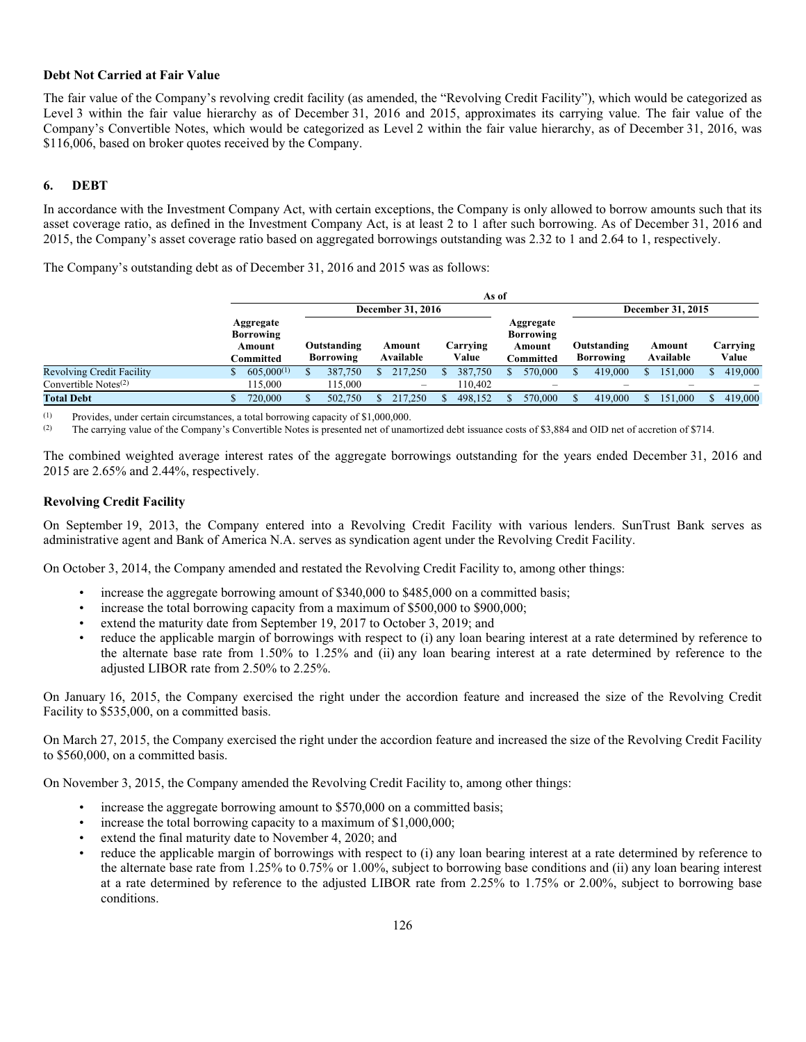# **Debt Not Carried at Fair Value**

The fair value of the Company's revolving credit facility (as amended, the "Revolving Credit Facility"), which would be categorized as Level 3 within the fair value hierarchy as of December 31, 2016 and 2015, approximates its carrying value. The fair value of the Company's Convertible Notes, which would be categorized as Level 2 within the fair value hierarchy, as of December 31, 2016, was \$116,006, based on broker quotes received by the Company.

# **6. DEBT**

In accordance with the Investment Company Act, with certain exceptions, the Company is only allowed to borrow amounts such that its asset coverage ratio, as defined in the Investment Company Act, is at least 2 to 1 after such borrowing. As of December 31, 2016 and 2015, the Company's asset coverage ratio based on aggregated borrowings outstanding was 2.32 to 1 and 2.64 to 1, respectively.

The Company's outstanding debt as of December 31, 2016 and 2015 was as follows:

|                                  |                                                      |                                 |                          | As of             |                                                      |                                 |                     |                   |  |  |
|----------------------------------|------------------------------------------------------|---------------------------------|--------------------------|-------------------|------------------------------------------------------|---------------------------------|---------------------|-------------------|--|--|
|                                  |                                                      |                                 | <b>December 31, 2016</b> |                   |                                                      | December 31, 2015               |                     |                   |  |  |
|                                  | Aggregate<br><b>Borrowing</b><br>Amount<br>Committed | Outstanding<br><b>Borrowing</b> | Amount<br>Available      | Carrying<br>Value | Aggregate<br><b>Borrowing</b><br>Amount<br>Committed | Outstanding<br><b>Borrowing</b> | Amount<br>Available | Carrying<br>Value |  |  |
| <b>Revolving Credit Facility</b> | $605,000^{(1)}$                                      | 387,750                         | 217,250                  | 387,750           | 570,000                                              | 419,000                         | 151,000             | 419,000           |  |  |
| Convertible Notes $(2)$          | 115.000                                              | 115,000                         | $\overline{\phantom{a}}$ | 110.402           | $\overline{\phantom{a}}$                             | -                               | -                   |                   |  |  |
| <b>Total Debt</b>                | 720,000                                              | 502,750                         | 217.250                  | 498.152           | 570,000                                              | 419,000                         | 151.000             | 419,000           |  |  |

(1) Provides, under certain circumstances, a total borrowing capacity of \$1,000,000.

(2) The carrying value of the Company's Convertible Notes is presented net of unamortized debt issuance costs of \$3,884 and OID net of accretion of \$714.

The combined weighted average interest rates of the aggregate borrowings outstanding for the years ended December 31, 2016 and 2015 are 2.65% and 2.44%, respectively.

### **Revolving Credit Facility**

On September 19, 2013, the Company entered into a Revolving Credit Facility with various lenders. SunTrust Bank serves as administrative agent and Bank of America N.A. serves as syndication agent under the Revolving Credit Facility.

On October 3, 2014, the Company amended and restated the Revolving Credit Facility to, among other things:

- increase the aggregate borrowing amount of \$340,000 to \$485,000 on a committed basis;
- increase the total borrowing capacity from a maximum of \$500,000 to \$900,000;
- extend the maturity date from September 19, 2017 to October 3, 2019; and
- reduce the applicable margin of borrowings with respect to (i) any loan bearing interest at a rate determined by reference to the alternate base rate from 1.50% to 1.25% and (ii) any loan bearing interest at a rate determined by reference to the adjusted LIBOR rate from 2.50% to 2.25%.

On January 16, 2015, the Company exercised the right under the accordion feature and increased the size of the Revolving Credit Facility to \$535,000, on a committed basis.

On March 27, 2015, the Company exercised the right under the accordion feature and increased the size of the Revolving Credit Facility to \$560,000, on a committed basis.

On November 3, 2015, the Company amended the Revolving Credit Facility to, among other things:

- increase the aggregate borrowing amount to \$570,000 on a committed basis;
- increase the total borrowing capacity to a maximum of \$1,000,000;
- extend the final maturity date to November 4, 2020; and
- reduce the applicable margin of borrowings with respect to (i) any loan bearing interest at a rate determined by reference to the alternate base rate from 1.25% to 0.75% or 1.00%, subject to borrowing base conditions and (ii) any loan bearing interest at a rate determined by reference to the adjusted LIBOR rate from 2.25% to 1.75% or 2.00%, subject to borrowing base conditions.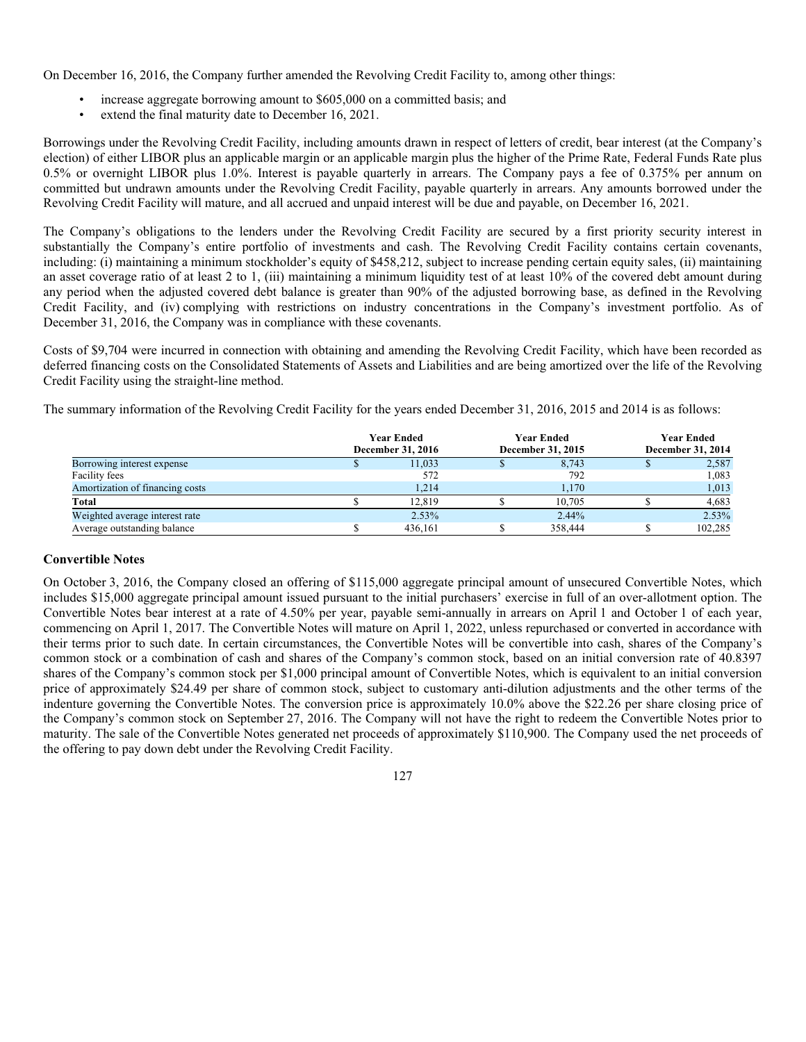On December 16, 2016, the Company further amended the Revolving Credit Facility to, among other things:

- increase aggregate borrowing amount to \$605,000 on a committed basis; and
- extend the final maturity date to December 16, 2021.

Borrowings under the Revolving Credit Facility, including amounts drawn in respect of letters of credit, bear interest (at the Company's election) of either LIBOR plus an applicable margin or an applicable margin plus the higher of the Prime Rate, Federal Funds Rate plus 0.5% or overnight LIBOR plus 1.0%. Interest is payable quarterly in arrears. The Company pays a fee of 0.375% per annum on committed but undrawn amounts under the Revolving Credit Facility, payable quarterly in arrears. Any amounts borrowed under the Revolving Credit Facility will mature, and all accrued and unpaid interest will be due and payable, on December 16, 2021.

The Company's obligations to the lenders under the Revolving Credit Facility are secured by a first priority security interest in substantially the Company's entire portfolio of investments and cash. The Revolving Credit Facility contains certain covenants, including: (i) maintaining a minimum stockholder's equity of \$458,212, subject to increase pending certain equity sales, (ii) maintaining an asset coverage ratio of at least 2 to 1, (iii) maintaining a minimum liquidity test of at least 10% of the covered debt amount during any period when the adjusted covered debt balance is greater than 90% of the adjusted borrowing base, as defined in the Revolving Credit Facility, and (iv) complying with restrictions on industry concentrations in the Company's investment portfolio. As of December 31, 2016, the Company was in compliance with these covenants.

Costs of \$9,704 were incurred in connection with obtaining and amending the Revolving Credit Facility, which have been recorded as deferred financing costs on the Consolidated Statements of Assets and Liabilities and are being amortized over the life of the Revolving Credit Facility using the straight-line method.

The summary information of the Revolving Credit Facility for the years ended December 31, 2016, 2015 and 2014 is as follows:

|                                 | <b>Year Ended</b><br>December 31, 2016 | <b>Year Ended</b><br>December 31, 2015 | <b>Year Ended</b><br>December 31, 2014 |
|---------------------------------|----------------------------------------|----------------------------------------|----------------------------------------|
| Borrowing interest expense      | 11,033                                 | 8,743                                  | 2,587                                  |
| <b>Facility</b> fees            | 572                                    | 792                                    | 1,083                                  |
| Amortization of financing costs | 1.214                                  | 1.170                                  | 1,013                                  |
| <b>Total</b>                    | 12.819                                 | 10.705                                 | 4,683                                  |
| Weighted average interest rate  | $2.53\%$                               | $2.44\%$                               | 2.53%                                  |
| Average outstanding balance     | 436.161                                | 358,444                                | 102.285                                |

### **Convertible Notes**

On October 3, 2016, the Company closed an offering of \$115,000 aggregate principal amount of unsecured Convertible Notes, which includes \$15,000 aggregate principal amount issued pursuant to the initial purchasers' exercise in full of an over-allotment option. The Convertible Notes bear interest at a rate of 4.50% per year, payable semi-annually in arrears on April 1 and October 1 of each year, commencing on April 1, 2017. The Convertible Notes will mature on April 1, 2022, unless repurchased or converted in accordance with their terms prior to such date. In certain circumstances, the Convertible Notes will be convertible into cash, shares of the Company's common stock or a combination of cash and shares of the Company's common stock, based on an initial conversion rate of 40.8397 shares of the Company's common stock per \$1,000 principal amount of Convertible Notes, which is equivalent to an initial conversion price of approximately \$24.49 per share of common stock, subject to customary anti-dilution adjustments and the other terms of the indenture governing the Convertible Notes. The conversion price is approximately 10.0% above the \$22.26 per share closing price of the Company's common stock on September 27, 2016. The Company will not have the right to redeem the Convertible Notes prior to maturity. The sale of the Convertible Notes generated net proceeds of approximately \$110,900. The Company used the net proceeds of the offering to pay down debt under the Revolving Credit Facility.

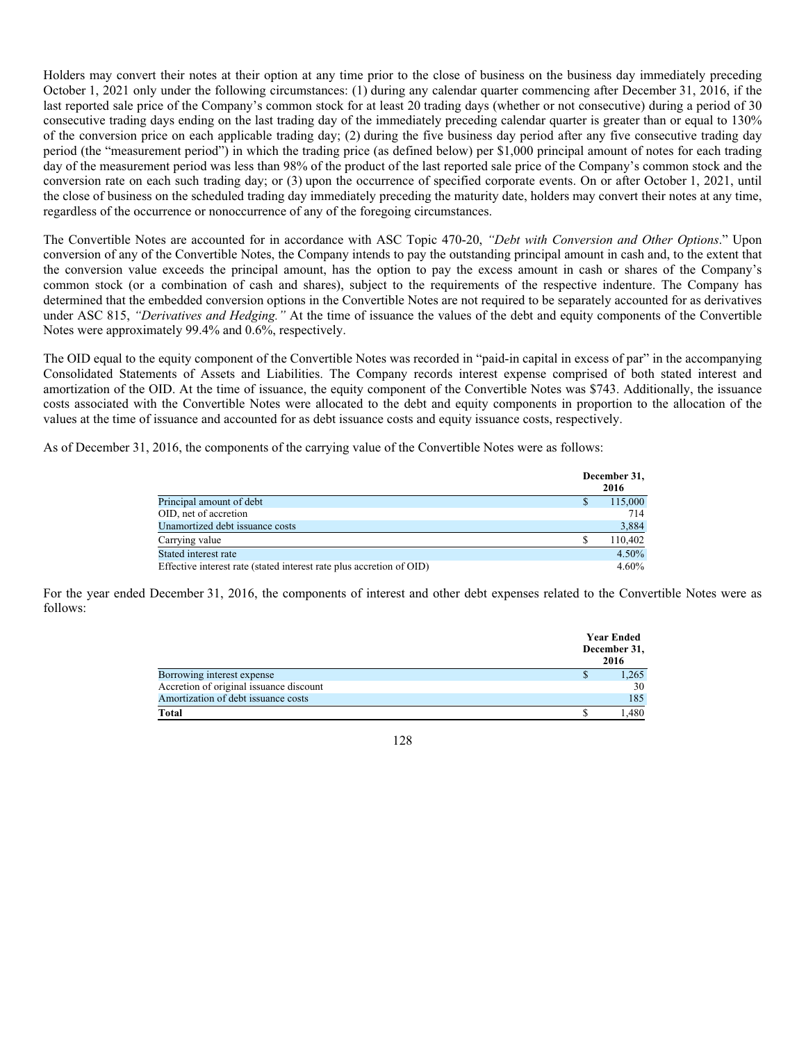Holders may convert their notes at their option at any time prior to the close of business on the business day immediately preceding October 1, 2021 only under the following circumstances: (1) during any calendar quarter commencing after December 31, 2016, if the last reported sale price of the Company's common stock for at least 20 trading days (whether or not consecutive) during a period of 30 consecutive trading days ending on the last trading day of the immediately preceding calendar quarter is greater than or equal to 130% of the conversion price on each applicable trading day; (2) during the five business day period after any five consecutive trading day period (the "measurement period") in which the trading price (as defined below) per \$1,000 principal amount of notes for each trading day of the measurement period was less than 98% of the product of the last reported sale price of the Company's common stock and the conversion rate on each such trading day; or (3) upon the occurrence of specified corporate events. On or after October 1, 2021, until the close of business on the scheduled trading day immediately preceding the maturity date, holders may convert their notes at any time, regardless of the occurrence or nonoccurrence of any of the foregoing circumstances.

The Convertible Notes are accounted for in accordance with ASC Topic 470-20, *"Debt with Conversion and Other Options*." Upon conversion of any of the Convertible Notes, the Company intends to pay the outstanding principal amount in cash and, to the extent that the conversion value exceeds the principal amount, has the option to pay the excess amount in cash or shares of the Company's common stock (or a combination of cash and shares), subject to the requirements of the respective indenture. The Company has determined that the embedded conversion options in the Convertible Notes are not required to be separately accounted for as derivatives under ASC 815, *"Derivatives and Hedging."* At the time of issuance the values of the debt and equity components of the Convertible Notes were approximately 99.4% and 0.6%, respectively.

The OID equal to the equity component of the Convertible Notes was recorded in "paid-in capital in excess of par" in the accompanying Consolidated Statements of Assets and Liabilities. The Company records interest expense comprised of both stated interest and amortization of the OID. At the time of issuance, the equity component of the Convertible Notes was \$743. Additionally, the issuance costs associated with the Convertible Notes were allocated to the debt and equity components in proportion to the allocation of the values at the time of issuance and accounted for as debt issuance costs and equity issuance costs, respectively.

As of December 31, 2016, the components of the carrying value of the Convertible Notes were as follows:

|                                                                      | December 31,<br>2016 |
|----------------------------------------------------------------------|----------------------|
| Principal amount of debt                                             | 115,000              |
| OID, net of accretion                                                | 714                  |
| Unamortized debt issuance costs                                      | 3,884                |
| Carrying value                                                       | 110.402              |
| Stated interest rate                                                 | $4.50\%$             |
| Effective interest rate (stated interest rate plus accretion of OID) | 4.60%                |

For the year ended December 31, 2016, the components of interest and other debt expenses related to the Convertible Notes were as follows:

|                                         | <b>Year Ended</b><br>December 31,<br>2016 |       |  |
|-----------------------------------------|-------------------------------------------|-------|--|
| Borrowing interest expense              |                                           | 1,265 |  |
| Accretion of original issuance discount |                                           | 30    |  |
| Amortization of debt issuance costs     |                                           | 185   |  |
| Total                                   |                                           | l.480 |  |

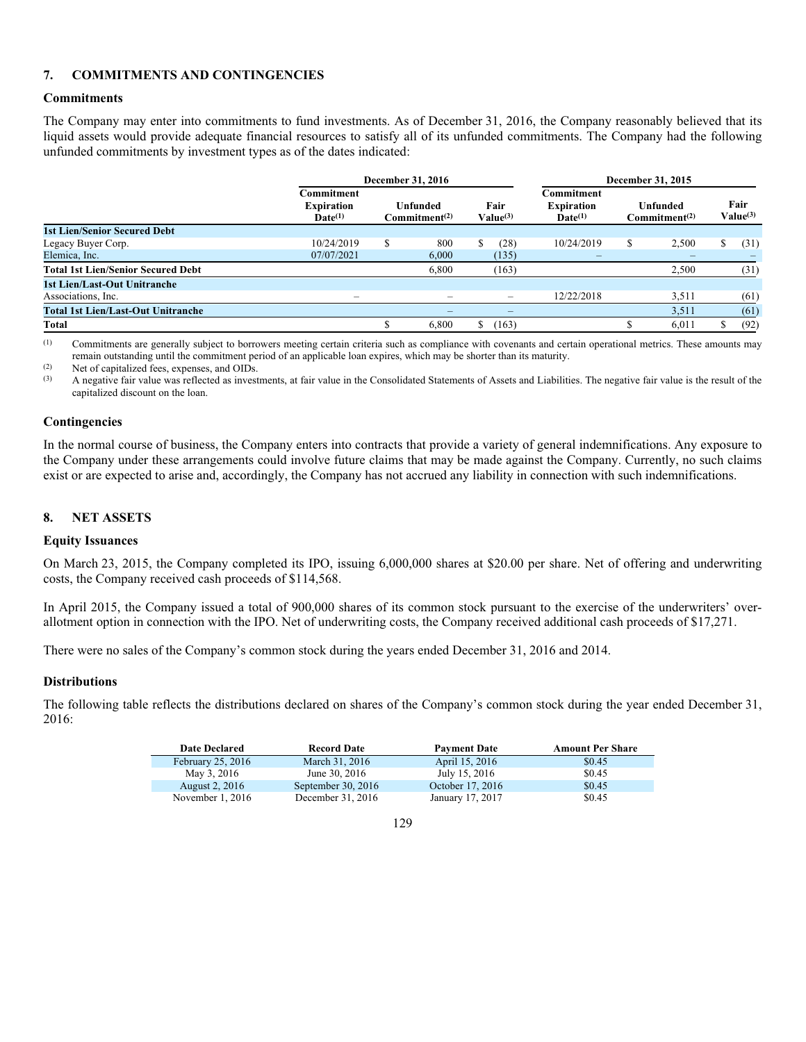# **7. COMMITMENTS AND CONTINGENCIES**

# **Commitments**

The Company may enter into commitments to fund investments. As of December 31, 2016, the Company reasonably believed that its liquid assets would provide adequate financial resources to satisfy all of its unfunded commitments. The Company had the following unfunded commitments by investment types as of the dates indicated:

|                                           | <b>December 31, 2016</b>                                 |                                                                       |                          |   |                                                          | December 31, 2015                     |   |       |                       |      |
|-------------------------------------------|----------------------------------------------------------|-----------------------------------------------------------------------|--------------------------|---|----------------------------------------------------------|---------------------------------------|---|-------|-----------------------|------|
|                                           | Commitment<br><b>Expiration</b><br>$\mathbf{Date}^{(1)}$ | Fair<br><b>Unfunded</b><br>$Value^{(3)}$<br>Commitment <sup>(2)</sup> |                          |   | Commitment<br><b>Expiration</b><br>$\mathbf{Date}^{(1)}$ | Unfunded<br>Commitment <sup>(2)</sup> |   |       | Fair<br>$Value^{(3)}$ |      |
| <b>1st Lien/Senior Secured Debt</b>       |                                                          |                                                                       |                          |   |                                                          |                                       |   |       |                       |      |
| Legacy Buyer Corp.                        | 10/24/2019                                               | \$                                                                    | 800                      |   | (28)                                                     | 10/24/2019                            | S | 2,500 | \$                    | (31) |
| Elemica, Inc.                             | 07/07/2021                                               |                                                                       | 6,000                    |   | (135)                                                    |                                       |   |       |                       |      |
| <b>Total 1st Lien/Senior Secured Debt</b> |                                                          |                                                                       | 6.800                    |   | (163)                                                    |                                       |   | 2.500 |                       | (31) |
| 1st Lien/Last-Out Unitranche              |                                                          |                                                                       |                          |   |                                                          |                                       |   |       |                       |      |
| Associations, Inc.                        | $\overline{\phantom{a}}$                                 |                                                                       | $\overline{\phantom{0}}$ |   | -                                                        | 12/22/2018                            |   | 3.511 |                       | (61) |
| <b>Total 1st Lien/Last-Out Unitranche</b> |                                                          |                                                                       | -                        |   | -                                                        |                                       |   | 3,511 |                       | (61) |
| Total                                     |                                                          |                                                                       | 6.800                    | S | (163)                                                    |                                       |   | 6.011 |                       | (92) |

(1) Commitments are generally subject to borrowers meeting certain criteria such as compliance with covenants and certain operational metrics. These amounts may remain outstanding until the commitment period of an applicable loan expires, which may be shorter than its maturity.

(2) Net of capitalized fees, expenses, and OIDs.<br>(3) A negative fair value was reflected as invested

(3) A negative fair value was reflected as investments, at fair value in the Consolidated Statements of Assets and Liabilities. The negative fair value is the result of the capitalized discount on the loan.

### **Contingencies**

In the normal course of business, the Company enters into contracts that provide a variety of general indemnifications. Any exposure to the Company under these arrangements could involve future claims that may be made against the Company. Currently, no such claims exist or are expected to arise and, accordingly, the Company has not accrued any liability in connection with such indemnifications.

# **8. NET ASSETS**

# **Equity Issuances**

On March 23, 2015, the Company completed its IPO, issuing 6,000,000 shares at \$20.00 per share. Net of offering and underwriting costs, the Company received cash proceeds of \$114,568.

In April 2015, the Company issued a total of 900,000 shares of its common stock pursuant to the exercise of the underwriters' overallotment option in connection with the IPO. Net of underwriting costs, the Company received additional cash proceeds of \$17,271.

There were no sales of the Company's common stock during the years ended December 31, 2016 and 2014.

# **Distributions**

The following table reflects the distributions declared on shares of the Company's common stock during the year ended December 31, 2016:

| <b>Date Declared</b>  | <b>Record Date</b>   | <b>Payment Date</b> | <b>Amount Per Share</b> |
|-----------------------|----------------------|---------------------|-------------------------|
| February $25, 2016$   | March 31, 2016       | April 15, 2016      | \$0.45                  |
| May 3, 2016           | June 30, 2016        | July 15, 2016       | \$0.45                  |
| <b>August 2, 2016</b> | September 30, $2016$ | October 17, 2016    | \$0.45                  |
| November $1, 2016$    | December 31, 2016    | January 17, 2017    | \$0.45                  |

<sup>129</sup>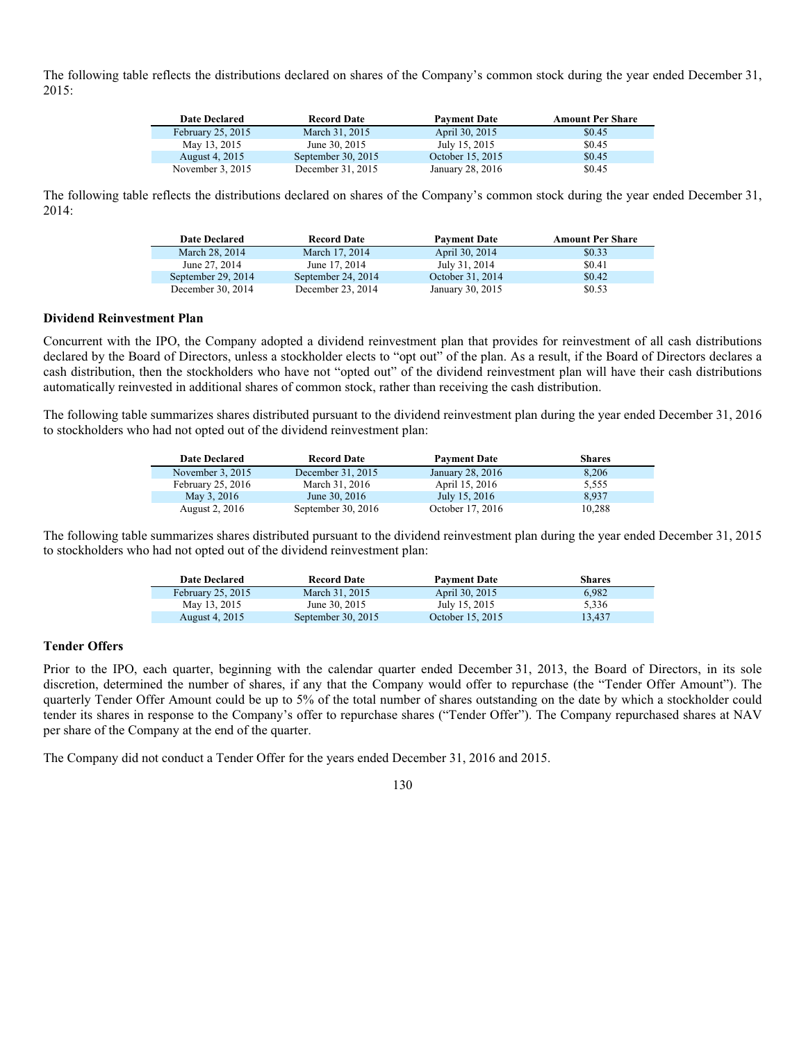The following table reflects the distributions declared on shares of the Company's common stock during the year ended December 31, 2015:

| <b>Date Declared</b> | <b>Record Date</b> | <b>Payment Date</b> | <b>Amount Per Share</b> |
|----------------------|--------------------|---------------------|-------------------------|
| February 25, 2015    | March 31, 2015     | April 30, 2015      | \$0.45                  |
| May 13, 2015         | June 30, 2015      | July 15, 2015       | \$0.45                  |
| August 4, 2015       | September 30, 2015 | October 15, 2015    | \$0.45                  |
| November $3, 2015$   | December 31, 2015  | January 28, 2016    | \$0.45                  |

The following table reflects the distributions declared on shares of the Company's common stock during the year ended December 31, 2014:

| <b>Date Declared</b> | <b>Record Date</b> | <b>Payment Date</b> | <b>Amount Per Share</b> |
|----------------------|--------------------|---------------------|-------------------------|
| March 28, 2014       | March 17, 2014     | April 30, 2014      | \$0.33                  |
| June 27, 2014        | June 17, 2014      | July 31, 2014       | \$0.41                  |
| September 29, 2014   | September 24, 2014 | October 31, 2014    | \$0.42                  |
| December 30, 2014    | December 23, 2014  | January 30, 2015    | \$0.53                  |

## **Dividend Reinvestment Plan**

Concurrent with the IPO, the Company adopted a dividend reinvestment plan that provides for reinvestment of all cash distributions declared by the Board of Directors, unless a stockholder elects to "opt out" of the plan. As a result, if the Board of Directors declares a cash distribution, then the stockholders who have not "opted out" of the dividend reinvestment plan will have their cash distributions automatically reinvested in additional shares of common stock, rather than receiving the cash distribution.

The following table summarizes shares distributed pursuant to the dividend reinvestment plan during the year ended December 31, 2016 to stockholders who had not opted out of the dividend reinvestment plan:

| <b>Date Declared</b> | <b>Record Date</b>   | <b>Payment Date</b> | <b>Shares</b> |
|----------------------|----------------------|---------------------|---------------|
| November $3, 2015$   | December 31, 2015    | January 28, 2016    | 8.206         |
| February 25, 2016    | March 31, 2016       | April 15, 2016      | 5,555         |
| May 3, 2016          | June 30, 2016        | July 15, 2016       | 8.937         |
| August 2, 2016       | September 30, $2016$ | October 17, 2016    | 10,288        |

The following table summarizes shares distributed pursuant to the dividend reinvestment plan during the year ended December 31, 2015 to stockholders who had not opted out of the dividend reinvestment plan:

| <b>Date Declared</b> | <b>Record Date</b>   | <b>Payment Date</b> | <b>Shares</b> |
|----------------------|----------------------|---------------------|---------------|
| February 25, 2015    | March 31, 2015       | April 30, 2015      | 6.982         |
| May 13, 2015         | June 30, 2015        | July 15, 2015       | 5.336         |
| August 4, 2015       | September 30, $2015$ | October 15, 2015    | 13.437        |

# **Tender Offers**

Prior to the IPO, each quarter, beginning with the calendar quarter ended December 31, 2013, the Board of Directors, in its sole discretion, determined the number of shares, if any that the Company would offer to repurchase (the "Tender Offer Amount"). The quarterly Tender Offer Amount could be up to 5% of the total number of shares outstanding on the date by which a stockholder could tender its shares in response to the Company's offer to repurchase shares ("Tender Offer"). The Company repurchased shares at NAV per share of the Company at the end of the quarter.

The Company did not conduct a Tender Offer for the years ended December 31, 2016 and 2015.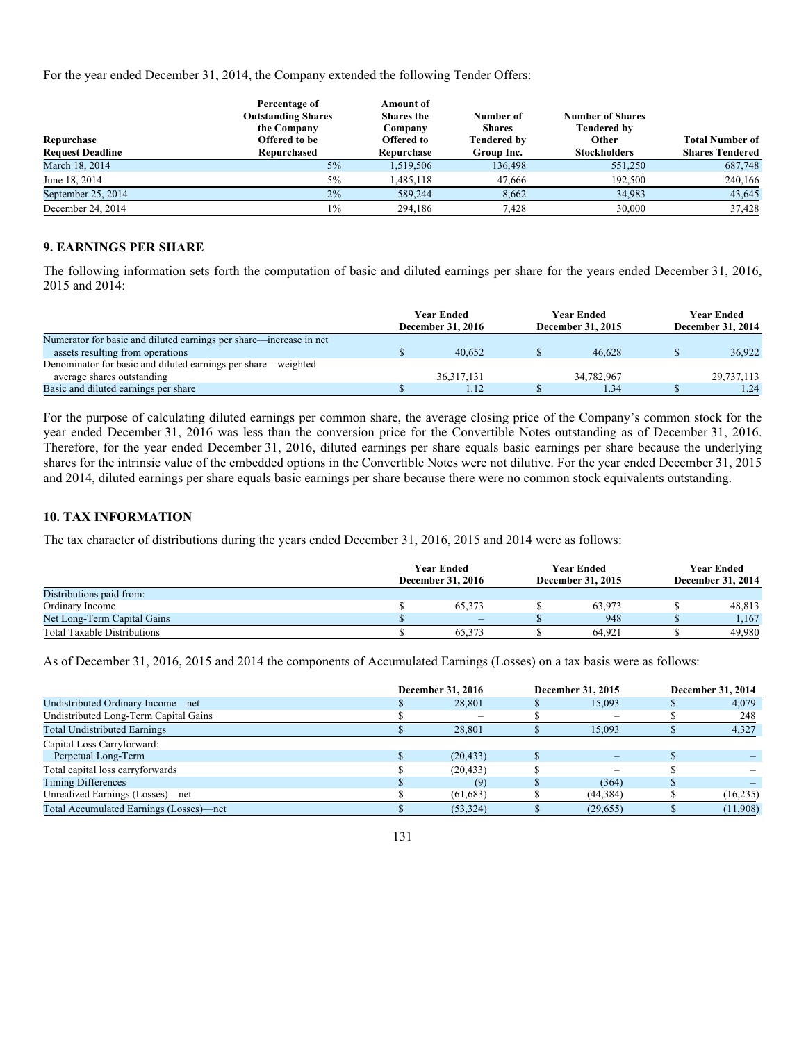For the year ended December 31, 2014, the Company extended the following Tender Offers:

| Repurchase              | Percentage of<br><b>Outstanding Shares</b><br>the Company<br>Offered to be | <b>Amount of</b><br><b>Shares</b> the<br>Company<br><b>Offered to</b> | Number of<br><b>Shares</b><br><b>Tendered by</b> | <b>Number of Shares</b><br><b>Tendered by</b><br>Other<br><b>Stockholders</b> | <b>Total Number of</b><br><b>Shares Tendered</b> |
|-------------------------|----------------------------------------------------------------------------|-----------------------------------------------------------------------|--------------------------------------------------|-------------------------------------------------------------------------------|--------------------------------------------------|
| <b>Request Deadline</b> | Repurchased                                                                | Repurchase                                                            | Group Inc.                                       |                                                                               |                                                  |
| March 18, 2014          | 5%                                                                         | 1.519.506                                                             | 136,498                                          | 551,250                                                                       | 687,748                                          |
| June 18, 2014           | $5\%$                                                                      | .485.118                                                              | 47.666                                           | 192,500                                                                       | 240,166                                          |
| September 25, 2014      | $2\%$                                                                      | 589,244                                                               | 8,662                                            | 34,983                                                                        | 43,645                                           |
| December 24, 2014       | $1\%$                                                                      | 294.186                                                               | 7.428                                            | 30.000                                                                        | 37,428                                           |

# **9. EARNINGS PER SHARE**

The following information sets forth the computation of basic and diluted earnings per share for the years ended December 31, 2016, 2015 and 2014:

|                                                                    | <b>Year Ended</b><br><b>December 31, 2016</b> | <b>Year Ended</b><br>December 31, 2015 |            | <b>Year Ended</b><br>December 31, 2014 |            |
|--------------------------------------------------------------------|-----------------------------------------------|----------------------------------------|------------|----------------------------------------|------------|
| Numerator for basic and diluted earnings per share—increase in net |                                               |                                        |            |                                        |            |
| assets resulting from operations                                   | 40.652                                        |                                        | 46.628     |                                        | 36,922     |
| Denominator for basic and diluted earnings per share—weighted      |                                               |                                        |            |                                        |            |
| average shares outstanding                                         | 36, 317, 131                                  |                                        | 34,782,967 |                                        | 29,737,113 |
| Basic and diluted earnings per share                               |                                               |                                        | 1.34       |                                        | 1.24       |

For the purpose of calculating diluted earnings per common share, the average closing price of the Company's common stock for the year ended December 31, 2016 was less than the conversion price for the Convertible Notes outstanding as of December 31, 2016. Therefore, for the year ended December 31, 2016, diluted earnings per share equals basic earnings per share because the underlying shares for the intrinsic value of the embedded options in the Convertible Notes were not dilutive. For the year ended December 31, 2015 and 2014, diluted earnings per share equals basic earnings per share because there were no common stock equivalents outstanding.

# **10. TAX INFORMATION**

The tax character of distributions during the years ended December 31, 2016, 2015 and 2014 were as follows:

|                                    | Year Ended<br><b>December 31, 2016</b> | <b>Year Ended</b><br><b>December 31, 2015</b> |        | Year Ended<br><b>December 31, 2014</b> |        |
|------------------------------------|----------------------------------------|-----------------------------------------------|--------|----------------------------------------|--------|
| Distributions paid from:           |                                        |                                               |        |                                        |        |
| Ordinary Income                    | 65,373                                 |                                               | 63.973 |                                        | 48,813 |
| Net Long-Term Capital Gains        | $\overline{\phantom{a}}$               |                                               | 948    |                                        | 1,167  |
| <b>Total Taxable Distributions</b> | 65.373                                 |                                               | 64.921 |                                        | 49.980 |

As of December 31, 2016, 2015 and 2014 the components of Accumulated Earnings (Losses) on a tax basis were as follows:

|                                         | December 31, 2016 | December 31, 2015 | December 31, 2014 |
|-----------------------------------------|-------------------|-------------------|-------------------|
| Undistributed Ordinary Income-net       | 28,801            | 15,093            | 4,079             |
| Undistributed Long-Term Capital Gains   |                   |                   | 248               |
| <b>Total Undistributed Earnings</b>     | 28,801            | 15,093            | 4,327             |
| Capital Loss Carryforward:              |                   |                   |                   |
| Perpetual Long-Term                     | (20, 433)         |                   |                   |
| Total capital loss carryforwards        | (20, 433)         |                   |                   |
| <b>Timing Differences</b>               | (9)               | (364)             |                   |
| Unrealized Earnings (Losses)-net        | (61, 683)         | (44.384)          | (16, 235)         |
| Total Accumulated Earnings (Losses)—net | (53, 324)         | (29.655)          | (11,908)          |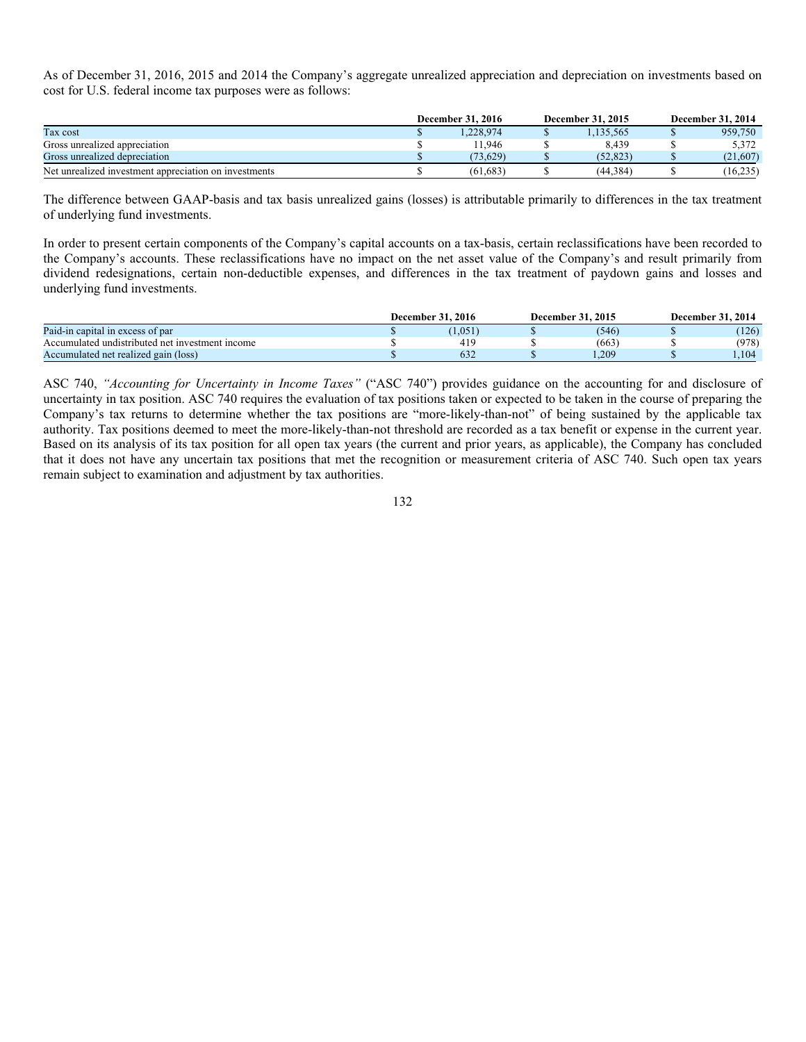As of December 31, 2016, 2015 and 2014 the Company's aggregate unrealized appreciation and depreciation on investments based on cost for U.S. federal income tax purposes were as follows:

|                                                       | <b>December 31, 2016</b> | <b>December 31, 2015</b> | December 31, 2014 |
|-------------------------------------------------------|--------------------------|--------------------------|-------------------|
| Tax cost                                              | .228.974                 | .135.565                 | 959,750           |
| Gross unrealized appreciation                         | 1.946                    | 8.439                    | 5.372             |
| Gross unrealized depreciation                         | (73.629)                 | (52.823)                 | (21,607)          |
| Net unrealized investment appreciation on investments | (61.683)                 | (44.384)                 | (16, 235)         |

The difference between GAAP-basis and tax basis unrealized gains (losses) is attributable primarily to differences in the tax treatment of underlying fund investments.

In order to present certain components of the Company's capital accounts on a tax-basis, certain reclassifications have been recorded to the Company's accounts. These reclassifications have no impact on the net asset value of the Company's and result primarily from dividend redesignations, certain non-deductible expenses, and differences in the tax treatment of paydown gains and losses and underlying fund investments.

|                                                 | December 31, 2016 | <b>December 31, 2015</b> | <b>December 31, 2014</b> |       |  |
|-------------------------------------------------|-------------------|--------------------------|--------------------------|-------|--|
| Paid-in capital in excess of par                | $1.051^{\circ}$   | 546                      |                          | (126) |  |
| Accumulated undistributed net investment income | 419               | (663                     |                          | (978) |  |
| Accumulated net realized gain (loss)            | 632               | .209                     |                          | 1.104 |  |

ASC 740, *"Accounting for Uncertainty in Income Taxes"* ("ASC 740") provides guidance on the accounting for and disclosure of uncertainty in tax position. ASC 740 requires the evaluation of tax positions taken or expected to be taken in the course of preparing the Company's tax returns to determine whether the tax positions are "more-likely-than-not" of being sustained by the applicable tax authority. Tax positions deemed to meet the more-likely-than-not threshold are recorded as a tax benefit or expense in the current year. Based on its analysis of its tax position for all open tax years (the current and prior years, as applicable), the Company has concluded that it does not have any uncertain tax positions that met the recognition or measurement criteria of ASC 740. Such open tax years remain subject to examination and adjustment by tax authorities.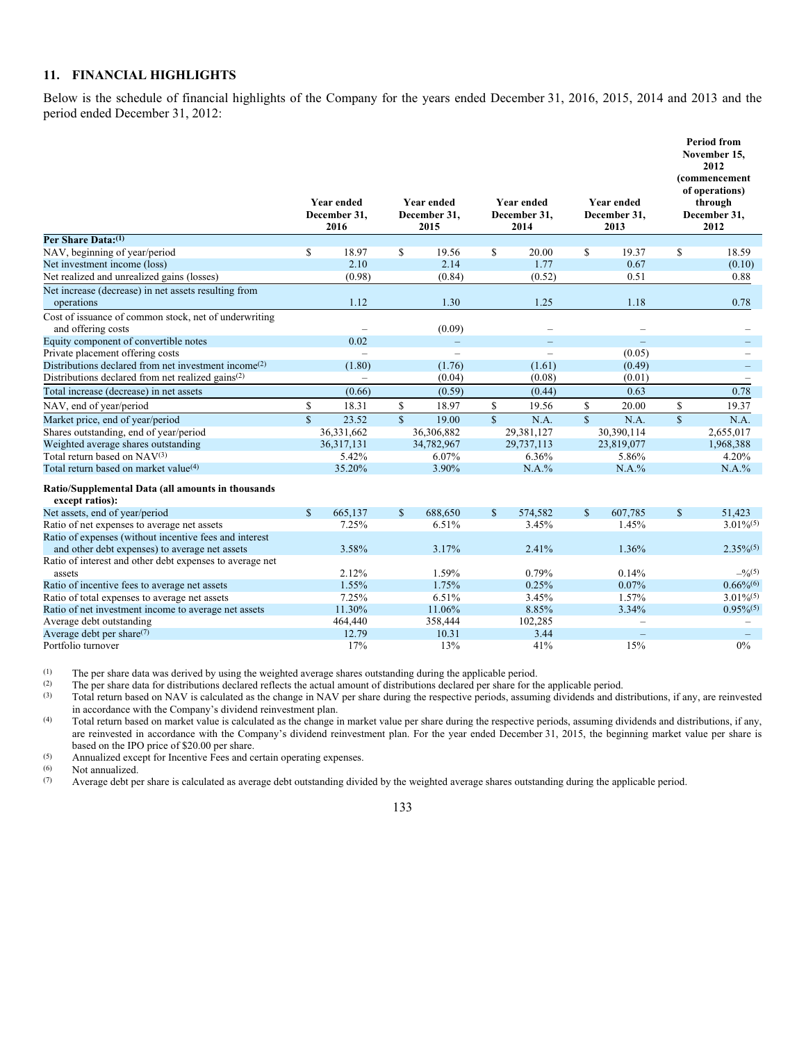# **11. FINANCIAL HIGHLIGHTS**

Below is the schedule of financial highlights of the Company for the years ended December 31, 2016, 2015, 2014 and 2013 and the period ended December 31, 2012:

**Period from**

|                                                                      |               | <b>Year ended</b><br>December 31,<br>2016 |              | <b>Year ended</b><br>December 31,<br>2015 |               | <b>Year ended</b><br>December 31,<br>2014 |              | <b>Year ended</b><br>December 31,<br>2013 |              | November 15,<br>2012<br><i>(commencement</i><br>of operations)<br>through<br>December 31,<br>2012 |
|----------------------------------------------------------------------|---------------|-------------------------------------------|--------------|-------------------------------------------|---------------|-------------------------------------------|--------------|-------------------------------------------|--------------|---------------------------------------------------------------------------------------------------|
| Per Share Data:(1)                                                   |               |                                           |              |                                           |               |                                           |              |                                           |              |                                                                                                   |
| NAV, beginning of year/period                                        | \$            | 18.97                                     | \$           | 19.56                                     | \$            | 20.00                                     | \$           | 19.37                                     | \$           | 18.59                                                                                             |
| Net investment income (loss)                                         |               | 2.10                                      |              | 2.14                                      |               | 1.77                                      |              | 0.67                                      |              | (0.10)                                                                                            |
| Net realized and unrealized gains (losses)                           |               | (0.98)                                    |              | (0.84)                                    |               | (0.52)                                    |              | 0.51                                      |              | 0.88                                                                                              |
| Net increase (decrease) in net assets resulting from                 |               |                                           |              |                                           |               |                                           |              |                                           |              |                                                                                                   |
| operations                                                           |               | 1.12                                      |              | 1.30                                      |               | 1.25                                      |              | 1.18                                      |              | 0.78                                                                                              |
| Cost of issuance of common stock, net of underwriting                |               |                                           |              |                                           |               |                                           |              |                                           |              |                                                                                                   |
| and offering costs                                                   |               |                                           |              | (0.09)                                    |               |                                           |              |                                           |              |                                                                                                   |
| Equity component of convertible notes                                |               | 0.02                                      |              | $\qquad \qquad -$                         |               |                                           |              |                                           |              |                                                                                                   |
| Private placement offering costs                                     |               | $\equiv$                                  |              | $\overline{\phantom{0}}$                  |               | $\overline{\phantom{0}}$                  |              | (0.05)                                    |              |                                                                                                   |
| Distributions declared from net investment income <sup>(2)</sup>     |               | (1.80)                                    |              | (1.76)                                    |               | (1.61)                                    |              | (0.49)                                    |              |                                                                                                   |
| Distributions declared from net realized gains(2)                    |               |                                           |              | (0.04)                                    |               | (0.08)                                    |              | (0.01)                                    |              |                                                                                                   |
| Total increase (decrease) in net assets                              |               | (0.66)                                    |              | (0.59)                                    |               | (0.44)                                    |              | 0.63                                      |              | 0.78                                                                                              |
| NAV, end of year/period                                              | \$            | 18.31                                     | \$           | 18.97                                     | \$            | 19.56                                     | \$           | 20.00                                     | \$           | 19.37                                                                                             |
| Market price, end of year/period                                     | $\mathbf{s}$  | 23.52                                     | $\mathbf{s}$ | 19.00                                     | $\mathcal{S}$ | N.A.                                      | $\mathbf{s}$ | N.A.                                      | $\mathbf S$  | N.A.                                                                                              |
| Shares outstanding, end of year/period                               |               | 36,331,662                                |              | 36,306,882                                |               | 29,381,127                                |              | 30,390,114                                |              | 2,655,017                                                                                         |
| Weighted average shares outstanding                                  |               | 36, 317, 131                              |              | 34,782,967                                |               | 29,737,113                                |              | 23,819,077                                |              | 1,968,388                                                                                         |
| Total return based on NAV(3)                                         |               | 5.42%                                     |              | 6.07%                                     |               | 6.36%                                     |              | 5.86%                                     |              | 4.20%                                                                                             |
| Total return based on market value <sup>(4)</sup>                    |               | 35.20%                                    |              | 3.90%                                     |               | N.A.%                                     |              | N.A.%                                     |              | N.A.%                                                                                             |
| Ratio/Supplemental Data (all amounts in thousands<br>except ratios): |               |                                           |              |                                           |               |                                           |              |                                           |              |                                                                                                   |
| Net assets, end of year/period                                       | $\mathcal{S}$ | 665,137                                   | $\mathbb{S}$ | 688,650                                   | \$            | 574,582                                   | $\mathbb{S}$ | 607,785                                   | $\mathbb{S}$ | 51,423                                                                                            |
| Ratio of net expenses to average net assets                          |               | 7.25%                                     |              | 6.51%                                     |               | 3.45%                                     |              | 1.45%                                     |              | $3.01\%^{(5)}$                                                                                    |
| Ratio of expenses (without incentive fees and interest               |               |                                           |              |                                           |               |                                           |              |                                           |              |                                                                                                   |
| and other debt expenses) to average net assets                       |               | 3.58%                                     |              | 3.17%                                     |               | 2.41%                                     |              | 1.36%                                     |              | $2.35\%/65$                                                                                       |
| Ratio of interest and other debt expenses to average net             |               |                                           |              |                                           |               |                                           |              |                                           |              |                                                                                                   |
| assets                                                               |               | 2.12%                                     |              | 1.59%                                     |               | 0.79%                                     |              | 0.14%                                     |              | $-9/6(5)$                                                                                         |
| Ratio of incentive fees to average net assets                        |               | 1.55%                                     |              | 1.75%                                     |               | 0.25%                                     |              | 0.07%                                     |              | $0.66\%^{(6)}$                                                                                    |
| Ratio of total expenses to average net assets                        |               | 7.25%                                     |              | 6.51%                                     |               | 3.45%                                     |              | 1.57%                                     |              | $3.01\%$ <sup>(5)</sup>                                                                           |
| Ratio of net investment income to average net assets                 |               | 11.30%                                    |              | 11.06%                                    |               | 8.85%                                     |              | 3.34%                                     |              | $0.95\%^{(5)}$                                                                                    |
| Average debt outstanding                                             |               | 464,440                                   |              | 358,444                                   |               | 102.285                                   |              | $\overline{\phantom{a}}$                  |              |                                                                                                   |

(1) The per share data was derived by using the weighted average shares outstanding during the applicable period.<br>
(2) The per share data for distributions declared reflects the actual amount of distributions declared per

(2) The per share data for distributions declared reflects the actual amount of distributions declared per share for the applicable period.<br>Total return based on NAV is calculated as the change in NAV per share during the Total return based on NAV is calculated as the change in NAV per share during the respective periods, assuming dividends and distributions, if any, are reinvested in accordance with the Company's dividend reinvestment plan.

Average debt per share(7) 12.79 10.31 3.44 – – Portfolio turnover 17% 13% 13% 13% 141% 15% 0% 0%

(4) Total return based on market value is calculated as the change in market value per share during the respective periods, assuming dividends and distributions, if any, are reinvested in accordance with the Company's dividend reinvestment plan. For the year ended December 31, 2015, the beginning market value per share is based on the IPO price of \$20.00 per share.

(5) Annualized except for Incentive Fees and certain operating expenses.<br>(6) Not annualized

(6) Not annualized.<br>(7) Average debt pe

Average debt per share is calculated as average debt outstanding divided by the weighted average shares outstanding during the applicable period.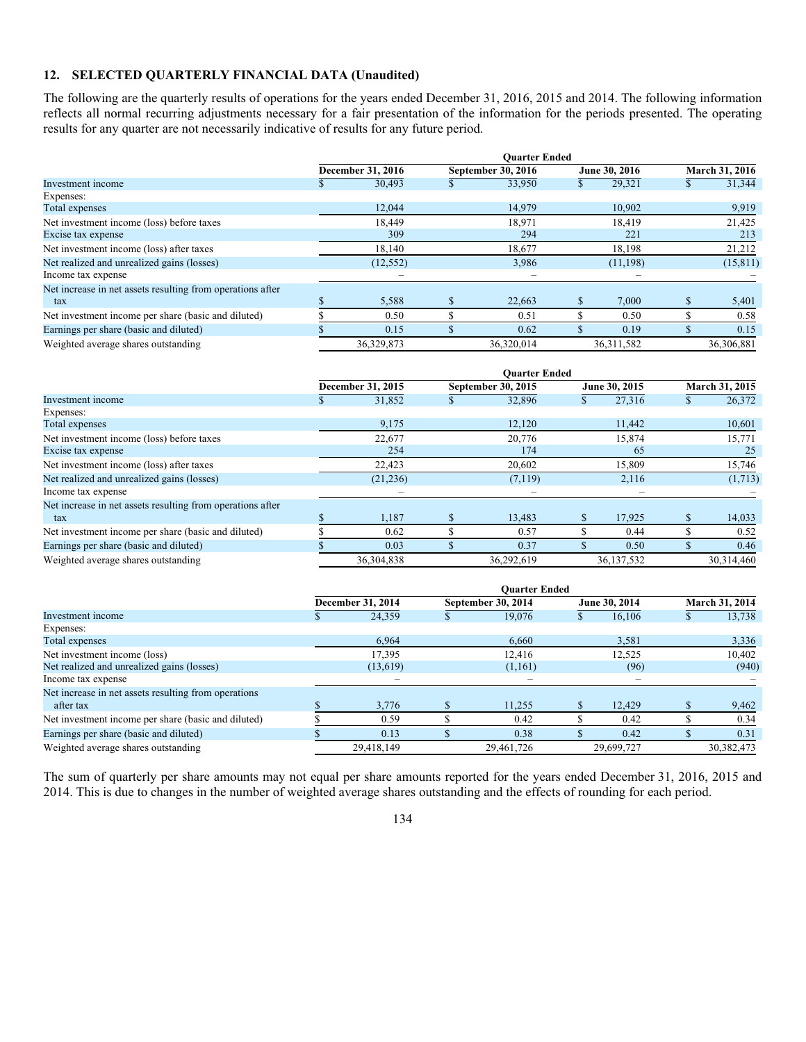# **12. SELECTED QUARTERLY FINANCIAL DATA (Unaudited)**

The following are the quarterly results of operations for the years ended December 31, 2016, 2015 and 2014. The following information reflects all normal recurring adjustments necessary for a fair presentation of the information for the periods presented. The operating results for any quarter are not necessarily indicative of results for any future period.

|                                                            | <b>Ouarter Ended</b> |                   |    |                    |    |               |   |                |
|------------------------------------------------------------|----------------------|-------------------|----|--------------------|----|---------------|---|----------------|
|                                                            |                      | December 31, 2016 |    | September 30, 2016 |    | June 30, 2016 |   | March 31, 2016 |
| Investment income                                          |                      | 30,493            |    | 33,950             |    | 29,321        |   | 31,344         |
| Expenses:                                                  |                      |                   |    |                    |    |               |   |                |
| Total expenses                                             |                      | 12,044            |    | 14,979             |    | 10,902        |   | 9,919          |
| Net investment income (loss) before taxes                  |                      | 18.449            |    | 18.971             |    | 18.419        |   | 21,425         |
| Excise tax expense                                         |                      | 309               |    | 294                |    | 221           |   | 213            |
| Net investment income (loss) after taxes                   |                      | 18,140            |    | 18,677             |    | 18,198        |   | 21,212         |
| Net realized and unrealized gains (losses)                 |                      | (12, 552)         |    | 3,986              |    | (11, 198)     |   | (15, 811)      |
| Income tax expense                                         |                      |                   |    |                    |    |               |   |                |
| Net increase in net assets resulting from operations after |                      |                   |    |                    |    |               |   |                |
| tax                                                        |                      | 5,588             | \$ | 22,663             | S. | 7,000         | ж | 5,401          |
| Net investment income per share (basic and diluted)        |                      | 0.50              |    | 0.51               |    | 0.50          |   | 0.58           |
| Earnings per share (basic and diluted)                     |                      | 0.15              |    | 0.62               |    | 0.19          |   | 0.15           |
| Weighted average shares outstanding                        |                      | 36,329,873        |    | 36,320,014         |    | 36, 311, 582  |   | 36,306,881     |

|                                                            | <b>Ouarter Ended</b> |                          |    |                          |     |                          |  |                |
|------------------------------------------------------------|----------------------|--------------------------|----|--------------------------|-----|--------------------------|--|----------------|
|                                                            |                      | December 31, 2015        |    | September 30, 2015       |     | June 30, 2015            |  | March 31, 2015 |
| Investment income                                          |                      | 31,852                   |    | 32,896                   |     | 27,316                   |  | 26,372         |
| Expenses:                                                  |                      |                          |    |                          |     |                          |  |                |
| Total expenses                                             |                      | 9,175                    |    | 12,120                   |     | 11,442                   |  | 10,601         |
| Net investment income (loss) before taxes                  |                      | 22,677                   |    | 20,776                   |     | 15,874                   |  | 15,771         |
| Excise tax expense                                         |                      | 254                      |    | 174                      |     | 65                       |  | 25             |
| Net investment income (loss) after taxes                   |                      | 22,423                   |    | 20,602                   |     | 15,809                   |  | 15,746         |
| Net realized and unrealized gains (losses)                 |                      | (21, 236)                |    | (7,119)                  |     | 2,116                    |  | (1,713)        |
| Income tax expense                                         |                      | $\overline{\phantom{0}}$ |    | $\overline{\phantom{0}}$ |     | $\overline{\phantom{a}}$ |  |                |
| Net increase in net assets resulting from operations after |                      |                          |    |                          |     |                          |  |                |
| tax                                                        |                      | 1,187                    |    | 13,483                   | \$. | 17,925                   |  | 14,033         |
| Net investment income per share (basic and diluted)        |                      | 0.62                     |    | 0.57                     |     | 0.44                     |  | 0.52           |
| Earnings per share (basic and diluted)                     |                      | 0.03                     | \$ | 0.37                     |     | 0.50                     |  | 0.46           |
| Weighted average shares outstanding                        |                      | 36,304,838               |    | 36.292.619               |     | 36,137,532               |  | 30,314,460     |

|                                                      | <b>Ouarter Ended</b> |                          |  |                          |  |                          |  |                |
|------------------------------------------------------|----------------------|--------------------------|--|--------------------------|--|--------------------------|--|----------------|
|                                                      |                      | <b>December 31, 2014</b> |  | September 30, 2014       |  | June 30, 2014            |  | March 31, 2014 |
| Investment income                                    |                      | 24,359                   |  | 19,076                   |  | 16.106                   |  | 13,738         |
| Expenses:                                            |                      |                          |  |                          |  |                          |  |                |
| Total expenses                                       |                      | 6.964                    |  | 6.660                    |  | 3,581                    |  | 3,336          |
| Net investment income (loss)                         |                      | 17.395                   |  | 12.416                   |  | 12,525                   |  | 10,402         |
| Net realized and unrealized gains (losses)           |                      | (13,619)                 |  | (1,161)                  |  | (96)                     |  | (940)          |
| Income tax expense                                   |                      |                          |  | $\overline{\phantom{a}}$ |  | $\overline{\phantom{a}}$ |  |                |
| Net increase in net assets resulting from operations |                      |                          |  |                          |  |                          |  |                |
| after tax                                            |                      | 3.776                    |  | 11,255                   |  | 12.429                   |  | 9,462          |
| Net investment income per share (basic and diluted)  |                      | 0.59                     |  | 0.42                     |  | 0.42                     |  | 0.34           |
| Earnings per share (basic and diluted)               |                      | 0.13                     |  | 0.38                     |  | 0.42                     |  | 0.31           |
| Weighted average shares outstanding                  |                      | 29,418,149               |  | 29,461,726               |  | 29.699.727               |  | 30, 382, 473   |

The sum of quarterly per share amounts may not equal per share amounts reported for the years ended December 31, 2016, 2015 and 2014. This is due to changes in the number of weighted average shares outstanding and the effects of rounding for each period.

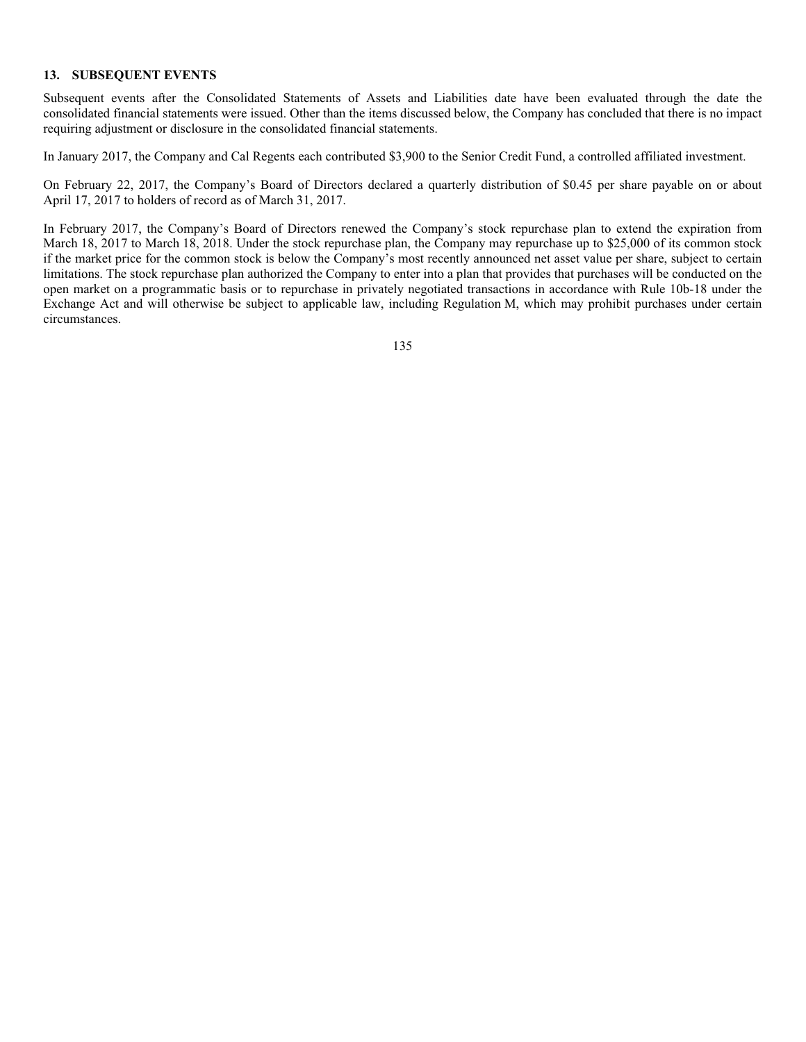# **13. SUBSEQUENT EVENTS**

Subsequent events after the Consolidated Statements of Assets and Liabilities date have been evaluated through the date the consolidated financial statements were issued. Other than the items discussed below, the Company has concluded that there is no impact requiring adjustment or disclosure in the consolidated financial statements.

In January 2017, the Company and Cal Regents each contributed \$3,900 to the Senior Credit Fund, a controlled affiliated investment.

On February 22, 2017, the Company's Board of Directors declared a quarterly distribution of \$0.45 per share payable on or about April 17, 2017 to holders of record as of March 31, 2017.

In February 2017, the Company's Board of Directors renewed the Company's stock repurchase plan to extend the expiration from March 18, 2017 to March 18, 2018. Under the stock repurchase plan, the Company may repurchase up to \$25,000 of its common stock if the market price for the common stock is below the Company's most recently announced net asset value per share, subject to certain limitations. The stock repurchase plan authorized the Company to enter into a plan that provides that purchases will be conducted on the open market on a programmatic basis or to repurchase in privately negotiated transactions in accordance with Rule 10b-18 under the Exchange Act and will otherwise be subject to applicable law, including Regulation M, which may prohibit purchases under certain circumstances.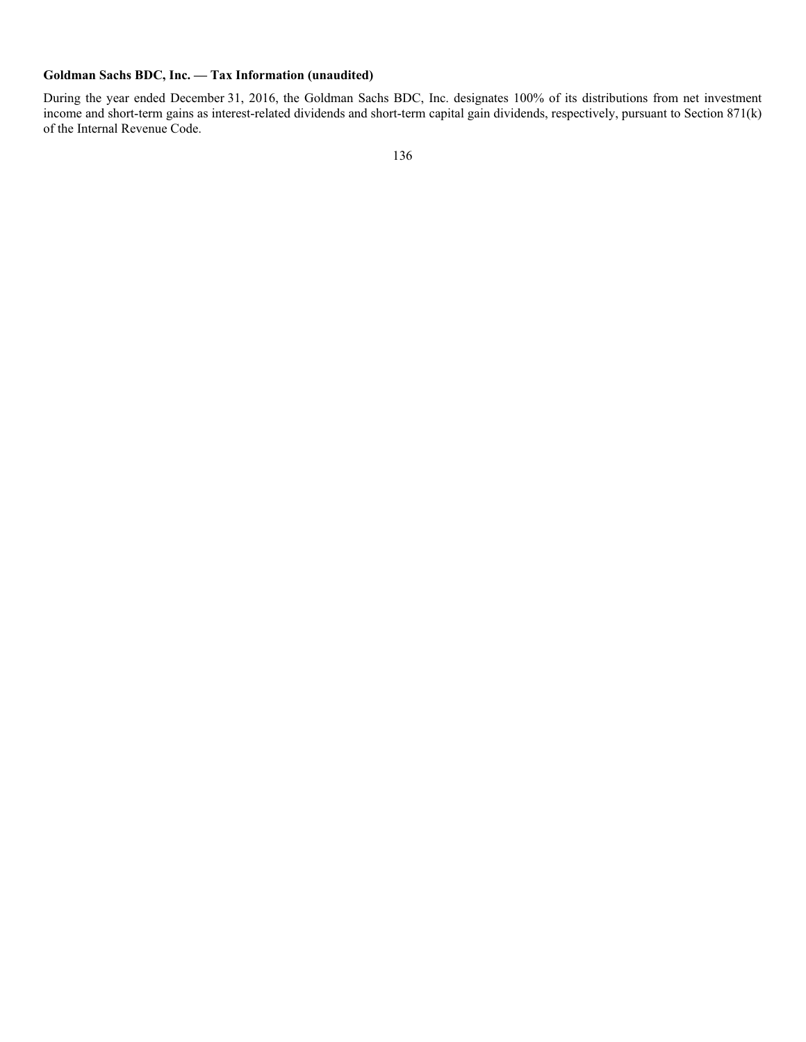# **Goldman Sachs BDC, Inc. — Tax Information (unaudited)**

During the year ended December 31, 2016, the Goldman Sachs BDC, Inc. designates 100% of its distributions from net investment income and short-term gains as interest-related dividends and short-term capital gain dividends, respectively, pursuant to Section 871(k) of the Internal Revenue Code.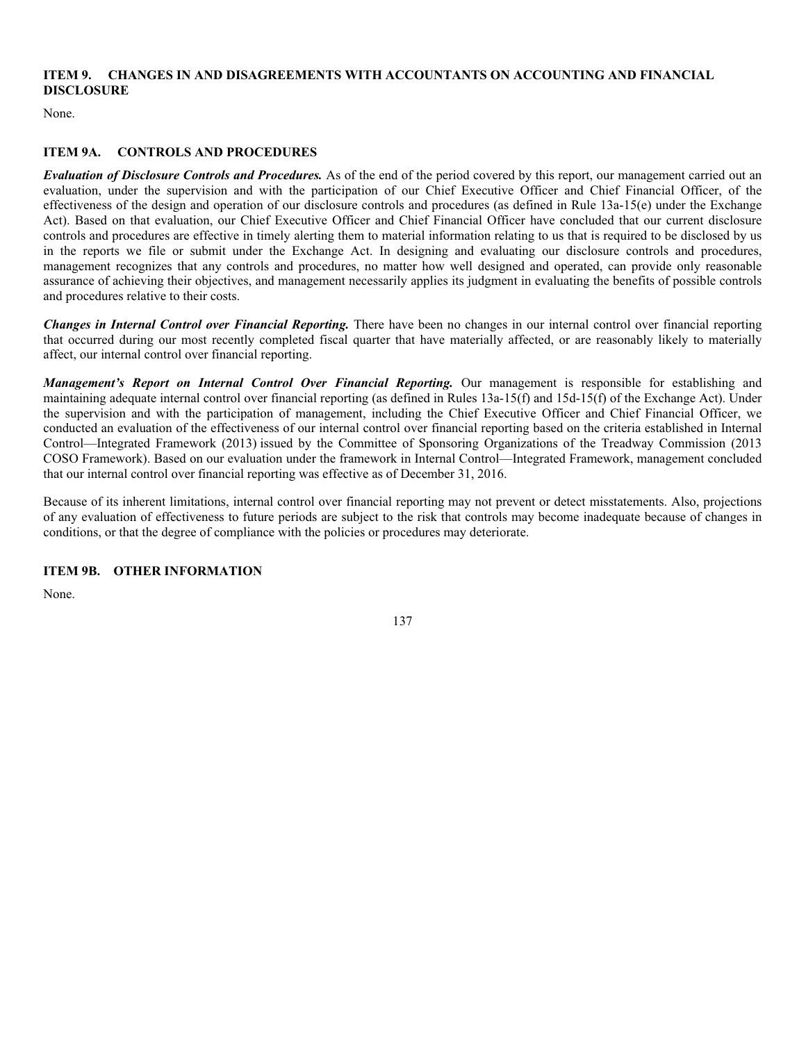# **ITEM 9. CHANGES IN AND DISAGREEMENTS WITH ACCOUNTANTS ON ACCOUNTING AND FINANCIAL DISCLOSURE**

None.

# **ITEM 9A. CONTROLS AND PROCEDURES**

*Evaluation of Disclosure Controls and Procedures.* As of the end of the period covered by this report, our management carried out an evaluation, under the supervision and with the participation of our Chief Executive Officer and Chief Financial Officer, of the effectiveness of the design and operation of our disclosure controls and procedures (as defined in Rule 13a-15(e) under the Exchange Act). Based on that evaluation, our Chief Executive Officer and Chief Financial Officer have concluded that our current disclosure controls and procedures are effective in timely alerting them to material information relating to us that is required to be disclosed by us in the reports we file or submit under the Exchange Act. In designing and evaluating our disclosure controls and procedures, management recognizes that any controls and procedures, no matter how well designed and operated, can provide only reasonable assurance of achieving their objectives, and management necessarily applies its judgment in evaluating the benefits of possible controls and procedures relative to their costs.

*Changes in Internal Control over Financial Reporting.* There have been no changes in our internal control over financial reporting that occurred during our most recently completed fiscal quarter that have materially affected, or are reasonably likely to materially affect, our internal control over financial reporting.

*Management's Report on Internal Control Over Financial Reporting.* Our management is responsible for establishing and maintaining adequate internal control over financial reporting (as defined in Rules 13a-15(f) and 15d-15(f) of the Exchange Act). Under the supervision and with the participation of management, including the Chief Executive Officer and Chief Financial Officer, we conducted an evaluation of the effectiveness of our internal control over financial reporting based on the criteria established in Internal Control—Integrated Framework (2013) issued by the Committee of Sponsoring Organizations of the Treadway Commission (2013 COSO Framework). Based on our evaluation under the framework in Internal Control—Integrated Framework, management concluded that our internal control over financial reporting was effective as of December 31, 2016.

Because of its inherent limitations, internal control over financial reporting may not prevent or detect misstatements. Also, projections of any evaluation of effectiveness to future periods are subject to the risk that controls may become inadequate because of changes in conditions, or that the degree of compliance with the policies or procedures may deteriorate.

# **ITEM 9B. OTHER INFORMATION**

None.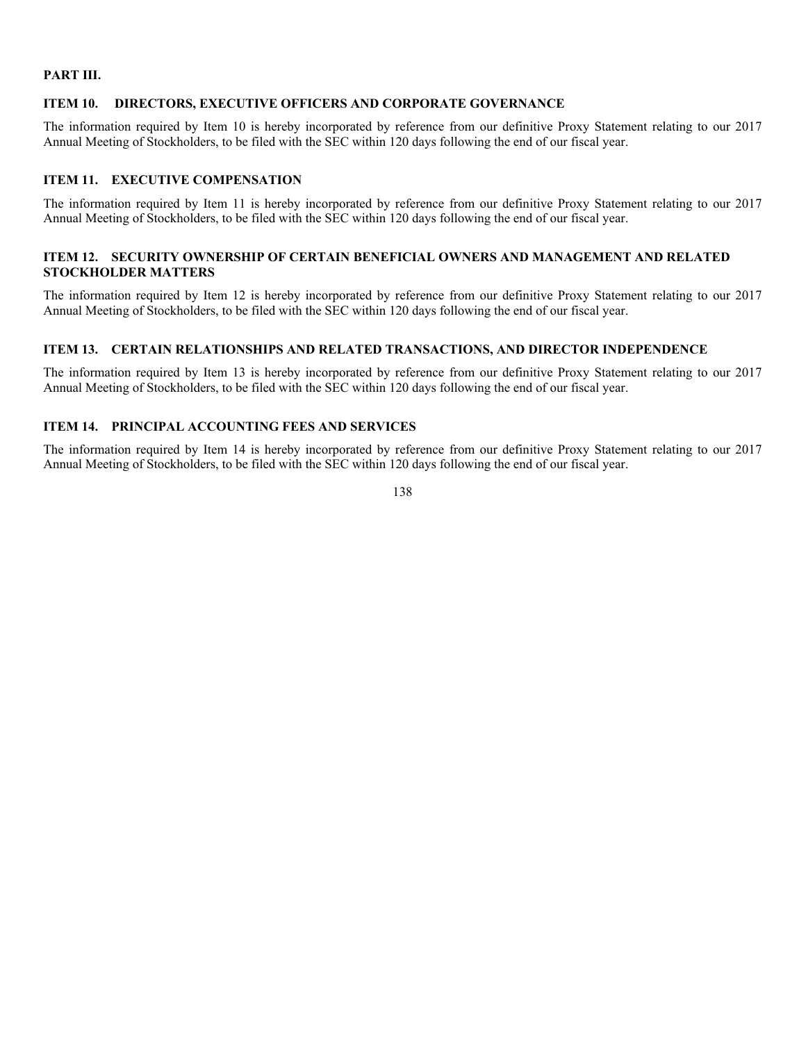# **PART III.**

# **ITEM 10. DIRECTORS, EXECUTIVE OFFICERS AND CORPORATE GOVERNANCE**

The information required by Item 10 is hereby incorporated by reference from our definitive Proxy Statement relating to our 2017 Annual Meeting of Stockholders, to be filed with the SEC within 120 days following the end of our fiscal year.

# **ITEM 11. EXECUTIVE COMPENSATION**

The information required by Item 11 is hereby incorporated by reference from our definitive Proxy Statement relating to our 2017 Annual Meeting of Stockholders, to be filed with the SEC within 120 days following the end of our fiscal year.

# **ITEM 12. SECURITY OWNERSHIP OF CERTAIN BENEFICIAL OWNERS AND MANAGEMENT AND RELATED STOCKHOLDER MATTERS**

The information required by Item 12 is hereby incorporated by reference from our definitive Proxy Statement relating to our 2017 Annual Meeting of Stockholders, to be filed with the SEC within 120 days following the end of our fiscal year.

# **ITEM 13. CERTAIN RELATIONSHIPS AND RELATED TRANSACTIONS, AND DIRECTOR INDEPENDENCE**

The information required by Item 13 is hereby incorporated by reference from our definitive Proxy Statement relating to our 2017 Annual Meeting of Stockholders, to be filed with the SEC within 120 days following the end of our fiscal year.

# **ITEM 14. PRINCIPAL ACCOUNTING FEES AND SERVICES**

The information required by Item 14 is hereby incorporated by reference from our definitive Proxy Statement relating to our 2017 Annual Meeting of Stockholders, to be filed with the SEC within 120 days following the end of our fiscal year.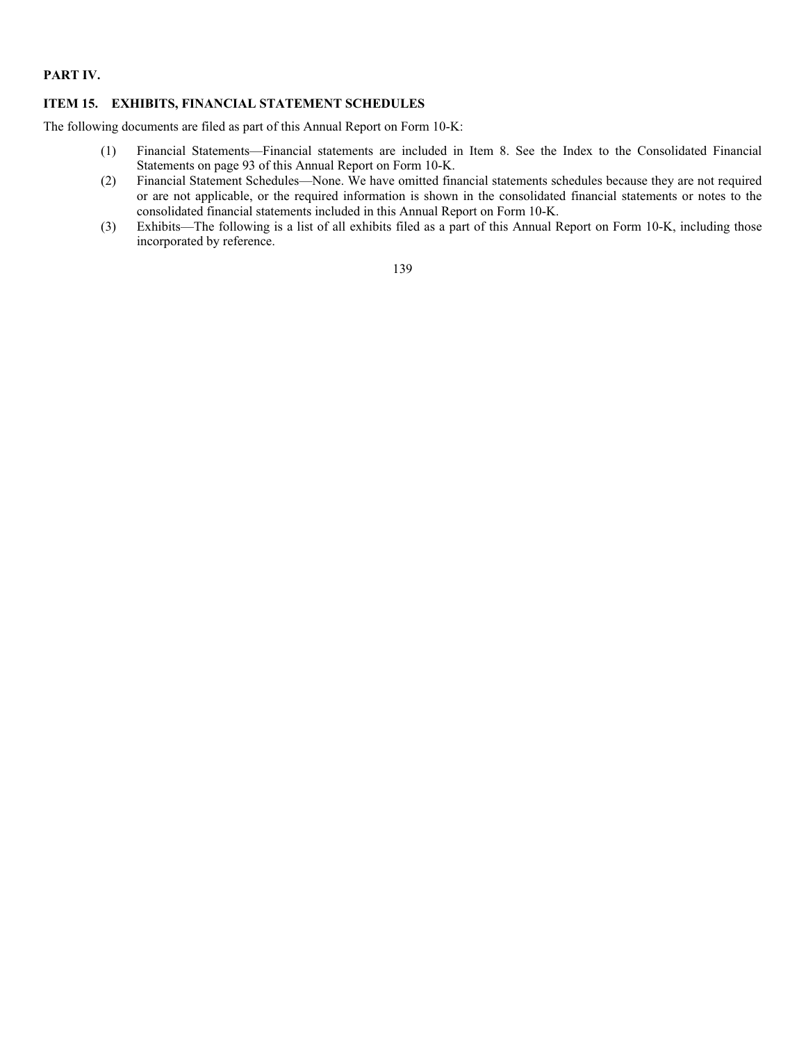# **PART IV.**

# **ITEM 15. EXHIBITS, FINANCIAL STATEMENT SCHEDULES**

The following documents are filed as part of this Annual Report on Form 10-K:

- (1) Financial Statements—Financial statements are included in Item 8. See the Index to the Consolidated Financial Statements on page 93 of this Annual Report on Form 10-K.
- (2) Financial Statement Schedules—None. We have omitted financial statements schedules because they are not required or are not applicable, or the required information is shown in the consolidated financial statements or notes to the consolidated financial statements included in this Annual Report on Form 10-K.
- (3) Exhibits—The following is a list of all exhibits filed as a part of this Annual Report on Form 10-K, including those incorporated by reference.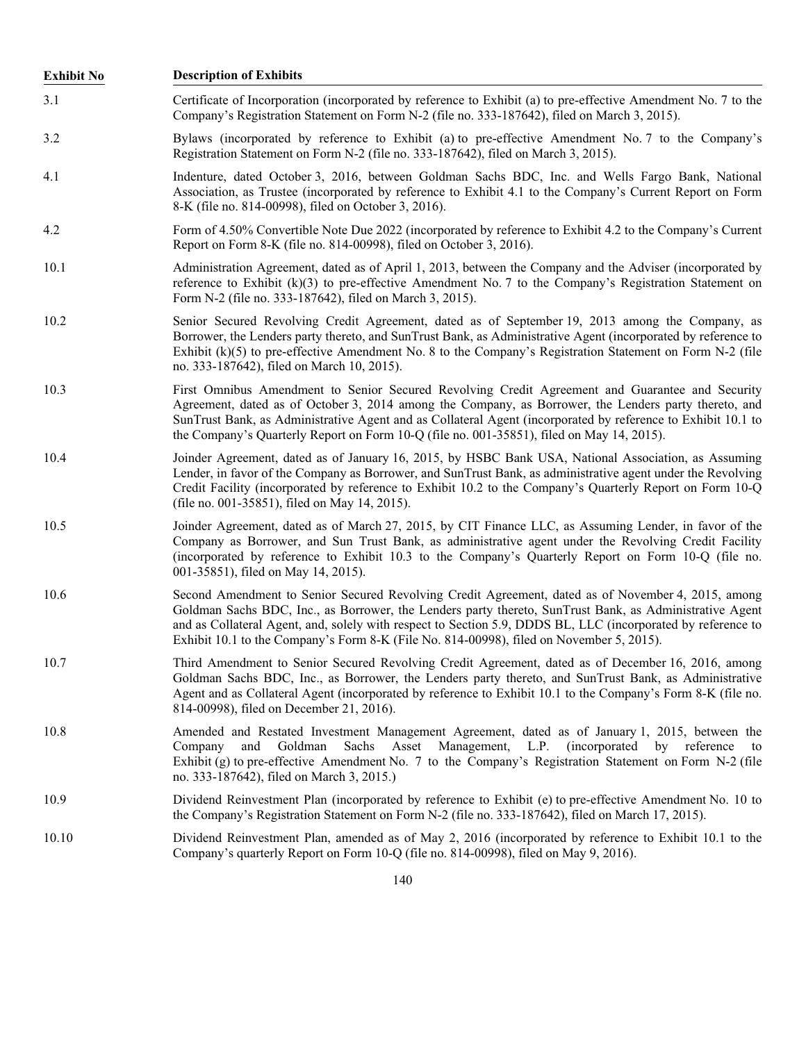| <b>Exhibit No</b> | <b>Description of Exhibits</b>                                                                                                                                                                                                                                                                                                                                                                                            |
|-------------------|---------------------------------------------------------------------------------------------------------------------------------------------------------------------------------------------------------------------------------------------------------------------------------------------------------------------------------------------------------------------------------------------------------------------------|
| 3.1               | Certificate of Incorporation (incorporated by reference to Exhibit (a) to pre-effective Amendment No. 7 to the<br>Company's Registration Statement on Form N-2 (file no. 333-187642), filed on March 3, 2015).                                                                                                                                                                                                            |
| 3.2               | Bylaws (incorporated by reference to Exhibit (a) to pre-effective Amendment No. 7 to the Company's<br>Registration Statement on Form N-2 (file no. 333-187642), filed on March 3, 2015).                                                                                                                                                                                                                                  |
| 4.1               | Indenture, dated October 3, 2016, between Goldman Sachs BDC, Inc. and Wells Fargo Bank, National<br>Association, as Trustee (incorporated by reference to Exhibit 4.1 to the Company's Current Report on Form<br>8-K (file no. 814-00998), filed on October 3, 2016).                                                                                                                                                     |
| 4.2               | Form of 4.50% Convertible Note Due 2022 (incorporated by reference to Exhibit 4.2 to the Company's Current<br>Report on Form 8-K (file no. 814-00998), filed on October 3, 2016).                                                                                                                                                                                                                                         |
| 10.1              | Administration Agreement, dated as of April 1, 2013, between the Company and the Adviser (incorporated by<br>reference to Exhibit $(k)(3)$ to pre-effective Amendment No. 7 to the Company's Registration Statement on<br>Form N-2 (file no. 333-187642), filed on March 3, 2015).                                                                                                                                        |
| 10.2              | Senior Secured Revolving Credit Agreement, dated as of September 19, 2013 among the Company, as<br>Borrower, the Lenders party thereto, and SunTrust Bank, as Administrative Agent (incorporated by reference to<br>Exhibit $(k)(5)$ to pre-effective Amendment No. 8 to the Company's Registration Statement on Form N-2 (file<br>no. 333-187642), filed on March 10, 2015).                                             |
| 10.3              | First Omnibus Amendment to Senior Secured Revolving Credit Agreement and Guarantee and Security<br>Agreement, dated as of October 3, 2014 among the Company, as Borrower, the Lenders party thereto, and<br>SunTrust Bank, as Administrative Agent and as Collateral Agent (incorporated by reference to Exhibit 10.1 to<br>the Company's Quarterly Report on Form 10-Q (file no. 001-35851), filed on May 14, 2015).     |
| 10.4              | Joinder Agreement, dated as of January 16, 2015, by HSBC Bank USA, National Association, as Assuming<br>Lender, in favor of the Company as Borrower, and SunTrust Bank, as administrative agent under the Revolving<br>Credit Facility (incorporated by reference to Exhibit 10.2 to the Company's Quarterly Report on Form 10-Q<br>(file no. 001-35851), filed on May 14, 2015).                                         |
| 10.5              | Joinder Agreement, dated as of March 27, 2015, by CIT Finance LLC, as Assuming Lender, in favor of the<br>Company as Borrower, and Sun Trust Bank, as administrative agent under the Revolving Credit Facility<br>(incorporated by reference to Exhibit 10.3 to the Company's Quarterly Report on Form 10-Q (file no.<br>001-35851), filed on May 14, 2015).                                                              |
| 10.6              | Second Amendment to Senior Secured Revolving Credit Agreement, dated as of November 4, 2015, among<br>Goldman Sachs BDC, Inc., as Borrower, the Lenders party thereto, SunTrust Bank, as Administrative Agent<br>and as Collateral Agent, and, solely with respect to Section 5.9, DDDS BL, LLC (incorporated by reference to<br>Exhibit 10.1 to the Company's Form 8-K (File No. 814-00998), filed on November 5, 2015). |
| 10.7              | Third Amendment to Senior Secured Revolving Credit Agreement, dated as of December 16, 2016, among<br>Goldman Sachs BDC, Inc., as Borrower, the Lenders party thereto, and SunTrust Bank, as Administrative<br>Agent and as Collateral Agent (incorporated by reference to Exhibit 10.1 to the Company's Form 8-K (file no.<br>814-00998), filed on December 21, 2016).                                                   |
| 10.8              | Amended and Restated Investment Management Agreement, dated as of January 1, 2015, between the<br>Sachs Asset Management, L.P. (incorporated<br>and Goldman<br>by reference<br>Company<br>to<br>Exhibit (g) to pre-effective Amendment No. 7 to the Company's Registration Statement on Form $N-2$ (file<br>no. 333-187642), filed on March 3, 2015.)                                                                     |
| 10.9              | Dividend Reinvestment Plan (incorporated by reference to Exhibit (e) to pre-effective Amendment No. 10 to<br>the Company's Registration Statement on Form N-2 (file no. 333-187642), filed on March 17, 2015).                                                                                                                                                                                                            |
| 10.10             | Dividend Reinvestment Plan, amended as of May 2, 2016 (incorporated by reference to Exhibit 10.1 to the<br>Company's quarterly Report on Form 10-Q (file no. 814-00998), filed on May 9, 2016).                                                                                                                                                                                                                           |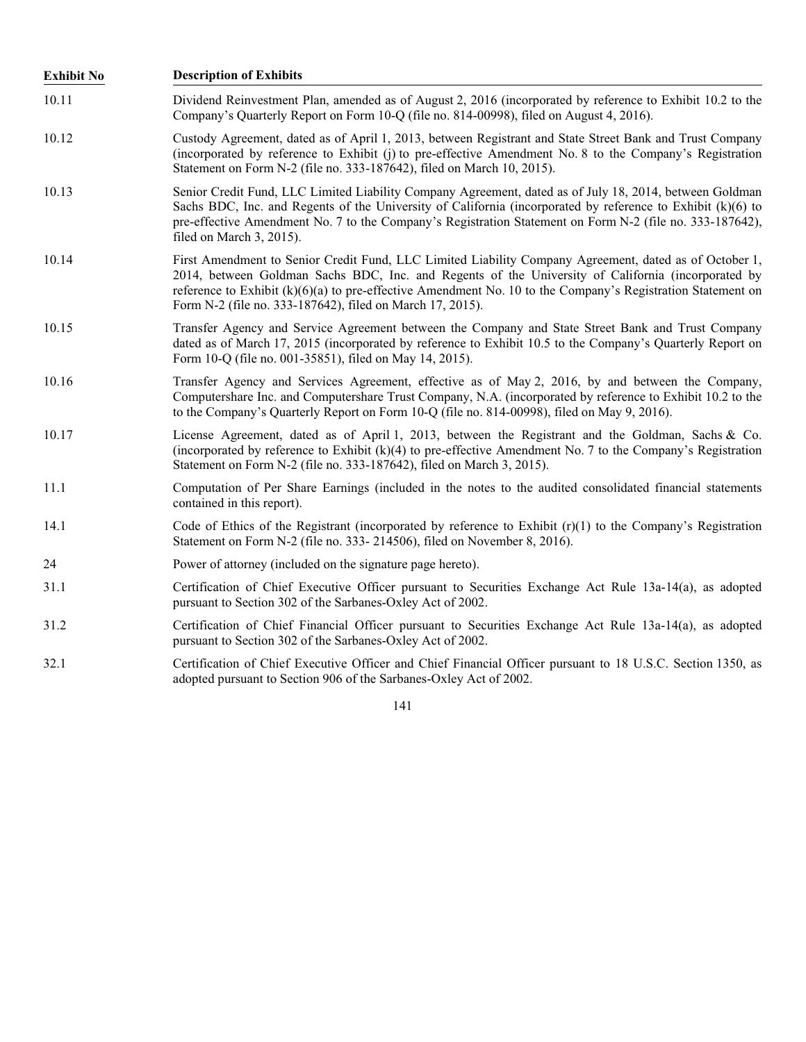| <b>Exhibit No</b> | <b>Description of Exhibits</b>                                                                                                                                                                                                                                                                                                                                                             |
|-------------------|--------------------------------------------------------------------------------------------------------------------------------------------------------------------------------------------------------------------------------------------------------------------------------------------------------------------------------------------------------------------------------------------|
| 10.11             | Dividend Reinvestment Plan, amended as of August 2, 2016 (incorporated by reference to Exhibit 10.2 to the<br>Company's Quarterly Report on Form 10-Q (file no. 814-00998), filed on August 4, 2016).                                                                                                                                                                                      |
| 10.12             | Custody Agreement, dated as of April 1, 2013, between Registrant and State Street Bank and Trust Company<br>(incorporated by reference to Exhibit (j) to pre-effective Amendment No. 8 to the Company's Registration<br>Statement on Form N-2 (file no. 333-187642), filed on March 10, 2015).                                                                                             |
| 10.13             | Senior Credit Fund, LLC Limited Liability Company Agreement, dated as of July 18, 2014, between Goldman<br>Sachs BDC, Inc. and Regents of the University of California (incorporated by reference to Exhibit $(k)(6)$ to<br>pre-effective Amendment No. 7 to the Company's Registration Statement on Form N-2 (file no. 333-187642),<br>filed on March 3, 2015).                           |
| 10.14             | First Amendment to Senior Credit Fund, LLC Limited Liability Company Agreement, dated as of October 1,<br>2014, between Goldman Sachs BDC, Inc. and Regents of the University of California (incorporated by<br>reference to Exhibit $(k)(6)(a)$ to pre-effective Amendment No. 10 to the Company's Registration Statement on<br>Form N-2 (file no. 333-187642), filed on March 17, 2015). |
| 10.15             | Transfer Agency and Service Agreement between the Company and State Street Bank and Trust Company<br>dated as of March 17, 2015 (incorporated by reference to Exhibit 10.5 to the Company's Quarterly Report on<br>Form 10-Q (file no. 001-35851), filed on May 14, 2015).                                                                                                                 |
| 10.16             | Transfer Agency and Services Agreement, effective as of May 2, 2016, by and between the Company,<br>Computershare Inc. and Computershare Trust Company, N.A. (incorporated by reference to Exhibit 10.2 to the<br>to the Company's Quarterly Report on Form 10-Q (file no. 814-00998), filed on May 9, 2016).                                                                              |
| 10.17             | License Agreement, dated as of April 1, 2013, between the Registrant and the Goldman, Sachs & Co.<br>(incorporated by reference to Exhibit $(k)(4)$ to pre-effective Amendment No. 7 to the Company's Registration<br>Statement on Form N-2 (file no. 333-187642), filed on March 3, 2015).                                                                                                |
| 11.1              | Computation of Per Share Earnings (included in the notes to the audited consolidated financial statements<br>contained in this report).                                                                                                                                                                                                                                                    |
| 14.1              | Code of Ethics of the Registrant (incorporated by reference to Exhibit $(r)(1)$ to the Company's Registration<br>Statement on Form N-2 (file no. 333- 214506), filed on November 8, 2016).                                                                                                                                                                                                 |
| 24                | Power of attorney (included on the signature page hereto).                                                                                                                                                                                                                                                                                                                                 |
| 31.1              | Certification of Chief Executive Officer pursuant to Securities Exchange Act Rule 13a-14(a), as adopted<br>pursuant to Section 302 of the Sarbanes-Oxley Act of 2002.                                                                                                                                                                                                                      |
| 31.2              | Certification of Chief Financial Officer pursuant to Securities Exchange Act Rule 13a-14(a), as adopted<br>pursuant to Section 302 of the Sarbanes-Oxley Act of 2002.                                                                                                                                                                                                                      |
| 32.1              | Certification of Chief Executive Officer and Chief Financial Officer pursuant to 18 U.S.C. Section 1350, as<br>adopted pursuant to Section 906 of the Sarbanes-Oxley Act of 2002.                                                                                                                                                                                                          |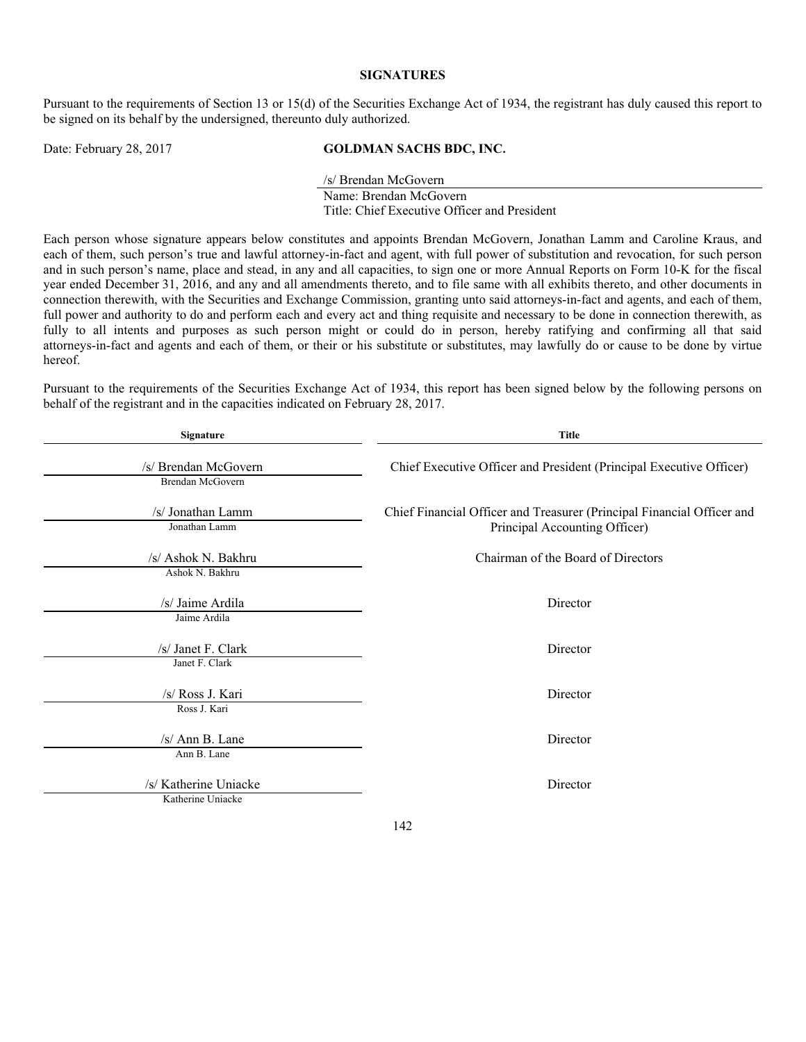#### **SIGNATURES**

Pursuant to the requirements of Section 13 or 15(d) of the Securities Exchange Act of 1934, the registrant has duly caused this report to be signed on its behalf by the undersigned, thereunto duly authorized.

#### Date: February 28, 2017 **GOLDMAN SACHS BDC, INC.**

/s/ Brendan McGovern

Name: Brendan McGovern Title: Chief Executive Officer and President

Each person whose signature appears below constitutes and appoints Brendan McGovern, Jonathan Lamm and Caroline Kraus, and each of them, such person's true and lawful attorney-in-fact and agent, with full power of substitution and revocation, for such person and in such person's name, place and stead, in any and all capacities, to sign one or more Annual Reports on Form 10-K for the fiscal year ended December 31, 2016, and any and all amendments thereto, and to file same with all exhibits thereto, and other documents in connection therewith, with the Securities and Exchange Commission, granting unto said attorneys-in-fact and agents, and each of them, full power and authority to do and perform each and every act and thing requisite and necessary to be done in connection therewith, as fully to all intents and purposes as such person might or could do in person, hereby ratifying and confirming all that said attorneys-in-fact and agents and each of them, or their or his substitute or substitutes, may lawfully do or cause to be done by virtue hereof.

Pursuant to the requirements of the Securities Exchange Act of 1934, this report has been signed below by the following persons on behalf of the registrant and in the capacities indicated on February 28, 2017.

| Signature                                  | <b>Title</b>                                                                                            |
|--------------------------------------------|---------------------------------------------------------------------------------------------------------|
| /s/ Brendan McGovern<br>Brendan McGovern   | Chief Executive Officer and President (Principal Executive Officer)                                     |
| /s/ Jonathan Lamm<br>Jonathan Lamm         | Chief Financial Officer and Treasurer (Principal Financial Officer and<br>Principal Accounting Officer) |
| /s/ Ashok N. Bakhru<br>Ashok N. Bakhru     | Chairman of the Board of Directors                                                                      |
| /s/ Jaime Ardila<br>Jaime Ardila           | Director                                                                                                |
| /s/ Janet F. Clark<br>Janet F. Clark       | Director                                                                                                |
| /s/ Ross J. Kari<br>Ross J. Kari           | Director                                                                                                |
| /s/ Ann B. Lane<br>Ann B. Lane             | Director                                                                                                |
| /s/ Katherine Uniacke<br>Katherine Uniacke | Director                                                                                                |
|                                            | 142                                                                                                     |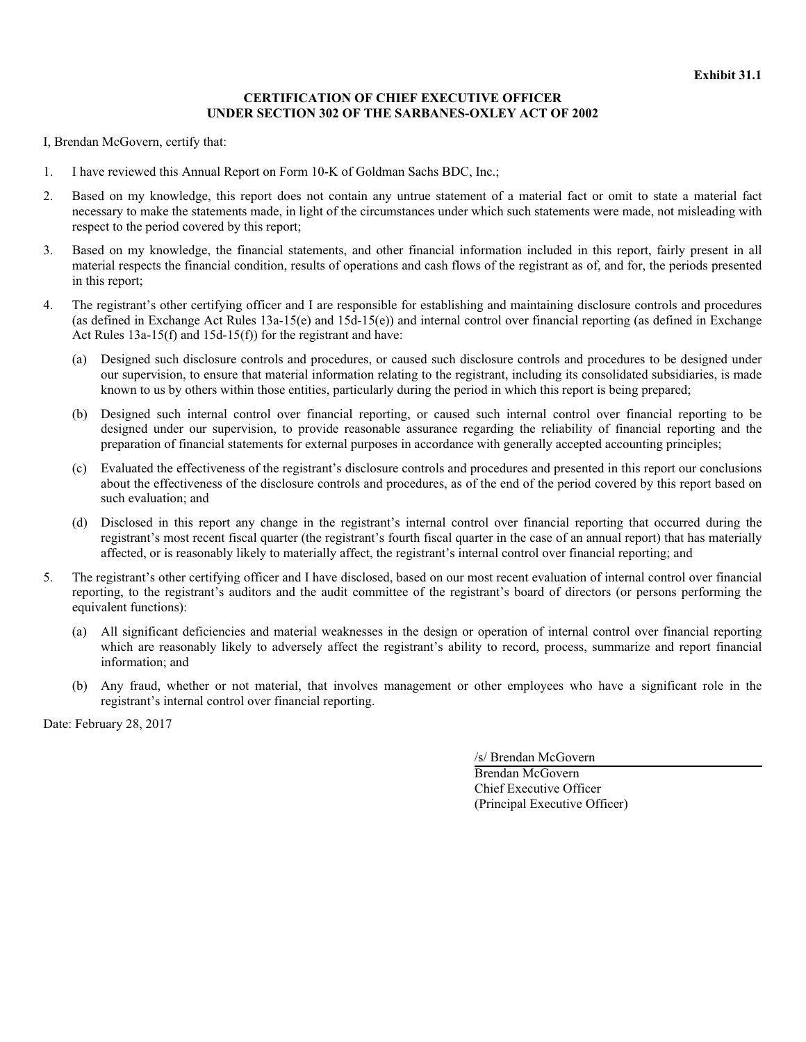## **CERTIFICATION OF CHIEF EXECUTIVE OFFICER UNDER SECTION 302 OF THE SARBANES-OXLEY ACT OF 2002**

I, Brendan McGovern, certify that:

- 1. I have reviewed this Annual Report on Form 10-K of Goldman Sachs BDC, Inc.;
- 2. Based on my knowledge, this report does not contain any untrue statement of a material fact or omit to state a material fact necessary to make the statements made, in light of the circumstances under which such statements were made, not misleading with respect to the period covered by this report;
- 3. Based on my knowledge, the financial statements, and other financial information included in this report, fairly present in all material respects the financial condition, results of operations and cash flows of the registrant as of, and for, the periods presented in this report;
- 4. The registrant's other certifying officer and I are responsible for establishing and maintaining disclosure controls and procedures (as defined in Exchange Act Rules 13a-15(e) and 15d-15(e)) and internal control over financial reporting (as defined in Exchange Act Rules 13a-15(f) and 15d-15(f)) for the registrant and have:
	- (a) Designed such disclosure controls and procedures, or caused such disclosure controls and procedures to be designed under our supervision, to ensure that material information relating to the registrant, including its consolidated subsidiaries, is made known to us by others within those entities, particularly during the period in which this report is being prepared;
	- (b) Designed such internal control over financial reporting, or caused such internal control over financial reporting to be designed under our supervision, to provide reasonable assurance regarding the reliability of financial reporting and the preparation of financial statements for external purposes in accordance with generally accepted accounting principles;
	- (c) Evaluated the effectiveness of the registrant's disclosure controls and procedures and presented in this report our conclusions about the effectiveness of the disclosure controls and procedures, as of the end of the period covered by this report based on such evaluation; and
	- (d) Disclosed in this report any change in the registrant's internal control over financial reporting that occurred during the registrant's most recent fiscal quarter (the registrant's fourth fiscal quarter in the case of an annual report) that has materially affected, or is reasonably likely to materially affect, the registrant's internal control over financial reporting; and
- 5. The registrant's other certifying officer and I have disclosed, based on our most recent evaluation of internal control over financial reporting, to the registrant's auditors and the audit committee of the registrant's board of directors (or persons performing the equivalent functions):
	- (a) All significant deficiencies and material weaknesses in the design or operation of internal control over financial reporting which are reasonably likely to adversely affect the registrant's ability to record, process, summarize and report financial information; and
	- (b) Any fraud, whether or not material, that involves management or other employees who have a significant role in the registrant's internal control over financial reporting.

Date: February 28, 2017

/s/ Brendan McGovern Brendan McGovern Chief Executive Officer (Principal Executive Officer)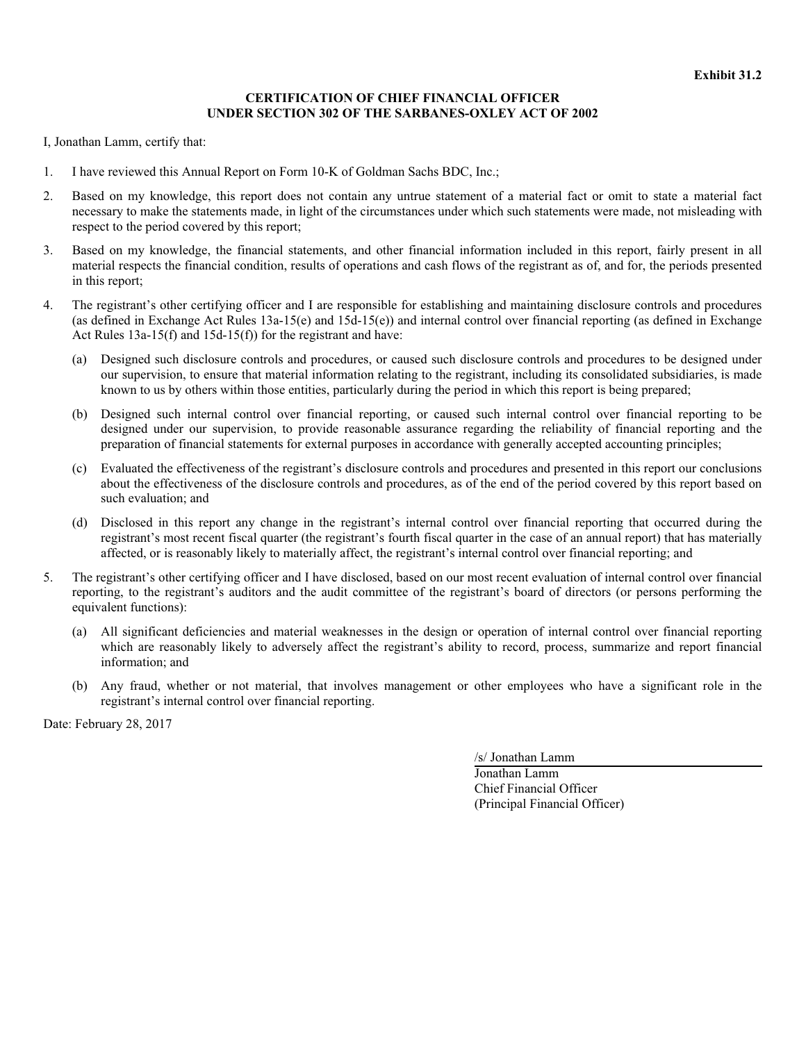## **CERTIFICATION OF CHIEF FINANCIAL OFFICER UNDER SECTION 302 OF THE SARBANES-OXLEY ACT OF 2002**

I, Jonathan Lamm, certify that:

- 1. I have reviewed this Annual Report on Form 10-K of Goldman Sachs BDC, Inc.;
- 2. Based on my knowledge, this report does not contain any untrue statement of a material fact or omit to state a material fact necessary to make the statements made, in light of the circumstances under which such statements were made, not misleading with respect to the period covered by this report;
- 3. Based on my knowledge, the financial statements, and other financial information included in this report, fairly present in all material respects the financial condition, results of operations and cash flows of the registrant as of, and for, the periods presented in this report;
- 4. The registrant's other certifying officer and I are responsible for establishing and maintaining disclosure controls and procedures (as defined in Exchange Act Rules 13a-15(e) and 15d-15(e)) and internal control over financial reporting (as defined in Exchange Act Rules 13a-15(f) and 15d-15(f)) for the registrant and have:
	- (a) Designed such disclosure controls and procedures, or caused such disclosure controls and procedures to be designed under our supervision, to ensure that material information relating to the registrant, including its consolidated subsidiaries, is made known to us by others within those entities, particularly during the period in which this report is being prepared;
	- (b) Designed such internal control over financial reporting, or caused such internal control over financial reporting to be designed under our supervision, to provide reasonable assurance regarding the reliability of financial reporting and the preparation of financial statements for external purposes in accordance with generally accepted accounting principles;
	- (c) Evaluated the effectiveness of the registrant's disclosure controls and procedures and presented in this report our conclusions about the effectiveness of the disclosure controls and procedures, as of the end of the period covered by this report based on such evaluation; and
	- (d) Disclosed in this report any change in the registrant's internal control over financial reporting that occurred during the registrant's most recent fiscal quarter (the registrant's fourth fiscal quarter in the case of an annual report) that has materially affected, or is reasonably likely to materially affect, the registrant's internal control over financial reporting; and
- 5. The registrant's other certifying officer and I have disclosed, based on our most recent evaluation of internal control over financial reporting, to the registrant's auditors and the audit committee of the registrant's board of directors (or persons performing the equivalent functions):
	- (a) All significant deficiencies and material weaknesses in the design or operation of internal control over financial reporting which are reasonably likely to adversely affect the registrant's ability to record, process, summarize and report financial information; and
	- (b) Any fraud, whether or not material, that involves management or other employees who have a significant role in the registrant's internal control over financial reporting.

Date: February 28, 2017

/s/ Jonathan Lamm

Jonathan Lamm Chief Financial Officer (Principal Financial Officer)